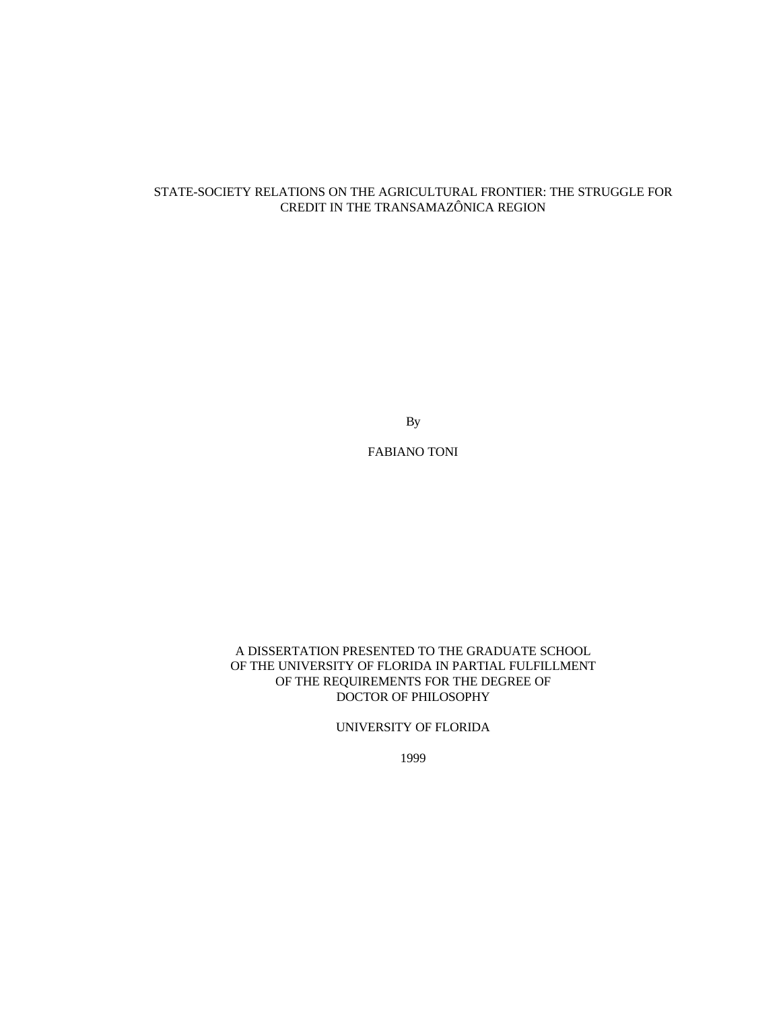# STATE-SOCIETY RELATIONS ON THE AGRICULTURAL FRONTIER: THE STRUGGLE FOR CREDIT IN THE TRANSAMAZÔNICA REGION

By

FABIANO TONI

#### A DISSERTATION PRESENTED TO THE GRADUATE SCHOOL OF THE UNIVERSITY OF FLORIDA IN PARTIAL FULFILLMENT OF THE REQUIREMENTS FOR THE DEGREE OF DOCTOR OF PHILOSOPHY

#### UNIVERSITY OF FLORIDA

1999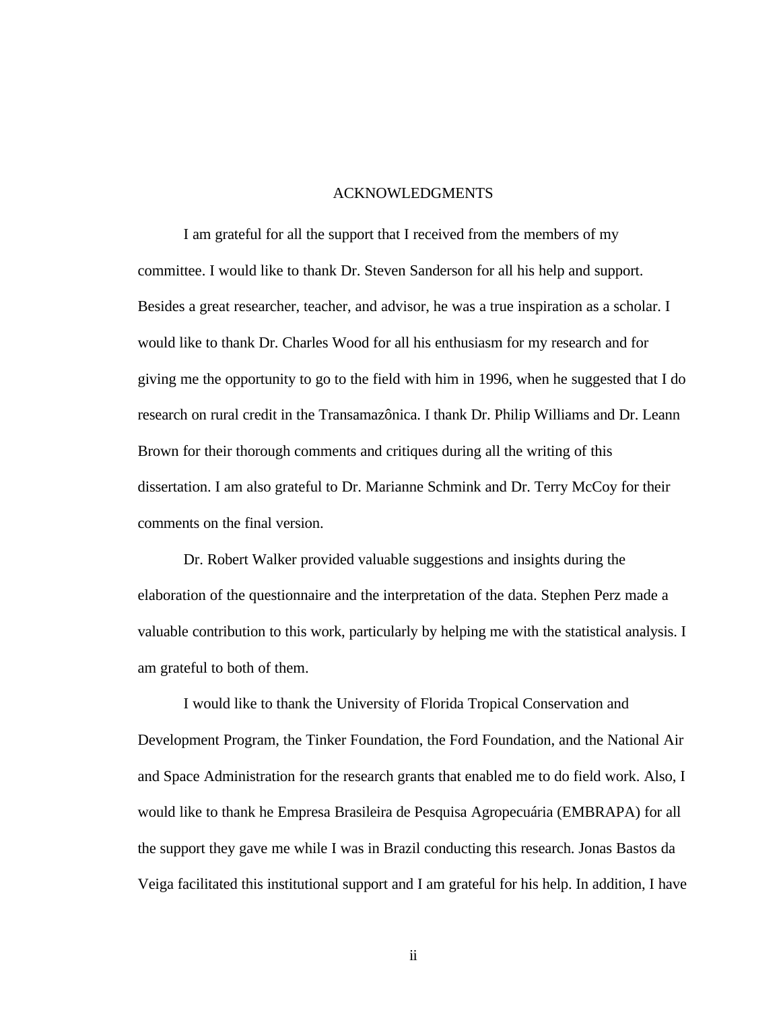# ACKNOWLEDGMENTS

<span id="page-1-0"></span>I am grateful for all the support that I received from the members of my committee. I would like to thank Dr. Steven Sanderson for all his help and support. Besides a great researcher, teacher, and advisor, he was a true inspiration as a scholar. I would like to thank Dr. Charles Wood for all his enthusiasm for my research and for giving me the opportunity to go to the field with him in 1996, when he suggested that I do research on rural credit in the Transamazônica. I thank Dr. Philip Williams and Dr. Leann Brown for their thorough comments and critiques during all the writing of this dissertation. I am also grateful to Dr. Marianne Schmink and Dr. Terry McCoy for their comments on the final version.

Dr. Robert Walker provided valuable suggestions and insights during the elaboration of the questionnaire and the interpretation of the data. Stephen Perz made a valuable contribution to this work, particularly by helping me with the statistical analysis. I am grateful to both of them.

I would like to thank the University of Florida Tropical Conservation and Development Program, the Tinker Foundation, the Ford Foundation, and the National Air and Space Administration for the research grants that enabled me to do field work. Also, I would like to thank he Empresa Brasileira de Pesquisa Agropecuária (EMBRAPA) for all the support they gave me while I was in Brazil conducting this research. Jonas Bastos da Veiga facilitated this institutional support and I am grateful for his help. In addition, I have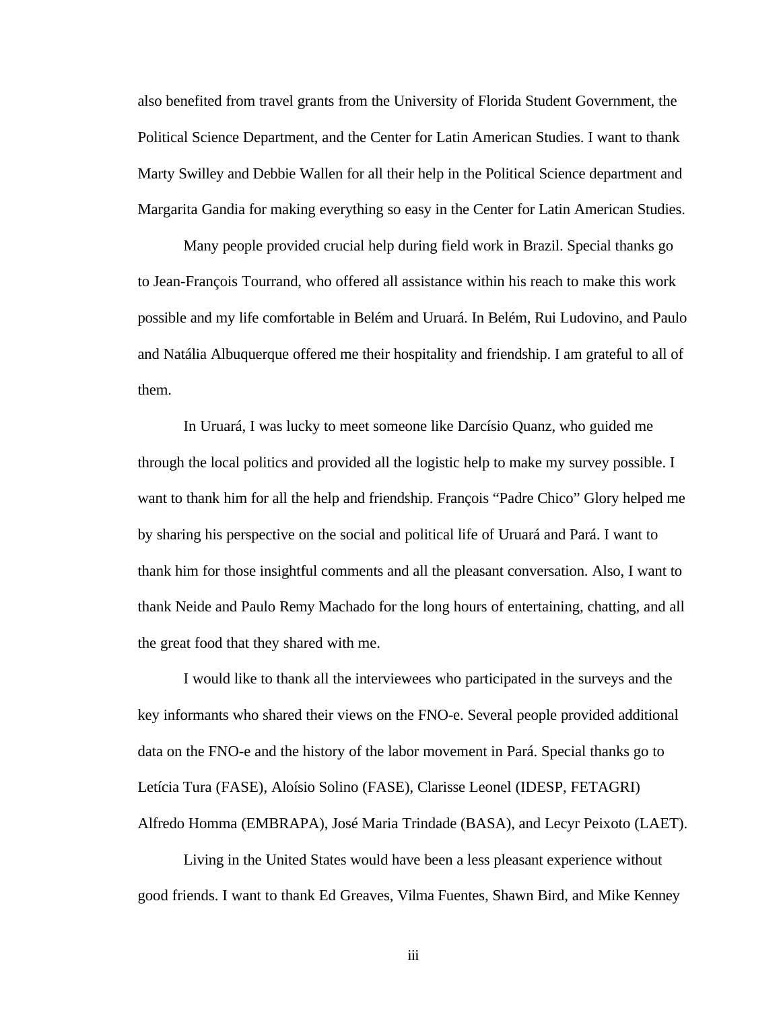also benefited from travel grants from the University of Florida Student Government, the Political Science Department, and the Center for Latin American Studies. I want to thank Marty Swilley and Debbie Wallen for all their help in the Political Science department and Margarita Gandia for making everything so easy in the Center for Latin American Studies.

Many people provided crucial help during field work in Brazil. Special thanks go to Jean-François Tourrand, who offered all assistance within his reach to make this work possible and my life comfortable in Belém and Uruará. In Belém, Rui Ludovino, and Paulo and Natália Albuquerque offered me their hospitality and friendship. I am grateful to all of them.

In Uruará, I was lucky to meet someone like Darcísio Quanz, who guided me through the local politics and provided all the logistic help to make my survey possible. I want to thank him for all the help and friendship. François "Padre Chico" Glory helped me by sharing his perspective on the social and political life of Uruará and Pará. I want to thank him for those insightful comments and all the pleasant conversation. Also, I want to thank Neide and Paulo Remy Machado for the long hours of entertaining, chatting, and all the great food that they shared with me.

I would like to thank all the interviewees who participated in the surveys and the key informants who shared their views on the FNO-e. Several people provided additional data on the FNO-e and the history of the labor movement in Pará. Special thanks go to Letícia Tura (FASE), Aloísio Solino (FASE), Clarisse Leonel (IDESP, FETAGRI) Alfredo Homma (EMBRAPA), José Maria Trindade (BASA), and Lecyr Peixoto (LAET).

Living in the United States would have been a less pleasant experience without good friends. I want to thank Ed Greaves, Vilma Fuentes, Shawn Bird, and Mike Kenney

iii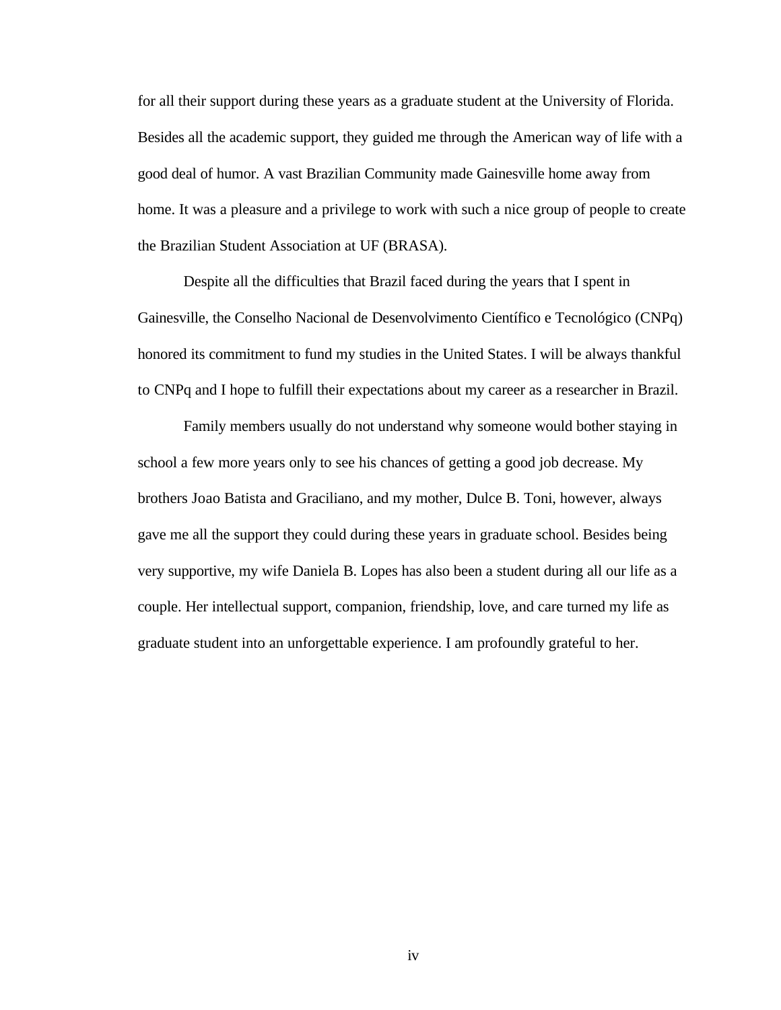for all their support during these years as a graduate student at the University of Florida. Besides all the academic support, they guided me through the American way of life with a good deal of humor. A vast Brazilian Community made Gainesville home away from home. It was a pleasure and a privilege to work with such a nice group of people to create the Brazilian Student Association at UF (BRASA).

Despite all the difficulties that Brazil faced during the years that I spent in Gainesville, the Conselho Nacional de Desenvolvimento Científico e Tecnológico (CNPq) honored its commitment to fund my studies in the United States. I will be always thankful to CNPq and I hope to fulfill their expectations about my career as a researcher in Brazil.

Family members usually do not understand why someone would bother staying in school a few more years only to see his chances of getting a good job decrease. My brothers Joao Batista and Graciliano, and my mother, Dulce B. Toni, however, always gave me all the support they could during these years in graduate school. Besides being very supportive, my wife Daniela B. Lopes has also been a student during all our life as a couple. Her intellectual support, companion, friendship, love, and care turned my life as graduate student into an unforgettable experience. I am profoundly grateful to her.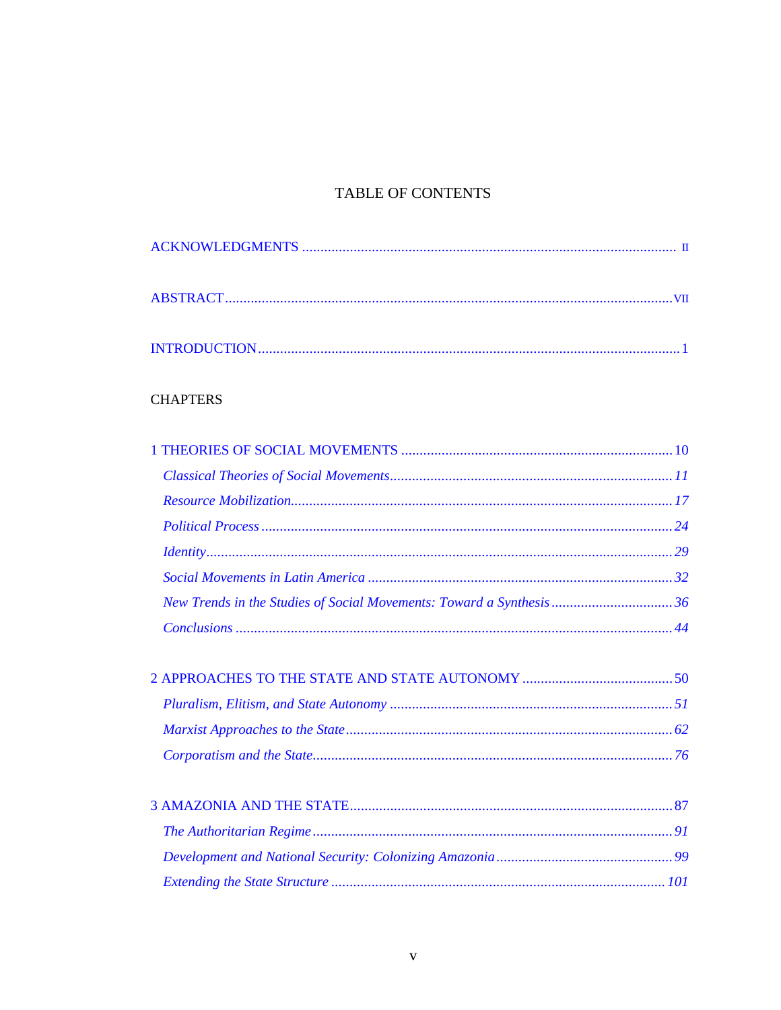# TABLE OF CONTENTS

# **CHAPTERS**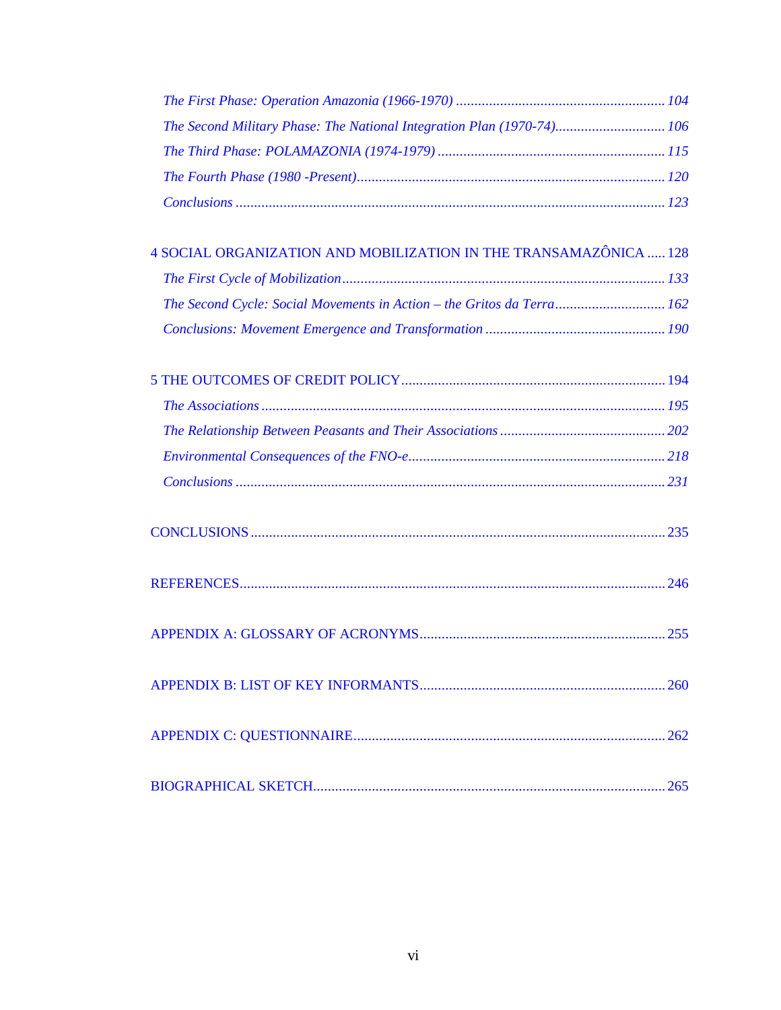| The Second Military Phase: The National Integration Plan (1970-74) 106 |  |
|------------------------------------------------------------------------|--|
|                                                                        |  |
|                                                                        |  |
|                                                                        |  |

| 4 SOCIAL ORGANIZATION AND MOBILIZATION IN THE TRANSAMAZÔNICA  128      |  |
|------------------------------------------------------------------------|--|
|                                                                        |  |
| The Second Cycle: Social Movements in Action – the Gritos da Terra 162 |  |
|                                                                        |  |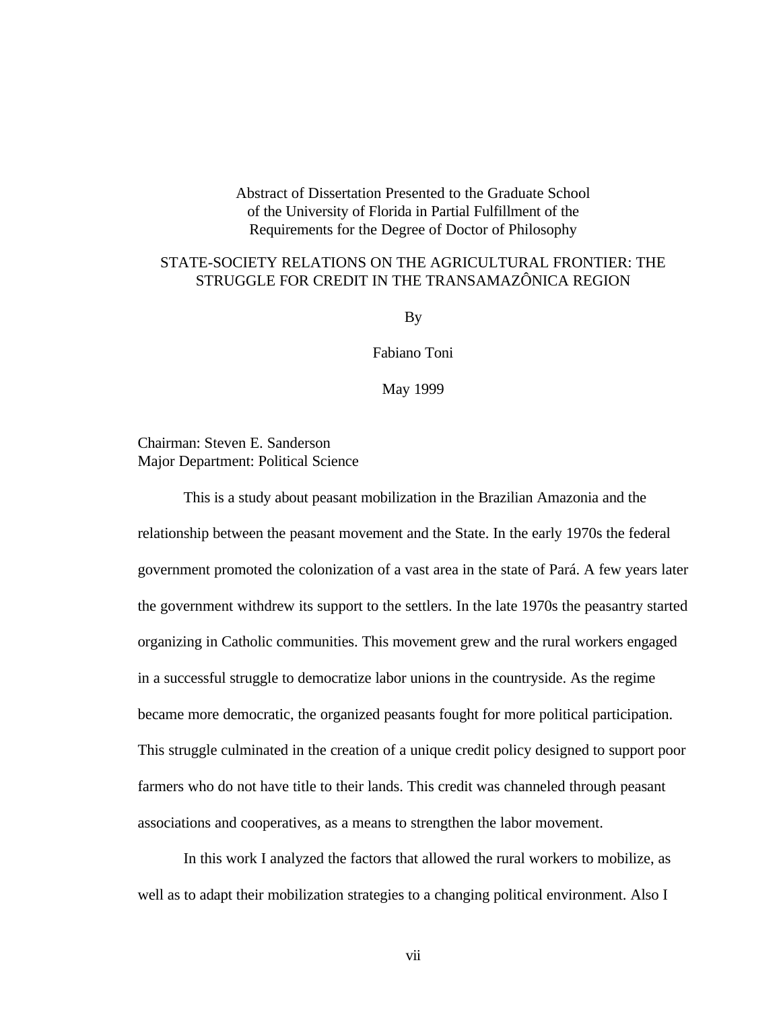Abstract of Dissertation Presented to the Graduate School of the University of Florida in Partial Fulfillment of the Requirements for the Degree of Doctor of Philosophy

# <span id="page-6-0"></span>STATE-SOCIETY RELATIONS ON THE AGRICULTURAL FRONTIER: THE STRUGGLE FOR CREDIT IN THE TRANSAMAZÔNICA REGION

By

Fabiano Toni

May 1999

Chairman: Steven E. Sanderson Major Department: Political Science

This is a study about peasant mobilization in the Brazilian Amazonia and the relationship between the peasant movement and the State. In the early 1970s the federal government promoted the colonization of a vast area in the state of Pará. A few years later the government withdrew its support to the settlers. In the late 1970s the peasantry started organizing in Catholic communities. This movement grew and the rural workers engaged in a successful struggle to democratize labor unions in the countryside. As the regime became more democratic, the organized peasants fought for more political participation. This struggle culminated in the creation of a unique credit policy designed to support poor farmers who do not have title to their lands. This credit was channeled through peasant associations and cooperatives, as a means to strengthen the labor movement.

In this work I analyzed the factors that allowed the rural workers to mobilize, as well as to adapt their mobilization strategies to a changing political environment. Also I

vii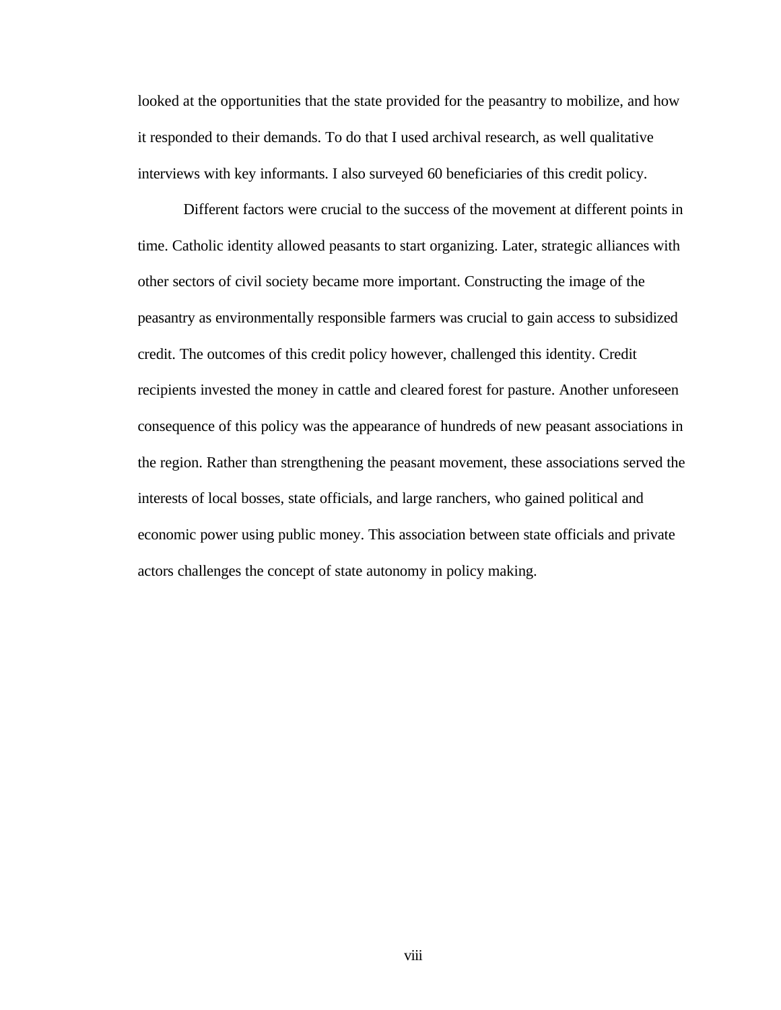looked at the opportunities that the state provided for the peasantry to mobilize, and how it responded to their demands. To do that I used archival research, as well qualitative interviews with key informants. I also surveyed 60 beneficiaries of this credit policy.

Different factors were crucial to the success of the movement at different points in time. Catholic identity allowed peasants to start organizing. Later, strategic alliances with other sectors of civil society became more important. Constructing the image of the peasantry as environmentally responsible farmers was crucial to gain access to subsidized credit. The outcomes of this credit policy however, challenged this identity. Credit recipients invested the money in cattle and cleared forest for pasture. Another unforeseen consequence of this policy was the appearance of hundreds of new peasant associations in the region. Rather than strengthening the peasant movement, these associations served the interests of local bosses, state officials, and large ranchers, who gained political and economic power using public money. This association between state officials and private actors challenges the concept of state autonomy in policy making.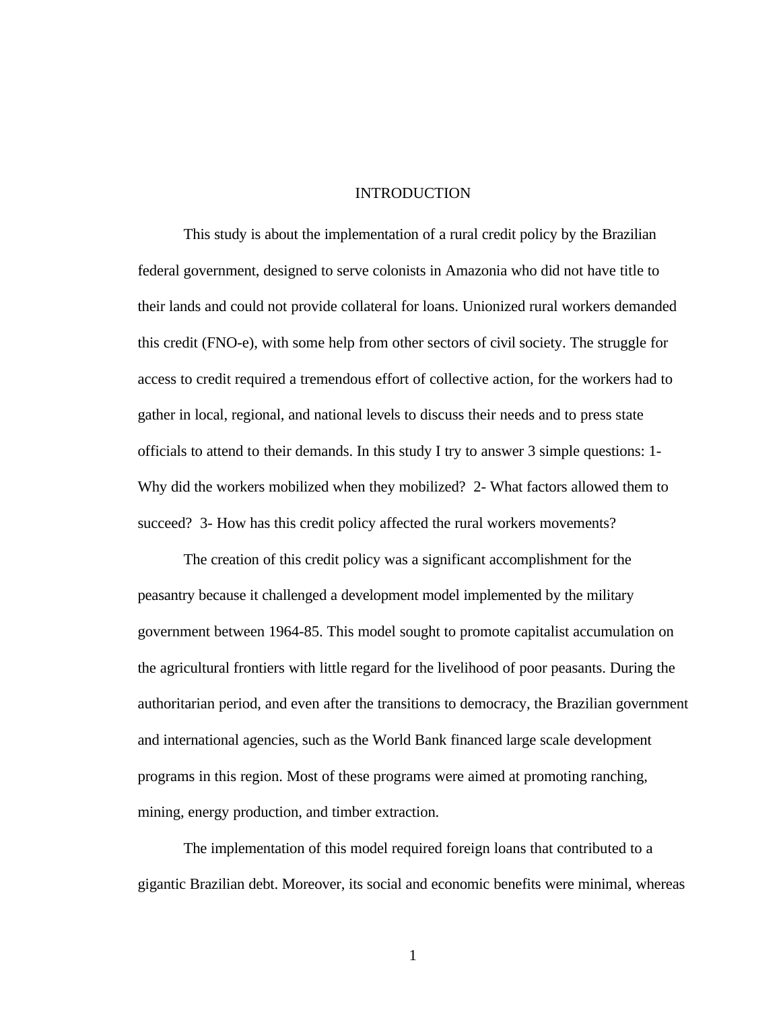# **INTRODUCTION**

<span id="page-8-1"></span><span id="page-8-0"></span>This study is about the implementation of a rural credit policy by the Brazilian federal government, designed to serve colonists in Amazonia who did not have title to their lands and could not provide collateral for loans. Unionized rural workers demanded this credit (FNO-e), with some help from other sectors of civil society. The struggle for access to credit required a tremendous effort of collective action, for the workers had to gather in local, regional, and national levels to discuss their needs and to press state officials to attend to their demands. In this study I try to answer 3 simple questions: 1- Why did the workers mobilized when they mobilized? 2- What factors allowed them to succeed? 3- How has this credit policy affected the rural workers movements?

The creation of this credit policy was a significant accomplishment for the peasantry because it challenged a development model implemented by the military government between 1964-85. This model sought to promote capitalist accumulation on the agricultural frontiers with little regard for the livelihood of poor peasants. During the authoritarian period, and even after the transitions to democracy, the Brazilian government and international agencies, such as the World Bank financed large scale development programs in this region. Most of these programs were aimed at promoting ranching, mining, energy production, and timber extraction.

The implementation of this model required foreign loans that contributed to a gigantic Brazilian debt. Moreover, its social and economic benefits were minimal, whereas

1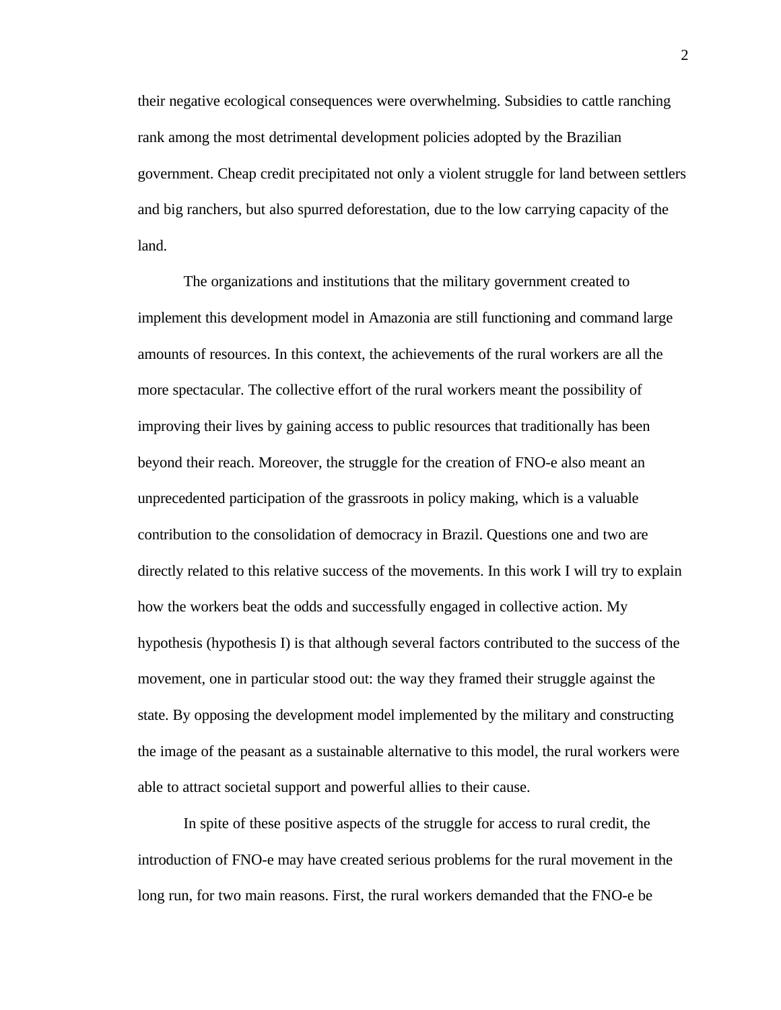their negative ecological consequences were overwhelming. Subsidies to cattle ranching rank among the most detrimental development policies adopted by the Brazilian government. Cheap credit precipitated not only a violent struggle for land between settlers and big ranchers, but also spurred deforestation, due to the low carrying capacity of the land.

The organizations and institutions that the military government created to implement this development model in Amazonia are still functioning and command large amounts of resources. In this context, the achievements of the rural workers are all the more spectacular. The collective effort of the rural workers meant the possibility of improving their lives by gaining access to public resources that traditionally has been beyond their reach. Moreover, the struggle for the creation of FNO-e also meant an unprecedented participation of the grassroots in policy making, which is a valuable contribution to the consolidation of democracy in Brazil. Questions one and two are directly related to this relative success of the movements. In this work I will try to explain how the workers beat the odds and successfully engaged in collective action. My hypothesis (hypothesis I) is that although several factors contributed to the success of the movement, one in particular stood out: the way they framed their struggle against the state. By opposing the development model implemented by the military and constructing the image of the peasant as a sustainable alternative to this model, the rural workers were able to attract societal support and powerful allies to their cause.

In spite of these positive aspects of the struggle for access to rural credit, the introduction of FNO-e may have created serious problems for the rural movement in the long run, for two main reasons. First, the rural workers demanded that the FNO-e be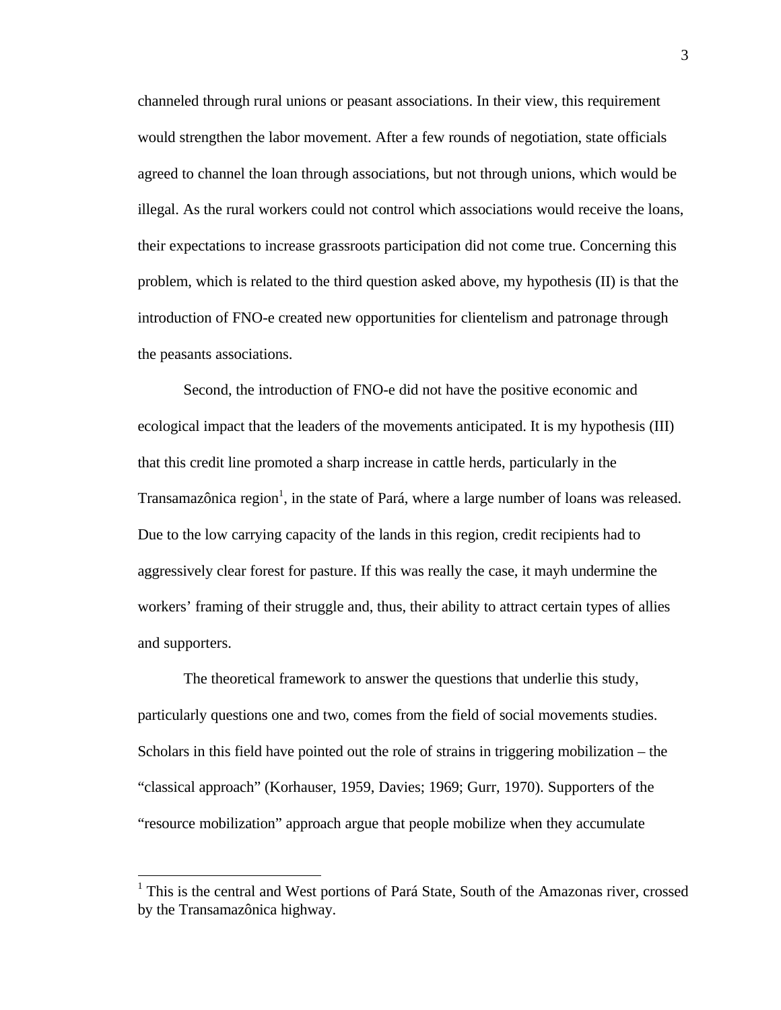channeled through rural unions or peasant associations. In their view, this requirement would strengthen the labor movement. After a few rounds of negotiation, state officials agreed to channel the loan through associations, but not through unions, which would be illegal. As the rural workers could not control which associations would receive the loans, their expectations to increase grassroots participation did not come true. Concerning this problem, which is related to the third question asked above, my hypothesis (II) is that the introduction of FNO-e created new opportunities for clientelism and patronage through the peasants associations.

Second, the introduction of FNO-e did not have the positive economic and ecological impact that the leaders of the movements anticipated. It is my hypothesis (III) that this credit line promoted a sharp increase in cattle herds, particularly in the Transamazônica region<sup>1</sup>, in the state of Pará, where a large number of loans was released. Due to the low carrying capacity of the lands in this region, credit recipients had to aggressively clear forest for pasture. If this was really the case, it mayh undermine the workers' framing of their struggle and, thus, their ability to attract certain types of allies and supporters.

The theoretical framework to answer the questions that underlie this study, particularly questions one and two, comes from the field of social movements studies. Scholars in this field have pointed out the role of strains in triggering mobilization – the "classical approach" (Korhauser, 1959, Davies; 1969; Gurr, 1970). Supporters of the "resource mobilization" approach argue that people mobilize when they accumulate

<sup>&</sup>lt;sup>1</sup> This is the central and West portions of Pará State, South of the Amazonas river, crossed by the Transamazônica highway.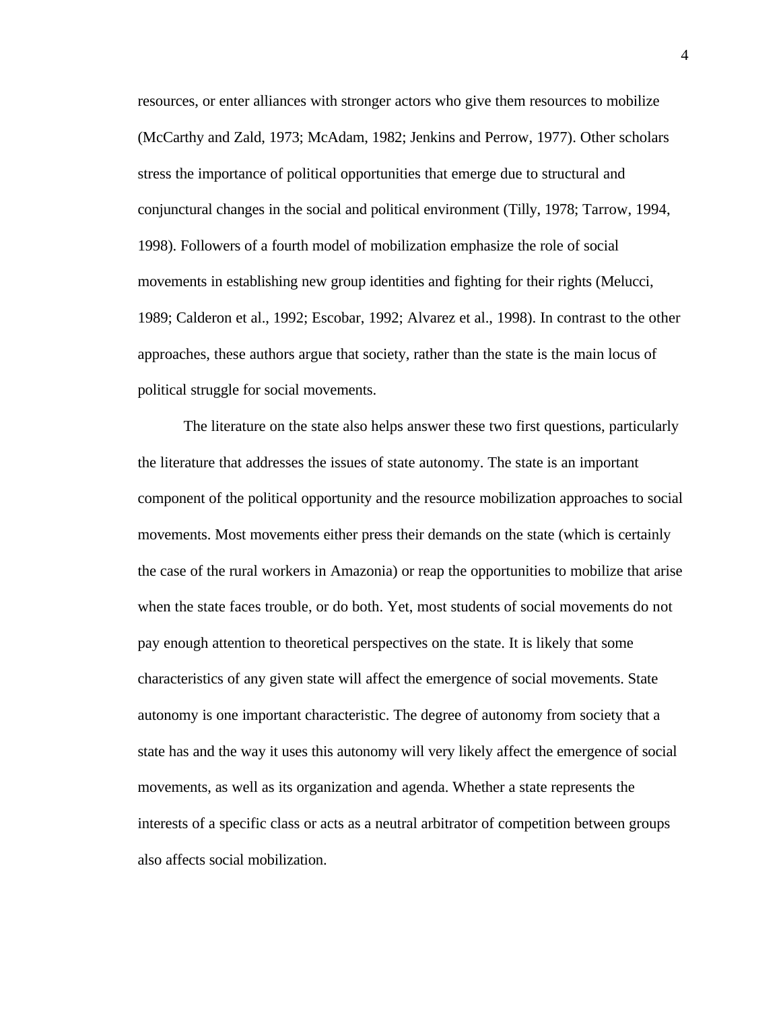resources, or enter alliances with stronger actors who give them resources to mobilize (McCarthy and Zald, 1973; McAdam, 1982; Jenkins and Perrow, 1977). Other scholars stress the importance of political opportunities that emerge due to structural and conjunctural changes in the social and political environment (Tilly, 1978; Tarrow, 1994, 1998). Followers of a fourth model of mobilization emphasize the role of social movements in establishing new group identities and fighting for their rights (Melucci, 1989; Calderon et al., 1992; Escobar, 1992; Alvarez et al., 1998). In contrast to the other approaches, these authors argue that society, rather than the state is the main locus of political struggle for social movements.

The literature on the state also helps answer these two first questions, particularly the literature that addresses the issues of state autonomy. The state is an important component of the political opportunity and the resource mobilization approaches to social movements. Most movements either press their demands on the state (which is certainly the case of the rural workers in Amazonia) or reap the opportunities to mobilize that arise when the state faces trouble, or do both. Yet, most students of social movements do not pay enough attention to theoretical perspectives on the state. It is likely that some characteristics of any given state will affect the emergence of social movements. State autonomy is one important characteristic. The degree of autonomy from society that a state has and the way it uses this autonomy will very likely affect the emergence of social movements, as well as its organization and agenda. Whether a state represents the interests of a specific class or acts as a neutral arbitrator of competition between groups also affects social mobilization.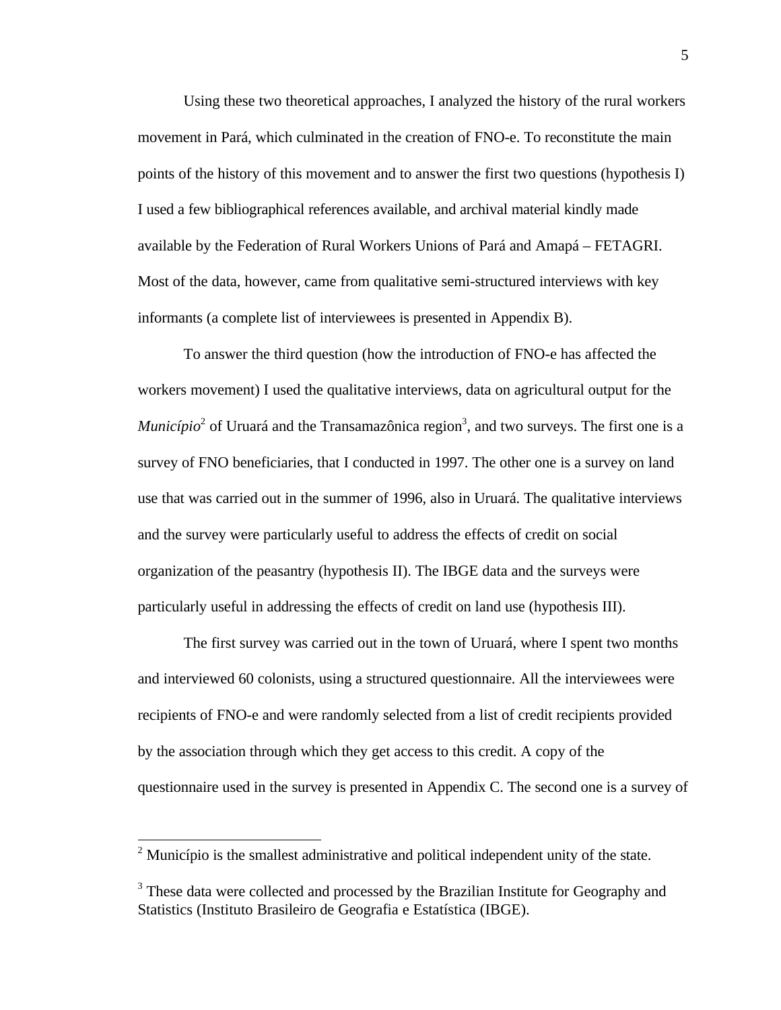Using these two theoretical approaches, I analyzed the history of the rural workers movement in Pará, which culminated in the creation of FNO-e. To reconstitute the main points of the history of this movement and to answer the first two questions (hypothesis I) I used a few bibliographical references available, and archival material kindly made available by the Federation of Rural Workers Unions of Pará and Amapá – FETAGRI. Most of the data, however, came from qualitative semi-structured interviews with key informants (a complete list of interviewees is presented in Appendix B).

To answer the third question (how the introduction of FNO-e has affected the workers movement) I used the qualitative interviews, data on agricultural output for the *Município*<sup>2</sup> of Uruará and the Transamazônica region<sup>3</sup>, and two surveys. The first one is a survey of FNO beneficiaries, that I conducted in 1997. The other one is a survey on land use that was carried out in the summer of 1996, also in Uruará. The qualitative interviews and the survey were particularly useful to address the effects of credit on social organization of the peasantry (hypothesis II). The IBGE data and the surveys were particularly useful in addressing the effects of credit on land use (hypothesis III).

The first survey was carried out in the town of Uruará, where I spent two months and interviewed 60 colonists, using a structured questionnaire. All the interviewees were recipients of FNO-e and were randomly selected from a list of credit recipients provided by the association through which they get access to this credit. A copy of the questionnaire used in the survey is presented in Appendix C. The second one is a survey of

<sup>&</sup>lt;sup>2</sup> Município is the smallest administrative and political independent unity of the state.

<sup>&</sup>lt;sup>3</sup> These data were collected and processed by the Brazilian Institute for Geography and Statistics (Instituto Brasileiro de Geografia e Estatística (IBGE).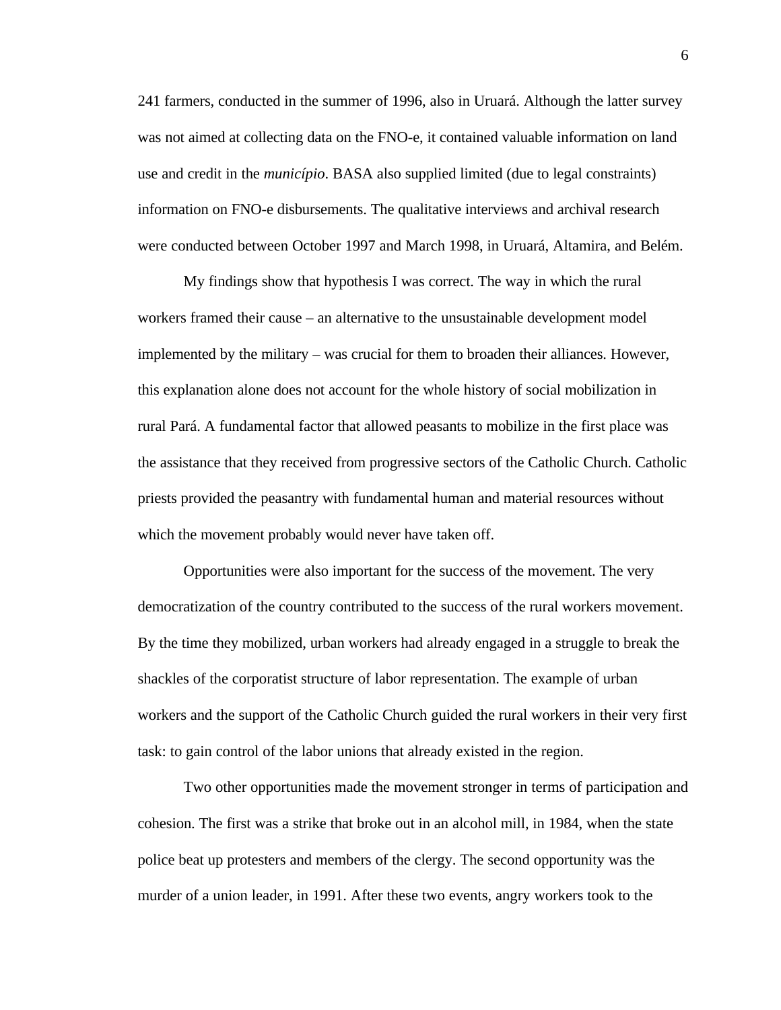241 farmers, conducted in the summer of 1996, also in Uruará. Although the latter survey was not aimed at collecting data on the FNO-e, it contained valuable information on land use and credit in the *município*. BASA also supplied limited (due to legal constraints) information on FNO-e disbursements. The qualitative interviews and archival research were conducted between October 1997 and March 1998, in Uruará, Altamira, and Belém.

My findings show that hypothesis I was correct. The way in which the rural workers framed their cause – an alternative to the unsustainable development model implemented by the military – was crucial for them to broaden their alliances. However, this explanation alone does not account for the whole history of social mobilization in rural Pará. A fundamental factor that allowed peasants to mobilize in the first place was the assistance that they received from progressive sectors of the Catholic Church. Catholic priests provided the peasantry with fundamental human and material resources without which the movement probably would never have taken off.

Opportunities were also important for the success of the movement. The very democratization of the country contributed to the success of the rural workers movement. By the time they mobilized, urban workers had already engaged in a struggle to break the shackles of the corporatist structure of labor representation. The example of urban workers and the support of the Catholic Church guided the rural workers in their very first task: to gain control of the labor unions that already existed in the region.

Two other opportunities made the movement stronger in terms of participation and cohesion. The first was a strike that broke out in an alcohol mill, in 1984, when the state police beat up protesters and members of the clergy. The second opportunity was the murder of a union leader, in 1991. After these two events, angry workers took to the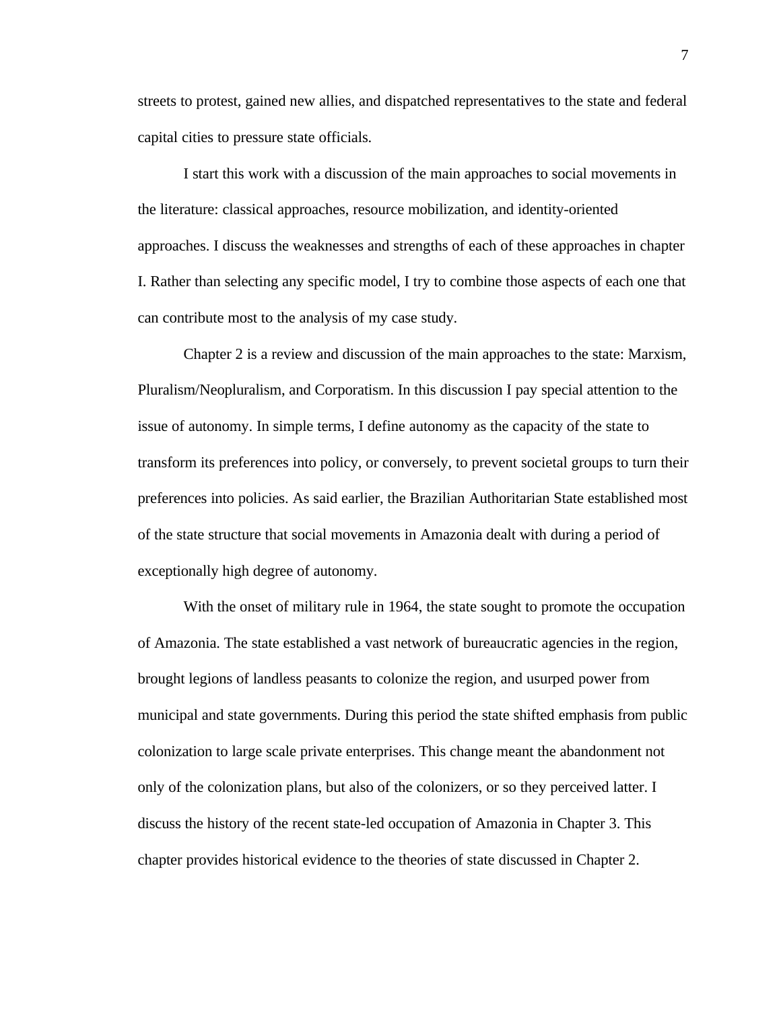streets to protest, gained new allies, and dispatched representatives to the state and federal capital cities to pressure state officials.

I start this work with a discussion of the main approaches to social movements in the literature: classical approaches, resource mobilization, and identity-oriented approaches. I discuss the weaknesses and strengths of each of these approaches in chapter I. Rather than selecting any specific model, I try to combine those aspects of each one that can contribute most to the analysis of my case study.

Chapter 2 is a review and discussion of the main approaches to the state: Marxism, Pluralism/Neopluralism, and Corporatism. In this discussion I pay special attention to the issue of autonomy. In simple terms, I define autonomy as the capacity of the state to transform its preferences into policy, or conversely, to prevent societal groups to turn their preferences into policies. As said earlier, the Brazilian Authoritarian State established most of the state structure that social movements in Amazonia dealt with during a period of exceptionally high degree of autonomy.

With the onset of military rule in 1964, the state sought to promote the occupation of Amazonia. The state established a vast network of bureaucratic agencies in the region, brought legions of landless peasants to colonize the region, and usurped power from municipal and state governments. During this period the state shifted emphasis from public colonization to large scale private enterprises. This change meant the abandonment not only of the colonization plans, but also of the colonizers, or so they perceived latter. I discuss the history of the recent state-led occupation of Amazonia in Chapter 3. This chapter provides historical evidence to the theories of state discussed in Chapter 2.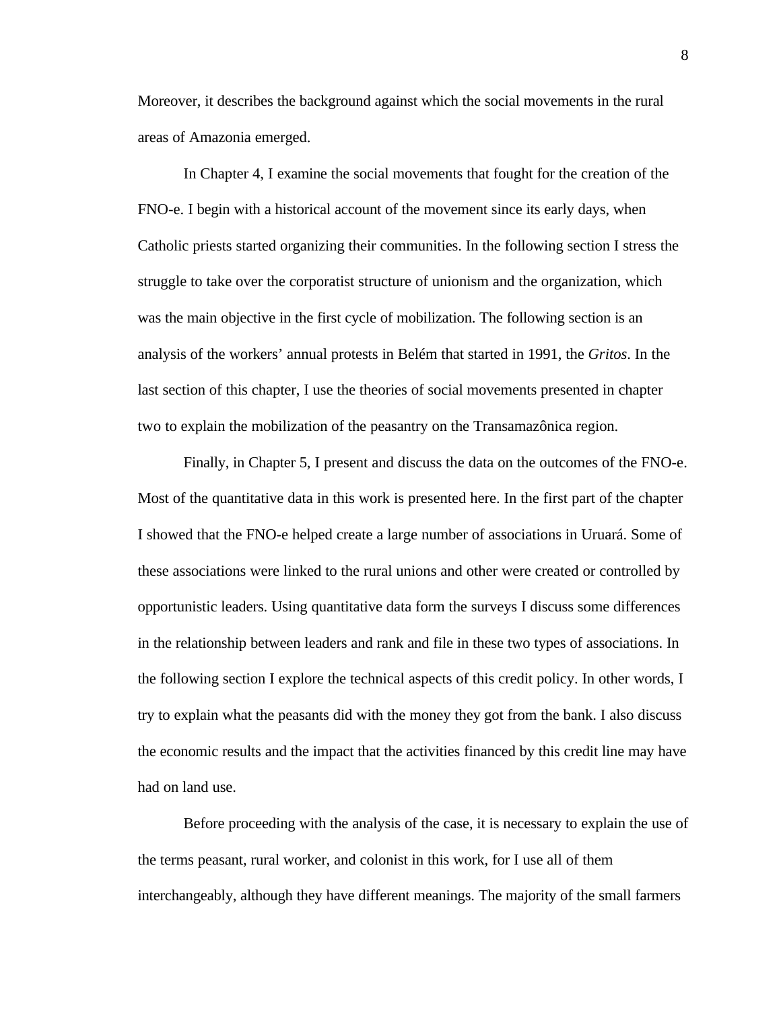Moreover, it describes the background against which the social movements in the rural areas of Amazonia emerged.

In Chapter 4, I examine the social movements that fought for the creation of the FNO-e. I begin with a historical account of the movement since its early days, when Catholic priests started organizing their communities. In the following section I stress the struggle to take over the corporatist structure of unionism and the organization, which was the main objective in the first cycle of mobilization. The following section is an analysis of the workers' annual protests in Belém that started in 1991, the *Gritos*. In the last section of this chapter, I use the theories of social movements presented in chapter two to explain the mobilization of the peasantry on the Transamazônica region.

Finally, in Chapter 5, I present and discuss the data on the outcomes of the FNO-e. Most of the quantitative data in this work is presented here. In the first part of the chapter I showed that the FNO-e helped create a large number of associations in Uruará. Some of these associations were linked to the rural unions and other were created or controlled by opportunistic leaders. Using quantitative data form the surveys I discuss some differences in the relationship between leaders and rank and file in these two types of associations. In the following section I explore the technical aspects of this credit policy. In other words, I try to explain what the peasants did with the money they got from the bank. I also discuss the economic results and the impact that the activities financed by this credit line may have had on land use.

Before proceeding with the analysis of the case, it is necessary to explain the use of the terms peasant, rural worker, and colonist in this work, for I use all of them interchangeably, although they have different meanings. The majority of the small farmers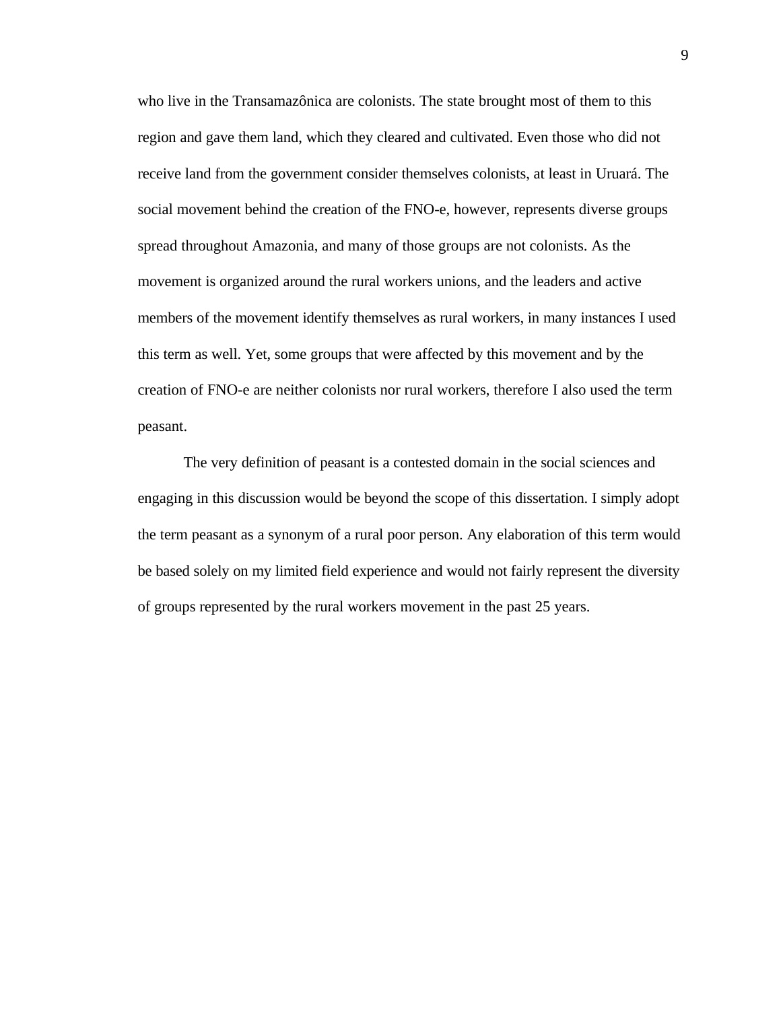who live in the Transamazônica are colonists. The state brought most of them to this region and gave them land, which they cleared and cultivated. Even those who did not receive land from the government consider themselves colonists, at least in Uruará. The social movement behind the creation of the FNO-e, however, represents diverse groups spread throughout Amazonia, and many of those groups are not colonists. As the movement is organized around the rural workers unions, and the leaders and active members of the movement identify themselves as rural workers, in many instances I used this term as well. Yet, some groups that were affected by this movement and by the creation of FNO-e are neither colonists nor rural workers, therefore I also used the term peasant.

The very definition of peasant is a contested domain in the social sciences and engaging in this discussion would be beyond the scope of this dissertation. I simply adopt the term peasant as a synonym of a rural poor person. Any elaboration of this term would be based solely on my limited field experience and would not fairly represent the diversity of groups represented by the rural workers movement in the past 25 years.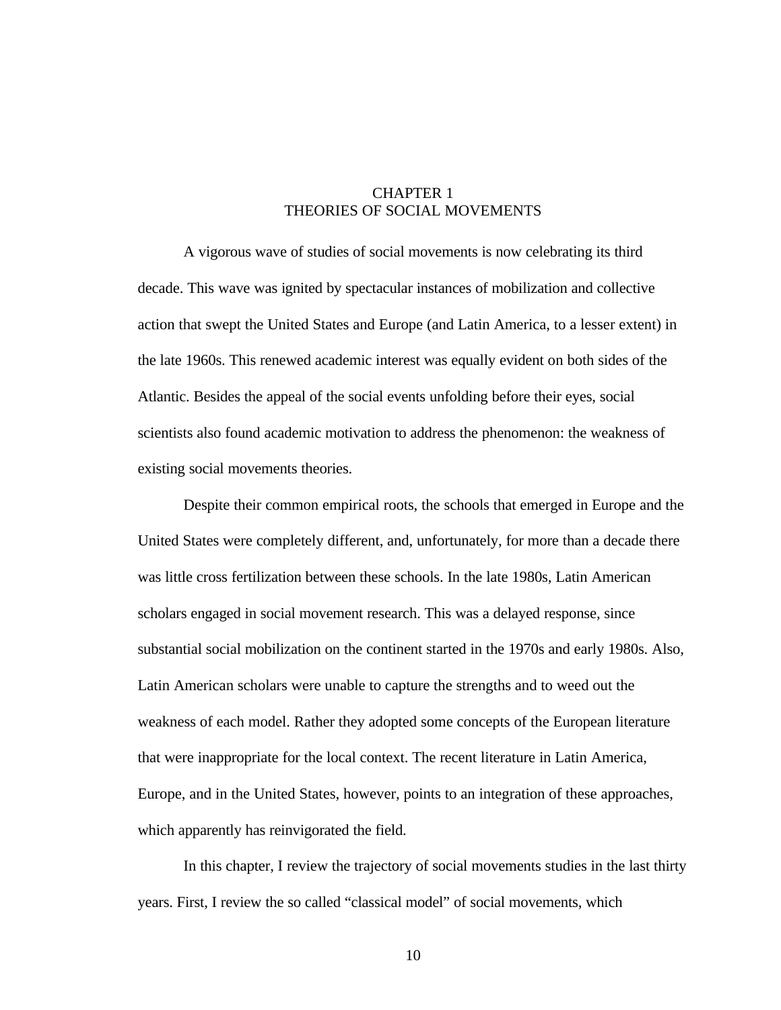# CHAPTER 1 THEORIES OF SOCIAL MOVEMENTS

A vigorous wave of studies of social movements is now celebrating its third decade. This wave was ignited by spectacular instances of mobilization and collective action that swept the United States and Europe (and Latin America, to a lesser extent) in the late 1960s. This renewed academic interest was equally evident on both sides of the Atlantic. Besides the appeal of the social events unfolding before their eyes, social scientists also found academic motivation to address the phenomenon: the weakness of existing social movements theories.

Despite their common empirical roots, the schools that emerged in Europe and the United States were completely different, and, unfortunately, for more than a decade there was little cross fertilization between these schools. In the late 1980s, Latin American scholars engaged in social movement research. This was a delayed response, since substantial social mobilization on the continent started in the 1970s and early 1980s. Also, Latin American scholars were unable to capture the strengths and to weed out the weakness of each model. Rather they adopted some concepts of the European literature that were inappropriate for the local context. The recent literature in Latin America, Europe, and in the United States, however, points to an integration of these approaches, which apparently has reinvigorated the field.

In this chapter, I review the trajectory of social movements studies in the last thirty years. First, I review the so called "classical model" of social movements, which

10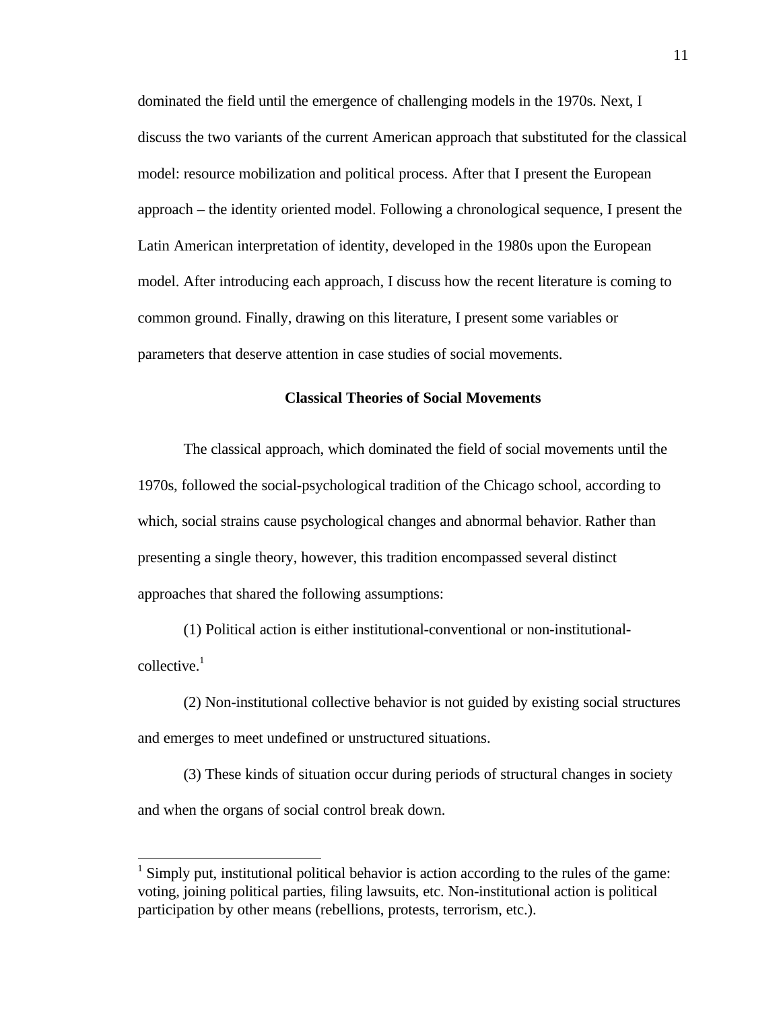<span id="page-18-0"></span>dominated the field until the emergence of challenging models in the 1970s. Next, I discuss the two variants of the current American approach that substituted for the classical model: resource mobilization and political process. After that I present the European approach – the identity oriented model. Following a chronological sequence, I present the Latin American interpretation of identity, developed in the 1980s upon the European model. After introducing each approach, I discuss how the recent literature is coming to common ground. Finally, drawing on this literature, I present some variables or parameters that deserve attention in case studies of social movements.

# **Classical Theories of Social Movements**

The classical approach, which dominated the field of social movements until the 1970s, followed the social-psychological tradition of the Chicago school, according to which, social strains cause psychological changes and abnormal behavior. Rather than presenting a single theory, however, this tradition encompassed several distinct approaches that shared the following assumptions:

(1) Political action is either institutional-conventional or non-institutionalcollective. $1$ 

(2) Non-institutional collective behavior is not guided by existing social structures and emerges to meet undefined or unstructured situations.

(3) These kinds of situation occur during periods of structural changes in society and when the organs of social control break down.

 $<sup>1</sup>$  Simply put, institutional political behavior is action according to the rules of the game:</sup> voting, joining political parties, filing lawsuits, etc. Non-institutional action is political participation by other means (rebellions, protests, terrorism, etc.).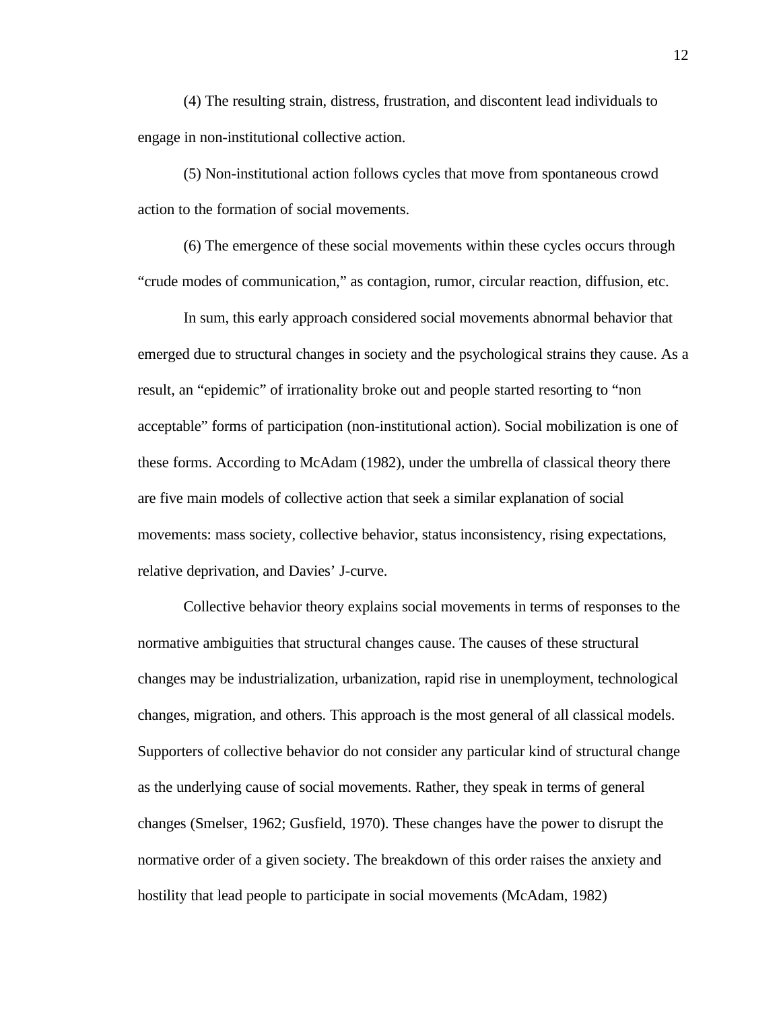(4) The resulting strain, distress, frustration, and discontent lead individuals to engage in non-institutional collective action.

(5) Non-institutional action follows cycles that move from spontaneous crowd action to the formation of social movements.

(6) The emergence of these social movements within these cycles occurs through "crude modes of communication," as contagion, rumor, circular reaction, diffusion, etc.

In sum, this early approach considered social movements abnormal behavior that emerged due to structural changes in society and the psychological strains they cause. As a result, an "epidemic" of irrationality broke out and people started resorting to "non acceptable" forms of participation (non-institutional action). Social mobilization is one of these forms. According to McAdam (1982), under the umbrella of classical theory there are five main models of collective action that seek a similar explanation of social movements: mass society, collective behavior, status inconsistency, rising expectations, relative deprivation, and Davies' J-curve.

Collective behavior theory explains social movements in terms of responses to the normative ambiguities that structural changes cause. The causes of these structural changes may be industrialization, urbanization, rapid rise in unemployment, technological changes, migration, and others. This approach is the most general of all classical models. Supporters of collective behavior do not consider any particular kind of structural change as the underlying cause of social movements. Rather, they speak in terms of general changes (Smelser, 1962; Gusfield, 1970). These changes have the power to disrupt the normative order of a given society. The breakdown of this order raises the anxiety and hostility that lead people to participate in social movements (McAdam, 1982)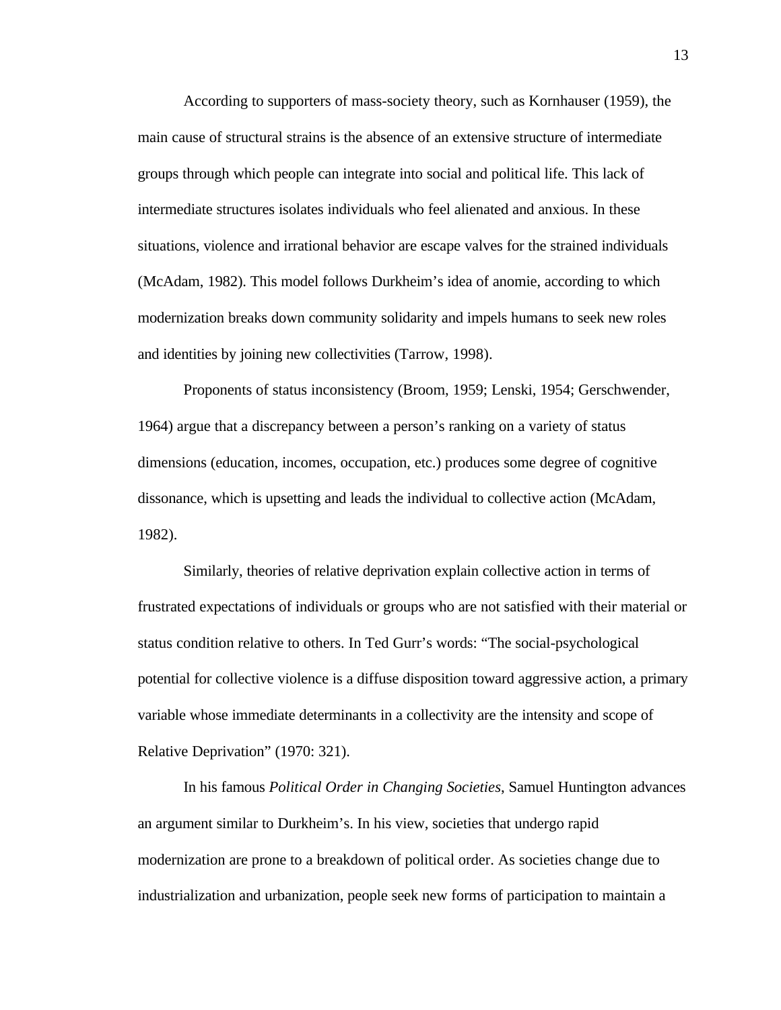According to supporters of mass-society theory, such as Kornhauser (1959), the main cause of structural strains is the absence of an extensive structure of intermediate groups through which people can integrate into social and political life. This lack of intermediate structures isolates individuals who feel alienated and anxious. In these situations, violence and irrational behavior are escape valves for the strained individuals (McAdam, 1982). This model follows Durkheim's idea of anomie, according to which modernization breaks down community solidarity and impels humans to seek new roles and identities by joining new collectivities (Tarrow, 1998).

Proponents of status inconsistency (Broom, 1959; Lenski, 1954; Gerschwender, 1964) argue that a discrepancy between a person's ranking on a variety of status dimensions (education, incomes, occupation, etc.) produces some degree of cognitive dissonance, which is upsetting and leads the individual to collective action (McAdam, 1982).

Similarly, theories of relative deprivation explain collective action in terms of frustrated expectations of individuals or groups who are not satisfied with their material or status condition relative to others. In Ted Gurr's words: "The social-psychological potential for collective violence is a diffuse disposition toward aggressive action, a primary variable whose immediate determinants in a collectivity are the intensity and scope of Relative Deprivation" (1970: 321).

In his famous *Political Order in Changing Societies*, Samuel Huntington advances an argument similar to Durkheim's. In his view, societies that undergo rapid modernization are prone to a breakdown of political order. As societies change due to industrialization and urbanization, people seek new forms of participation to maintain a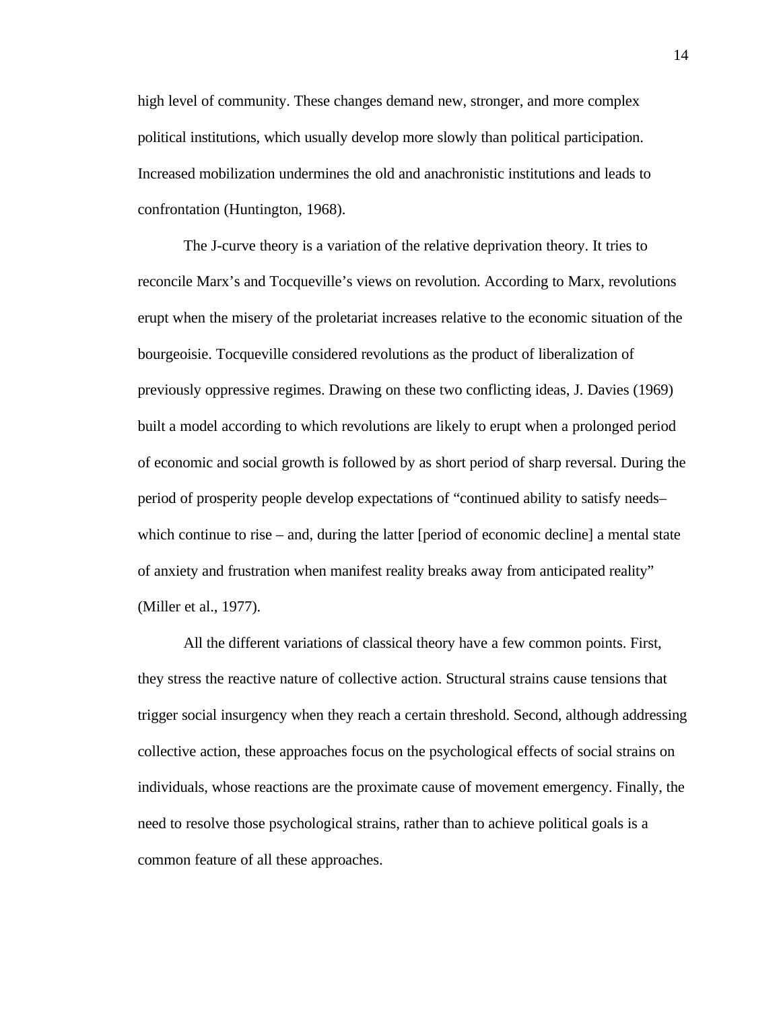high level of community. These changes demand new, stronger, and more complex political institutions, which usually develop more slowly than political participation. Increased mobilization undermines the old and anachronistic institutions and leads to confrontation (Huntington, 1968).

The J-curve theory is a variation of the relative deprivation theory. It tries to reconcile Marx's and Tocqueville's views on revolution. According to Marx, revolutions erupt when the misery of the proletariat increases relative to the economic situation of the bourgeoisie. Tocqueville considered revolutions as the product of liberalization of previously oppressive regimes. Drawing on these two conflicting ideas, J. Davies (1969) built a model according to which revolutions are likely to erupt when a prolonged period of economic and social growth is followed by as short period of sharp reversal. During the period of prosperity people develop expectations of "continued ability to satisfy needs– which continue to rise – and, during the latter [period of economic decline] a mental state of anxiety and frustration when manifest reality breaks away from anticipated reality" (Miller et al., 1977).

All the different variations of classical theory have a few common points. First, they stress the reactive nature of collective action. Structural strains cause tensions that trigger social insurgency when they reach a certain threshold. Second, although addressing collective action, these approaches focus on the psychological effects of social strains on individuals, whose reactions are the proximate cause of movement emergency. Finally, the need to resolve those psychological strains, rather than to achieve political goals is a common feature of all these approaches.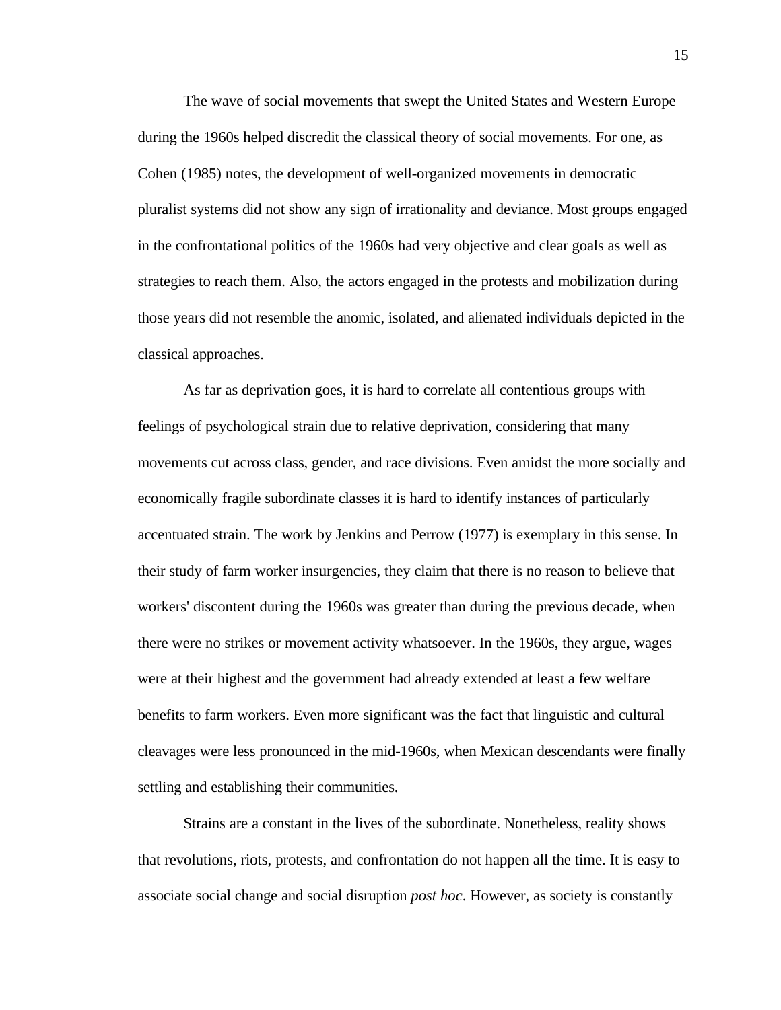The wave of social movements that swept the United States and Western Europe during the 1960s helped discredit the classical theory of social movements. For one, as Cohen (1985) notes, the development of well-organized movements in democratic pluralist systems did not show any sign of irrationality and deviance. Most groups engaged in the confrontational politics of the 1960s had very objective and clear goals as well as strategies to reach them. Also, the actors engaged in the protests and mobilization during those years did not resemble the anomic, isolated, and alienated individuals depicted in the classical approaches.

As far as deprivation goes, it is hard to correlate all contentious groups with feelings of psychological strain due to relative deprivation, considering that many movements cut across class, gender, and race divisions. Even amidst the more socially and economically fragile subordinate classes it is hard to identify instances of particularly accentuated strain. The work by Jenkins and Perrow (1977) is exemplary in this sense. In their study of farm worker insurgencies, they claim that there is no reason to believe that workers' discontent during the 1960s was greater than during the previous decade, when there were no strikes or movement activity whatsoever. In the 1960s, they argue, wages were at their highest and the government had already extended at least a few welfare benefits to farm workers. Even more significant was the fact that linguistic and cultural cleavages were less pronounced in the mid-1960s, when Mexican descendants were finally settling and establishing their communities.

Strains are a constant in the lives of the subordinate. Nonetheless, reality shows that revolutions, riots, protests, and confrontation do not happen all the time. It is easy to associate social change and social disruption *post hoc*. However, as society is constantly

15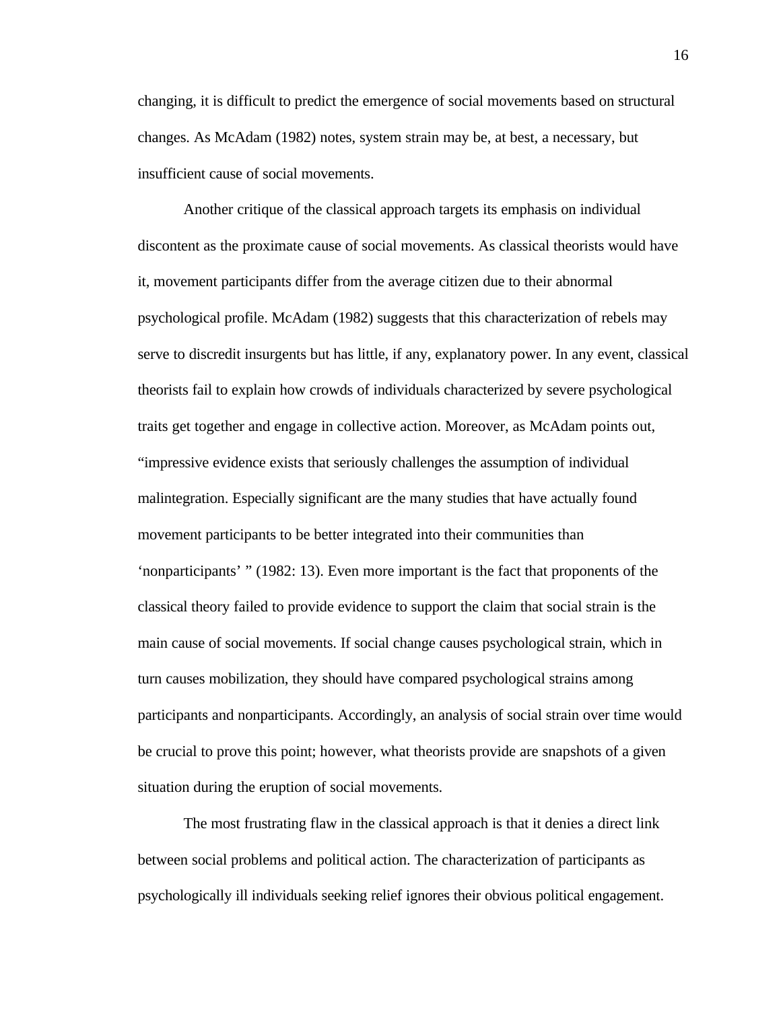changing, it is difficult to predict the emergence of social movements based on structural changes. As McAdam (1982) notes, system strain may be, at best, a necessary, but insufficient cause of social movements.

Another critique of the classical approach targets its emphasis on individual discontent as the proximate cause of social movements. As classical theorists would have it, movement participants differ from the average citizen due to their abnormal psychological profile. McAdam (1982) suggests that this characterization of rebels may serve to discredit insurgents but has little, if any, explanatory power. In any event, classical theorists fail to explain how crowds of individuals characterized by severe psychological traits get together and engage in collective action. Moreover, as McAdam points out, "impressive evidence exists that seriously challenges the assumption of individual malintegration. Especially significant are the many studies that have actually found movement participants to be better integrated into their communities than 'nonparticipants' " (1982: 13). Even more important is the fact that proponents of the classical theory failed to provide evidence to support the claim that social strain is the main cause of social movements. If social change causes psychological strain, which in turn causes mobilization, they should have compared psychological strains among participants and nonparticipants. Accordingly, an analysis of social strain over time would be crucial to prove this point; however, what theorists provide are snapshots of a given situation during the eruption of social movements.

The most frustrating flaw in the classical approach is that it denies a direct link between social problems and political action. The characterization of participants as psychologically ill individuals seeking relief ignores their obvious political engagement.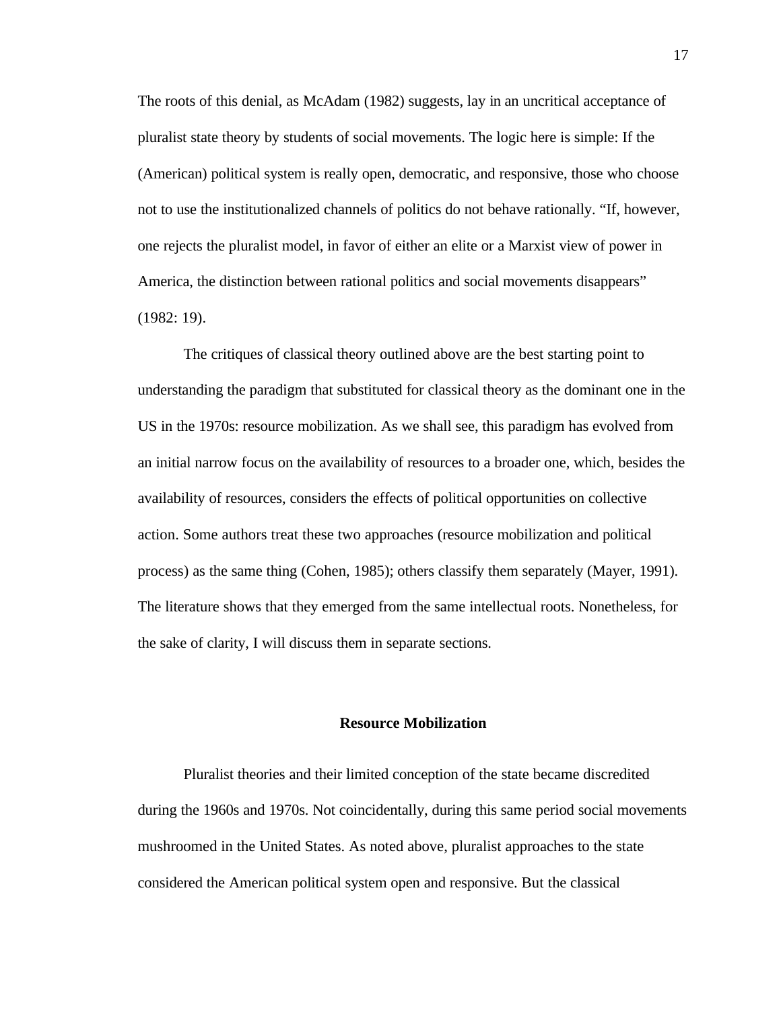The roots of this denial, as McAdam (1982) suggests, lay in an uncritical acceptance of pluralist state theory by students of social movements. The logic here is simple: If the (American) political system is really open, democratic, and responsive, those who choose not to use the institutionalized channels of politics do not behave rationally. "If, however, one rejects the pluralist model, in favor of either an elite or a Marxist view of power in America, the distinction between rational politics and social movements disappears" (1982: 19).

<span id="page-24-0"></span>The critiques of classical theory outlined above are the best starting point to understanding the paradigm that substituted for classical theory as the dominant one in the US in the 1970s: resource mobilization. As we shall see, this paradigm has evolved from an initial narrow focus on the availability of resources to a broader one, which, besides the availability of resources, considers the effects of political opportunities on collective action. Some authors treat these two approaches (resource mobilization and political process) as the same thing (Cohen, 1985); others classify them separately (Mayer, 1991). The literature shows that they emerged from the same intellectual roots. Nonetheless, for the sake of clarity, I will discuss them in separate sections.

#### **Resource Mobilization**

Pluralist theories and their limited conception of the state became discredited during the 1960s and 1970s. Not coincidentally, during this same period social movements mushroomed in the United States. As noted above, pluralist approaches to the state considered the American political system open and responsive. But the classical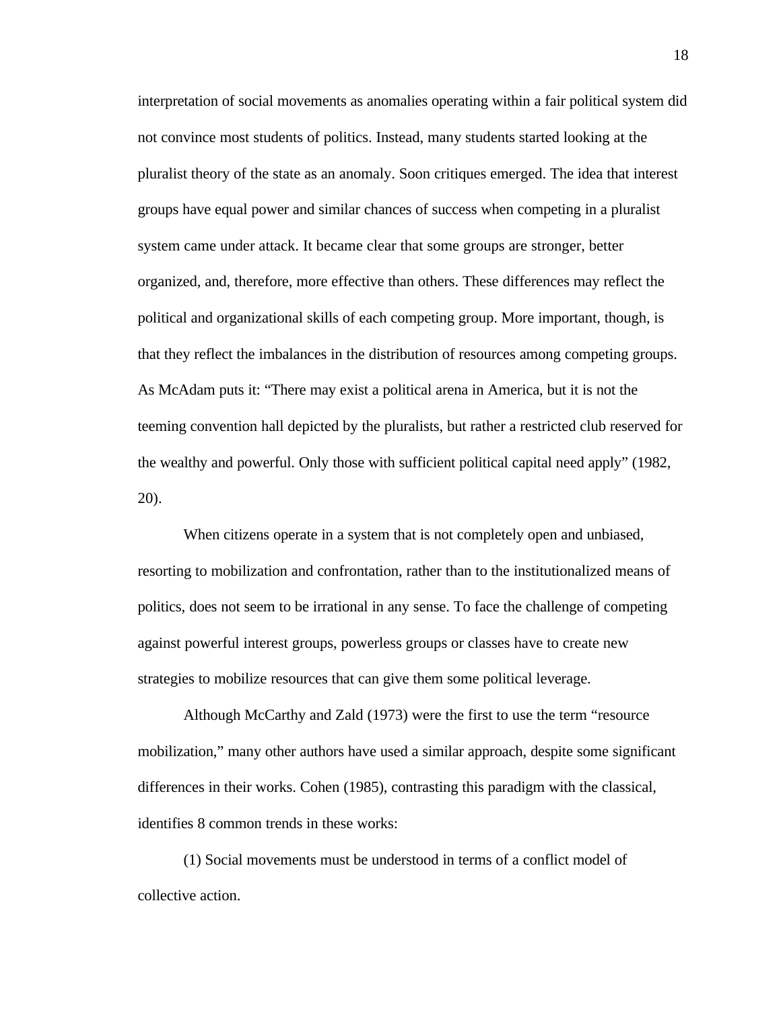interpretation of social movements as anomalies operating within a fair political system did not convince most students of politics. Instead, many students started looking at the pluralist theory of the state as an anomaly. Soon critiques emerged. The idea that interest groups have equal power and similar chances of success when competing in a pluralist system came under attack. It became clear that some groups are stronger, better organized, and, therefore, more effective than others. These differences may reflect the political and organizational skills of each competing group. More important, though, is that they reflect the imbalances in the distribution of resources among competing groups. As McAdam puts it: "There may exist a political arena in America, but it is not the teeming convention hall depicted by the pluralists, but rather a restricted club reserved for the wealthy and powerful. Only those with sufficient political capital need apply" (1982, 20).

When citizens operate in a system that is not completely open and unbiased, resorting to mobilization and confrontation, rather than to the institutionalized means of politics, does not seem to be irrational in any sense. To face the challenge of competing against powerful interest groups, powerless groups or classes have to create new strategies to mobilize resources that can give them some political leverage.

Although McCarthy and Zald (1973) were the first to use the term "resource mobilization," many other authors have used a similar approach, despite some significant differences in their works. Cohen (1985), contrasting this paradigm with the classical, identifies 8 common trends in these works:

(1) Social movements must be understood in terms of a conflict model of collective action.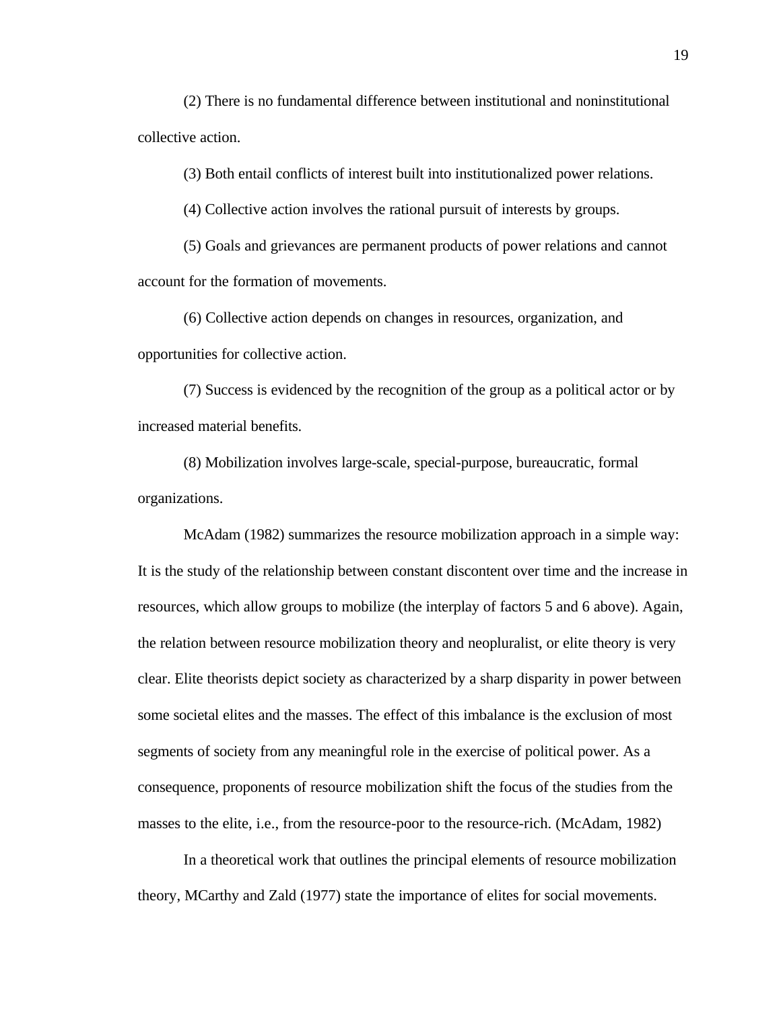(2) There is no fundamental difference between institutional and noninstitutional collective action.

(3) Both entail conflicts of interest built into institutionalized power relations.

(4) Collective action involves the rational pursuit of interests by groups.

(5) Goals and grievances are permanent products of power relations and cannot account for the formation of movements.

(6) Collective action depends on changes in resources, organization, and opportunities for collective action.

(7) Success is evidenced by the recognition of the group as a political actor or by increased material benefits.

(8) Mobilization involves large-scale, special-purpose, bureaucratic, formal organizations.

McAdam (1982) summarizes the resource mobilization approach in a simple way: It is the study of the relationship between constant discontent over time and the increase in resources, which allow groups to mobilize (the interplay of factors 5 and 6 above). Again, the relation between resource mobilization theory and neopluralist, or elite theory is very clear. Elite theorists depict society as characterized by a sharp disparity in power between some societal elites and the masses. The effect of this imbalance is the exclusion of most segments of society from any meaningful role in the exercise of political power. As a consequence, proponents of resource mobilization shift the focus of the studies from the masses to the elite, i.e., from the resource-poor to the resource-rich. (McAdam, 1982)

In a theoretical work that outlines the principal elements of resource mobilization theory, MCarthy and Zald (1977) state the importance of elites for social movements.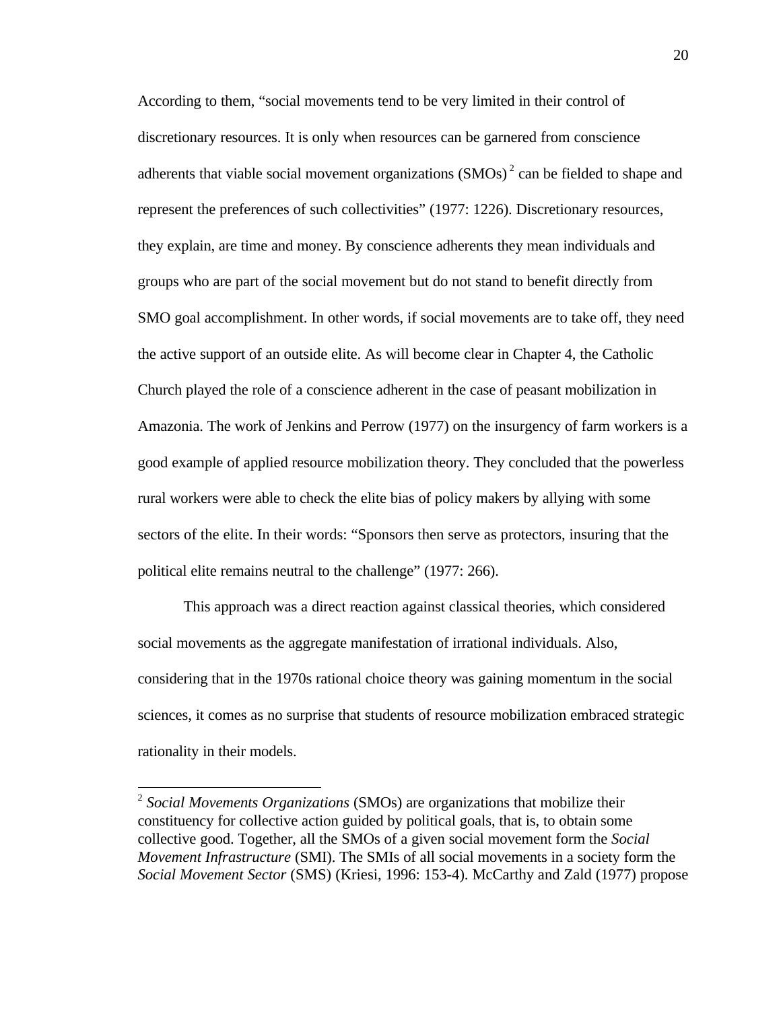According to them, "social movements tend to be very limited in their control of discretionary resources. It is only when resources can be garnered from conscience adherents that viable social movement organizations  $(SMOs)^2$  can be fielded to shape and represent the preferences of such collectivities" (1977: 1226). Discretionary resources, they explain, are time and money. By conscience adherents they mean individuals and groups who are part of the social movement but do not stand to benefit directly from SMO goal accomplishment. In other words, if social movements are to take off, they need the active support of an outside elite. As will become clear in Chapter 4, the Catholic Church played the role of a conscience adherent in the case of peasant mobilization in Amazonia. The work of Jenkins and Perrow (1977) on the insurgency of farm workers is a good example of applied resource mobilization theory. They concluded that the powerless rural workers were able to check the elite bias of policy makers by allying with some sectors of the elite. In their words: "Sponsors then serve as protectors, insuring that the political elite remains neutral to the challenge" (1977: 266).

This approach was a direct reaction against classical theories, which considered social movements as the aggregate manifestation of irrational individuals. Also, considering that in the 1970s rational choice theory was gaining momentum in the social sciences, it comes as no surprise that students of resource mobilization embraced strategic rationality in their models.

<sup>2</sup> *Social Movements Organizations* (SMOs) are organizations that mobilize their constituency for collective action guided by political goals, that is, to obtain some collective good. Together, all the SMOs of a given social movement form the *Social Movement Infrastructure* (SMI). The SMIs of all social movements in a society form the *Social Movement Sector* (SMS) (Kriesi, 1996: 153-4). McCarthy and Zald (1977) propose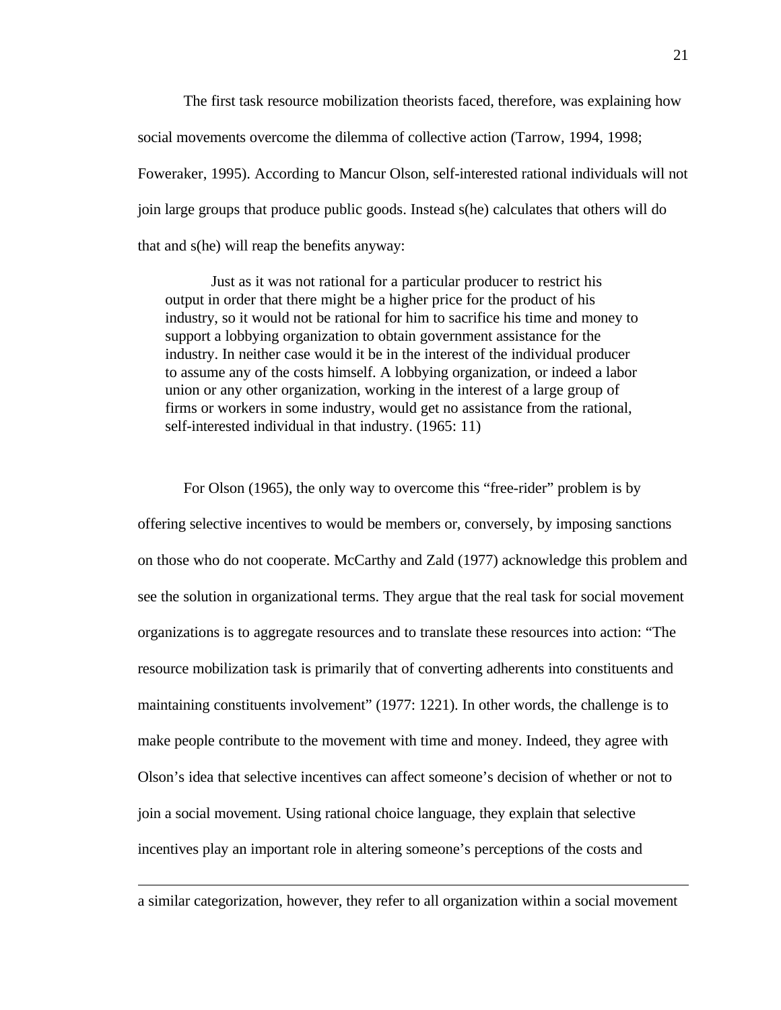The first task resource mobilization theorists faced, therefore, was explaining how social movements overcome the dilemma of collective action (Tarrow, 1994, 1998; Foweraker, 1995). According to Mancur Olson, self-interested rational individuals will not join large groups that produce public goods. Instead s(he) calculates that others will do that and s(he) will reap the benefits anyway:

Just as it was not rational for a particular producer to restrict his output in order that there might be a higher price for the product of his industry, so it would not be rational for him to sacrifice his time and money to support a lobbying organization to obtain government assistance for the industry. In neither case would it be in the interest of the individual producer to assume any of the costs himself. A lobbying organization, or indeed a labor union or any other organization, working in the interest of a large group of firms or workers in some industry, would get no assistance from the rational, self-interested individual in that industry. (1965: 11)

For Olson (1965), the only way to overcome this "free-rider" problem is by offering selective incentives to would be members or, conversely, by imposing sanctions on those who do not cooperate. McCarthy and Zald (1977) acknowledge this problem and see the solution in organizational terms. They argue that the real task for social movement organizations is to aggregate resources and to translate these resources into action: "The resource mobilization task is primarily that of converting adherents into constituents and maintaining constituents involvement" (1977: 1221). In other words, the challenge is to make people contribute to the movement with time and money. Indeed, they agree with Olson's idea that selective incentives can affect someone's decision of whether or not to join a social movement. Using rational choice language, they explain that selective incentives play an important role in altering someone's perceptions of the costs and

a similar categorization, however, they refer to all organization within a social movement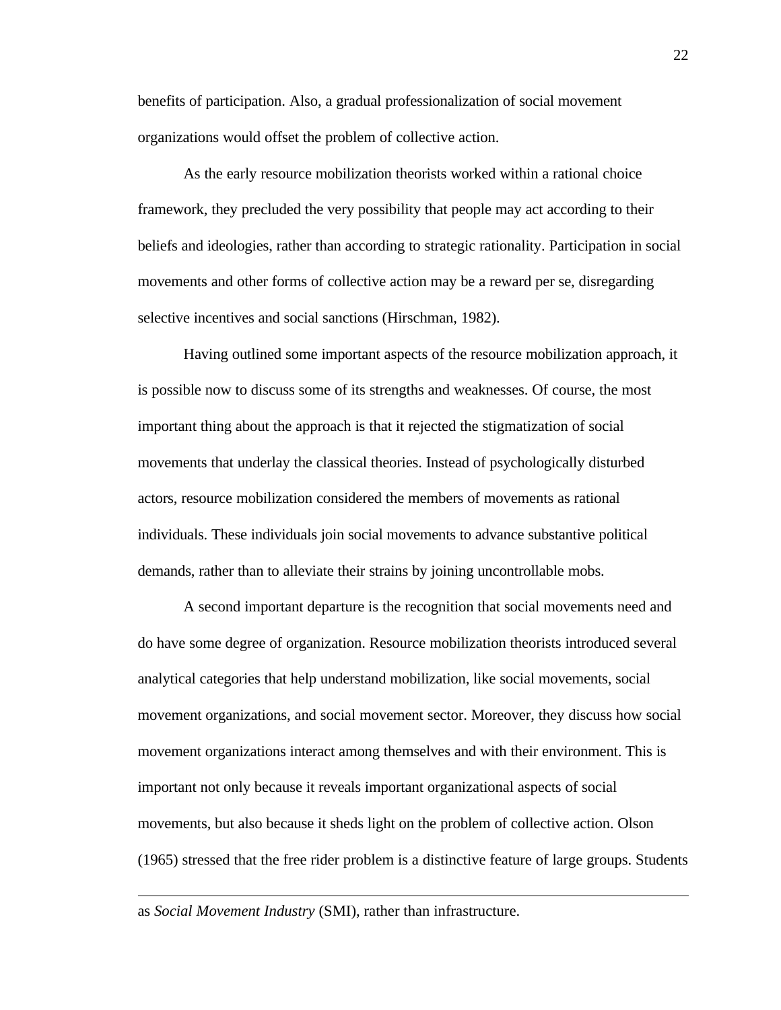benefits of participation. Also, a gradual professionalization of social movement organizations would offset the problem of collective action.

As the early resource mobilization theorists worked within a rational choice framework, they precluded the very possibility that people may act according to their beliefs and ideologies, rather than according to strategic rationality. Participation in social movements and other forms of collective action may be a reward per se, disregarding selective incentives and social sanctions (Hirschman, 1982).

Having outlined some important aspects of the resource mobilization approach, it is possible now to discuss some of its strengths and weaknesses. Of course, the most important thing about the approach is that it rejected the stigmatization of social movements that underlay the classical theories. Instead of psychologically disturbed actors, resource mobilization considered the members of movements as rational individuals. These individuals join social movements to advance substantive political demands, rather than to alleviate their strains by joining uncontrollable mobs.

A second important departure is the recognition that social movements need and do have some degree of organization. Resource mobilization theorists introduced several analytical categories that help understand mobilization, like social movements, social movement organizations, and social movement sector. Moreover, they discuss how social movement organizations interact among themselves and with their environment. This is important not only because it reveals important organizational aspects of social movements, but also because it sheds light on the problem of collective action. Olson (1965) stressed that the free rider problem is a distinctive feature of large groups. Students

as *Social Movement Industry* (SMI), rather than infrastructure.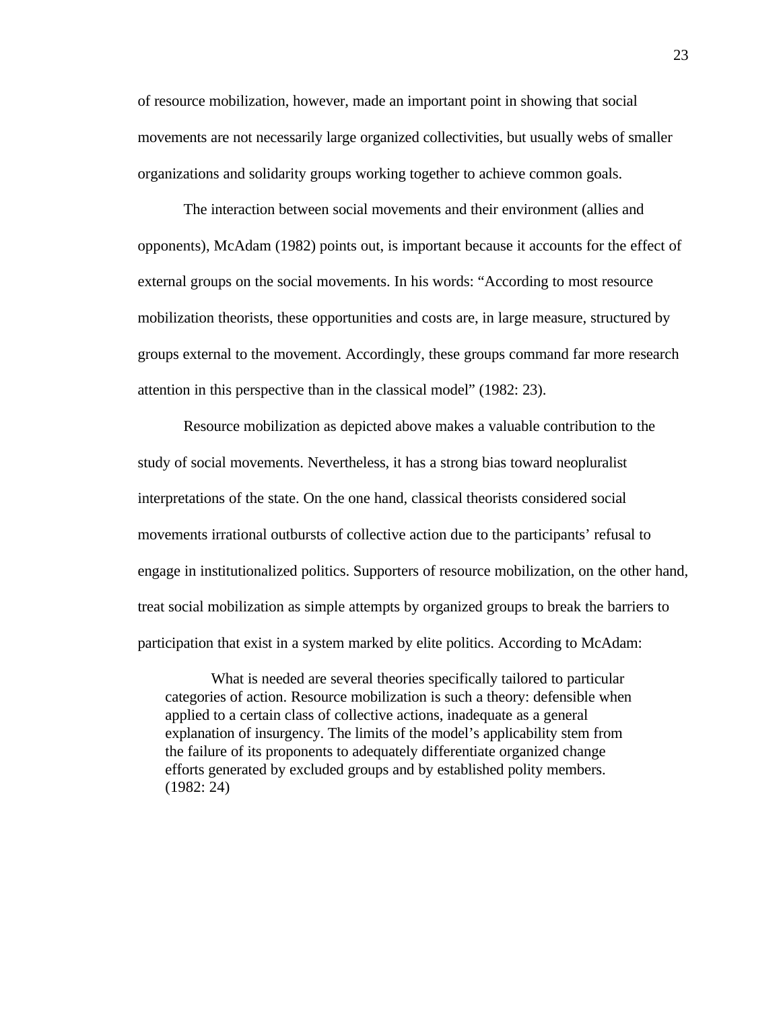of resource mobilization, however, made an important point in showing that social movements are not necessarily large organized collectivities, but usually webs of smaller organizations and solidarity groups working together to achieve common goals.

The interaction between social movements and their environment (allies and opponents), McAdam (1982) points out, is important because it accounts for the effect of external groups on the social movements. In his words: "According to most resource mobilization theorists, these opportunities and costs are, in large measure, structured by groups external to the movement. Accordingly, these groups command far more research attention in this perspective than in the classical model" (1982: 23).

Resource mobilization as depicted above makes a valuable contribution to the study of social movements. Nevertheless, it has a strong bias toward neopluralist interpretations of the state. On the one hand, classical theorists considered social movements irrational outbursts of collective action due to the participants' refusal to engage in institutionalized politics. Supporters of resource mobilization, on the other hand, treat social mobilization as simple attempts by organized groups to break the barriers to participation that exist in a system marked by elite politics. According to McAdam:

What is needed are several theories specifically tailored to particular categories of action. Resource mobilization is such a theory: defensible when applied to a certain class of collective actions, inadequate as a general explanation of insurgency. The limits of the model's applicability stem from the failure of its proponents to adequately differentiate organized change efforts generated by excluded groups and by established polity members. (1982: 24)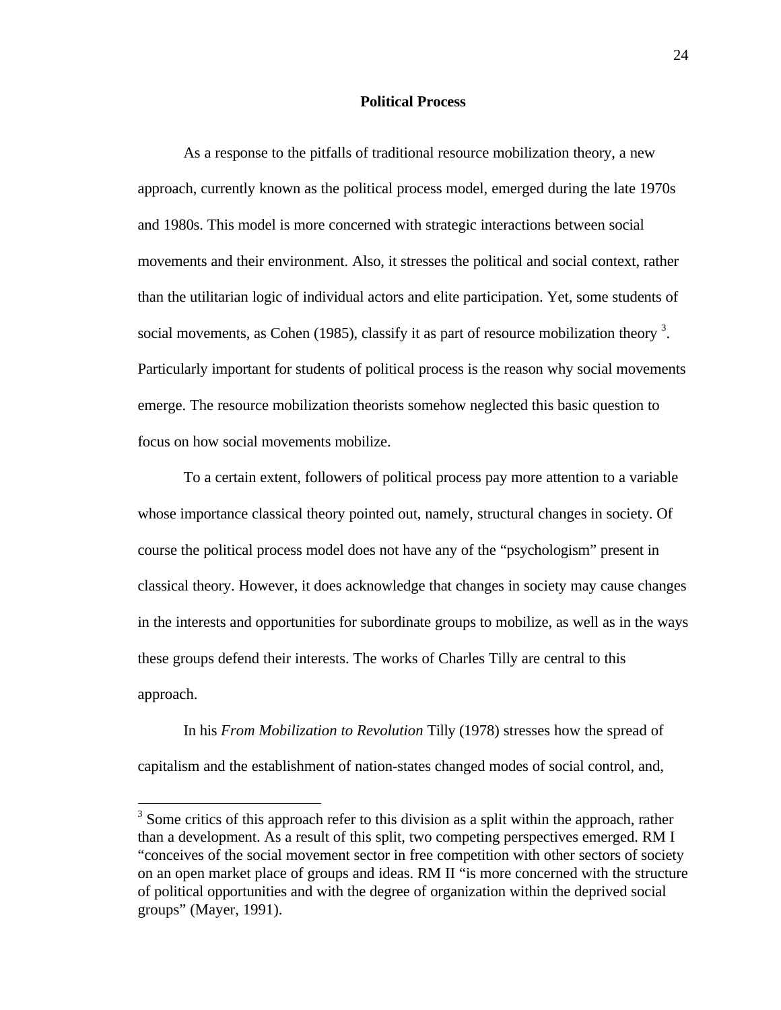# **Political Process**

<span id="page-31-0"></span>As a response to the pitfalls of traditional resource mobilization theory, a new approach, currently known as the political process model, emerged during the late 1970s and 1980s. This model is more concerned with strategic interactions between social movements and their environment. Also, it stresses the political and social context, rather than the utilitarian logic of individual actors and elite participation. Yet, some students of social movements, as Cohen (1985), classify it as part of resource mobilization theory  $3$ . Particularly important for students of political process is the reason why social movements emerge. The resource mobilization theorists somehow neglected this basic question to focus on how social movements mobilize.

To a certain extent, followers of political process pay more attention to a variable whose importance classical theory pointed out, namely, structural changes in society. Of course the political process model does not have any of the "psychologism" present in classical theory. However, it does acknowledge that changes in society may cause changes in the interests and opportunities for subordinate groups to mobilize, as well as in the ways these groups defend their interests. The works of Charles Tilly are central to this approach.

In his *From Mobilization to Revolution* Tilly (1978) stresses how the spread of capitalism and the establishment of nation-states changed modes of social control, and,

 $3$  Some critics of this approach refer to this division as a split within the approach, rather than a development. As a result of this split, two competing perspectives emerged. RM I "conceives of the social movement sector in free competition with other sectors of society on an open market place of groups and ideas. RM II "is more concerned with the structure of political opportunities and with the degree of organization within the deprived social groups" (Mayer, 1991).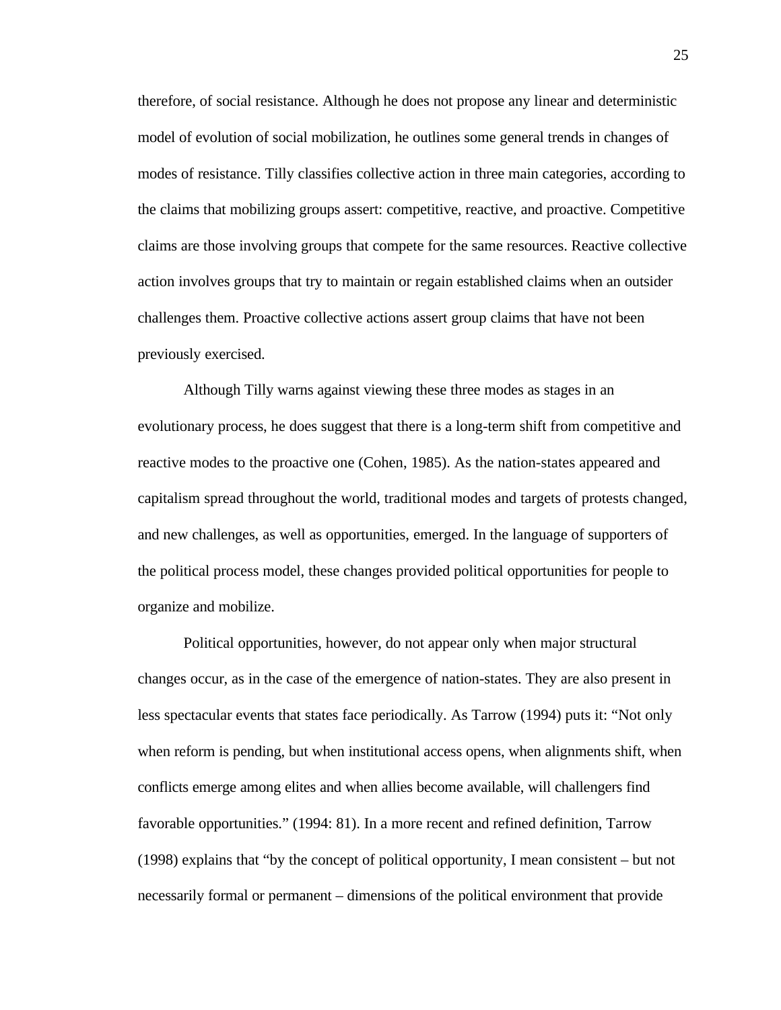therefore, of social resistance. Although he does not propose any linear and deterministic model of evolution of social mobilization, he outlines some general trends in changes of modes of resistance. Tilly classifies collective action in three main categories, according to the claims that mobilizing groups assert: competitive, reactive, and proactive. Competitive claims are those involving groups that compete for the same resources. Reactive collective action involves groups that try to maintain or regain established claims when an outsider challenges them. Proactive collective actions assert group claims that have not been previously exercised.

Although Tilly warns against viewing these three modes as stages in an evolutionary process, he does suggest that there is a long-term shift from competitive and reactive modes to the proactive one (Cohen, 1985). As the nation-states appeared and capitalism spread throughout the world, traditional modes and targets of protests changed, and new challenges, as well as opportunities, emerged. In the language of supporters of the political process model, these changes provided political opportunities for people to organize and mobilize.

Political opportunities, however, do not appear only when major structural changes occur, as in the case of the emergence of nation-states. They are also present in less spectacular events that states face periodically. As Tarrow (1994) puts it: "Not only when reform is pending, but when institutional access opens, when alignments shift, when conflicts emerge among elites and when allies become available, will challengers find favorable opportunities." (1994: 81). In a more recent and refined definition, Tarrow (1998) explains that "by the concept of political opportunity, I mean consistent – but not necessarily formal or permanent – dimensions of the political environment that provide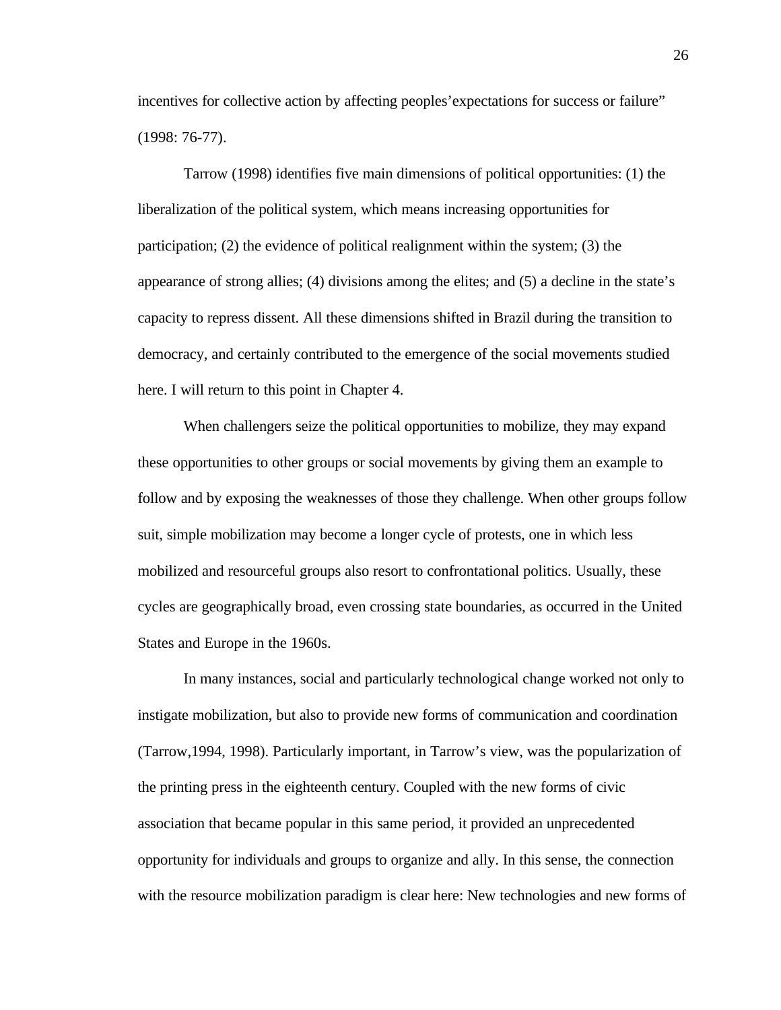incentives for collective action by affecting peoples'expectations for success or failure" (1998: 76-77).

Tarrow (1998) identifies five main dimensions of political opportunities: (1) the liberalization of the political system, which means increasing opportunities for participation; (2) the evidence of political realignment within the system; (3) the appearance of strong allies; (4) divisions among the elites; and (5) a decline in the state's capacity to repress dissent. All these dimensions shifted in Brazil during the transition to democracy, and certainly contributed to the emergence of the social movements studied here. I will return to this point in Chapter 4.

When challengers seize the political opportunities to mobilize, they may expand these opportunities to other groups or social movements by giving them an example to follow and by exposing the weaknesses of those they challenge. When other groups follow suit, simple mobilization may become a longer cycle of protests, one in which less mobilized and resourceful groups also resort to confrontational politics. Usually, these cycles are geographically broad, even crossing state boundaries, as occurred in the United States and Europe in the 1960s.

In many instances, social and particularly technological change worked not only to instigate mobilization, but also to provide new forms of communication and coordination (Tarrow,1994, 1998). Particularly important, in Tarrow's view, was the popularization of the printing press in the eighteenth century. Coupled with the new forms of civic association that became popular in this same period, it provided an unprecedented opportunity for individuals and groups to organize and ally. In this sense, the connection with the resource mobilization paradigm is clear here: New technologies and new forms of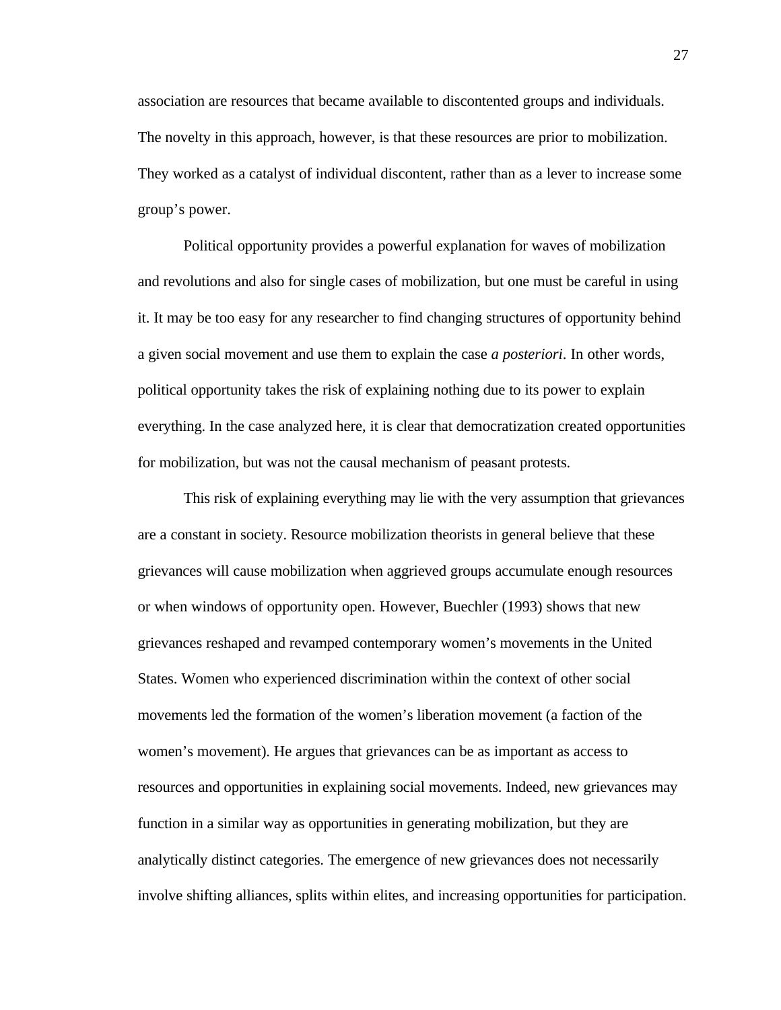association are resources that became available to discontented groups and individuals. The novelty in this approach, however, is that these resources are prior to mobilization. They worked as a catalyst of individual discontent, rather than as a lever to increase some group's power.

Political opportunity provides a powerful explanation for waves of mobilization and revolutions and also for single cases of mobilization, but one must be careful in using it. It may be too easy for any researcher to find changing structures of opportunity behind a given social movement and use them to explain the case *a posteriori*. In other words, political opportunity takes the risk of explaining nothing due to its power to explain everything. In the case analyzed here, it is clear that democratization created opportunities for mobilization, but was not the causal mechanism of peasant protests.

This risk of explaining everything may lie with the very assumption that grievances are a constant in society. Resource mobilization theorists in general believe that these grievances will cause mobilization when aggrieved groups accumulate enough resources or when windows of opportunity open. However, Buechler (1993) shows that new grievances reshaped and revamped contemporary women's movements in the United States. Women who experienced discrimination within the context of other social movements led the formation of the women's liberation movement (a faction of the women's movement). He argues that grievances can be as important as access to resources and opportunities in explaining social movements. Indeed, new grievances may function in a similar way as opportunities in generating mobilization, but they are analytically distinct categories. The emergence of new grievances does not necessarily involve shifting alliances, splits within elites, and increasing opportunities for participation.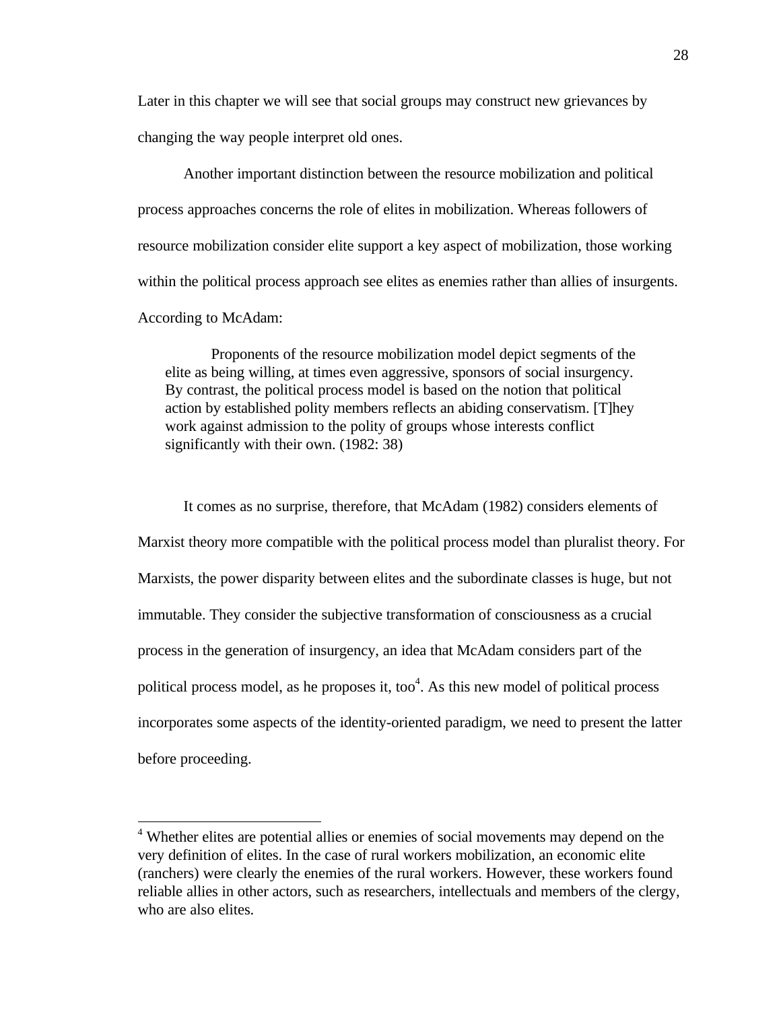Later in this chapter we will see that social groups may construct new grievances by changing the way people interpret old ones.

Another important distinction between the resource mobilization and political process approaches concerns the role of elites in mobilization. Whereas followers of resource mobilization consider elite support a key aspect of mobilization, those working within the political process approach see elites as enemies rather than allies of insurgents. According to McAdam:

Proponents of the resource mobilization model depict segments of the elite as being willing, at times even aggressive, sponsors of social insurgency. By contrast, the political process model is based on the notion that political action by established polity members reflects an abiding conservatism. [T]hey work against admission to the polity of groups whose interests conflict significantly with their own. (1982: 38)

It comes as no surprise, therefore, that McAdam (1982) considers elements of Marxist theory more compatible with the political process model than pluralist theory. For Marxists, the power disparity between elites and the subordinate classes is huge, but not immutable. They consider the subjective transformation of consciousness as a crucial process in the generation of insurgency, an idea that McAdam considers part of the political process model, as he proposes it, too $4$ . As this new model of political process incorporates some aspects of the identity-oriented paradigm, we need to present the latter before proceeding.

<sup>&</sup>lt;sup>4</sup> Whether elites are potential allies or enemies of social movements may depend on the very definition of elites. In the case of rural workers mobilization, an economic elite (ranchers) were clearly the enemies of the rural workers. However, these workers found reliable allies in other actors, such as researchers, intellectuals and members of the clergy, who are also elites.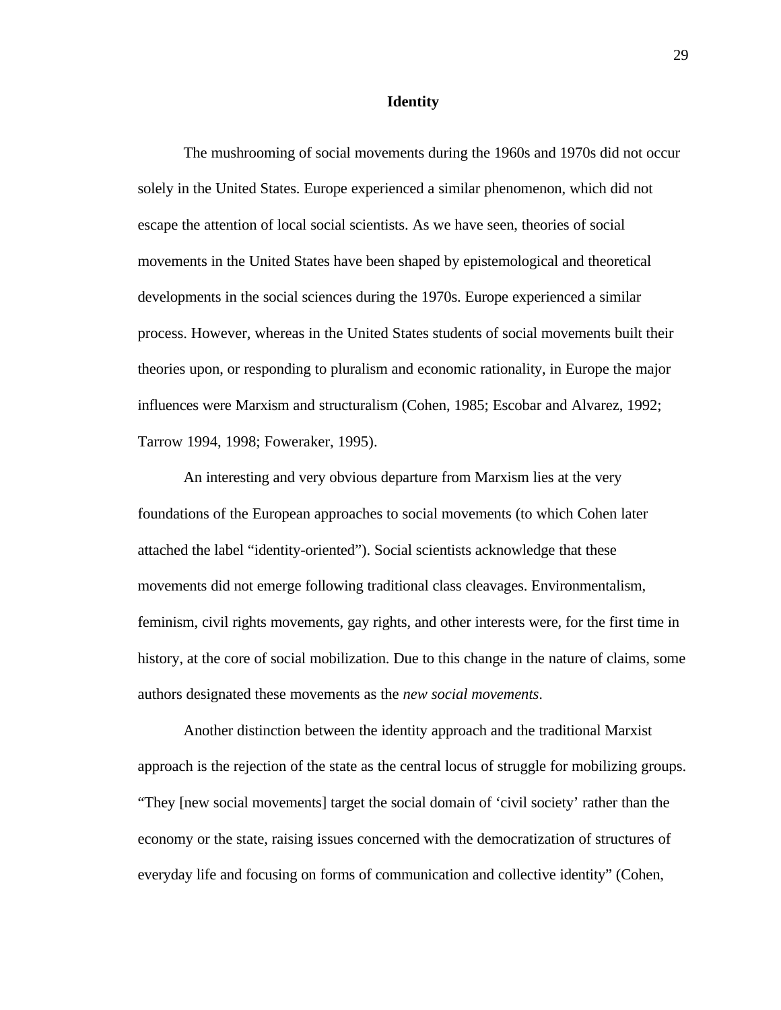### **Identity**

The mushrooming of social movements during the 1960s and 1970s did not occur solely in the United States. Europe experienced a similar phenomenon, which did not escape the attention of local social scientists. As we have seen, theories of social movements in the United States have been shaped by epistemological and theoretical developments in the social sciences during the 1970s. Europe experienced a similar process. However, whereas in the United States students of social movements built their theories upon, or responding to pluralism and economic rationality, in Europe the major influences were Marxism and structuralism (Cohen, 1985; Escobar and Alvarez, 1992; Tarrow 1994, 1998; Foweraker, 1995).

An interesting and very obvious departure from Marxism lies at the very foundations of the European approaches to social movements (to which Cohen later attached the label "identity-oriented"). Social scientists acknowledge that these movements did not emerge following traditional class cleavages. Environmentalism, feminism, civil rights movements, gay rights, and other interests were, for the first time in history, at the core of social mobilization. Due to this change in the nature of claims, some authors designated these movements as the *new social movements*.

Another distinction between the identity approach and the traditional Marxist approach is the rejection of the state as the central locus of struggle for mobilizing groups. "They [new social movements] target the social domain of 'civil society' rather than the economy or the state, raising issues concerned with the democratization of structures of everyday life and focusing on forms of communication and collective identity" (Cohen,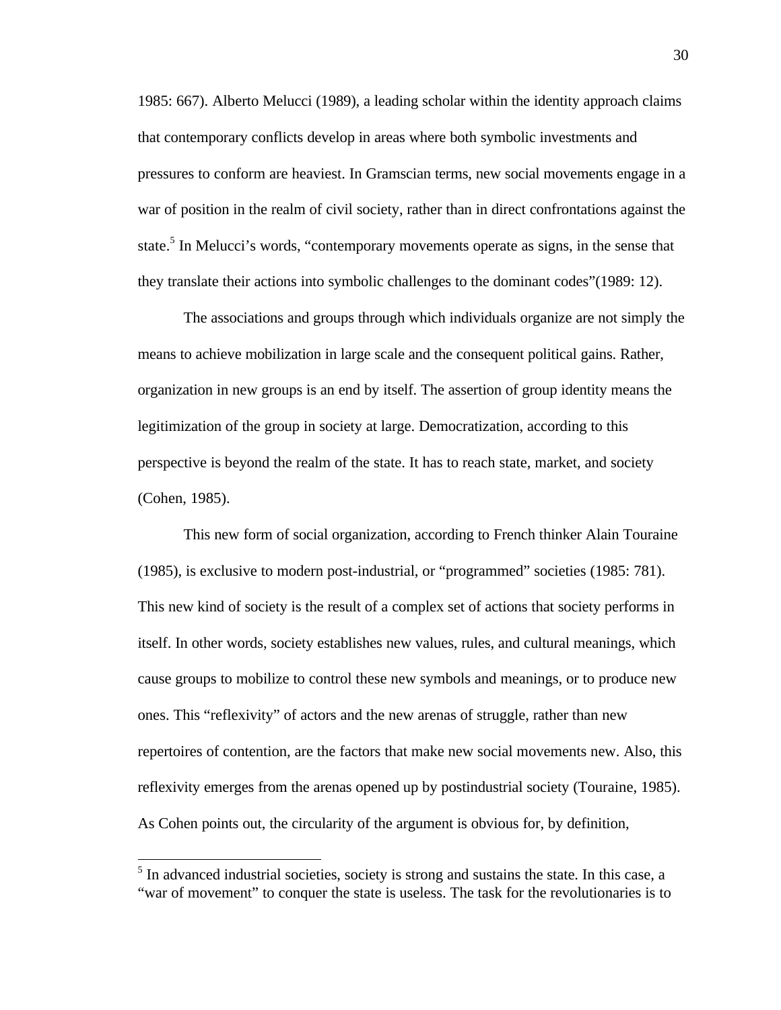1985: 667). Alberto Melucci (1989), a leading scholar within the identity approach claims that contemporary conflicts develop in areas where both symbolic investments and pressures to conform are heaviest. In Gramscian terms, new social movements engage in a war of position in the realm of civil society, rather than in direct confrontations against the state.<sup>5</sup> In Melucci's words, "contemporary movements operate as signs, in the sense that they translate their actions into symbolic challenges to the dominant codes"(1989: 12).

The associations and groups through which individuals organize are not simply the means to achieve mobilization in large scale and the consequent political gains. Rather, organization in new groups is an end by itself. The assertion of group identity means the legitimization of the group in society at large. Democratization, according to this perspective is beyond the realm of the state. It has to reach state, market, and society (Cohen, 1985).

This new form of social organization, according to French thinker Alain Touraine (1985), is exclusive to modern post-industrial, or "programmed" societies (1985: 781). This new kind of society is the result of a complex set of actions that society performs in itself. In other words, society establishes new values, rules, and cultural meanings, which cause groups to mobilize to control these new symbols and meanings, or to produce new ones. This "reflexivity" of actors and the new arenas of struggle, rather than new repertoires of contention, are the factors that make new social movements new. Also, this reflexivity emerges from the arenas opened up by postindustrial society (Touraine, 1985). As Cohen points out, the circularity of the argument is obvious for, by definition,

 $\overline{a}$ 

<sup>&</sup>lt;sup>5</sup> In advanced industrial societies, society is strong and sustains the state. In this case, a "war of movement" to conquer the state is useless. The task for the revolutionaries is to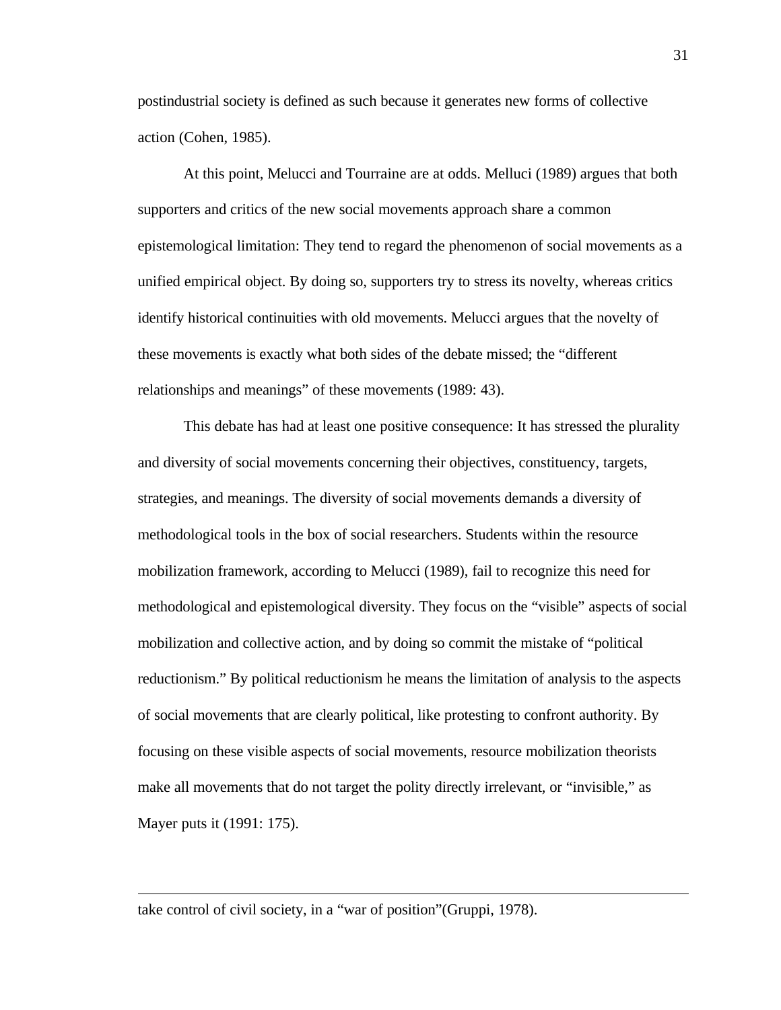postindustrial society is defined as such because it generates new forms of collective action (Cohen, 1985).

At this point, Melucci and Tourraine are at odds. Melluci (1989) argues that both supporters and critics of the new social movements approach share a common epistemological limitation: They tend to regard the phenomenon of social movements as a unified empirical object. By doing so, supporters try to stress its novelty, whereas critics identify historical continuities with old movements. Melucci argues that the novelty of these movements is exactly what both sides of the debate missed; the "different relationships and meanings" of these movements (1989: 43).

This debate has had at least one positive consequence: It has stressed the plurality and diversity of social movements concerning their objectives, constituency, targets, strategies, and meanings. The diversity of social movements demands a diversity of methodological tools in the box of social researchers. Students within the resource mobilization framework, according to Melucci (1989), fail to recognize this need for methodological and epistemological diversity. They focus on the "visible" aspects of social mobilization and collective action, and by doing so commit the mistake of "political reductionism." By political reductionism he means the limitation of analysis to the aspects of social movements that are clearly political, like protesting to confront authority. By focusing on these visible aspects of social movements, resource mobilization theorists make all movements that do not target the polity directly irrelevant, or "invisible," as Mayer puts it (1991: 175).

take control of civil society, in a "war of position"(Gruppi, 1978).

 $\overline{a}$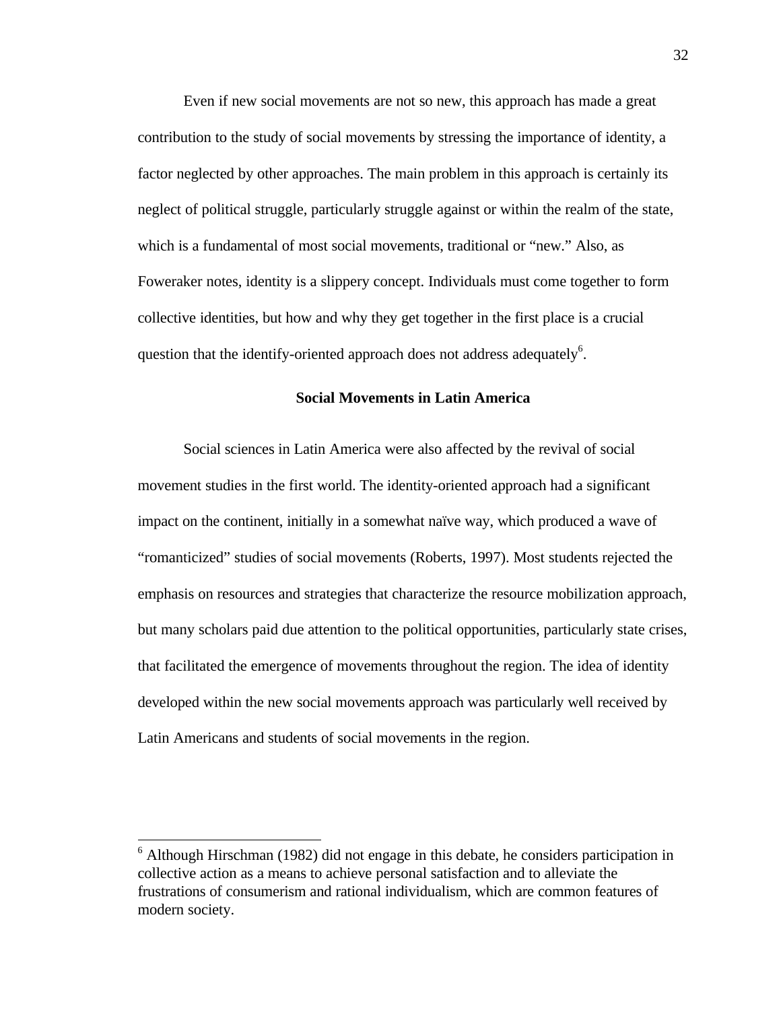Even if new social movements are not so new, this approach has made a great contribution to the study of social movements by stressing the importance of identity, a factor neglected by other approaches. The main problem in this approach is certainly its neglect of political struggle, particularly struggle against or within the realm of the state, which is a fundamental of most social movements, traditional or "new." Also, as Foweraker notes, identity is a slippery concept. Individuals must come together to form collective identities, but how and why they get together in the first place is a crucial question that the identify-oriented approach does not address adequately $6$ .

## **Social Movements in Latin America**

Social sciences in Latin America were also affected by the revival of social movement studies in the first world. The identity-oriented approach had a significant impact on the continent, initially in a somewhat naïve way, which produced a wave of "romanticized" studies of social movements (Roberts, 1997). Most students rejected the emphasis on resources and strategies that characterize the resource mobilization approach, but many scholars paid due attention to the political opportunities, particularly state crises, that facilitated the emergence of movements throughout the region. The idea of identity developed within the new social movements approach was particularly well received by Latin Americans and students of social movements in the region.

-

<sup>&</sup>lt;sup>6</sup> Although Hirschman (1982) did not engage in this debate, he considers participation in collective action as a means to achieve personal satisfaction and to alleviate the frustrations of consumerism and rational individualism, which are common features of modern society.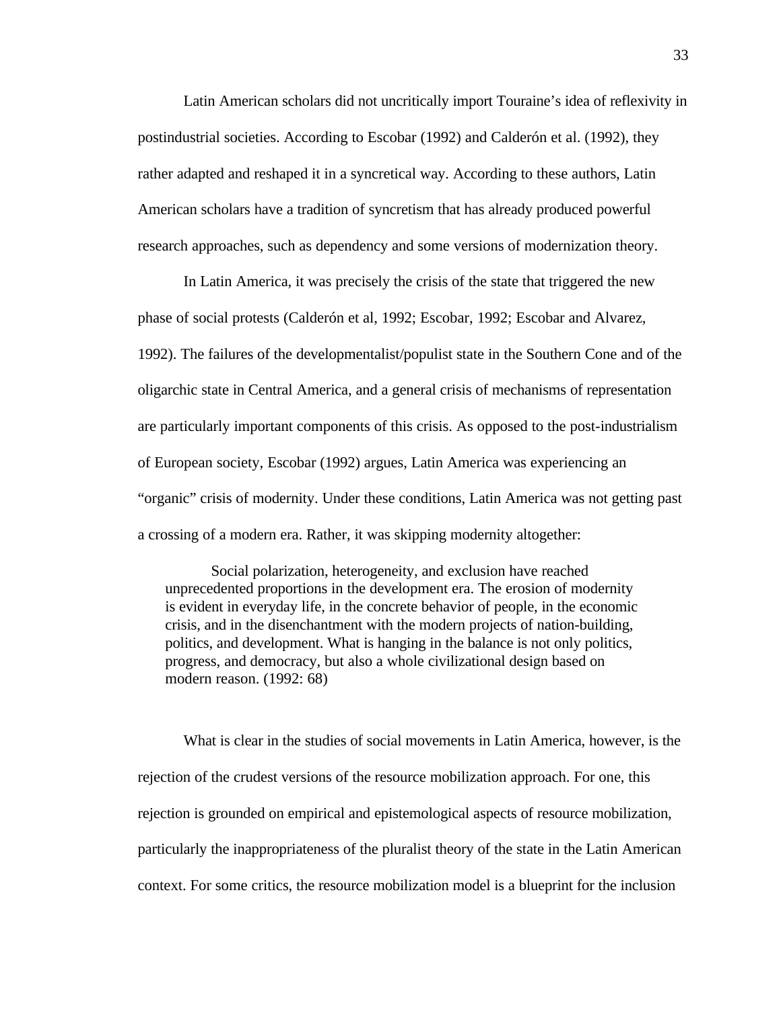Latin American scholars did not uncritically import Touraine's idea of reflexivity in postindustrial societies. According to Escobar (1992) and Calderón et al. (1992), they rather adapted and reshaped it in a syncretical way. According to these authors, Latin American scholars have a tradition of syncretism that has already produced powerful research approaches, such as dependency and some versions of modernization theory.

In Latin America, it was precisely the crisis of the state that triggered the new phase of social protests (Calderón et al, 1992; Escobar, 1992; Escobar and Alvarez, 1992). The failures of the developmentalist/populist state in the Southern Cone and of the oligarchic state in Central America, and a general crisis of mechanisms of representation are particularly important components of this crisis. As opposed to the post-industrialism of European society, Escobar (1992) argues, Latin America was experiencing an "organic" crisis of modernity. Under these conditions, Latin America was not getting past a crossing of a modern era. Rather, it was skipping modernity altogether:

Social polarization, heterogeneity, and exclusion have reached unprecedented proportions in the development era. The erosion of modernity is evident in everyday life, in the concrete behavior of people, in the economic crisis, and in the disenchantment with the modern projects of nation-building, politics, and development. What is hanging in the balance is not only politics, progress, and democracy, but also a whole civilizational design based on modern reason. (1992: 68)

What is clear in the studies of social movements in Latin America, however, is the rejection of the crudest versions of the resource mobilization approach. For one, this rejection is grounded on empirical and epistemological aspects of resource mobilization, particularly the inappropriateness of the pluralist theory of the state in the Latin American context. For some critics, the resource mobilization model is a blueprint for the inclusion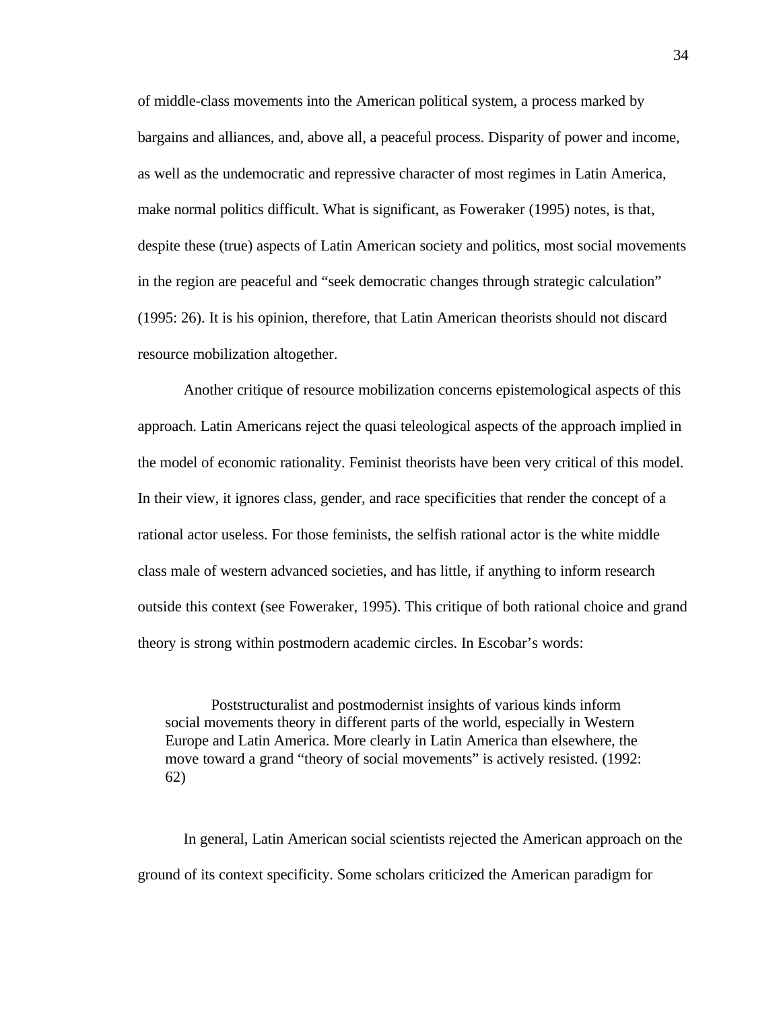of middle-class movements into the American political system, a process marked by bargains and alliances, and, above all, a peaceful process. Disparity of power and income, as well as the undemocratic and repressive character of most regimes in Latin America, make normal politics difficult. What is significant, as Foweraker (1995) notes, is that, despite these (true) aspects of Latin American society and politics, most social movements in the region are peaceful and "seek democratic changes through strategic calculation" (1995: 26). It is his opinion, therefore, that Latin American theorists should not discard resource mobilization altogether.

Another critique of resource mobilization concerns epistemological aspects of this approach. Latin Americans reject the quasi teleological aspects of the approach implied in the model of economic rationality. Feminist theorists have been very critical of this model. In their view, it ignores class, gender, and race specificities that render the concept of a rational actor useless. For those feminists, the selfish rational actor is the white middle class male of western advanced societies, and has little, if anything to inform research outside this context (see Foweraker, 1995). This critique of both rational choice and grand theory is strong within postmodern academic circles. In Escobar's words:

Poststructuralist and postmodernist insights of various kinds inform social movements theory in different parts of the world, especially in Western Europe and Latin America. More clearly in Latin America than elsewhere, the move toward a grand "theory of social movements" is actively resisted. (1992: 62)

In general, Latin American social scientists rejected the American approach on the ground of its context specificity. Some scholars criticized the American paradigm for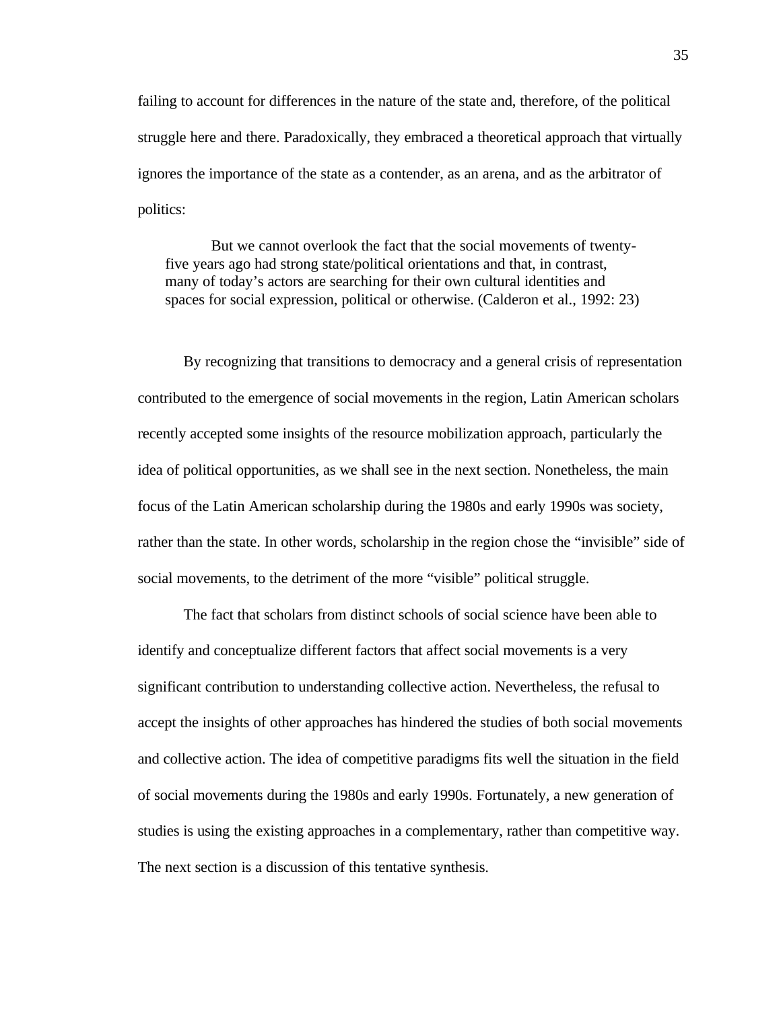failing to account for differences in the nature of the state and, therefore, of the political struggle here and there. Paradoxically, they embraced a theoretical approach that virtually ignores the importance of the state as a contender, as an arena, and as the arbitrator of politics:

But we cannot overlook the fact that the social movements of twentyfive years ago had strong state/political orientations and that, in contrast, many of today's actors are searching for their own cultural identities and spaces for social expression, political or otherwise. (Calderon et al., 1992: 23)

By recognizing that transitions to democracy and a general crisis of representation contributed to the emergence of social movements in the region, Latin American scholars recently accepted some insights of the resource mobilization approach, particularly the idea of political opportunities, as we shall see in the next section. Nonetheless, the main focus of the Latin American scholarship during the 1980s and early 1990s was society, rather than the state. In other words, scholarship in the region chose the "invisible" side of social movements, to the detriment of the more "visible" political struggle.

The fact that scholars from distinct schools of social science have been able to identify and conceptualize different factors that affect social movements is a very significant contribution to understanding collective action. Nevertheless, the refusal to accept the insights of other approaches has hindered the studies of both social movements and collective action. The idea of competitive paradigms fits well the situation in the field of social movements during the 1980s and early 1990s. Fortunately, a new generation of studies is using the existing approaches in a complementary, rather than competitive way. The next section is a discussion of this tentative synthesis.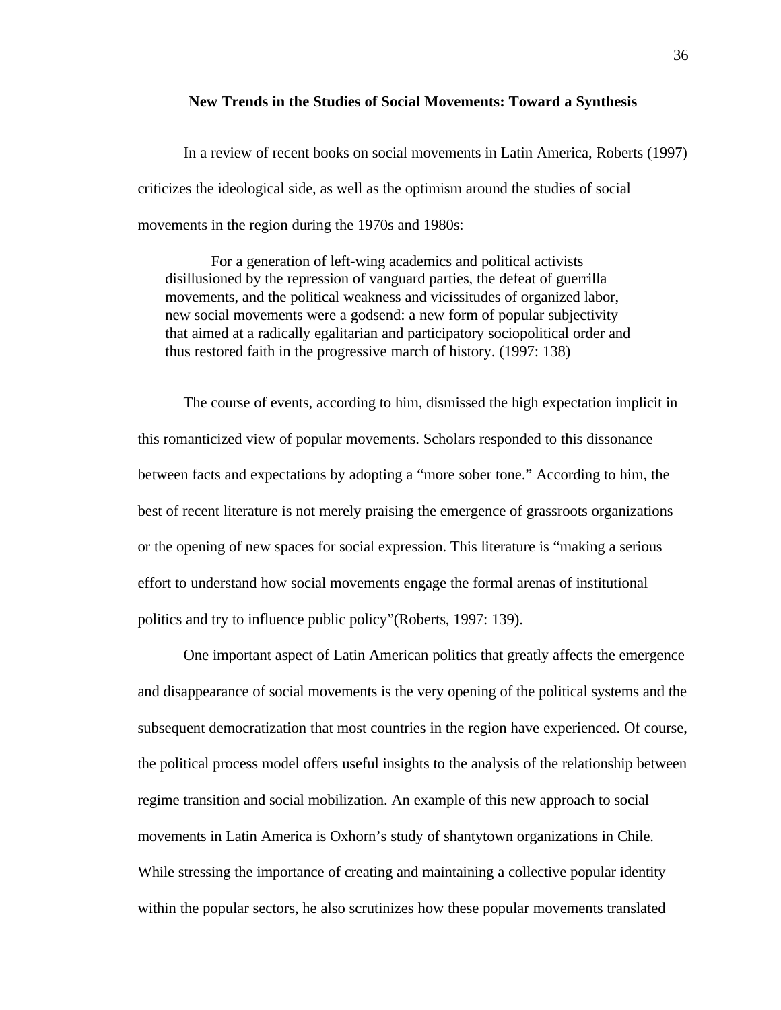#### **New Trends in the Studies of Social Movements: Toward a Synthesis**

In a review of recent books on social movements in Latin America, Roberts (1997) criticizes the ideological side, as well as the optimism around the studies of social movements in the region during the 1970s and 1980s:

For a generation of left-wing academics and political activists disillusioned by the repression of vanguard parties, the defeat of guerrilla movements, and the political weakness and vicissitudes of organized labor, new social movements were a godsend: a new form of popular subjectivity that aimed at a radically egalitarian and participatory sociopolitical order and thus restored faith in the progressive march of history. (1997: 138)

The course of events, according to him, dismissed the high expectation implicit in this romanticized view of popular movements. Scholars responded to this dissonance between facts and expectations by adopting a "more sober tone." According to him, the best of recent literature is not merely praising the emergence of grassroots organizations or the opening of new spaces for social expression. This literature is "making a serious effort to understand how social movements engage the formal arenas of institutional politics and try to influence public policy"(Roberts, 1997: 139).

One important aspect of Latin American politics that greatly affects the emergence and disappearance of social movements is the very opening of the political systems and the subsequent democratization that most countries in the region have experienced. Of course, the political process model offers useful insights to the analysis of the relationship between regime transition and social mobilization. An example of this new approach to social movements in Latin America is Oxhorn's study of shantytown organizations in Chile. While stressing the importance of creating and maintaining a collective popular identity within the popular sectors, he also scrutinizes how these popular movements translated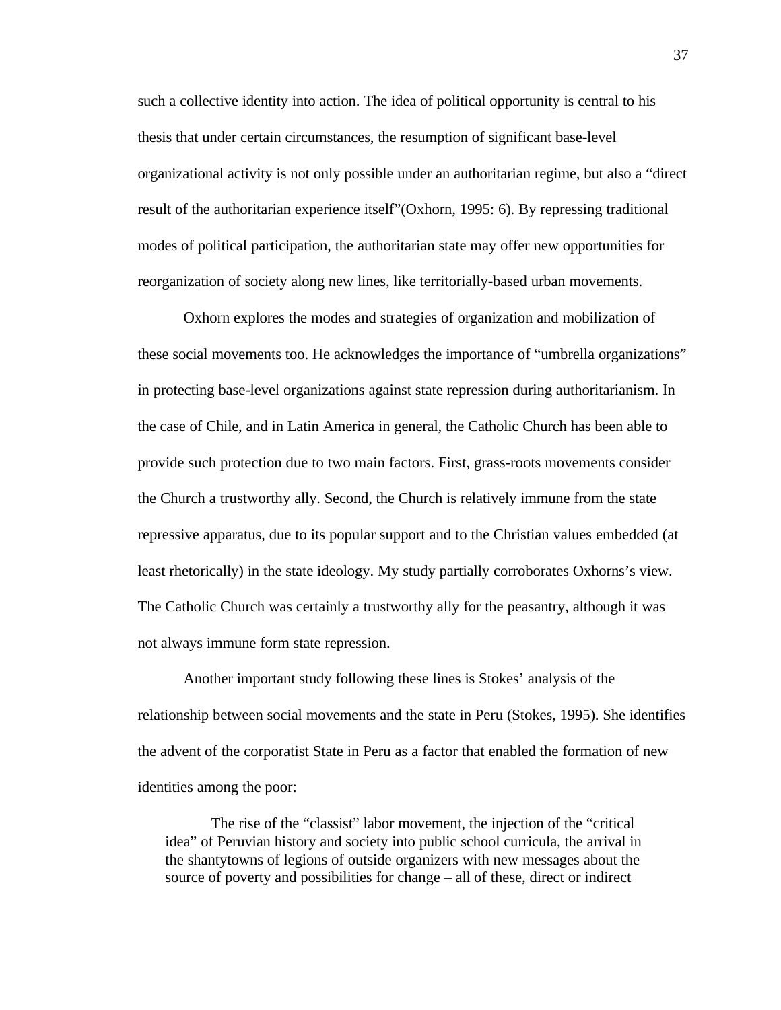such a collective identity into action. The idea of political opportunity is central to his thesis that under certain circumstances, the resumption of significant base-level organizational activity is not only possible under an authoritarian regime, but also a "direct result of the authoritarian experience itself"(Oxhorn, 1995: 6). By repressing traditional modes of political participation, the authoritarian state may offer new opportunities for reorganization of society along new lines, like territorially-based urban movements.

Oxhorn explores the modes and strategies of organization and mobilization of these social movements too. He acknowledges the importance of "umbrella organizations" in protecting base-level organizations against state repression during authoritarianism. In the case of Chile, and in Latin America in general, the Catholic Church has been able to provide such protection due to two main factors. First, grass-roots movements consider the Church a trustworthy ally. Second, the Church is relatively immune from the state repressive apparatus, due to its popular support and to the Christian values embedded (at least rhetorically) in the state ideology. My study partially corroborates Oxhorns's view. The Catholic Church was certainly a trustworthy ally for the peasantry, although it was not always immune form state repression.

Another important study following these lines is Stokes' analysis of the relationship between social movements and the state in Peru (Stokes, 1995). She identifies the advent of the corporatist State in Peru as a factor that enabled the formation of new identities among the poor:

The rise of the "classist" labor movement, the injection of the "critical idea" of Peruvian history and society into public school curricula, the arrival in the shantytowns of legions of outside organizers with new messages about the source of poverty and possibilities for change – all of these, direct or indirect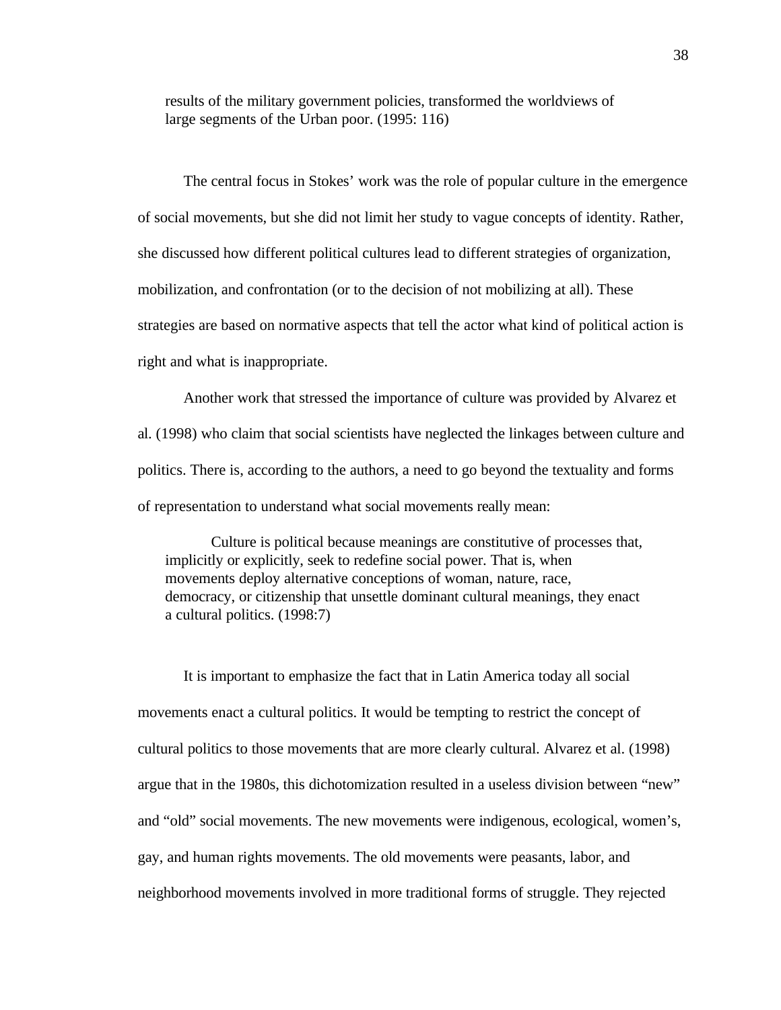results of the military government policies, transformed the worldviews of large segments of the Urban poor. (1995: 116)

The central focus in Stokes' work was the role of popular culture in the emergence of social movements, but she did not limit her study to vague concepts of identity. Rather, she discussed how different political cultures lead to different strategies of organization, mobilization, and confrontation (or to the decision of not mobilizing at all). These strategies are based on normative aspects that tell the actor what kind of political action is right and what is inappropriate.

Another work that stressed the importance of culture was provided by Alvarez et al. (1998) who claim that social scientists have neglected the linkages between culture and politics. There is, according to the authors, a need to go beyond the textuality and forms of representation to understand what social movements really mean:

Culture is political because meanings are constitutive of processes that, implicitly or explicitly, seek to redefine social power. That is, when movements deploy alternative conceptions of woman, nature, race, democracy, or citizenship that unsettle dominant cultural meanings, they enact a cultural politics. (1998:7)

It is important to emphasize the fact that in Latin America today all social movements enact a cultural politics. It would be tempting to restrict the concept of cultural politics to those movements that are more clearly cultural. Alvarez et al. (1998) argue that in the 1980s, this dichotomization resulted in a useless division between "new" and "old" social movements. The new movements were indigenous, ecological, women's, gay, and human rights movements. The old movements were peasants, labor, and neighborhood movements involved in more traditional forms of struggle. They rejected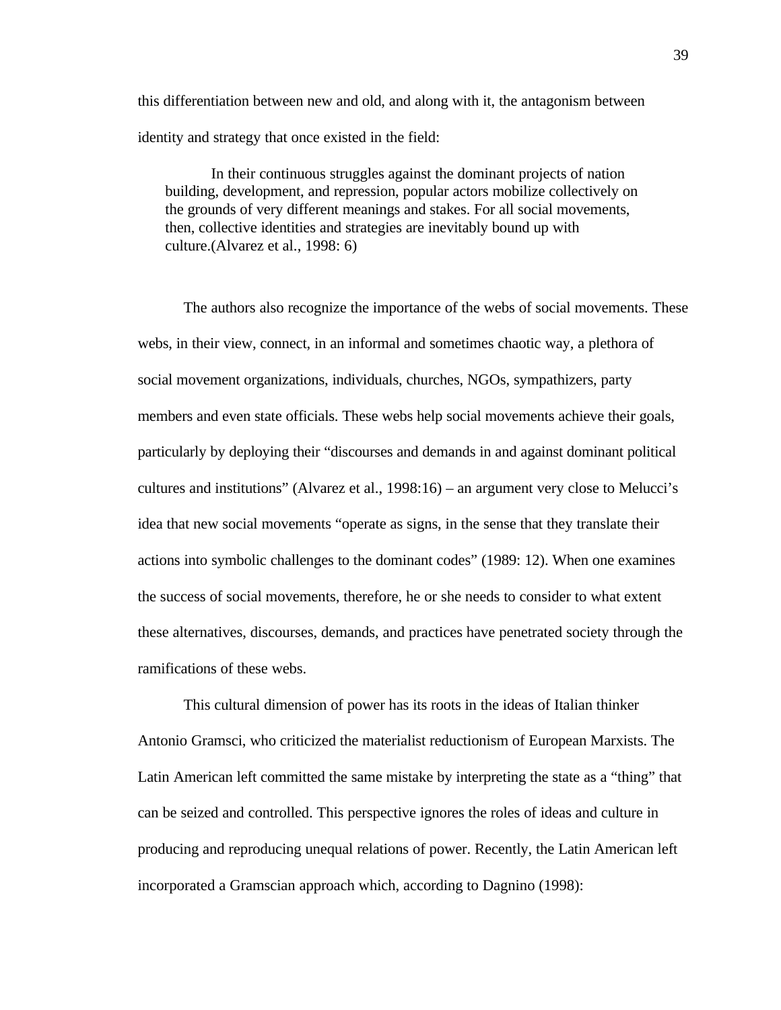this differentiation between new and old, and along with it, the antagonism between identity and strategy that once existed in the field:

In their continuous struggles against the dominant projects of nation building, development, and repression, popular actors mobilize collectively on the grounds of very different meanings and stakes. For all social movements, then, collective identities and strategies are inevitably bound up with culture.(Alvarez et al., 1998: 6)

The authors also recognize the importance of the webs of social movements. These webs, in their view, connect, in an informal and sometimes chaotic way, a plethora of social movement organizations, individuals, churches, NGOs, sympathizers, party members and even state officials. These webs help social movements achieve their goals, particularly by deploying their "discourses and demands in and against dominant political cultures and institutions" (Alvarez et al., 1998:16) – an argument very close to Melucci's idea that new social movements "operate as signs, in the sense that they translate their actions into symbolic challenges to the dominant codes" (1989: 12). When one examines the success of social movements, therefore, he or she needs to consider to what extent these alternatives, discourses, demands, and practices have penetrated society through the ramifications of these webs.

This cultural dimension of power has its roots in the ideas of Italian thinker Antonio Gramsci, who criticized the materialist reductionism of European Marxists. The Latin American left committed the same mistake by interpreting the state as a "thing" that can be seized and controlled. This perspective ignores the roles of ideas and culture in producing and reproducing unequal relations of power. Recently, the Latin American left incorporated a Gramscian approach which, according to Dagnino (1998):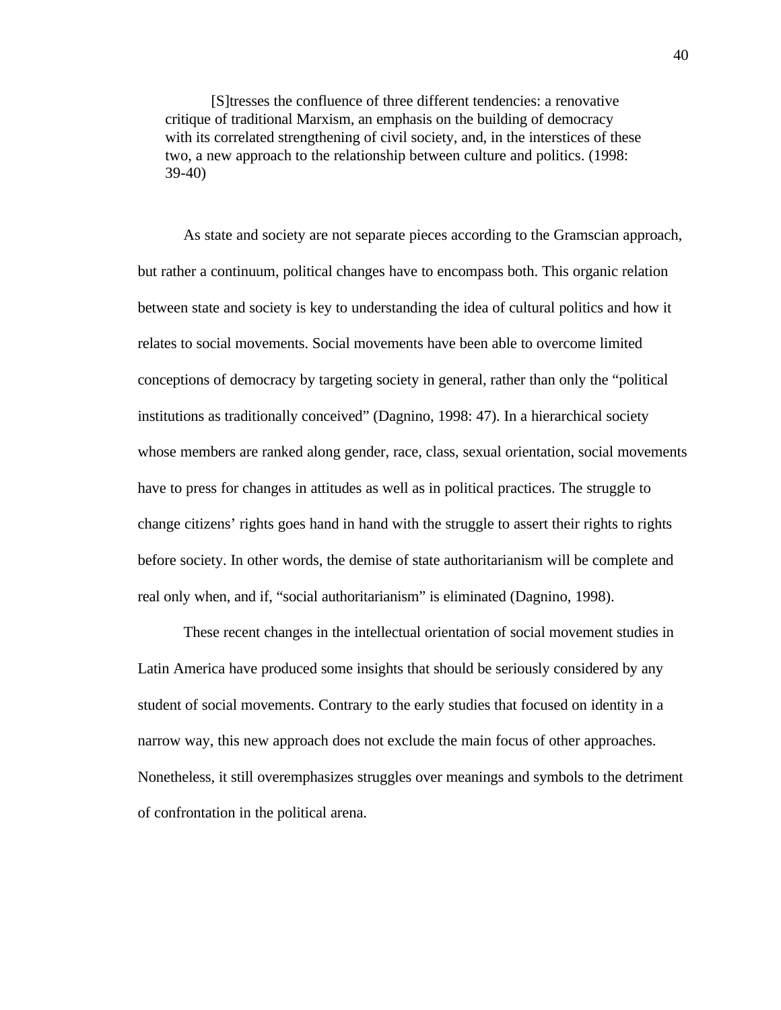[S]tresses the confluence of three different tendencies: a renovative critique of traditional Marxism, an emphasis on the building of democracy with its correlated strengthening of civil society, and, in the interstices of these two, a new approach to the relationship between culture and politics. (1998: 39-40)

As state and society are not separate pieces according to the Gramscian approach, but rather a continuum, political changes have to encompass both. This organic relation between state and society is key to understanding the idea of cultural politics and how it relates to social movements. Social movements have been able to overcome limited conceptions of democracy by targeting society in general, rather than only the "political institutions as traditionally conceived" (Dagnino, 1998: 47). In a hierarchical society whose members are ranked along gender, race, class, sexual orientation, social movements have to press for changes in attitudes as well as in political practices. The struggle to change citizens' rights goes hand in hand with the struggle to assert their rights to rights before society. In other words, the demise of state authoritarianism will be complete and real only when, and if, "social authoritarianism" is eliminated (Dagnino, 1998).

These recent changes in the intellectual orientation of social movement studies in Latin America have produced some insights that should be seriously considered by any student of social movements. Contrary to the early studies that focused on identity in a narrow way, this new approach does not exclude the main focus of other approaches. Nonetheless, it still overemphasizes struggles over meanings and symbols to the detriment of confrontation in the political arena.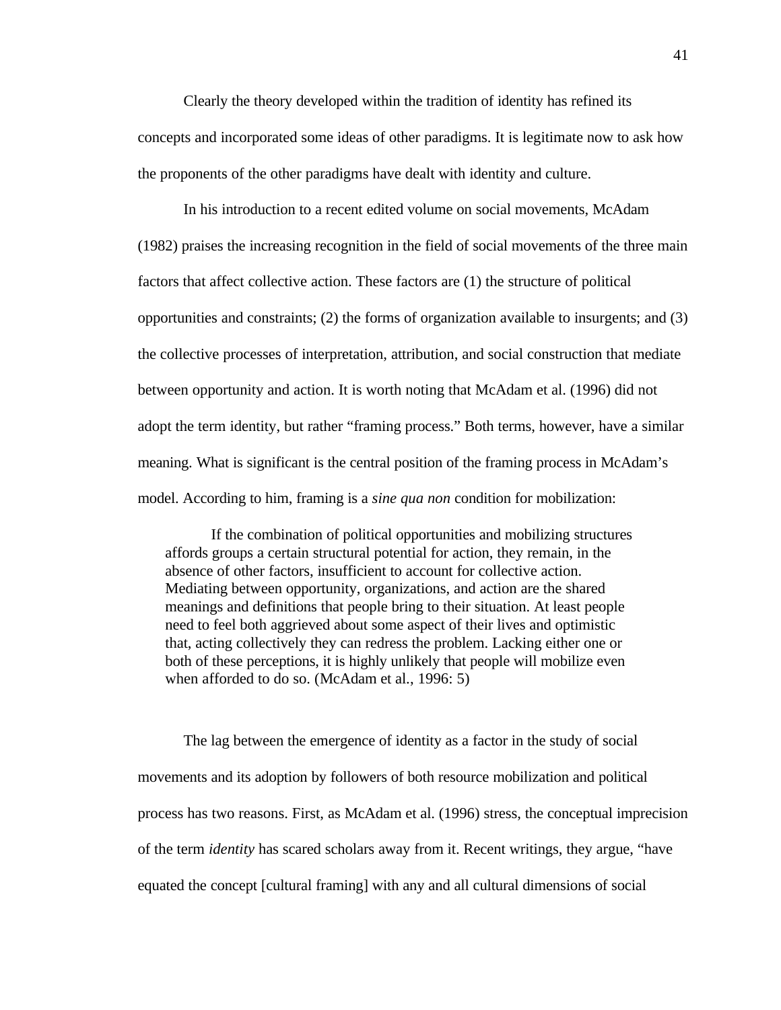Clearly the theory developed within the tradition of identity has refined its concepts and incorporated some ideas of other paradigms. It is legitimate now to ask how the proponents of the other paradigms have dealt with identity and culture.

In his introduction to a recent edited volume on social movements, McAdam (1982) praises the increasing recognition in the field of social movements of the three main factors that affect collective action. These factors are (1) the structure of political opportunities and constraints; (2) the forms of organization available to insurgents; and (3) the collective processes of interpretation, attribution, and social construction that mediate between opportunity and action. It is worth noting that McAdam et al. (1996) did not adopt the term identity, but rather "framing process." Both terms, however, have a similar meaning. What is significant is the central position of the framing process in McAdam's model. According to him, framing is a *sine qua non* condition for mobilization:

If the combination of political opportunities and mobilizing structures affords groups a certain structural potential for action, they remain, in the absence of other factors, insufficient to account for collective action. Mediating between opportunity, organizations, and action are the shared meanings and definitions that people bring to their situation. At least people need to feel both aggrieved about some aspect of their lives and optimistic that, acting collectively they can redress the problem. Lacking either one or both of these perceptions, it is highly unlikely that people will mobilize even when afforded to do so. (McAdam et al., 1996: 5)

The lag between the emergence of identity as a factor in the study of social movements and its adoption by followers of both resource mobilization and political process has two reasons. First, as McAdam et al. (1996) stress, the conceptual imprecision of the term *identity* has scared scholars away from it. Recent writings, they argue, "have equated the concept [cultural framing] with any and all cultural dimensions of social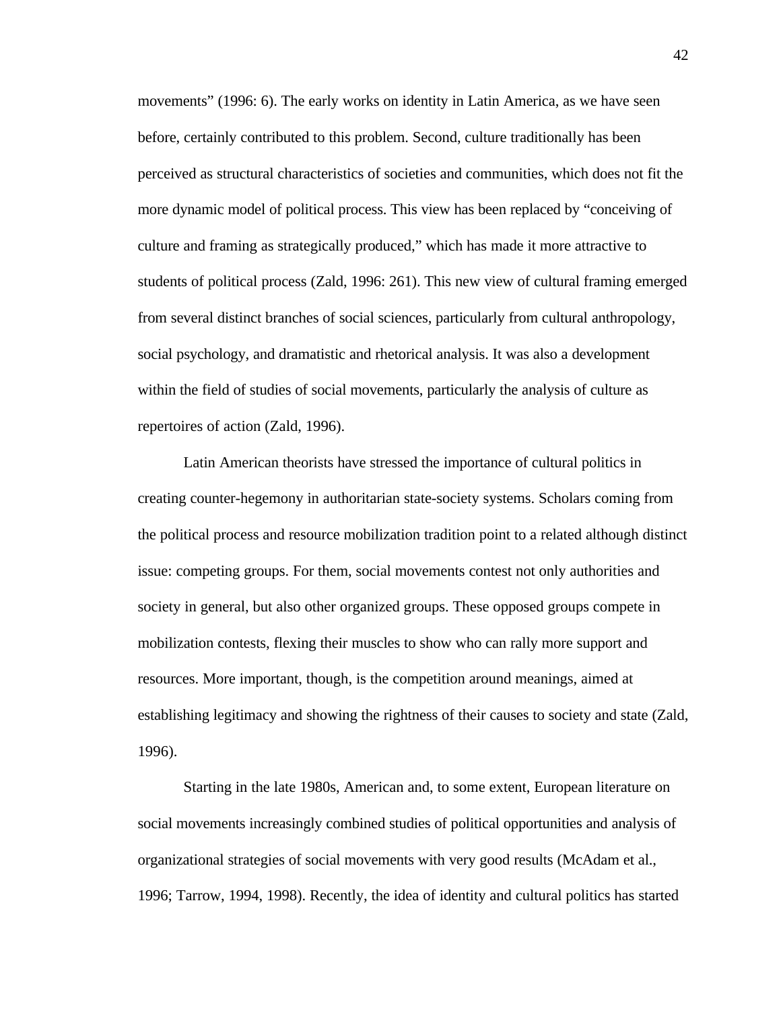movements" (1996: 6). The early works on identity in Latin America, as we have seen before, certainly contributed to this problem. Second, culture traditionally has been perceived as structural characteristics of societies and communities, which does not fit the more dynamic model of political process. This view has been replaced by "conceiving of culture and framing as strategically produced," which has made it more attractive to students of political process (Zald, 1996: 261). This new view of cultural framing emerged from several distinct branches of social sciences, particularly from cultural anthropology, social psychology, and dramatistic and rhetorical analysis. It was also a development within the field of studies of social movements, particularly the analysis of culture as repertoires of action (Zald, 1996).

Latin American theorists have stressed the importance of cultural politics in creating counter-hegemony in authoritarian state-society systems. Scholars coming from the political process and resource mobilization tradition point to a related although distinct issue: competing groups. For them, social movements contest not only authorities and society in general, but also other organized groups. These opposed groups compete in mobilization contests, flexing their muscles to show who can rally more support and resources. More important, though, is the competition around meanings, aimed at establishing legitimacy and showing the rightness of their causes to society and state (Zald, 1996).

Starting in the late 1980s, American and, to some extent, European literature on social movements increasingly combined studies of political opportunities and analysis of organizational strategies of social movements with very good results (McAdam et al., 1996; Tarrow, 1994, 1998). Recently, the idea of identity and cultural politics has started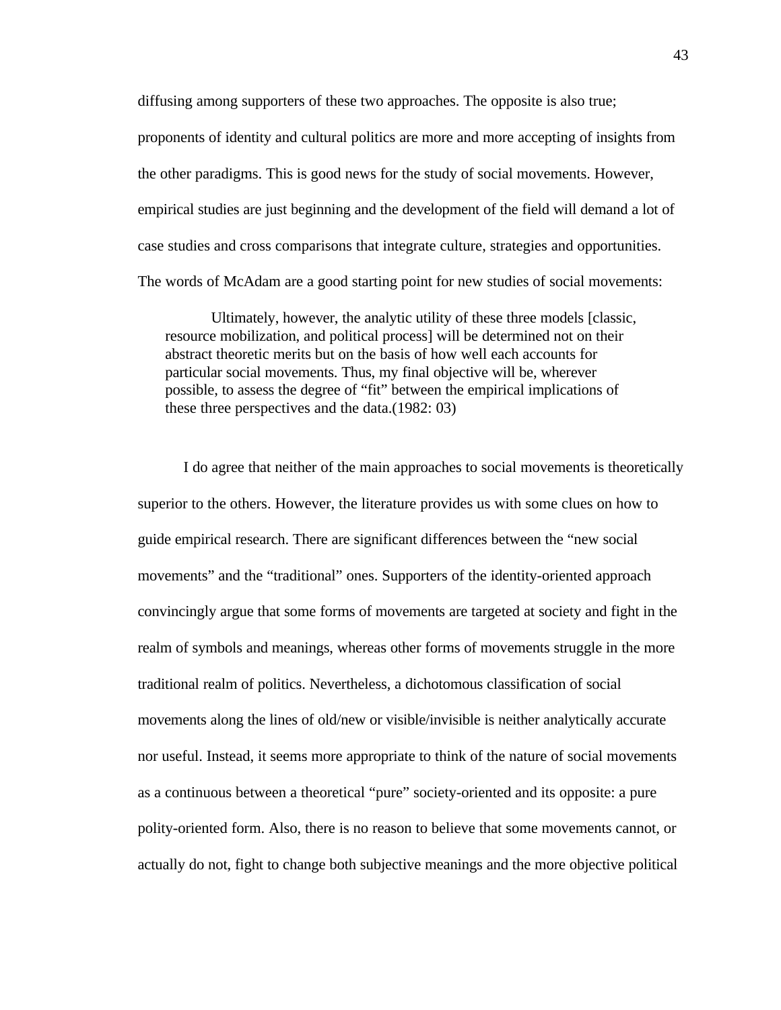diffusing among supporters of these two approaches. The opposite is also true; proponents of identity and cultural politics are more and more accepting of insights from the other paradigms. This is good news for the study of social movements. However, empirical studies are just beginning and the development of the field will demand a lot of case studies and cross comparisons that integrate culture, strategies and opportunities. The words of McAdam are a good starting point for new studies of social movements:

Ultimately, however, the analytic utility of these three models [classic, resource mobilization, and political process] will be determined not on their abstract theoretic merits but on the basis of how well each accounts for particular social movements. Thus, my final objective will be, wherever possible, to assess the degree of "fit" between the empirical implications of these three perspectives and the data.(1982: 03)

I do agree that neither of the main approaches to social movements is theoretically superior to the others. However, the literature provides us with some clues on how to guide empirical research. There are significant differences between the "new social movements" and the "traditional" ones. Supporters of the identity-oriented approach convincingly argue that some forms of movements are targeted at society and fight in the realm of symbols and meanings, whereas other forms of movements struggle in the more traditional realm of politics. Nevertheless, a dichotomous classification of social movements along the lines of old/new or visible/invisible is neither analytically accurate nor useful. Instead, it seems more appropriate to think of the nature of social movements as a continuous between a theoretical "pure" society-oriented and its opposite: a pure polity-oriented form. Also, there is no reason to believe that some movements cannot, or actually do not, fight to change both subjective meanings and the more objective political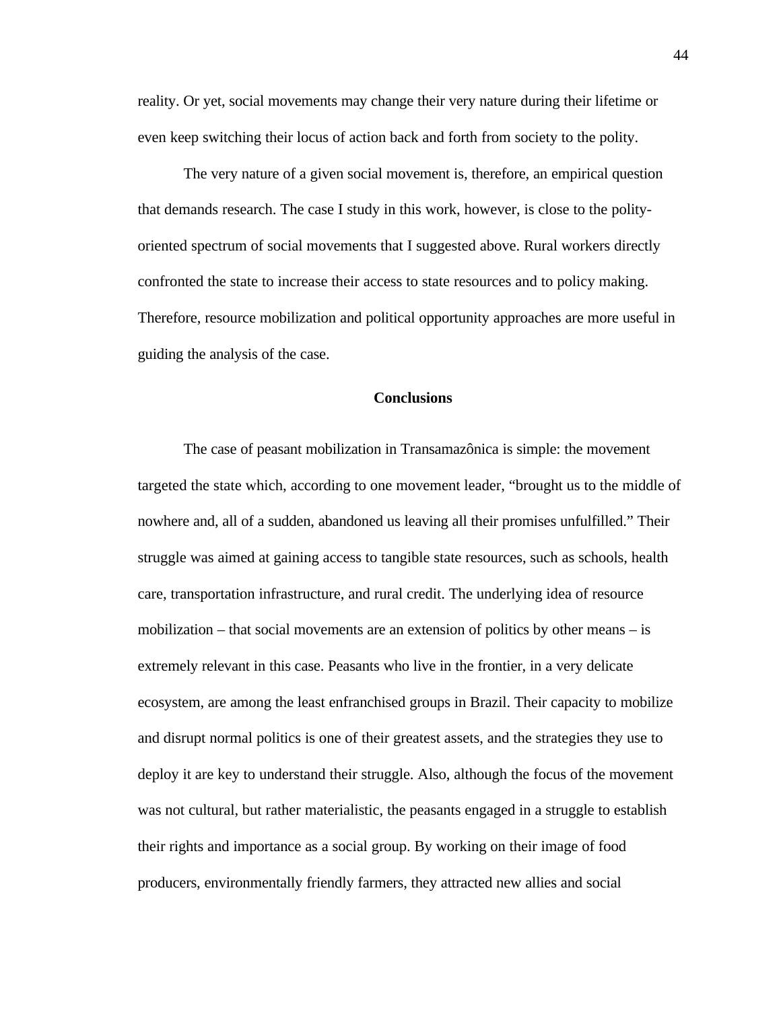reality. Or yet, social movements may change their very nature during their lifetime or even keep switching their locus of action back and forth from society to the polity.

The very nature of a given social movement is, therefore, an empirical question that demands research. The case I study in this work, however, is close to the polityoriented spectrum of social movements that I suggested above. Rural workers directly confronted the state to increase their access to state resources and to policy making. Therefore, resource mobilization and political opportunity approaches are more useful in guiding the analysis of the case.

## **Conclusions**

The case of peasant mobilization in Transamazônica is simple: the movement targeted the state which, according to one movement leader, "brought us to the middle of nowhere and, all of a sudden, abandoned us leaving all their promises unfulfilled." Their struggle was aimed at gaining access to tangible state resources, such as schools, health care, transportation infrastructure, and rural credit. The underlying idea of resource mobilization – that social movements are an extension of politics by other means – is extremely relevant in this case. Peasants who live in the frontier, in a very delicate ecosystem, are among the least enfranchised groups in Brazil. Their capacity to mobilize and disrupt normal politics is one of their greatest assets, and the strategies they use to deploy it are key to understand their struggle. Also, although the focus of the movement was not cultural, but rather materialistic, the peasants engaged in a struggle to establish their rights and importance as a social group. By working on their image of food producers, environmentally friendly farmers, they attracted new allies and social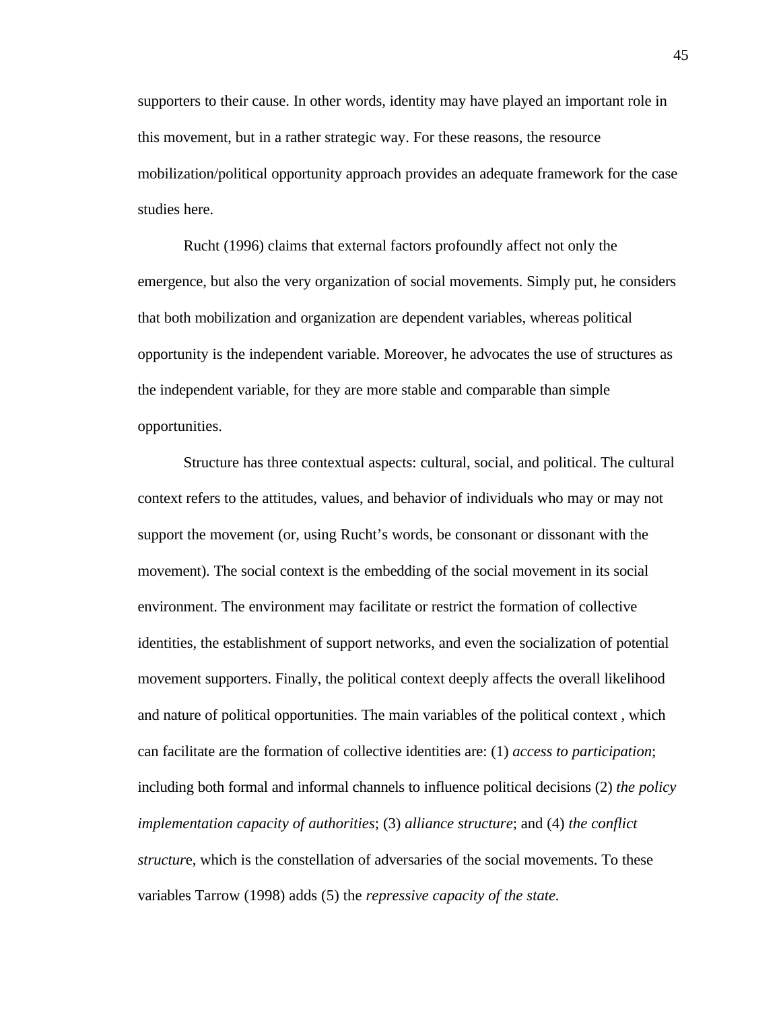supporters to their cause. In other words, identity may have played an important role in this movement, but in a rather strategic way. For these reasons, the resource mobilization/political opportunity approach provides an adequate framework for the case studies here.

Rucht (1996) claims that external factors profoundly affect not only the emergence, but also the very organization of social movements. Simply put, he considers that both mobilization and organization are dependent variables, whereas political opportunity is the independent variable. Moreover, he advocates the use of structures as the independent variable, for they are more stable and comparable than simple opportunities.

Structure has three contextual aspects: cultural, social, and political. The cultural context refers to the attitudes, values, and behavior of individuals who may or may not support the movement (or, using Rucht's words, be consonant or dissonant with the movement). The social context is the embedding of the social movement in its social environment. The environment may facilitate or restrict the formation of collective identities, the establishment of support networks, and even the socialization of potential movement supporters. Finally, the political context deeply affects the overall likelihood and nature of political opportunities. The main variables of the political context , which can facilitate are the formation of collective identities are: (1) *access to participation*; including both formal and informal channels to influence political decisions (2) *the policy implementation capacity of authorities*; (3) *alliance structure*; and (4) *the conflict structur*e, which is the constellation of adversaries of the social movements. To these variables Tarrow (1998) adds (5) the *repressive capacity of the state.*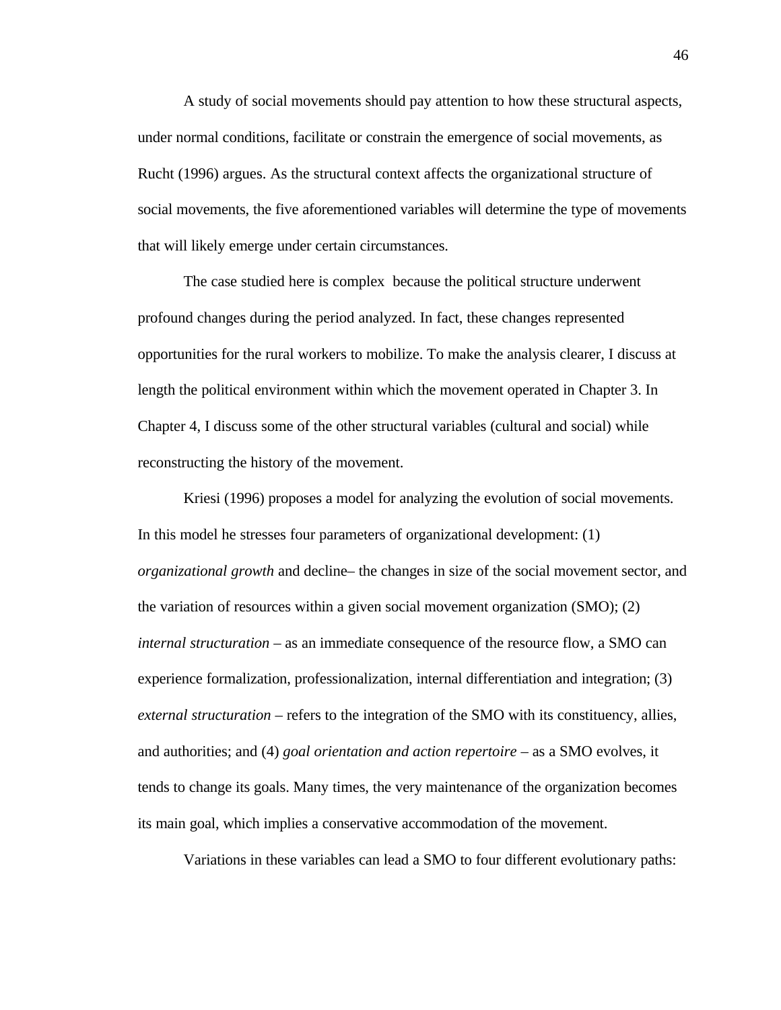A study of social movements should pay attention to how these structural aspects, under normal conditions, facilitate or constrain the emergence of social movements, as Rucht (1996) argues. As the structural context affects the organizational structure of social movements, the five aforementioned variables will determine the type of movements that will likely emerge under certain circumstances.

The case studied here is complex because the political structure underwent profound changes during the period analyzed. In fact, these changes represented opportunities for the rural workers to mobilize. To make the analysis clearer, I discuss at length the political environment within which the movement operated in Chapter 3. In Chapter 4, I discuss some of the other structural variables (cultural and social) while reconstructing the history of the movement.

Kriesi (1996) proposes a model for analyzing the evolution of social movements. In this model he stresses four parameters of organizational development: (1) *organizational growth* and decline– the changes in size of the social movement sector, and the variation of resources within a given social movement organization (SMO); (2) *internal structuration* – as an immediate consequence of the resource flow, a SMO can experience formalization, professionalization, internal differentiation and integration; (3) *external structuration* – refers to the integration of the SMO with its constituency, allies, and authorities; and (4) *goal orientation and action repertoire* – as a SMO evolves, it tends to change its goals. Many times, the very maintenance of the organization becomes its main goal, which implies a conservative accommodation of the movement.

Variations in these variables can lead a SMO to four different evolutionary paths: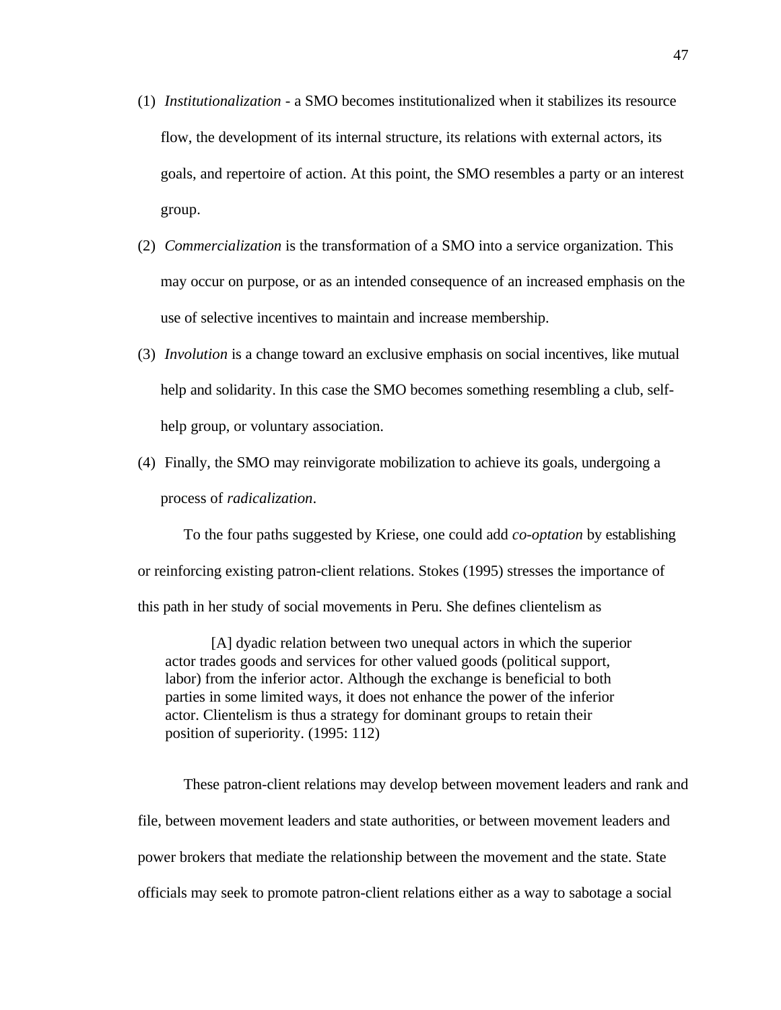- (1) *Institutionalization -* a SMO becomes institutionalized when it stabilizes its resource flow, the development of its internal structure, its relations with external actors, its goals, and repertoire of action. At this point, the SMO resembles a party or an interest group.
- (2) *Commercialization* is the transformation of a SMO into a service organization. This may occur on purpose, or as an intended consequence of an increased emphasis on the use of selective incentives to maintain and increase membership.
- (3) *Involution* is a change toward an exclusive emphasis on social incentives, like mutual help and solidarity. In this case the SMO becomes something resembling a club, selfhelp group, or voluntary association.
- (4) Finally, the SMO may reinvigorate mobilization to achieve its goals, undergoing a process of *radicalization*.

To the four paths suggested by Kriese, one could add *co-optation* by establishing or reinforcing existing patron-client relations. Stokes (1995) stresses the importance of this path in her study of social movements in Peru. She defines clientelism as

[A] dyadic relation between two unequal actors in which the superior actor trades goods and services for other valued goods (political support, labor) from the inferior actor. Although the exchange is beneficial to both parties in some limited ways, it does not enhance the power of the inferior actor. Clientelism is thus a strategy for dominant groups to retain their position of superiority. (1995: 112)

These patron-client relations may develop between movement leaders and rank and file, between movement leaders and state authorities, or between movement leaders and power brokers that mediate the relationship between the movement and the state. State officials may seek to promote patron-client relations either as a way to sabotage a social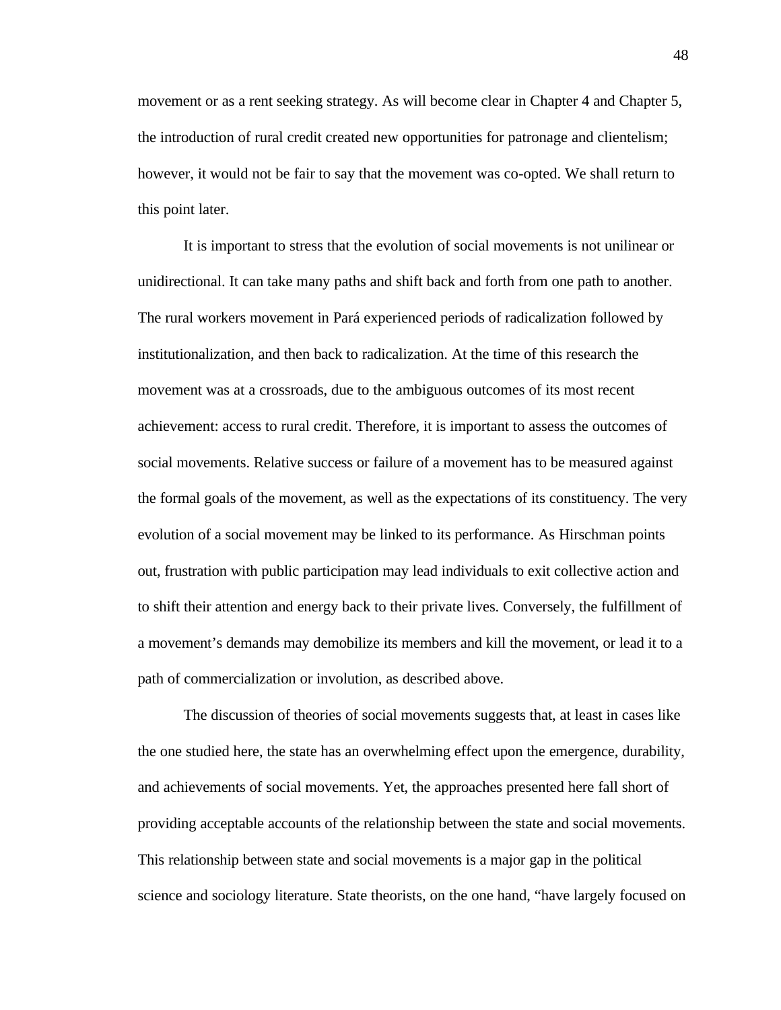movement or as a rent seeking strategy. As will become clear in Chapter 4 and Chapter 5, the introduction of rural credit created new opportunities for patronage and clientelism; however, it would not be fair to say that the movement was co-opted. We shall return to this point later.

It is important to stress that the evolution of social movements is not unilinear or unidirectional. It can take many paths and shift back and forth from one path to another. The rural workers movement in Pará experienced periods of radicalization followed by institutionalization, and then back to radicalization. At the time of this research the movement was at a crossroads, due to the ambiguous outcomes of its most recent achievement: access to rural credit. Therefore, it is important to assess the outcomes of social movements. Relative success or failure of a movement has to be measured against the formal goals of the movement, as well as the expectations of its constituency. The very evolution of a social movement may be linked to its performance. As Hirschman points out, frustration with public participation may lead individuals to exit collective action and to shift their attention and energy back to their private lives. Conversely, the fulfillment of a movement's demands may demobilize its members and kill the movement, or lead it to a path of commercialization or involution, as described above.

The discussion of theories of social movements suggests that, at least in cases like the one studied here, the state has an overwhelming effect upon the emergence, durability, and achievements of social movements. Yet, the approaches presented here fall short of providing acceptable accounts of the relationship between the state and social movements. This relationship between state and social movements is a major gap in the political science and sociology literature. State theorists, on the one hand, "have largely focused on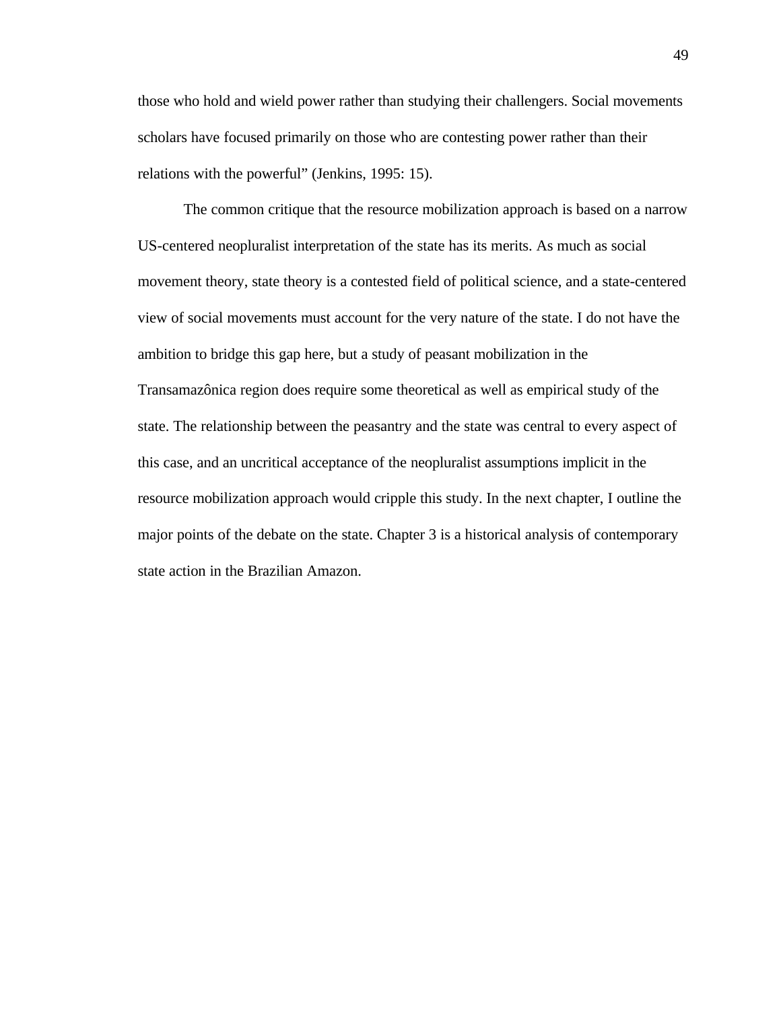those who hold and wield power rather than studying their challengers. Social movements scholars have focused primarily on those who are contesting power rather than their relations with the powerful" (Jenkins, 1995: 15).

The common critique that the resource mobilization approach is based on a narrow US-centered neopluralist interpretation of the state has its merits. As much as social movement theory, state theory is a contested field of political science, and a state-centered view of social movements must account for the very nature of the state. I do not have the ambition to bridge this gap here, but a study of peasant mobilization in the Transamazônica region does require some theoretical as well as empirical study of the state. The relationship between the peasantry and the state was central to every aspect of this case, and an uncritical acceptance of the neopluralist assumptions implicit in the resource mobilization approach would cripple this study. In the next chapter, I outline the major points of the debate on the state. Chapter 3 is a historical analysis of contemporary state action in the Brazilian Amazon.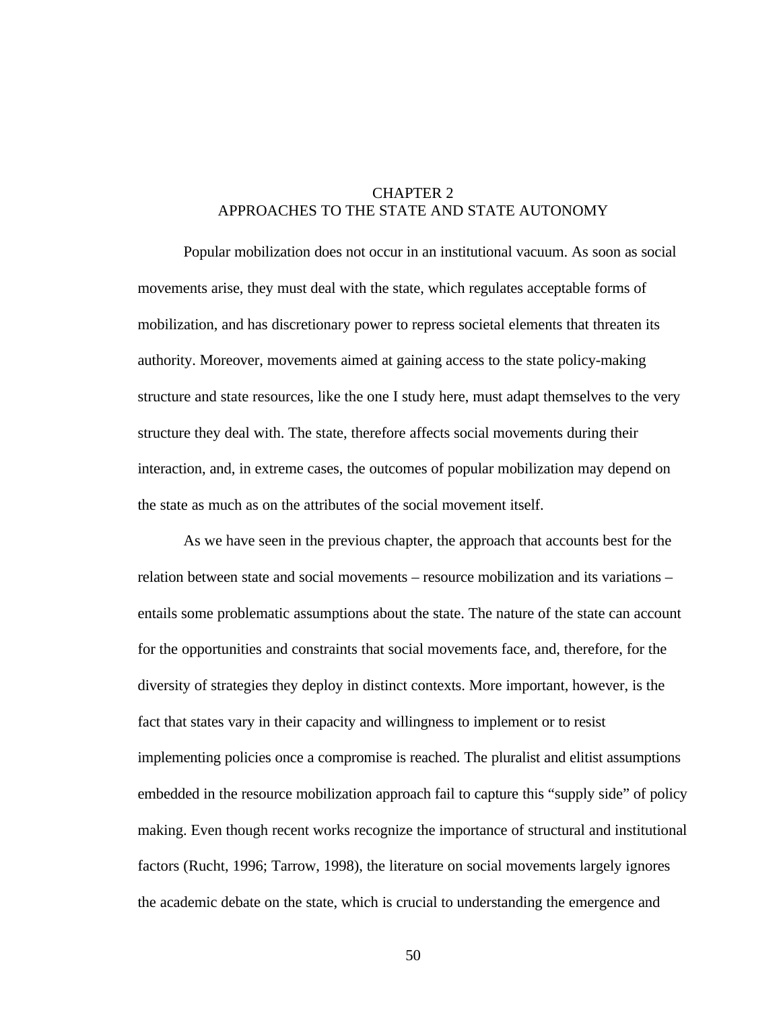# CHAPTER 2 APPROACHES TO THE STATE AND STATE AUTONOMY

Popular mobilization does not occur in an institutional vacuum. As soon as social movements arise, they must deal with the state, which regulates acceptable forms of mobilization, and has discretionary power to repress societal elements that threaten its authority. Moreover, movements aimed at gaining access to the state policy-making structure and state resources, like the one I study here, must adapt themselves to the very structure they deal with. The state, therefore affects social movements during their interaction, and, in extreme cases, the outcomes of popular mobilization may depend on the state as much as on the attributes of the social movement itself.

As we have seen in the previous chapter, the approach that accounts best for the relation between state and social movements – resource mobilization and its variations – entails some problematic assumptions about the state. The nature of the state can account for the opportunities and constraints that social movements face, and, therefore, for the diversity of strategies they deploy in distinct contexts. More important, however, is the fact that states vary in their capacity and willingness to implement or to resist implementing policies once a compromise is reached. The pluralist and elitist assumptions embedded in the resource mobilization approach fail to capture this "supply side" of policy making. Even though recent works recognize the importance of structural and institutional factors (Rucht, 1996; Tarrow, 1998), the literature on social movements largely ignores the academic debate on the state, which is crucial to understanding the emergence and

50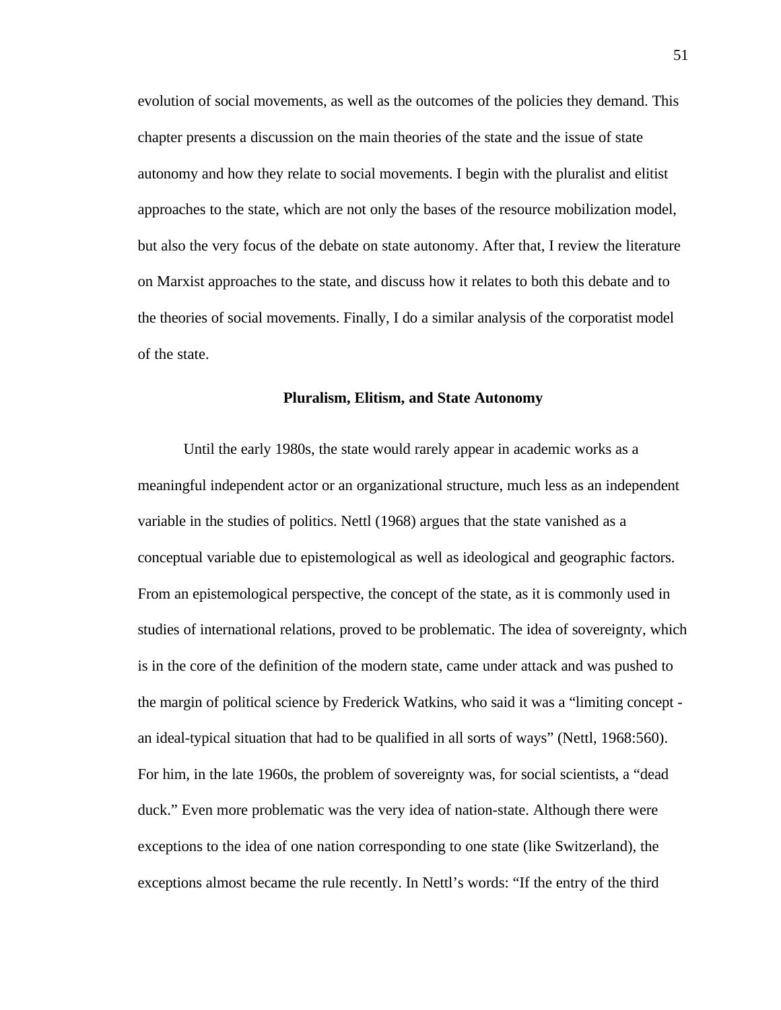evolution of social movements, as well as the outcomes of the policies they demand. This chapter presents a discussion on the main theories of the state and the issue of state autonomy and how they relate to social movements. I begin with the pluralist and elitist approaches to the state, which are not only the bases of the resource mobilization model, but also the very focus of the debate on state autonomy. After that, I review the literature on Marxist approaches to the state, and discuss how it relates to both this debate and to the theories of social movements. Finally, I do a similar analysis of the corporatist model of the state.

#### **Pluralism, Elitism, and State Autonomy**

Until the early 1980s, the state would rarely appear in academic works as a meaningful independent actor or an organizational structure, much less as an independent variable in the studies of politics. Nettl (1968) argues that the state vanished as a conceptual variable due to epistemological as well as ideological and geographic factors. From an epistemological perspective, the concept of the state, as it is commonly used in studies of international relations, proved to be problematic. The idea of sovereignty, which is in the core of the definition of the modern state, came under attack and was pushed to the margin of political science by Frederick Watkins, who said it was a "limiting concept an ideal-typical situation that had to be qualified in all sorts of ways" (Nettl, 1968:560). For him, in the late 1960s, the problem of sovereignty was, for social scientists, a "dead duck." Even more problematic was the very idea of nation-state. Although there were exceptions to the idea of one nation corresponding to one state (like Switzerland), the exceptions almost became the rule recently. In Nettl's words: "If the entry of the third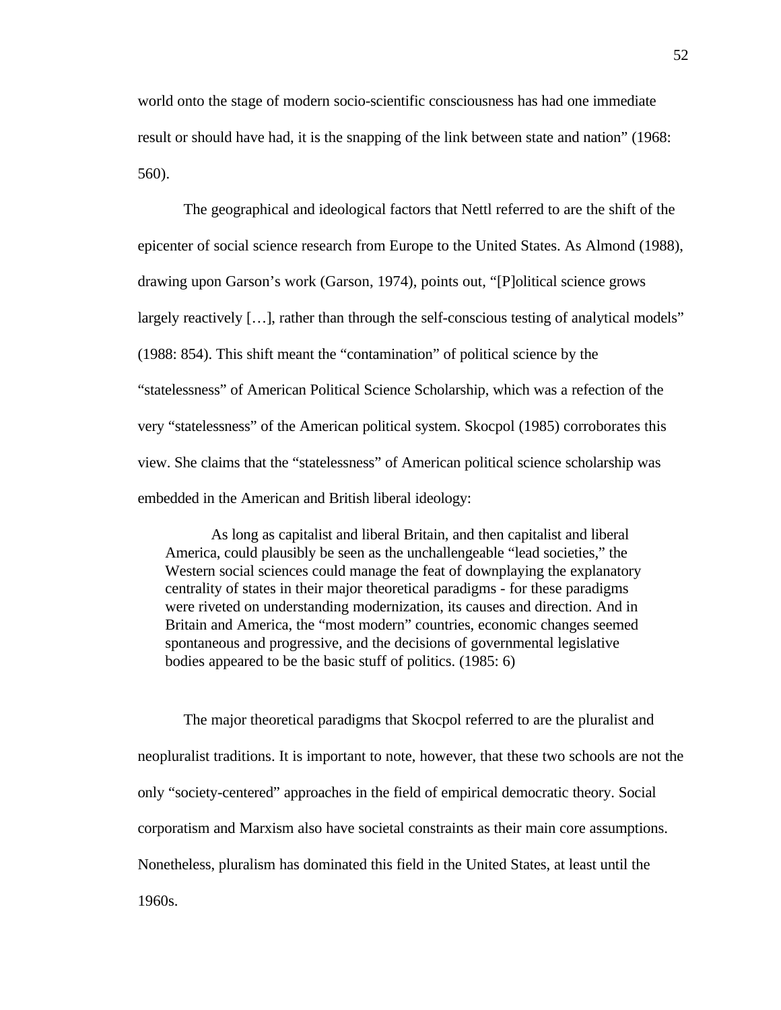world onto the stage of modern socio-scientific consciousness has had one immediate result or should have had, it is the snapping of the link between state and nation" (1968: 560).

The geographical and ideological factors that Nettl referred to are the shift of the epicenter of social science research from Europe to the United States. As Almond (1988), drawing upon Garson's work (Garson, 1974), points out, "[P]olitical science grows largely reactively […], rather than through the self-conscious testing of analytical models" (1988: 854). This shift meant the "contamination" of political science by the "statelessness" of American Political Science Scholarship, which was a refection of the very "statelessness" of the American political system. Skocpol (1985) corroborates this view. She claims that the "statelessness" of American political science scholarship was embedded in the American and British liberal ideology:

As long as capitalist and liberal Britain, and then capitalist and liberal America, could plausibly be seen as the unchallengeable "lead societies," the Western social sciences could manage the feat of downplaying the explanatory centrality of states in their major theoretical paradigms - for these paradigms were riveted on understanding modernization, its causes and direction. And in Britain and America, the "most modern" countries, economic changes seemed spontaneous and progressive, and the decisions of governmental legislative bodies appeared to be the basic stuff of politics. (1985: 6)

The major theoretical paradigms that Skocpol referred to are the pluralist and neopluralist traditions. It is important to note, however, that these two schools are not the only "society-centered" approaches in the field of empirical democratic theory. Social corporatism and Marxism also have societal constraints as their main core assumptions. Nonetheless, pluralism has dominated this field in the United States, at least until the 1960s.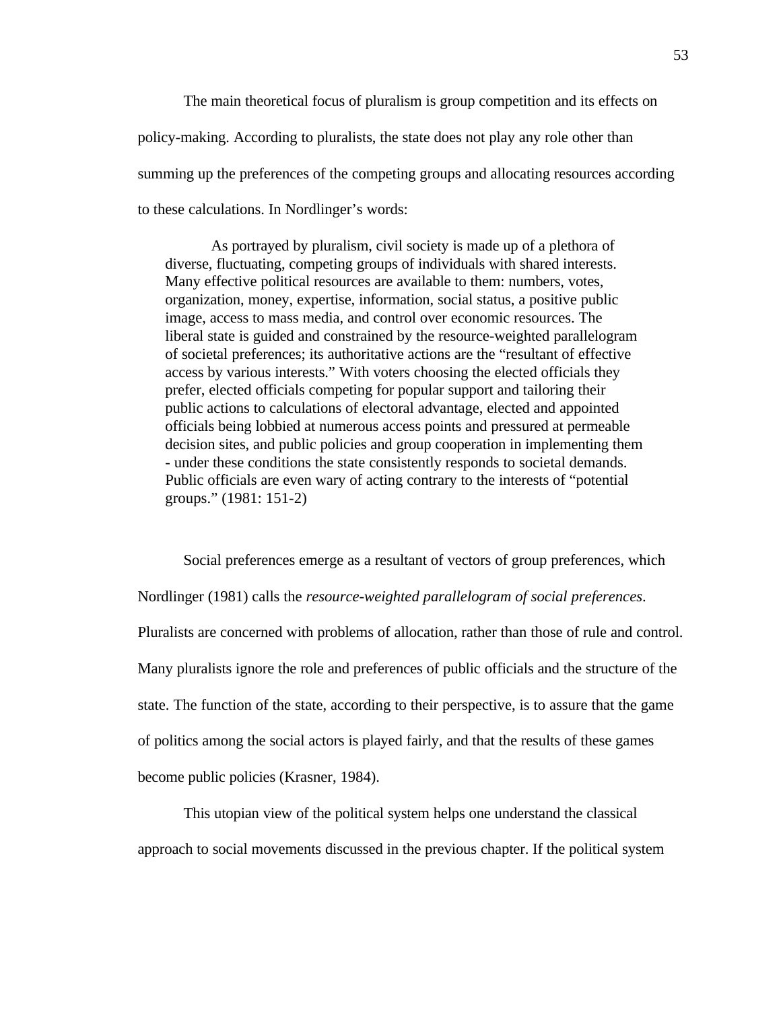The main theoretical focus of pluralism is group competition and its effects on policy-making. According to pluralists, the state does not play any role other than summing up the preferences of the competing groups and allocating resources according to these calculations. In Nordlinger's words:

As portrayed by pluralism, civil society is made up of a plethora of diverse, fluctuating, competing groups of individuals with shared interests. Many effective political resources are available to them: numbers, votes, organization, money, expertise, information, social status, a positive public image, access to mass media, and control over economic resources. The liberal state is guided and constrained by the resource-weighted parallelogram of societal preferences; its authoritative actions are the "resultant of effective access by various interests." With voters choosing the elected officials they prefer, elected officials competing for popular support and tailoring their public actions to calculations of electoral advantage, elected and appointed officials being lobbied at numerous access points and pressured at permeable decision sites, and public policies and group cooperation in implementing them - under these conditions the state consistently responds to societal demands. Public officials are even wary of acting contrary to the interests of "potential groups." (1981: 151-2)

Social preferences emerge as a resultant of vectors of group preferences, which Nordlinger (1981) calls the *resource-weighted parallelogram of social preferences*. Pluralists are concerned with problems of allocation, rather than those of rule and control. Many pluralists ignore the role and preferences of public officials and the structure of the state. The function of the state, according to their perspective, is to assure that the game of politics among the social actors is played fairly, and that the results of these games become public policies (Krasner, 1984).

This utopian view of the political system helps one understand the classical approach to social movements discussed in the previous chapter. If the political system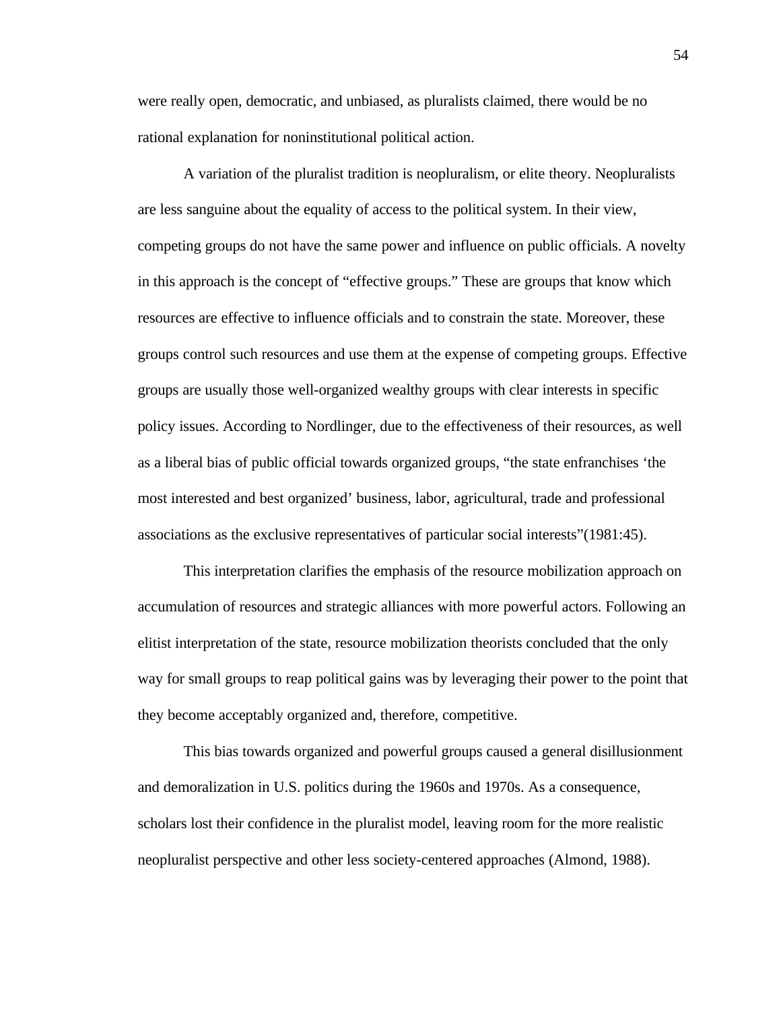were really open, democratic, and unbiased, as pluralists claimed, there would be no rational explanation for noninstitutional political action.

A variation of the pluralist tradition is neopluralism, or elite theory. Neopluralists are less sanguine about the equality of access to the political system. In their view, competing groups do not have the same power and influence on public officials. A novelty in this approach is the concept of "effective groups." These are groups that know which resources are effective to influence officials and to constrain the state. Moreover, these groups control such resources and use them at the expense of competing groups. Effective groups are usually those well-organized wealthy groups with clear interests in specific policy issues. According to Nordlinger, due to the effectiveness of their resources, as well as a liberal bias of public official towards organized groups, "the state enfranchises 'the most interested and best organized' business, labor, agricultural, trade and professional associations as the exclusive representatives of particular social interests"(1981:45).

This interpretation clarifies the emphasis of the resource mobilization approach on accumulation of resources and strategic alliances with more powerful actors. Following an elitist interpretation of the state, resource mobilization theorists concluded that the only way for small groups to reap political gains was by leveraging their power to the point that they become acceptably organized and, therefore, competitive.

This bias towards organized and powerful groups caused a general disillusionment and demoralization in U.S. politics during the 1960s and 1970s. As a consequence, scholars lost their confidence in the pluralist model, leaving room for the more realistic neopluralist perspective and other less society-centered approaches (Almond, 1988).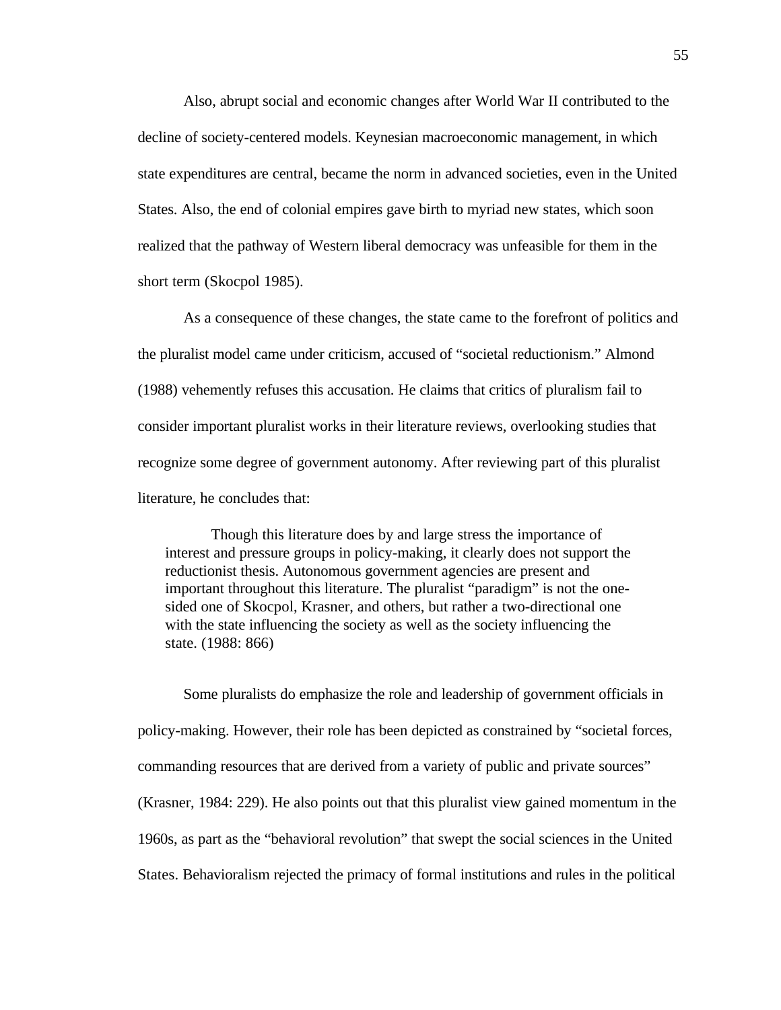Also, abrupt social and economic changes after World War II contributed to the decline of society-centered models. Keynesian macroeconomic management, in which state expenditures are central, became the norm in advanced societies, even in the United States. Also, the end of colonial empires gave birth to myriad new states, which soon realized that the pathway of Western liberal democracy was unfeasible for them in the short term (Skocpol 1985).

As a consequence of these changes, the state came to the forefront of politics and the pluralist model came under criticism, accused of "societal reductionism." Almond (1988) vehemently refuses this accusation. He claims that critics of pluralism fail to consider important pluralist works in their literature reviews, overlooking studies that recognize some degree of government autonomy. After reviewing part of this pluralist literature, he concludes that:

Though this literature does by and large stress the importance of interest and pressure groups in policy-making, it clearly does not support the reductionist thesis. Autonomous government agencies are present and important throughout this literature. The pluralist "paradigm" is not the onesided one of Skocpol, Krasner, and others, but rather a two-directional one with the state influencing the society as well as the society influencing the state. (1988: 866)

Some pluralists do emphasize the role and leadership of government officials in policy-making. However, their role has been depicted as constrained by "societal forces, commanding resources that are derived from a variety of public and private sources" (Krasner, 1984: 229). He also points out that this pluralist view gained momentum in the 1960s, as part as the "behavioral revolution" that swept the social sciences in the United States. Behavioralism rejected the primacy of formal institutions and rules in the political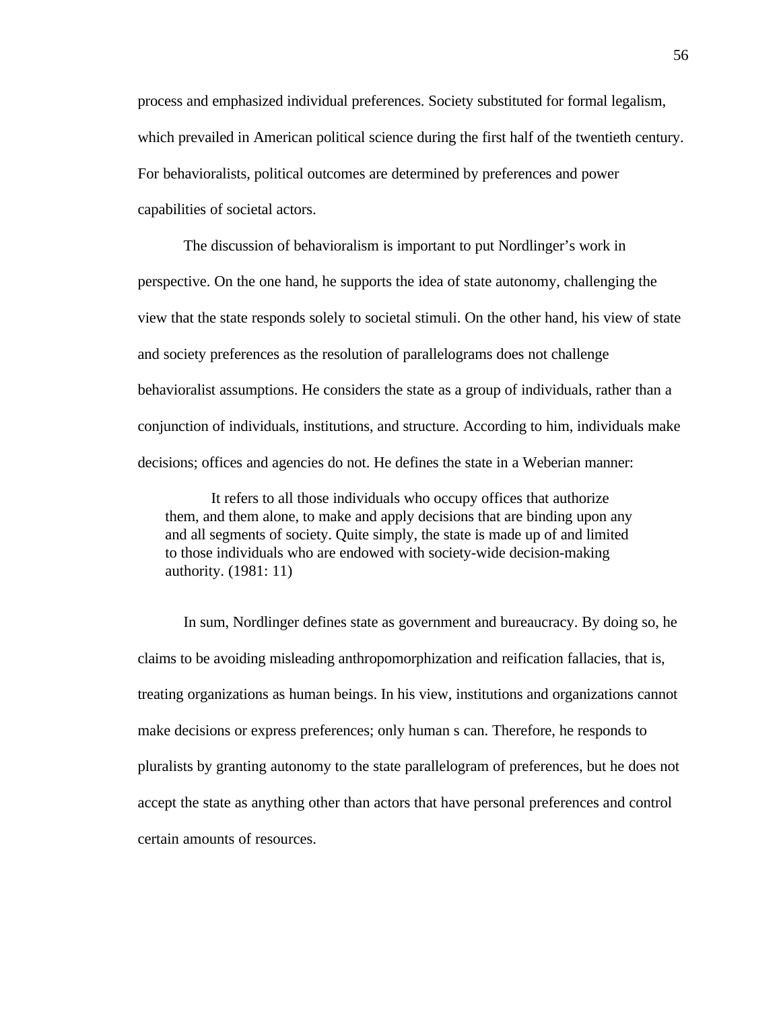process and emphasized individual preferences. Society substituted for formal legalism, which prevailed in American political science during the first half of the twentieth century. For behavioralists, political outcomes are determined by preferences and power capabilities of societal actors.

The discussion of behavioralism is important to put Nordlinger's work in perspective. On the one hand, he supports the idea of state autonomy, challenging the view that the state responds solely to societal stimuli. On the other hand, his view of state and society preferences as the resolution of parallelograms does not challenge behavioralist assumptions. He considers the state as a group of individuals, rather than a conjunction of individuals, institutions, and structure. According to him, individuals make decisions; offices and agencies do not. He defines the state in a Weberian manner:

It refers to all those individuals who occupy offices that authorize them, and them alone, to make and apply decisions that are binding upon any and all segments of society. Quite simply, the state is made up of and limited to those individuals who are endowed with society-wide decision-making authority. (1981: 11)

In sum, Nordlinger defines state as government and bureaucracy. By doing so, he claims to be avoiding misleading anthropomorphization and reification fallacies, that is, treating organizations as human beings. In his view, institutions and organizations cannot make decisions or express preferences; only human s can. Therefore, he responds to pluralists by granting autonomy to the state parallelogram of preferences, but he does not accept the state as anything other than actors that have personal preferences and control certain amounts of resources.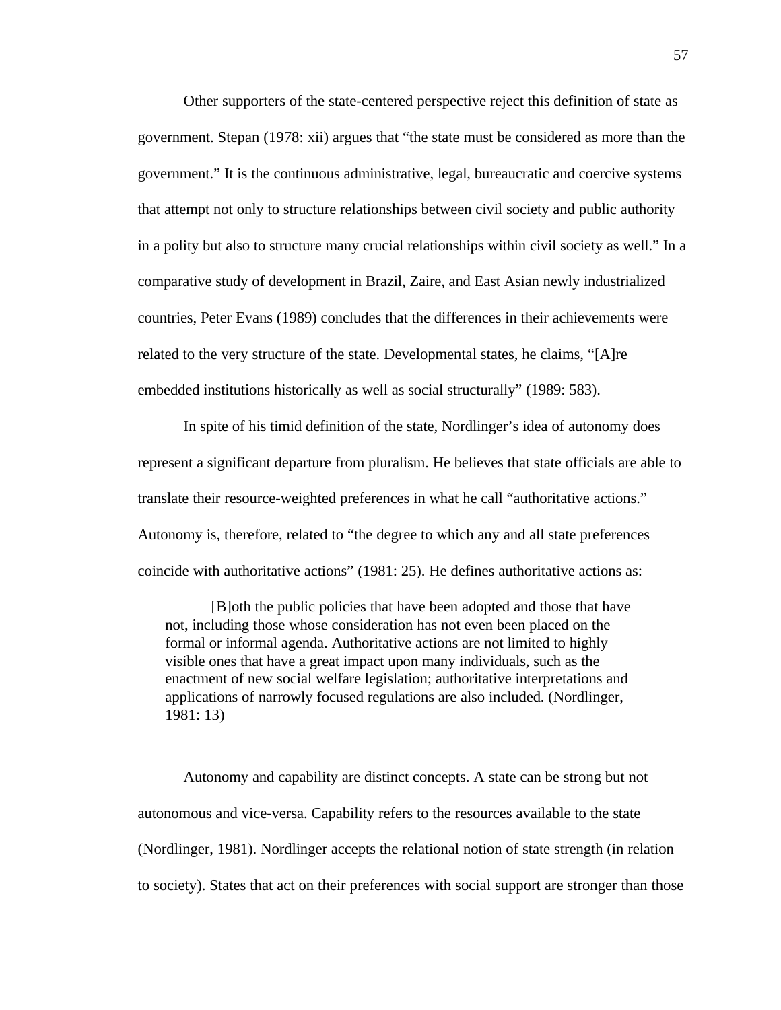Other supporters of the state-centered perspective reject this definition of state as government. Stepan (1978: xii) argues that "the state must be considered as more than the government." It is the continuous administrative, legal, bureaucratic and coercive systems that attempt not only to structure relationships between civil society and public authority in a polity but also to structure many crucial relationships within civil society as well." In a comparative study of development in Brazil, Zaire, and East Asian newly industrialized countries, Peter Evans (1989) concludes that the differences in their achievements were related to the very structure of the state. Developmental states, he claims, "[A]re embedded institutions historically as well as social structurally" (1989: 583).

In spite of his timid definition of the state, Nordlinger's idea of autonomy does represent a significant departure from pluralism. He believes that state officials are able to translate their resource-weighted preferences in what he call "authoritative actions." Autonomy is, therefore, related to "the degree to which any and all state preferences coincide with authoritative actions" (1981: 25). He defines authoritative actions as:

[B]oth the public policies that have been adopted and those that have not, including those whose consideration has not even been placed on the formal or informal agenda. Authoritative actions are not limited to highly visible ones that have a great impact upon many individuals, such as the enactment of new social welfare legislation; authoritative interpretations and applications of narrowly focused regulations are also included. (Nordlinger, 1981: 13)

Autonomy and capability are distinct concepts. A state can be strong but not autonomous and vice-versa. Capability refers to the resources available to the state (Nordlinger, 1981). Nordlinger accepts the relational notion of state strength (in relation to society). States that act on their preferences with social support are stronger than those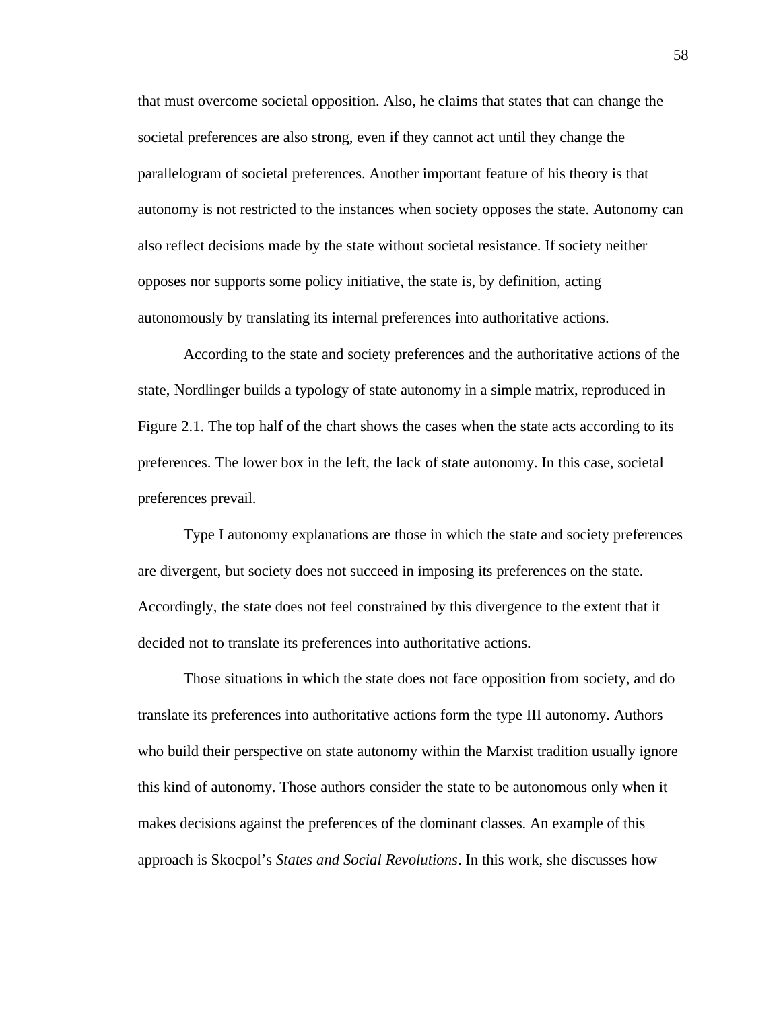that must overcome societal opposition. Also, he claims that states that can change the societal preferences are also strong, even if they cannot act until they change the parallelogram of societal preferences. Another important feature of his theory is that autonomy is not restricted to the instances when society opposes the state. Autonomy can also reflect decisions made by the state without societal resistance. If society neither opposes nor supports some policy initiative, the state is, by definition, acting autonomously by translating its internal preferences into authoritative actions.

According to the state and society preferences and the authoritative actions of the state, Nordlinger builds a typology of state autonomy in a simple matrix, reproduced in Figure 2.1. The top half of the chart shows the cases when the state acts according to its preferences. The lower box in the left, the lack of state autonomy. In this case, societal preferences prevail.

Type I autonomy explanations are those in which the state and society preferences are divergent, but society does not succeed in imposing its preferences on the state. Accordingly, the state does not feel constrained by this divergence to the extent that it decided not to translate its preferences into authoritative actions.

Those situations in which the state does not face opposition from society, and do translate its preferences into authoritative actions form the type III autonomy. Authors who build their perspective on state autonomy within the Marxist tradition usually ignore this kind of autonomy. Those authors consider the state to be autonomous only when it makes decisions against the preferences of the dominant classes. An example of this approach is Skocpol's *States and Social Revolutions*. In this work, she discusses how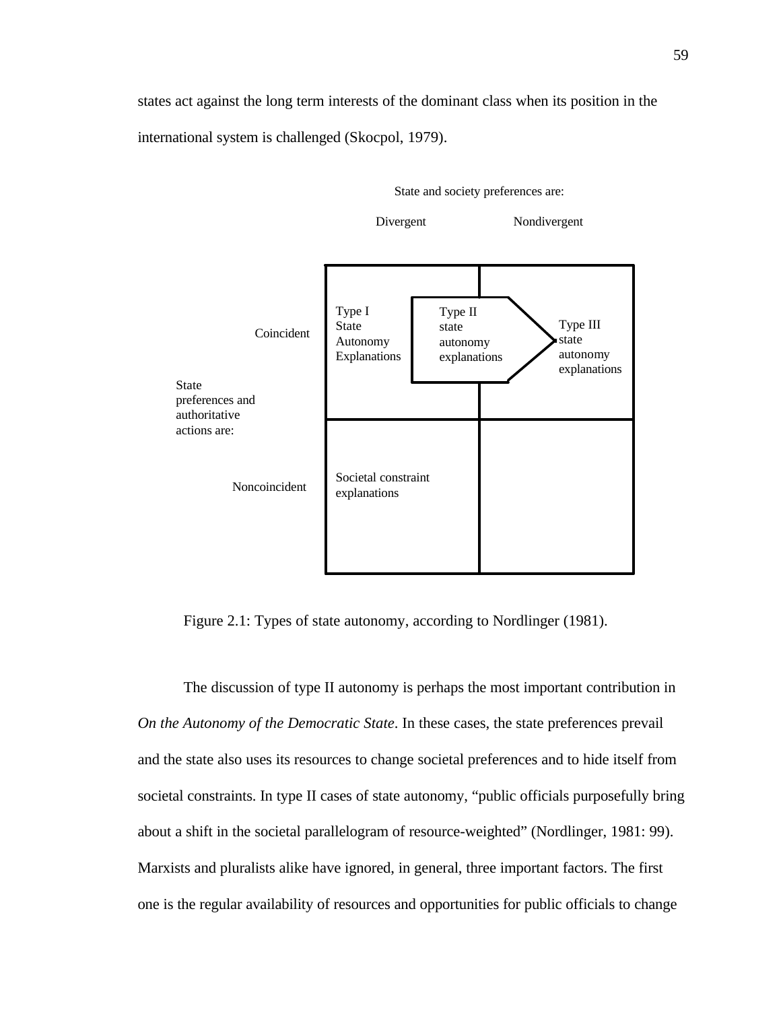states act against the long term interests of the dominant class when its position in the international system is challenged (Skocpol, 1979).





Figure 2.1: Types of state autonomy, according to Nordlinger (1981).

The discussion of type II autonomy is perhaps the most important contribution in *On the Autonomy of the Democratic State*. In these cases, the state preferences prevail and the state also uses its resources to change societal preferences and to hide itself from societal constraints. In type II cases of state autonomy, "public officials purposefully bring about a shift in the societal parallelogram of resource-weighted" (Nordlinger, 1981: 99). Marxists and pluralists alike have ignored, in general, three important factors. The first one is the regular availability of resources and opportunities for public officials to change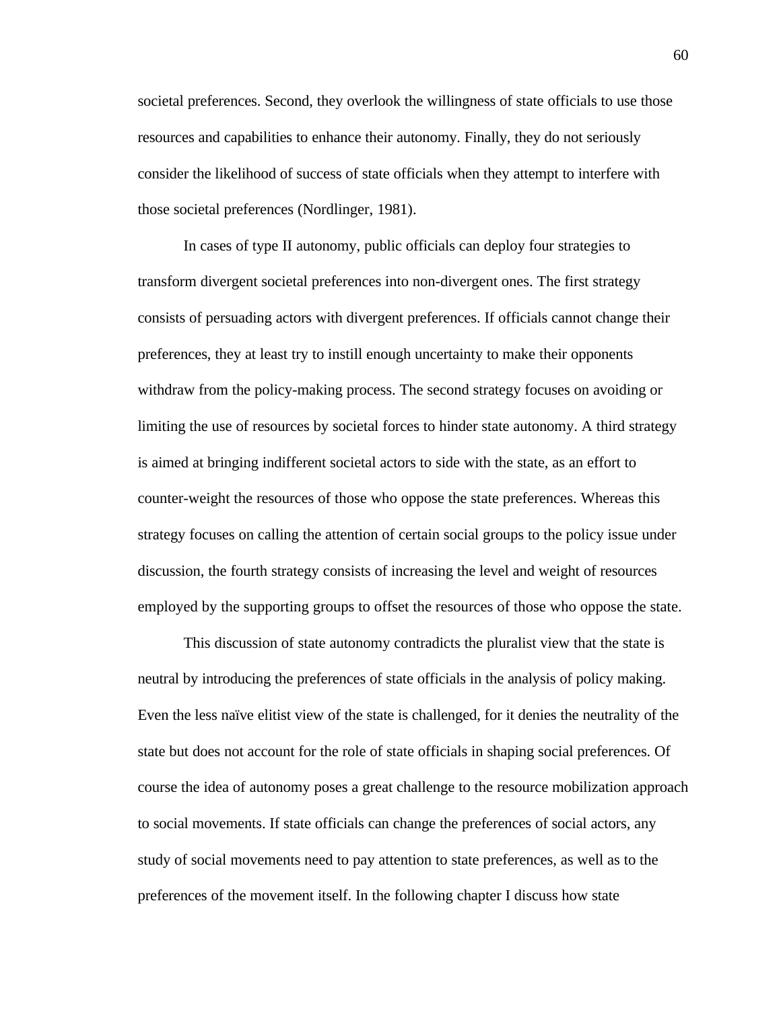societal preferences. Second, they overlook the willingness of state officials to use those resources and capabilities to enhance their autonomy. Finally, they do not seriously consider the likelihood of success of state officials when they attempt to interfere with those societal preferences (Nordlinger, 1981).

In cases of type II autonomy, public officials can deploy four strategies to transform divergent societal preferences into non-divergent ones. The first strategy consists of persuading actors with divergent preferences. If officials cannot change their preferences, they at least try to instill enough uncertainty to make their opponents withdraw from the policy-making process. The second strategy focuses on avoiding or limiting the use of resources by societal forces to hinder state autonomy. A third strategy is aimed at bringing indifferent societal actors to side with the state, as an effort to counter-weight the resources of those who oppose the state preferences. Whereas this strategy focuses on calling the attention of certain social groups to the policy issue under discussion, the fourth strategy consists of increasing the level and weight of resources employed by the supporting groups to offset the resources of those who oppose the state.

This discussion of state autonomy contradicts the pluralist view that the state is neutral by introducing the preferences of state officials in the analysis of policy making. Even the less naïve elitist view of the state is challenged, for it denies the neutrality of the state but does not account for the role of state officials in shaping social preferences. Of course the idea of autonomy poses a great challenge to the resource mobilization approach to social movements. If state officials can change the preferences of social actors, any study of social movements need to pay attention to state preferences, as well as to the preferences of the movement itself. In the following chapter I discuss how state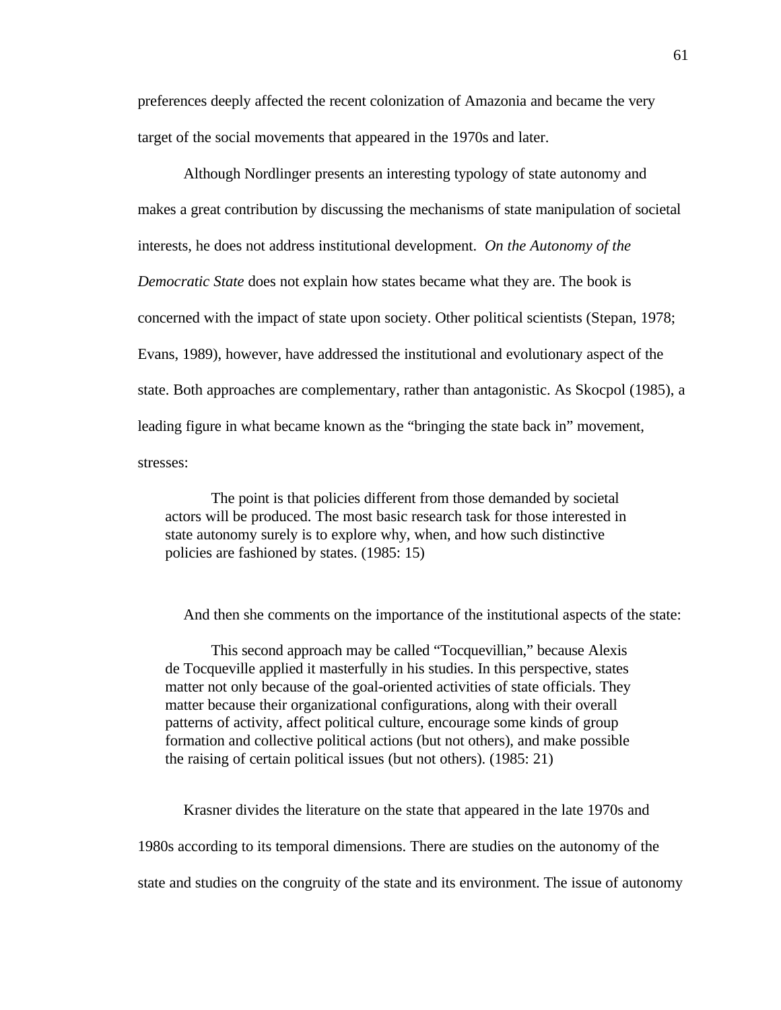preferences deeply affected the recent colonization of Amazonia and became the very target of the social movements that appeared in the 1970s and later.

Although Nordlinger presents an interesting typology of state autonomy and makes a great contribution by discussing the mechanisms of state manipulation of societal interests, he does not address institutional development. *On the Autonomy of the Democratic State* does not explain how states became what they are. The book is concerned with the impact of state upon society. Other political scientists (Stepan, 1978; Evans, 1989), however, have addressed the institutional and evolutionary aspect of the state. Both approaches are complementary, rather than antagonistic. As Skocpol (1985), a leading figure in what became known as the "bringing the state back in" movement, stresses:

The point is that policies different from those demanded by societal actors will be produced. The most basic research task for those interested in state autonomy surely is to explore why, when, and how such distinctive policies are fashioned by states. (1985: 15)

And then she comments on the importance of the institutional aspects of the state:

This second approach may be called "Tocquevillian," because Alexis de Tocqueville applied it masterfully in his studies. In this perspective, states matter not only because of the goal-oriented activities of state officials. They matter because their organizational configurations, along with their overall patterns of activity, affect political culture, encourage some kinds of group formation and collective political actions (but not others), and make possible the raising of certain political issues (but not others). (1985: 21)

Krasner divides the literature on the state that appeared in the late 1970s and 1980s according to its temporal dimensions. There are studies on the autonomy of the state and studies on the congruity of the state and its environment. The issue of autonomy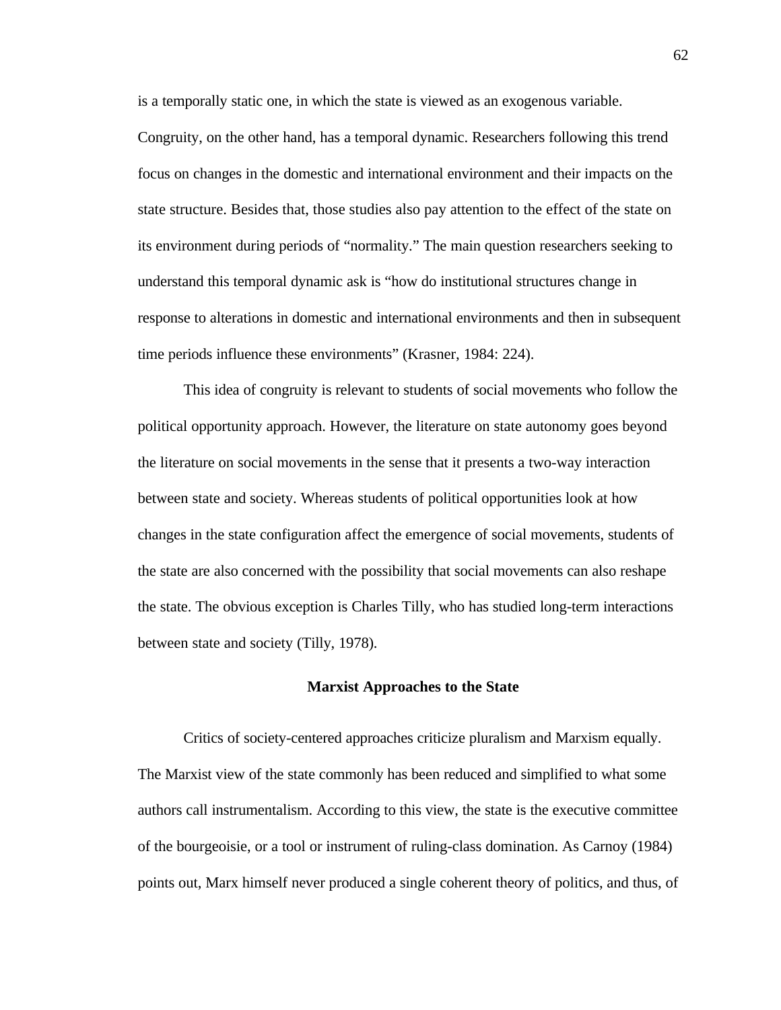is a temporally static one, in which the state is viewed as an exogenous variable.

Congruity, on the other hand, has a temporal dynamic. Researchers following this trend focus on changes in the domestic and international environment and their impacts on the state structure. Besides that, those studies also pay attention to the effect of the state on its environment during periods of "normality." The main question researchers seeking to understand this temporal dynamic ask is "how do institutional structures change in response to alterations in domestic and international environments and then in subsequent time periods influence these environments" (Krasner, 1984: 224).

This idea of congruity is relevant to students of social movements who follow the political opportunity approach. However, the literature on state autonomy goes beyond the literature on social movements in the sense that it presents a two-way interaction between state and society. Whereas students of political opportunities look at how changes in the state configuration affect the emergence of social movements, students of the state are also concerned with the possibility that social movements can also reshape the state. The obvious exception is Charles Tilly, who has studied long-term interactions between state and society (Tilly, 1978).

# **Marxist Approaches to the State**

Critics of society-centered approaches criticize pluralism and Marxism equally. The Marxist view of the state commonly has been reduced and simplified to what some authors call instrumentalism. According to this view, the state is the executive committee of the bourgeoisie, or a tool or instrument of ruling-class domination. As Carnoy (1984) points out, Marx himself never produced a single coherent theory of politics, and thus, of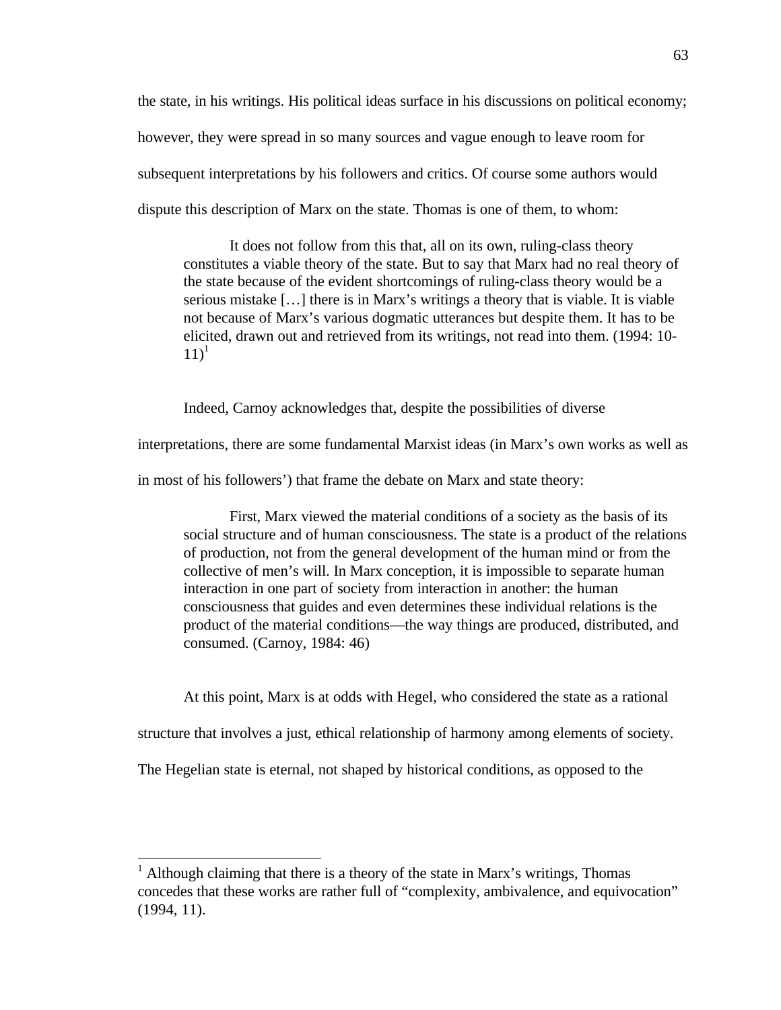the state, in his writings. His political ideas surface in his discussions on political economy; however, they were spread in so many sources and vague enough to leave room for subsequent interpretations by his followers and critics. Of course some authors would dispute this description of Marx on the state. Thomas is one of them, to whom:

It does not follow from this that, all on its own, ruling-class theory constitutes a viable theory of the state. But to say that Marx had no real theory of the state because of the evident shortcomings of ruling-class theory would be a serious mistake […] there is in Marx's writings a theory that is viable. It is viable not because of Marx's various dogmatic utterances but despite them. It has to be elicited, drawn out and retrieved from its writings, not read into them. (1994: 10-  $11)^1$ 

Indeed, Carnoy acknowledges that, despite the possibilities of diverse

interpretations, there are some fundamental Marxist ideas (in Marx's own works as well as

in most of his followers') that frame the debate on Marx and state theory:

First, Marx viewed the material conditions of a society as the basis of its social structure and of human consciousness. The state is a product of the relations of production, not from the general development of the human mind or from the collective of men's will. In Marx conception, it is impossible to separate human interaction in one part of society from interaction in another: the human consciousness that guides and even determines these individual relations is the product of the material conditions—the way things are produced, distributed, and consumed. (Carnoy, 1984: 46)

At this point, Marx is at odds with Hegel, who considered the state as a rational

structure that involves a just, ethical relationship of harmony among elements of society.

The Hegelian state is eternal, not shaped by historical conditions, as opposed to the

 $\overline{a}$ 

<sup>&</sup>lt;sup>1</sup> Although claiming that there is a theory of the state in Marx's writings, Thomas concedes that these works are rather full of "complexity, ambivalence, and equivocation" (1994, 11).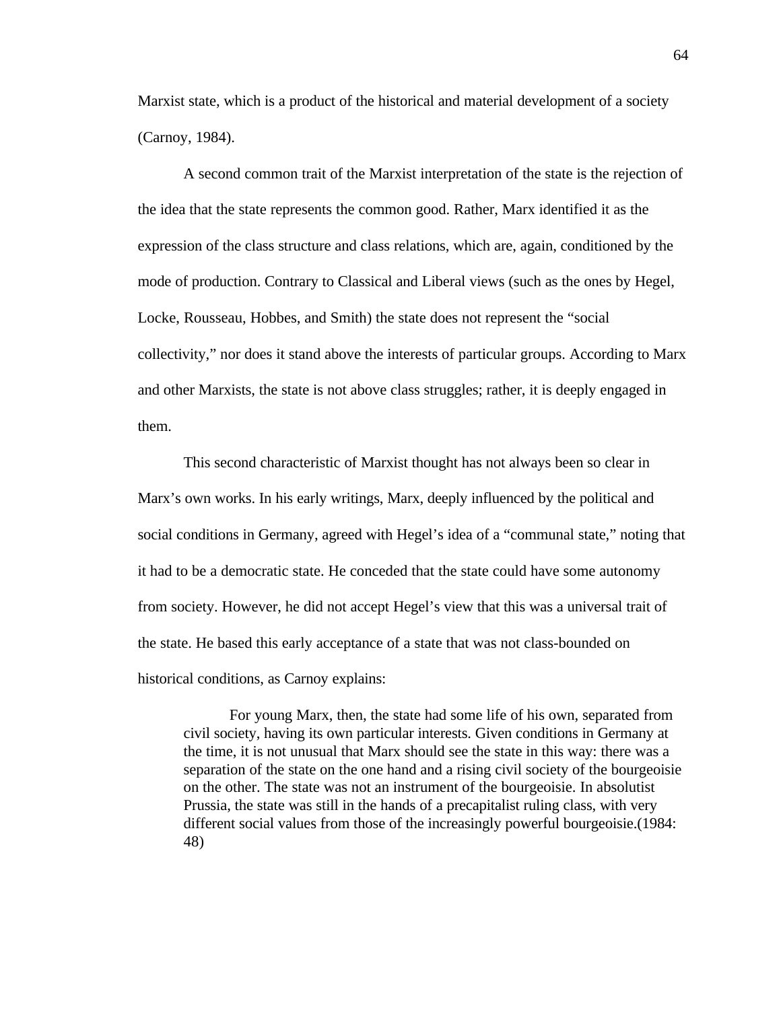Marxist state, which is a product of the historical and material development of a society (Carnoy, 1984).

A second common trait of the Marxist interpretation of the state is the rejection of the idea that the state represents the common good. Rather, Marx identified it as the expression of the class structure and class relations, which are, again, conditioned by the mode of production. Contrary to Classical and Liberal views (such as the ones by Hegel, Locke, Rousseau, Hobbes, and Smith) the state does not represent the "social collectivity," nor does it stand above the interests of particular groups. According to Marx and other Marxists, the state is not above class struggles; rather, it is deeply engaged in them.

This second characteristic of Marxist thought has not always been so clear in Marx's own works. In his early writings, Marx, deeply influenced by the political and social conditions in Germany, agreed with Hegel's idea of a "communal state," noting that it had to be a democratic state. He conceded that the state could have some autonomy from society. However, he did not accept Hegel's view that this was a universal trait of the state. He based this early acceptance of a state that was not class-bounded on historical conditions, as Carnoy explains:

For young Marx, then, the state had some life of his own, separated from civil society, having its own particular interests. Given conditions in Germany at the time, it is not unusual that Marx should see the state in this way: there was a separation of the state on the one hand and a rising civil society of the bourgeoisie on the other. The state was not an instrument of the bourgeoisie. In absolutist Prussia, the state was still in the hands of a precapitalist ruling class, with very different social values from those of the increasingly powerful bourgeoisie.(1984: 48)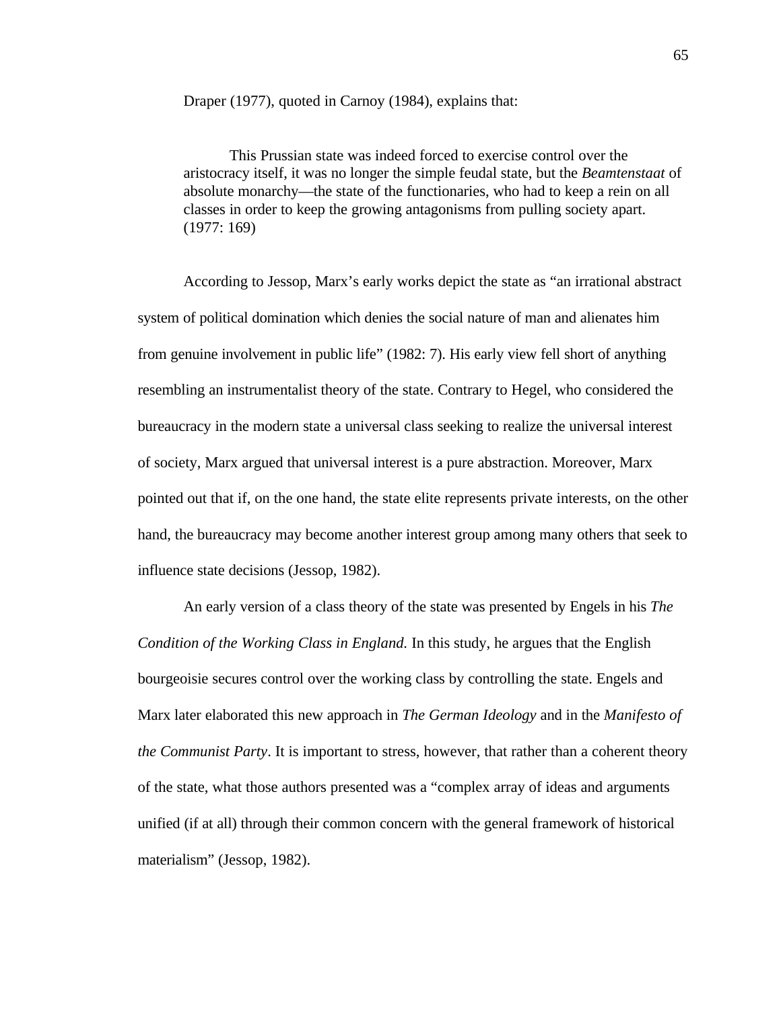Draper (1977), quoted in Carnoy (1984), explains that:

This Prussian state was indeed forced to exercise control over the aristocracy itself, it was no longer the simple feudal state, but the *Beamtenstaat* of absolute monarchy—the state of the functionaries, who had to keep a rein on all classes in order to keep the growing antagonisms from pulling society apart. (1977: 169)

According to Jessop, Marx's early works depict the state as "an irrational abstract system of political domination which denies the social nature of man and alienates him from genuine involvement in public life" (1982: 7). His early view fell short of anything resembling an instrumentalist theory of the state. Contrary to Hegel, who considered the bureaucracy in the modern state a universal class seeking to realize the universal interest of society, Marx argued that universal interest is a pure abstraction. Moreover, Marx pointed out that if, on the one hand, the state elite represents private interests, on the other hand, the bureaucracy may become another interest group among many others that seek to influence state decisions (Jessop, 1982).

An early version of a class theory of the state was presented by Engels in his *The Condition of the Working Class in England.* In this study, he argues that the English bourgeoisie secures control over the working class by controlling the state. Engels and Marx later elaborated this new approach in *The German Ideology* and in the *Manifesto of the Communist Party*. It is important to stress, however, that rather than a coherent theory of the state, what those authors presented was a "complex array of ideas and arguments unified (if at all) through their common concern with the general framework of historical materialism" (Jessop, 1982).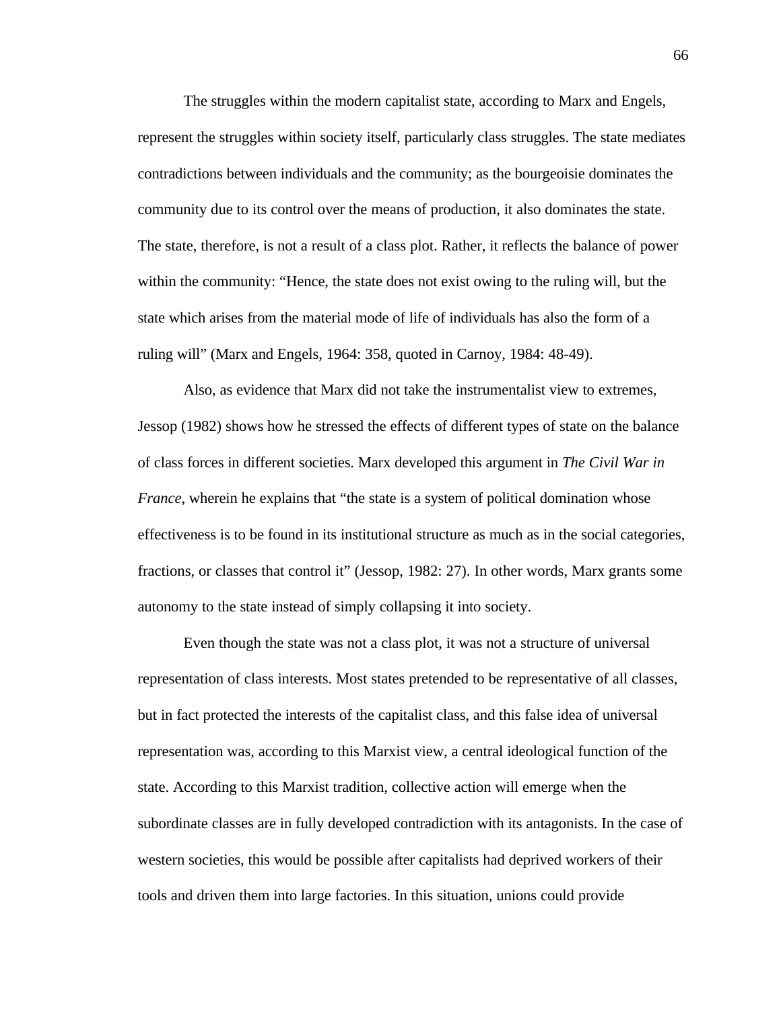The struggles within the modern capitalist state, according to Marx and Engels, represent the struggles within society itself, particularly class struggles. The state mediates contradictions between individuals and the community; as the bourgeoisie dominates the community due to its control over the means of production, it also dominates the state. The state, therefore, is not a result of a class plot. Rather, it reflects the balance of power within the community: "Hence, the state does not exist owing to the ruling will, but the state which arises from the material mode of life of individuals has also the form of a ruling will" (Marx and Engels, 1964: 358, quoted in Carnoy, 1984: 48-49).

Also, as evidence that Marx did not take the instrumentalist view to extremes, Jessop (1982) shows how he stressed the effects of different types of state on the balance of class forces in different societies. Marx developed this argument in *The Civil War in France*, wherein he explains that "the state is a system of political domination whose effectiveness is to be found in its institutional structure as much as in the social categories, fractions, or classes that control it" (Jessop, 1982: 27). In other words, Marx grants some autonomy to the state instead of simply collapsing it into society.

Even though the state was not a class plot, it was not a structure of universal representation of class interests. Most states pretended to be representative of all classes, but in fact protected the interests of the capitalist class, and this false idea of universal representation was, according to this Marxist view, a central ideological function of the state. According to this Marxist tradition, collective action will emerge when the subordinate classes are in fully developed contradiction with its antagonists. In the case of western societies, this would be possible after capitalists had deprived workers of their tools and driven them into large factories. In this situation, unions could provide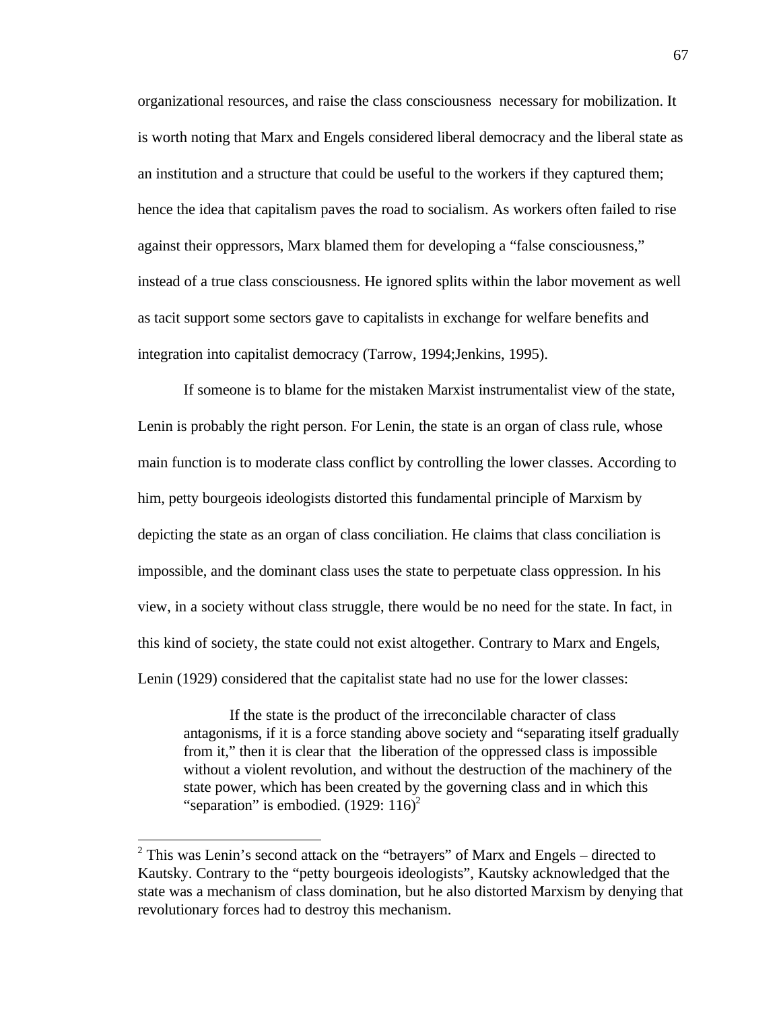organizational resources, and raise the class consciousness necessary for mobilization. It is worth noting that Marx and Engels considered liberal democracy and the liberal state as an institution and a structure that could be useful to the workers if they captured them; hence the idea that capitalism paves the road to socialism. As workers often failed to rise against their oppressors, Marx blamed them for developing a "false consciousness," instead of a true class consciousness. He ignored splits within the labor movement as well as tacit support some sectors gave to capitalists in exchange for welfare benefits and integration into capitalist democracy (Tarrow, 1994;Jenkins, 1995).

If someone is to blame for the mistaken Marxist instrumentalist view of the state, Lenin is probably the right person. For Lenin, the state is an organ of class rule, whose main function is to moderate class conflict by controlling the lower classes. According to him, petty bourgeois ideologists distorted this fundamental principle of Marxism by depicting the state as an organ of class conciliation. He claims that class conciliation is impossible, and the dominant class uses the state to perpetuate class oppression. In his view, in a society without class struggle, there would be no need for the state. In fact, in this kind of society, the state could not exist altogether. Contrary to Marx and Engels, Lenin (1929) considered that the capitalist state had no use for the lower classes:

If the state is the product of the irreconcilable character of class antagonisms, if it is a force standing above society and "separating itself gradually from it," then it is clear that the liberation of the oppressed class is impossible without a violent revolution, and without the destruction of the machinery of the state power, which has been created by the governing class and in which this "separation" is embodied.  $(1929: 116)^2$ 

 $\overline{a}$ 

 $2$  This was Lenin's second attack on the "betrayers" of Marx and Engels – directed to Kautsky. Contrary to the "petty bourgeois ideologists", Kautsky acknowledged that the state was a mechanism of class domination, but he also distorted Marxism by denying that revolutionary forces had to destroy this mechanism.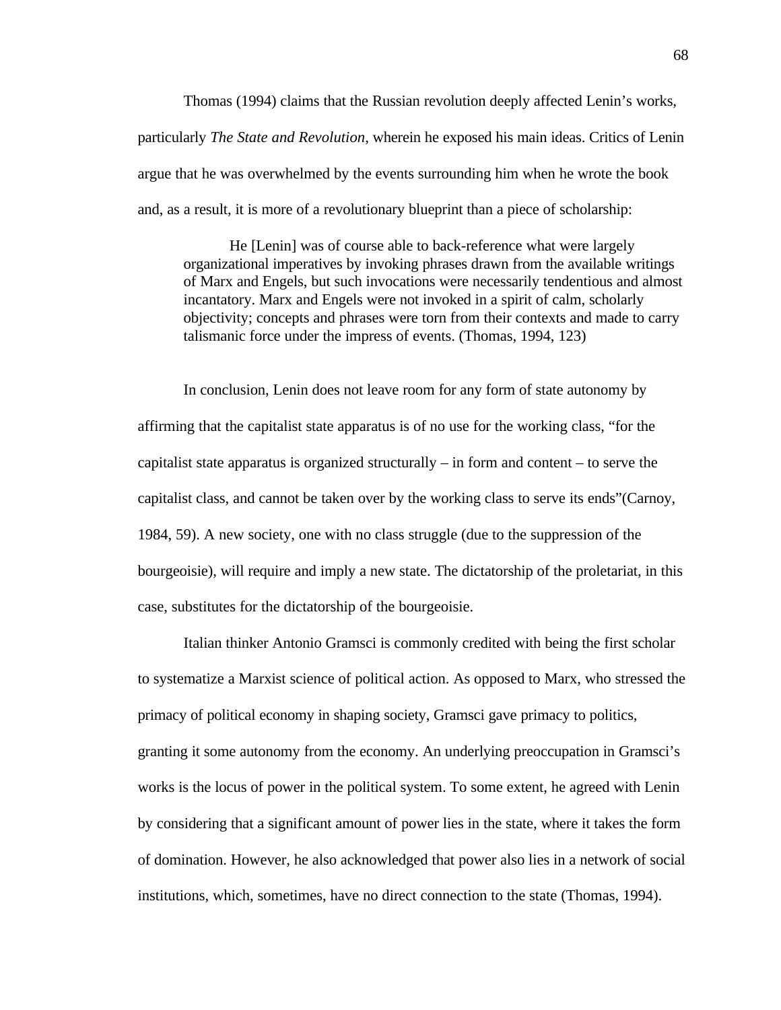Thomas (1994) claims that the Russian revolution deeply affected Lenin's works, particularly *The State and Revolution*, wherein he exposed his main ideas. Critics of Lenin argue that he was overwhelmed by the events surrounding him when he wrote the book and, as a result, it is more of a revolutionary blueprint than a piece of scholarship:

He [Lenin] was of course able to back-reference what were largely organizational imperatives by invoking phrases drawn from the available writings of Marx and Engels, but such invocations were necessarily tendentious and almost incantatory. Marx and Engels were not invoked in a spirit of calm, scholarly objectivity; concepts and phrases were torn from their contexts and made to carry talismanic force under the impress of events. (Thomas, 1994, 123)

In conclusion, Lenin does not leave room for any form of state autonomy by affirming that the capitalist state apparatus is of no use for the working class, "for the capitalist state apparatus is organized structurally – in form and content – to serve the capitalist class, and cannot be taken over by the working class to serve its ends"(Carnoy, 1984, 59). A new society, one with no class struggle (due to the suppression of the bourgeoisie), will require and imply a new state. The dictatorship of the proletariat, in this case, substitutes for the dictatorship of the bourgeoisie.

Italian thinker Antonio Gramsci is commonly credited with being the first scholar to systematize a Marxist science of political action. As opposed to Marx, who stressed the primacy of political economy in shaping society, Gramsci gave primacy to politics, granting it some autonomy from the economy. An underlying preoccupation in Gramsci's works is the locus of power in the political system. To some extent, he agreed with Lenin by considering that a significant amount of power lies in the state, where it takes the form of domination. However, he also acknowledged that power also lies in a network of social institutions, which, sometimes, have no direct connection to the state (Thomas, 1994).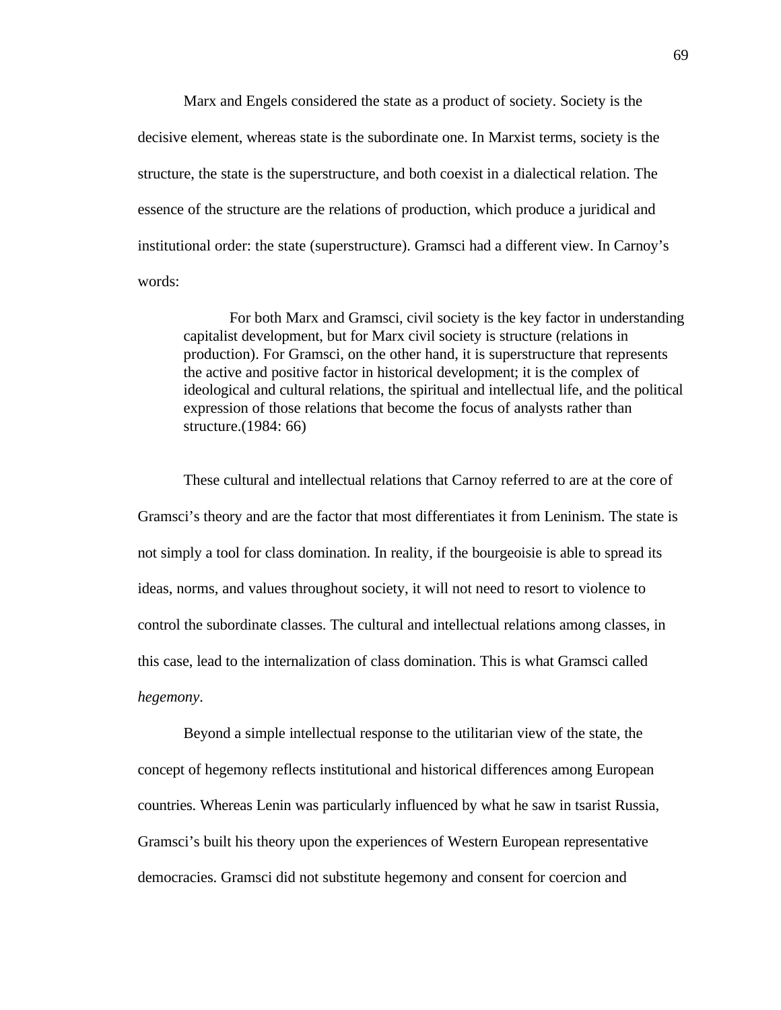Marx and Engels considered the state as a product of society. Society is the decisive element, whereas state is the subordinate one. In Marxist terms, society is the structure, the state is the superstructure, and both coexist in a dialectical relation. The essence of the structure are the relations of production, which produce a juridical and institutional order: the state (superstructure). Gramsci had a different view. In Carnoy's words:

For both Marx and Gramsci, civil society is the key factor in understanding capitalist development, but for Marx civil society is structure (relations in production). For Gramsci, on the other hand, it is superstructure that represents the active and positive factor in historical development; it is the complex of ideological and cultural relations, the spiritual and intellectual life, and the political expression of those relations that become the focus of analysts rather than structure.(1984: 66)

These cultural and intellectual relations that Carnoy referred to are at the core of Gramsci's theory and are the factor that most differentiates it from Leninism. The state is not simply a tool for class domination. In reality, if the bourgeoisie is able to spread its ideas, norms, and values throughout society, it will not need to resort to violence to control the subordinate classes. The cultural and intellectual relations among classes, in this case, lead to the internalization of class domination. This is what Gramsci called *hegemony*.

Beyond a simple intellectual response to the utilitarian view of the state, the concept of hegemony reflects institutional and historical differences among European countries. Whereas Lenin was particularly influenced by what he saw in tsarist Russia, Gramsci's built his theory upon the experiences of Western European representative democracies. Gramsci did not substitute hegemony and consent for coercion and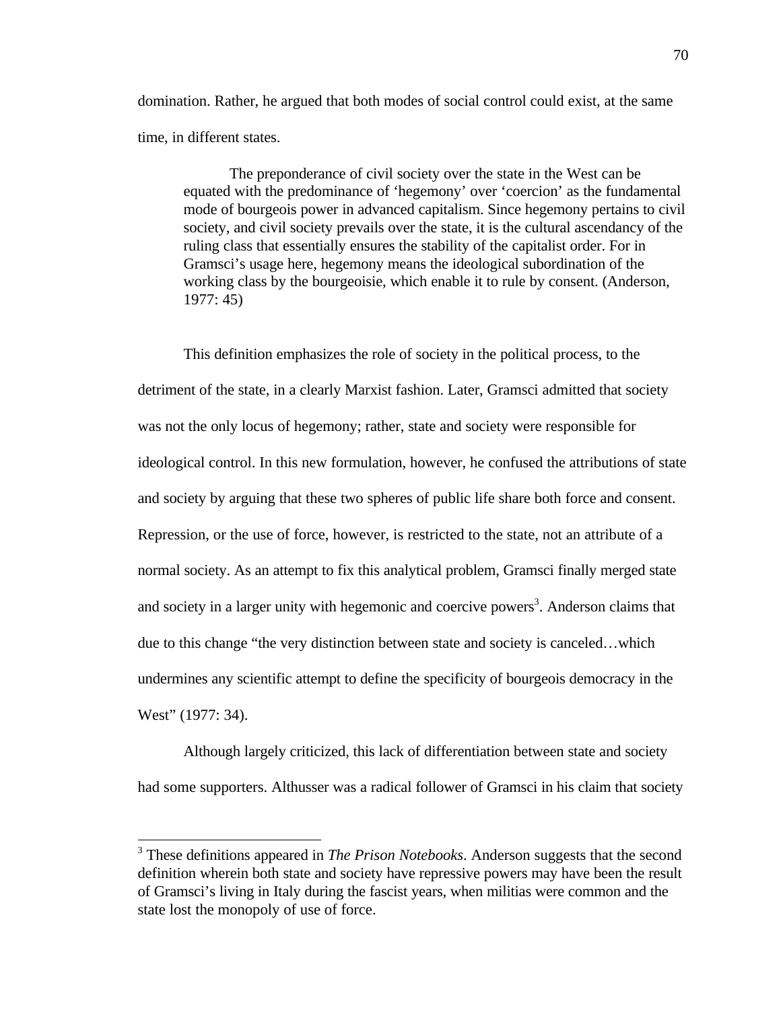domination. Rather, he argued that both modes of social control could exist, at the same time, in different states.

The preponderance of civil society over the state in the West can be equated with the predominance of 'hegemony' over 'coercion' as the fundamental mode of bourgeois power in advanced capitalism. Since hegemony pertains to civil society, and civil society prevails over the state, it is the cultural ascendancy of the ruling class that essentially ensures the stability of the capitalist order. For in Gramsci's usage here, hegemony means the ideological subordination of the working class by the bourgeoisie, which enable it to rule by consent. (Anderson, 1977: 45)

This definition emphasizes the role of society in the political process, to the detriment of the state, in a clearly Marxist fashion. Later, Gramsci admitted that society was not the only locus of hegemony; rather, state and society were responsible for ideological control. In this new formulation, however, he confused the attributions of state and society by arguing that these two spheres of public life share both force and consent. Repression, or the use of force, however, is restricted to the state, not an attribute of a normal society. As an attempt to fix this analytical problem, Gramsci finally merged state and society in a larger unity with hegemonic and coercive powers<sup>3</sup>. Anderson claims that due to this change "the very distinction between state and society is canceled…which undermines any scientific attempt to define the specificity of bourgeois democracy in the West" (1977: 34).

Although largely criticized, this lack of differentiation between state and society had some supporters. Althusser was a radical follower of Gramsci in his claim that society

 $\overline{a}$ 

<sup>&</sup>lt;sup>3</sup> These definitions appeared in *The Prison Notebooks*. Anderson suggests that the second definition wherein both state and society have repressive powers may have been the result of Gramsci's living in Italy during the fascist years, when militias were common and the state lost the monopoly of use of force.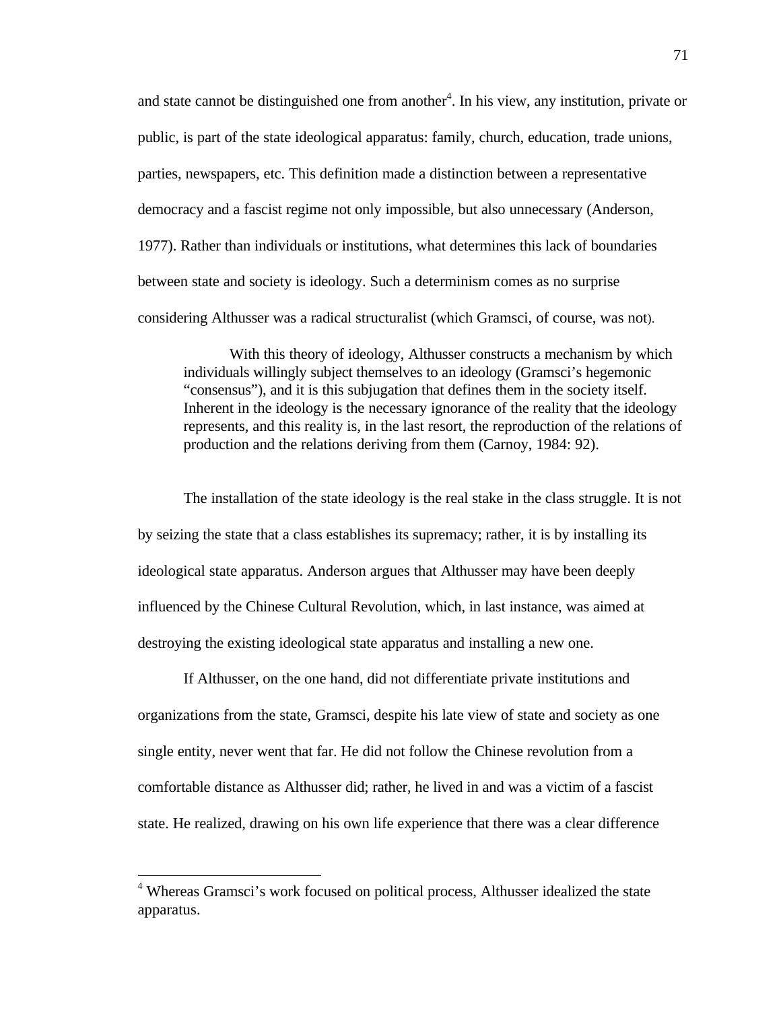and state cannot be distinguished one from another<sup>4</sup>. In his view, any institution, private or public, is part of the state ideological apparatus: family, church, education, trade unions, parties, newspapers, etc. This definition made a distinction between a representative democracy and a fascist regime not only impossible, but also unnecessary (Anderson, 1977). Rather than individuals or institutions, what determines this lack of boundaries between state and society is ideology. Such a determinism comes as no surprise considering Althusser was a radical structuralist (which Gramsci, of course, was not).

With this theory of ideology, Althusser constructs a mechanism by which individuals willingly subject themselves to an ideology (Gramsci's hegemonic "consensus"), and it is this subjugation that defines them in the society itself. Inherent in the ideology is the necessary ignorance of the reality that the ideology represents, and this reality is, in the last resort, the reproduction of the relations of production and the relations deriving from them (Carnoy, 1984: 92).

The installation of the state ideology is the real stake in the class struggle. It is not by seizing the state that a class establishes its supremacy; rather, it is by installing its ideological state apparatus. Anderson argues that Althusser may have been deeply influenced by the Chinese Cultural Revolution, which, in last instance, was aimed at destroying the existing ideological state apparatus and installing a new one.

If Althusser, on the one hand, did not differentiate private institutions and organizations from the state, Gramsci, despite his late view of state and society as one single entity, never went that far. He did not follow the Chinese revolution from a comfortable distance as Althusser did; rather, he lived in and was a victim of a fascist state. He realized, drawing on his own life experience that there was a clear difference

 $\overline{a}$ 

<sup>&</sup>lt;sup>4</sup> Whereas Gramsci's work focused on political process, Althusser idealized the state apparatus.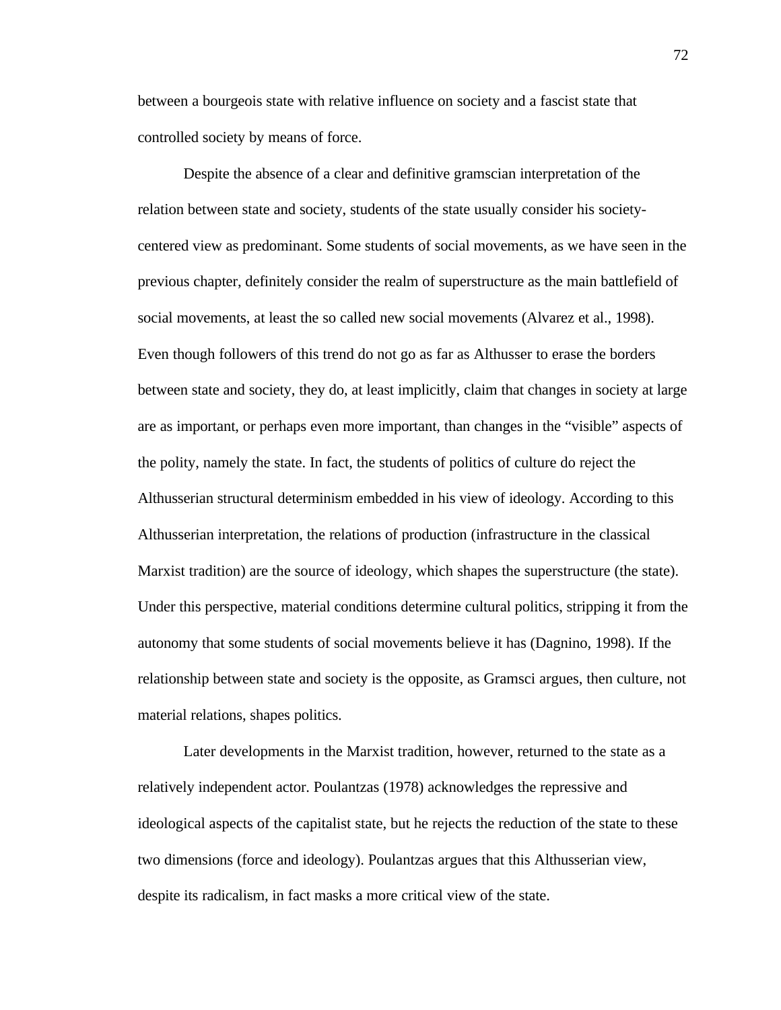between a bourgeois state with relative influence on society and a fascist state that controlled society by means of force.

Despite the absence of a clear and definitive gramscian interpretation of the relation between state and society, students of the state usually consider his societycentered view as predominant. Some students of social movements, as we have seen in the previous chapter, definitely consider the realm of superstructure as the main battlefield of social movements, at least the so called new social movements (Alvarez et al., 1998). Even though followers of this trend do not go as far as Althusser to erase the borders between state and society, they do, at least implicitly, claim that changes in society at large are as important, or perhaps even more important, than changes in the "visible" aspects of the polity, namely the state. In fact, the students of politics of culture do reject the Althusserian structural determinism embedded in his view of ideology. According to this Althusserian interpretation, the relations of production (infrastructure in the classical Marxist tradition) are the source of ideology, which shapes the superstructure (the state). Under this perspective, material conditions determine cultural politics, stripping it from the autonomy that some students of social movements believe it has (Dagnino, 1998). If the relationship between state and society is the opposite, as Gramsci argues, then culture, not material relations, shapes politics.

Later developments in the Marxist tradition, however, returned to the state as a relatively independent actor. Poulantzas (1978) acknowledges the repressive and ideological aspects of the capitalist state, but he rejects the reduction of the state to these two dimensions (force and ideology). Poulantzas argues that this Althusserian view, despite its radicalism, in fact masks a more critical view of the state.

72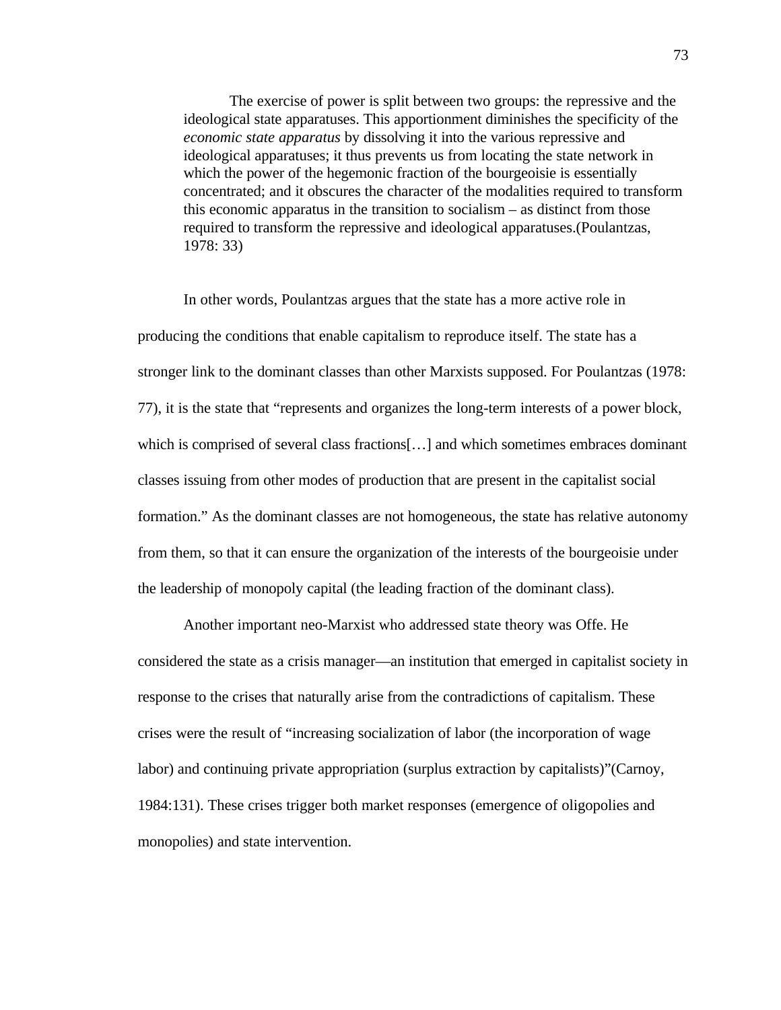The exercise of power is split between two groups: the repressive and the ideological state apparatuses. This apportionment diminishes the specificity of the *economic state apparatus* by dissolving it into the various repressive and ideological apparatuses; it thus prevents us from locating the state network in which the power of the hegemonic fraction of the bourgeoisie is essentially concentrated; and it obscures the character of the modalities required to transform this economic apparatus in the transition to socialism – as distinct from those required to transform the repressive and ideological apparatuses.(Poulantzas, 1978: 33)

In other words, Poulantzas argues that the state has a more active role in producing the conditions that enable capitalism to reproduce itself. The state has a stronger link to the dominant classes than other Marxists supposed. For Poulantzas (1978: 77), it is the state that "represents and organizes the long-term interests of a power block, which is comprised of several class fractions[...] and which sometimes embraces dominant classes issuing from other modes of production that are present in the capitalist social formation." As the dominant classes are not homogeneous, the state has relative autonomy from them, so that it can ensure the organization of the interests of the bourgeoisie under the leadership of monopoly capital (the leading fraction of the dominant class).

Another important neo-Marxist who addressed state theory was Offe. He considered the state as a crisis manager—an institution that emerged in capitalist society in response to the crises that naturally arise from the contradictions of capitalism. These crises were the result of "increasing socialization of labor (the incorporation of wage labor) and continuing private appropriation (surplus extraction by capitalists)"(Carnoy, 1984:131). These crises trigger both market responses (emergence of oligopolies and monopolies) and state intervention.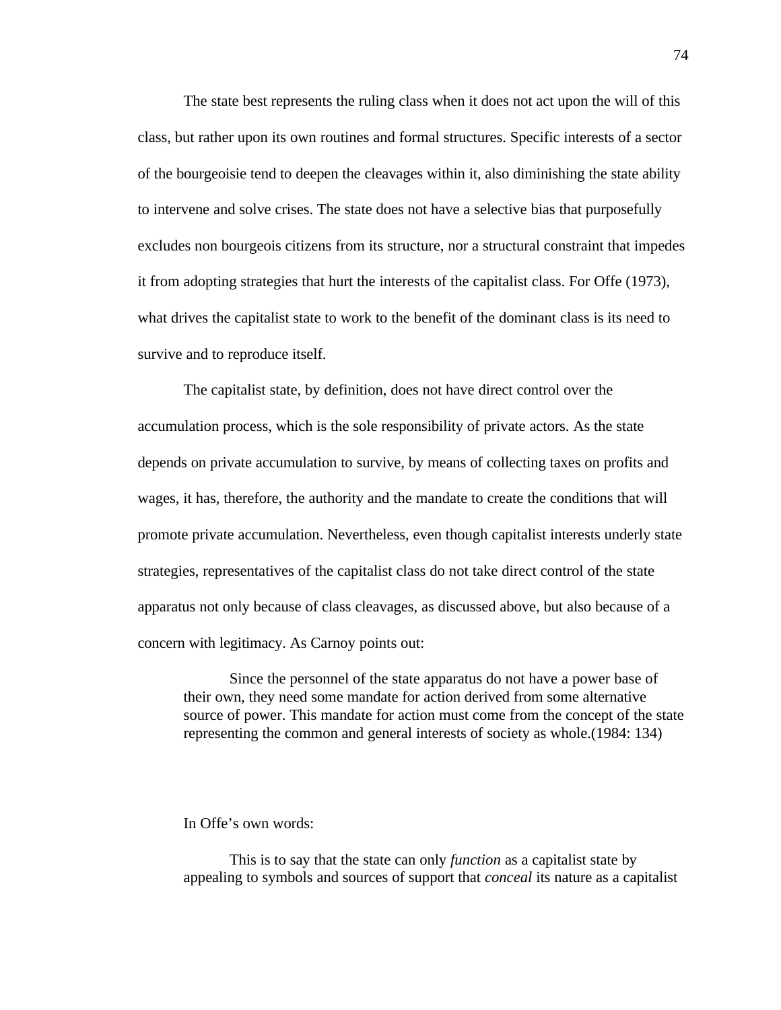The state best represents the ruling class when it does not act upon the will of this class, but rather upon its own routines and formal structures. Specific interests of a sector of the bourgeoisie tend to deepen the cleavages within it, also diminishing the state ability to intervene and solve crises. The state does not have a selective bias that purposefully excludes non bourgeois citizens from its structure, nor a structural constraint that impedes it from adopting strategies that hurt the interests of the capitalist class. For Offe (1973), what drives the capitalist state to work to the benefit of the dominant class is its need to survive and to reproduce itself.

The capitalist state, by definition, does not have direct control over the accumulation process, which is the sole responsibility of private actors. As the state depends on private accumulation to survive, by means of collecting taxes on profits and wages, it has, therefore, the authority and the mandate to create the conditions that will promote private accumulation. Nevertheless, even though capitalist interests underly state strategies, representatives of the capitalist class do not take direct control of the state apparatus not only because of class cleavages, as discussed above, but also because of a concern with legitimacy. As Carnoy points out:

Since the personnel of the state apparatus do not have a power base of their own, they need some mandate for action derived from some alternative source of power. This mandate for action must come from the concept of the state representing the common and general interests of society as whole.(1984: 134)

In Offe's own words:

This is to say that the state can only *function* as a capitalist state by appealing to symbols and sources of support that *conceal* its nature as a capitalist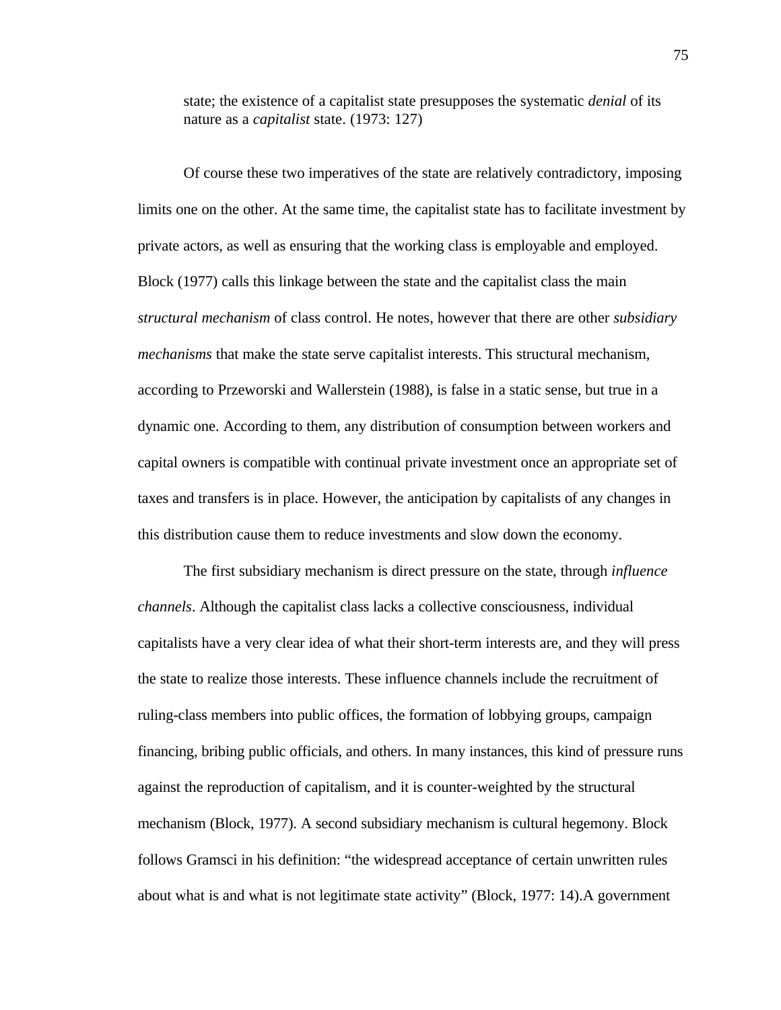state; the existence of a capitalist state presupposes the systematic *denial* of its nature as a *capitalist* state. (1973: 127)

Of course these two imperatives of the state are relatively contradictory, imposing limits one on the other. At the same time, the capitalist state has to facilitate investment by private actors, as well as ensuring that the working class is employable and employed. Block (1977) calls this linkage between the state and the capitalist class the main *structural mechanism* of class control. He notes, however that there are other *subsidiary mechanisms* that make the state serve capitalist interests. This structural mechanism, according to Przeworski and Wallerstein (1988), is false in a static sense, but true in a dynamic one. According to them, any distribution of consumption between workers and capital owners is compatible with continual private investment once an appropriate set of taxes and transfers is in place. However, the anticipation by capitalists of any changes in this distribution cause them to reduce investments and slow down the economy.

The first subsidiary mechanism is direct pressure on the state, through *influence channels*. Although the capitalist class lacks a collective consciousness, individual capitalists have a very clear idea of what their short-term interests are, and they will press the state to realize those interests. These influence channels include the recruitment of ruling-class members into public offices, the formation of lobbying groups, campaign financing, bribing public officials, and others. In many instances, this kind of pressure runs against the reproduction of capitalism, and it is counter-weighted by the structural mechanism (Block, 1977). A second subsidiary mechanism is cultural hegemony. Block follows Gramsci in his definition: "the widespread acceptance of certain unwritten rules about what is and what is not legitimate state activity" (Block, 1977: 14).A government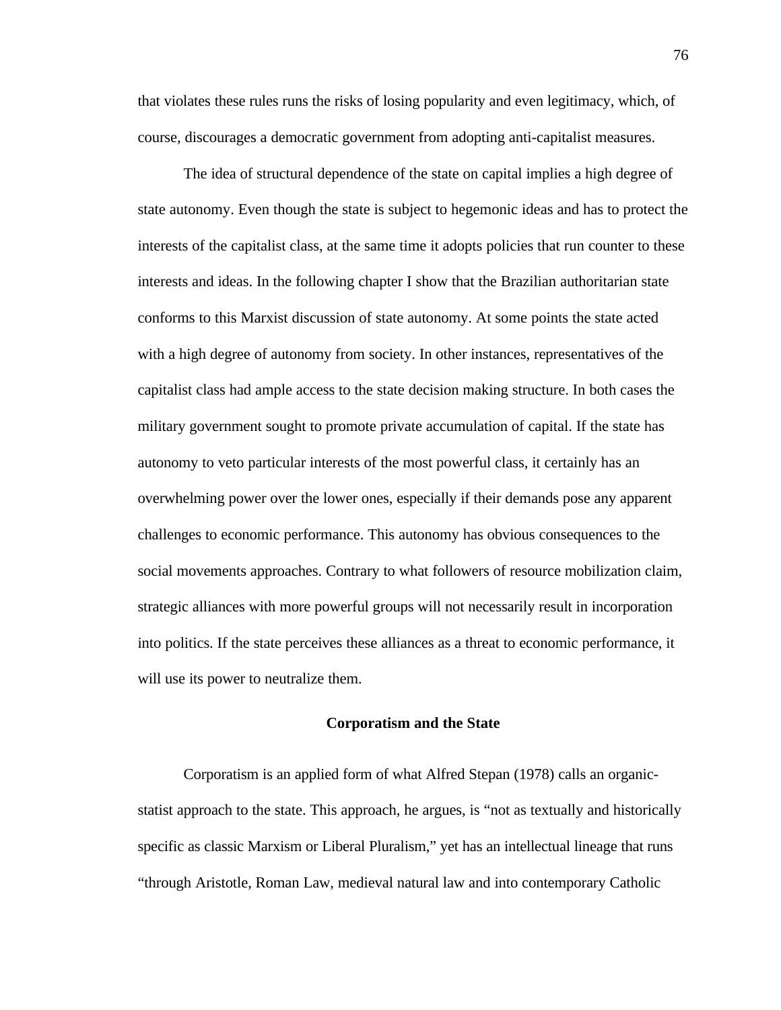that violates these rules runs the risks of losing popularity and even legitimacy, which, of course, discourages a democratic government from adopting anti-capitalist measures.

The idea of structural dependence of the state on capital implies a high degree of state autonomy. Even though the state is subject to hegemonic ideas and has to protect the interests of the capitalist class, at the same time it adopts policies that run counter to these interests and ideas. In the following chapter I show that the Brazilian authoritarian state conforms to this Marxist discussion of state autonomy. At some points the state acted with a high degree of autonomy from society. In other instances, representatives of the capitalist class had ample access to the state decision making structure. In both cases the military government sought to promote private accumulation of capital. If the state has autonomy to veto particular interests of the most powerful class, it certainly has an overwhelming power over the lower ones, especially if their demands pose any apparent challenges to economic performance. This autonomy has obvious consequences to the social movements approaches. Contrary to what followers of resource mobilization claim, strategic alliances with more powerful groups will not necessarily result in incorporation into politics. If the state perceives these alliances as a threat to economic performance, it will use its power to neutralize them.

## **Corporatism and the State**

Corporatism is an applied form of what Alfred Stepan (1978) calls an organicstatist approach to the state. This approach, he argues, is "not as textually and historically specific as classic Marxism or Liberal Pluralism," yet has an intellectual lineage that runs "through Aristotle, Roman Law, medieval natural law and into contemporary Catholic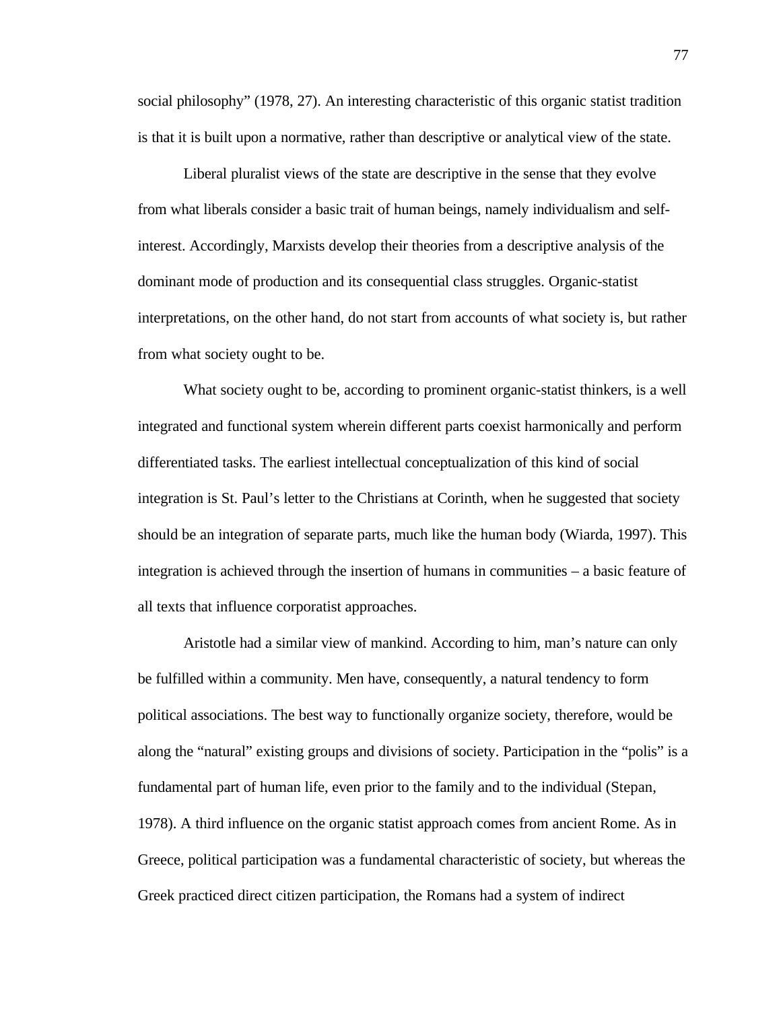social philosophy" (1978, 27). An interesting characteristic of this organic statist tradition is that it is built upon a normative, rather than descriptive or analytical view of the state.

Liberal pluralist views of the state are descriptive in the sense that they evolve from what liberals consider a basic trait of human beings, namely individualism and selfinterest. Accordingly, Marxists develop their theories from a descriptive analysis of the dominant mode of production and its consequential class struggles. Organic-statist interpretations, on the other hand, do not start from accounts of what society is, but rather from what society ought to be.

What society ought to be, according to prominent organic-statist thinkers, is a well integrated and functional system wherein different parts coexist harmonically and perform differentiated tasks. The earliest intellectual conceptualization of this kind of social integration is St. Paul's letter to the Christians at Corinth, when he suggested that society should be an integration of separate parts, much like the human body (Wiarda, 1997). This integration is achieved through the insertion of humans in communities – a basic feature of all texts that influence corporatist approaches.

Aristotle had a similar view of mankind. According to him, man's nature can only be fulfilled within a community. Men have, consequently, a natural tendency to form political associations. The best way to functionally organize society, therefore, would be along the "natural" existing groups and divisions of society. Participation in the "polis" is a fundamental part of human life, even prior to the family and to the individual (Stepan, 1978). A third influence on the organic statist approach comes from ancient Rome. As in Greece, political participation was a fundamental characteristic of society, but whereas the Greek practiced direct citizen participation, the Romans had a system of indirect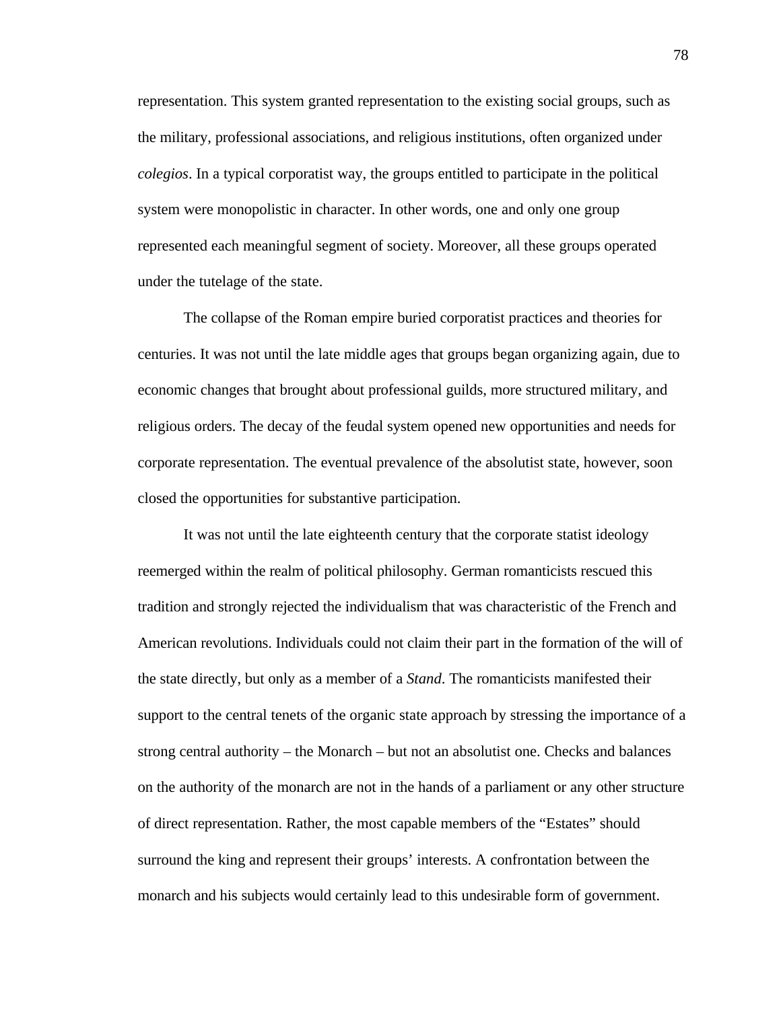representation. This system granted representation to the existing social groups, such as the military, professional associations, and religious institutions, often organized under *colegios*. In a typical corporatist way, the groups entitled to participate in the political system were monopolistic in character. In other words, one and only one group represented each meaningful segment of society. Moreover, all these groups operated under the tutelage of the state.

The collapse of the Roman empire buried corporatist practices and theories for centuries. It was not until the late middle ages that groups began organizing again, due to economic changes that brought about professional guilds, more structured military, and religious orders. The decay of the feudal system opened new opportunities and needs for corporate representation. The eventual prevalence of the absolutist state, however, soon closed the opportunities for substantive participation.

It was not until the late eighteenth century that the corporate statist ideology reemerged within the realm of political philosophy. German romanticists rescued this tradition and strongly rejected the individualism that was characteristic of the French and American revolutions. Individuals could not claim their part in the formation of the will of the state directly, but only as a member of a *Stand*. The romanticists manifested their support to the central tenets of the organic state approach by stressing the importance of a strong central authority – the Monarch – but not an absolutist one. Checks and balances on the authority of the monarch are not in the hands of a parliament or any other structure of direct representation. Rather, the most capable members of the "Estates" should surround the king and represent their groups' interests. A confrontation between the monarch and his subjects would certainly lead to this undesirable form of government.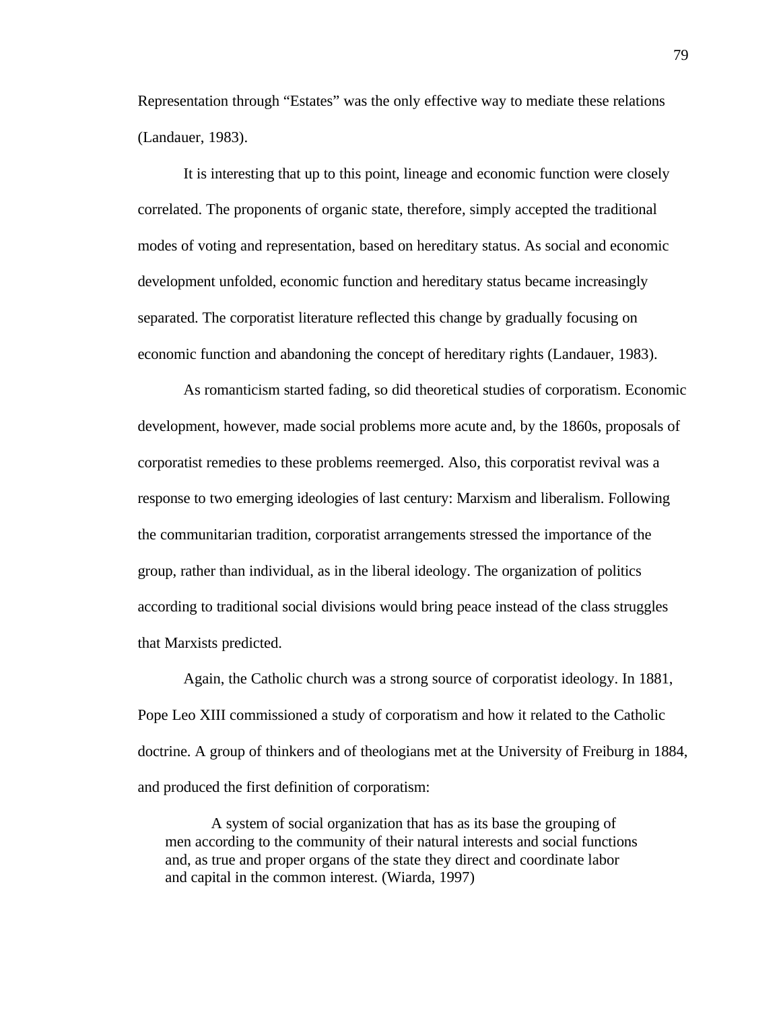Representation through "Estates" was the only effective way to mediate these relations (Landauer, 1983).

It is interesting that up to this point, lineage and economic function were closely correlated. The proponents of organic state, therefore, simply accepted the traditional modes of voting and representation, based on hereditary status. As social and economic development unfolded, economic function and hereditary status became increasingly separated. The corporatist literature reflected this change by gradually focusing on economic function and abandoning the concept of hereditary rights (Landauer, 1983).

As romanticism started fading, so did theoretical studies of corporatism. Economic development, however, made social problems more acute and, by the 1860s, proposals of corporatist remedies to these problems reemerged. Also, this corporatist revival was a response to two emerging ideologies of last century: Marxism and liberalism. Following the communitarian tradition, corporatist arrangements stressed the importance of the group, rather than individual, as in the liberal ideology. The organization of politics according to traditional social divisions would bring peace instead of the class struggles that Marxists predicted.

Again, the Catholic church was a strong source of corporatist ideology. In 1881, Pope Leo XIII commissioned a study of corporatism and how it related to the Catholic doctrine. A group of thinkers and of theologians met at the University of Freiburg in 1884, and produced the first definition of corporatism:

A system of social organization that has as its base the grouping of men according to the community of their natural interests and social functions and, as true and proper organs of the state they direct and coordinate labor and capital in the common interest. (Wiarda, 1997)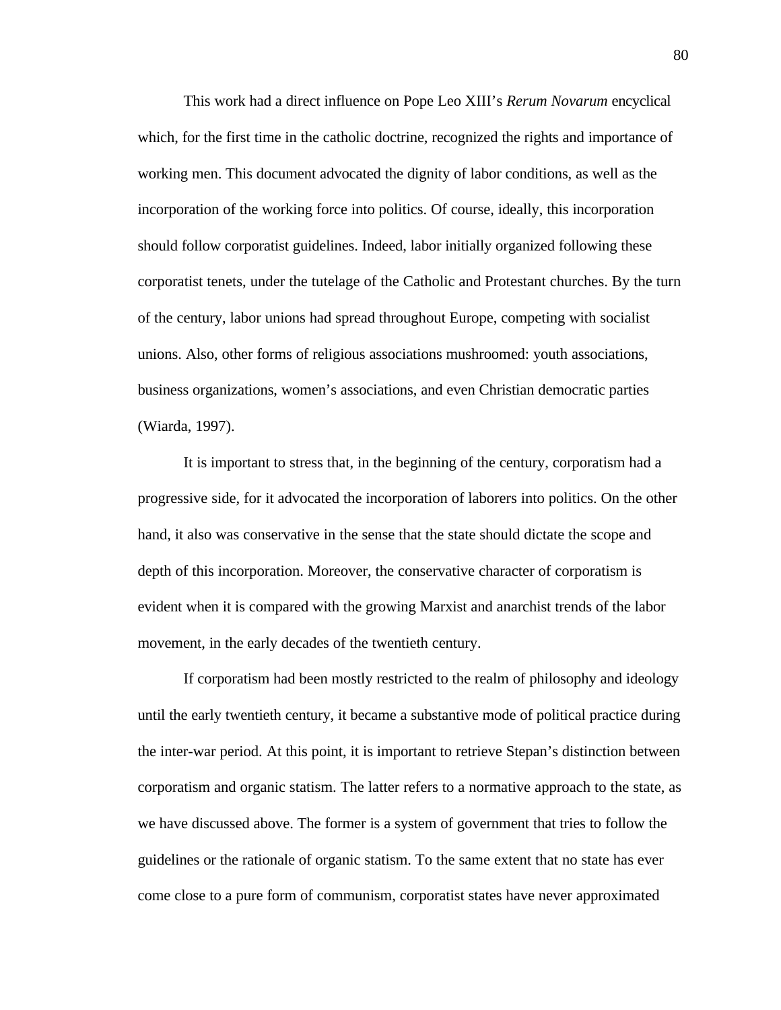This work had a direct influence on Pope Leo XIII's *Rerum Novarum* encyclical which, for the first time in the catholic doctrine, recognized the rights and importance of working men. This document advocated the dignity of labor conditions, as well as the incorporation of the working force into politics. Of course, ideally, this incorporation should follow corporatist guidelines. Indeed, labor initially organized following these corporatist tenets, under the tutelage of the Catholic and Protestant churches. By the turn of the century, labor unions had spread throughout Europe, competing with socialist unions. Also, other forms of religious associations mushroomed: youth associations, business organizations, women's associations, and even Christian democratic parties (Wiarda, 1997).

It is important to stress that, in the beginning of the century, corporatism had a progressive side, for it advocated the incorporation of laborers into politics. On the other hand, it also was conservative in the sense that the state should dictate the scope and depth of this incorporation. Moreover, the conservative character of corporatism is evident when it is compared with the growing Marxist and anarchist trends of the labor movement, in the early decades of the twentieth century.

If corporatism had been mostly restricted to the realm of philosophy and ideology until the early twentieth century, it became a substantive mode of political practice during the inter-war period. At this point, it is important to retrieve Stepan's distinction between corporatism and organic statism. The latter refers to a normative approach to the state, as we have discussed above. The former is a system of government that tries to follow the guidelines or the rationale of organic statism. To the same extent that no state has ever come close to a pure form of communism, corporatist states have never approximated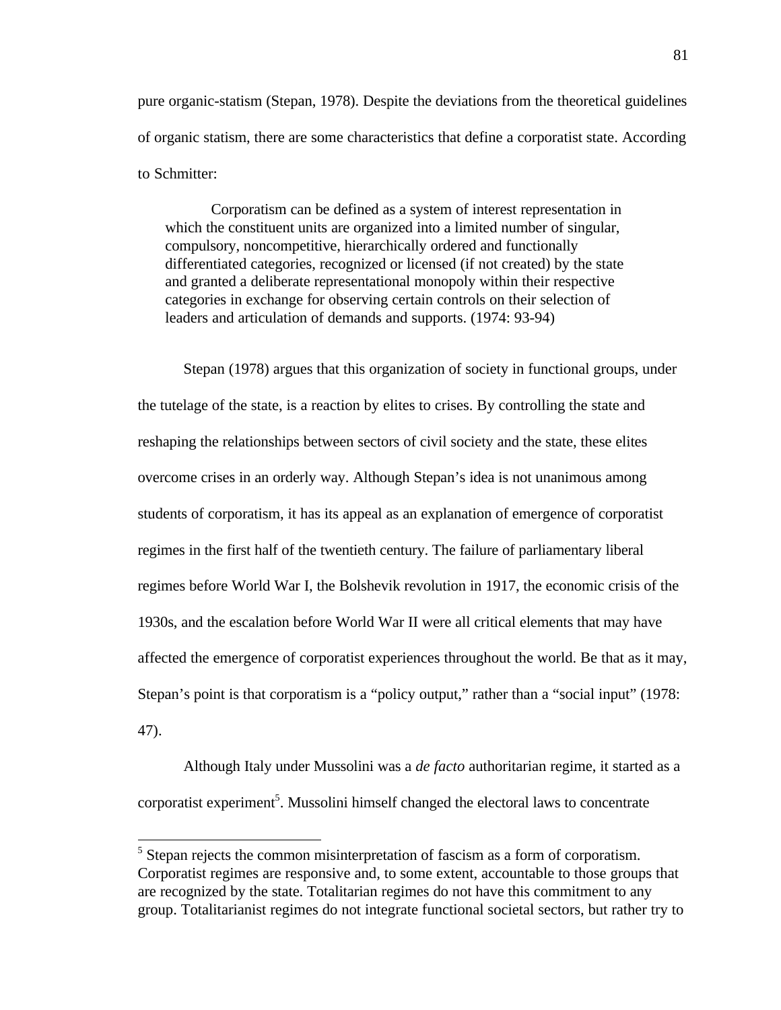pure organic-statism (Stepan, 1978). Despite the deviations from the theoretical guidelines of organic statism, there are some characteristics that define a corporatist state. According to Schmitter:

Corporatism can be defined as a system of interest representation in which the constituent units are organized into a limited number of singular, compulsory, noncompetitive, hierarchically ordered and functionally differentiated categories, recognized or licensed (if not created) by the state and granted a deliberate representational monopoly within their respective categories in exchange for observing certain controls on their selection of leaders and articulation of demands and supports. (1974: 93-94)

Stepan (1978) argues that this organization of society in functional groups, under the tutelage of the state, is a reaction by elites to crises. By controlling the state and reshaping the relationships between sectors of civil society and the state, these elites overcome crises in an orderly way. Although Stepan's idea is not unanimous among students of corporatism, it has its appeal as an explanation of emergence of corporatist regimes in the first half of the twentieth century. The failure of parliamentary liberal regimes before World War I, the Bolshevik revolution in 1917, the economic crisis of the 1930s, and the escalation before World War II were all critical elements that may have affected the emergence of corporatist experiences throughout the world. Be that as it may, Stepan's point is that corporatism is a "policy output," rather than a "social input" (1978: 47).

Although Italy under Mussolini was a *de facto* authoritarian regime, it started as a corporatist experiment<sup>5</sup>. Mussolini himself changed the electoral laws to concentrate

-

<sup>&</sup>lt;sup>5</sup> Stepan rejects the common misinterpretation of fascism as a form of corporatism. Corporatist regimes are responsive and, to some extent, accountable to those groups that are recognized by the state. Totalitarian regimes do not have this commitment to any group. Totalitarianist regimes do not integrate functional societal sectors, but rather try to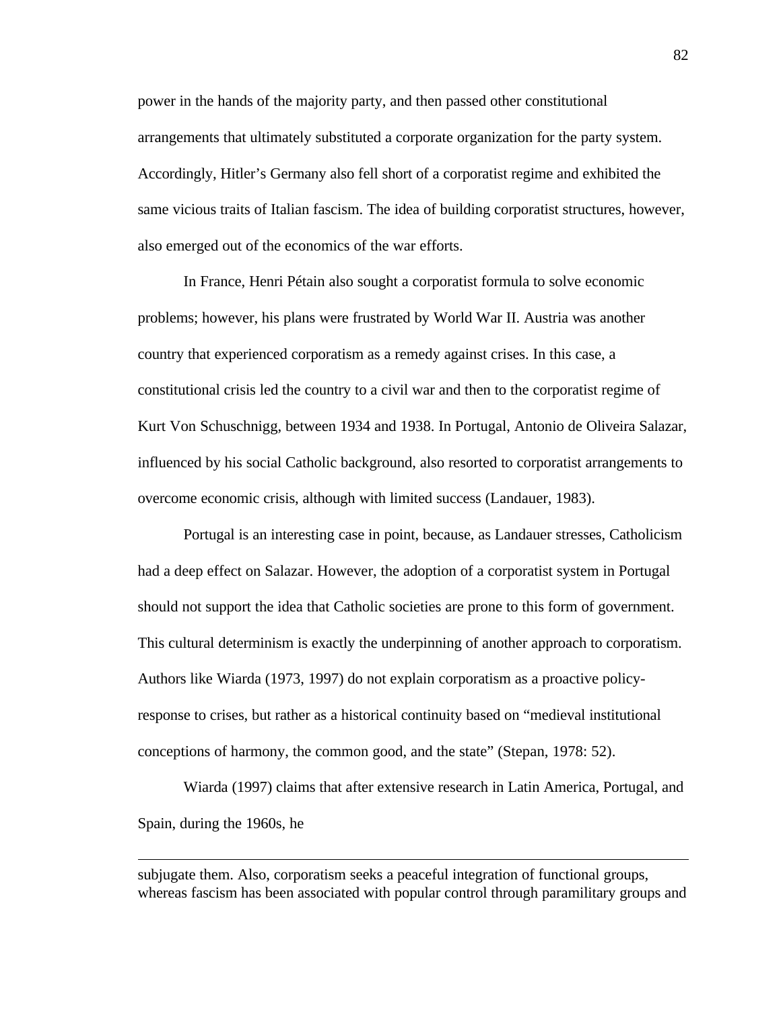power in the hands of the majority party, and then passed other constitutional arrangements that ultimately substituted a corporate organization for the party system. Accordingly, Hitler's Germany also fell short of a corporatist regime and exhibited the same vicious traits of Italian fascism. The idea of building corporatist structures, however, also emerged out of the economics of the war efforts.

In France, Henri Pétain also sought a corporatist formula to solve economic problems; however, his plans were frustrated by World War II. Austria was another country that experienced corporatism as a remedy against crises. In this case, a constitutional crisis led the country to a civil war and then to the corporatist regime of Kurt Von Schuschnigg, between 1934 and 1938. In Portugal, Antonio de Oliveira Salazar, influenced by his social Catholic background, also resorted to corporatist arrangements to overcome economic crisis, although with limited success (Landauer, 1983).

Portugal is an interesting case in point, because, as Landauer stresses, Catholicism had a deep effect on Salazar. However, the adoption of a corporatist system in Portugal should not support the idea that Catholic societies are prone to this form of government. This cultural determinism is exactly the underpinning of another approach to corporatism. Authors like Wiarda (1973, 1997) do not explain corporatism as a proactive policyresponse to crises, but rather as a historical continuity based on "medieval institutional conceptions of harmony, the common good, and the state" (Stepan, 1978: 52).

Wiarda (1997) claims that after extensive research in Latin America, Portugal, and Spain, during the 1960s, he

subjugate them. Also, corporatism seeks a peaceful integration of functional groups, whereas fascism has been associated with popular control through paramilitary groups and

-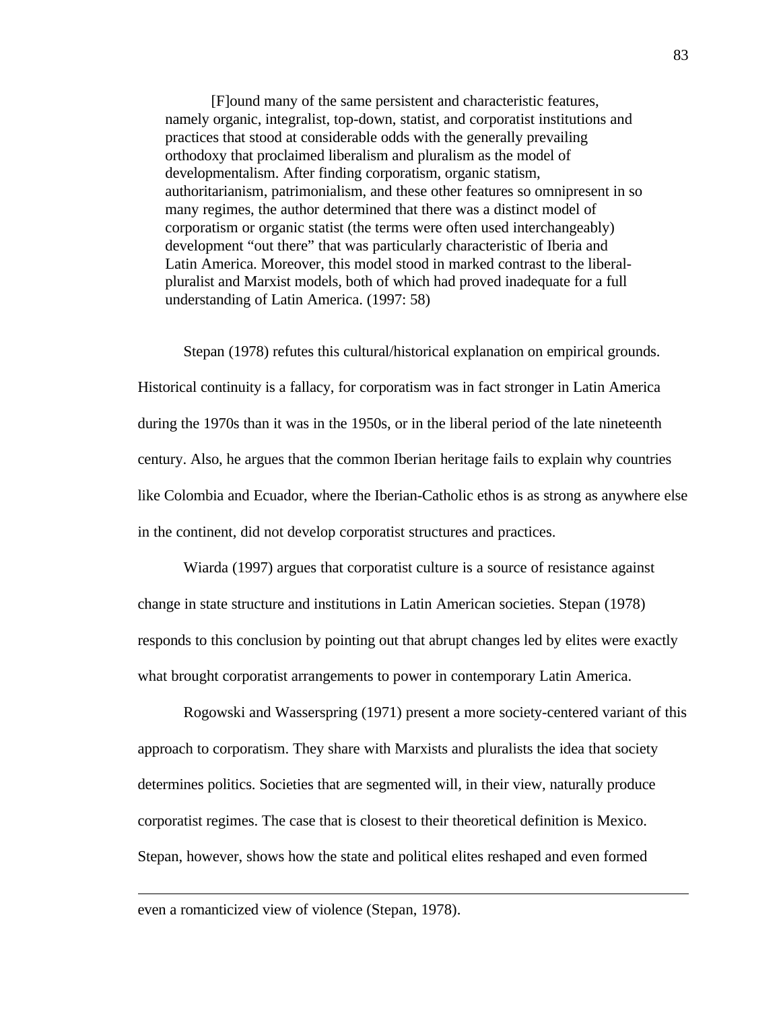[F]ound many of the same persistent and characteristic features, namely organic, integralist, top-down, statist, and corporatist institutions and practices that stood at considerable odds with the generally prevailing orthodoxy that proclaimed liberalism and pluralism as the model of developmentalism. After finding corporatism, organic statism, authoritarianism, patrimonialism, and these other features so omnipresent in so many regimes, the author determined that there was a distinct model of corporatism or organic statist (the terms were often used interchangeably) development "out there" that was particularly characteristic of Iberia and Latin America. Moreover, this model stood in marked contrast to the liberalpluralist and Marxist models, both of which had proved inadequate for a full understanding of Latin America. (1997: 58)

Stepan (1978) refutes this cultural/historical explanation on empirical grounds. Historical continuity is a fallacy, for corporatism was in fact stronger in Latin America during the 1970s than it was in the 1950s, or in the liberal period of the late nineteenth century. Also, he argues that the common Iberian heritage fails to explain why countries like Colombia and Ecuador, where the Iberian-Catholic ethos is as strong as anywhere else in the continent, did not develop corporatist structures and practices.

Wiarda (1997) argues that corporatist culture is a source of resistance against change in state structure and institutions in Latin American societies. Stepan (1978) responds to this conclusion by pointing out that abrupt changes led by elites were exactly what brought corporatist arrangements to power in contemporary Latin America.

Rogowski and Wasserspring (1971) present a more society-centered variant of this approach to corporatism. They share with Marxists and pluralists the idea that society determines politics. Societies that are segmented will, in their view, naturally produce corporatist regimes. The case that is closest to their theoretical definition is Mexico. Stepan, however, shows how the state and political elites reshaped and even formed

even a romanticized view of violence (Stepan, 1978).

 $\overline{a}$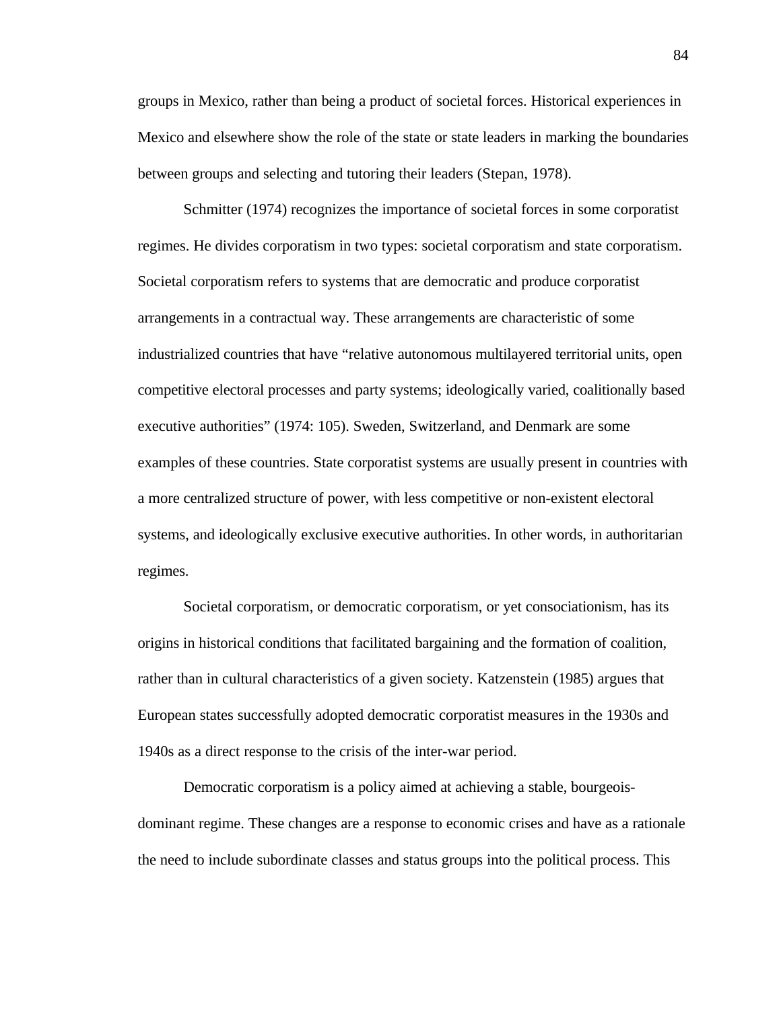groups in Mexico, rather than being a product of societal forces. Historical experiences in Mexico and elsewhere show the role of the state or state leaders in marking the boundaries between groups and selecting and tutoring their leaders (Stepan, 1978).

Schmitter (1974) recognizes the importance of societal forces in some corporatist regimes. He divides corporatism in two types: societal corporatism and state corporatism. Societal corporatism refers to systems that are democratic and produce corporatist arrangements in a contractual way. These arrangements are characteristic of some industrialized countries that have "relative autonomous multilayered territorial units, open competitive electoral processes and party systems; ideologically varied, coalitionally based executive authorities" (1974: 105). Sweden, Switzerland, and Denmark are some examples of these countries. State corporatist systems are usually present in countries with a more centralized structure of power, with less competitive or non-existent electoral systems, and ideologically exclusive executive authorities. In other words, in authoritarian regimes.

Societal corporatism, or democratic corporatism, or yet consociationism, has its origins in historical conditions that facilitated bargaining and the formation of coalition, rather than in cultural characteristics of a given society. Katzenstein (1985) argues that European states successfully adopted democratic corporatist measures in the 1930s and 1940s as a direct response to the crisis of the inter-war period.

Democratic corporatism is a policy aimed at achieving a stable, bourgeoisdominant regime. These changes are a response to economic crises and have as a rationale the need to include subordinate classes and status groups into the political process. This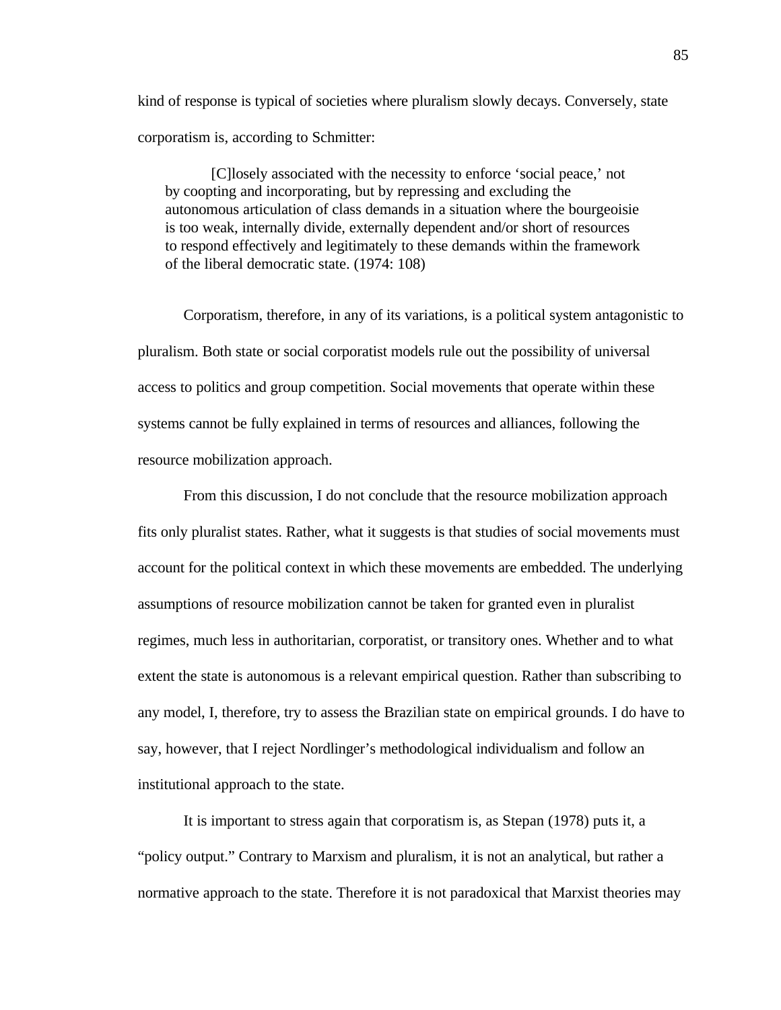kind of response is typical of societies where pluralism slowly decays. Conversely, state corporatism is, according to Schmitter:

[C]losely associated with the necessity to enforce 'social peace,' not by coopting and incorporating, but by repressing and excluding the autonomous articulation of class demands in a situation where the bourgeoisie is too weak, internally divide, externally dependent and/or short of resources to respond effectively and legitimately to these demands within the framework of the liberal democratic state. (1974: 108)

Corporatism, therefore, in any of its variations, is a political system antagonistic to pluralism. Both state or social corporatist models rule out the possibility of universal access to politics and group competition. Social movements that operate within these systems cannot be fully explained in terms of resources and alliances, following the resource mobilization approach.

From this discussion, I do not conclude that the resource mobilization approach fits only pluralist states. Rather, what it suggests is that studies of social movements must account for the political context in which these movements are embedded. The underlying assumptions of resource mobilization cannot be taken for granted even in pluralist regimes, much less in authoritarian, corporatist, or transitory ones. Whether and to what extent the state is autonomous is a relevant empirical question. Rather than subscribing to any model, I, therefore, try to assess the Brazilian state on empirical grounds. I do have to say, however, that I reject Nordlinger's methodological individualism and follow an institutional approach to the state.

It is important to stress again that corporatism is, as Stepan (1978) puts it, a "policy output." Contrary to Marxism and pluralism, it is not an analytical, but rather a normative approach to the state. Therefore it is not paradoxical that Marxist theories may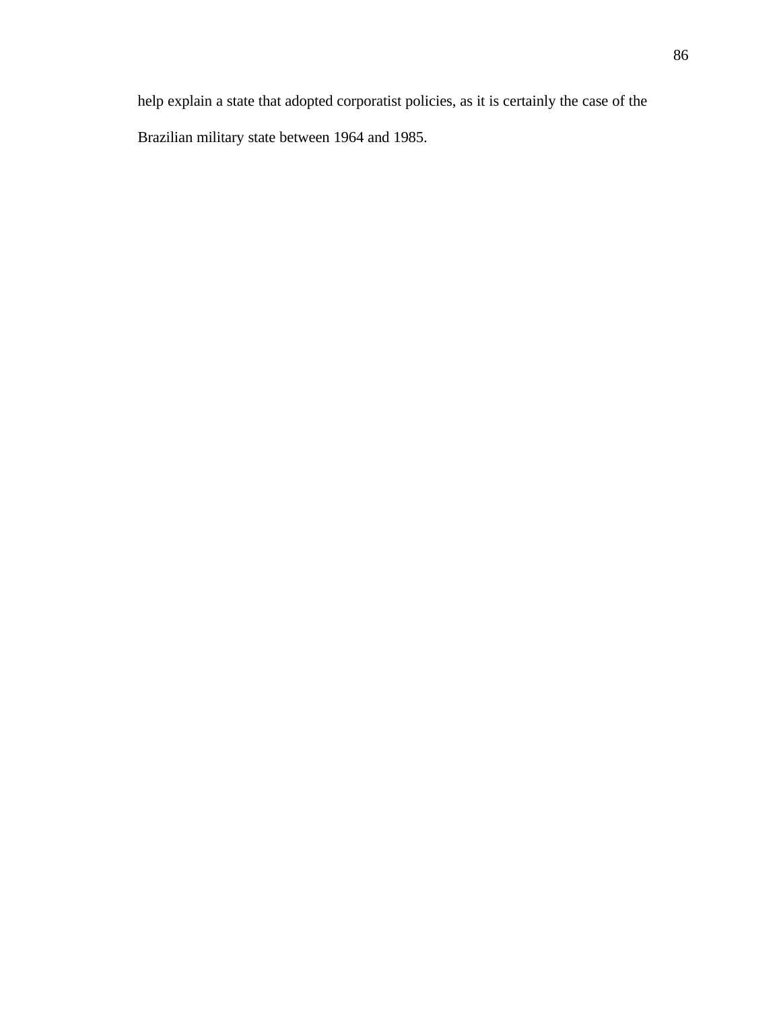help explain a state that adopted corporatist policies, as it is certainly the case of the Brazilian military state between 1964 and 1985.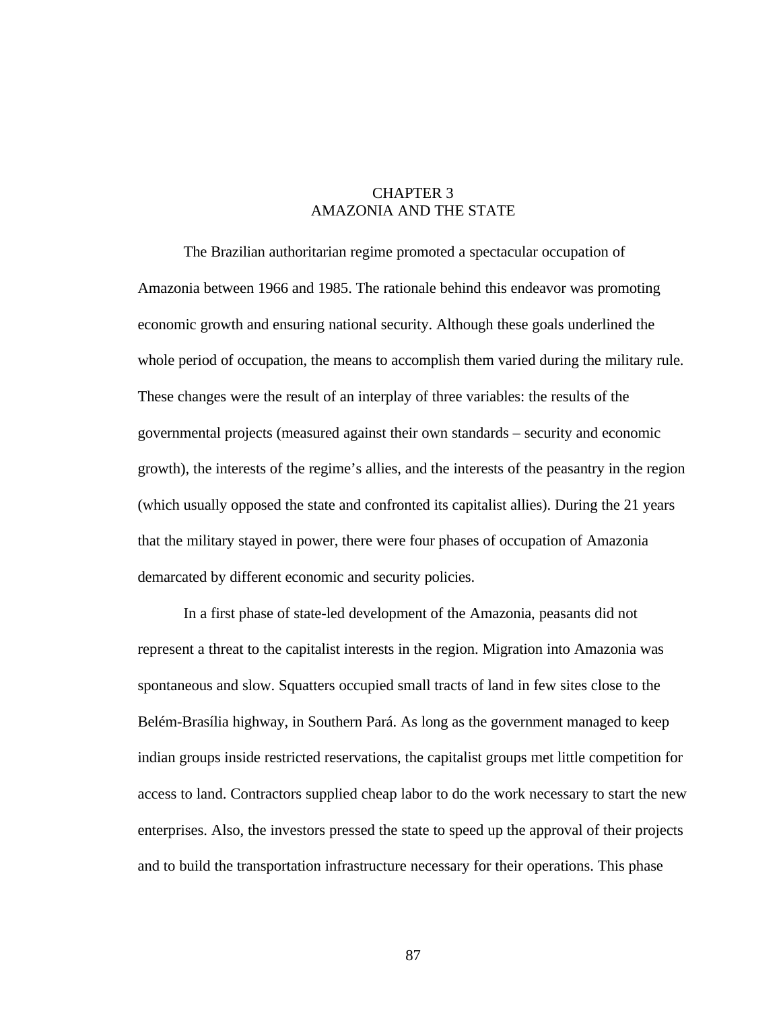## CHAPTER 3 AMAZONIA AND THE STATE

The Brazilian authoritarian regime promoted a spectacular occupation of Amazonia between 1966 and 1985. The rationale behind this endeavor was promoting economic growth and ensuring national security. Although these goals underlined the whole period of occupation, the means to accomplish them varied during the military rule. These changes were the result of an interplay of three variables: the results of the governmental projects (measured against their own standards – security and economic growth), the interests of the regime's allies, and the interests of the peasantry in the region (which usually opposed the state and confronted its capitalist allies). During the 21 years that the military stayed in power, there were four phases of occupation of Amazonia demarcated by different economic and security policies.

In a first phase of state-led development of the Amazonia, peasants did not represent a threat to the capitalist interests in the region. Migration into Amazonia was spontaneous and slow. Squatters occupied small tracts of land in few sites close to the Belém-Brasília highway, in Southern Pará. As long as the government managed to keep indian groups inside restricted reservations, the capitalist groups met little competition for access to land. Contractors supplied cheap labor to do the work necessary to start the new enterprises. Also, the investors pressed the state to speed up the approval of their projects and to build the transportation infrastructure necessary for their operations. This phase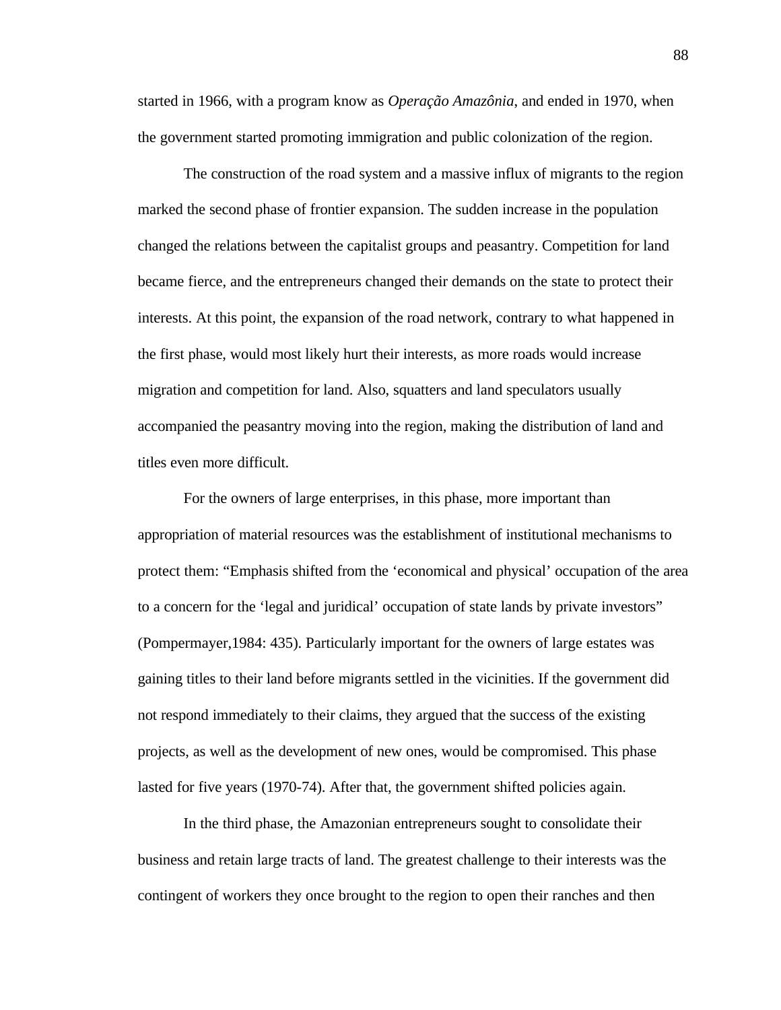started in 1966, with a program know as *Operação Amazônia*, and ended in 1970, when the government started promoting immigration and public colonization of the region.

The construction of the road system and a massive influx of migrants to the region marked the second phase of frontier expansion. The sudden increase in the population changed the relations between the capitalist groups and peasantry. Competition for land became fierce, and the entrepreneurs changed their demands on the state to protect their interests. At this point, the expansion of the road network, contrary to what happened in the first phase, would most likely hurt their interests, as more roads would increase migration and competition for land. Also, squatters and land speculators usually accompanied the peasantry moving into the region, making the distribution of land and titles even more difficult.

For the owners of large enterprises, in this phase, more important than appropriation of material resources was the establishment of institutional mechanisms to protect them: "Emphasis shifted from the 'economical and physical' occupation of the area to a concern for the 'legal and juridical' occupation of state lands by private investors" (Pompermayer,1984: 435). Particularly important for the owners of large estates was gaining titles to their land before migrants settled in the vicinities. If the government did not respond immediately to their claims, they argued that the success of the existing projects, as well as the development of new ones, would be compromised. This phase lasted for five years (1970-74). After that, the government shifted policies again.

In the third phase, the Amazonian entrepreneurs sought to consolidate their business and retain large tracts of land. The greatest challenge to their interests was the contingent of workers they once brought to the region to open their ranches and then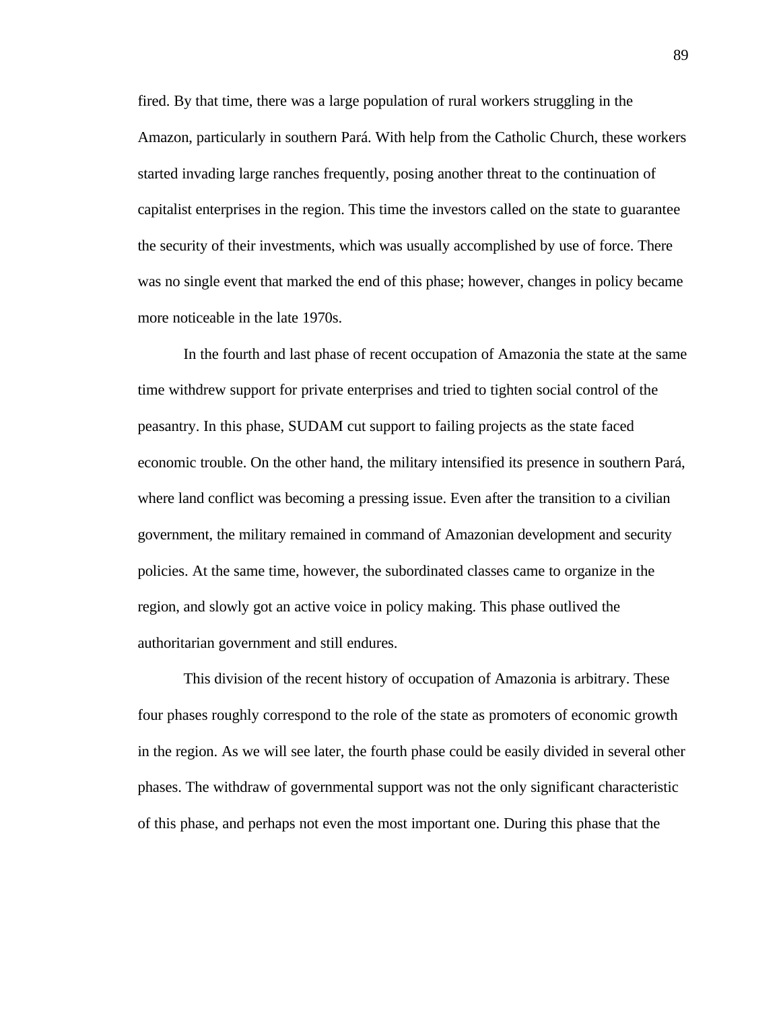fired. By that time, there was a large population of rural workers struggling in the Amazon, particularly in southern Pará. With help from the Catholic Church, these workers started invading large ranches frequently, posing another threat to the continuation of capitalist enterprises in the region. This time the investors called on the state to guarantee the security of their investments, which was usually accomplished by use of force. There was no single event that marked the end of this phase; however, changes in policy became more noticeable in the late 1970s.

In the fourth and last phase of recent occupation of Amazonia the state at the same time withdrew support for private enterprises and tried to tighten social control of the peasantry. In this phase, SUDAM cut support to failing projects as the state faced economic trouble. On the other hand, the military intensified its presence in southern Pará, where land conflict was becoming a pressing issue. Even after the transition to a civilian government, the military remained in command of Amazonian development and security policies. At the same time, however, the subordinated classes came to organize in the region, and slowly got an active voice in policy making. This phase outlived the authoritarian government and still endures.

This division of the recent history of occupation of Amazonia is arbitrary. These four phases roughly correspond to the role of the state as promoters of economic growth in the region. As we will see later, the fourth phase could be easily divided in several other phases. The withdraw of governmental support was not the only significant characteristic of this phase, and perhaps not even the most important one. During this phase that the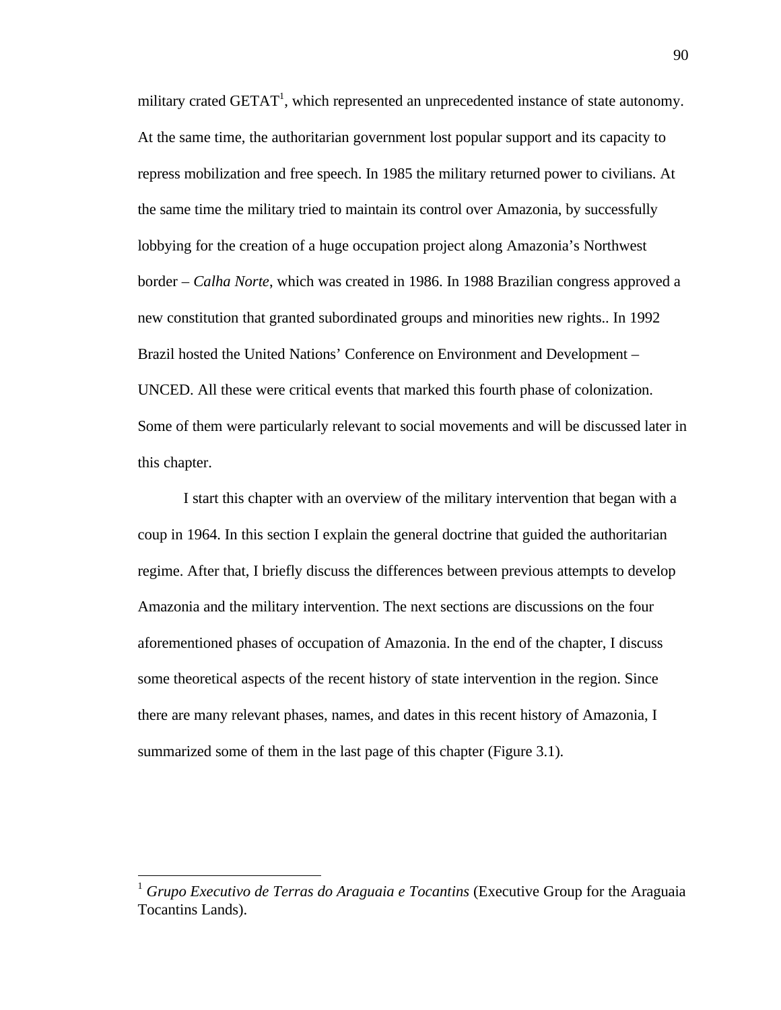military crated  $GETAT<sup>1</sup>$ , which represented an unprecedented instance of state autonomy. At the same time, the authoritarian government lost popular support and its capacity to repress mobilization and free speech. In 1985 the military returned power to civilians. At the same time the military tried to maintain its control over Amazonia, by successfully lobbying for the creation of a huge occupation project along Amazonia's Northwest border – *Calha Norte*, which was created in 1986. In 1988 Brazilian congress approved a new constitution that granted subordinated groups and minorities new rights.. In 1992 Brazil hosted the United Nations' Conference on Environment and Development – UNCED. All these were critical events that marked this fourth phase of colonization. Some of them were particularly relevant to social movements and will be discussed later in this chapter.

I start this chapter with an overview of the military intervention that began with a coup in 1964. In this section I explain the general doctrine that guided the authoritarian regime. After that, I briefly discuss the differences between previous attempts to develop Amazonia and the military intervention. The next sections are discussions on the four aforementioned phases of occupation of Amazonia. In the end of the chapter, I discuss some theoretical aspects of the recent history of state intervention in the region. Since there are many relevant phases, names, and dates in this recent history of Amazonia, I summarized some of them in the last page of this chapter (Figure 3.1).

-

<sup>1</sup> *Grupo Executivo de Terras do Araguaia e Tocantins* (Executive Group for the Araguaia Tocantins Lands).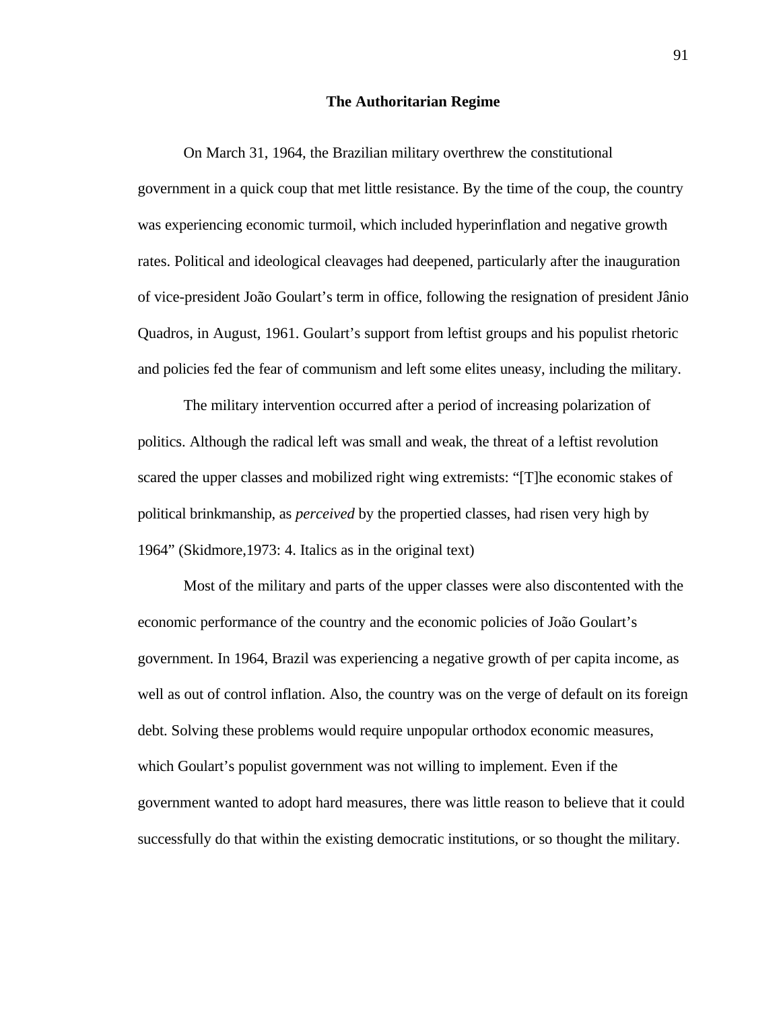## **The Authoritarian Regime**

On March 31, 1964, the Brazilian military overthrew the constitutional government in a quick coup that met little resistance. By the time of the coup, the country was experiencing economic turmoil, which included hyperinflation and negative growth rates. Political and ideological cleavages had deepened, particularly after the inauguration of vice-president João Goulart's term in office, following the resignation of president Jânio Quadros, in August, 1961. Goulart's support from leftist groups and his populist rhetoric and policies fed the fear of communism and left some elites uneasy, including the military.

The military intervention occurred after a period of increasing polarization of politics. Although the radical left was small and weak, the threat of a leftist revolution scared the upper classes and mobilized right wing extremists: "[T]he economic stakes of political brinkmanship, as *perceived* by the propertied classes, had risen very high by 1964" (Skidmore,1973: 4. Italics as in the original text)

Most of the military and parts of the upper classes were also discontented with the economic performance of the country and the economic policies of João Goulart's government. In 1964, Brazil was experiencing a negative growth of per capita income, as well as out of control inflation. Also, the country was on the verge of default on its foreign debt. Solving these problems would require unpopular orthodox economic measures, which Goulart's populist government was not willing to implement. Even if the government wanted to adopt hard measures, there was little reason to believe that it could successfully do that within the existing democratic institutions, or so thought the military.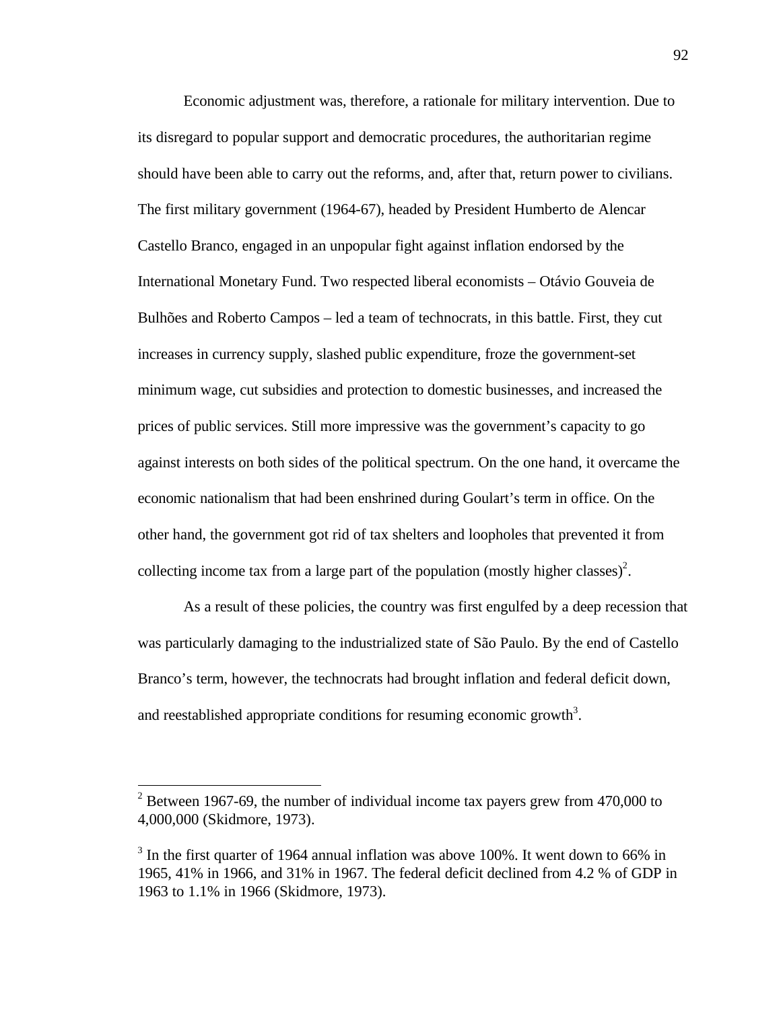Economic adjustment was, therefore, a rationale for military intervention. Due to its disregard to popular support and democratic procedures, the authoritarian regime should have been able to carry out the reforms, and, after that, return power to civilians. The first military government (1964-67), headed by President Humberto de Alencar Castello Branco, engaged in an unpopular fight against inflation endorsed by the International Monetary Fund. Two respected liberal economists – Otávio Gouveia de Bulhões and Roberto Campos – led a team of technocrats, in this battle. First, they cut increases in currency supply, slashed public expenditure, froze the government-set minimum wage, cut subsidies and protection to domestic businesses, and increased the prices of public services. Still more impressive was the government's capacity to go against interests on both sides of the political spectrum. On the one hand, it overcame the economic nationalism that had been enshrined during Goulart's term in office. On the other hand, the government got rid of tax shelters and loopholes that prevented it from collecting income tax from a large part of the population (mostly higher classes)<sup>2</sup>.

As a result of these policies, the country was first engulfed by a deep recession that was particularly damaging to the industrialized state of São Paulo. By the end of Castello Branco's term, however, the technocrats had brought inflation and federal deficit down, and reestablished appropriate conditions for resuming economic growth<sup>3</sup>.

-

<sup>&</sup>lt;sup>2</sup> Between 1967-69, the number of individual income tax payers grew from 470,000 to 4,000,000 (Skidmore, 1973).

 $3$  In the first quarter of 1964 annual inflation was above 100%. It went down to 66% in 1965, 41% in 1966, and 31% in 1967. The federal deficit declined from 4.2 % of GDP in 1963 to 1.1% in 1966 (Skidmore, 1973).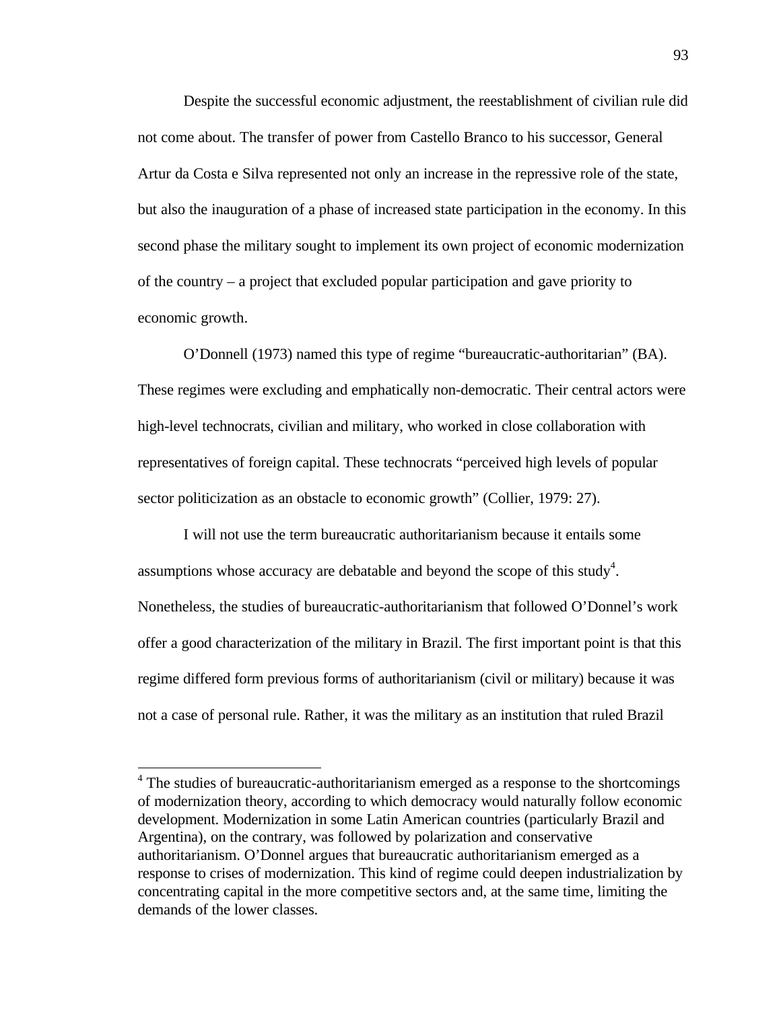Despite the successful economic adjustment, the reestablishment of civilian rule did not come about. The transfer of power from Castello Branco to his successor, General Artur da Costa e Silva represented not only an increase in the repressive role of the state, but also the inauguration of a phase of increased state participation in the economy. In this second phase the military sought to implement its own project of economic modernization of the country – a project that excluded popular participation and gave priority to economic growth.

O'Donnell (1973) named this type of regime "bureaucratic-authoritarian" (BA). These regimes were excluding and emphatically non-democratic. Their central actors were high-level technocrats, civilian and military, who worked in close collaboration with representatives of foreign capital. These technocrats "perceived high levels of popular sector politicization as an obstacle to economic growth" (Collier, 1979: 27).

I will not use the term bureaucratic authoritarianism because it entails some assumptions whose accuracy are debatable and beyond the scope of this study<sup>4</sup>. Nonetheless, the studies of bureaucratic-authoritarianism that followed O'Donnel's work offer a good characterization of the military in Brazil. The first important point is that this regime differed form previous forms of authoritarianism (civil or military) because it was not a case of personal rule. Rather, it was the military as an institution that ruled Brazil

-

<sup>&</sup>lt;sup>4</sup> The studies of bureaucratic-authoritarianism emerged as a response to the shortcomings of modernization theory, according to which democracy would naturally follow economic development. Modernization in some Latin American countries (particularly Brazil and Argentina), on the contrary, was followed by polarization and conservative authoritarianism. O'Donnel argues that bureaucratic authoritarianism emerged as a response to crises of modernization. This kind of regime could deepen industrialization by concentrating capital in the more competitive sectors and, at the same time, limiting the demands of the lower classes.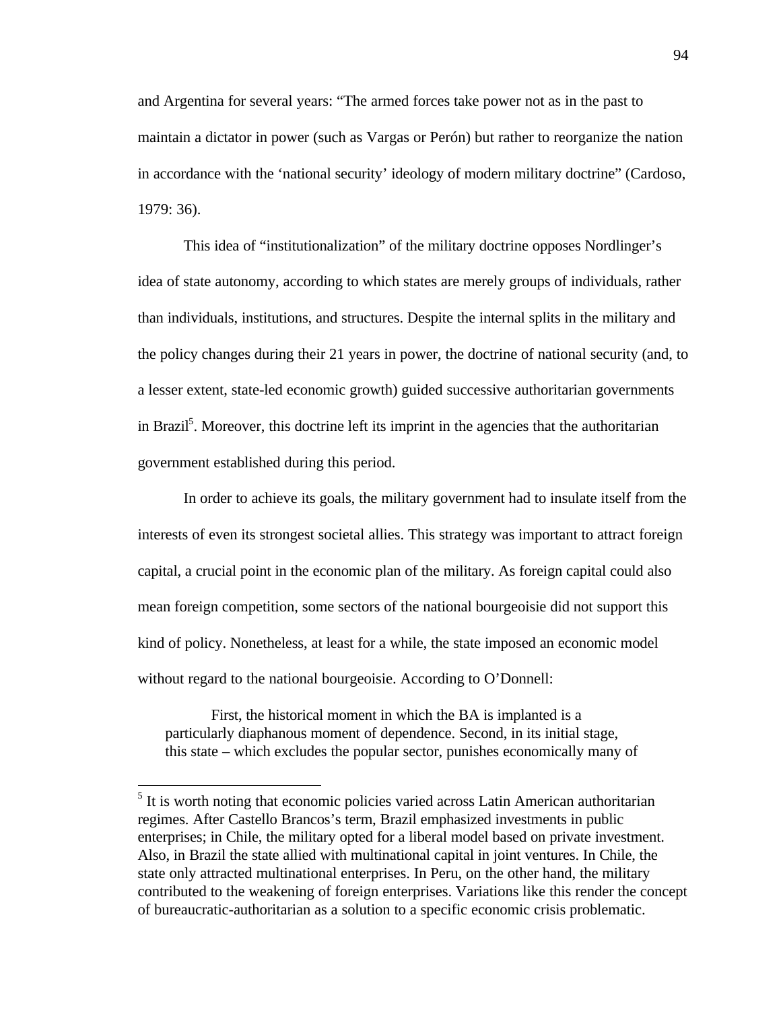and Argentina for several years: "The armed forces take power not as in the past to maintain a dictator in power (such as Vargas or Perón) but rather to reorganize the nation in accordance with the 'national security' ideology of modern military doctrine" (Cardoso, 1979: 36).

This idea of "institutionalization" of the military doctrine opposes Nordlinger's idea of state autonomy, according to which states are merely groups of individuals, rather than individuals, institutions, and structures. Despite the internal splits in the military and the policy changes during their 21 years in power, the doctrine of national security (and, to a lesser extent, state-led economic growth) guided successive authoritarian governments in Brazil<sup>5</sup>. Moreover, this doctrine left its imprint in the agencies that the authoritarian government established during this period.

In order to achieve its goals, the military government had to insulate itself from the interests of even its strongest societal allies. This strategy was important to attract foreign capital, a crucial point in the economic plan of the military. As foreign capital could also mean foreign competition, some sectors of the national bourgeoisie did not support this kind of policy. Nonetheless, at least for a while, the state imposed an economic model without regard to the national bourgeoisie. According to O'Donnell:

First, the historical moment in which the BA is implanted is a particularly diaphanous moment of dependence. Second, in its initial stage, this state – which excludes the popular sector, punishes economically many of

 $\overline{a}$ 

<sup>&</sup>lt;sup>5</sup> It is worth noting that economic policies varied across Latin American authoritarian regimes. After Castello Brancos's term, Brazil emphasized investments in public enterprises; in Chile, the military opted for a liberal model based on private investment. Also, in Brazil the state allied with multinational capital in joint ventures. In Chile, the state only attracted multinational enterprises. In Peru, on the other hand, the military contributed to the weakening of foreign enterprises. Variations like this render the concept of bureaucratic-authoritarian as a solution to a specific economic crisis problematic.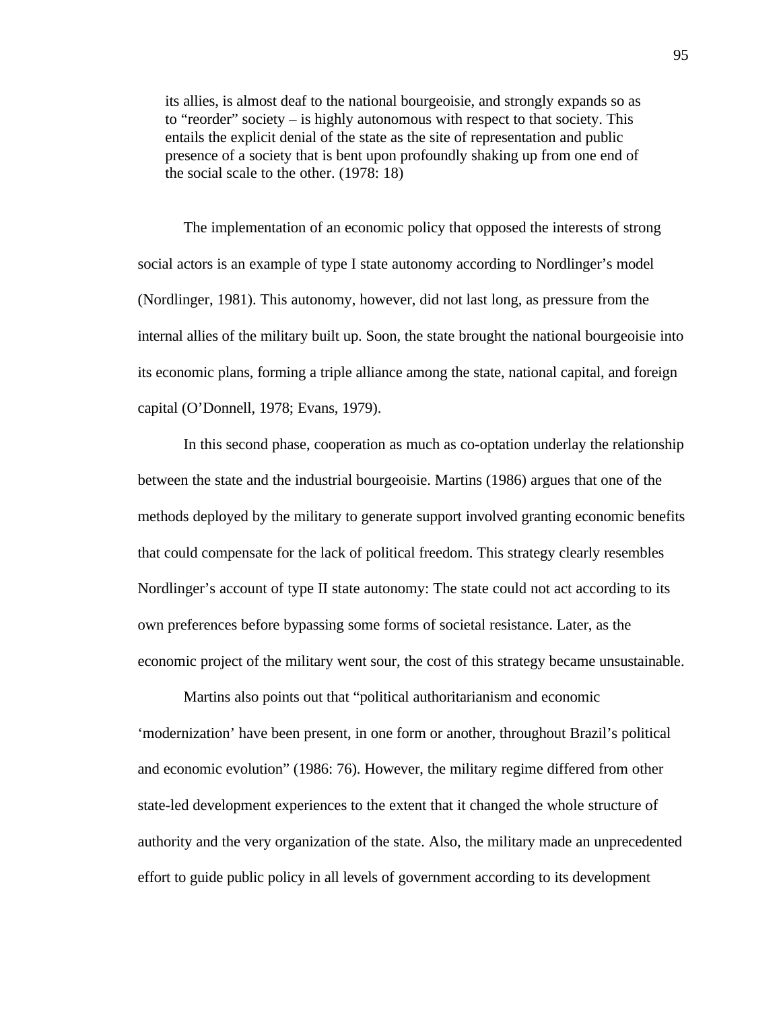its allies, is almost deaf to the national bourgeoisie, and strongly expands so as to "reorder" society – is highly autonomous with respect to that society. This entails the explicit denial of the state as the site of representation and public presence of a society that is bent upon profoundly shaking up from one end of the social scale to the other. (1978: 18)

The implementation of an economic policy that opposed the interests of strong social actors is an example of type I state autonomy according to Nordlinger's model (Nordlinger, 1981). This autonomy, however, did not last long, as pressure from the internal allies of the military built up. Soon, the state brought the national bourgeoisie into its economic plans, forming a triple alliance among the state, national capital, and foreign capital (O'Donnell, 1978; Evans, 1979).

In this second phase, cooperation as much as co-optation underlay the relationship between the state and the industrial bourgeoisie. Martins (1986) argues that one of the methods deployed by the military to generate support involved granting economic benefits that could compensate for the lack of political freedom. This strategy clearly resembles Nordlinger's account of type II state autonomy: The state could not act according to its own preferences before bypassing some forms of societal resistance. Later, as the economic project of the military went sour, the cost of this strategy became unsustainable.

Martins also points out that "political authoritarianism and economic 'modernization' have been present, in one form or another, throughout Brazil's political and economic evolution" (1986: 76). However, the military regime differed from other state-led development experiences to the extent that it changed the whole structure of authority and the very organization of the state. Also, the military made an unprecedented effort to guide public policy in all levels of government according to its development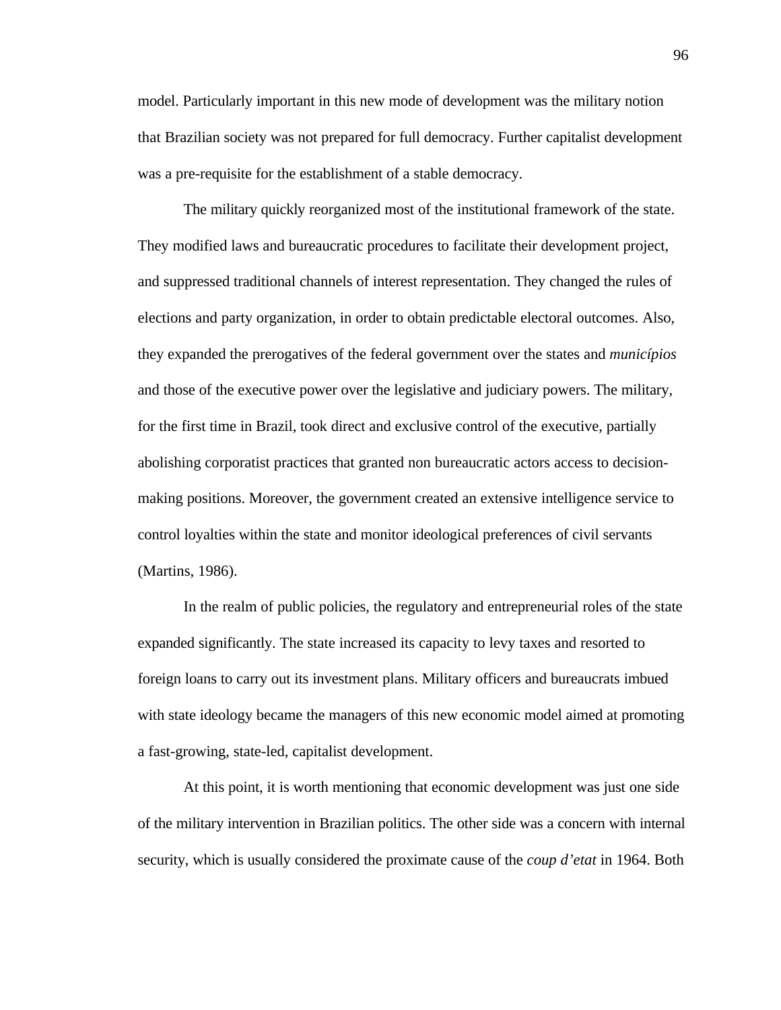model. Particularly important in this new mode of development was the military notion that Brazilian society was not prepared for full democracy. Further capitalist development was a pre-requisite for the establishment of a stable democracy.

The military quickly reorganized most of the institutional framework of the state. They modified laws and bureaucratic procedures to facilitate their development project, and suppressed traditional channels of interest representation. They changed the rules of elections and party organization, in order to obtain predictable electoral outcomes. Also, they expanded the prerogatives of the federal government over the states and *municípios* and those of the executive power over the legislative and judiciary powers. The military, for the first time in Brazil, took direct and exclusive control of the executive, partially abolishing corporatist practices that granted non bureaucratic actors access to decisionmaking positions. Moreover, the government created an extensive intelligence service to control loyalties within the state and monitor ideological preferences of civil servants (Martins, 1986).

In the realm of public policies, the regulatory and entrepreneurial roles of the state expanded significantly. The state increased its capacity to levy taxes and resorted to foreign loans to carry out its investment plans. Military officers and bureaucrats imbued with state ideology became the managers of this new economic model aimed at promoting a fast-growing, state-led, capitalist development.

At this point, it is worth mentioning that economic development was just one side of the military intervention in Brazilian politics. The other side was a concern with internal security, which is usually considered the proximate cause of the *coup d'etat* in 1964. Both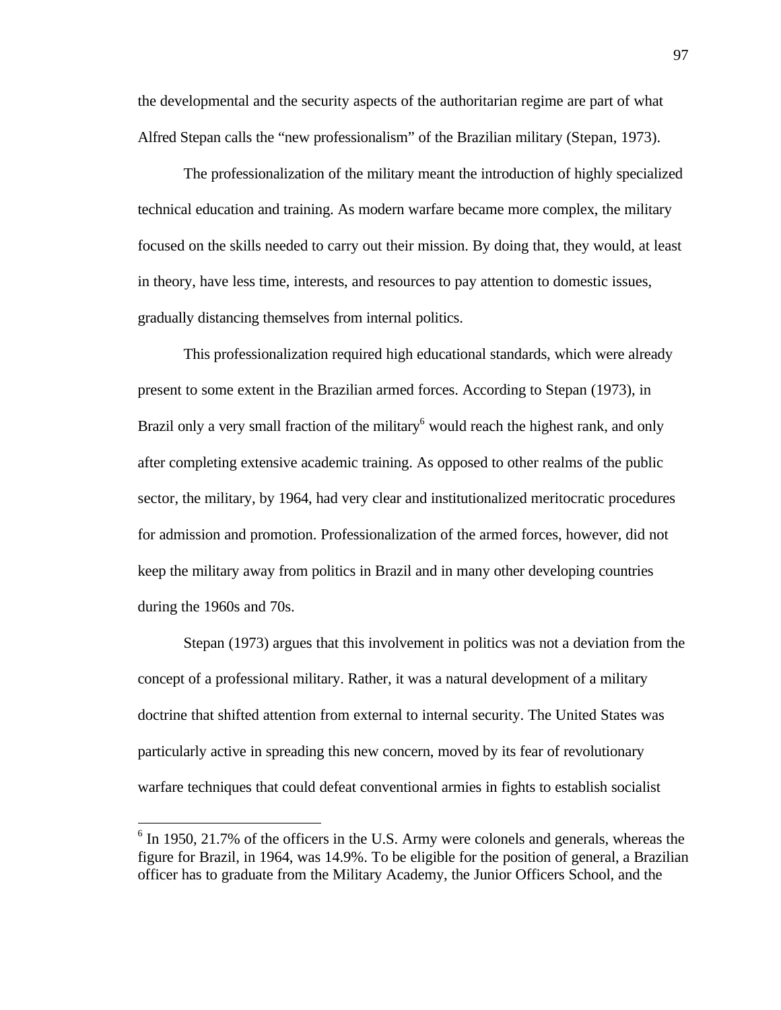the developmental and the security aspects of the authoritarian regime are part of what Alfred Stepan calls the "new professionalism" of the Brazilian military (Stepan, 1973).

The professionalization of the military meant the introduction of highly specialized technical education and training. As modern warfare became more complex, the military focused on the skills needed to carry out their mission. By doing that, they would, at least in theory, have less time, interests, and resources to pay attention to domestic issues, gradually distancing themselves from internal politics.

This professionalization required high educational standards, which were already present to some extent in the Brazilian armed forces. According to Stepan (1973), in Brazil only a very small fraction of the military<sup>6</sup> would reach the highest rank, and only after completing extensive academic training. As opposed to other realms of the public sector, the military, by 1964, had very clear and institutionalized meritocratic procedures for admission and promotion. Professionalization of the armed forces, however, did not keep the military away from politics in Brazil and in many other developing countries during the 1960s and 70s.

Stepan (1973) argues that this involvement in politics was not a deviation from the concept of a professional military. Rather, it was a natural development of a military doctrine that shifted attention from external to internal security. The United States was particularly active in spreading this new concern, moved by its fear of revolutionary warfare techniques that could defeat conventional armies in fights to establish socialist

 $\overline{a}$ 

<sup>&</sup>lt;sup>6</sup> In 1950, 21.7% of the officers in the U.S. Army were colonels and generals, whereas the figure for Brazil, in 1964, was 14.9%. To be eligible for the position of general, a Brazilian officer has to graduate from the Military Academy, the Junior Officers School, and the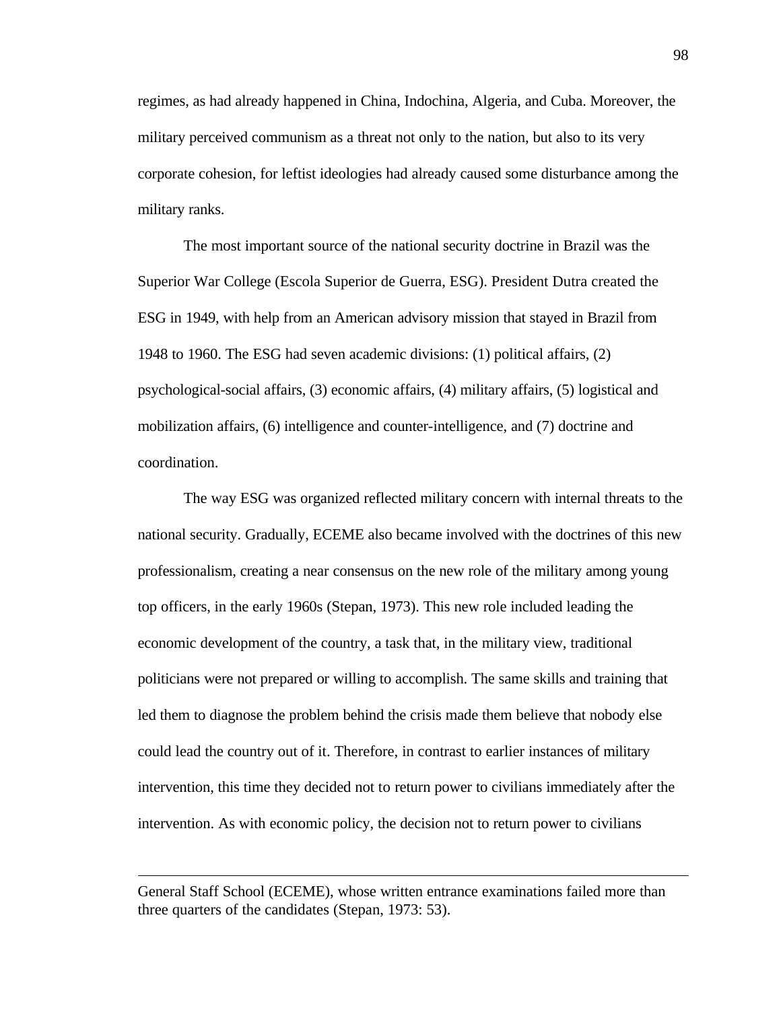regimes, as had already happened in China, Indochina, Algeria, and Cuba. Moreover, the military perceived communism as a threat not only to the nation, but also to its very corporate cohesion, for leftist ideologies had already caused some disturbance among the military ranks.

The most important source of the national security doctrine in Brazil was the Superior War College (Escola Superior de Guerra, ESG). President Dutra created the ESG in 1949, with help from an American advisory mission that stayed in Brazil from 1948 to 1960. The ESG had seven academic divisions: (1) political affairs, (2) psychological-social affairs, (3) economic affairs, (4) military affairs, (5) logistical and mobilization affairs, (6) intelligence and counter-intelligence, and (7) doctrine and coordination.

The way ESG was organized reflected military concern with internal threats to the national security. Gradually, ECEME also became involved with the doctrines of this new professionalism, creating a near consensus on the new role of the military among young top officers, in the early 1960s (Stepan, 1973). This new role included leading the economic development of the country, a task that, in the military view, traditional politicians were not prepared or willing to accomplish. The same skills and training that led them to diagnose the problem behind the crisis made them believe that nobody else could lead the country out of it. Therefore, in contrast to earlier instances of military intervention, this time they decided not to return power to civilians immediately after the intervention. As with economic policy, the decision not to return power to civilians

 $\overline{a}$ 

General Staff School (ECEME), whose written entrance examinations failed more than three quarters of the candidates (Stepan, 1973: 53).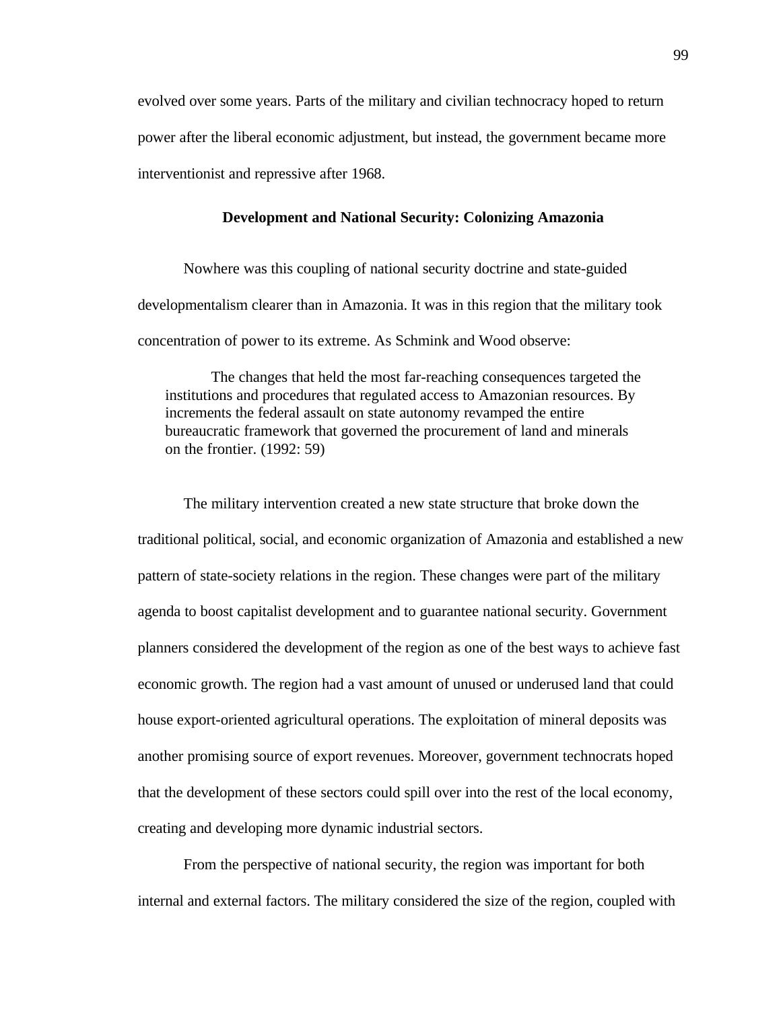evolved over some years. Parts of the military and civilian technocracy hoped to return power after the liberal economic adjustment, but instead, the government became more interventionist and repressive after 1968.

## **Development and National Security: Colonizing Amazonia**

Nowhere was this coupling of national security doctrine and state-guided developmentalism clearer than in Amazonia. It was in this region that the military took concentration of power to its extreme. As Schmink and Wood observe:

The changes that held the most far-reaching consequences targeted the institutions and procedures that regulated access to Amazonian resources. By increments the federal assault on state autonomy revamped the entire bureaucratic framework that governed the procurement of land and minerals on the frontier. (1992: 59)

The military intervention created a new state structure that broke down the traditional political, social, and economic organization of Amazonia and established a new pattern of state-society relations in the region. These changes were part of the military agenda to boost capitalist development and to guarantee national security. Government planners considered the development of the region as one of the best ways to achieve fast economic growth. The region had a vast amount of unused or underused land that could house export-oriented agricultural operations. The exploitation of mineral deposits was another promising source of export revenues. Moreover, government technocrats hoped that the development of these sectors could spill over into the rest of the local economy, creating and developing more dynamic industrial sectors.

From the perspective of national security, the region was important for both internal and external factors. The military considered the size of the region, coupled with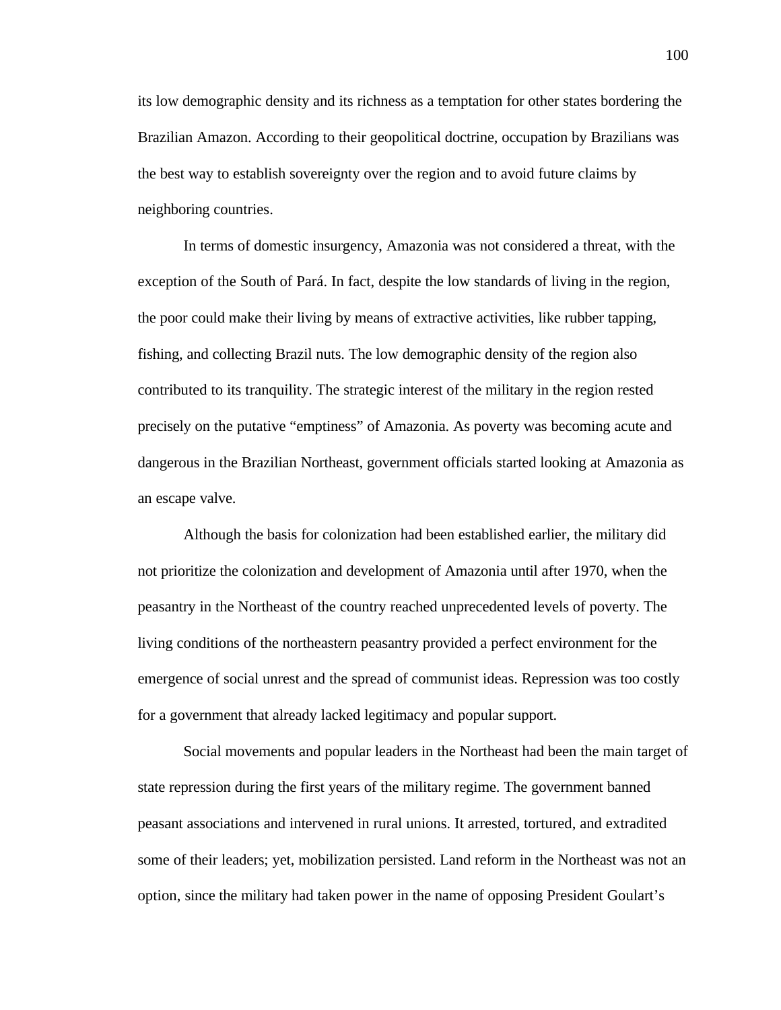its low demographic density and its richness as a temptation for other states bordering the Brazilian Amazon. According to their geopolitical doctrine, occupation by Brazilians was the best way to establish sovereignty over the region and to avoid future claims by neighboring countries.

In terms of domestic insurgency, Amazonia was not considered a threat, with the exception of the South of Pará. In fact, despite the low standards of living in the region, the poor could make their living by means of extractive activities, like rubber tapping, fishing, and collecting Brazil nuts. The low demographic density of the region also contributed to its tranquility. The strategic interest of the military in the region rested precisely on the putative "emptiness" of Amazonia. As poverty was becoming acute and dangerous in the Brazilian Northeast, government officials started looking at Amazonia as an escape valve.

Although the basis for colonization had been established earlier, the military did not prioritize the colonization and development of Amazonia until after 1970, when the peasantry in the Northeast of the country reached unprecedented levels of poverty. The living conditions of the northeastern peasantry provided a perfect environment for the emergence of social unrest and the spread of communist ideas. Repression was too costly for a government that already lacked legitimacy and popular support.

Social movements and popular leaders in the Northeast had been the main target of state repression during the first years of the military regime. The government banned peasant associations and intervened in rural unions. It arrested, tortured, and extradited some of their leaders; yet, mobilization persisted. Land reform in the Northeast was not an option, since the military had taken power in the name of opposing President Goulart's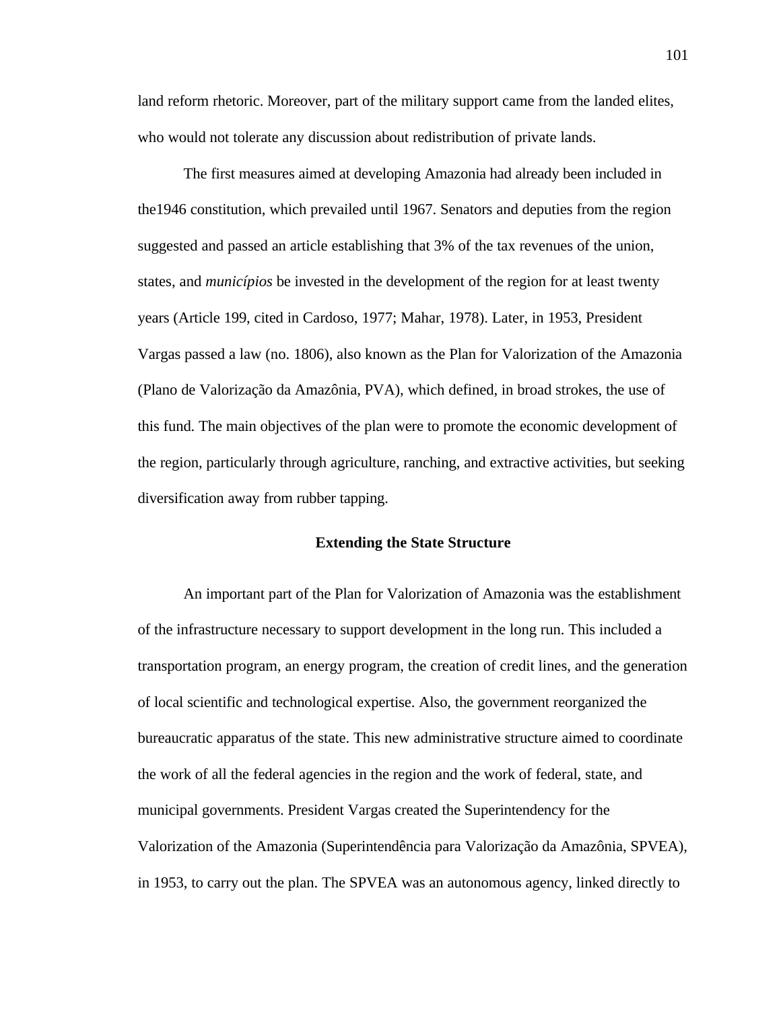land reform rhetoric. Moreover, part of the military support came from the landed elites, who would not tolerate any discussion about redistribution of private lands.

The first measures aimed at developing Amazonia had already been included in the1946 constitution, which prevailed until 1967. Senators and deputies from the region suggested and passed an article establishing that 3% of the tax revenues of the union, states, and *municípios* be invested in the development of the region for at least twenty years (Article 199, cited in Cardoso, 1977; Mahar, 1978). Later, in 1953, President Vargas passed a law (no. 1806), also known as the Plan for Valorization of the Amazonia (Plano de Valorização da Amazônia, PVA), which defined, in broad strokes, the use of this fund. The main objectives of the plan were to promote the economic development of the region, particularly through agriculture, ranching, and extractive activities, but seeking diversification away from rubber tapping.

## **Extending the State Structure**

An important part of the Plan for Valorization of Amazonia was the establishment of the infrastructure necessary to support development in the long run. This included a transportation program, an energy program, the creation of credit lines, and the generation of local scientific and technological expertise. Also, the government reorganized the bureaucratic apparatus of the state. This new administrative structure aimed to coordinate the work of all the federal agencies in the region and the work of federal, state, and municipal governments. President Vargas created the Superintendency for the Valorization of the Amazonia (Superintendência para Valorização da Amazônia, SPVEA), in 1953, to carry out the plan. The SPVEA was an autonomous agency, linked directly to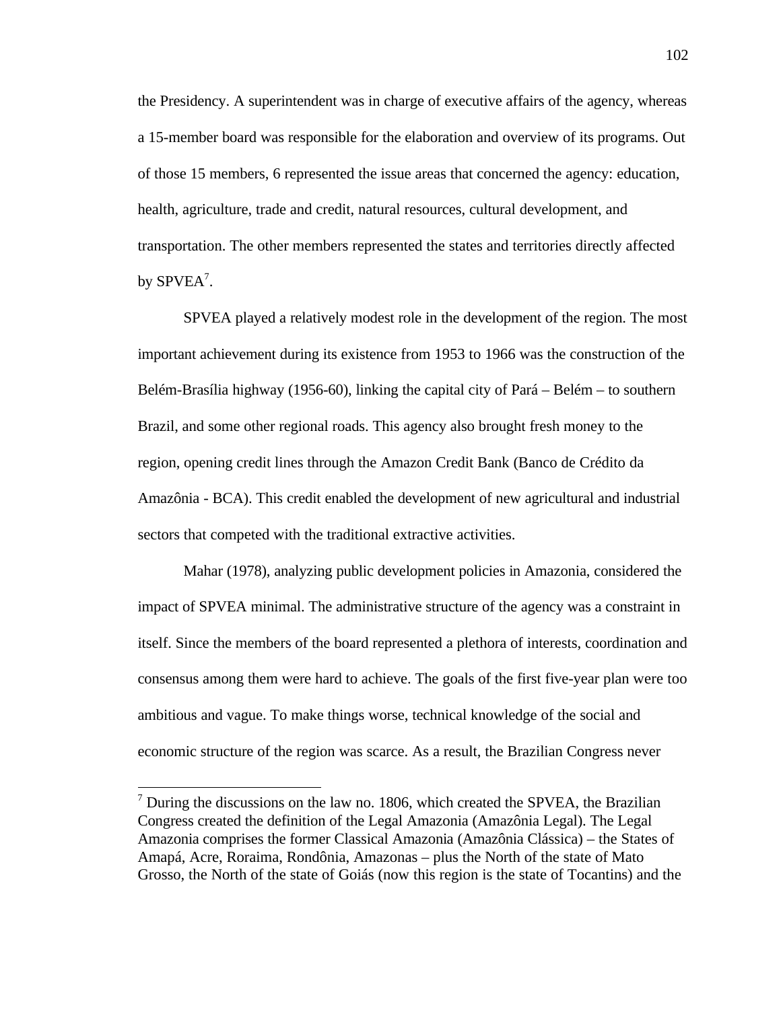the Presidency. A superintendent was in charge of executive affairs of the agency, whereas a 15-member board was responsible for the elaboration and overview of its programs. Out of those 15 members, 6 represented the issue areas that concerned the agency: education, health, agriculture, trade and credit, natural resources, cultural development, and transportation. The other members represented the states and territories directly affected by  $S\text{PVEA}^7$ .

SPVEA played a relatively modest role in the development of the region. The most important achievement during its existence from 1953 to 1966 was the construction of the Belém-Brasília highway (1956-60), linking the capital city of Pará – Belém – to southern Brazil, and some other regional roads. This agency also brought fresh money to the region, opening credit lines through the Amazon Credit Bank (Banco de Crédito da Amazônia - BCA). This credit enabled the development of new agricultural and industrial sectors that competed with the traditional extractive activities.

Mahar (1978), analyzing public development policies in Amazonia, considered the impact of SPVEA minimal. The administrative structure of the agency was a constraint in itself. Since the members of the board represented a plethora of interests, coordination and consensus among them were hard to achieve. The goals of the first five-year plan were too ambitious and vague. To make things worse, technical knowledge of the social and economic structure of the region was scarce. As a result, the Brazilian Congress never

-

 $<sup>7</sup>$  During the discussions on the law no. 1806, which created the SPVEA, the Brazilian</sup> Congress created the definition of the Legal Amazonia (Amazônia Legal). The Legal Amazonia comprises the former Classical Amazonia (Amazônia Clássica) – the States of Amapá, Acre, Roraima, Rondônia, Amazonas – plus the North of the state of Mato Grosso, the North of the state of Goiás (now this region is the state of Tocantins) and the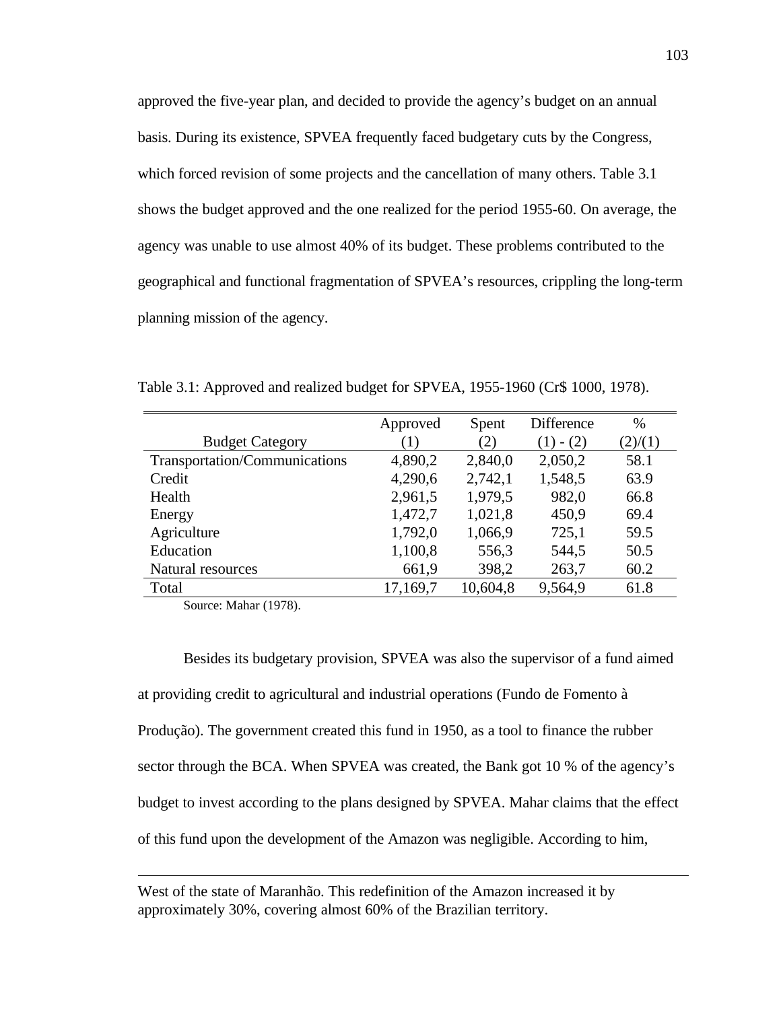approved the five-year plan, and decided to provide the agency's budget on an annual basis. During its existence, SPVEA frequently faced budgetary cuts by the Congress, which forced revision of some projects and the cancellation of many others. Table 3.1 shows the budget approved and the one realized for the period 1955-60. On average, the agency was unable to use almost 40% of its budget. These problems contributed to the geographical and functional fragmentation of SPVEA's resources, crippling the long-term planning mission of the agency.

|                               | Approved | Spent    | Difference | $\%$    |
|-------------------------------|----------|----------|------------|---------|
| <b>Budget Category</b>        | (1)      | (2)      | $- (2)$    | (2)/(1) |
| Transportation/Communications | 4,890,2  | 2,840,0  | 2,050,2    | 58.1    |
| Credit                        | 4,290,6  | 2,742,1  | 1,548,5    | 63.9    |
| Health                        | 2,961,5  | 1,979,5  | 982,0      | 66.8    |
| Energy                        | 1,472,7  | 1,021,8  | 450,9      | 69.4    |
| Agriculture                   | 1,792,0  | 1,066,9  | 725,1      | 59.5    |
| Education                     | 1,100,8  | 556,3    | 544,5      | 50.5    |
| Natural resources             | 661,9    | 398,2    | 263,7      | 60.2    |
| Total                         | 17,169,7 | 10,604,8 | 9,564,9    | 61.8    |

Table 3.1: Approved and realized budget for SPVEA, 1955-1960 (Cr\$ 1000, 1978).

Source: Mahar (1978).

 $\overline{a}$ 

Besides its budgetary provision, SPVEA was also the supervisor of a fund aimed at providing credit to agricultural and industrial operations (Fundo de Fomento à Produção). The government created this fund in 1950, as a tool to finance the rubber sector through the BCA. When SPVEA was created, the Bank got 10 % of the agency's budget to invest according to the plans designed by SPVEA. Mahar claims that the effect of this fund upon the development of the Amazon was negligible. According to him,

West of the state of Maranhão. This redefinition of the Amazon increased it by approximately 30%, covering almost 60% of the Brazilian territory.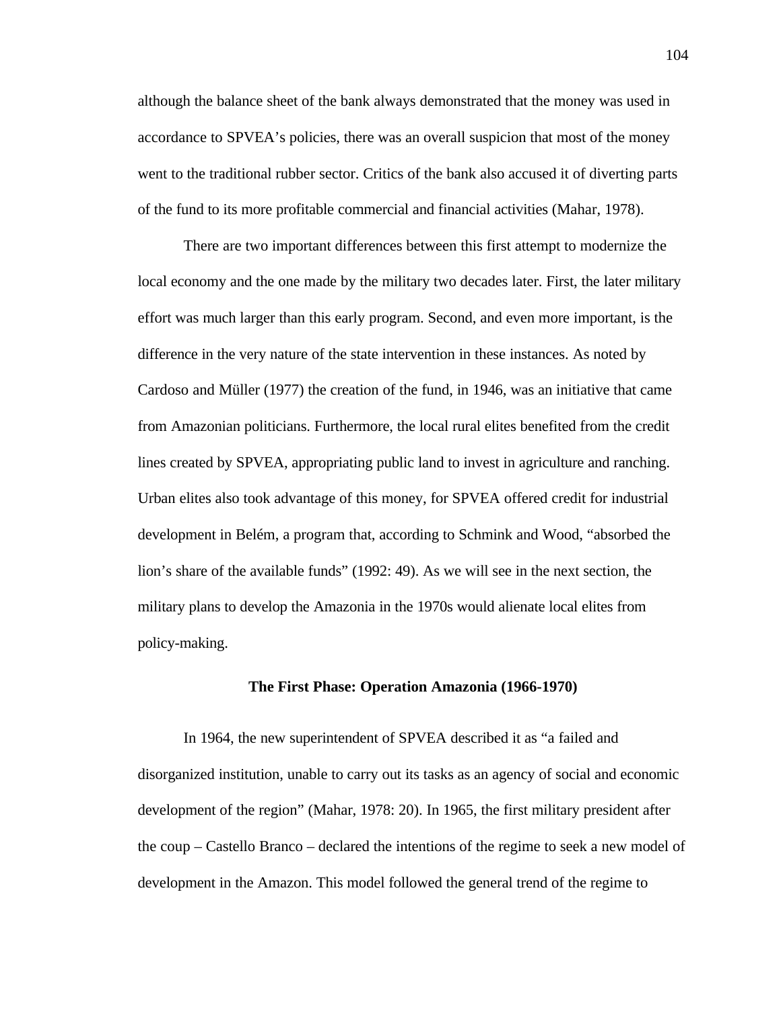although the balance sheet of the bank always demonstrated that the money was used in accordance to SPVEA's policies, there was an overall suspicion that most of the money went to the traditional rubber sector. Critics of the bank also accused it of diverting parts of the fund to its more profitable commercial and financial activities (Mahar, 1978).

There are two important differences between this first attempt to modernize the local economy and the one made by the military two decades later. First, the later military effort was much larger than this early program. Second, and even more important, is the difference in the very nature of the state intervention in these instances. As noted by Cardoso and Müller (1977) the creation of the fund, in 1946, was an initiative that came from Amazonian politicians. Furthermore, the local rural elites benefited from the credit lines created by SPVEA, appropriating public land to invest in agriculture and ranching. Urban elites also took advantage of this money, for SPVEA offered credit for industrial development in Belém, a program that, according to Schmink and Wood, "absorbed the lion's share of the available funds" (1992: 49). As we will see in the next section, the military plans to develop the Amazonia in the 1970s would alienate local elites from policy-making.

# **The First Phase: Operation Amazonia (1966-1970)**

In 1964, the new superintendent of SPVEA described it as "a failed and disorganized institution, unable to carry out its tasks as an agency of social and economic development of the region" (Mahar, 1978: 20). In 1965, the first military president after the coup – Castello Branco – declared the intentions of the regime to seek a new model of development in the Amazon. This model followed the general trend of the regime to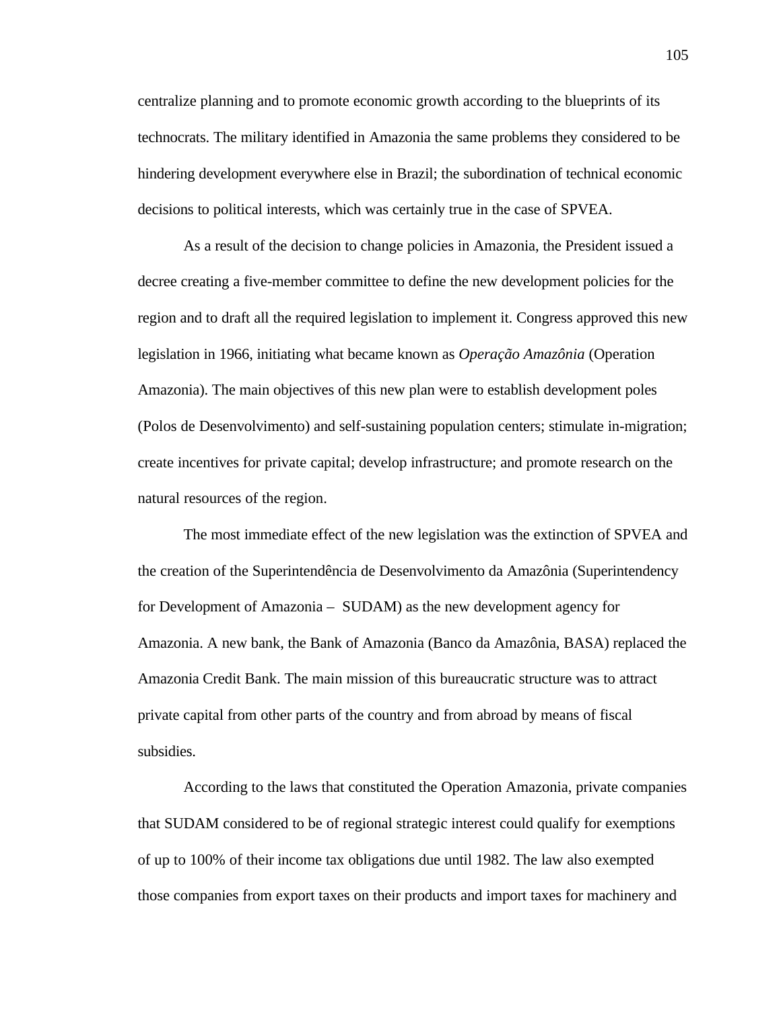centralize planning and to promote economic growth according to the blueprints of its technocrats. The military identified in Amazonia the same problems they considered to be hindering development everywhere else in Brazil; the subordination of technical economic decisions to political interests, which was certainly true in the case of SPVEA.

As a result of the decision to change policies in Amazonia, the President issued a decree creating a five-member committee to define the new development policies for the region and to draft all the required legislation to implement it. Congress approved this new legislation in 1966, initiating what became known as *Operação Amazônia* (Operation Amazonia). The main objectives of this new plan were to establish development poles (Polos de Desenvolvimento) and self-sustaining population centers; stimulate in-migration; create incentives for private capital; develop infrastructure; and promote research on the natural resources of the region.

The most immediate effect of the new legislation was the extinction of SPVEA and the creation of the Superintendência de Desenvolvimento da Amazônia (Superintendency for Development of Amazonia – SUDAM) as the new development agency for Amazonia. A new bank, the Bank of Amazonia (Banco da Amazônia, BASA) replaced the Amazonia Credit Bank. The main mission of this bureaucratic structure was to attract private capital from other parts of the country and from abroad by means of fiscal subsidies.

According to the laws that constituted the Operation Amazonia, private companies that SUDAM considered to be of regional strategic interest could qualify for exemptions of up to 100% of their income tax obligations due until 1982. The law also exempted those companies from export taxes on their products and import taxes for machinery and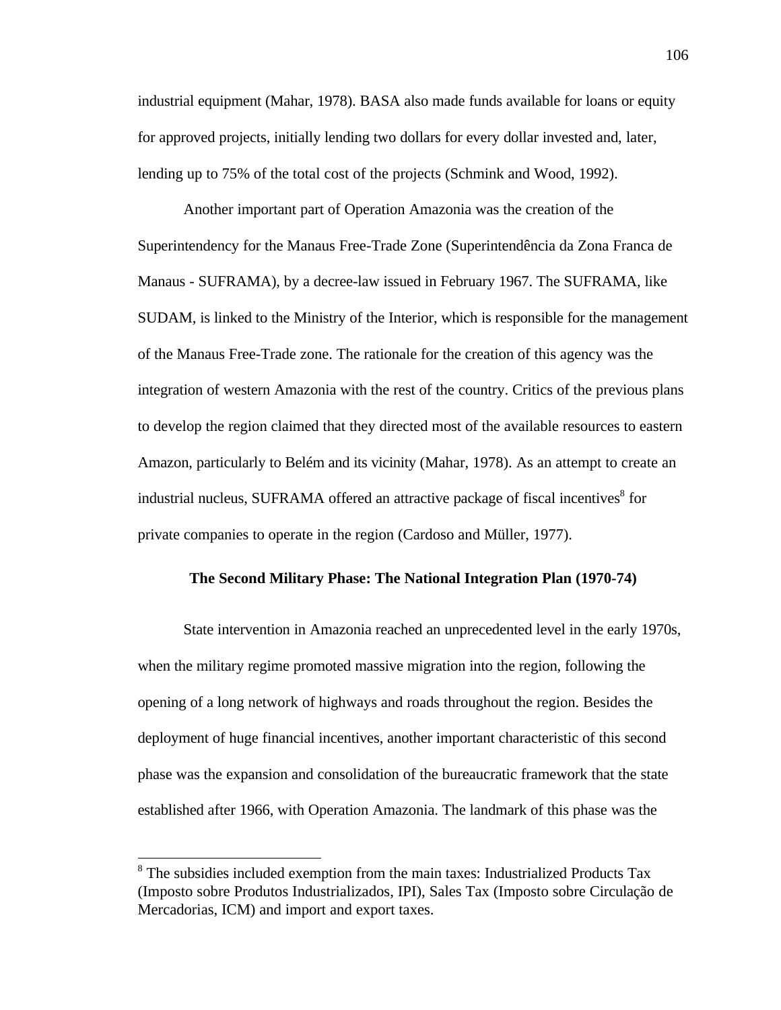industrial equipment (Mahar, 1978). BASA also made funds available for loans or equity for approved projects, initially lending two dollars for every dollar invested and, later, lending up to 75% of the total cost of the projects (Schmink and Wood, 1992).

Another important part of Operation Amazonia was the creation of the Superintendency for the Manaus Free-Trade Zone (Superintendência da Zona Franca de Manaus - SUFRAMA), by a decree-law issued in February 1967. The SUFRAMA, like SUDAM, is linked to the Ministry of the Interior, which is responsible for the management of the Manaus Free-Trade zone. The rationale for the creation of this agency was the integration of western Amazonia with the rest of the country. Critics of the previous plans to develop the region claimed that they directed most of the available resources to eastern Amazon, particularly to Belém and its vicinity (Mahar, 1978). As an attempt to create an industrial nucleus, SUFRAMA offered an attractive package of fiscal incentives<sup>8</sup> for private companies to operate in the region (Cardoso and Müller, 1977).

# **The Second Military Phase: The National Integration Plan (1970-74)**

State intervention in Amazonia reached an unprecedented level in the early 1970s, when the military regime promoted massive migration into the region, following the opening of a long network of highways and roads throughout the region. Besides the deployment of huge financial incentives, another important characteristic of this second phase was the expansion and consolidation of the bureaucratic framework that the state established after 1966, with Operation Amazonia. The landmark of this phase was the

 $\overline{a}$ 

<sup>&</sup>lt;sup>8</sup> The subsidies included exemption from the main taxes: Industrialized Products Tax (Imposto sobre Produtos Industrializados, IPI), Sales Tax (Imposto sobre Circulação de Mercadorias, ICM) and import and export taxes.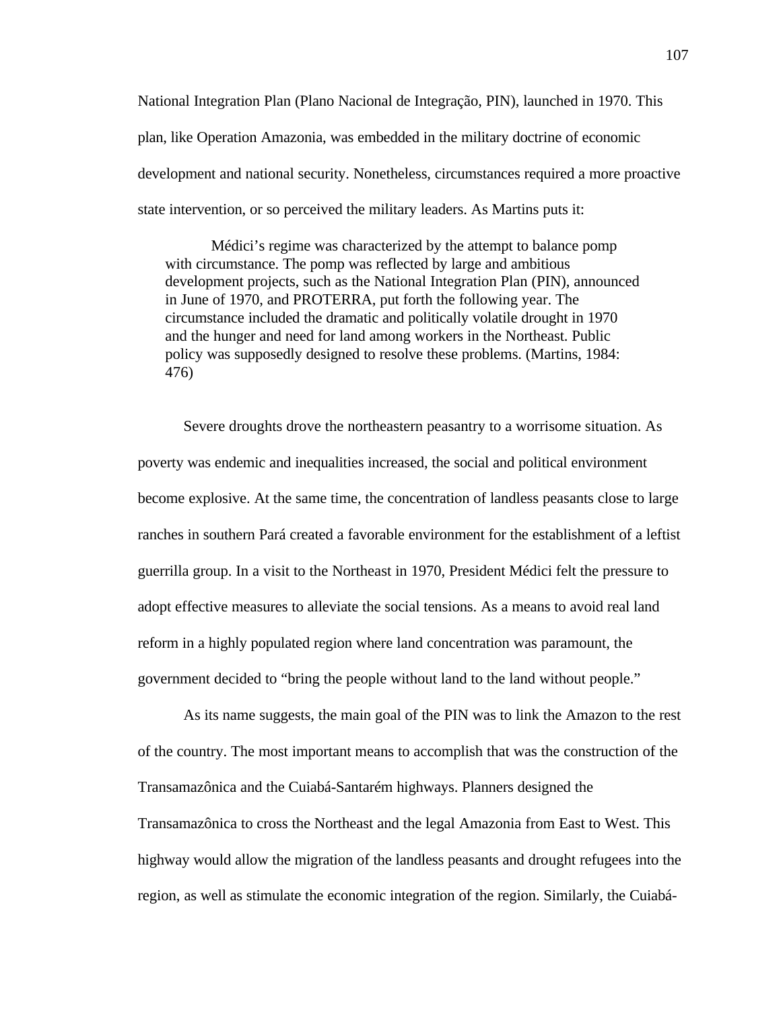National Integration Plan (Plano Nacional de Integração, PIN), launched in 1970. This plan, like Operation Amazonia, was embedded in the military doctrine of economic development and national security. Nonetheless, circumstances required a more proactive state intervention, or so perceived the military leaders. As Martins puts it:

Médici's regime was characterized by the attempt to balance pomp with circumstance. The pomp was reflected by large and ambitious development projects, such as the National Integration Plan (PIN), announced in June of 1970, and PROTERRA, put forth the following year. The circumstance included the dramatic and politically volatile drought in 1970 and the hunger and need for land among workers in the Northeast. Public policy was supposedly designed to resolve these problems. (Martins, 1984: 476)

Severe droughts drove the northeastern peasantry to a worrisome situation. As poverty was endemic and inequalities increased, the social and political environment become explosive. At the same time, the concentration of landless peasants close to large ranches in southern Pará created a favorable environment for the establishment of a leftist guerrilla group. In a visit to the Northeast in 1970, President Médici felt the pressure to adopt effective measures to alleviate the social tensions. As a means to avoid real land reform in a highly populated region where land concentration was paramount, the government decided to "bring the people without land to the land without people."

As its name suggests, the main goal of the PIN was to link the Amazon to the rest of the country. The most important means to accomplish that was the construction of the Transamazônica and the Cuiabá-Santarém highways. Planners designed the Transamazônica to cross the Northeast and the legal Amazonia from East to West. This highway would allow the migration of the landless peasants and drought refugees into the region, as well as stimulate the economic integration of the region. Similarly, the Cuiabá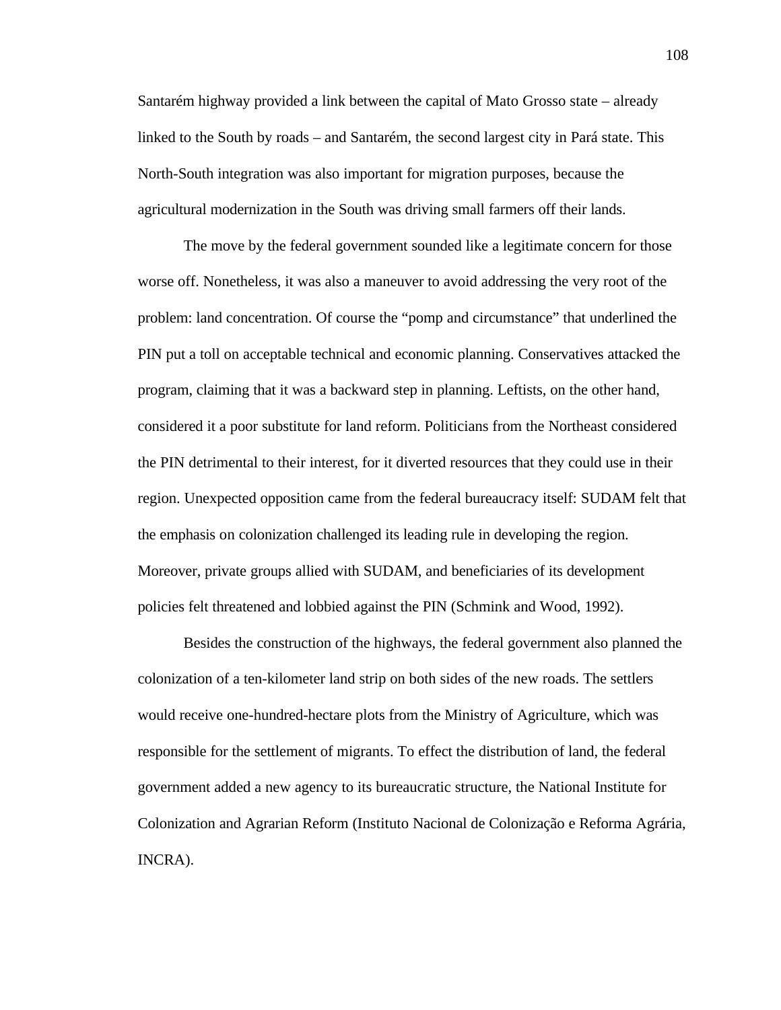Santarém highway provided a link between the capital of Mato Grosso state – already linked to the South by roads – and Santarém, the second largest city in Pará state. This North-South integration was also important for migration purposes, because the agricultural modernization in the South was driving small farmers off their lands.

The move by the federal government sounded like a legitimate concern for those worse off. Nonetheless, it was also a maneuver to avoid addressing the very root of the problem: land concentration. Of course the "pomp and circumstance" that underlined the PIN put a toll on acceptable technical and economic planning. Conservatives attacked the program, claiming that it was a backward step in planning. Leftists, on the other hand, considered it a poor substitute for land reform. Politicians from the Northeast considered the PIN detrimental to their interest, for it diverted resources that they could use in their region. Unexpected opposition came from the federal bureaucracy itself: SUDAM felt that the emphasis on colonization challenged its leading rule in developing the region. Moreover, private groups allied with SUDAM, and beneficiaries of its development policies felt threatened and lobbied against the PIN (Schmink and Wood, 1992).

Besides the construction of the highways, the federal government also planned the colonization of a ten-kilometer land strip on both sides of the new roads. The settlers would receive one-hundred-hectare plots from the Ministry of Agriculture, which was responsible for the settlement of migrants. To effect the distribution of land, the federal government added a new agency to its bureaucratic structure, the National Institute for Colonization and Agrarian Reform (Instituto Nacional de Colonização e Reforma Agrária, INCRA).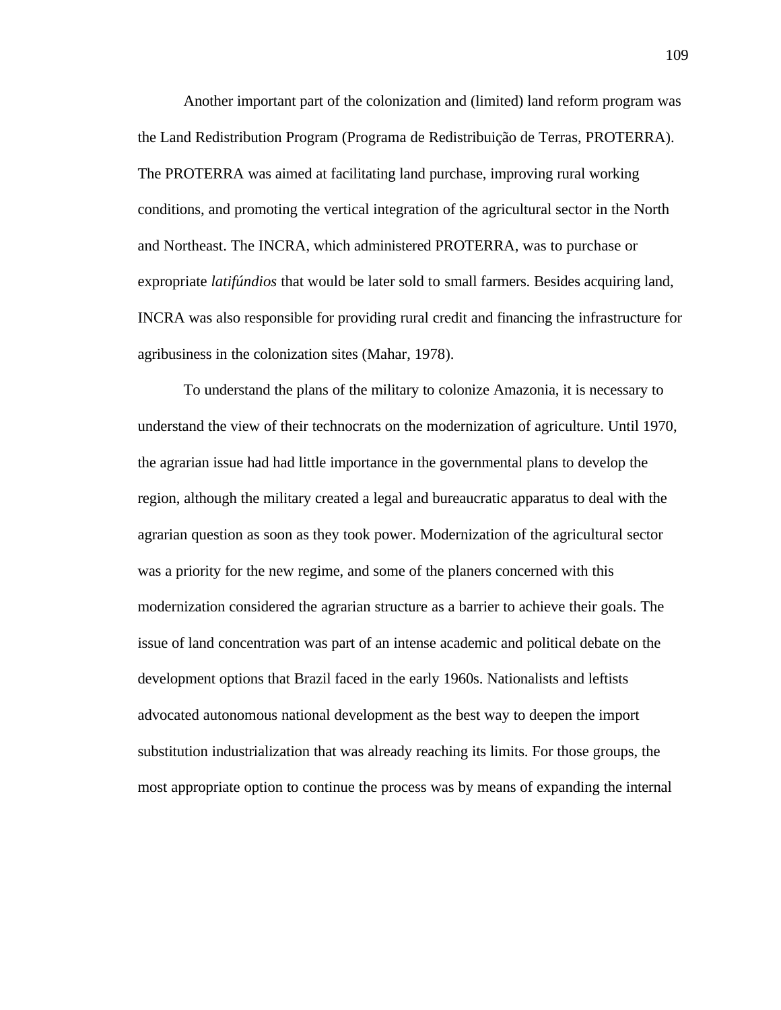Another important part of the colonization and (limited) land reform program was the Land Redistribution Program (Programa de Redistribuição de Terras, PROTERRA). The PROTERRA was aimed at facilitating land purchase, improving rural working conditions, and promoting the vertical integration of the agricultural sector in the North and Northeast. The INCRA, which administered PROTERRA, was to purchase or expropriate *latifúndios* that would be later sold to small farmers. Besides acquiring land, INCRA was also responsible for providing rural credit and financing the infrastructure for agribusiness in the colonization sites (Mahar, 1978).

To understand the plans of the military to colonize Amazonia, it is necessary to understand the view of their technocrats on the modernization of agriculture. Until 1970, the agrarian issue had had little importance in the governmental plans to develop the region, although the military created a legal and bureaucratic apparatus to deal with the agrarian question as soon as they took power. Modernization of the agricultural sector was a priority for the new regime, and some of the planers concerned with this modernization considered the agrarian structure as a barrier to achieve their goals. The issue of land concentration was part of an intense academic and political debate on the development options that Brazil faced in the early 1960s. Nationalists and leftists advocated autonomous national development as the best way to deepen the import substitution industrialization that was already reaching its limits. For those groups, the most appropriate option to continue the process was by means of expanding the internal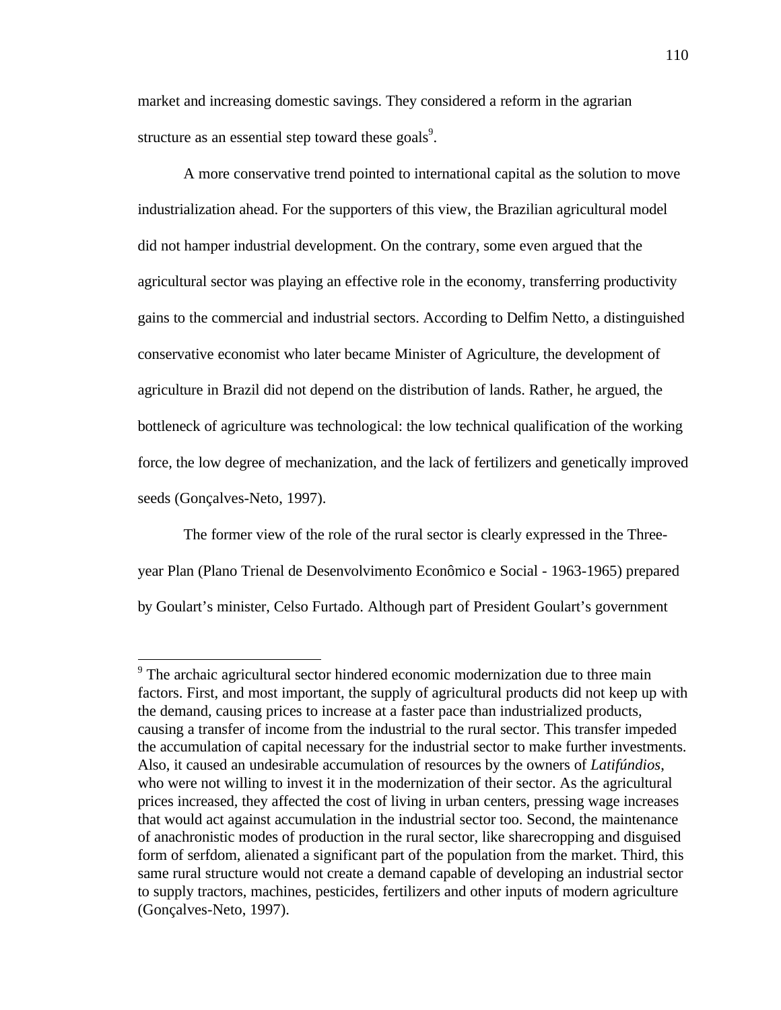market and increasing domestic savings. They considered a reform in the agrarian structure as an essential step toward these goals<sup>9</sup>.

A more conservative trend pointed to international capital as the solution to move industrialization ahead. For the supporters of this view, the Brazilian agricultural model did not hamper industrial development. On the contrary, some even argued that the agricultural sector was playing an effective role in the economy, transferring productivity gains to the commercial and industrial sectors. According to Delfim Netto, a distinguished conservative economist who later became Minister of Agriculture, the development of agriculture in Brazil did not depend on the distribution of lands. Rather, he argued, the bottleneck of agriculture was technological: the low technical qualification of the working force, the low degree of mechanization, and the lack of fertilizers and genetically improved seeds (Gonçalves-Neto, 1997).

The former view of the role of the rural sector is clearly expressed in the Threeyear Plan (Plano Trienal de Desenvolvimento Econômico e Social - 1963-1965) prepared by Goulart's minister, Celso Furtado. Although part of President Goulart's government

1

<sup>&</sup>lt;sup>9</sup> The archaic agricultural sector hindered economic modernization due to three main factors. First, and most important, the supply of agricultural products did not keep up with the demand, causing prices to increase at a faster pace than industrialized products, causing a transfer of income from the industrial to the rural sector. This transfer impeded the accumulation of capital necessary for the industrial sector to make further investments. Also, it caused an undesirable accumulation of resources by the owners of *Latifúndios*, who were not willing to invest it in the modernization of their sector. As the agricultural prices increased, they affected the cost of living in urban centers, pressing wage increases that would act against accumulation in the industrial sector too. Second, the maintenance of anachronistic modes of production in the rural sector, like sharecropping and disguised form of serfdom, alienated a significant part of the population from the market. Third, this same rural structure would not create a demand capable of developing an industrial sector to supply tractors, machines, pesticides, fertilizers and other inputs of modern agriculture (Gonçalves-Neto, 1997).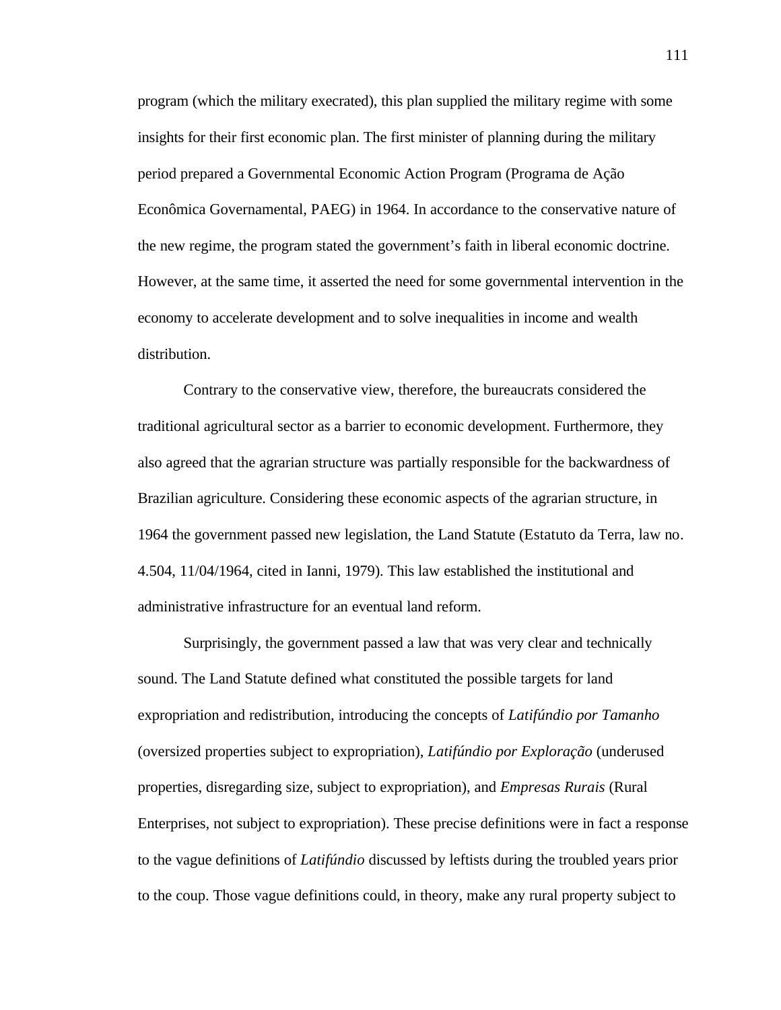program (which the military execrated), this plan supplied the military regime with some insights for their first economic plan. The first minister of planning during the military period prepared a Governmental Economic Action Program (Programa de Ação Econômica Governamental, PAEG) in 1964. In accordance to the conservative nature of the new regime, the program stated the government's faith in liberal economic doctrine. However, at the same time, it asserted the need for some governmental intervention in the economy to accelerate development and to solve inequalities in income and wealth distribution.

Contrary to the conservative view, therefore, the bureaucrats considered the traditional agricultural sector as a barrier to economic development. Furthermore, they also agreed that the agrarian structure was partially responsible for the backwardness of Brazilian agriculture. Considering these economic aspects of the agrarian structure, in 1964 the government passed new legislation, the Land Statute (Estatuto da Terra, law no. 4.504, 11/04/1964, cited in Ianni, 1979). This law established the institutional and administrative infrastructure for an eventual land reform.

Surprisingly, the government passed a law that was very clear and technically sound. The Land Statute defined what constituted the possible targets for land expropriation and redistribution, introducing the concepts of *Latifúndio por Tamanho* (oversized properties subject to expropriation), *Latifúndio por Exploração* (underused properties, disregarding size, subject to expropriation), and *Empresas Rurais* (Rural Enterprises, not subject to expropriation). These precise definitions were in fact a response to the vague definitions of *Latifúndio* discussed by leftists during the troubled years prior to the coup. Those vague definitions could, in theory, make any rural property subject to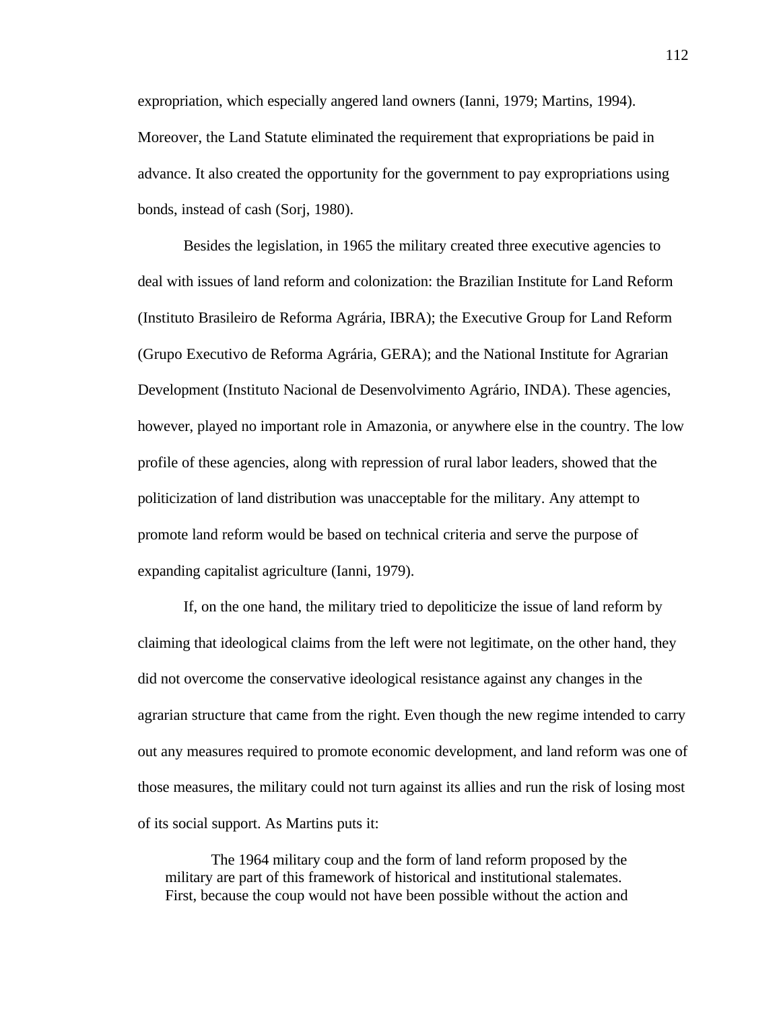expropriation, which especially angered land owners (Ianni, 1979; Martins, 1994). Moreover, the Land Statute eliminated the requirement that expropriations be paid in advance. It also created the opportunity for the government to pay expropriations using bonds, instead of cash (Sorj, 1980).

Besides the legislation, in 1965 the military created three executive agencies to deal with issues of land reform and colonization: the Brazilian Institute for Land Reform (Instituto Brasileiro de Reforma Agrária, IBRA); the Executive Group for Land Reform (Grupo Executivo de Reforma Agrária, GERA); and the National Institute for Agrarian Development (Instituto Nacional de Desenvolvimento Agrário, INDA). These agencies, however, played no important role in Amazonia, or anywhere else in the country. The low profile of these agencies, along with repression of rural labor leaders, showed that the politicization of land distribution was unacceptable for the military. Any attempt to promote land reform would be based on technical criteria and serve the purpose of expanding capitalist agriculture (Ianni, 1979).

If, on the one hand, the military tried to depoliticize the issue of land reform by claiming that ideological claims from the left were not legitimate, on the other hand, they did not overcome the conservative ideological resistance against any changes in the agrarian structure that came from the right. Even though the new regime intended to carry out any measures required to promote economic development, and land reform was one of those measures, the military could not turn against its allies and run the risk of losing most of its social support. As Martins puts it:

The 1964 military coup and the form of land reform proposed by the military are part of this framework of historical and institutional stalemates. First, because the coup would not have been possible without the action and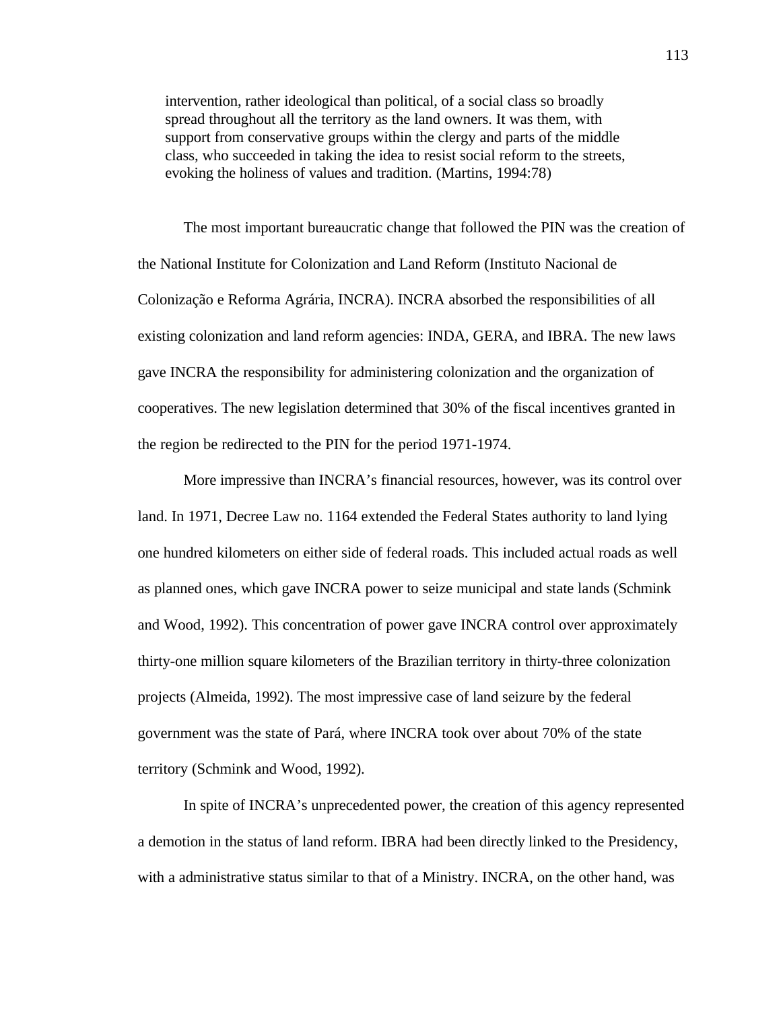intervention, rather ideological than political, of a social class so broadly spread throughout all the territory as the land owners. It was them, with support from conservative groups within the clergy and parts of the middle class, who succeeded in taking the idea to resist social reform to the streets, evoking the holiness of values and tradition. (Martins, 1994:78)

The most important bureaucratic change that followed the PIN was the creation of the National Institute for Colonization and Land Reform (Instituto Nacional de Colonização e Reforma Agrária, INCRA). INCRA absorbed the responsibilities of all existing colonization and land reform agencies: INDA, GERA, and IBRA. The new laws gave INCRA the responsibility for administering colonization and the organization of cooperatives. The new legislation determined that 30% of the fiscal incentives granted in the region be redirected to the PIN for the period 1971-1974.

More impressive than INCRA's financial resources, however, was its control over land. In 1971, Decree Law no. 1164 extended the Federal States authority to land lying one hundred kilometers on either side of federal roads. This included actual roads as well as planned ones, which gave INCRA power to seize municipal and state lands (Schmink and Wood, 1992). This concentration of power gave INCRA control over approximately thirty-one million square kilometers of the Brazilian territory in thirty-three colonization projects (Almeida, 1992). The most impressive case of land seizure by the federal government was the state of Pará, where INCRA took over about 70% of the state territory (Schmink and Wood, 1992).

In spite of INCRA's unprecedented power, the creation of this agency represented a demotion in the status of land reform. IBRA had been directly linked to the Presidency, with a administrative status similar to that of a Ministry. INCRA, on the other hand, was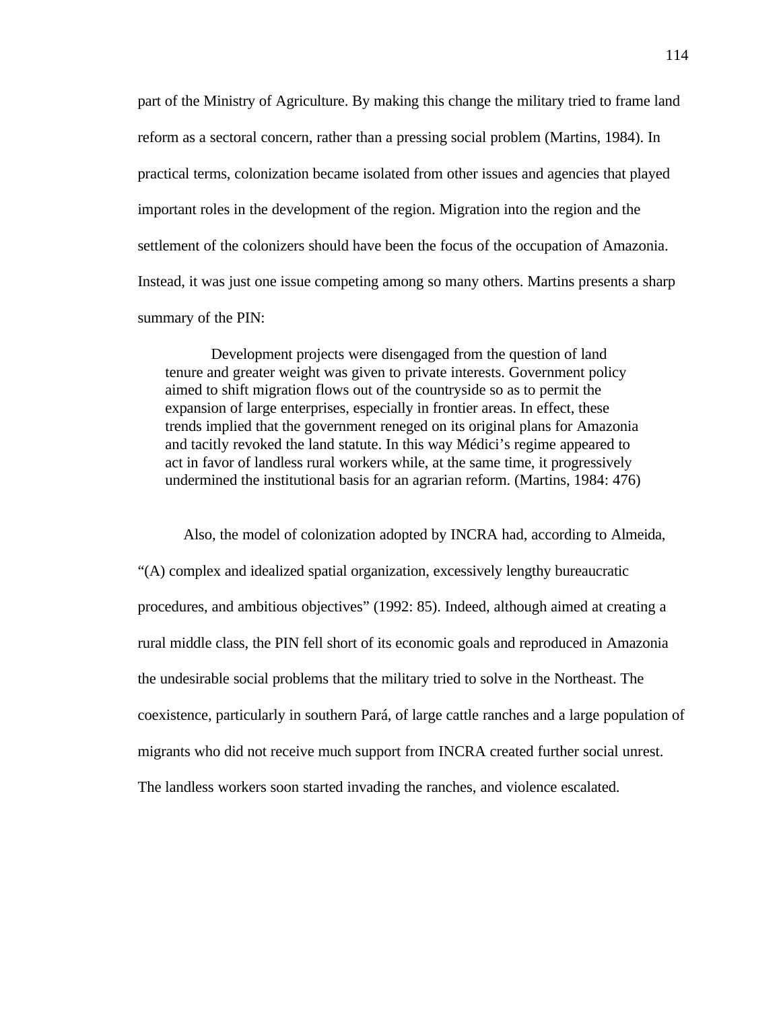part of the Ministry of Agriculture. By making this change the military tried to frame land reform as a sectoral concern, rather than a pressing social problem (Martins, 1984). In practical terms, colonization became isolated from other issues and agencies that played important roles in the development of the region. Migration into the region and the settlement of the colonizers should have been the focus of the occupation of Amazonia. Instead, it was just one issue competing among so many others. Martins presents a sharp summary of the PIN:

Development projects were disengaged from the question of land tenure and greater weight was given to private interests. Government policy aimed to shift migration flows out of the countryside so as to permit the expansion of large enterprises, especially in frontier areas. In effect, these trends implied that the government reneged on its original plans for Amazonia and tacitly revoked the land statute. In this way Médici's regime appeared to act in favor of landless rural workers while, at the same time, it progressively undermined the institutional basis for an agrarian reform. (Martins, 1984: 476)

Also, the model of colonization adopted by INCRA had, according to Almeida, "(A) complex and idealized spatial organization, excessively lengthy bureaucratic procedures, and ambitious objectives" (1992: 85). Indeed, although aimed at creating a rural middle class, the PIN fell short of its economic goals and reproduced in Amazonia the undesirable social problems that the military tried to solve in the Northeast. The coexistence, particularly in southern Pará, of large cattle ranches and a large population of migrants who did not receive much support from INCRA created further social unrest. The landless workers soon started invading the ranches, and violence escalated.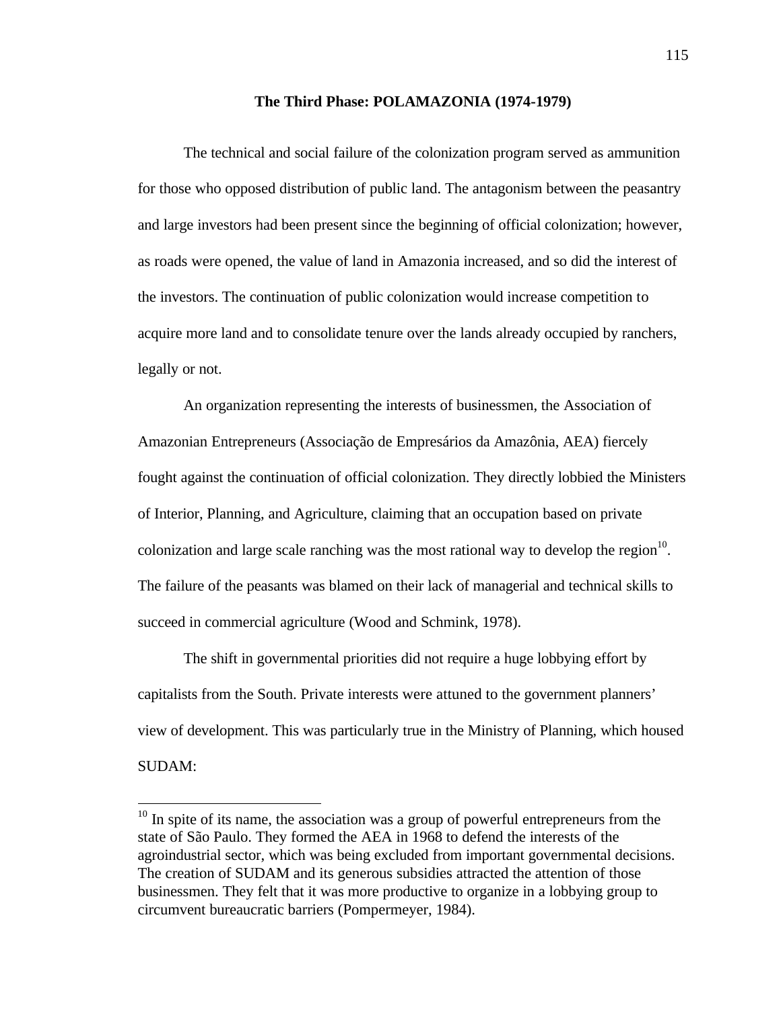## **The Third Phase: POLAMAZONIA (1974-1979)**

The technical and social failure of the colonization program served as ammunition for those who opposed distribution of public land. The antagonism between the peasantry and large investors had been present since the beginning of official colonization; however, as roads were opened, the value of land in Amazonia increased, and so did the interest of the investors. The continuation of public colonization would increase competition to acquire more land and to consolidate tenure over the lands already occupied by ranchers, legally or not.

An organization representing the interests of businessmen, the Association of Amazonian Entrepreneurs (Associação de Empresários da Amazônia, AEA) fiercely fought against the continuation of official colonization. They directly lobbied the Ministers of Interior, Planning, and Agriculture, claiming that an occupation based on private colonization and large scale ranching was the most rational way to develop the region $10$ . The failure of the peasants was blamed on their lack of managerial and technical skills to succeed in commercial agriculture (Wood and Schmink, 1978).

The shift in governmental priorities did not require a huge lobbying effort by capitalists from the South. Private interests were attuned to the government planners' view of development. This was particularly true in the Ministry of Planning, which housed SUDAM:

 $\overline{a}$ 

 $10$  In spite of its name, the association was a group of powerful entrepreneurs from the state of São Paulo. They formed the AEA in 1968 to defend the interests of the agroindustrial sector, which was being excluded from important governmental decisions. The creation of SUDAM and its generous subsidies attracted the attention of those businessmen. They felt that it was more productive to organize in a lobbying group to circumvent bureaucratic barriers (Pompermeyer, 1984).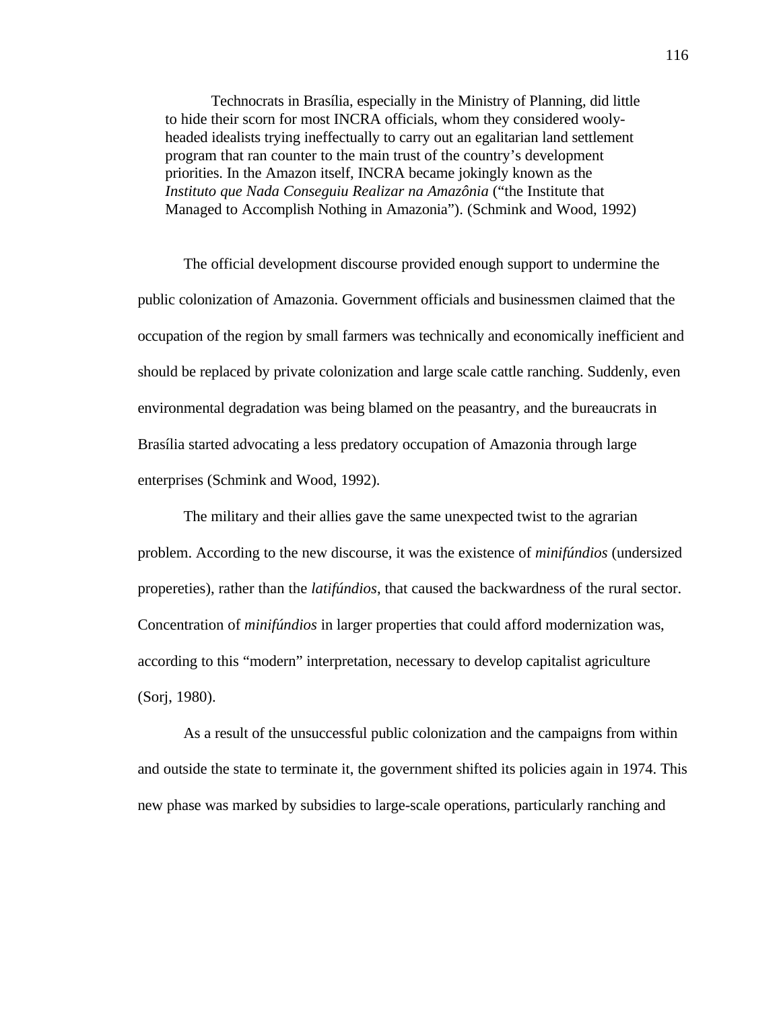Technocrats in Brasília, especially in the Ministry of Planning, did little to hide their scorn for most INCRA officials, whom they considered woolyheaded idealists trying ineffectually to carry out an egalitarian land settlement program that ran counter to the main trust of the country's development priorities. In the Amazon itself, INCRA became jokingly known as the *Instituto que Nada Conseguiu Realizar na Amazônia* ("the Institute that Managed to Accomplish Nothing in Amazonia"). (Schmink and Wood, 1992)

The official development discourse provided enough support to undermine the public colonization of Amazonia. Government officials and businessmen claimed that the occupation of the region by small farmers was technically and economically inefficient and should be replaced by private colonization and large scale cattle ranching. Suddenly, even environmental degradation was being blamed on the peasantry, and the bureaucrats in Brasília started advocating a less predatory occupation of Amazonia through large enterprises (Schmink and Wood, 1992).

The military and their allies gave the same unexpected twist to the agrarian problem. According to the new discourse, it was the existence of *minifúndios* (undersized propereties), rather than the *latifúndios*, that caused the backwardness of the rural sector. Concentration of *minifúndios* in larger properties that could afford modernization was, according to this "modern" interpretation, necessary to develop capitalist agriculture (Sorj, 1980).

As a result of the unsuccessful public colonization and the campaigns from within and outside the state to terminate it, the government shifted its policies again in 1974. This new phase was marked by subsidies to large-scale operations, particularly ranching and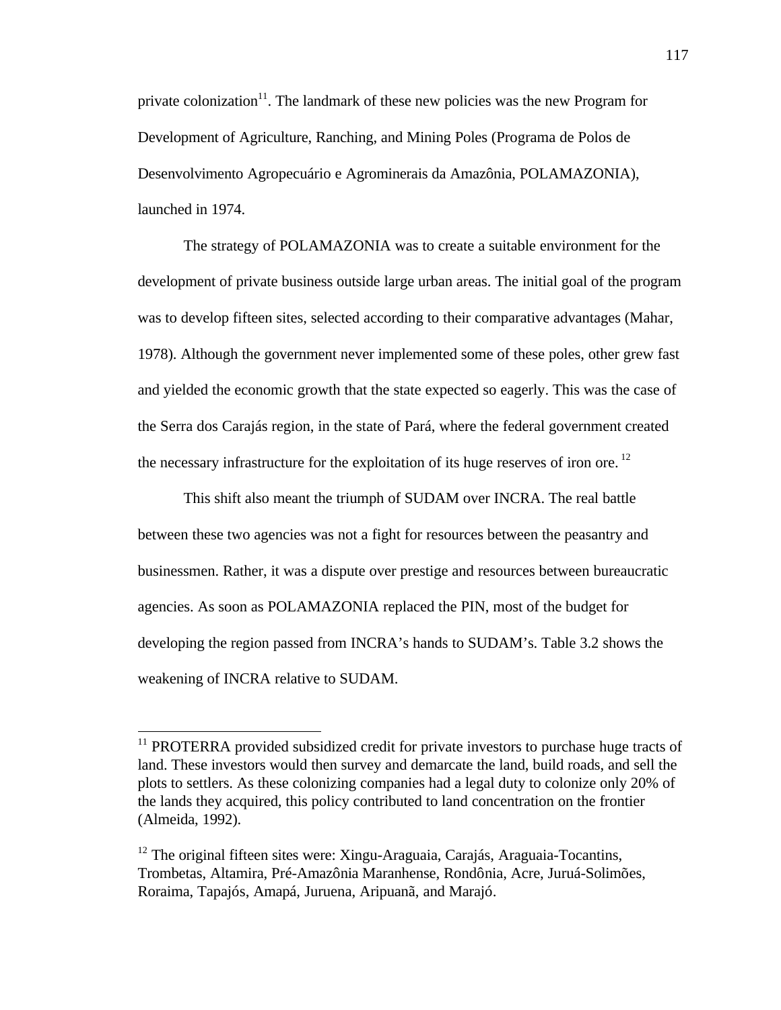private colonization<sup>11</sup>. The landmark of these new policies was the new Program for Development of Agriculture, Ranching, and Mining Poles (Programa de Polos de Desenvolvimento Agropecuário e Agrominerais da Amazônia, POLAMAZONIA), launched in 1974.

The strategy of POLAMAZONIA was to create a suitable environment for the development of private business outside large urban areas. The initial goal of the program was to develop fifteen sites, selected according to their comparative advantages (Mahar, 1978). Although the government never implemented some of these poles, other grew fast and yielded the economic growth that the state expected so eagerly. This was the case of the Serra dos Carajás region, in the state of Pará, where the federal government created the necessary infrastructure for the exploitation of its huge reserves of iron ore.<sup>12</sup>

This shift also meant the triumph of SUDAM over INCRA. The real battle between these two agencies was not a fight for resources between the peasantry and businessmen. Rather, it was a dispute over prestige and resources between bureaucratic agencies. As soon as POLAMAZONIA replaced the PIN, most of the budget for developing the region passed from INCRA's hands to SUDAM's. Table 3.2 shows the weakening of INCRA relative to SUDAM.

 $\overline{a}$ 

 $11$  PROTERRA provided subsidized credit for private investors to purchase huge tracts of land. These investors would then survey and demarcate the land, build roads, and sell the plots to settlers. As these colonizing companies had a legal duty to colonize only 20% of the lands they acquired, this policy contributed to land concentration on the frontier (Almeida, 1992).

<sup>&</sup>lt;sup>12</sup> The original fifteen sites were: Xingu-Araguaia, Carajás, Araguaia-Tocantins, Trombetas, Altamira, Pré-Amazônia Maranhense, Rondônia, Acre, Juruá-Solimões, Roraima, Tapajós, Amapá, Juruena, Aripuanã, and Marajó.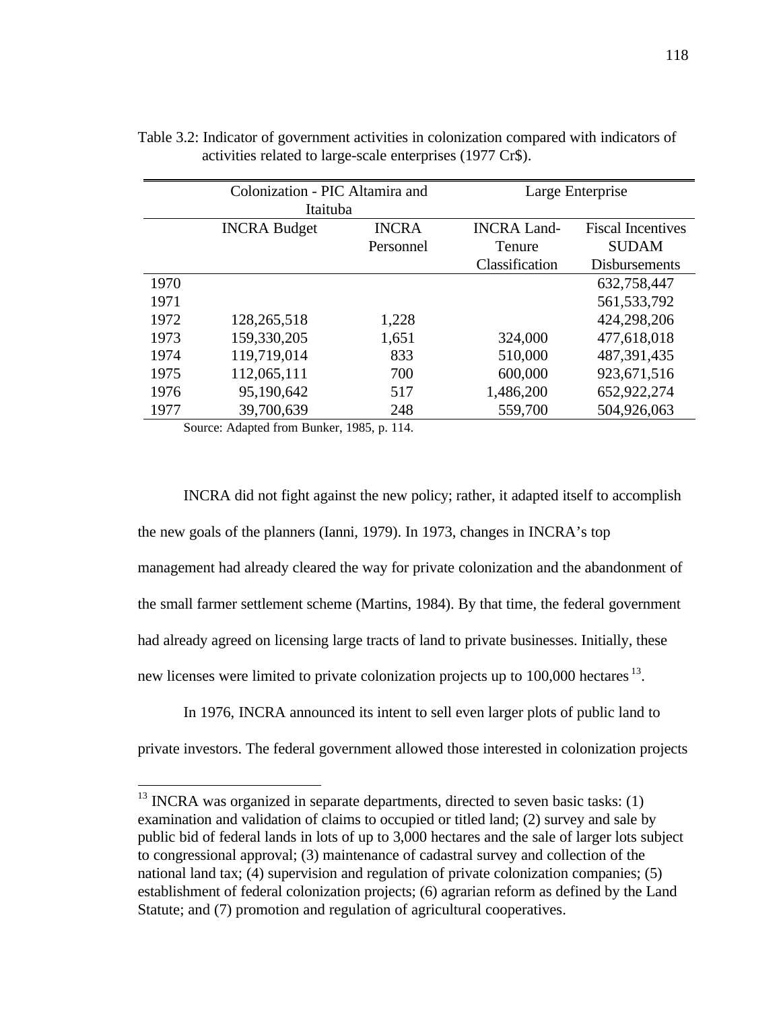|      | Colonization - PIC Altamira and |              | Large Enterprise   |                          |  |  |  |  |  |
|------|---------------------------------|--------------|--------------------|--------------------------|--|--|--|--|--|
|      | Itaituba                        |              |                    |                          |  |  |  |  |  |
|      | <b>INCRA Budget</b>             | <b>INCRA</b> | <b>INCRA Land-</b> | <b>Fiscal Incentives</b> |  |  |  |  |  |
|      |                                 | Personnel    | Tenure             | <b>SUDAM</b>             |  |  |  |  |  |
|      |                                 |              | Classification     | <b>Disbursements</b>     |  |  |  |  |  |
| 1970 |                                 |              |                    | 632,758,447              |  |  |  |  |  |
| 1971 |                                 |              |                    | 561, 533, 792            |  |  |  |  |  |
| 1972 | 128,265,518                     | 1,228        |                    | 424,298,206              |  |  |  |  |  |
| 1973 | 159,330,205                     | 1,651        | 324,000            | 477,618,018              |  |  |  |  |  |
| 1974 | 119,719,014                     | 833          | 510,000            | 487, 391, 435            |  |  |  |  |  |
| 1975 | 112,065,111                     | 700          | 600,000            | 923,671,516              |  |  |  |  |  |
| 1976 | 95,190,642                      | 517          | 1,486,200          | 652,922,274              |  |  |  |  |  |
| 1977 | 39,700,639                      | 248          | 559,700            | 504,926,063              |  |  |  |  |  |

Table 3.2: Indicator of government activities in colonization compared with indicators of activities related to large-scale enterprises (1977 Cr\$).

Source: Adapted from Bunker, 1985, p. 114.

 $\overline{a}$ 

INCRA did not fight against the new policy; rather, it adapted itself to accomplish the new goals of the planners (Ianni, 1979). In 1973, changes in INCRA's top management had already cleared the way for private colonization and the abandonment of the small farmer settlement scheme (Martins, 1984). By that time, the federal government had already agreed on licensing large tracts of land to private businesses. Initially, these new licenses were limited to private colonization projects up to 100,000 hectares <sup>13</sup>.

In 1976, INCRA announced its intent to sell even larger plots of public land to

private investors. The federal government allowed those interested in colonization projects

 $13$  INCRA was organized in separate departments, directed to seven basic tasks: (1) examination and validation of claims to occupied or titled land; (2) survey and sale by public bid of federal lands in lots of up to 3,000 hectares and the sale of larger lots subject to congressional approval; (3) maintenance of cadastral survey and collection of the national land tax; (4) supervision and regulation of private colonization companies; (5) establishment of federal colonization projects; (6) agrarian reform as defined by the Land Statute; and (7) promotion and regulation of agricultural cooperatives.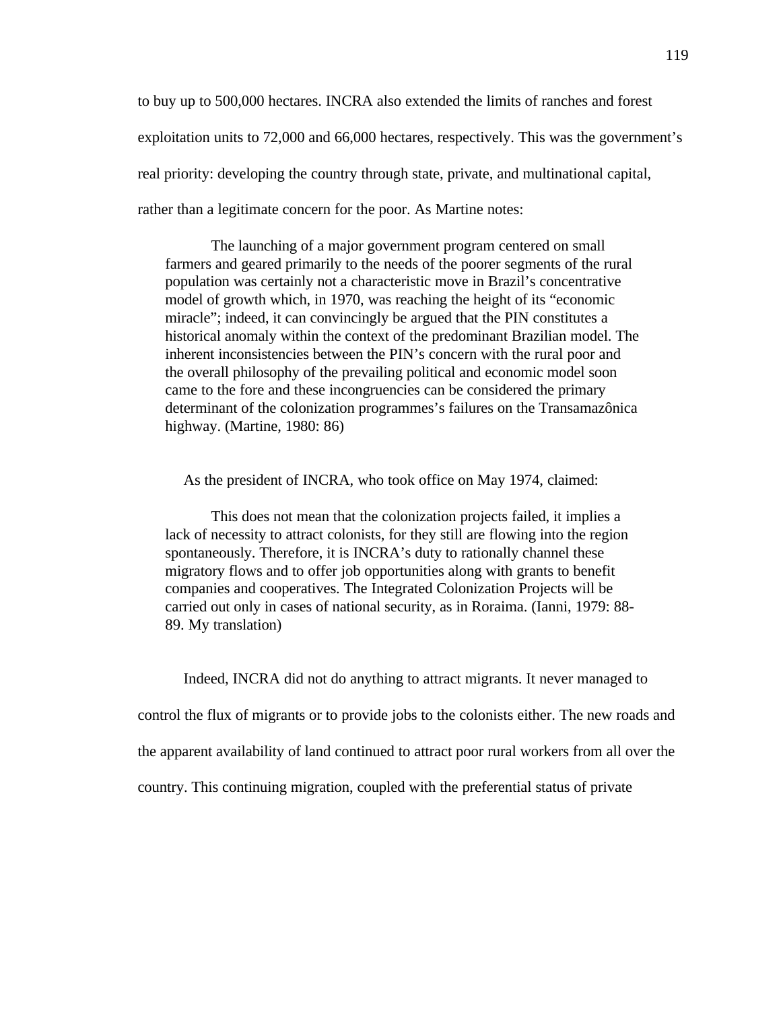to buy up to 500,000 hectares. INCRA also extended the limits of ranches and forest exploitation units to 72,000 and 66,000 hectares, respectively. This was the government's real priority: developing the country through state, private, and multinational capital, rather than a legitimate concern for the poor. As Martine notes:

The launching of a major government program centered on small farmers and geared primarily to the needs of the poorer segments of the rural population was certainly not a characteristic move in Brazil's concentrative model of growth which, in 1970, was reaching the height of its "economic miracle"; indeed, it can convincingly be argued that the PIN constitutes a historical anomaly within the context of the predominant Brazilian model. The inherent inconsistencies between the PIN's concern with the rural poor and the overall philosophy of the prevailing political and economic model soon came to the fore and these incongruencies can be considered the primary determinant of the colonization programmes's failures on the Transamazônica highway. (Martine, 1980: 86)

As the president of INCRA, who took office on May 1974, claimed:

This does not mean that the colonization projects failed, it implies a lack of necessity to attract colonists, for they still are flowing into the region spontaneously. Therefore, it is INCRA's duty to rationally channel these migratory flows and to offer job opportunities along with grants to benefit companies and cooperatives. The Integrated Colonization Projects will be carried out only in cases of national security, as in Roraima. (Ianni, 1979: 88- 89. My translation)

Indeed, INCRA did not do anything to attract migrants. It never managed to control the flux of migrants or to provide jobs to the colonists either. The new roads and the apparent availability of land continued to attract poor rural workers from all over the country. This continuing migration, coupled with the preferential status of private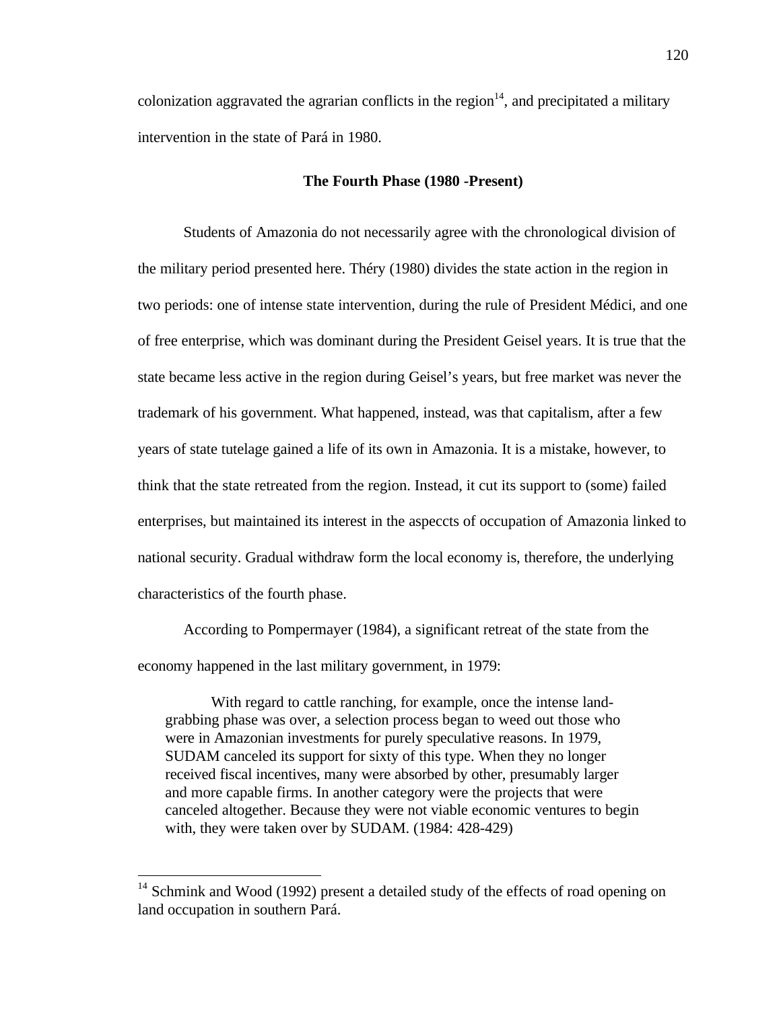colonization aggravated the agrarian conflicts in the region $14$ , and precipitated a military intervention in the state of Pará in 1980.

# **The Fourth Phase (1980 -Present)**

Students of Amazonia do not necessarily agree with the chronological division of the military period presented here. Théry (1980) divides the state action in the region in two periods: one of intense state intervention, during the rule of President Médici, and one of free enterprise, which was dominant during the President Geisel years. It is true that the state became less active in the region during Geisel's years, but free market was never the trademark of his government. What happened, instead, was that capitalism, after a few years of state tutelage gained a life of its own in Amazonia. It is a mistake, however, to think that the state retreated from the region. Instead, it cut its support to (some) failed enterprises, but maintained its interest in the aspeccts of occupation of Amazonia linked to national security. Gradual withdraw form the local economy is, therefore, the underlying characteristics of the fourth phase.

According to Pompermayer (1984), a significant retreat of the state from the economy happened in the last military government, in 1979:

With regard to cattle ranching, for example, once the intense landgrabbing phase was over, a selection process began to weed out those who were in Amazonian investments for purely speculative reasons. In 1979, SUDAM canceled its support for sixty of this type. When they no longer received fiscal incentives, many were absorbed by other, presumably larger and more capable firms. In another category were the projects that were canceled altogether. Because they were not viable economic ventures to begin with, they were taken over by SUDAM. (1984: 428-429)

 $\overline{a}$ 

 $14$  Schmink and Wood (1992) present a detailed study of the effects of road opening on land occupation in southern Pará.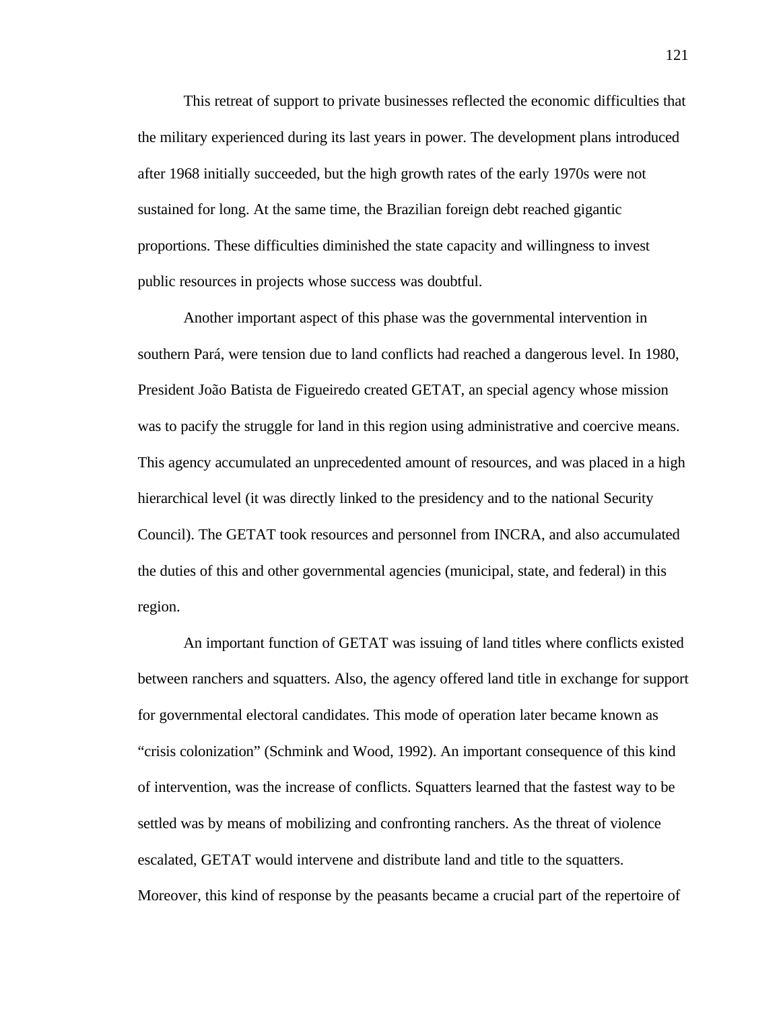This retreat of support to private businesses reflected the economic difficulties that the military experienced during its last years in power. The development plans introduced after 1968 initially succeeded, but the high growth rates of the early 1970s were not sustained for long. At the same time, the Brazilian foreign debt reached gigantic proportions. These difficulties diminished the state capacity and willingness to invest public resources in projects whose success was doubtful.

Another important aspect of this phase was the governmental intervention in southern Pará, were tension due to land conflicts had reached a dangerous level. In 1980, President João Batista de Figueiredo created GETAT, an special agency whose mission was to pacify the struggle for land in this region using administrative and coercive means. This agency accumulated an unprecedented amount of resources, and was placed in a high hierarchical level (it was directly linked to the presidency and to the national Security Council). The GETAT took resources and personnel from INCRA, and also accumulated the duties of this and other governmental agencies (municipal, state, and federal) in this region.

An important function of GETAT was issuing of land titles where conflicts existed between ranchers and squatters. Also, the agency offered land title in exchange for support for governmental electoral candidates. This mode of operation later became known as "crisis colonization" (Schmink and Wood, 1992). An important consequence of this kind of intervention, was the increase of conflicts. Squatters learned that the fastest way to be settled was by means of mobilizing and confronting ranchers. As the threat of violence escalated, GETAT would intervene and distribute land and title to the squatters. Moreover, this kind of response by the peasants became a crucial part of the repertoire of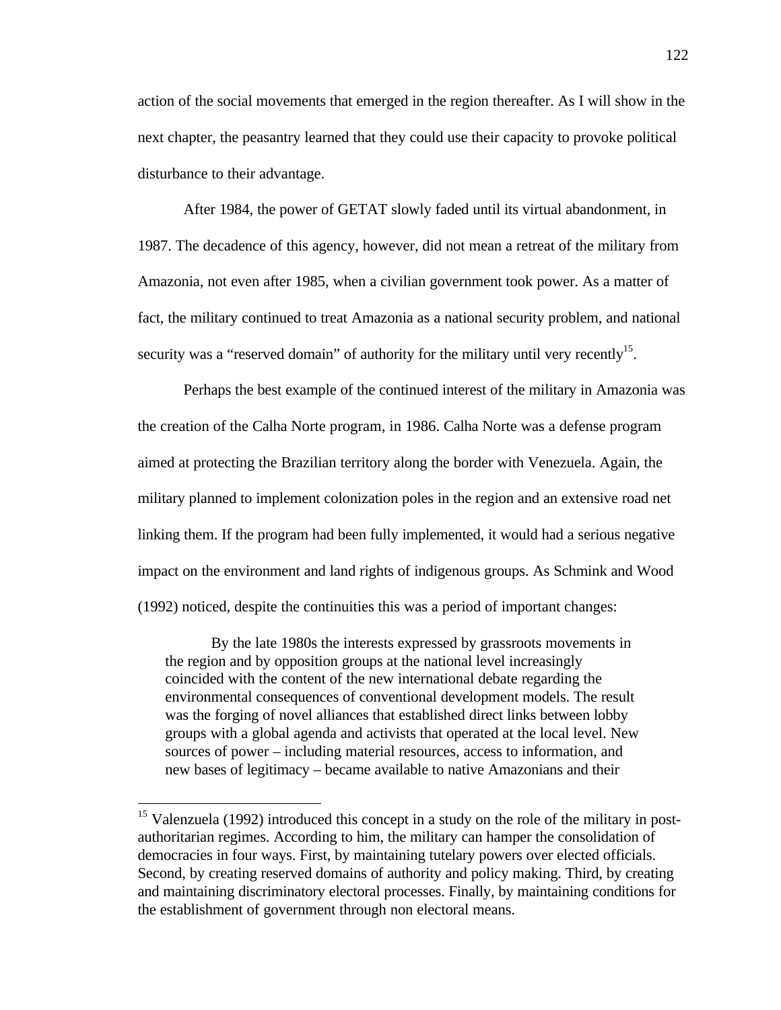action of the social movements that emerged in the region thereafter. As I will show in the next chapter, the peasantry learned that they could use their capacity to provoke political disturbance to their advantage.

After 1984, the power of GETAT slowly faded until its virtual abandonment, in 1987. The decadence of this agency, however, did not mean a retreat of the military from Amazonia, not even after 1985, when a civilian government took power. As a matter of fact, the military continued to treat Amazonia as a national security problem, and national security was a "reserved domain" of authority for the military until very recently<sup>15</sup>.

Perhaps the best example of the continued interest of the military in Amazonia was the creation of the Calha Norte program, in 1986. Calha Norte was a defense program aimed at protecting the Brazilian territory along the border with Venezuela. Again, the military planned to implement colonization poles in the region and an extensive road net linking them. If the program had been fully implemented, it would had a serious negative impact on the environment and land rights of indigenous groups. As Schmink and Wood (1992) noticed, despite the continuities this was a period of important changes:

By the late 1980s the interests expressed by grassroots movements in the region and by opposition groups at the national level increasingly coincided with the content of the new international debate regarding the environmental consequences of conventional development models. The result was the forging of novel alliances that established direct links between lobby groups with a global agenda and activists that operated at the local level. New sources of power – including material resources, access to information, and new bases of legitimacy – became available to native Amazonians and their

1

 $15$  Valenzuela (1992) introduced this concept in a study on the role of the military in postauthoritarian regimes. According to him, the military can hamper the consolidation of democracies in four ways. First, by maintaining tutelary powers over elected officials. Second, by creating reserved domains of authority and policy making. Third, by creating and maintaining discriminatory electoral processes. Finally, by maintaining conditions for the establishment of government through non electoral means.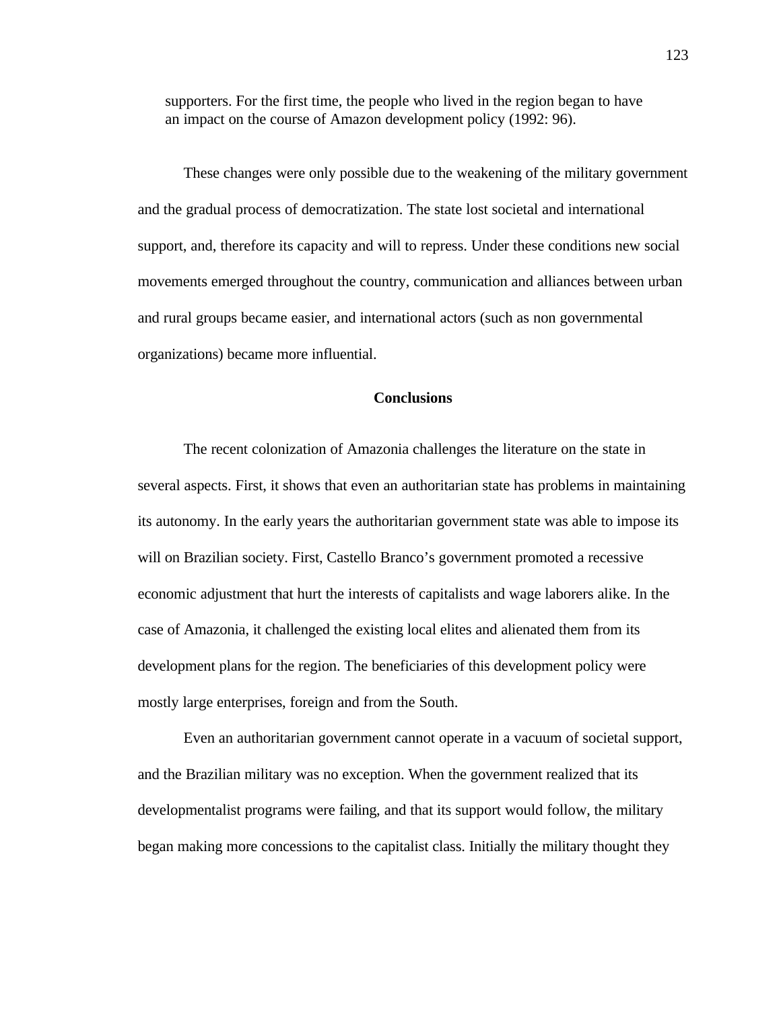supporters. For the first time, the people who lived in the region began to have an impact on the course of Amazon development policy (1992: 96).

These changes were only possible due to the weakening of the military government and the gradual process of democratization. The state lost societal and international support, and, therefore its capacity and will to repress. Under these conditions new social movements emerged throughout the country, communication and alliances between urban and rural groups became easier, and international actors (such as non governmental organizations) became more influential.

# **Conclusions**

The recent colonization of Amazonia challenges the literature on the state in several aspects. First, it shows that even an authoritarian state has problems in maintaining its autonomy. In the early years the authoritarian government state was able to impose its will on Brazilian society. First, Castello Branco's government promoted a recessive economic adjustment that hurt the interests of capitalists and wage laborers alike. In the case of Amazonia, it challenged the existing local elites and alienated them from its development plans for the region. The beneficiaries of this development policy were mostly large enterprises, foreign and from the South.

Even an authoritarian government cannot operate in a vacuum of societal support, and the Brazilian military was no exception. When the government realized that its developmentalist programs were failing, and that its support would follow, the military began making more concessions to the capitalist class. Initially the military thought they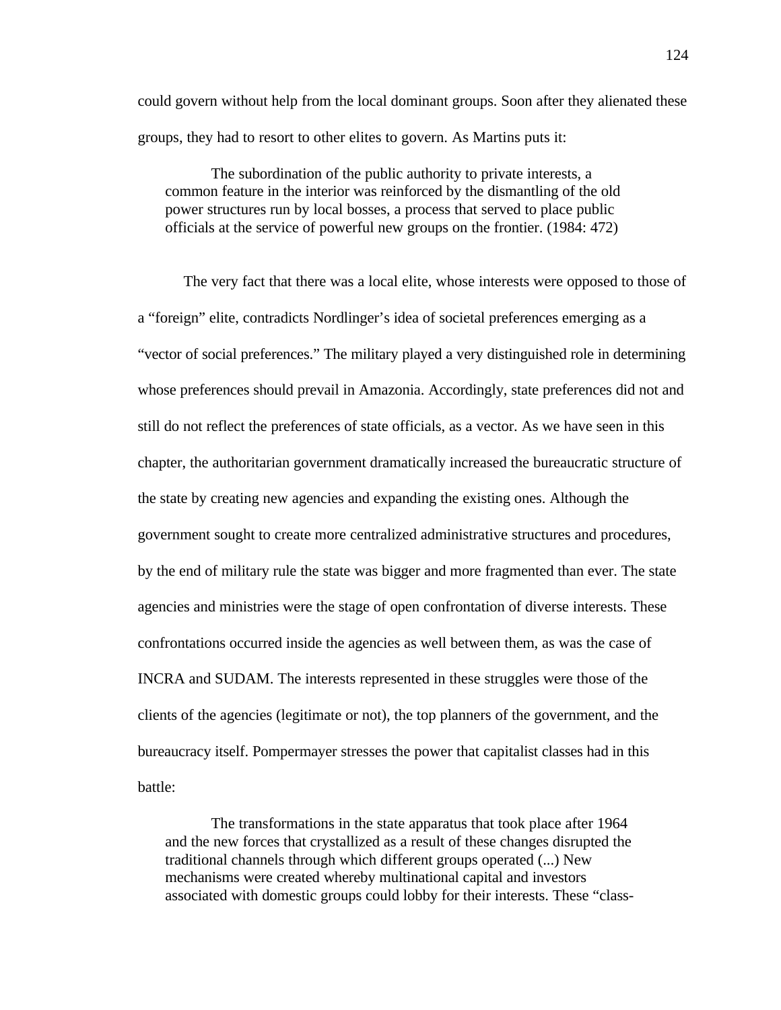could govern without help from the local dominant groups. Soon after they alienated these groups, they had to resort to other elites to govern. As Martins puts it:

The subordination of the public authority to private interests, a common feature in the interior was reinforced by the dismantling of the old power structures run by local bosses, a process that served to place public officials at the service of powerful new groups on the frontier. (1984: 472)

The very fact that there was a local elite, whose interests were opposed to those of a "foreign" elite, contradicts Nordlinger's idea of societal preferences emerging as a "vector of social preferences." The military played a very distinguished role in determining whose preferences should prevail in Amazonia. Accordingly, state preferences did not and still do not reflect the preferences of state officials, as a vector. As we have seen in this chapter, the authoritarian government dramatically increased the bureaucratic structure of the state by creating new agencies and expanding the existing ones. Although the government sought to create more centralized administrative structures and procedures, by the end of military rule the state was bigger and more fragmented than ever. The state agencies and ministries were the stage of open confrontation of diverse interests. These confrontations occurred inside the agencies as well between them, as was the case of INCRA and SUDAM. The interests represented in these struggles were those of the clients of the agencies (legitimate or not), the top planners of the government, and the bureaucracy itself. Pompermayer stresses the power that capitalist classes had in this battle:

The transformations in the state apparatus that took place after 1964 and the new forces that crystallized as a result of these changes disrupted the traditional channels through which different groups operated (...) New mechanisms were created whereby multinational capital and investors associated with domestic groups could lobby for their interests. These "class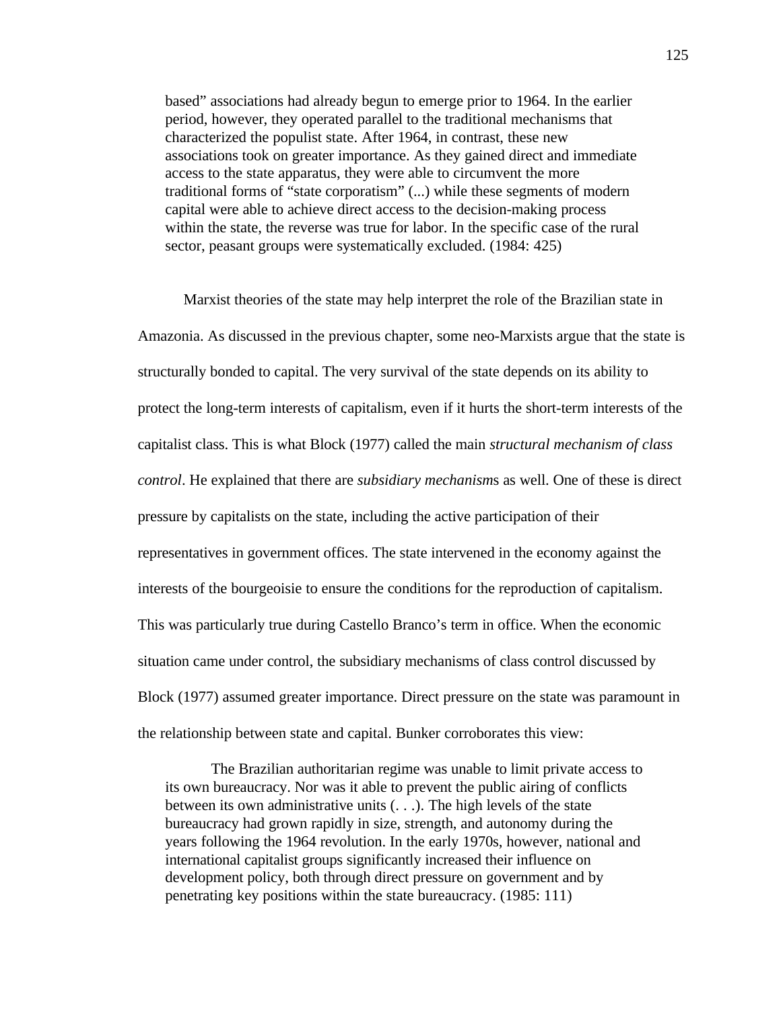based" associations had already begun to emerge prior to 1964. In the earlier period, however, they operated parallel to the traditional mechanisms that characterized the populist state. After 1964, in contrast, these new associations took on greater importance. As they gained direct and immediate access to the state apparatus, they were able to circumvent the more traditional forms of "state corporatism" (...) while these segments of modern capital were able to achieve direct access to the decision-making process within the state, the reverse was true for labor. In the specific case of the rural sector, peasant groups were systematically excluded. (1984: 425)

Marxist theories of the state may help interpret the role of the Brazilian state in Amazonia. As discussed in the previous chapter, some neo-Marxists argue that the state is structurally bonded to capital. The very survival of the state depends on its ability to protect the long-term interests of capitalism, even if it hurts the short-term interests of the capitalist class. This is what Block (1977) called the main *structural mechanism of class control*. He explained that there are *subsidiary mechanism*s as well. One of these is direct pressure by capitalists on the state, including the active participation of their representatives in government offices. The state intervened in the economy against the interests of the bourgeoisie to ensure the conditions for the reproduction of capitalism. This was particularly true during Castello Branco's term in office. When the economic situation came under control, the subsidiary mechanisms of class control discussed by Block (1977) assumed greater importance. Direct pressure on the state was paramount in the relationship between state and capital. Bunker corroborates this view:

The Brazilian authoritarian regime was unable to limit private access to its own bureaucracy. Nor was it able to prevent the public airing of conflicts between its own administrative units (. . .). The high levels of the state bureaucracy had grown rapidly in size, strength, and autonomy during the years following the 1964 revolution. In the early 1970s, however, national and international capitalist groups significantly increased their influence on development policy, both through direct pressure on government and by penetrating key positions within the state bureaucracy. (1985: 111)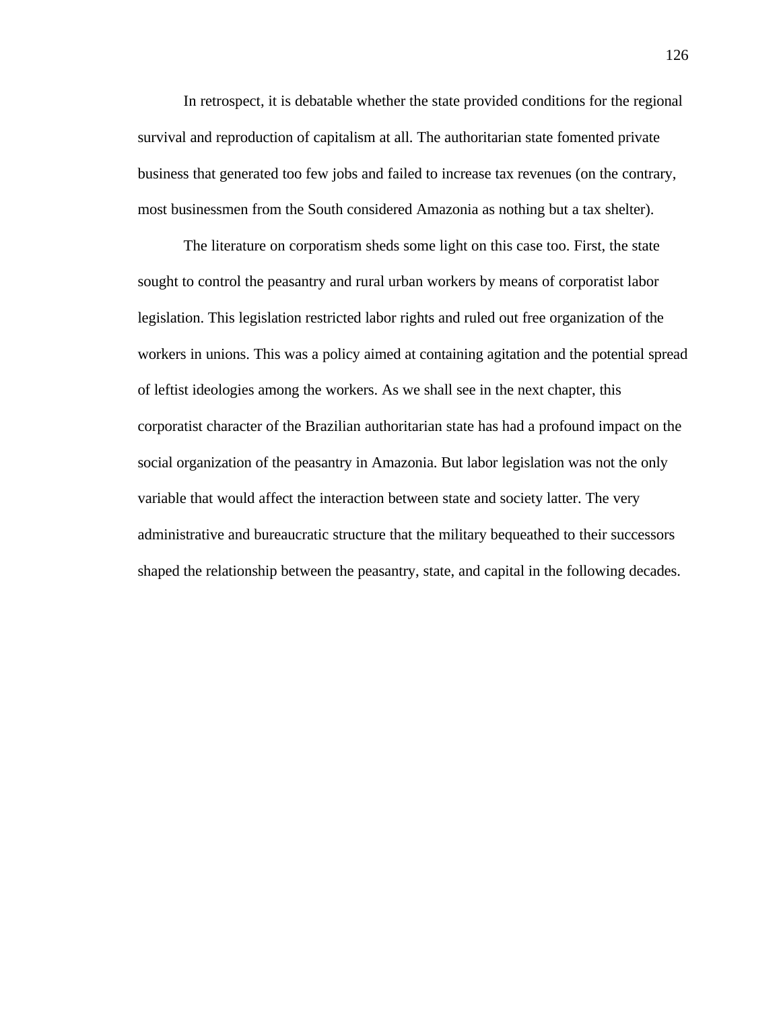In retrospect, it is debatable whether the state provided conditions for the regional survival and reproduction of capitalism at all. The authoritarian state fomented private business that generated too few jobs and failed to increase tax revenues (on the contrary, most businessmen from the South considered Amazonia as nothing but a tax shelter).

The literature on corporatism sheds some light on this case too. First, the state sought to control the peasantry and rural urban workers by means of corporatist labor legislation. This legislation restricted labor rights and ruled out free organization of the workers in unions. This was a policy aimed at containing agitation and the potential spread of leftist ideologies among the workers. As we shall see in the next chapter, this corporatist character of the Brazilian authoritarian state has had a profound impact on the social organization of the peasantry in Amazonia. But labor legislation was not the only variable that would affect the interaction between state and society latter. The very administrative and bureaucratic structure that the military bequeathed to their successors shaped the relationship between the peasantry, state, and capital in the following decades.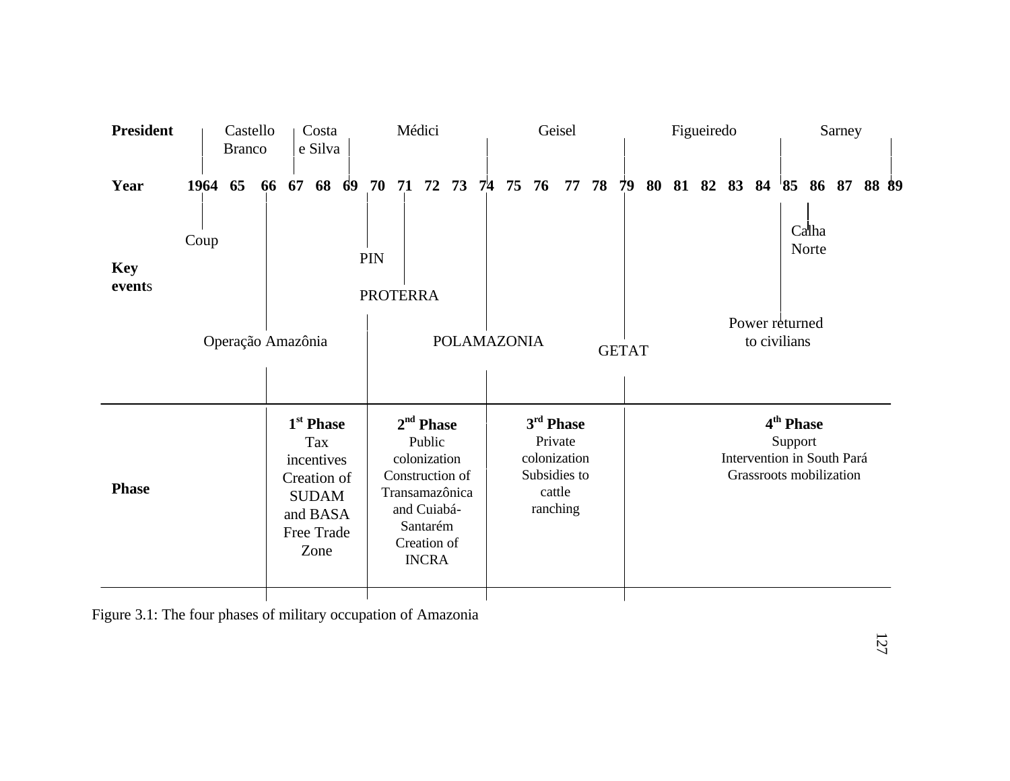| <b>President</b>     |         | Castello<br><b>Branco</b> | Costa<br>e Silva |    |                                                                                                                    | Médici |                                                                                                                                      |    |  |       | Geisel |                                                                            |    |    |    | Figueiredo |                                                                                           |  |  |  |  | Sarney |                         |  |       |  |
|----------------------|---------|---------------------------|------------------|----|--------------------------------------------------------------------------------------------------------------------|--------|--------------------------------------------------------------------------------------------------------------------------------------|----|--|-------|--------|----------------------------------------------------------------------------|----|----|----|------------|-------------------------------------------------------------------------------------------|--|--|--|--|--------|-------------------------|--|-------|--|
| Year                 | 1964 65 |                           | 66               | 67 | 68 69                                                                                                              |        | 70                                                                                                                                   | 71 |  | 72 73 | 74     | 75                                                                         | 76 | 77 | 78 | 79         |                                                                                           |  |  |  |  |        | 80 81 82 83 84 85 86 87 |  | 88 89 |  |
| <b>Key</b><br>events | Coup    |                           |                  |    |                                                                                                                    |        | PIN<br><b>PROTERRA</b>                                                                                                               |    |  |       |        |                                                                            |    |    |    |            |                                                                                           |  |  |  |  |        | Calha<br>Norte          |  |       |  |
| Operação Amazônia    |         |                           |                  |    |                                                                                                                    |        |                                                                                                                                      |    |  |       |        | <b>POLAMAZONIA</b>                                                         |    |    |    |            | Power returned<br>to civilians<br><b>GETAT</b>                                            |  |  |  |  |        |                         |  |       |  |
| <b>Phase</b>         |         |                           |                  |    | 1 <sup>st</sup> Phase<br><b>Tax</b><br>incentives<br>Creation of<br><b>SUDAM</b><br>and BASA<br>Free Trade<br>Zone |        | $2nd$ Phase<br>Public<br>colonization<br>Construction of<br>Transamazônica<br>and Cuiabá-<br>Santarém<br>Creation of<br><b>INCRA</b> |    |  |       |        | 3rd Phase<br>Private<br>colonization<br>Subsidies to<br>cattle<br>ranching |    |    |    |            | 4 <sup>th</sup> Phase<br>Support<br>Intervention in South Pará<br>Grassroots mobilization |  |  |  |  |        |                         |  |       |  |
|                      |         |                           |                  |    |                                                                                                                    |        |                                                                                                                                      |    |  |       |        |                                                                            |    |    |    |            |                                                                                           |  |  |  |  |        |                         |  |       |  |

Figure 3.1: The four phases of military occupation of Amazonia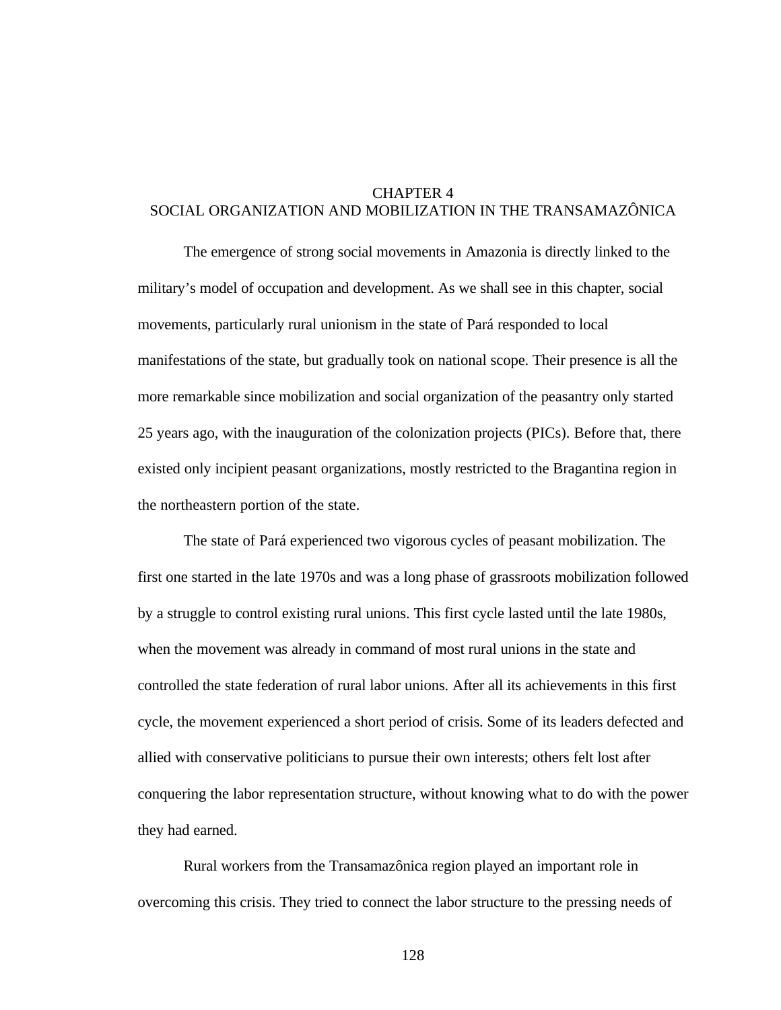# CHAPTER 4 SOCIAL ORGANIZATION AND MOBILIZATION IN THE TRANSAMAZÔNICA

The emergence of strong social movements in Amazonia is directly linked to the military's model of occupation and development. As we shall see in this chapter, social movements, particularly rural unionism in the state of Pará responded to local manifestations of the state, but gradually took on national scope. Their presence is all the more remarkable since mobilization and social organization of the peasantry only started 25 years ago, with the inauguration of the colonization projects (PICs). Before that, there existed only incipient peasant organizations, mostly restricted to the Bragantina region in the northeastern portion of the state.

The state of Pará experienced two vigorous cycles of peasant mobilization. The first one started in the late 1970s and was a long phase of grassroots mobilization followed by a struggle to control existing rural unions. This first cycle lasted until the late 1980s, when the movement was already in command of most rural unions in the state and controlled the state federation of rural labor unions. After all its achievements in this first cycle, the movement experienced a short period of crisis. Some of its leaders defected and allied with conservative politicians to pursue their own interests; others felt lost after conquering the labor representation structure, without knowing what to do with the power they had earned.

Rural workers from the Transamazônica region played an important role in overcoming this crisis. They tried to connect the labor structure to the pressing needs of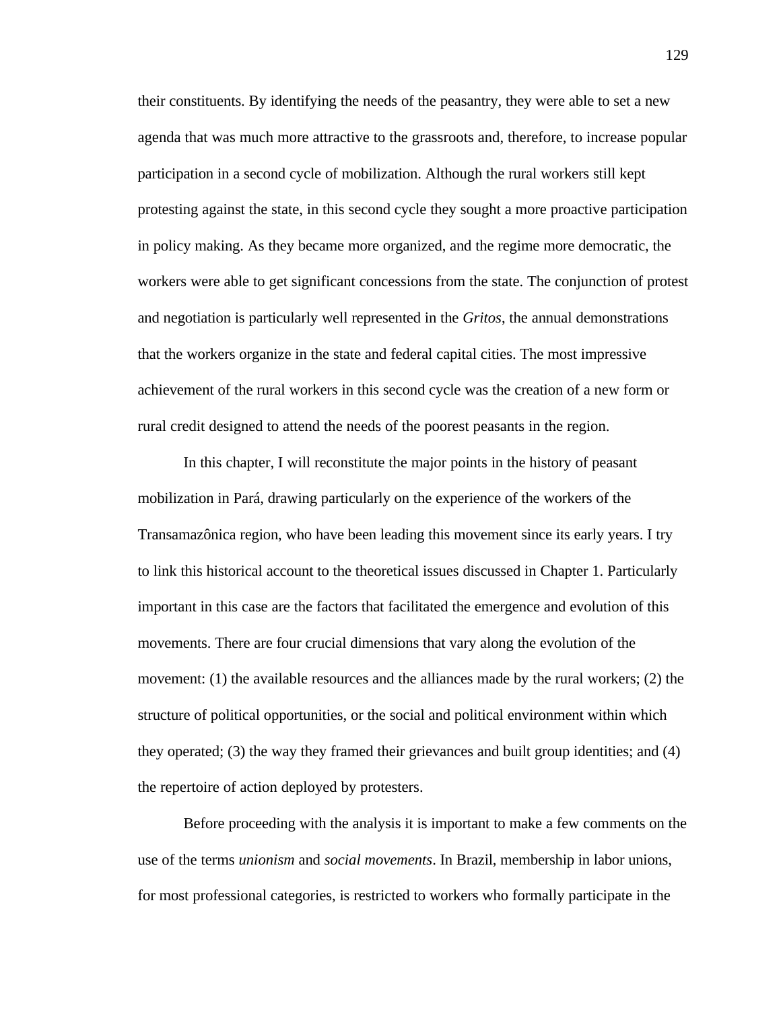their constituents. By identifying the needs of the peasantry, they were able to set a new agenda that was much more attractive to the grassroots and, therefore, to increase popular participation in a second cycle of mobilization. Although the rural workers still kept protesting against the state, in this second cycle they sought a more proactive participation in policy making. As they became more organized, and the regime more democratic, the workers were able to get significant concessions from the state. The conjunction of protest and negotiation is particularly well represented in the *Gritos*, the annual demonstrations that the workers organize in the state and federal capital cities. The most impressive achievement of the rural workers in this second cycle was the creation of a new form or rural credit designed to attend the needs of the poorest peasants in the region.

In this chapter, I will reconstitute the major points in the history of peasant mobilization in Pará, drawing particularly on the experience of the workers of the Transamazônica region, who have been leading this movement since its early years. I try to link this historical account to the theoretical issues discussed in Chapter 1. Particularly important in this case are the factors that facilitated the emergence and evolution of this movements. There are four crucial dimensions that vary along the evolution of the movement: (1) the available resources and the alliances made by the rural workers; (2) the structure of political opportunities, or the social and political environment within which they operated; (3) the way they framed their grievances and built group identities; and (4) the repertoire of action deployed by protesters.

Before proceeding with the analysis it is important to make a few comments on the use of the terms *unionism* and *social movements*. In Brazil, membership in labor unions, for most professional categories, is restricted to workers who formally participate in the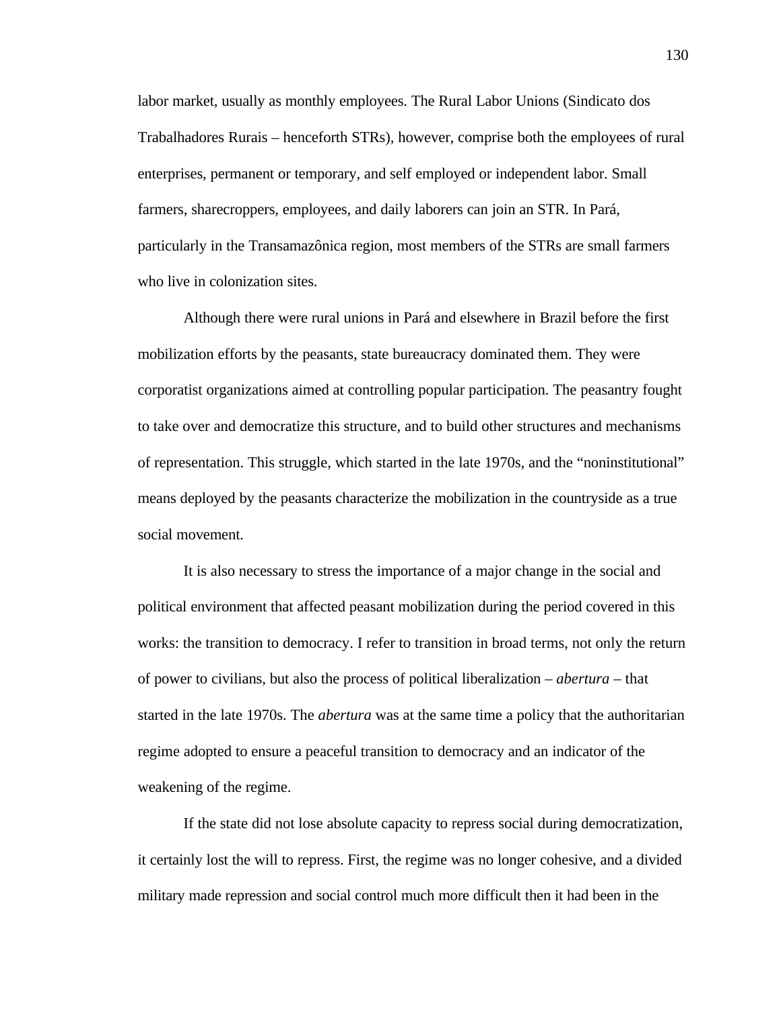labor market, usually as monthly employees. The Rural Labor Unions (Sindicato dos Trabalhadores Rurais – henceforth STRs), however, comprise both the employees of rural enterprises, permanent or temporary, and self employed or independent labor. Small farmers, sharecroppers, employees, and daily laborers can join an STR. In Pará, particularly in the Transamazônica region, most members of the STRs are small farmers who live in colonization sites.

Although there were rural unions in Pará and elsewhere in Brazil before the first mobilization efforts by the peasants, state bureaucracy dominated them. They were corporatist organizations aimed at controlling popular participation. The peasantry fought to take over and democratize this structure, and to build other structures and mechanisms of representation. This struggle, which started in the late 1970s, and the "noninstitutional" means deployed by the peasants characterize the mobilization in the countryside as a true social movement.

It is also necessary to stress the importance of a major change in the social and political environment that affected peasant mobilization during the period covered in this works: the transition to democracy. I refer to transition in broad terms, not only the return of power to civilians, but also the process of political liberalization – *abertura* – that started in the late 1970s. The *abertura* was at the same time a policy that the authoritarian regime adopted to ensure a peaceful transition to democracy and an indicator of the weakening of the regime.

If the state did not lose absolute capacity to repress social during democratization, it certainly lost the will to repress. First, the regime was no longer cohesive, and a divided military made repression and social control much more difficult then it had been in the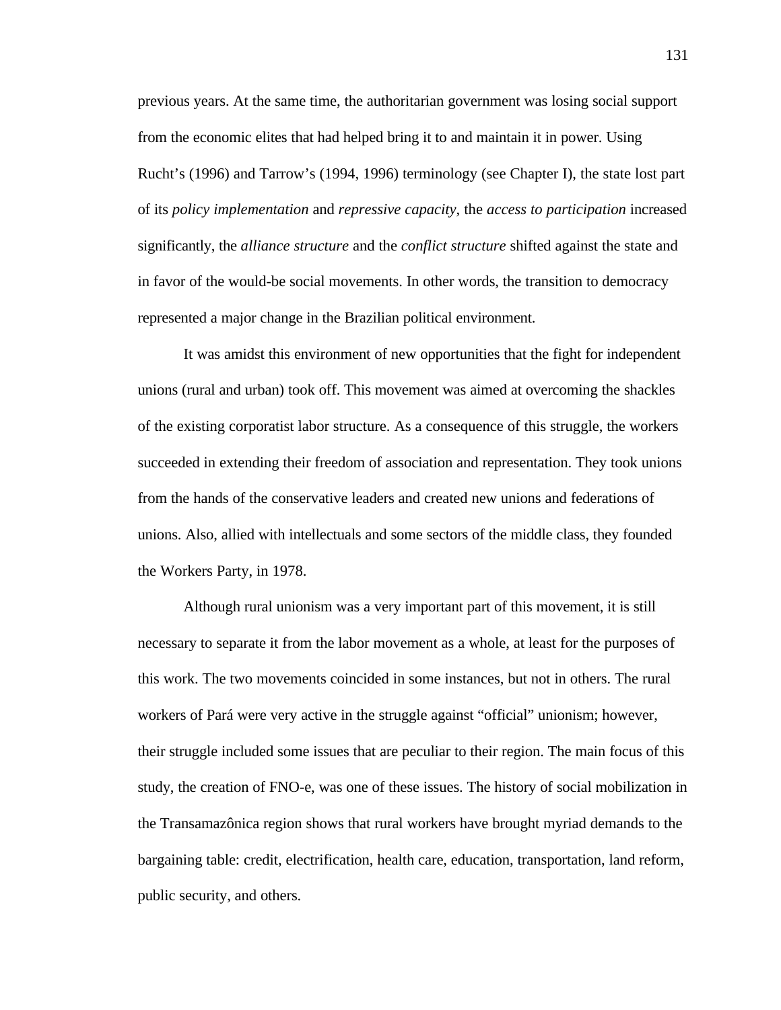previous years. At the same time, the authoritarian government was losing social support from the economic elites that had helped bring it to and maintain it in power. Using Rucht's (1996) and Tarrow's (1994, 1996) terminology (see Chapter I), the state lost part of its *policy implementation* and *repressive capacity*, the *access to participation* increased significantly, the *alliance structure* and the *conflict structure* shifted against the state and in favor of the would-be social movements. In other words, the transition to democracy represented a major change in the Brazilian political environment.

It was amidst this environment of new opportunities that the fight for independent unions (rural and urban) took off. This movement was aimed at overcoming the shackles of the existing corporatist labor structure. As a consequence of this struggle, the workers succeeded in extending their freedom of association and representation. They took unions from the hands of the conservative leaders and created new unions and federations of unions. Also, allied with intellectuals and some sectors of the middle class, they founded the Workers Party, in 1978.

Although rural unionism was a very important part of this movement, it is still necessary to separate it from the labor movement as a whole, at least for the purposes of this work. The two movements coincided in some instances, but not in others. The rural workers of Pará were very active in the struggle against "official" unionism; however, their struggle included some issues that are peculiar to their region. The main focus of this study, the creation of FNO-e, was one of these issues. The history of social mobilization in the Transamazônica region shows that rural workers have brought myriad demands to the bargaining table: credit, electrification, health care, education, transportation, land reform, public security, and others.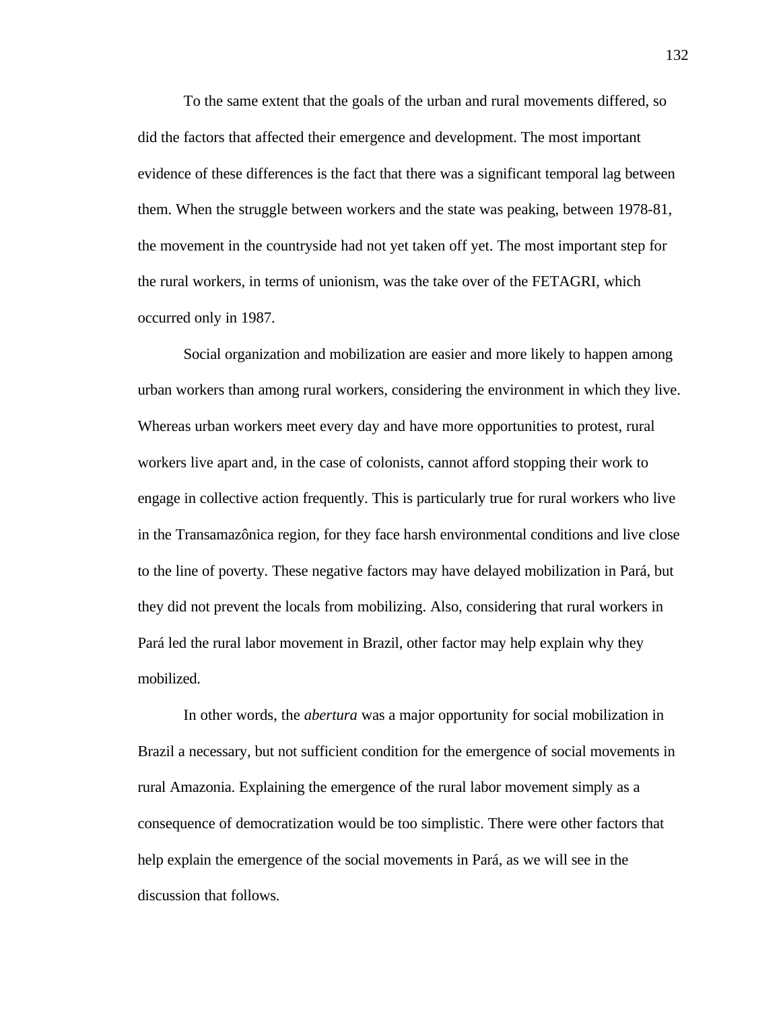To the same extent that the goals of the urban and rural movements differed, so did the factors that affected their emergence and development. The most important evidence of these differences is the fact that there was a significant temporal lag between them. When the struggle between workers and the state was peaking, between 1978-81, the movement in the countryside had not yet taken off yet. The most important step for the rural workers, in terms of unionism, was the take over of the FETAGRI, which occurred only in 1987.

Social organization and mobilization are easier and more likely to happen among urban workers than among rural workers, considering the environment in which they live. Whereas urban workers meet every day and have more opportunities to protest, rural workers live apart and, in the case of colonists, cannot afford stopping their work to engage in collective action frequently. This is particularly true for rural workers who live in the Transamazônica region, for they face harsh environmental conditions and live close to the line of poverty. These negative factors may have delayed mobilization in Pará, but they did not prevent the locals from mobilizing. Also, considering that rural workers in Pará led the rural labor movement in Brazil, other factor may help explain why they mobilized.

In other words, the *abertura* was a major opportunity for social mobilization in Brazil a necessary, but not sufficient condition for the emergence of social movements in rural Amazonia. Explaining the emergence of the rural labor movement simply as a consequence of democratization would be too simplistic. There were other factors that help explain the emergence of the social movements in Pará, as we will see in the discussion that follows.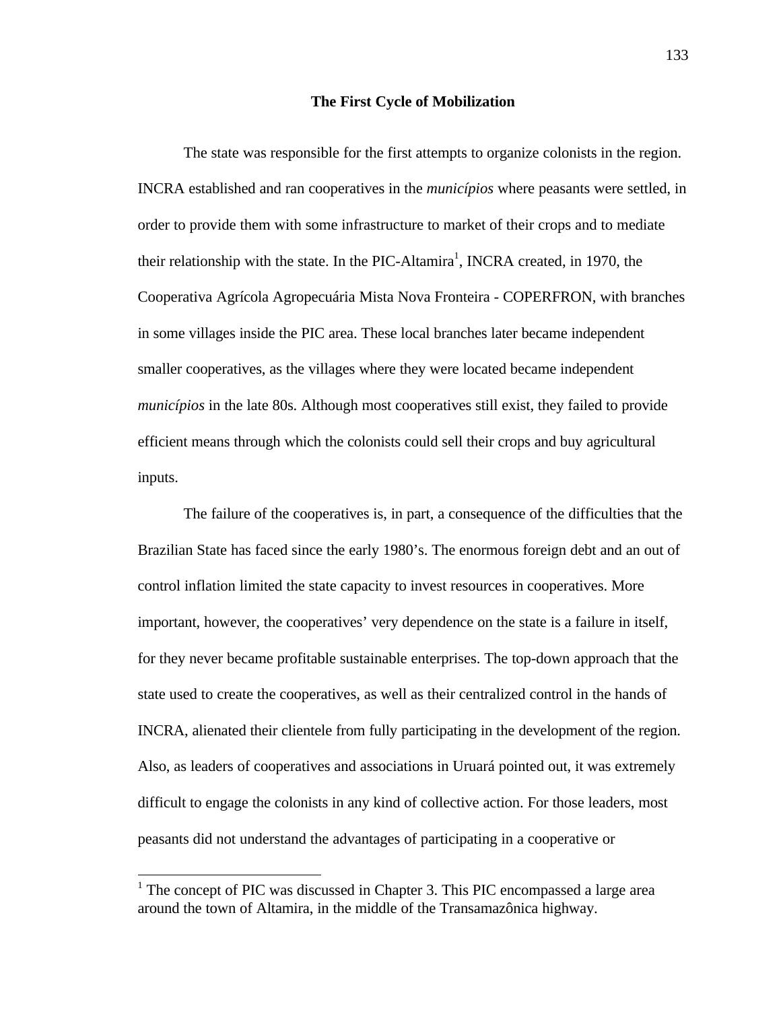#### **The First Cycle of Mobilization**

The state was responsible for the first attempts to organize colonists in the region. INCRA established and ran cooperatives in the *municípios* where peasants were settled, in order to provide them with some infrastructure to market of their crops and to mediate their relationship with the state. In the PIC-Altamira<sup>1</sup>, INCRA created, in 1970, the Cooperativa Agrícola Agropecuária Mista Nova Fronteira - COPERFRON, with branches in some villages inside the PIC area. These local branches later became independent smaller cooperatives, as the villages where they were located became independent *municípios* in the late 80s. Although most cooperatives still exist, they failed to provide efficient means through which the colonists could sell their crops and buy agricultural inputs.

The failure of the cooperatives is, in part, a consequence of the difficulties that the Brazilian State has faced since the early 1980's. The enormous foreign debt and an out of control inflation limited the state capacity to invest resources in cooperatives. More important, however, the cooperatives' very dependence on the state is a failure in itself, for they never became profitable sustainable enterprises. The top-down approach that the state used to create the cooperatives, as well as their centralized control in the hands of INCRA, alienated their clientele from fully participating in the development of the region. Also, as leaders of cooperatives and associations in Uruará pointed out, it was extremely difficult to engage the colonists in any kind of collective action. For those leaders, most peasants did not understand the advantages of participating in a cooperative or

 $\overline{a}$ 

<sup>&</sup>lt;sup>1</sup> The concept of PIC was discussed in Chapter 3. This PIC encompassed a large area around the town of Altamira, in the middle of the Transamazônica highway.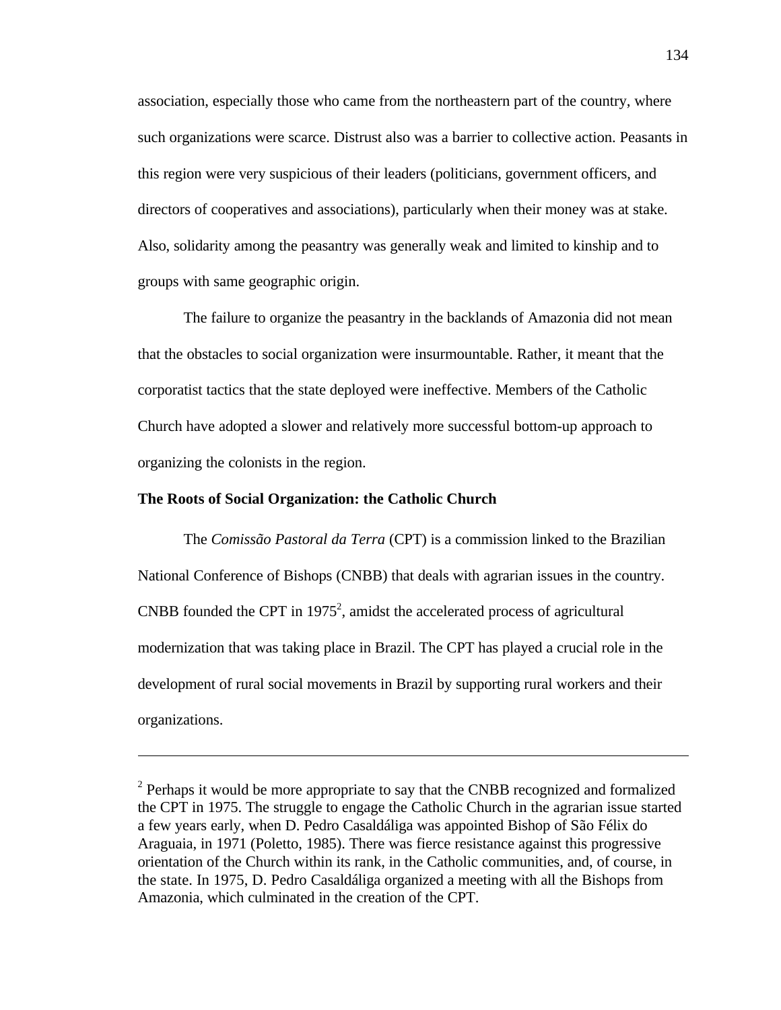association, especially those who came from the northeastern part of the country, where such organizations were scarce. Distrust also was a barrier to collective action. Peasants in this region were very suspicious of their leaders (politicians, government officers, and directors of cooperatives and associations), particularly when their money was at stake. Also, solidarity among the peasantry was generally weak and limited to kinship and to groups with same geographic origin.

The failure to organize the peasantry in the backlands of Amazonia did not mean that the obstacles to social organization were insurmountable. Rather, it meant that the corporatist tactics that the state deployed were ineffective. Members of the Catholic Church have adopted a slower and relatively more successful bottom-up approach to organizing the colonists in the region.

# **The Roots of Social Organization: the Catholic Church**

-

The *Comissão Pastoral da Terra* (CPT) is a commission linked to the Brazilian National Conference of Bishops (CNBB) that deals with agrarian issues in the country. CNBB founded the CPT in 1975<sup>2</sup>, amidst the accelerated process of agricultural modernization that was taking place in Brazil. The CPT has played a crucial role in the development of rural social movements in Brazil by supporting rural workers and their organizations.

<sup>&</sup>lt;sup>2</sup> Perhaps it would be more appropriate to say that the CNBB recognized and formalized the CPT in 1975. The struggle to engage the Catholic Church in the agrarian issue started a few years early, when D. Pedro Casaldáliga was appointed Bishop of São Félix do Araguaia, in 1971 (Poletto, 1985). There was fierce resistance against this progressive orientation of the Church within its rank, in the Catholic communities, and, of course, in the state. In 1975, D. Pedro Casaldáliga organized a meeting with all the Bishops from Amazonia, which culminated in the creation of the CPT.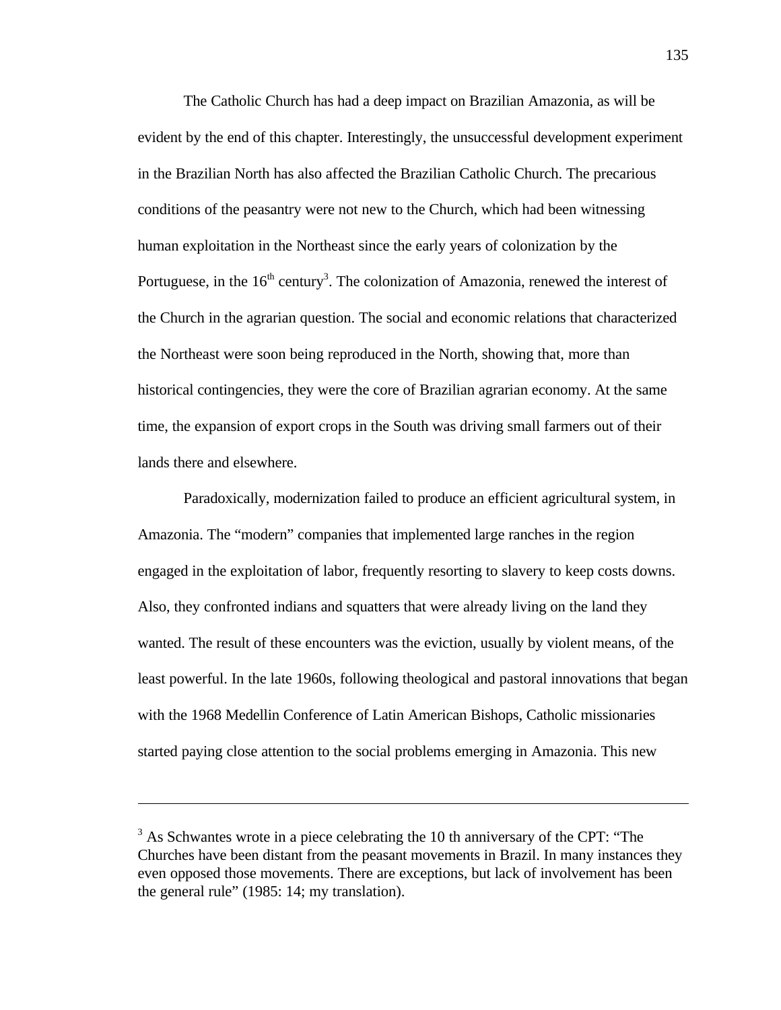The Catholic Church has had a deep impact on Brazilian Amazonia, as will be evident by the end of this chapter. Interestingly, the unsuccessful development experiment in the Brazilian North has also affected the Brazilian Catholic Church. The precarious conditions of the peasantry were not new to the Church, which had been witnessing human exploitation in the Northeast since the early years of colonization by the Portuguese, in the  $16<sup>th</sup>$  century<sup>3</sup>. The colonization of Amazonia, renewed the interest of the Church in the agrarian question. The social and economic relations that characterized the Northeast were soon being reproduced in the North, showing that, more than historical contingencies, they were the core of Brazilian agrarian economy. At the same time, the expansion of export crops in the South was driving small farmers out of their lands there and elsewhere.

Paradoxically, modernization failed to produce an efficient agricultural system, in Amazonia. The "modern" companies that implemented large ranches in the region engaged in the exploitation of labor, frequently resorting to slavery to keep costs downs. Also, they confronted indians and squatters that were already living on the land they wanted. The result of these encounters was the eviction, usually by violent means, of the least powerful. In the late 1960s, following theological and pastoral innovations that began with the 1968 Medellin Conference of Latin American Bishops, Catholic missionaries started paying close attention to the social problems emerging in Amazonia. This new

1

 $3$  As Schwantes wrote in a piece celebrating the 10 th anniversary of the CPT: "The Churches have been distant from the peasant movements in Brazil. In many instances they even opposed those movements. There are exceptions, but lack of involvement has been the general rule" (1985: 14; my translation).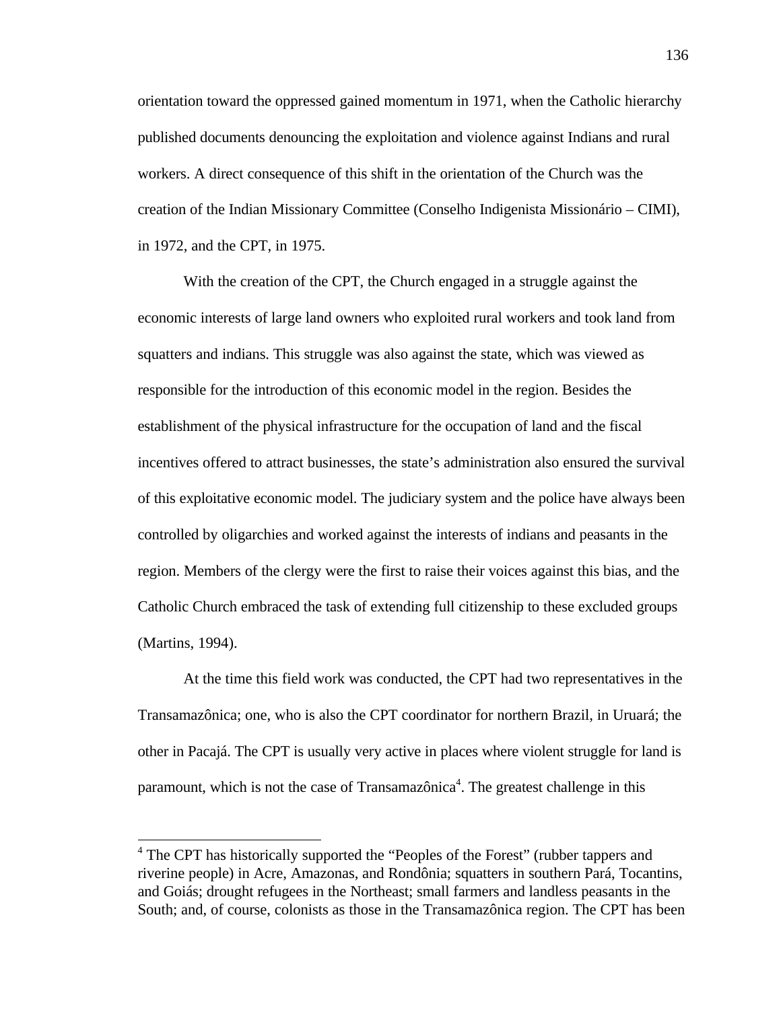orientation toward the oppressed gained momentum in 1971, when the Catholic hierarchy published documents denouncing the exploitation and violence against Indians and rural workers. A direct consequence of this shift in the orientation of the Church was the creation of the Indian Missionary Committee (Conselho Indigenista Missionário – CIMI), in 1972, and the CPT, in 1975.

With the creation of the CPT, the Church engaged in a struggle against the economic interests of large land owners who exploited rural workers and took land from squatters and indians. This struggle was also against the state, which was viewed as responsible for the introduction of this economic model in the region. Besides the establishment of the physical infrastructure for the occupation of land and the fiscal incentives offered to attract businesses, the state's administration also ensured the survival of this exploitative economic model. The judiciary system and the police have always been controlled by oligarchies and worked against the interests of indians and peasants in the region. Members of the clergy were the first to raise their voices against this bias, and the Catholic Church embraced the task of extending full citizenship to these excluded groups (Martins, 1994).

At the time this field work was conducted, the CPT had two representatives in the Transamazônica; one, who is also the CPT coordinator for northern Brazil, in Uruará; the other in Pacajá. The CPT is usually very active in places where violent struggle for land is paramount, which is not the case of Transamazônica<sup>4</sup>. The greatest challenge in this

 $\overline{a}$ 

<sup>&</sup>lt;sup>4</sup> The CPT has historically supported the "Peoples of the Forest" (rubber tappers and riverine people) in Acre, Amazonas, and Rondônia; squatters in southern Pará, Tocantins, and Goiás; drought refugees in the Northeast; small farmers and landless peasants in the South; and, of course, colonists as those in the Transamazônica region. The CPT has been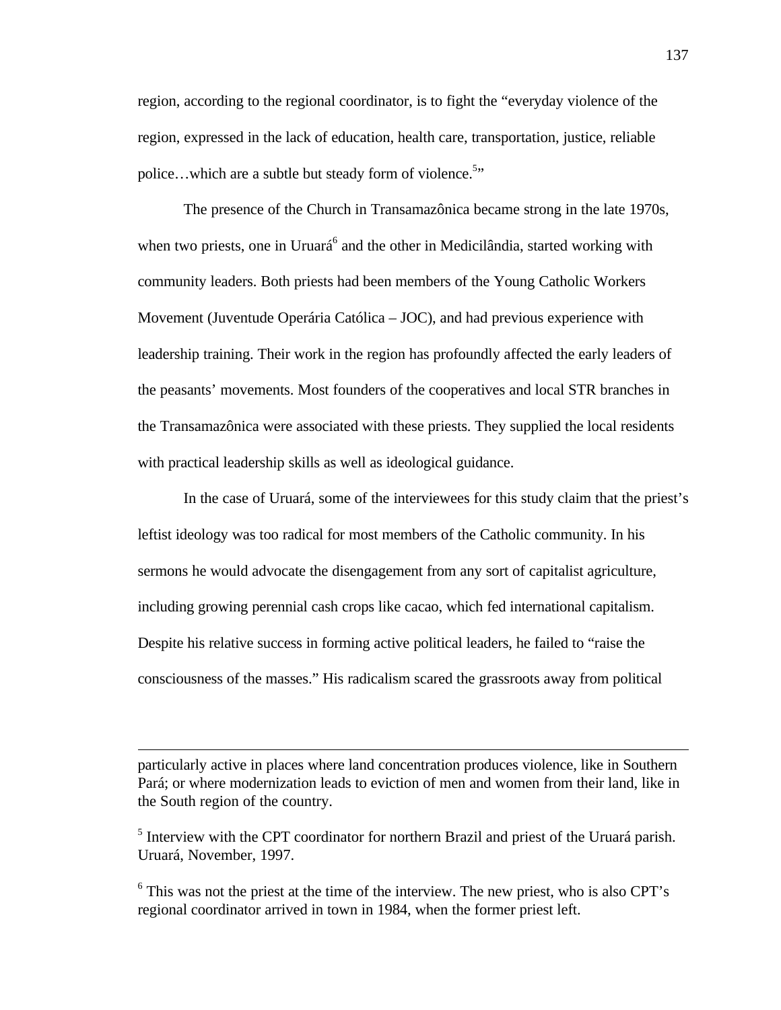region, according to the regional coordinator, is to fight the "everyday violence of the region, expressed in the lack of education, health care, transportation, justice, reliable police...which are a subtle but steady form of violence.<sup>5</sup>"

The presence of the Church in Transamazônica became strong in the late 1970s, when two priests, one in Uruará<sup>6</sup> and the other in Medicilândia, started working with community leaders. Both priests had been members of the Young Catholic Workers Movement (Juventude Operária Católica – JOC), and had previous experience with leadership training. Their work in the region has profoundly affected the early leaders of the peasants' movements. Most founders of the cooperatives and local STR branches in the Transamazônica were associated with these priests. They supplied the local residents with practical leadership skills as well as ideological guidance.

In the case of Uruará, some of the interviewees for this study claim that the priest's leftist ideology was too radical for most members of the Catholic community. In his sermons he would advocate the disengagement from any sort of capitalist agriculture, including growing perennial cash crops like cacao, which fed international capitalism. Despite his relative success in forming active political leaders, he failed to "raise the consciousness of the masses." His radicalism scared the grassroots away from political

particularly active in places where land concentration produces violence, like in Southern Pará; or where modernization leads to eviction of men and women from their land, like in the South region of the country.

 $\overline{a}$ 

<sup>5</sup> Interview with the CPT coordinator for northern Brazil and priest of the Uruará parish. Uruará, November, 1997.

 $6$  This was not the priest at the time of the interview. The new priest, who is also CPT's regional coordinator arrived in town in 1984, when the former priest left.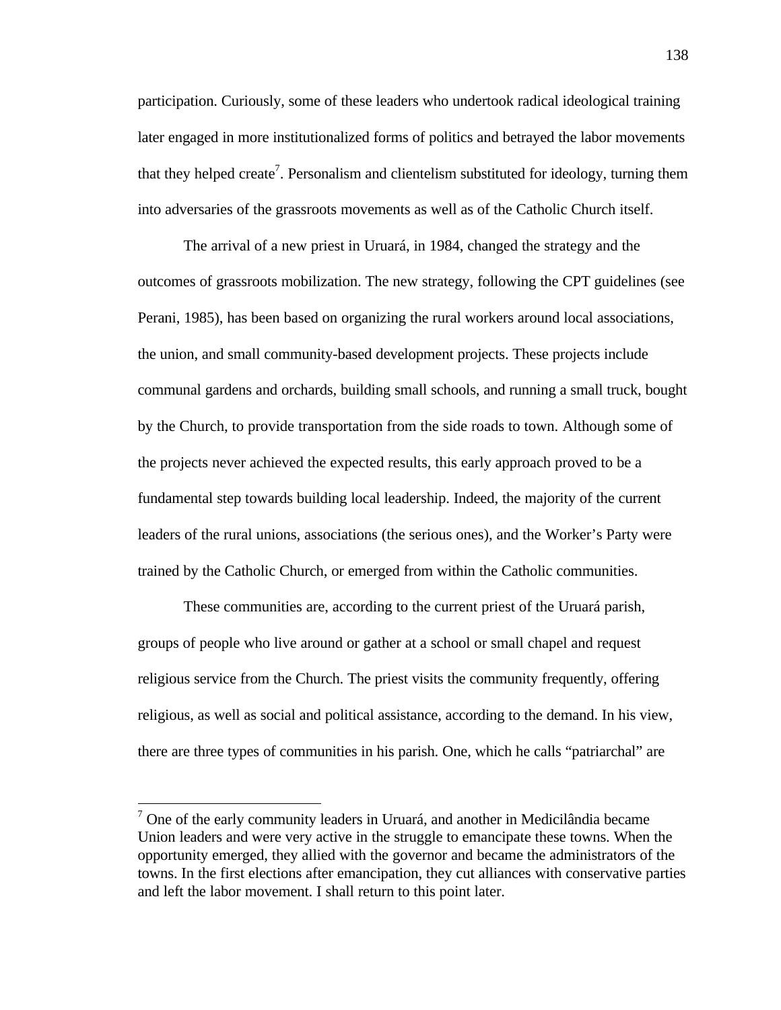participation. Curiously, some of these leaders who undertook radical ideological training later engaged in more institutionalized forms of politics and betrayed the labor movements that they helped create<sup>7</sup>. Personalism and clientelism substituted for ideology, turning them into adversaries of the grassroots movements as well as of the Catholic Church itself.

The arrival of a new priest in Uruará, in 1984, changed the strategy and the outcomes of grassroots mobilization. The new strategy, following the CPT guidelines (see Perani, 1985), has been based on organizing the rural workers around local associations, the union, and small community-based development projects. These projects include communal gardens and orchards, building small schools, and running a small truck, bought by the Church, to provide transportation from the side roads to town. Although some of the projects never achieved the expected results, this early approach proved to be a fundamental step towards building local leadership. Indeed, the majority of the current leaders of the rural unions, associations (the serious ones), and the Worker's Party were trained by the Catholic Church, or emerged from within the Catholic communities.

These communities are, according to the current priest of the Uruará parish, groups of people who live around or gather at a school or small chapel and request religious service from the Church. The priest visits the community frequently, offering religious, as well as social and political assistance, according to the demand. In his view, there are three types of communities in his parish. One, which he calls "patriarchal" are

<sup>&</sup>lt;sup>7</sup> One of the early community leaders in Uruará, and another in Medicilândia became Union leaders and were very active in the struggle to emancipate these towns. When the opportunity emerged, they allied with the governor and became the administrators of the towns. In the first elections after emancipation, they cut alliances with conservative parties and left the labor movement. I shall return to this point later.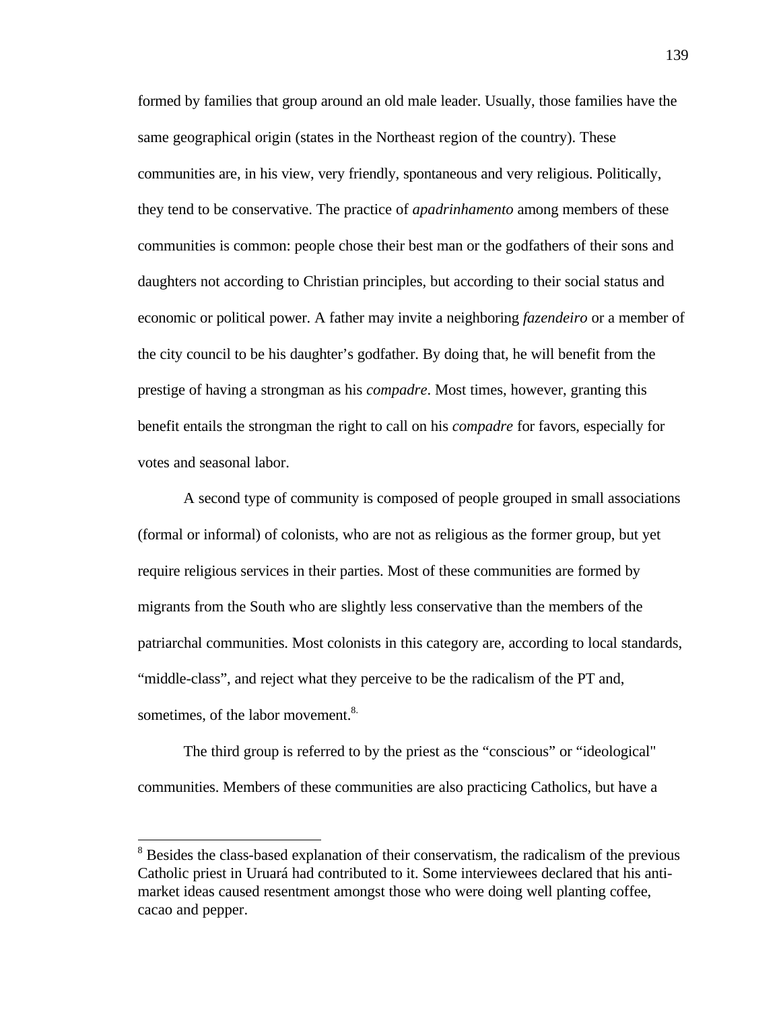formed by families that group around an old male leader. Usually, those families have the same geographical origin (states in the Northeast region of the country). These communities are, in his view, very friendly, spontaneous and very religious. Politically, they tend to be conservative. The practice of *apadrinhamento* among members of these communities is common: people chose their best man or the godfathers of their sons and daughters not according to Christian principles, but according to their social status and economic or political power. A father may invite a neighboring *fazendeiro* or a member of the city council to be his daughter's godfather. By doing that, he will benefit from the prestige of having a strongman as his *compadre*. Most times, however, granting this benefit entails the strongman the right to call on his *compadre* for favors, especially for votes and seasonal labor.

A second type of community is composed of people grouped in small associations (formal or informal) of colonists, who are not as religious as the former group, but yet require religious services in their parties. Most of these communities are formed by migrants from the South who are slightly less conservative than the members of the patriarchal communities. Most colonists in this category are, according to local standards, "middle-class", and reject what they perceive to be the radicalism of the PT and, sometimes, of the labor movement.<sup>8.</sup>

The third group is referred to by the priest as the "conscious" or "ideological" communities. Members of these communities are also practicing Catholics, but have a

<sup>&</sup>lt;sup>8</sup> Besides the class-based explanation of their conservatism, the radicalism of the previous Catholic priest in Uruará had contributed to it. Some interviewees declared that his antimarket ideas caused resentment amongst those who were doing well planting coffee, cacao and pepper.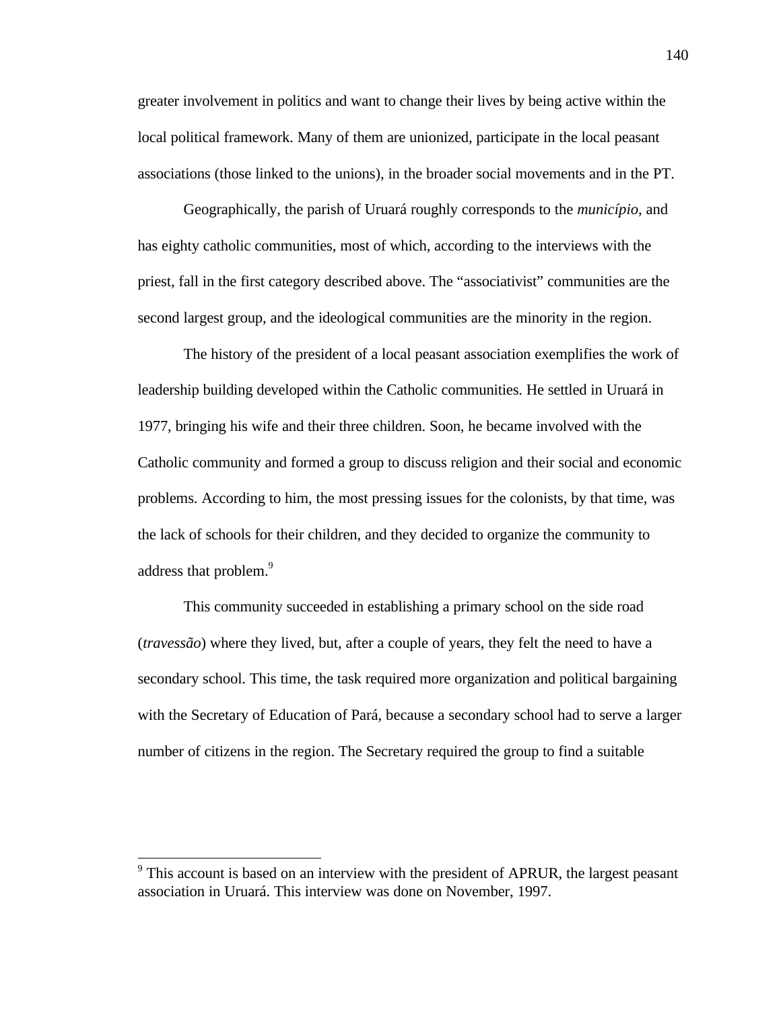greater involvement in politics and want to change their lives by being active within the local political framework. Many of them are unionized, participate in the local peasant associations (those linked to the unions), in the broader social movements and in the PT.

Geographically, the parish of Uruará roughly corresponds to the *município*, and has eighty catholic communities, most of which, according to the interviews with the priest, fall in the first category described above. The "associativist" communities are the second largest group, and the ideological communities are the minority in the region.

The history of the president of a local peasant association exemplifies the work of leadership building developed within the Catholic communities. He settled in Uruará in 1977, bringing his wife and their three children. Soon, he became involved with the Catholic community and formed a group to discuss religion and their social and economic problems. According to him, the most pressing issues for the colonists, by that time, was the lack of schools for their children, and they decided to organize the community to address that problem.<sup>9</sup>

This community succeeded in establishing a primary school on the side road (*travessão*) where they lived, but, after a couple of years, they felt the need to have a secondary school. This time, the task required more organization and political bargaining with the Secretary of Education of Pará, because a secondary school had to serve a larger number of citizens in the region. The Secretary required the group to find a suitable

<sup>&</sup>lt;sup>9</sup> This account is based on an interview with the president of APRUR, the largest peasant association in Uruará. This interview was done on November, 1997.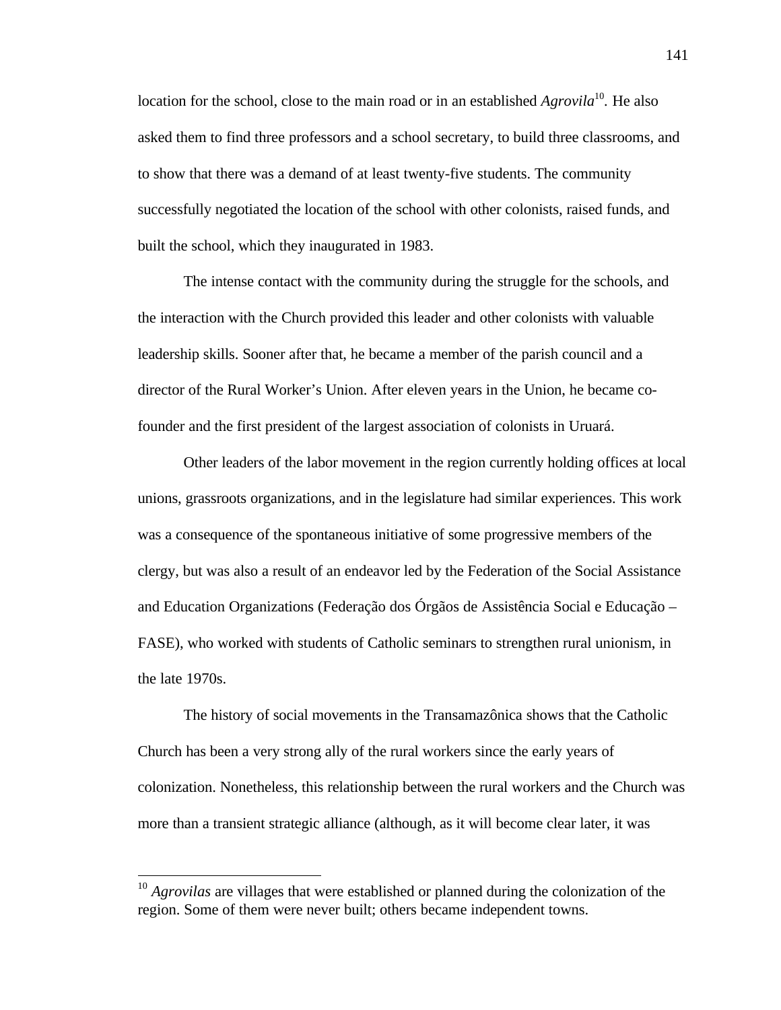location for the school, close to the main road or in an established *Agrovila*<sup>10</sup>. He also asked them to find three professors and a school secretary, to build three classrooms, and to show that there was a demand of at least twenty-five students. The community successfully negotiated the location of the school with other colonists, raised funds, and built the school, which they inaugurated in 1983.

The intense contact with the community during the struggle for the schools, and the interaction with the Church provided this leader and other colonists with valuable leadership skills. Sooner after that, he became a member of the parish council and a director of the Rural Worker's Union. After eleven years in the Union, he became cofounder and the first president of the largest association of colonists in Uruará.

Other leaders of the labor movement in the region currently holding offices at local unions, grassroots organizations, and in the legislature had similar experiences. This work was a consequence of the spontaneous initiative of some progressive members of the clergy, but was also a result of an endeavor led by the Federation of the Social Assistance and Education Organizations (Federação dos Órgãos de Assistência Social e Educação – FASE), who worked with students of Catholic seminars to strengthen rural unionism, in the late 1970s.

The history of social movements in the Transamazônica shows that the Catholic Church has been a very strong ally of the rural workers since the early years of colonization. Nonetheless, this relationship between the rural workers and the Church was more than a transient strategic alliance (although, as it will become clear later, it was

<sup>&</sup>lt;sup>10</sup> Agrovilas are villages that were established or planned during the colonization of the region. Some of them were never built; others became independent towns.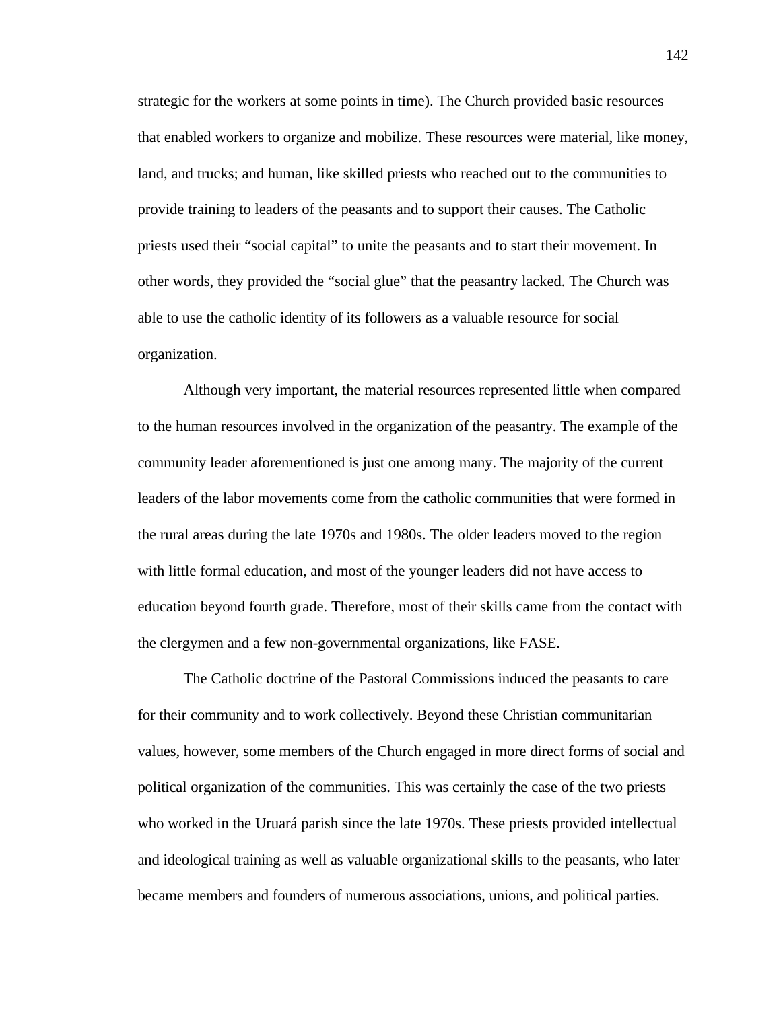strategic for the workers at some points in time). The Church provided basic resources that enabled workers to organize and mobilize. These resources were material, like money, land, and trucks; and human, like skilled priests who reached out to the communities to provide training to leaders of the peasants and to support their causes. The Catholic priests used their "social capital" to unite the peasants and to start their movement. In other words, they provided the "social glue" that the peasantry lacked. The Church was able to use the catholic identity of its followers as a valuable resource for social organization.

Although very important, the material resources represented little when compared to the human resources involved in the organization of the peasantry. The example of the community leader aforementioned is just one among many. The majority of the current leaders of the labor movements come from the catholic communities that were formed in the rural areas during the late 1970s and 1980s. The older leaders moved to the region with little formal education, and most of the younger leaders did not have access to education beyond fourth grade. Therefore, most of their skills came from the contact with the clergymen and a few non-governmental organizations, like FASE.

The Catholic doctrine of the Pastoral Commissions induced the peasants to care for their community and to work collectively. Beyond these Christian communitarian values, however, some members of the Church engaged in more direct forms of social and political organization of the communities. This was certainly the case of the two priests who worked in the Uruará parish since the late 1970s. These priests provided intellectual and ideological training as well as valuable organizational skills to the peasants, who later became members and founders of numerous associations, unions, and political parties.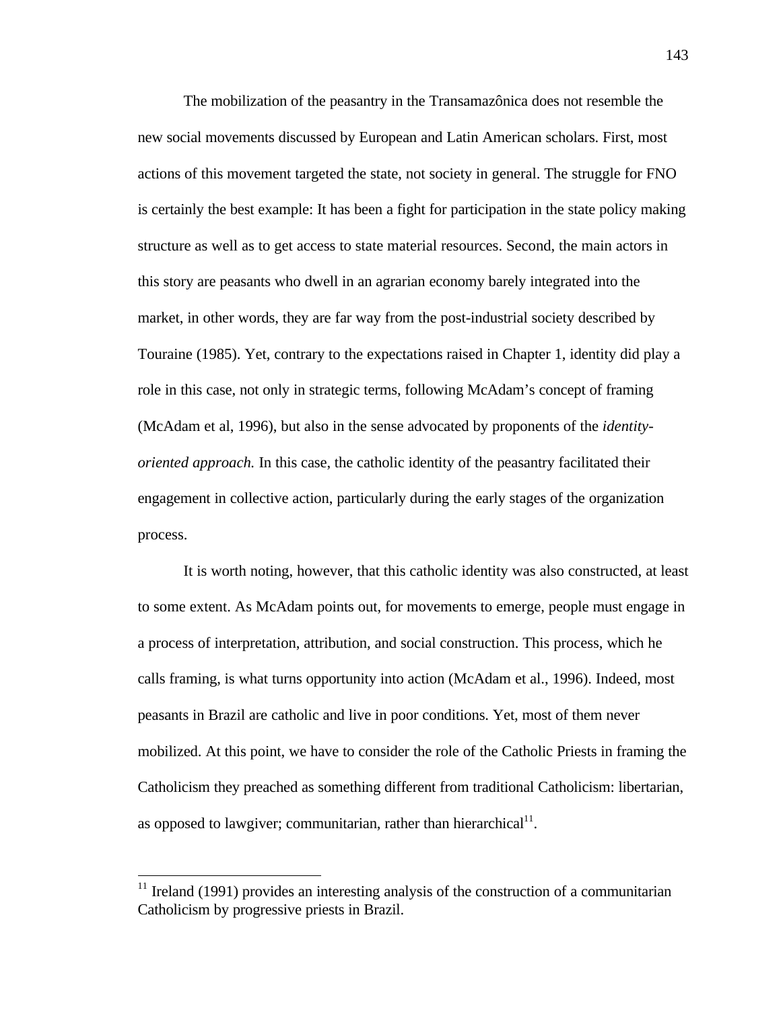The mobilization of the peasantry in the Transamazônica does not resemble the new social movements discussed by European and Latin American scholars. First, most actions of this movement targeted the state, not society in general. The struggle for FNO is certainly the best example: It has been a fight for participation in the state policy making structure as well as to get access to state material resources. Second, the main actors in this story are peasants who dwell in an agrarian economy barely integrated into the market, in other words, they are far way from the post-industrial society described by Touraine (1985). Yet, contrary to the expectations raised in Chapter 1, identity did play a role in this case, not only in strategic terms, following McAdam's concept of framing (McAdam et al, 1996), but also in the sense advocated by proponents of the *identityoriented approach.* In this case, the catholic identity of the peasantry facilitated their engagement in collective action, particularly during the early stages of the organization process.

It is worth noting, however, that this catholic identity was also constructed, at least to some extent. As McAdam points out, for movements to emerge, people must engage in a process of interpretation, attribution, and social construction. This process, which he calls framing, is what turns opportunity into action (McAdam et al., 1996). Indeed, most peasants in Brazil are catholic and live in poor conditions. Yet, most of them never mobilized. At this point, we have to consider the role of the Catholic Priests in framing the Catholicism they preached as something different from traditional Catholicism: libertarian, as opposed to lawgiver; communitarian, rather than hierarchical $11$ .

 $11$  Ireland (1991) provides an interesting analysis of the construction of a communitarian Catholicism by progressive priests in Brazil.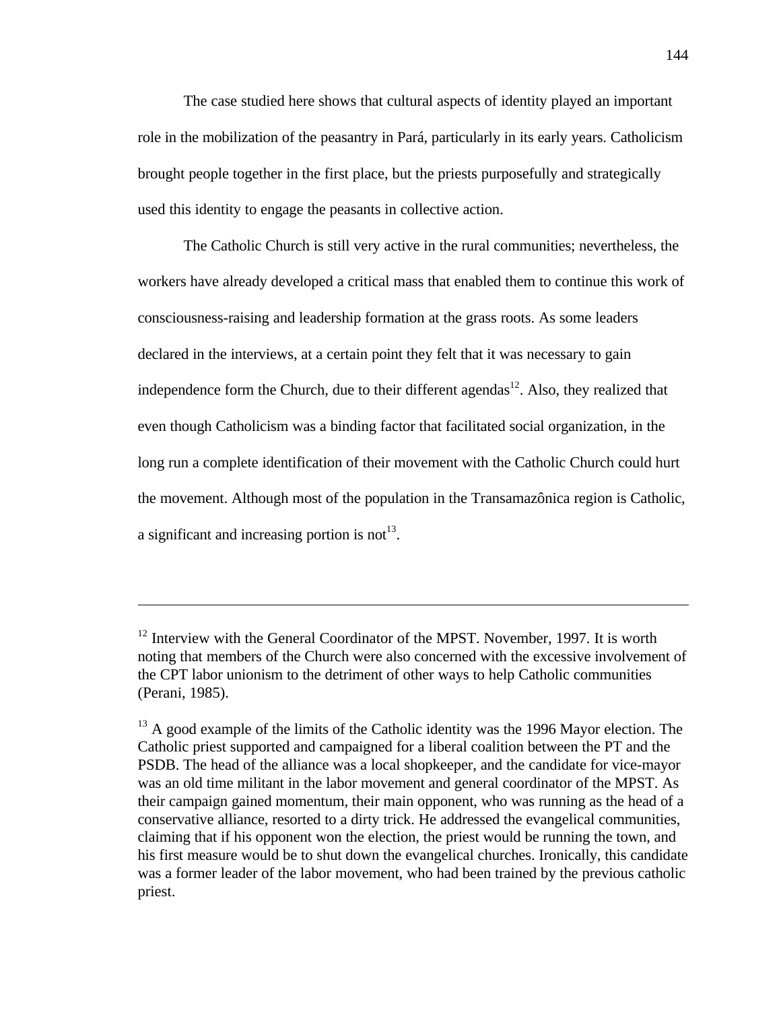The case studied here shows that cultural aspects of identity played an important role in the mobilization of the peasantry in Pará, particularly in its early years. Catholicism brought people together in the first place, but the priests purposefully and strategically used this identity to engage the peasants in collective action.

The Catholic Church is still very active in the rural communities; nevertheless, the workers have already developed a critical mass that enabled them to continue this work of consciousness-raising and leadership formation at the grass roots. As some leaders declared in the interviews, at a certain point they felt that it was necessary to gain independence form the Church, due to their different agendas<sup>12</sup>. Also, they realized that even though Catholicism was a binding factor that facilitated social organization, in the long run a complete identification of their movement with the Catholic Church could hurt the movement. Although most of the population in the Transamazônica region is Catholic, a significant and increasing portion is not<sup>13</sup>.

 $12$  Interview with the General Coordinator of the MPST. November, 1997. It is worth noting that members of the Church were also concerned with the excessive involvement of the CPT labor unionism to the detriment of other ways to help Catholic communities (Perani, 1985).

 $13$  A good example of the limits of the Catholic identity was the 1996 Mayor election. The Catholic priest supported and campaigned for a liberal coalition between the PT and the PSDB. The head of the alliance was a local shopkeeper, and the candidate for vice-mayor was an old time militant in the labor movement and general coordinator of the MPST. As their campaign gained momentum, their main opponent, who was running as the head of a conservative alliance, resorted to a dirty trick. He addressed the evangelical communities, claiming that if his opponent won the election, the priest would be running the town, and his first measure would be to shut down the evangelical churches. Ironically, this candidate was a former leader of the labor movement, who had been trained by the previous catholic priest.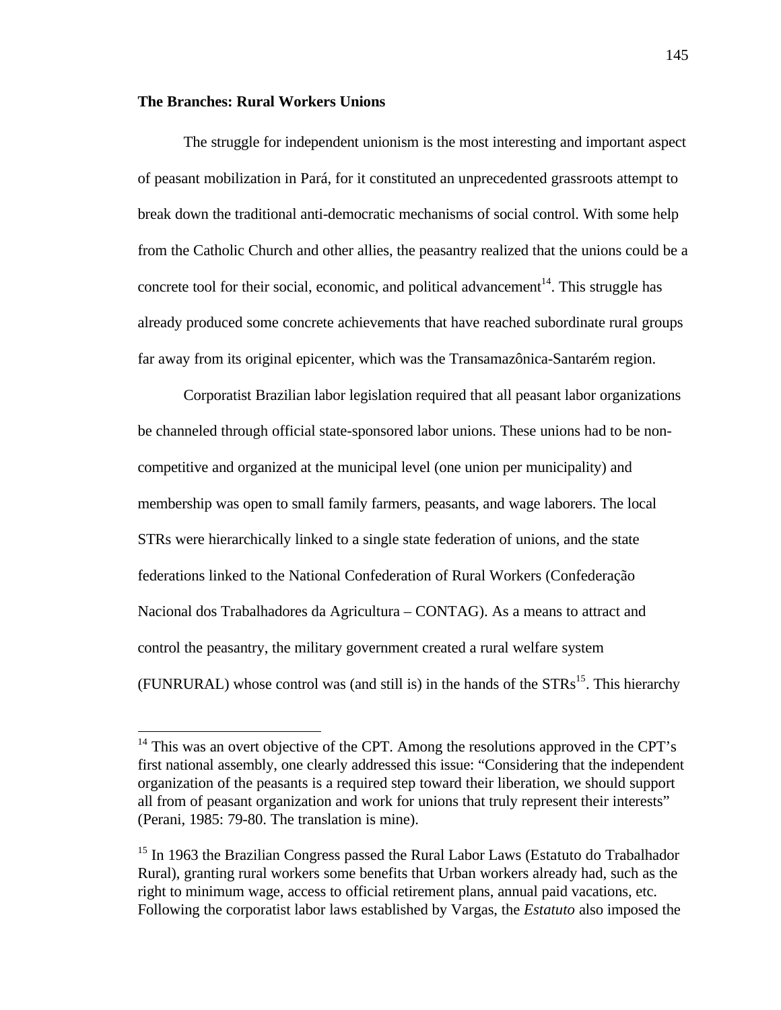## **The Branches: Rural Workers Unions**

 $\overline{a}$ 

The struggle for independent unionism is the most interesting and important aspect of peasant mobilization in Pará, for it constituted an unprecedented grassroots attempt to break down the traditional anti-democratic mechanisms of social control. With some help from the Catholic Church and other allies, the peasantry realized that the unions could be a concrete tool for their social, economic, and political advancement<sup>14</sup>. This struggle has already produced some concrete achievements that have reached subordinate rural groups far away from its original epicenter, which was the Transamazônica-Santarém region.

Corporatist Brazilian labor legislation required that all peasant labor organizations be channeled through official state-sponsored labor unions. These unions had to be noncompetitive and organized at the municipal level (one union per municipality) and membership was open to small family farmers, peasants, and wage laborers. The local STRs were hierarchically linked to a single state federation of unions, and the state federations linked to the National Confederation of Rural Workers (Confederação Nacional dos Trabalhadores da Agricultura – CONTAG). As a means to attract and control the peasantry, the military government created a rural welfare system (FUNRURAL) whose control was (and still is) in the hands of the  $STRs<sup>15</sup>$ . This hierarchy

 $14$  This was an overt objective of the CPT. Among the resolutions approved in the CPT's first national assembly, one clearly addressed this issue: "Considering that the independent organization of the peasants is a required step toward their liberation, we should support all from of peasant organization and work for unions that truly represent their interests" (Perani, 1985: 79-80. The translation is mine).

<sup>&</sup>lt;sup>15</sup> In 1963 the Brazilian Congress passed the Rural Labor Laws (Estatuto do Trabalhador Rural), granting rural workers some benefits that Urban workers already had, such as the right to minimum wage, access to official retirement plans, annual paid vacations, etc. Following the corporatist labor laws established by Vargas, the *Estatuto* also imposed the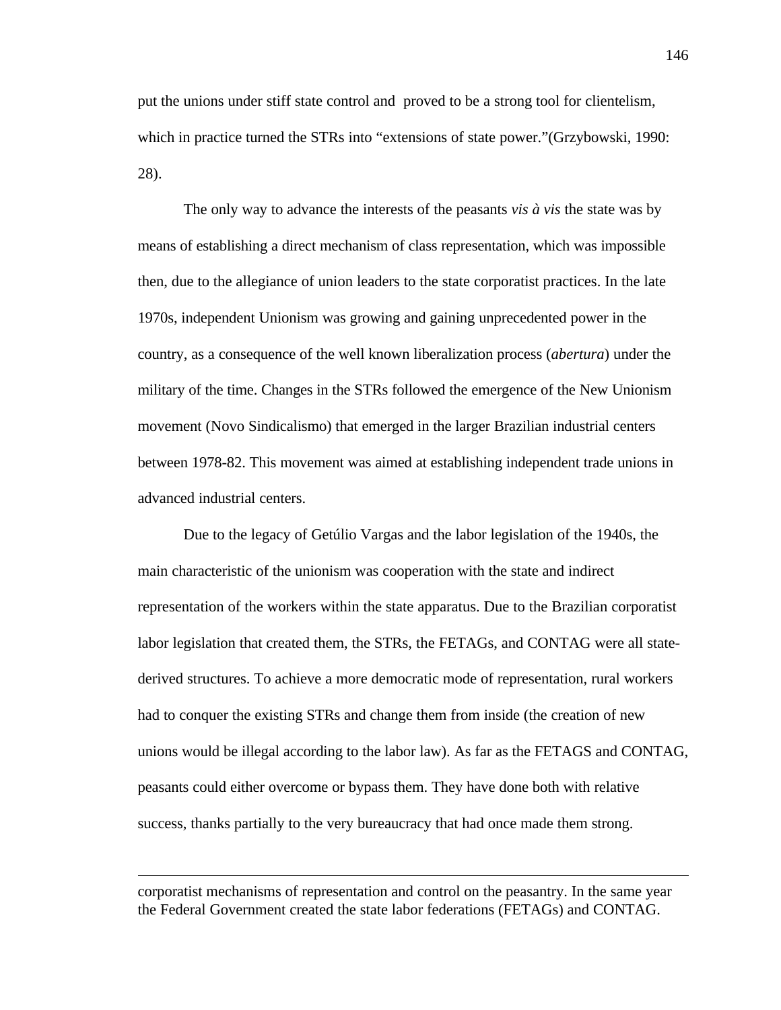put the unions under stiff state control and proved to be a strong tool for clientelism, which in practice turned the STRs into "extensions of state power."(Grzybowski, 1990: 28).

The only way to advance the interests of the peasants *vis à vis* the state was by means of establishing a direct mechanism of class representation, which was impossible then, due to the allegiance of union leaders to the state corporatist practices. In the late 1970s, independent Unionism was growing and gaining unprecedented power in the country, as a consequence of the well known liberalization process (*abertura*) under the military of the time. Changes in the STRs followed the emergence of the New Unionism movement (Novo Sindicalismo) that emerged in the larger Brazilian industrial centers between 1978-82. This movement was aimed at establishing independent trade unions in advanced industrial centers.

Due to the legacy of Getúlio Vargas and the labor legislation of the 1940s, the main characteristic of the unionism was cooperation with the state and indirect representation of the workers within the state apparatus. Due to the Brazilian corporatist labor legislation that created them, the STRs, the FETAGs, and CONTAG were all statederived structures. To achieve a more democratic mode of representation, rural workers had to conquer the existing STRs and change them from inside (the creation of new unions would be illegal according to the labor law). As far as the FETAGS and CONTAG, peasants could either overcome or bypass them. They have done both with relative success, thanks partially to the very bureaucracy that had once made them strong.

corporatist mechanisms of representation and control on the peasantry. In the same year the Federal Government created the state labor federations (FETAGs) and CONTAG.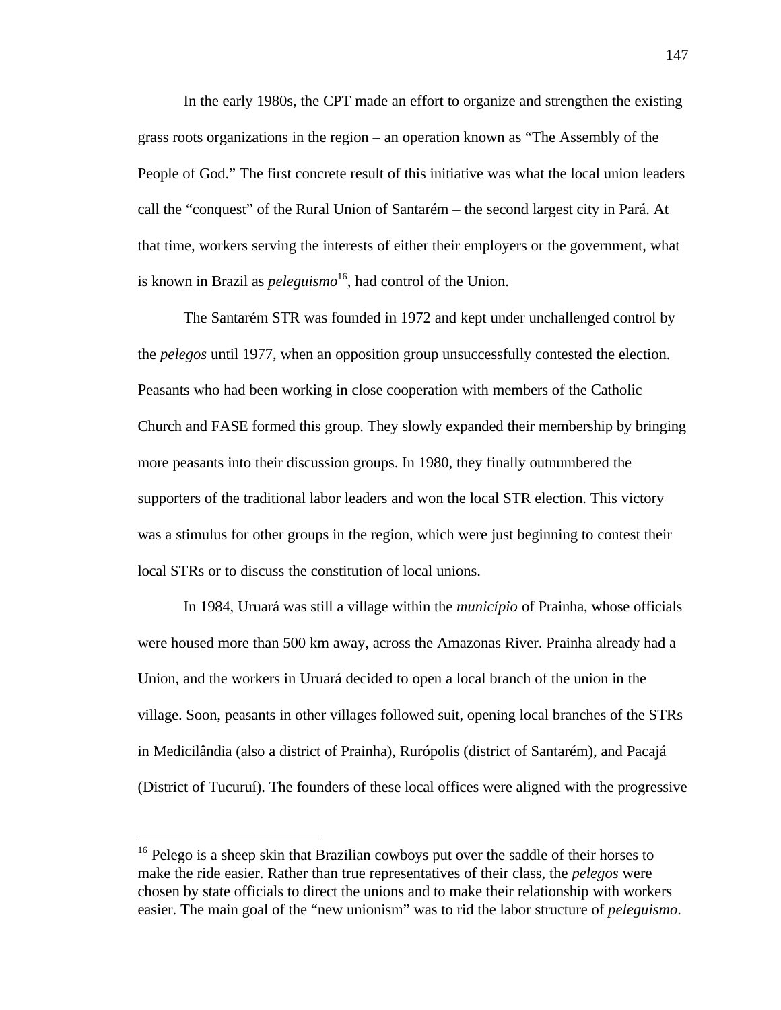In the early 1980s, the CPT made an effort to organize and strengthen the existing grass roots organizations in the region – an operation known as "The Assembly of the People of God." The first concrete result of this initiative was what the local union leaders call the "conquest" of the Rural Union of Santarém – the second largest city in Pará. At that time, workers serving the interests of either their employers or the government, what is known in Brazil as *peleguismo*<sup>16</sup>, had control of the Union.

The Santarém STR was founded in 1972 and kept under unchallenged control by the *pelegos* until 1977, when an opposition group unsuccessfully contested the election. Peasants who had been working in close cooperation with members of the Catholic Church and FASE formed this group. They slowly expanded their membership by bringing more peasants into their discussion groups. In 1980, they finally outnumbered the supporters of the traditional labor leaders and won the local STR election. This victory was a stimulus for other groups in the region, which were just beginning to contest their local STRs or to discuss the constitution of local unions.

In 1984, Uruará was still a village within the *município* of Prainha, whose officials were housed more than 500 km away, across the Amazonas River. Prainha already had a Union, and the workers in Uruará decided to open a local branch of the union in the village. Soon, peasants in other villages followed suit, opening local branches of the STRs in Medicilândia (also a district of Prainha), Rurópolis (district of Santarém), and Pacajá (District of Tucuruí). The founders of these local offices were aligned with the progressive

<sup>&</sup>lt;sup>16</sup> Pelego is a sheep skin that Brazilian cowboys put over the saddle of their horses to make the ride easier. Rather than true representatives of their class, the *pelegos* were chosen by state officials to direct the unions and to make their relationship with workers easier. The main goal of the "new unionism" was to rid the labor structure of *peleguismo*.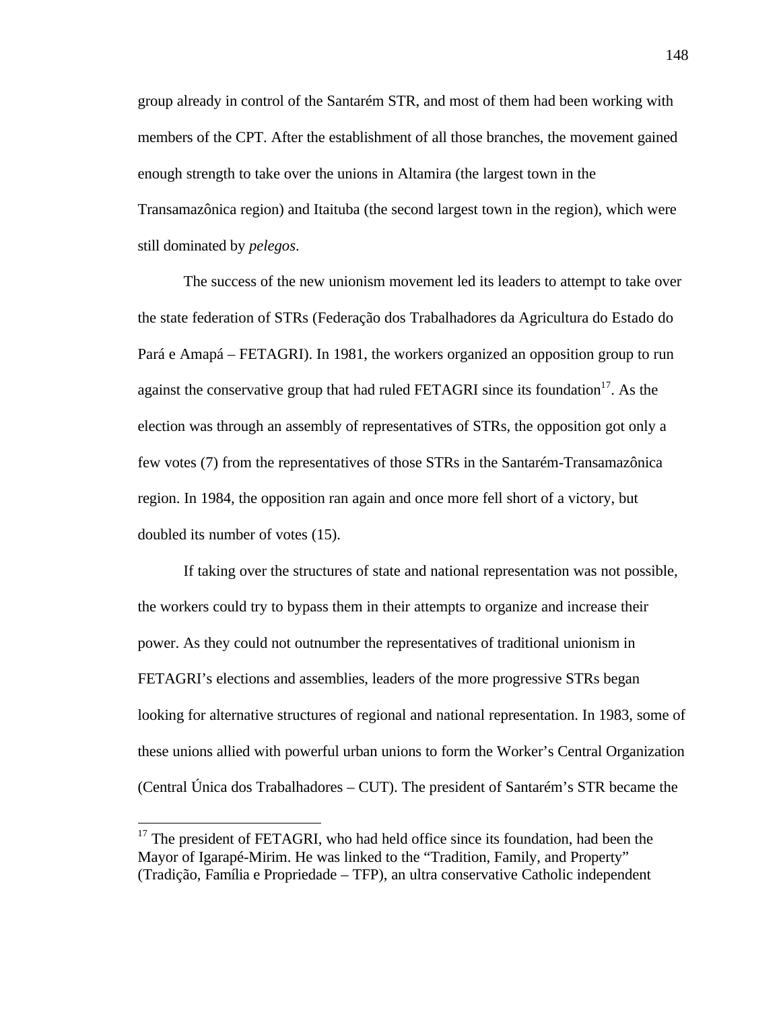group already in control of the Santarém STR, and most of them had been working with members of the CPT. After the establishment of all those branches, the movement gained enough strength to take over the unions in Altamira (the largest town in the Transamazônica region) and Itaituba (the second largest town in the region), which were still dominated by *pelegos*.

The success of the new unionism movement led its leaders to attempt to take over the state federation of STRs (Federação dos Trabalhadores da Agricultura do Estado do Pará e Amapá – FETAGRI). In 1981, the workers organized an opposition group to run against the conservative group that had ruled FETAGRI since its foundation $17$ . As the election was through an assembly of representatives of STRs, the opposition got only a few votes (7) from the representatives of those STRs in the Santarém-Transamazônica region. In 1984, the opposition ran again and once more fell short of a victory, but doubled its number of votes (15).

If taking over the structures of state and national representation was not possible, the workers could try to bypass them in their attempts to organize and increase their power. As they could not outnumber the representatives of traditional unionism in FETAGRI's elections and assemblies, leaders of the more progressive STRs began looking for alternative structures of regional and national representation. In 1983, some of these unions allied with powerful urban unions to form the Worker's Central Organization (Central Única dos Trabalhadores – CUT). The president of Santarém's STR became the

1

<sup>&</sup>lt;sup>17</sup> The president of FETAGRI, who had held office since its foundation, had been the Mayor of Igarapé-Mirim. He was linked to the "Tradition, Family, and Property" (Tradição, Família e Propriedade – TFP), an ultra conservative Catholic independent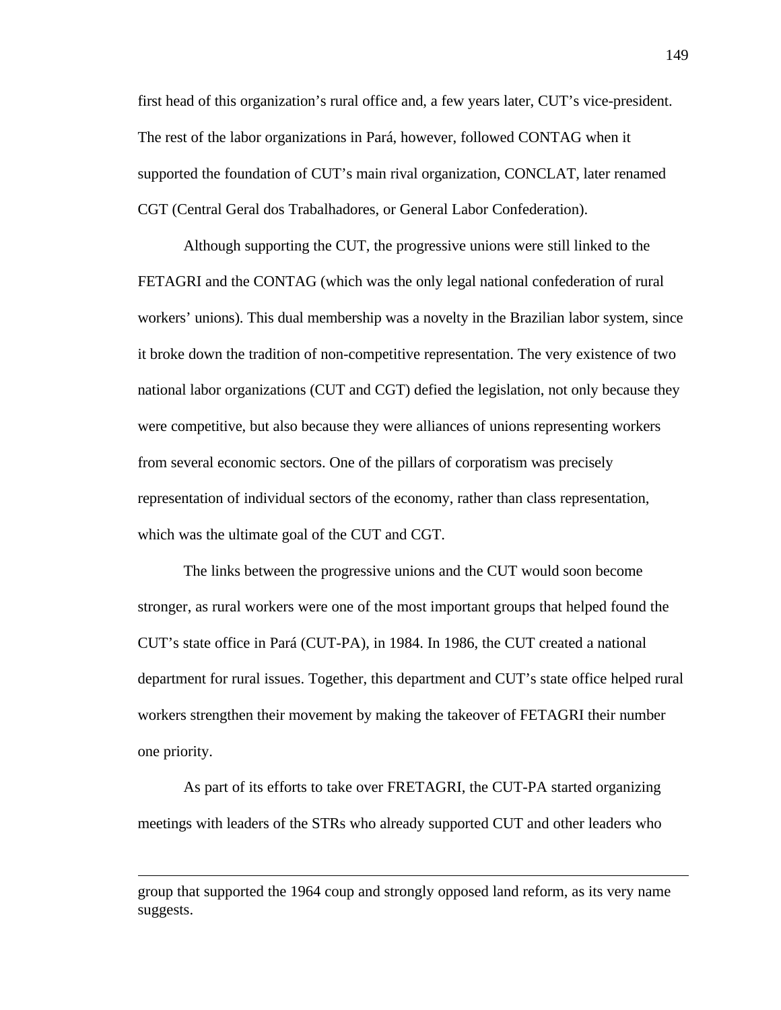first head of this organization's rural office and, a few years later, CUT's vice-president. The rest of the labor organizations in Pará, however, followed CONTAG when it supported the foundation of CUT's main rival organization, CONCLAT, later renamed CGT (Central Geral dos Trabalhadores, or General Labor Confederation).

Although supporting the CUT, the progressive unions were still linked to the FETAGRI and the CONTAG (which was the only legal national confederation of rural workers' unions). This dual membership was a novelty in the Brazilian labor system, since it broke down the tradition of non-competitive representation. The very existence of two national labor organizations (CUT and CGT) defied the legislation, not only because they were competitive, but also because they were alliances of unions representing workers from several economic sectors. One of the pillars of corporatism was precisely representation of individual sectors of the economy, rather than class representation, which was the ultimate goal of the CUT and CGT.

The links between the progressive unions and the CUT would soon become stronger, as rural workers were one of the most important groups that helped found the CUT's state office in Pará (CUT-PA), in 1984. In 1986, the CUT created a national department for rural issues. Together, this department and CUT's state office helped rural workers strengthen their movement by making the takeover of FETAGRI their number one priority.

As part of its efforts to take over FRETAGRI, the CUT-PA started organizing meetings with leaders of the STRs who already supported CUT and other leaders who

group that supported the 1964 coup and strongly opposed land reform, as its very name suggests.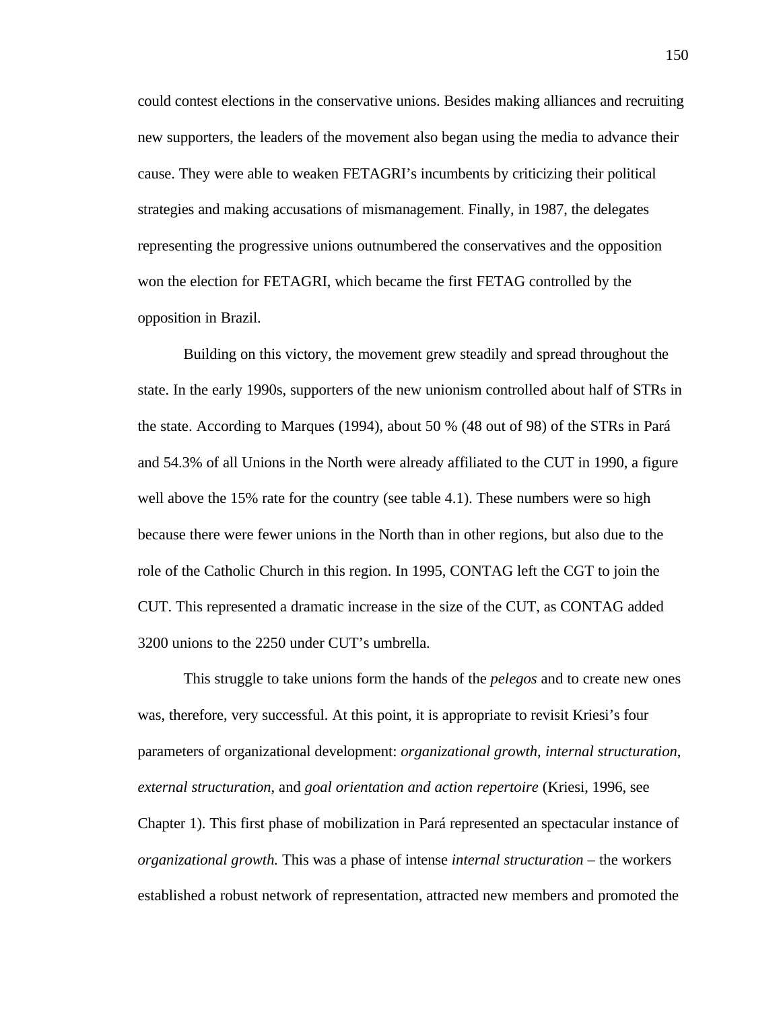could contest elections in the conservative unions. Besides making alliances and recruiting new supporters, the leaders of the movement also began using the media to advance their cause. They were able to weaken FETAGRI's incumbents by criticizing their political strategies and making accusations of mismanagement. Finally, in 1987, the delegates representing the progressive unions outnumbered the conservatives and the opposition won the election for FETAGRI, which became the first FETAG controlled by the opposition in Brazil.

Building on this victory, the movement grew steadily and spread throughout the state. In the early 1990s, supporters of the new unionism controlled about half of STRs in the state. According to Marques (1994), about 50 % (48 out of 98) of the STRs in Pará and 54.3% of all Unions in the North were already affiliated to the CUT in 1990, a figure well above the 15% rate for the country (see table 4.1). These numbers were so high because there were fewer unions in the North than in other regions, but also due to the role of the Catholic Church in this region. In 1995, CONTAG left the CGT to join the CUT. This represented a dramatic increase in the size of the CUT, as CONTAG added 3200 unions to the 2250 under CUT's umbrella.

This struggle to take unions form the hands of the *pelegos* and to create new ones was, therefore, very successful. At this point, it is appropriate to revisit Kriesi's four parameters of organizational development: *organizational growth*, *internal structuration*, *external structuration*, and *goal orientation and action repertoire* (Kriesi, 1996, see Chapter 1). This first phase of mobilization in Pará represented an spectacular instance of *organizational growth.* This was a phase of intense *internal structuration* – the workers established a robust network of representation, attracted new members and promoted the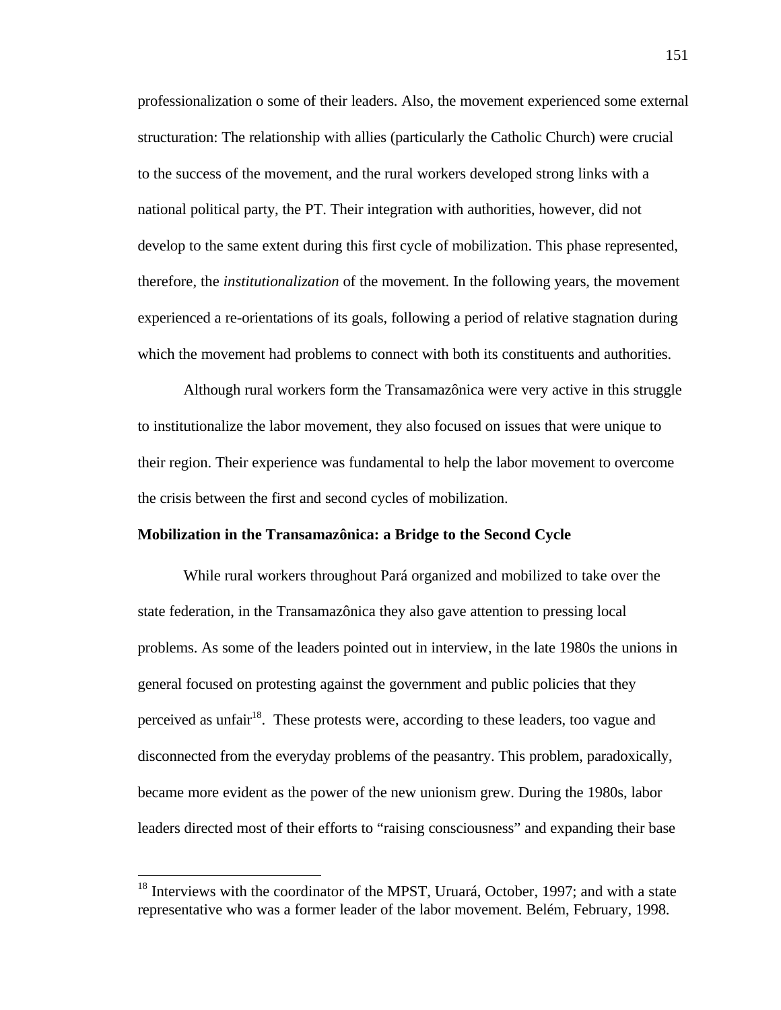professionalization o some of their leaders. Also, the movement experienced some external structuration: The relationship with allies (particularly the Catholic Church) were crucial to the success of the movement, and the rural workers developed strong links with a national political party, the PT. Their integration with authorities, however, did not develop to the same extent during this first cycle of mobilization. This phase represented, therefore, the *institutionalization* of the movement. In the following years, the movement experienced a re-orientations of its goals, following a period of relative stagnation during which the movement had problems to connect with both its constituents and authorities.

Although rural workers form the Transamazônica were very active in this struggle to institutionalize the labor movement, they also focused on issues that were unique to their region. Their experience was fundamental to help the labor movement to overcome the crisis between the first and second cycles of mobilization.

## **Mobilization in the Transamazônica: a Bridge to the Second Cycle**

While rural workers throughout Pará organized and mobilized to take over the state federation, in the Transamazônica they also gave attention to pressing local problems. As some of the leaders pointed out in interview, in the late 1980s the unions in general focused on protesting against the government and public policies that they perceived as unfair<sup>18</sup>. These protests were, according to these leaders, too vague and disconnected from the everyday problems of the peasantry. This problem, paradoxically, became more evident as the power of the new unionism grew. During the 1980s, labor leaders directed most of their efforts to "raising consciousness" and expanding their base

 $18$  Interviews with the coordinator of the MPST, Uruará, October, 1997; and with a state representative who was a former leader of the labor movement. Belém, February, 1998.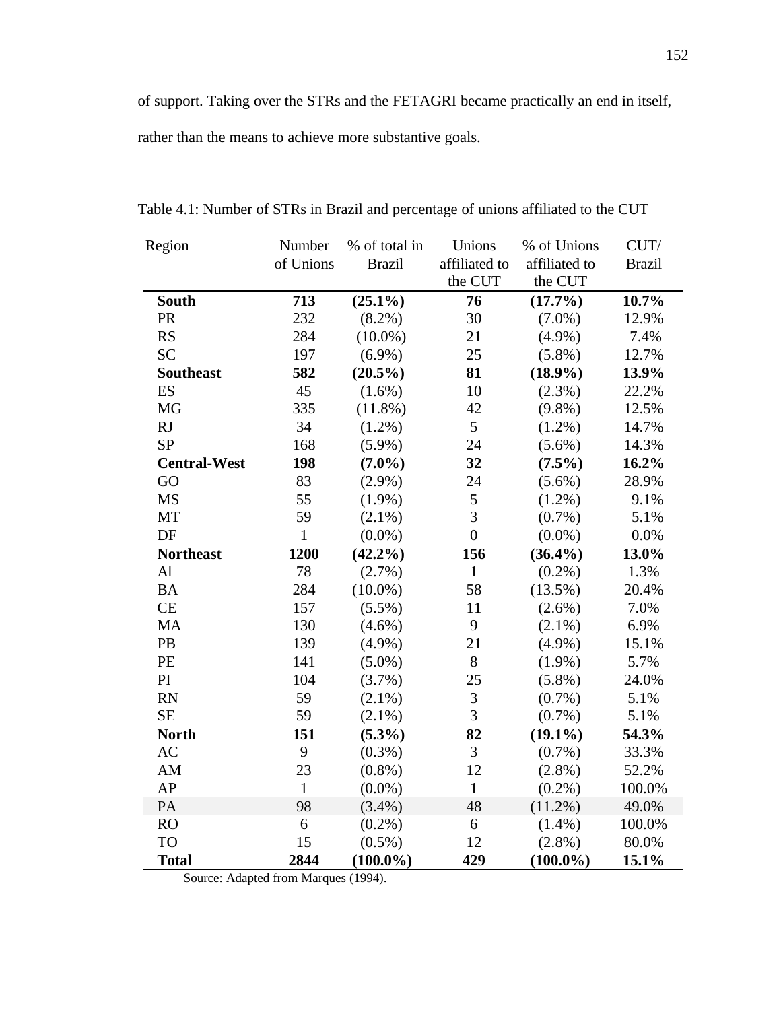of support. Taking over the STRs and the FETAGRI became practically an end in itself, rather than the means to achieve more substantive goals.

| Region              | Number       | % of total in | Unions           | % of Unions   | CUT/          |
|---------------------|--------------|---------------|------------------|---------------|---------------|
|                     | of Unions    | <b>Brazil</b> | affiliated to    | affiliated to | <b>Brazil</b> |
|                     |              |               | the CUT          | the CUT       |               |
| <b>South</b>        | 713          | $(25.1\%)$    | 76               | $(17.7\%)$    | 10.7%         |
| <b>PR</b>           | 232          | $(8.2\%)$     | 30               | $(7.0\%)$     | 12.9%         |
| RS                  | 284          | $(10.0\%)$    | 21               | $(4.9\%)$     | 7.4%          |
| <b>SC</b>           | 197          | $(6.9\%)$     | 25               | $(5.8\%)$     | 12.7%         |
| <b>Southeast</b>    | 582          | $(20.5\%)$    | 81               | $(18.9\%)$    | 13.9%         |
| ES                  | 45           | $(1.6\%)$     | 10               | $(2.3\%)$     | 22.2%         |
| <b>MG</b>           | 335          | $(11.8\%)$    | 42               | $(9.8\%)$     | 12.5%         |
| RJ                  | 34           | $(1.2\%)$     | 5                | $(1.2\%)$     | 14.7%         |
| <b>SP</b>           | 168          | $(5.9\%)$     | 24               | $(5.6\%)$     | 14.3%         |
| <b>Central-West</b> | 198          | $(7.0\%)$     | 32               | $(7.5\%)$     | 16.2%         |
| GO                  | 83           | $(2.9\%)$     | 24               | $(5.6\%)$     | 28.9%         |
| <b>MS</b>           | 55           | $(1.9\%)$     | 5                | $(1.2\%)$     | 9.1%          |
| MT                  | 59           | $(2.1\%)$     | 3                | $(0.7\%)$     | 5.1%          |
| DF                  | $\mathbf{1}$ | $(0.0\%)$     | $\boldsymbol{0}$ | $(0.0\%)$     | 0.0%          |
| <b>Northeast</b>    | 1200         | $(42.2\%)$    | 156              | $(36.4\%)$    | 13.0%         |
| $\mathbf{Al}$       | 78           | $(2.7\%)$     | $\mathbf{1}$     | $(0.2\%)$     | 1.3%          |
| <b>BA</b>           | 284          | $(10.0\%)$    | 58               | $(13.5\%)$    | 20.4%         |
| CE                  | 157          | $(5.5\%)$     | 11               | $(2.6\%)$     | 7.0%          |
| MA                  | 130          | $(4.6\%)$     | 9                | $(2.1\%)$     | 6.9%          |
| PB                  | 139          | $(4.9\%)$     | 21               | $(4.9\%)$     | 15.1%         |
| PE                  | 141          | $(5.0\%)$     | 8                | $(1.9\%)$     | 5.7%          |
| PI                  | 104          | $(3.7\%)$     | 25               | $(5.8\%)$     | 24.0%         |
| <b>RN</b>           | 59           | $(2.1\%)$     | $\mathfrak{Z}$   | $(0.7\%)$     | 5.1%          |
| <b>SE</b>           | 59           | $(2.1\%)$     | 3                | $(0.7\%)$     | 5.1%          |
| <b>North</b>        | 151          | $(5.3\%)$     | 82               | $(19.1\%)$    | 54.3%         |
| AC                  | 9            | $(0.3\%)$     | 3                | $(0.7\%)$     | 33.3%         |
| AM                  | 23           | $(0.8\%)$     | 12               | $(2.8\%)$     | 52.2%         |
| AP                  | $\mathbf{1}$ | $(0.0\%)$     | $\mathbf{1}$     | $(0.2\%)$     | 100.0%        |
| PA                  | 98           | $(3.4\%)$     | 48               | $(11.2\%)$    | 49.0%         |
| <b>RO</b>           | 6            | $(0.2\%)$     | $\sqrt{6}$       | $(1.4\%)$     | 100.0%        |
| <b>TO</b>           | 15           | $(0.5\%)$     | 12               | $(2.8\%)$     | 80.0%         |
| <b>Total</b>        | 2844         | $(100.0\%)$   | 429              | $(100.0\%)$   | 15.1%         |

Table 4.1: Number of STRs in Brazil and percentage of unions affiliated to the CUT

Source: Adapted from Marques (1994).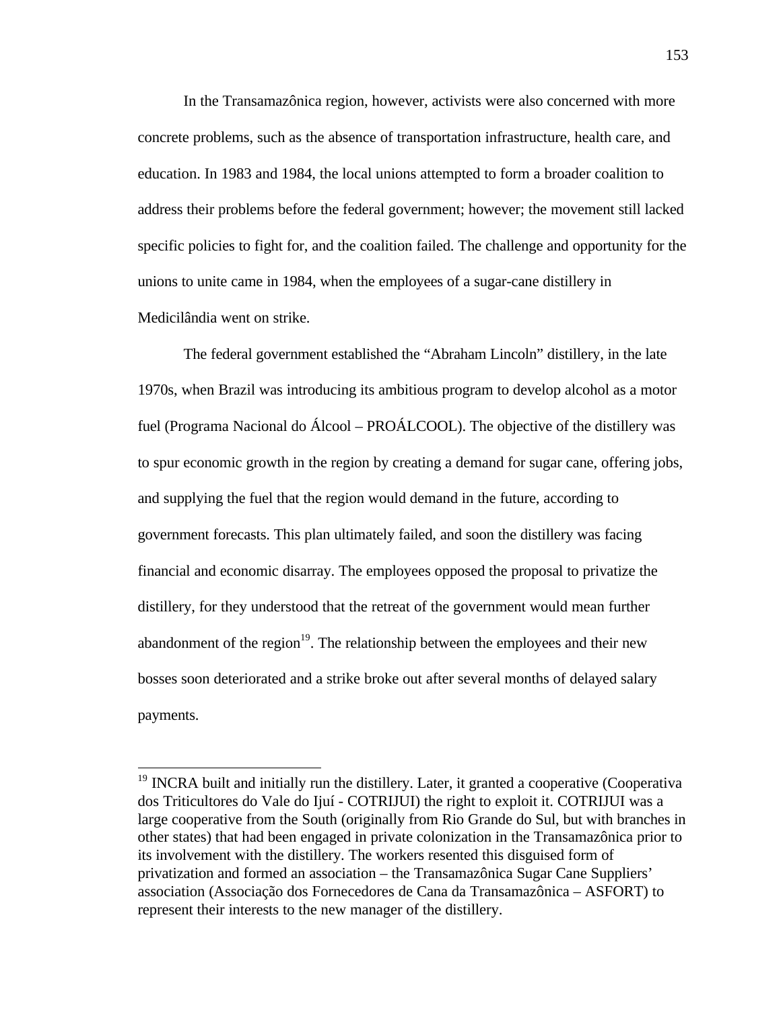In the Transamazônica region, however, activists were also concerned with more concrete problems, such as the absence of transportation infrastructure, health care, and education. In 1983 and 1984, the local unions attempted to form a broader coalition to address their problems before the federal government; however; the movement still lacked specific policies to fight for, and the coalition failed. The challenge and opportunity for the unions to unite came in 1984, when the employees of a sugar-cane distillery in Medicilândia went on strike.

The federal government established the "Abraham Lincoln" distillery, in the late 1970s, when Brazil was introducing its ambitious program to develop alcohol as a motor fuel (Programa Nacional do Álcool – PROÁLCOOL). The objective of the distillery was to spur economic growth in the region by creating a demand for sugar cane, offering jobs, and supplying the fuel that the region would demand in the future, according to government forecasts. This plan ultimately failed, and soon the distillery was facing financial and economic disarray. The employees opposed the proposal to privatize the distillery, for they understood that the retreat of the government would mean further abandonment of the region<sup>19</sup>. The relationship between the employees and their new bosses soon deteriorated and a strike broke out after several months of delayed salary payments.

<sup>&</sup>lt;sup>19</sup> INCRA built and initially run the distillery. Later, it granted a cooperative (Cooperativa dos Triticultores do Vale do Ijuí - COTRIJUI) the right to exploit it. COTRIJUI was a large cooperative from the South (originally from Rio Grande do Sul, but with branches in other states) that had been engaged in private colonization in the Transamazônica prior to its involvement with the distillery. The workers resented this disguised form of privatization and formed an association – the Transamazônica Sugar Cane Suppliers' association (Associação dos Fornecedores de Cana da Transamazônica – ASFORT) to represent their interests to the new manager of the distillery.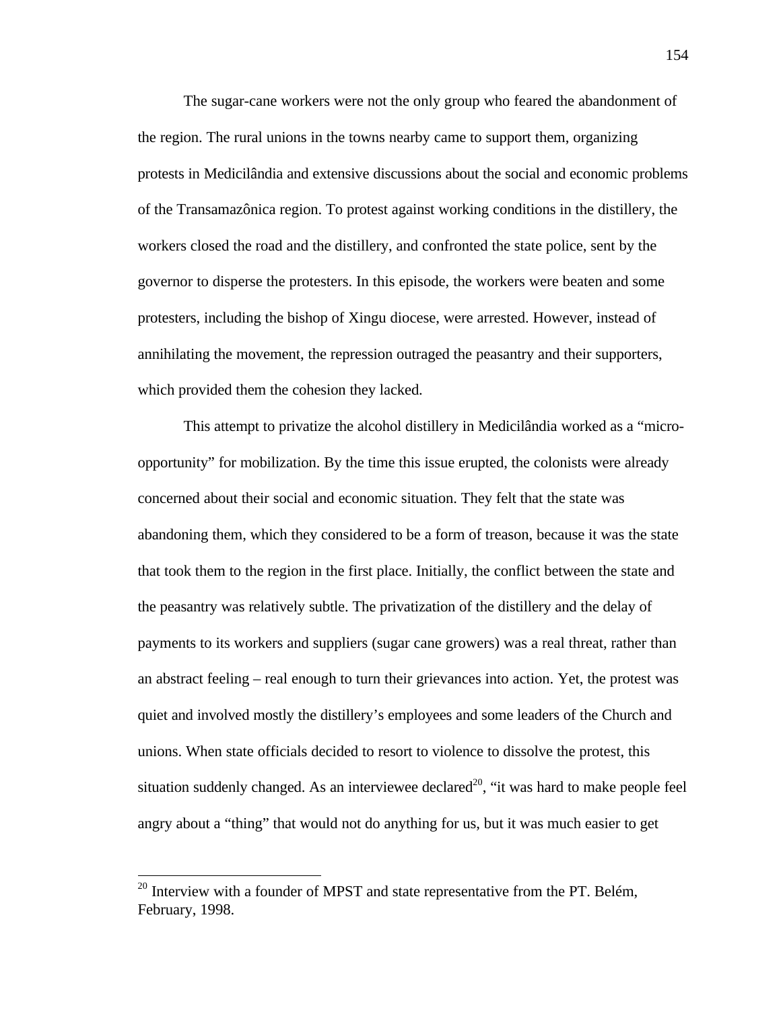The sugar-cane workers were not the only group who feared the abandonment of the region. The rural unions in the towns nearby came to support them, organizing protests in Medicilândia and extensive discussions about the social and economic problems of the Transamazônica region. To protest against working conditions in the distillery, the workers closed the road and the distillery, and confronted the state police, sent by the governor to disperse the protesters. In this episode, the workers were beaten and some protesters, including the bishop of Xingu diocese, were arrested. However, instead of annihilating the movement, the repression outraged the peasantry and their supporters, which provided them the cohesion they lacked.

This attempt to privatize the alcohol distillery in Medicilândia worked as a "microopportunity" for mobilization. By the time this issue erupted, the colonists were already concerned about their social and economic situation. They felt that the state was abandoning them, which they considered to be a form of treason, because it was the state that took them to the region in the first place. Initially, the conflict between the state and the peasantry was relatively subtle. The privatization of the distillery and the delay of payments to its workers and suppliers (sugar cane growers) was a real threat, rather than an abstract feeling – real enough to turn their grievances into action. Yet, the protest was quiet and involved mostly the distillery's employees and some leaders of the Church and unions. When state officials decided to resort to violence to dissolve the protest, this situation suddenly changed. As an interviewee declared<sup>20</sup>, "it was hard to make people feel angry about a "thing" that would not do anything for us, but it was much easier to get

 $^{20}$  Interview with a founder of MPST and state representative from the PT. Belém, February, 1998.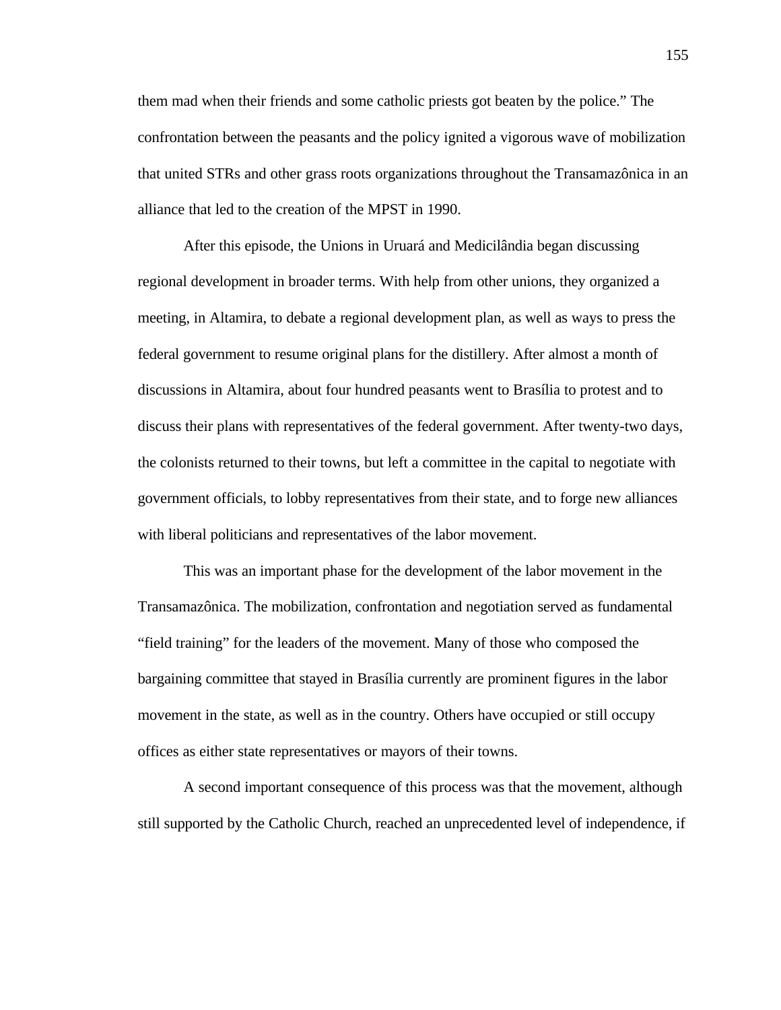them mad when their friends and some catholic priests got beaten by the police." The confrontation between the peasants and the policy ignited a vigorous wave of mobilization that united STRs and other grass roots organizations throughout the Transamazônica in an alliance that led to the creation of the MPST in 1990.

After this episode, the Unions in Uruará and Medicilândia began discussing regional development in broader terms. With help from other unions, they organized a meeting, in Altamira, to debate a regional development plan, as well as ways to press the federal government to resume original plans for the distillery. After almost a month of discussions in Altamira, about four hundred peasants went to Brasília to protest and to discuss their plans with representatives of the federal government. After twenty-two days, the colonists returned to their towns, but left a committee in the capital to negotiate with government officials, to lobby representatives from their state, and to forge new alliances with liberal politicians and representatives of the labor movement.

This was an important phase for the development of the labor movement in the Transamazônica. The mobilization, confrontation and negotiation served as fundamental "field training" for the leaders of the movement. Many of those who composed the bargaining committee that stayed in Brasília currently are prominent figures in the labor movement in the state, as well as in the country. Others have occupied or still occupy offices as either state representatives or mayors of their towns.

A second important consequence of this process was that the movement, although still supported by the Catholic Church, reached an unprecedented level of independence, if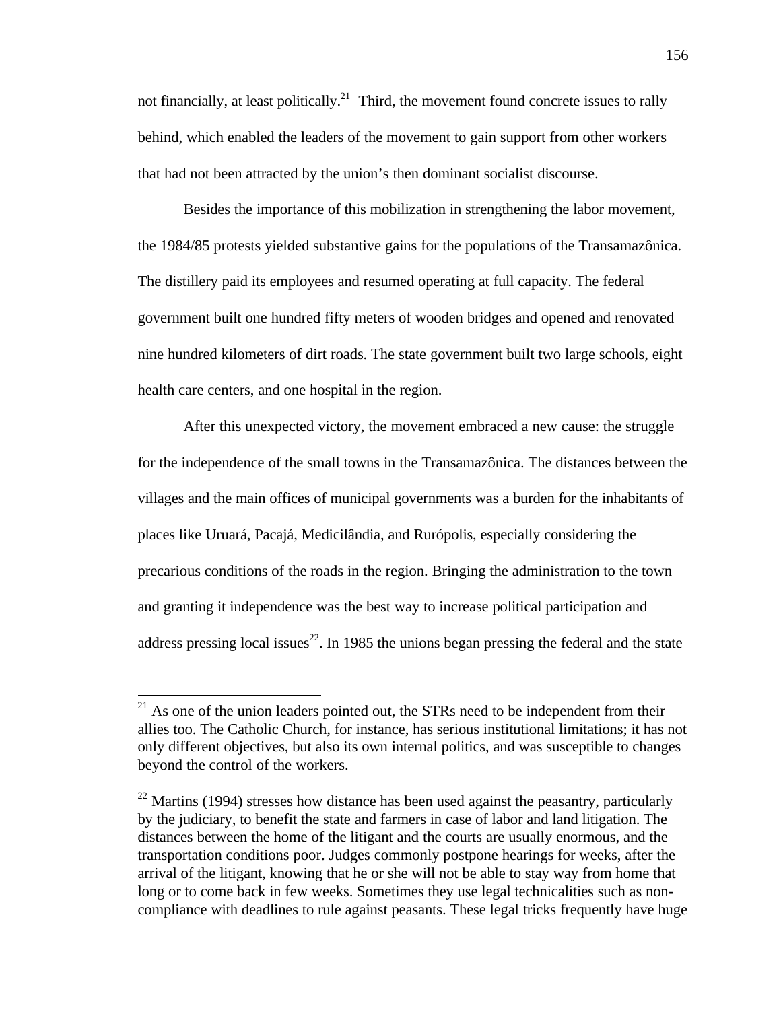not financially, at least politically.<sup>21</sup> Third, the movement found concrete issues to rally behind, which enabled the leaders of the movement to gain support from other workers that had not been attracted by the union's then dominant socialist discourse.

Besides the importance of this mobilization in strengthening the labor movement, the 1984/85 protests yielded substantive gains for the populations of the Transamazônica. The distillery paid its employees and resumed operating at full capacity. The federal government built one hundred fifty meters of wooden bridges and opened and renovated nine hundred kilometers of dirt roads. The state government built two large schools, eight health care centers, and one hospital in the region.

After this unexpected victory, the movement embraced a new cause: the struggle for the independence of the small towns in the Transamazônica. The distances between the villages and the main offices of municipal governments was a burden for the inhabitants of places like Uruará, Pacajá, Medicilândia, and Rurópolis, especially considering the precarious conditions of the roads in the region. Bringing the administration to the town and granting it independence was the best way to increase political participation and address pressing local issues<sup>22</sup>. In 1985 the unions began pressing the federal and the state

 $21$  As one of the union leaders pointed out, the STRs need to be independent from their allies too. The Catholic Church, for instance, has serious institutional limitations; it has not only different objectives, but also its own internal politics, and was susceptible to changes beyond the control of the workers.

 $22$  Martins (1994) stresses how distance has been used against the peasantry, particularly by the judiciary, to benefit the state and farmers in case of labor and land litigation. The distances between the home of the litigant and the courts are usually enormous, and the transportation conditions poor. Judges commonly postpone hearings for weeks, after the arrival of the litigant, knowing that he or she will not be able to stay way from home that long or to come back in few weeks. Sometimes they use legal technicalities such as noncompliance with deadlines to rule against peasants. These legal tricks frequently have huge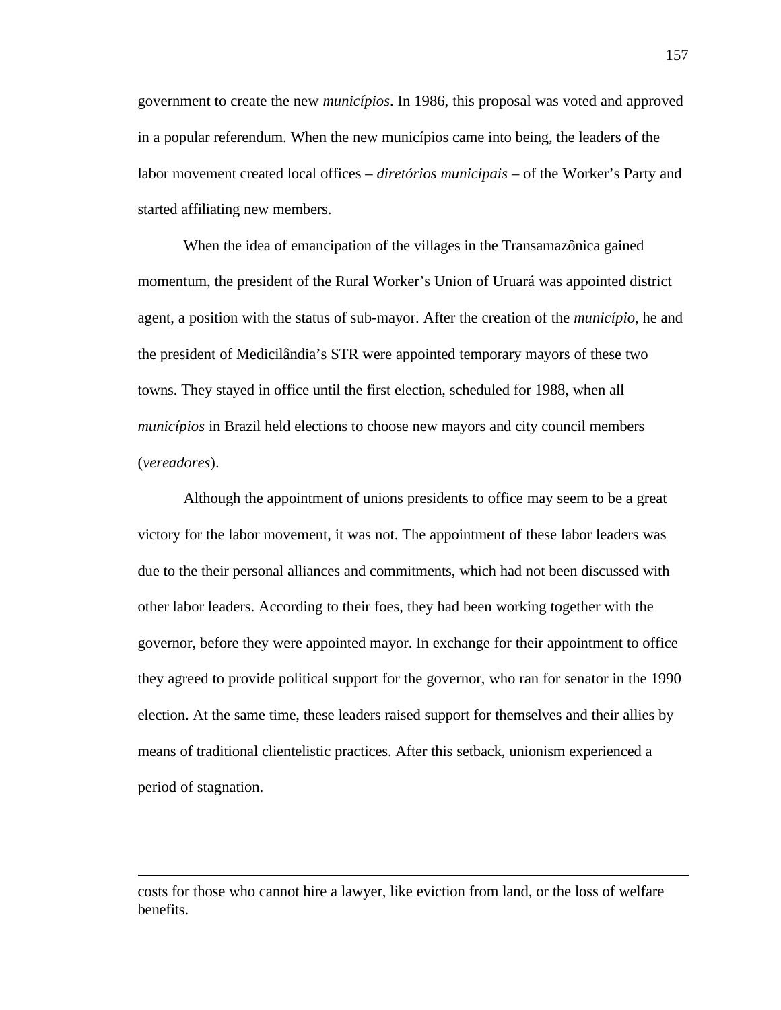government to create the new *municípios*. In 1986, this proposal was voted and approved in a popular referendum. When the new municípios came into being, the leaders of the labor movement created local offices – *diretórios municipais* – of the Worker's Party and started affiliating new members.

When the idea of emancipation of the villages in the Transamazônica gained momentum, the president of the Rural Worker's Union of Uruará was appointed district agent, a position with the status of sub-mayor. After the creation of the *município*, he and the president of Medicilândia's STR were appointed temporary mayors of these two towns. They stayed in office until the first election, scheduled for 1988, when all *municípios* in Brazil held elections to choose new mayors and city council members (*vereadores*).

Although the appointment of unions presidents to office may seem to be a great victory for the labor movement, it was not. The appointment of these labor leaders was due to the their personal alliances and commitments, which had not been discussed with other labor leaders. According to their foes, they had been working together with the governor, before they were appointed mayor. In exchange for their appointment to office they agreed to provide political support for the governor, who ran for senator in the 1990 election. At the same time, these leaders raised support for themselves and their allies by means of traditional clientelistic practices. After this setback, unionism experienced a period of stagnation.

costs for those who cannot hire a lawyer, like eviction from land, or the loss of welfare benefits.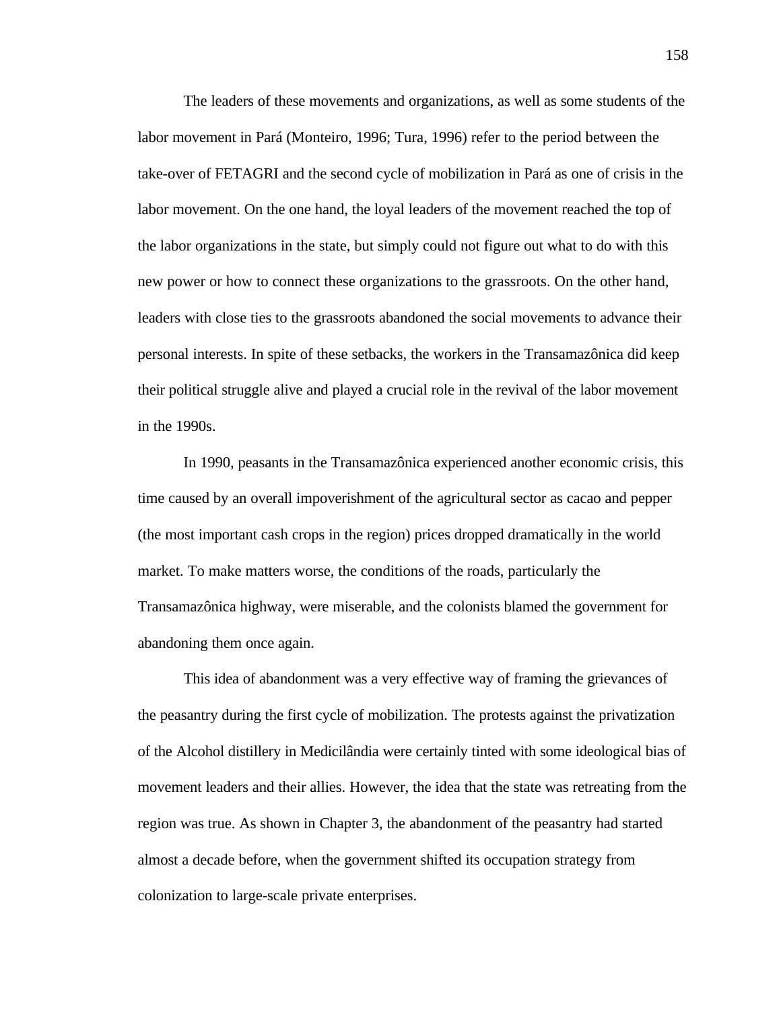The leaders of these movements and organizations, as well as some students of the labor movement in Pará (Monteiro, 1996; Tura, 1996) refer to the period between the take-over of FETAGRI and the second cycle of mobilization in Pará as one of crisis in the labor movement. On the one hand, the loyal leaders of the movement reached the top of the labor organizations in the state, but simply could not figure out what to do with this new power or how to connect these organizations to the grassroots. On the other hand, leaders with close ties to the grassroots abandoned the social movements to advance their personal interests. In spite of these setbacks, the workers in the Transamazônica did keep their political struggle alive and played a crucial role in the revival of the labor movement in the 1990s.

In 1990, peasants in the Transamazônica experienced another economic crisis, this time caused by an overall impoverishment of the agricultural sector as cacao and pepper (the most important cash crops in the region) prices dropped dramatically in the world market. To make matters worse, the conditions of the roads, particularly the Transamazônica highway, were miserable, and the colonists blamed the government for abandoning them once again.

This idea of abandonment was a very effective way of framing the grievances of the peasantry during the first cycle of mobilization. The protests against the privatization of the Alcohol distillery in Medicilândia were certainly tinted with some ideological bias of movement leaders and their allies. However, the idea that the state was retreating from the region was true. As shown in Chapter 3, the abandonment of the peasantry had started almost a decade before, when the government shifted its occupation strategy from colonization to large-scale private enterprises.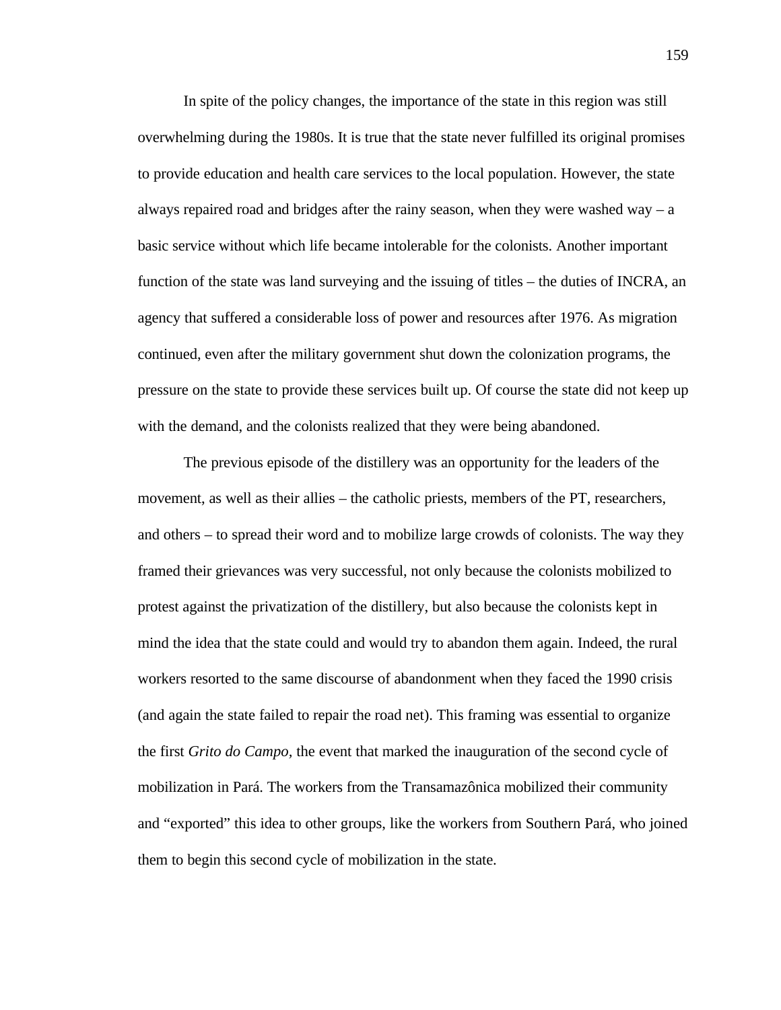In spite of the policy changes, the importance of the state in this region was still overwhelming during the 1980s. It is true that the state never fulfilled its original promises to provide education and health care services to the local population. However, the state always repaired road and bridges after the rainy season, when they were washed way  $- a$ basic service without which life became intolerable for the colonists. Another important function of the state was land surveying and the issuing of titles – the duties of INCRA, an agency that suffered a considerable loss of power and resources after 1976. As migration continued, even after the military government shut down the colonization programs, the pressure on the state to provide these services built up. Of course the state did not keep up with the demand, and the colonists realized that they were being abandoned.

The previous episode of the distillery was an opportunity for the leaders of the movement, as well as their allies – the catholic priests, members of the PT, researchers, and others – to spread their word and to mobilize large crowds of colonists. The way they framed their grievances was very successful, not only because the colonists mobilized to protest against the privatization of the distillery, but also because the colonists kept in mind the idea that the state could and would try to abandon them again. Indeed, the rural workers resorted to the same discourse of abandonment when they faced the 1990 crisis (and again the state failed to repair the road net). This framing was essential to organize the first *Grito do Campo,* the event that marked the inauguration of the second cycle of mobilization in Pará. The workers from the Transamazônica mobilized their community and "exported" this idea to other groups, like the workers from Southern Pará, who joined them to begin this second cycle of mobilization in the state.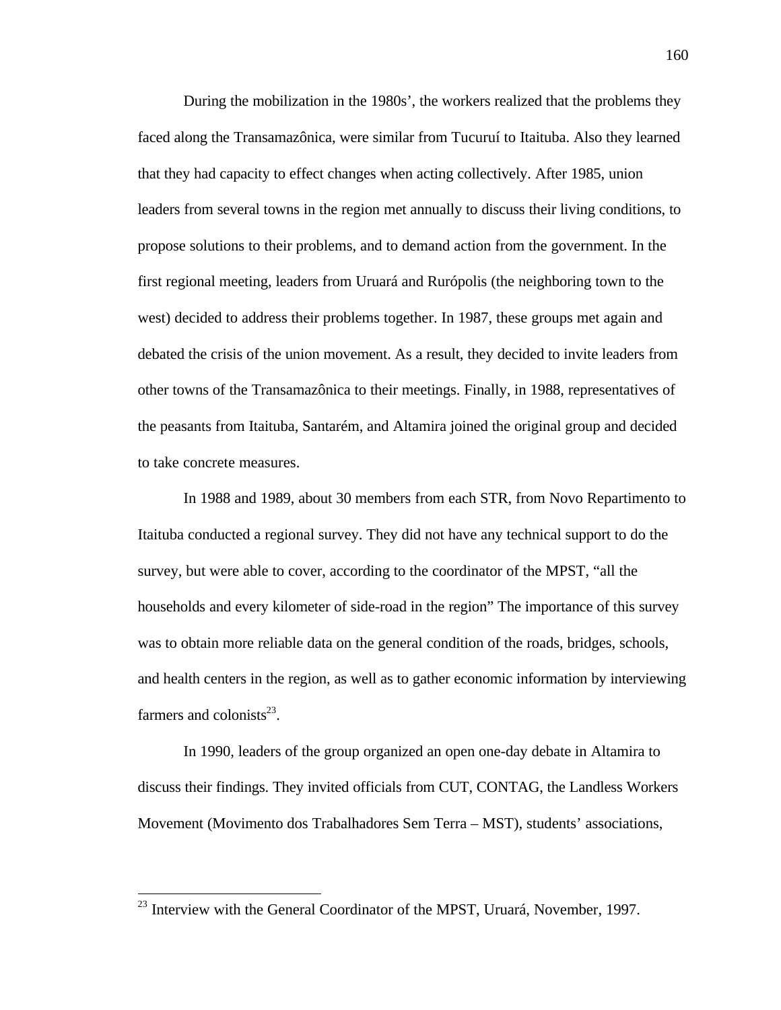During the mobilization in the 1980s', the workers realized that the problems they faced along the Transamazônica, were similar from Tucuruí to Itaituba. Also they learned that they had capacity to effect changes when acting collectively. After 1985, union leaders from several towns in the region met annually to discuss their living conditions, to propose solutions to their problems, and to demand action from the government. In the first regional meeting, leaders from Uruará and Rurópolis (the neighboring town to the west) decided to address their problems together. In 1987, these groups met again and debated the crisis of the union movement. As a result, they decided to invite leaders from other towns of the Transamazônica to their meetings. Finally, in 1988, representatives of the peasants from Itaituba, Santarém, and Altamira joined the original group and decided to take concrete measures.

In 1988 and 1989, about 30 members from each STR, from Novo Repartimento to Itaituba conducted a regional survey. They did not have any technical support to do the survey, but were able to cover, according to the coordinator of the MPST, "all the households and every kilometer of side-road in the region" The importance of this survey was to obtain more reliable data on the general condition of the roads, bridges, schools, and health centers in the region, as well as to gather economic information by interviewing farmers and colonists $^{23}$ .

In 1990, leaders of the group organized an open one-day debate in Altamira to discuss their findings. They invited officials from CUT, CONTAG, the Landless Workers Movement (Movimento dos Trabalhadores Sem Terra – MST), students' associations,

 $2<sup>23</sup>$  Interview with the General Coordinator of the MPST, Uruará, November, 1997.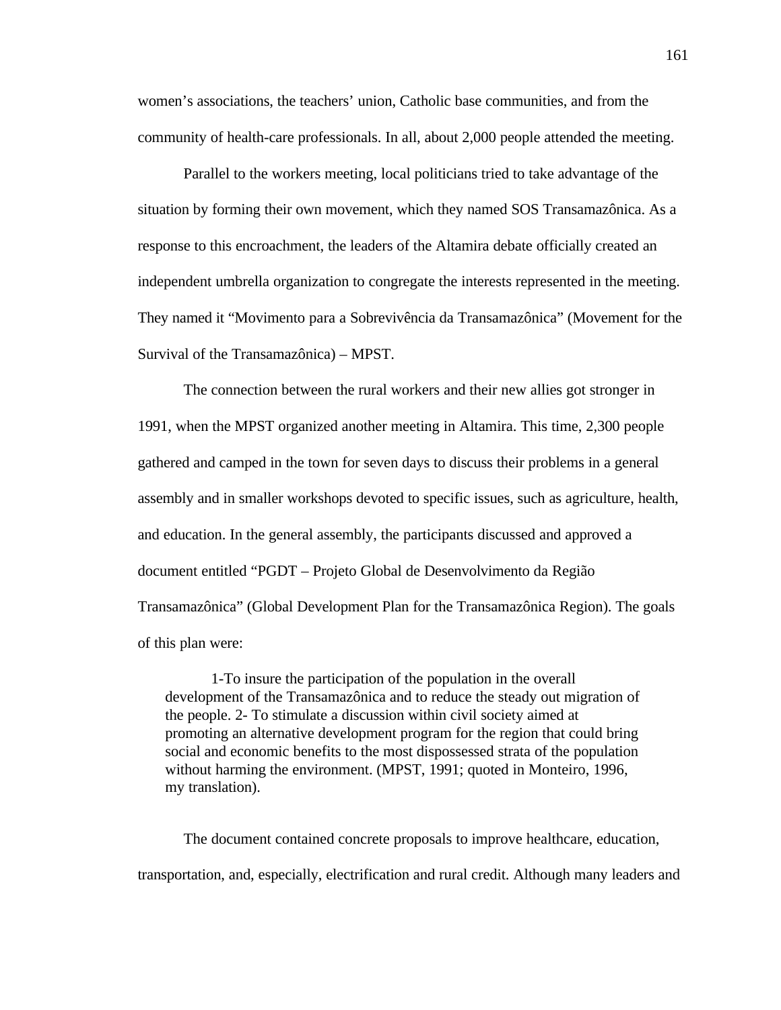women's associations, the teachers' union, Catholic base communities, and from the community of health-care professionals. In all, about 2,000 people attended the meeting.

Parallel to the workers meeting, local politicians tried to take advantage of the situation by forming their own movement, which they named SOS Transamazônica. As a response to this encroachment, the leaders of the Altamira debate officially created an independent umbrella organization to congregate the interests represented in the meeting. They named it "Movimento para a Sobrevivência da Transamazônica" (Movement for the Survival of the Transamazônica) – MPST.

The connection between the rural workers and their new allies got stronger in 1991, when the MPST organized another meeting in Altamira. This time, 2,300 people gathered and camped in the town for seven days to discuss their problems in a general assembly and in smaller workshops devoted to specific issues, such as agriculture, health, and education. In the general assembly, the participants discussed and approved a document entitled "PGDT – Projeto Global de Desenvolvimento da Região Transamazônica" (Global Development Plan for the Transamazônica Region). The goals of this plan were:

1-To insure the participation of the population in the overall development of the Transamazônica and to reduce the steady out migration of the people. 2- To stimulate a discussion within civil society aimed at promoting an alternative development program for the region that could bring social and economic benefits to the most dispossessed strata of the population without harming the environment. (MPST, 1991; quoted in Monteiro, 1996, my translation).

The document contained concrete proposals to improve healthcare, education, transportation, and, especially, electrification and rural credit. Although many leaders and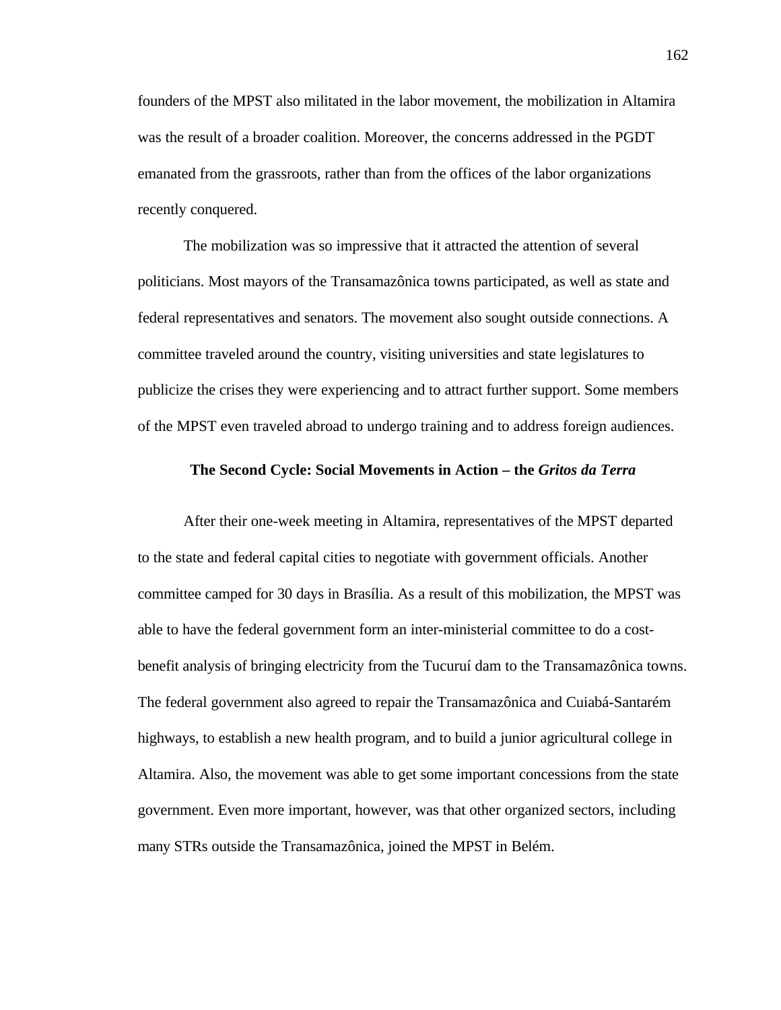founders of the MPST also militated in the labor movement, the mobilization in Altamira was the result of a broader coalition. Moreover, the concerns addressed in the PGDT emanated from the grassroots, rather than from the offices of the labor organizations recently conquered.

The mobilization was so impressive that it attracted the attention of several politicians. Most mayors of the Transamazônica towns participated, as well as state and federal representatives and senators. The movement also sought outside connections. A committee traveled around the country, visiting universities and state legislatures to publicize the crises they were experiencing and to attract further support. Some members of the MPST even traveled abroad to undergo training and to address foreign audiences.

## **The Second Cycle: Social Movements in Action – the** *Gritos da Terra*

After their one-week meeting in Altamira, representatives of the MPST departed to the state and federal capital cities to negotiate with government officials. Another committee camped for 30 days in Brasília. As a result of this mobilization, the MPST was able to have the federal government form an inter-ministerial committee to do a costbenefit analysis of bringing electricity from the Tucuruí dam to the Transamazônica towns. The federal government also agreed to repair the Transamazônica and Cuiabá-Santarém highways, to establish a new health program, and to build a junior agricultural college in Altamira. Also, the movement was able to get some important concessions from the state government. Even more important, however, was that other organized sectors, including many STRs outside the Transamazônica, joined the MPST in Belém.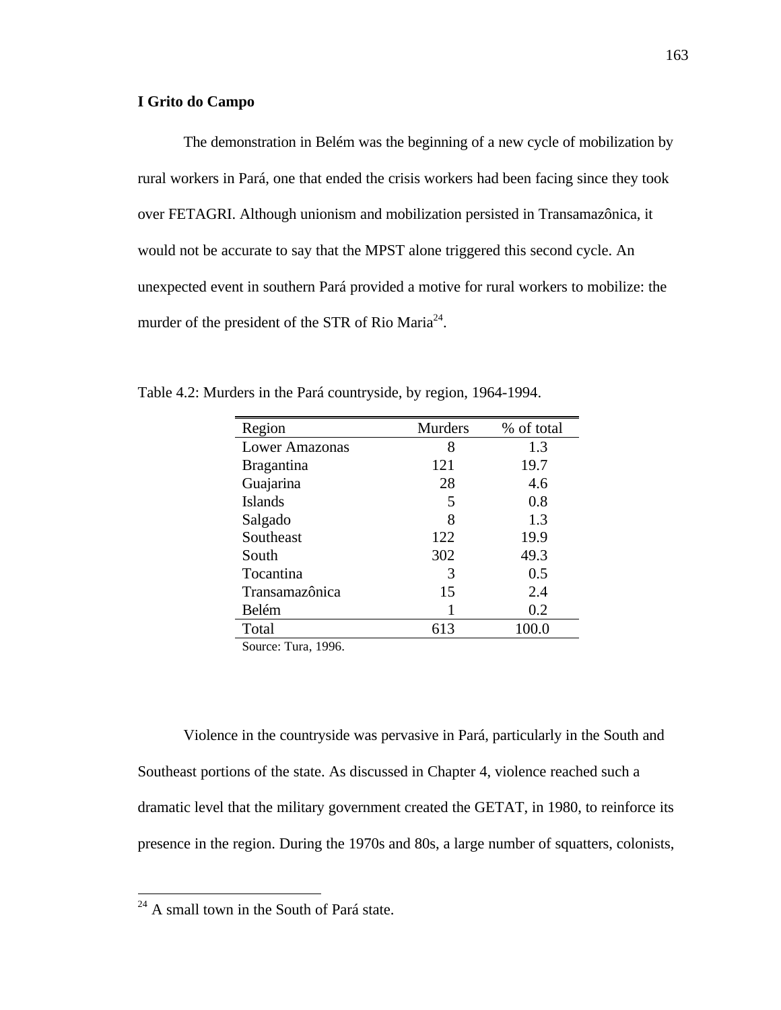# **I Grito do Campo**

The demonstration in Belém was the beginning of a new cycle of mobilization by rural workers in Pará, one that ended the crisis workers had been facing since they took over FETAGRI. Although unionism and mobilization persisted in Transamazônica, it would not be accurate to say that the MPST alone triggered this second cycle. An unexpected event in southern Pará provided a motive for rural workers to mobilize: the murder of the president of the STR of Rio Maria<sup>24</sup>.

| Region            | <b>Murders</b> | % of total |
|-------------------|----------------|------------|
| Lower Amazonas    | 8              | 1.3        |
| <b>Bragantina</b> | 121            | 19.7       |
| Guajarina         | 28             | 4.6        |
| <b>Islands</b>    | 5              | 0.8        |
| Salgado           | 8              | 1.3        |
| Southeast         | 122            | 19.9       |
| South             | 302            | 49.3       |
| Tocantina         | 3              | 0.5        |
| Transamazônica    | 15             | 2.4        |
| Belém             |                | 0.2        |
| Total             | 613            | 100.0      |

Table 4.2: Murders in the Pará countryside, by region, 1964-1994.

Source: Tura, 1996.

Violence in the countryside was pervasive in Pará, particularly in the South and Southeast portions of the state. As discussed in Chapter 4, violence reached such a dramatic level that the military government created the GETAT, in 1980, to reinforce its presence in the region. During the 1970s and 80s, a large number of squatters, colonists,

 $24$  A small town in the South of Pará state.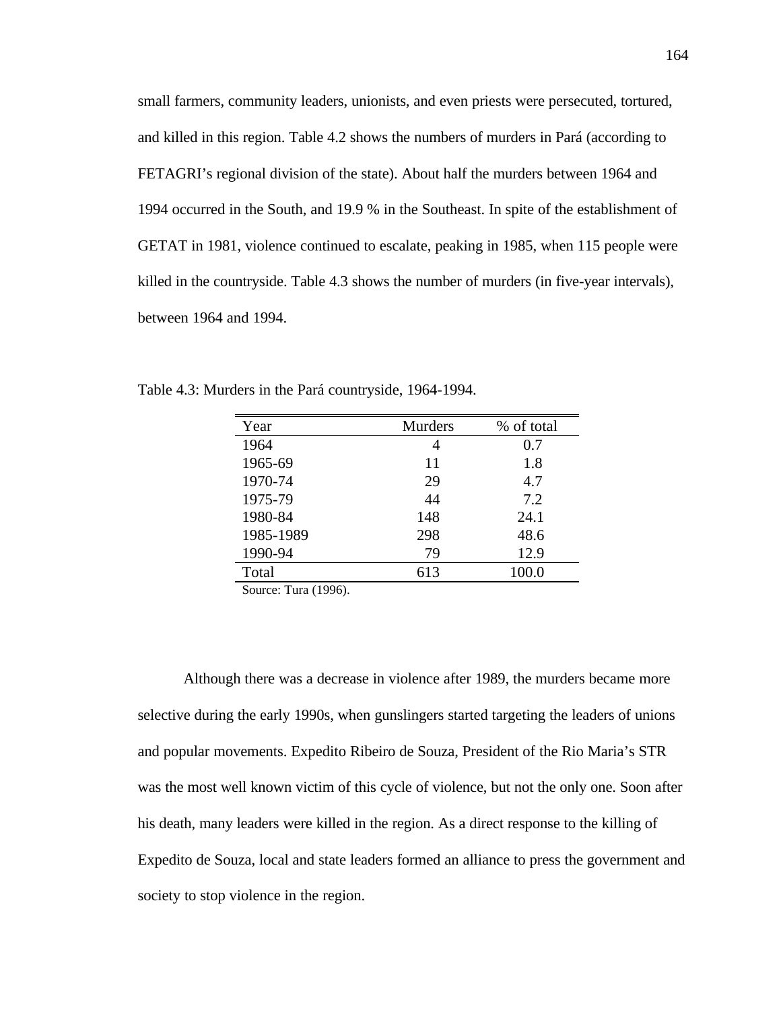small farmers, community leaders, unionists, and even priests were persecuted, tortured, and killed in this region. Table 4.2 shows the numbers of murders in Pará (according to FETAGRI's regional division of the state). About half the murders between 1964 and 1994 occurred in the South, and 19.9 % in the Southeast. In spite of the establishment of GETAT in 1981, violence continued to escalate, peaking in 1985, when 115 people were killed in the countryside. Table 4.3 shows the number of murders (in five-year intervals), between 1964 and 1994.

| Year      | <b>Murders</b> | % of total |
|-----------|----------------|------------|
| 1964      | 4              | 0.7        |
| 1965-69   | 11             | 1.8        |
| 1970-74   | 29             | 4.7        |
| 1975-79   | 44             | 7.2        |
| 1980-84   | 148            | 24.1       |
| 1985-1989 | 298            | 48.6       |
| 1990-94   | 79             | 12.9       |
| Total     | 613            | 100.0      |

Table 4.3: Murders in the Pará countryside, 1964-1994.

Source: Tura (1996).

Although there was a decrease in violence after 1989, the murders became more selective during the early 1990s, when gunslingers started targeting the leaders of unions and popular movements. Expedito Ribeiro de Souza, President of the Rio Maria's STR was the most well known victim of this cycle of violence, but not the only one. Soon after his death, many leaders were killed in the region. As a direct response to the killing of Expedito de Souza, local and state leaders formed an alliance to press the government and society to stop violence in the region.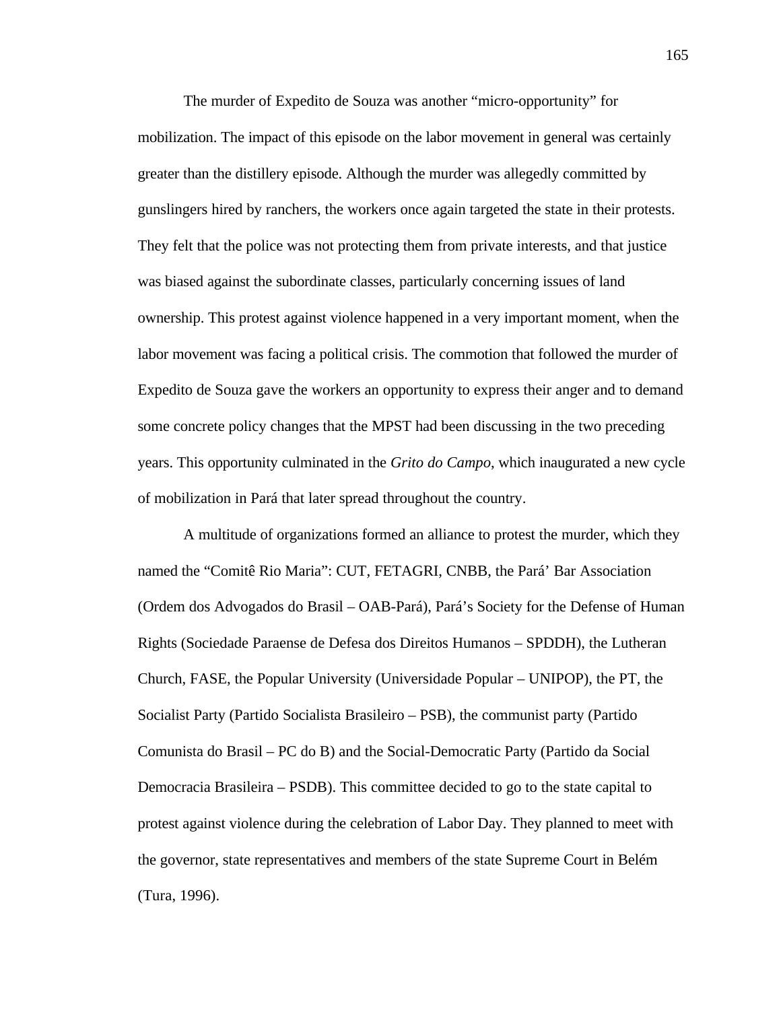The murder of Expedito de Souza was another "micro-opportunity" for mobilization. The impact of this episode on the labor movement in general was certainly greater than the distillery episode. Although the murder was allegedly committed by gunslingers hired by ranchers, the workers once again targeted the state in their protests. They felt that the police was not protecting them from private interests, and that justice was biased against the subordinate classes, particularly concerning issues of land ownership. This protest against violence happened in a very important moment, when the labor movement was facing a political crisis. The commotion that followed the murder of Expedito de Souza gave the workers an opportunity to express their anger and to demand some concrete policy changes that the MPST had been discussing in the two preceding years. This opportunity culminated in the *Grito do Campo*, which inaugurated a new cycle of mobilization in Pará that later spread throughout the country.

A multitude of organizations formed an alliance to protest the murder, which they named the "Comitê Rio Maria": CUT, FETAGRI, CNBB, the Pará' Bar Association (Ordem dos Advogados do Brasil – OAB-Pará), Pará's Society for the Defense of Human Rights (Sociedade Paraense de Defesa dos Direitos Humanos – SPDDH), the Lutheran Church, FASE, the Popular University (Universidade Popular – UNIPOP), the PT, the Socialist Party (Partido Socialista Brasileiro – PSB), the communist party (Partido Comunista do Brasil – PC do B) and the Social-Democratic Party (Partido da Social Democracia Brasileira – PSDB). This committee decided to go to the state capital to protest against violence during the celebration of Labor Day. They planned to meet with the governor, state representatives and members of the state Supreme Court in Belém (Tura, 1996).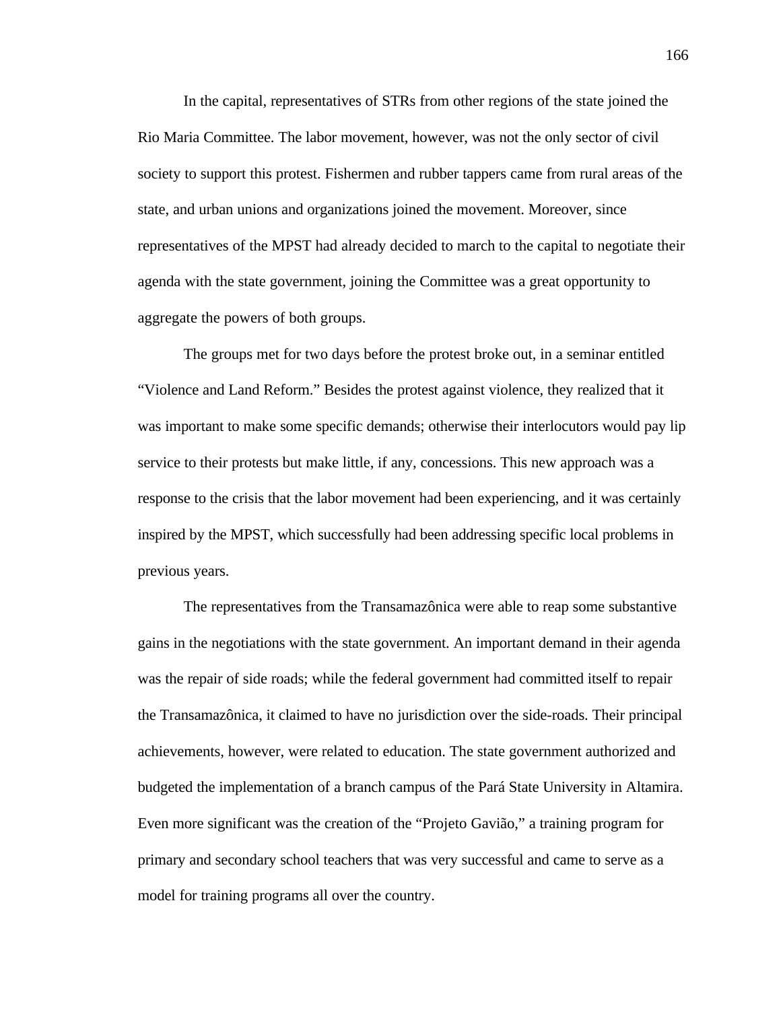In the capital, representatives of STRs from other regions of the state joined the Rio Maria Committee. The labor movement, however, was not the only sector of civil society to support this protest. Fishermen and rubber tappers came from rural areas of the state, and urban unions and organizations joined the movement. Moreover, since representatives of the MPST had already decided to march to the capital to negotiate their agenda with the state government, joining the Committee was a great opportunity to aggregate the powers of both groups.

The groups met for two days before the protest broke out, in a seminar entitled "Violence and Land Reform." Besides the protest against violence, they realized that it was important to make some specific demands; otherwise their interlocutors would pay lip service to their protests but make little, if any, concessions. This new approach was a response to the crisis that the labor movement had been experiencing, and it was certainly inspired by the MPST, which successfully had been addressing specific local problems in previous years.

The representatives from the Transamazônica were able to reap some substantive gains in the negotiations with the state government. An important demand in their agenda was the repair of side roads; while the federal government had committed itself to repair the Transamazônica, it claimed to have no jurisdiction over the side-roads. Their principal achievements, however, were related to education. The state government authorized and budgeted the implementation of a branch campus of the Pará State University in Altamira. Even more significant was the creation of the "Projeto Gavião," a training program for primary and secondary school teachers that was very successful and came to serve as a model for training programs all over the country.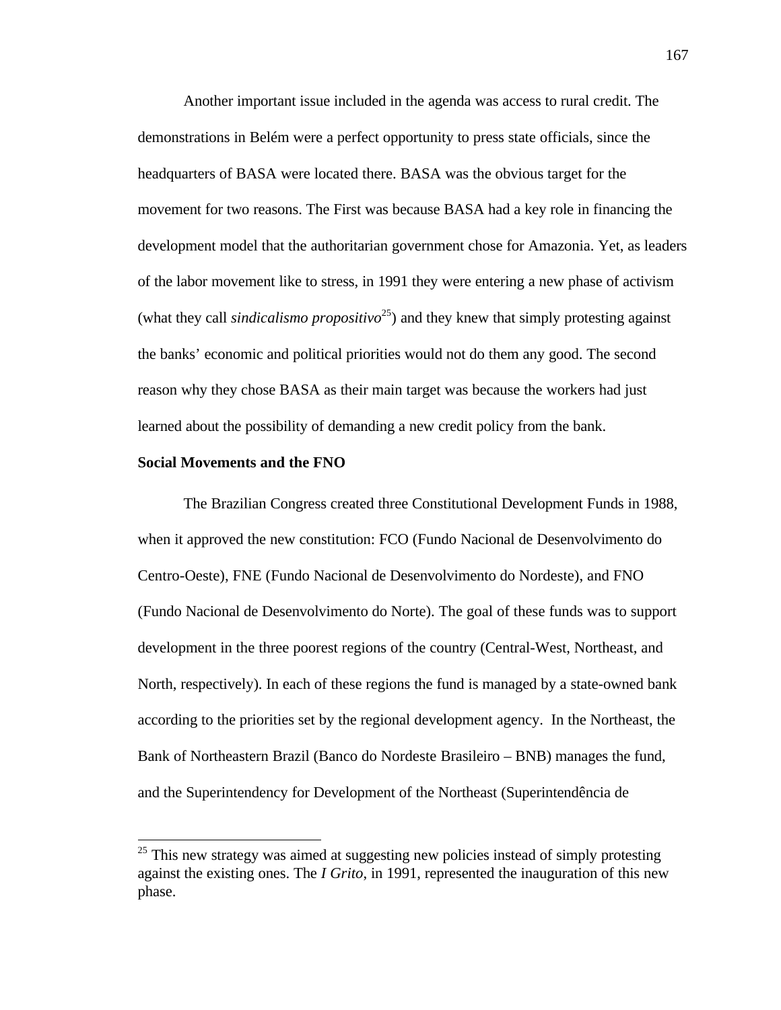Another important issue included in the agenda was access to rural credit. The demonstrations in Belém were a perfect opportunity to press state officials, since the headquarters of BASA were located there. BASA was the obvious target for the movement for two reasons. The First was because BASA had a key role in financing the development model that the authoritarian government chose for Amazonia. Yet, as leaders of the labor movement like to stress, in 1991 they were entering a new phase of activism (what they call *sindicalismo propositivo*<sup>25</sup>) and they knew that simply protesting against the banks' economic and political priorities would not do them any good. The second reason why they chose BASA as their main target was because the workers had just learned about the possibility of demanding a new credit policy from the bank.

## **Social Movements and the FNO**

-

The Brazilian Congress created three Constitutional Development Funds in 1988, when it approved the new constitution: FCO (Fundo Nacional de Desenvolvimento do Centro-Oeste), FNE (Fundo Nacional de Desenvolvimento do Nordeste), and FNO (Fundo Nacional de Desenvolvimento do Norte). The goal of these funds was to support development in the three poorest regions of the country (Central-West, Northeast, and North, respectively). In each of these regions the fund is managed by a state-owned bank according to the priorities set by the regional development agency. In the Northeast, the Bank of Northeastern Brazil (Banco do Nordeste Brasileiro – BNB) manages the fund, and the Superintendency for Development of the Northeast (Superintendência de

167

<sup>&</sup>lt;sup>25</sup> This new strategy was aimed at suggesting new policies instead of simply protesting against the existing ones. The *I Grito*, in 1991, represented the inauguration of this new phase.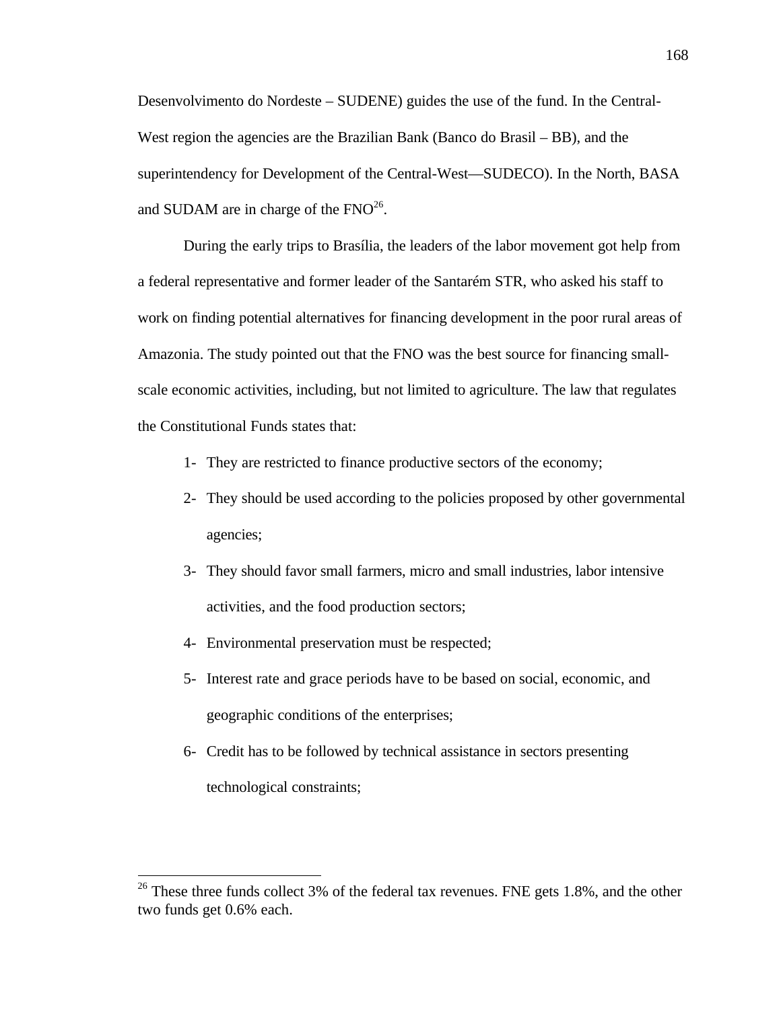Desenvolvimento do Nordeste – SUDENE) guides the use of the fund. In the Central-West region the agencies are the Brazilian Bank (Banco do Brasil – BB), and the superintendency for Development of the Central-West—SUDECO). In the North, BASA and SUDAM are in charge of the  $FNO^{26}$ .

During the early trips to Brasília, the leaders of the labor movement got help from a federal representative and former leader of the Santarém STR, who asked his staff to work on finding potential alternatives for financing development in the poor rural areas of Amazonia. The study pointed out that the FNO was the best source for financing smallscale economic activities, including, but not limited to agriculture. The law that regulates the Constitutional Funds states that:

- 1- They are restricted to finance productive sectors of the economy;
- 2- They should be used according to the policies proposed by other governmental agencies;
- 3- They should favor small farmers, micro and small industries, labor intensive activities, and the food production sectors;
- 4- Environmental preservation must be respected;

- 5- Interest rate and grace periods have to be based on social, economic, and geographic conditions of the enterprises;
- 6- Credit has to be followed by technical assistance in sectors presenting technological constraints;

<sup>&</sup>lt;sup>26</sup> These three funds collect 3% of the federal tax revenues. FNE gets 1.8%, and the other two funds get 0.6% each.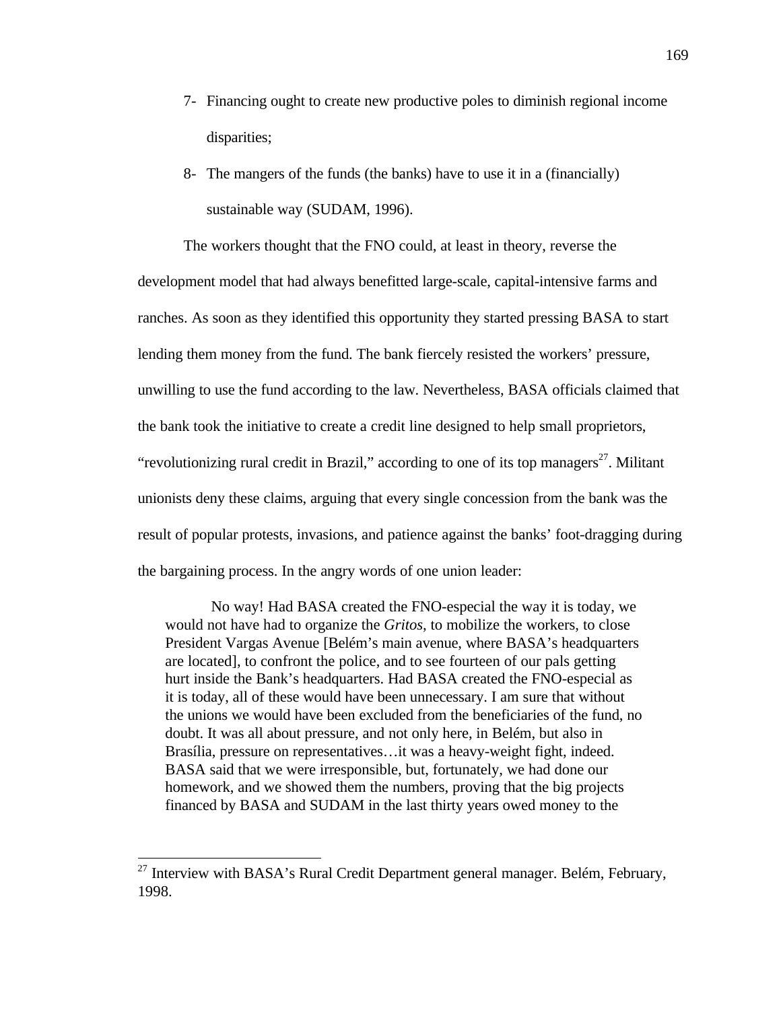- 7- Financing ought to create new productive poles to diminish regional income disparities;
- 8- The mangers of the funds (the banks) have to use it in a (financially) sustainable way (SUDAM, 1996).

The workers thought that the FNO could, at least in theory, reverse the development model that had always benefitted large-scale, capital-intensive farms and ranches. As soon as they identified this opportunity they started pressing BASA to start lending them money from the fund. The bank fiercely resisted the workers' pressure, unwilling to use the fund according to the law. Nevertheless, BASA officials claimed that the bank took the initiative to create a credit line designed to help small proprietors, "revolutionizing rural credit in Brazil," according to one of its top managers $27$ . Militant unionists deny these claims, arguing that every single concession from the bank was the result of popular protests, invasions, and patience against the banks' foot-dragging during the bargaining process. In the angry words of one union leader:

No way! Had BASA created the FNO-especial the way it is today, we would not have had to organize the *Gritos*, to mobilize the workers, to close President Vargas Avenue [Belém's main avenue, where BASA's headquarters are located], to confront the police, and to see fourteen of our pals getting hurt inside the Bank's headquarters. Had BASA created the FNO-especial as it is today, all of these would have been unnecessary. I am sure that without the unions we would have been excluded from the beneficiaries of the fund, no doubt. It was all about pressure, and not only here, in Belém, but also in Brasília, pressure on representatives…it was a heavy-weight fight, indeed. BASA said that we were irresponsible, but, fortunately, we had done our homework, and we showed them the numbers, proving that the big projects financed by BASA and SUDAM in the last thirty years owed money to the

 $27$  Interview with BASA's Rural Credit Department general manager. Belém, February, 1998.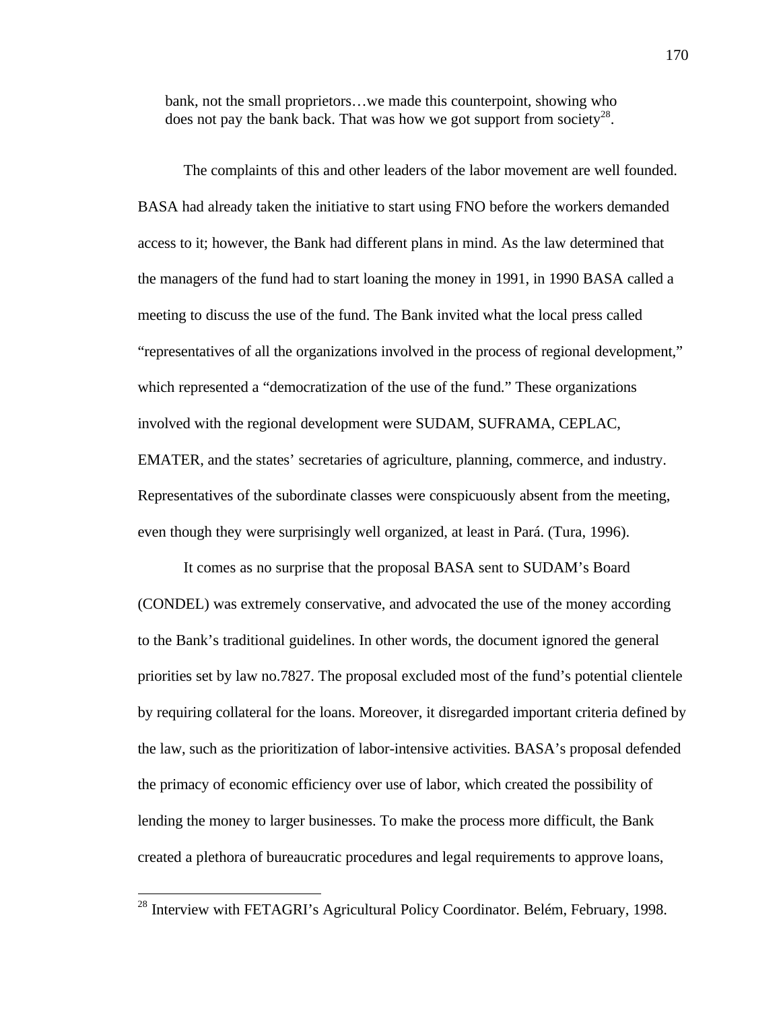bank, not the small proprietors…we made this counterpoint, showing who does not pay the bank back. That was how we got support from society<sup>28</sup>.

The complaints of this and other leaders of the labor movement are well founded. BASA had already taken the initiative to start using FNO before the workers demanded access to it; however, the Bank had different plans in mind. As the law determined that the managers of the fund had to start loaning the money in 1991, in 1990 BASA called a meeting to discuss the use of the fund. The Bank invited what the local press called "representatives of all the organizations involved in the process of regional development," which represented a "democratization of the use of the fund." These organizations involved with the regional development were SUDAM, SUFRAMA, CEPLAC, EMATER, and the states' secretaries of agriculture, planning, commerce, and industry. Representatives of the subordinate classes were conspicuously absent from the meeting, even though they were surprisingly well organized, at least in Pará. (Tura, 1996).

It comes as no surprise that the proposal BASA sent to SUDAM's Board (CONDEL) was extremely conservative, and advocated the use of the money according to the Bank's traditional guidelines. In other words, the document ignored the general priorities set by law no.7827. The proposal excluded most of the fund's potential clientele by requiring collateral for the loans. Moreover, it disregarded important criteria defined by the law, such as the prioritization of labor-intensive activities. BASA's proposal defended the primacy of economic efficiency over use of labor, which created the possibility of lending the money to larger businesses. To make the process more difficult, the Bank created a plethora of bureaucratic procedures and legal requirements to approve loans,

 $^{28}$  Interview with FETAGRI's Agricultural Policy Coordinator. Belém, February, 1998.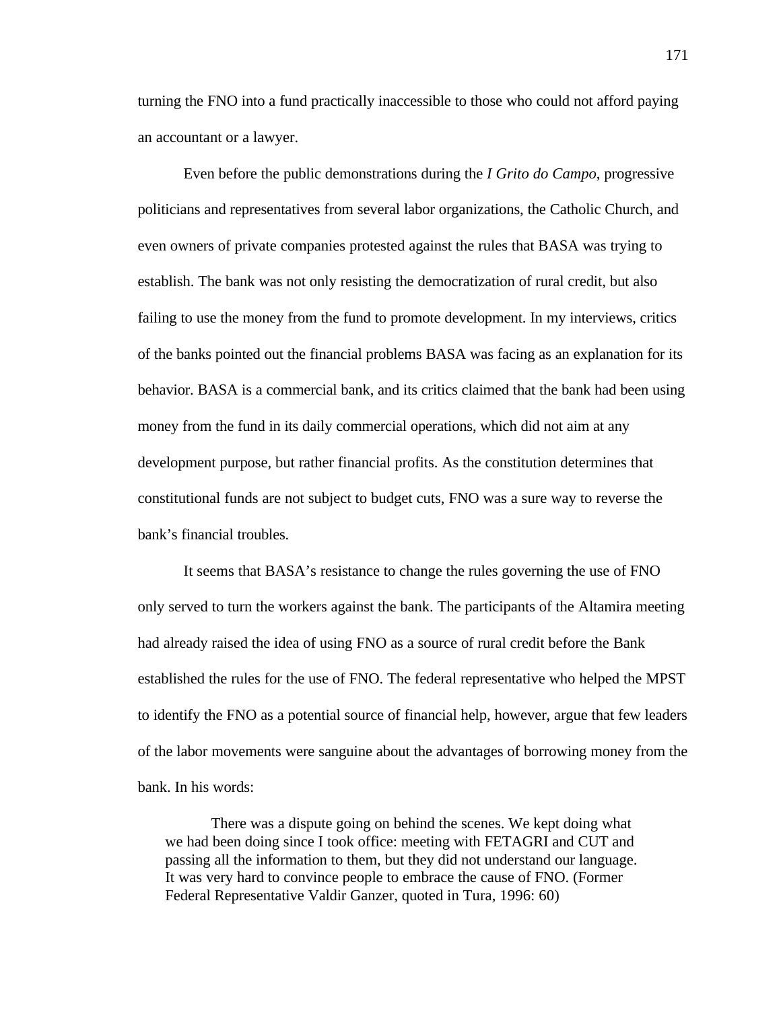turning the FNO into a fund practically inaccessible to those who could not afford paying an accountant or a lawyer.

Even before the public demonstrations during the *I Grito do Campo*, progressive politicians and representatives from several labor organizations, the Catholic Church, and even owners of private companies protested against the rules that BASA was trying to establish. The bank was not only resisting the democratization of rural credit, but also failing to use the money from the fund to promote development. In my interviews, critics of the banks pointed out the financial problems BASA was facing as an explanation for its behavior. BASA is a commercial bank, and its critics claimed that the bank had been using money from the fund in its daily commercial operations, which did not aim at any development purpose, but rather financial profits. As the constitution determines that constitutional funds are not subject to budget cuts, FNO was a sure way to reverse the bank's financial troubles.

It seems that BASA's resistance to change the rules governing the use of FNO only served to turn the workers against the bank. The participants of the Altamira meeting had already raised the idea of using FNO as a source of rural credit before the Bank established the rules for the use of FNO. The federal representative who helped the MPST to identify the FNO as a potential source of financial help, however, argue that few leaders of the labor movements were sanguine about the advantages of borrowing money from the bank. In his words:

There was a dispute going on behind the scenes. We kept doing what we had been doing since I took office: meeting with FETAGRI and CUT and passing all the information to them, but they did not understand our language. It was very hard to convince people to embrace the cause of FNO. (Former Federal Representative Valdir Ganzer, quoted in Tura, 1996: 60)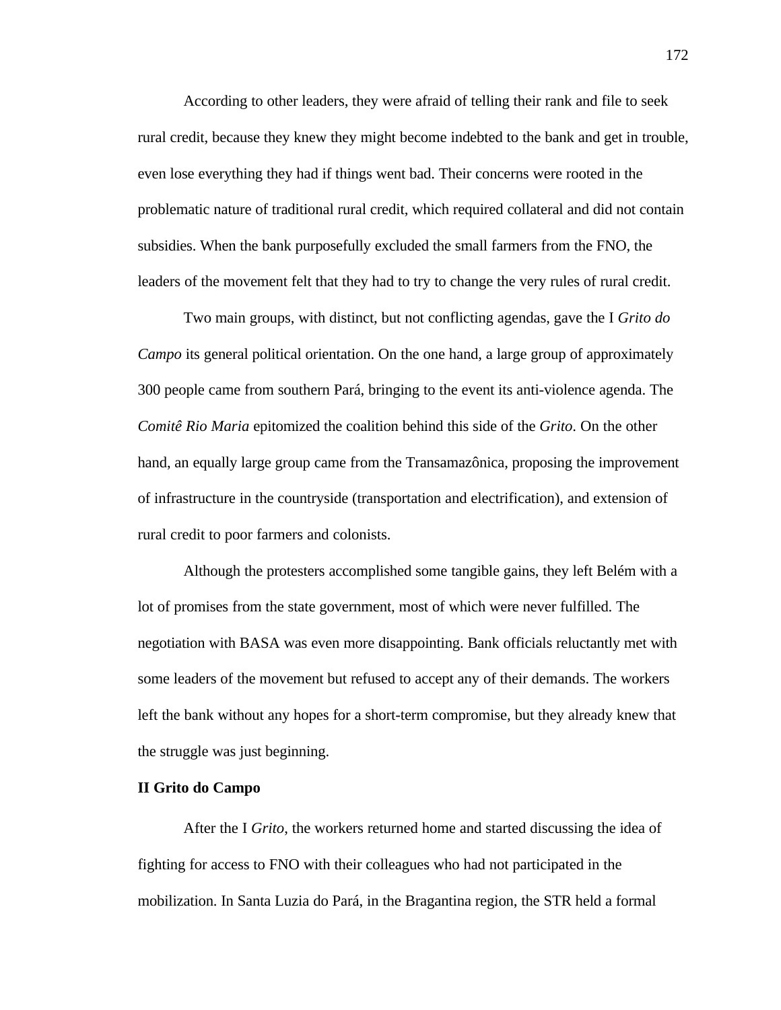According to other leaders, they were afraid of telling their rank and file to seek rural credit, because they knew they might become indebted to the bank and get in trouble, even lose everything they had if things went bad. Their concerns were rooted in the problematic nature of traditional rural credit, which required collateral and did not contain subsidies. When the bank purposefully excluded the small farmers from the FNO, the leaders of the movement felt that they had to try to change the very rules of rural credit.

Two main groups, with distinct, but not conflicting agendas, gave the I *Grito do Campo* its general political orientation. On the one hand, a large group of approximately 300 people came from southern Pará, bringing to the event its anti-violence agenda. The *Comitê Rio Maria* epitomized the coalition behind this side of the *Grito*. On the other hand, an equally large group came from the Transamazônica, proposing the improvement of infrastructure in the countryside (transportation and electrification), and extension of rural credit to poor farmers and colonists.

Although the protesters accomplished some tangible gains, they left Belém with a lot of promises from the state government, most of which were never fulfilled. The negotiation with BASA was even more disappointing. Bank officials reluctantly met with some leaders of the movement but refused to accept any of their demands. The workers left the bank without any hopes for a short-term compromise, but they already knew that the struggle was just beginning.

## **II Grito do Campo**

After the I *Grito*, the workers returned home and started discussing the idea of fighting for access to FNO with their colleagues who had not participated in the mobilization. In Santa Luzia do Pará, in the Bragantina region, the STR held a formal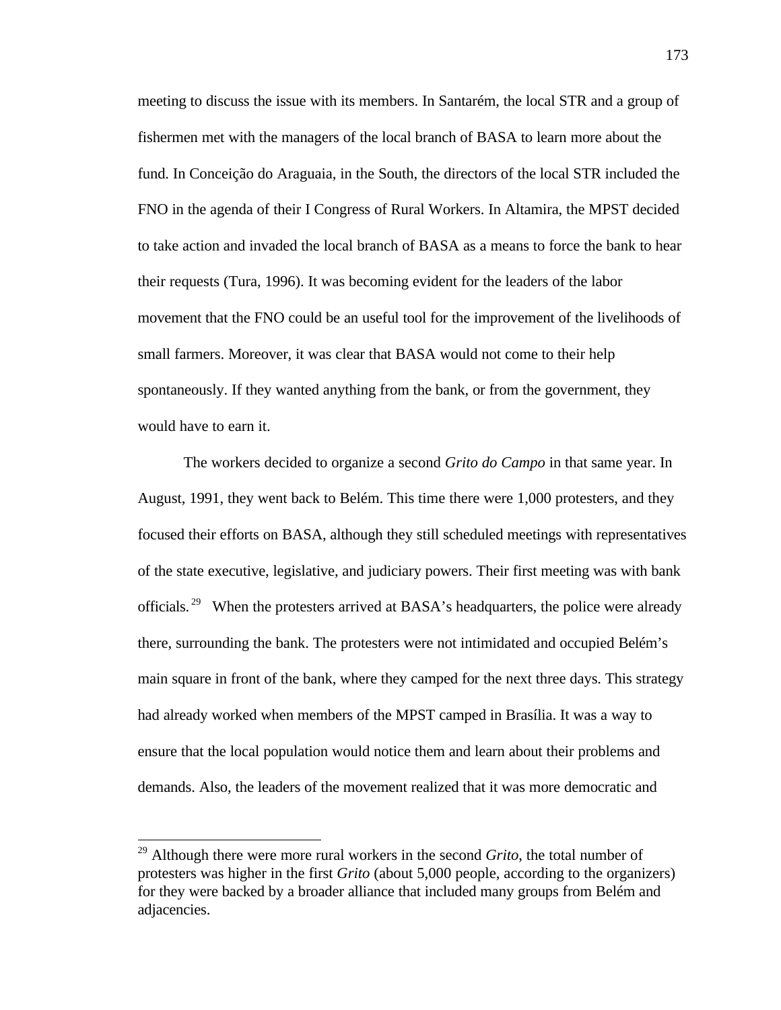meeting to discuss the issue with its members. In Santarém, the local STR and a group of fishermen met with the managers of the local branch of BASA to learn more about the fund. In Conceição do Araguaia, in the South, the directors of the local STR included the FNO in the agenda of their I Congress of Rural Workers. In Altamira, the MPST decided to take action and invaded the local branch of BASA as a means to force the bank to hear their requests (Tura, 1996). It was becoming evident for the leaders of the labor movement that the FNO could be an useful tool for the improvement of the livelihoods of small farmers. Moreover, it was clear that BASA would not come to their help spontaneously. If they wanted anything from the bank, or from the government, they would have to earn it.

The workers decided to organize a second *Grito do Campo* in that same year. In August, 1991, they went back to Belém. This time there were 1,000 protesters, and they focused their efforts on BASA, although they still scheduled meetings with representatives of the state executive, legislative, and judiciary powers. Their first meeting was with bank officials.<sup>29</sup> When the protesters arrived at BASA's headquarters, the police were already there, surrounding the bank. The protesters were not intimidated and occupied Belém's main square in front of the bank, where they camped for the next three days. This strategy had already worked when members of the MPST camped in Brasília. It was a way to ensure that the local population would notice them and learn about their problems and demands. Also, the leaders of the movement realized that it was more democratic and

-

<sup>29</sup> Although there were more rural workers in the second *Grito*, the total number of protesters was higher in the first *Grito* (about 5,000 people, according to the organizers) for they were backed by a broader alliance that included many groups from Belém and adjacencies.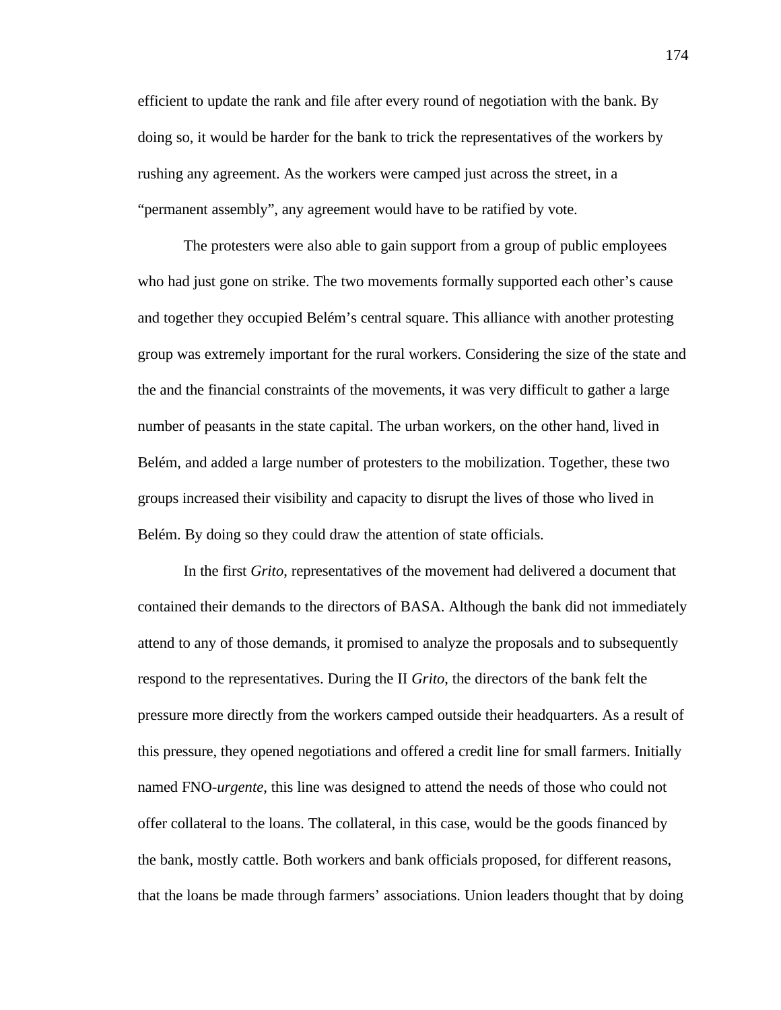efficient to update the rank and file after every round of negotiation with the bank. By doing so, it would be harder for the bank to trick the representatives of the workers by rushing any agreement. As the workers were camped just across the street, in a "permanent assembly", any agreement would have to be ratified by vote.

The protesters were also able to gain support from a group of public employees who had just gone on strike. The two movements formally supported each other's cause and together they occupied Belém's central square. This alliance with another protesting group was extremely important for the rural workers. Considering the size of the state and the and the financial constraints of the movements, it was very difficult to gather a large number of peasants in the state capital. The urban workers, on the other hand, lived in Belém, and added a large number of protesters to the mobilization. Together, these two groups increased their visibility and capacity to disrupt the lives of those who lived in Belém. By doing so they could draw the attention of state officials.

In the first *Grito*, representatives of the movement had delivered a document that contained their demands to the directors of BASA. Although the bank did not immediately attend to any of those demands, it promised to analyze the proposals and to subsequently respond to the representatives. During the II *Grito*, the directors of the bank felt the pressure more directly from the workers camped outside their headquarters. As a result of this pressure, they opened negotiations and offered a credit line for small farmers. Initially named FNO-*urgente*, this line was designed to attend the needs of those who could not offer collateral to the loans. The collateral, in this case, would be the goods financed by the bank, mostly cattle. Both workers and bank officials proposed, for different reasons, that the loans be made through farmers' associations. Union leaders thought that by doing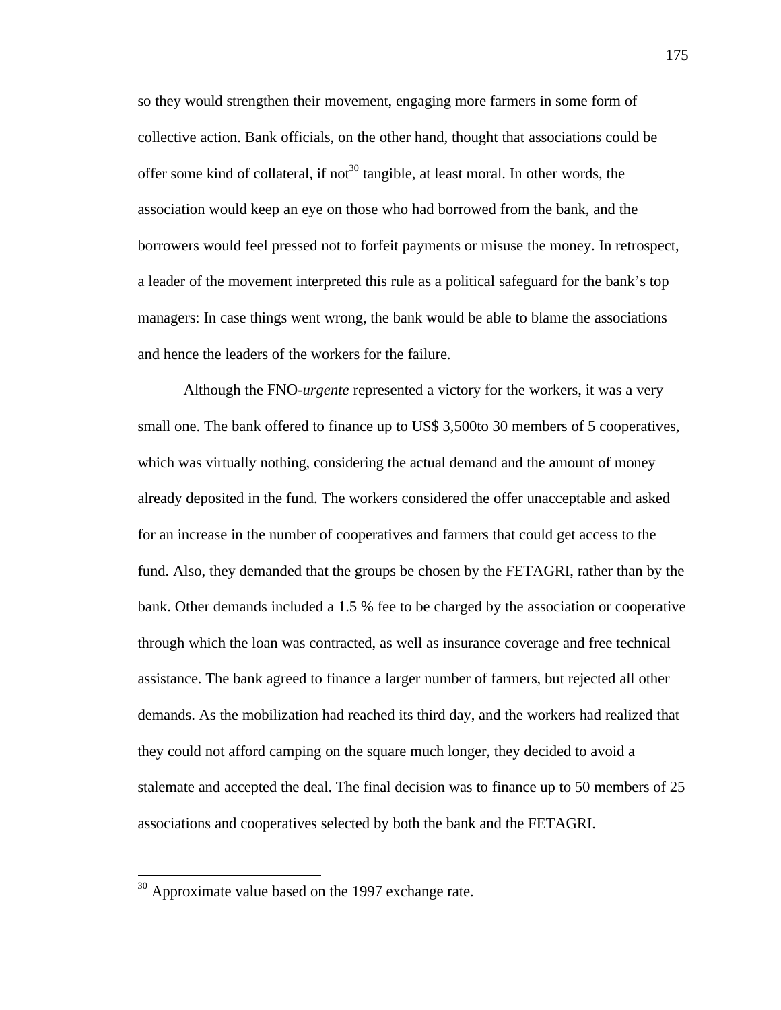so they would strengthen their movement, engaging more farmers in some form of collective action. Bank officials, on the other hand, thought that associations could be offer some kind of collateral, if not<sup>30</sup> tangible, at least moral. In other words, the association would keep an eye on those who had borrowed from the bank, and the borrowers would feel pressed not to forfeit payments or misuse the money. In retrospect, a leader of the movement interpreted this rule as a political safeguard for the bank's top managers: In case things went wrong, the bank would be able to blame the associations and hence the leaders of the workers for the failure.

Although the FNO-*urgente* represented a victory for the workers, it was a very small one. The bank offered to finance up to US\$ 3,500to 30 members of 5 cooperatives, which was virtually nothing, considering the actual demand and the amount of money already deposited in the fund. The workers considered the offer unacceptable and asked for an increase in the number of cooperatives and farmers that could get access to the fund. Also, they demanded that the groups be chosen by the FETAGRI, rather than by the bank. Other demands included a 1.5 % fee to be charged by the association or cooperative through which the loan was contracted, as well as insurance coverage and free technical assistance. The bank agreed to finance a larger number of farmers, but rejected all other demands. As the mobilization had reached its third day, and the workers had realized that they could not afford camping on the square much longer, they decided to avoid a stalemate and accepted the deal. The final decision was to finance up to 50 members of 25 associations and cooperatives selected by both the bank and the FETAGRI.

 $\overline{a}$ 

 $30$  Approximate value based on the 1997 exchange rate.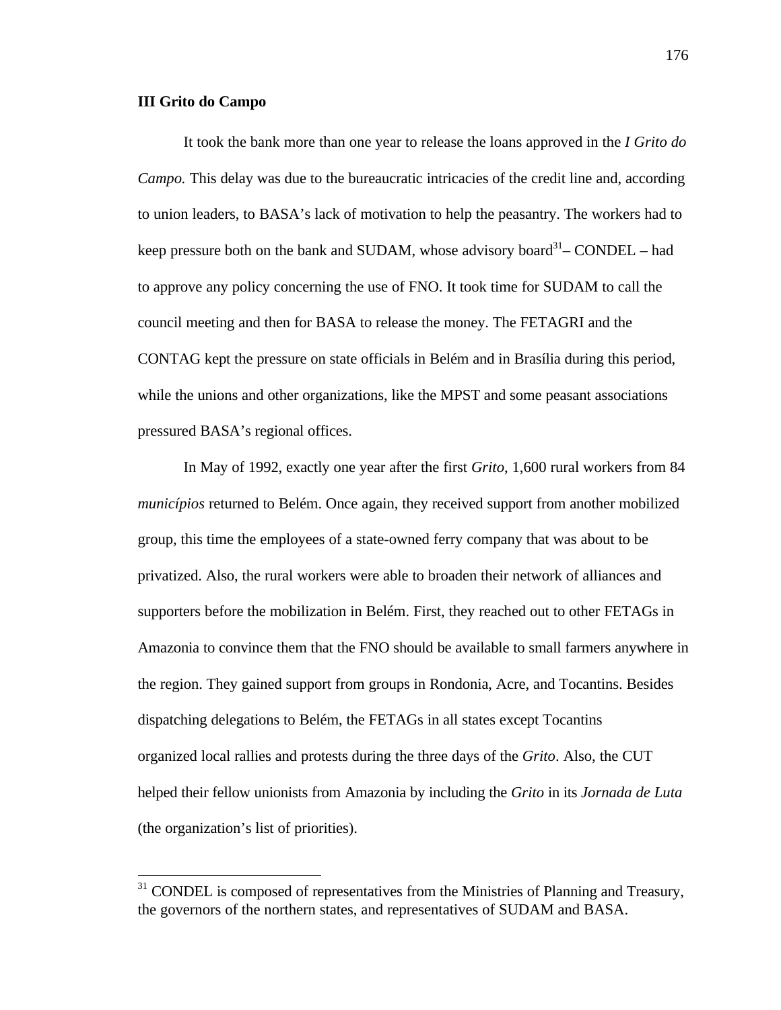### **III Grito do Campo**

 $\overline{a}$ 

It took the bank more than one year to release the loans approved in the *I Grito do Campo.* This delay was due to the bureaucratic intricacies of the credit line and, according to union leaders, to BASA's lack of motivation to help the peasantry. The workers had to keep pressure both on the bank and SUDAM, whose advisory board<sup>31</sup> – CONDEL – had to approve any policy concerning the use of FNO. It took time for SUDAM to call the council meeting and then for BASA to release the money. The FETAGRI and the CONTAG kept the pressure on state officials in Belém and in Brasília during this period, while the unions and other organizations, like the MPST and some peasant associations pressured BASA's regional offices.

In May of 1992, exactly one year after the first *Grito*, 1,600 rural workers from 84 *municípios* returned to Belém. Once again, they received support from another mobilized group, this time the employees of a state-owned ferry company that was about to be privatized. Also, the rural workers were able to broaden their network of alliances and supporters before the mobilization in Belém. First, they reached out to other FETAGs in Amazonia to convince them that the FNO should be available to small farmers anywhere in the region. They gained support from groups in Rondonia, Acre, and Tocantins. Besides dispatching delegations to Belém, the FETAGs in all states except Tocantins organized local rallies and protests during the three days of the *Grito*. Also, the CUT helped their fellow unionists from Amazonia by including the *Grito* in its *Jornada de Luta* (the organization's list of priorities).

 $31$  CONDEL is composed of representatives from the Ministries of Planning and Treasury, the governors of the northern states, and representatives of SUDAM and BASA.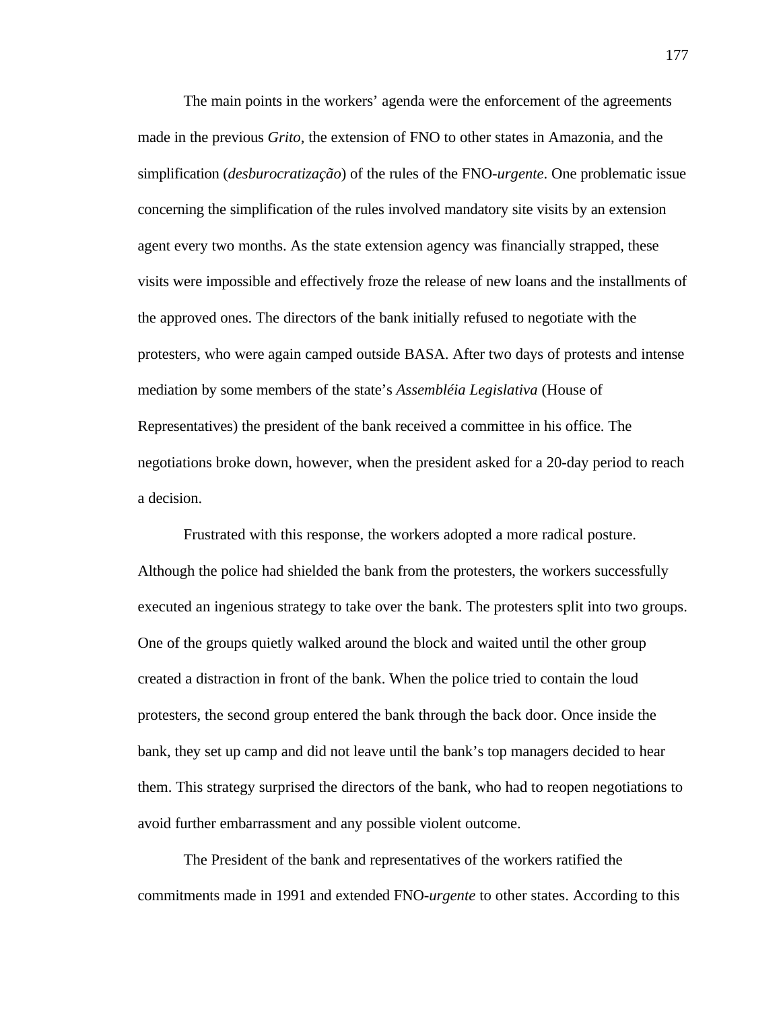The main points in the workers' agenda were the enforcement of the agreements made in the previous *Grito*, the extension of FNO to other states in Amazonia, and the simplification (*desburocratização*) of the rules of the FNO-*urgente*. One problematic issue concerning the simplification of the rules involved mandatory site visits by an extension agent every two months. As the state extension agency was financially strapped, these visits were impossible and effectively froze the release of new loans and the installments of the approved ones. The directors of the bank initially refused to negotiate with the protesters, who were again camped outside BASA. After two days of protests and intense mediation by some members of the state's *Assembléia Legislativa* (House of Representatives) the president of the bank received a committee in his office. The negotiations broke down, however, when the president asked for a 20-day period to reach a decision.

Frustrated with this response, the workers adopted a more radical posture. Although the police had shielded the bank from the protesters, the workers successfully executed an ingenious strategy to take over the bank. The protesters split into two groups. One of the groups quietly walked around the block and waited until the other group created a distraction in front of the bank. When the police tried to contain the loud protesters, the second group entered the bank through the back door. Once inside the bank, they set up camp and did not leave until the bank's top managers decided to hear them. This strategy surprised the directors of the bank, who had to reopen negotiations to avoid further embarrassment and any possible violent outcome.

The President of the bank and representatives of the workers ratified the commitments made in 1991 and extended FNO-*urgente* to other states. According to this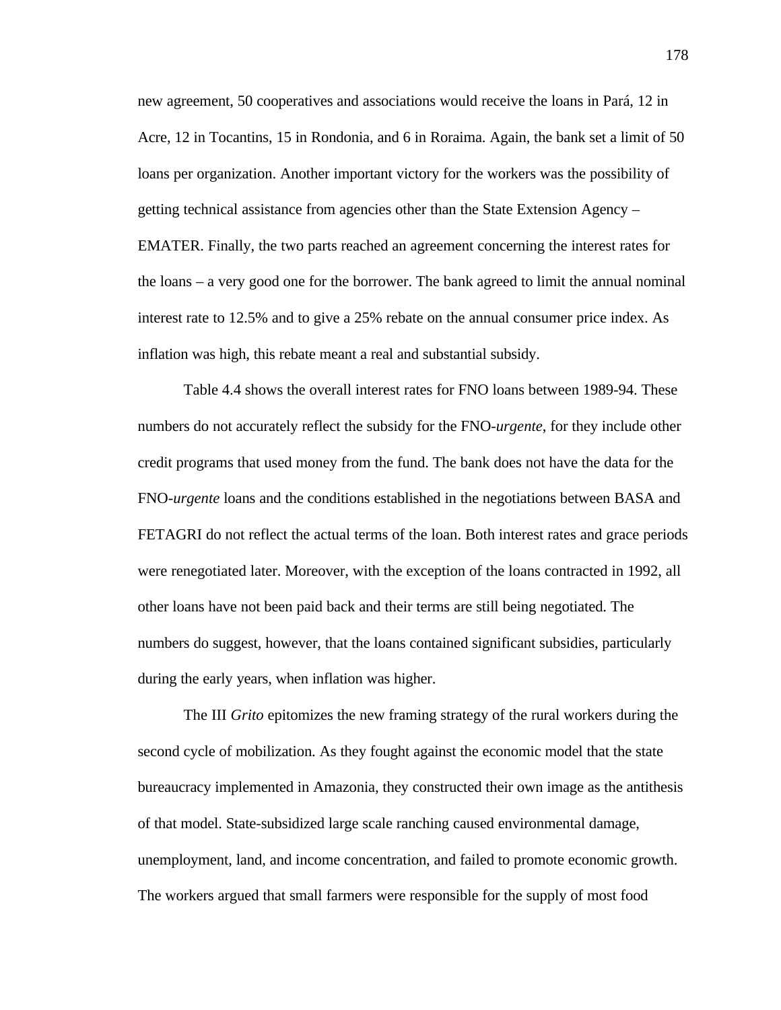new agreement, 50 cooperatives and associations would receive the loans in Pará, 12 in Acre, 12 in Tocantins, 15 in Rondonia, and 6 in Roraima. Again, the bank set a limit of 50 loans per organization. Another important victory for the workers was the possibility of getting technical assistance from agencies other than the State Extension Agency – EMATER. Finally, the two parts reached an agreement concerning the interest rates for the loans – a very good one for the borrower. The bank agreed to limit the annual nominal interest rate to 12.5% and to give a 25% rebate on the annual consumer price index. As inflation was high, this rebate meant a real and substantial subsidy.

Table 4.4 shows the overall interest rates for FNO loans between 1989-94. These numbers do not accurately reflect the subsidy for the FNO-*urgente*, for they include other credit programs that used money from the fund. The bank does not have the data for the FNO-*urgente* loans and the conditions established in the negotiations between BASA and FETAGRI do not reflect the actual terms of the loan. Both interest rates and grace periods were renegotiated later. Moreover, with the exception of the loans contracted in 1992, all other loans have not been paid back and their terms are still being negotiated. The numbers do suggest, however, that the loans contained significant subsidies, particularly during the early years, when inflation was higher.

The III *Grito* epitomizes the new framing strategy of the rural workers during the second cycle of mobilization. As they fought against the economic model that the state bureaucracy implemented in Amazonia, they constructed their own image as the antithesis of that model. State-subsidized large scale ranching caused environmental damage, unemployment, land, and income concentration, and failed to promote economic growth. The workers argued that small farmers were responsible for the supply of most food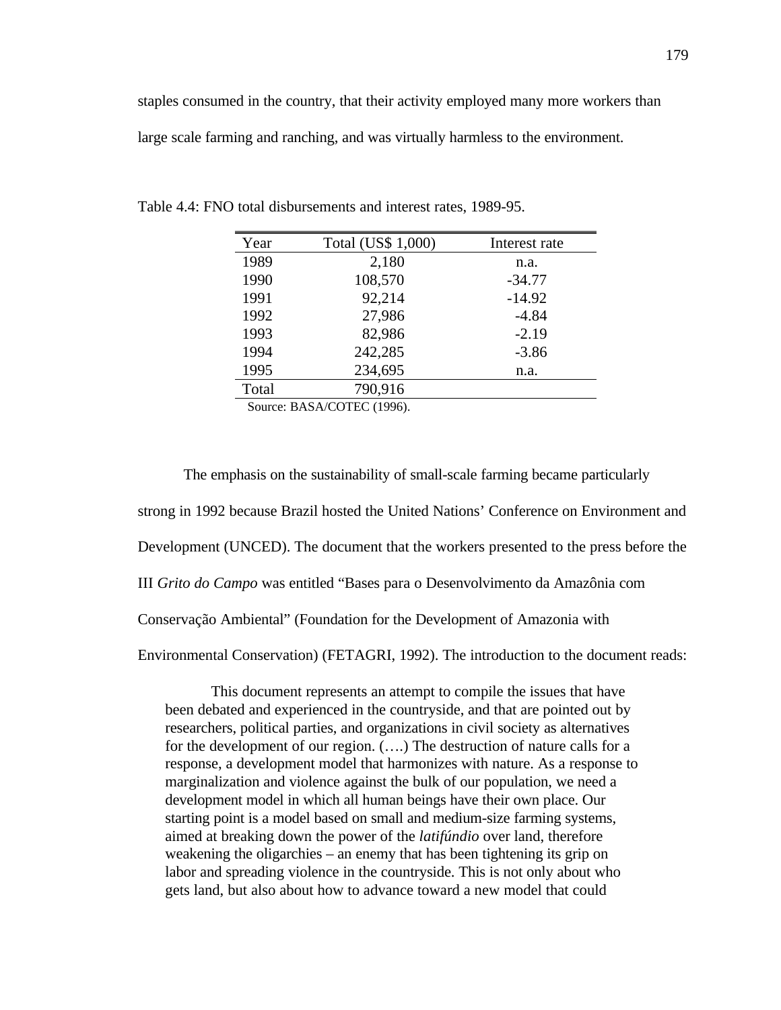| Year  | Total (US\$ 1,000)         | Interest rate |
|-------|----------------------------|---------------|
| 1989  | 2,180                      | n.a.          |
| 1990  | 108,570                    | $-34.77$      |
| 1991  | 92,214                     | $-14.92$      |
| 1992  | 27,986                     | $-4.84$       |
| 1993  | 82,986                     | $-2.19$       |
| 1994  | 242,285                    | $-3.86$       |
| 1995  | 234,695                    | n.a.          |
| Total | 790,916                    |               |
|       | Source: BASA/COTEC (1996). |               |

Table 4.4: FNO total disbursements and interest rates, 1989-95.

The emphasis on the sustainability of small-scale farming became particularly strong in 1992 because Brazil hosted the United Nations' Conference on Environment and Development (UNCED). The document that the workers presented to the press before the III *Grito do Campo* was entitled "Bases para o Desenvolvimento da Amazônia com Conservação Ambiental" (Foundation for the Development of Amazonia with

Environmental Conservation) (FETAGRI, 1992). The introduction to the document reads:

This document represents an attempt to compile the issues that have been debated and experienced in the countryside, and that are pointed out by researchers, political parties, and organizations in civil society as alternatives for the development of our region. (….) The destruction of nature calls for a response, a development model that harmonizes with nature. As a response to marginalization and violence against the bulk of our population, we need a development model in which all human beings have their own place. Our starting point is a model based on small and medium-size farming systems, aimed at breaking down the power of the *latifúndio* over land, therefore weakening the oligarchies – an enemy that has been tightening its grip on labor and spreading violence in the countryside. This is not only about who gets land, but also about how to advance toward a new model that could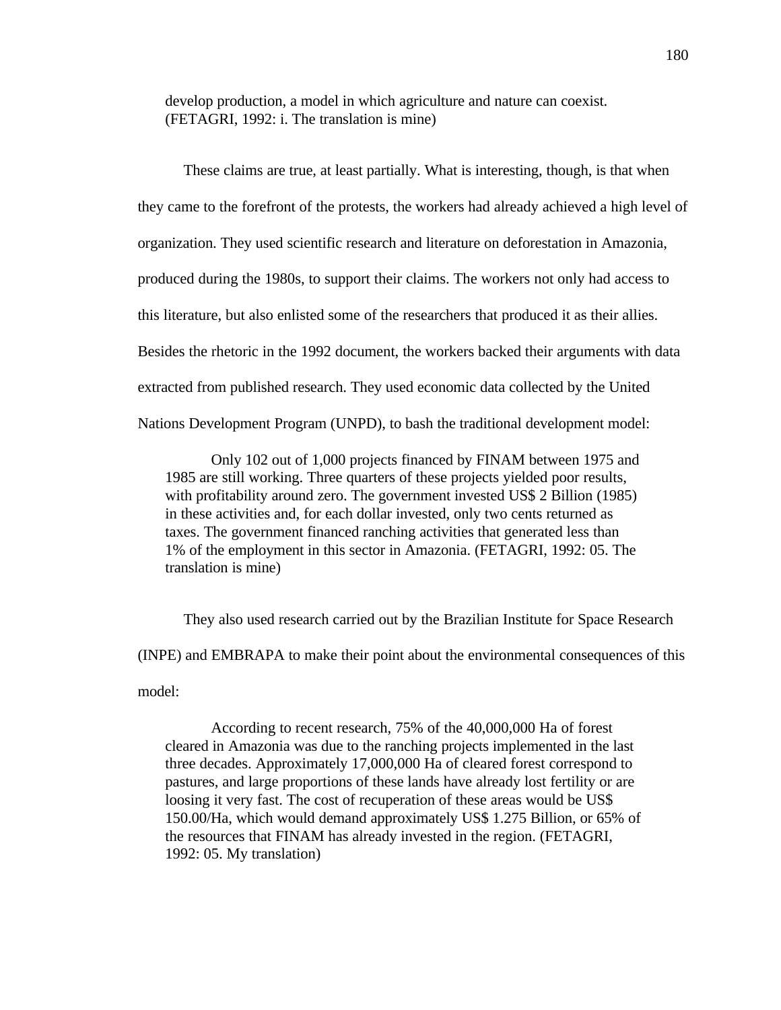develop production, a model in which agriculture and nature can coexist. (FETAGRI, 1992: i. The translation is mine)

These claims are true, at least partially. What is interesting, though, is that when they came to the forefront of the protests, the workers had already achieved a high level of organization. They used scientific research and literature on deforestation in Amazonia, produced during the 1980s, to support their claims. The workers not only had access to this literature, but also enlisted some of the researchers that produced it as their allies. Besides the rhetoric in the 1992 document, the workers backed their arguments with data extracted from published research. They used economic data collected by the United Nations Development Program (UNPD), to bash the traditional development model:

Only 102 out of 1,000 projects financed by FINAM between 1975 and 1985 are still working. Three quarters of these projects yielded poor results, with profitability around zero. The government invested US\$ 2 Billion (1985) in these activities and, for each dollar invested, only two cents returned as taxes. The government financed ranching activities that generated less than 1% of the employment in this sector in Amazonia. (FETAGRI, 1992: 05. The translation is mine)

They also used research carried out by the Brazilian Institute for Space Research (INPE) and EMBRAPA to make their point about the environmental consequences of this model:

According to recent research, 75% of the 40,000,000 Ha of forest cleared in Amazonia was due to the ranching projects implemented in the last three decades. Approximately 17,000,000 Ha of cleared forest correspond to pastures, and large proportions of these lands have already lost fertility or are loosing it very fast. The cost of recuperation of these areas would be US\$ 150.00/Ha, which would demand approximately US\$ 1.275 Billion, or 65% of the resources that FINAM has already invested in the region. (FETAGRI, 1992: 05. My translation)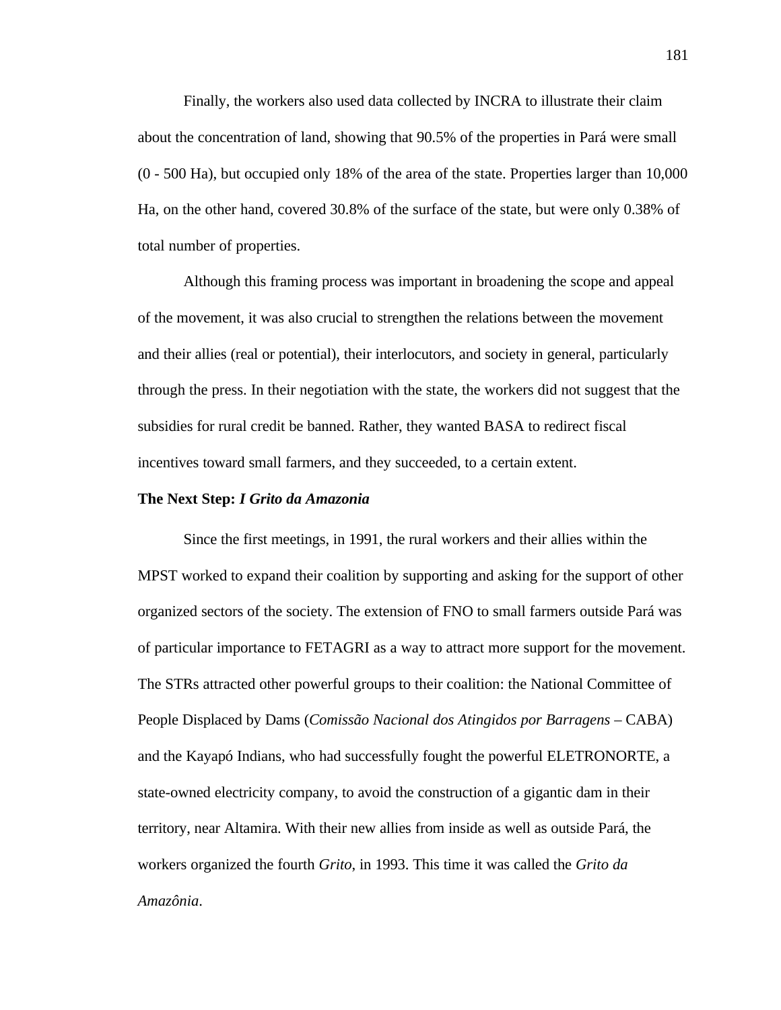Finally, the workers also used data collected by INCRA to illustrate their claim about the concentration of land, showing that 90.5% of the properties in Pará were small (0 - 500 Ha), but occupied only 18% of the area of the state. Properties larger than 10,000 Ha, on the other hand, covered 30.8% of the surface of the state, but were only 0.38% of total number of properties.

Although this framing process was important in broadening the scope and appeal of the movement, it was also crucial to strengthen the relations between the movement and their allies (real or potential), their interlocutors, and society in general, particularly through the press. In their negotiation with the state, the workers did not suggest that the subsidies for rural credit be banned. Rather, they wanted BASA to redirect fiscal incentives toward small farmers, and they succeeded, to a certain extent.

### **The Next Step:** *I Grito da Amazonia*

Since the first meetings, in 1991, the rural workers and their allies within the MPST worked to expand their coalition by supporting and asking for the support of other organized sectors of the society. The extension of FNO to small farmers outside Pará was of particular importance to FETAGRI as a way to attract more support for the movement. The STRs attracted other powerful groups to their coalition: the National Committee of People Displaced by Dams (*Comissão Nacional dos Atingidos por Barragens* – CABA) and the Kayapó Indians, who had successfully fought the powerful ELETRONORTE, a state-owned electricity company, to avoid the construction of a gigantic dam in their territory, near Altamira. With their new allies from inside as well as outside Pará, the workers organized the fourth *Grito*, in 1993. This time it was called the *Grito da Amazônia*.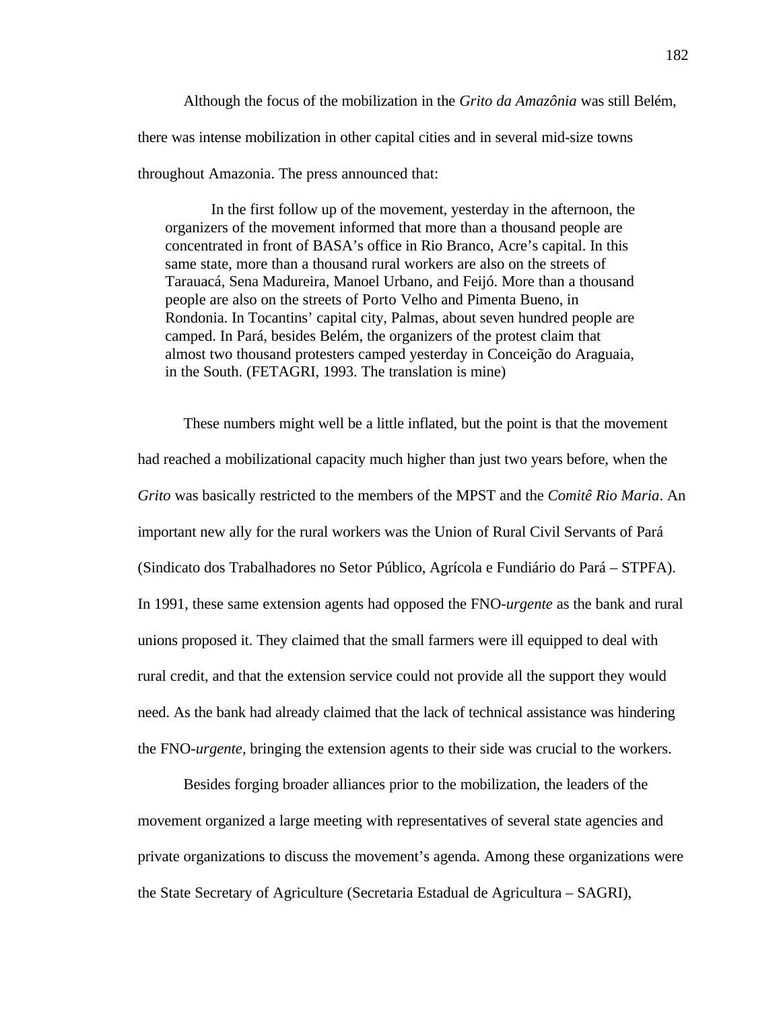Although the focus of the mobilization in the *Grito da Amazônia* was still Belém, there was intense mobilization in other capital cities and in several mid-size towns throughout Amazonia. The press announced that:

In the first follow up of the movement, yesterday in the afternoon, the organizers of the movement informed that more than a thousand people are concentrated in front of BASA's office in Rio Branco, Acre's capital. In this same state, more than a thousand rural workers are also on the streets of Tarauacá, Sena Madureira, Manoel Urbano, and Feijó. More than a thousand people are also on the streets of Porto Velho and Pimenta Bueno, in Rondonia. In Tocantins' capital city, Palmas, about seven hundred people are camped. In Pará, besides Belém, the organizers of the protest claim that almost two thousand protesters camped yesterday in Conceição do Araguaia, in the South. (FETAGRI, 1993. The translation is mine)

These numbers might well be a little inflated, but the point is that the movement had reached a mobilizational capacity much higher than just two years before, when the *Grito* was basically restricted to the members of the MPST and the *Comitê Rio Maria*. An important new ally for the rural workers was the Union of Rural Civil Servants of Pará (Sindicato dos Trabalhadores no Setor Público, Agrícola e Fundiário do Pará – STPFA). In 1991, these same extension agents had opposed the FNO-*urgente* as the bank and rural unions proposed it. They claimed that the small farmers were ill equipped to deal with rural credit, and that the extension service could not provide all the support they would need. As the bank had already claimed that the lack of technical assistance was hindering the FNO-*urgente*, bringing the extension agents to their side was crucial to the workers.

Besides forging broader alliances prior to the mobilization, the leaders of the movement organized a large meeting with representatives of several state agencies and private organizations to discuss the movement's agenda. Among these organizations were the State Secretary of Agriculture (Secretaria Estadual de Agricultura – SAGRI),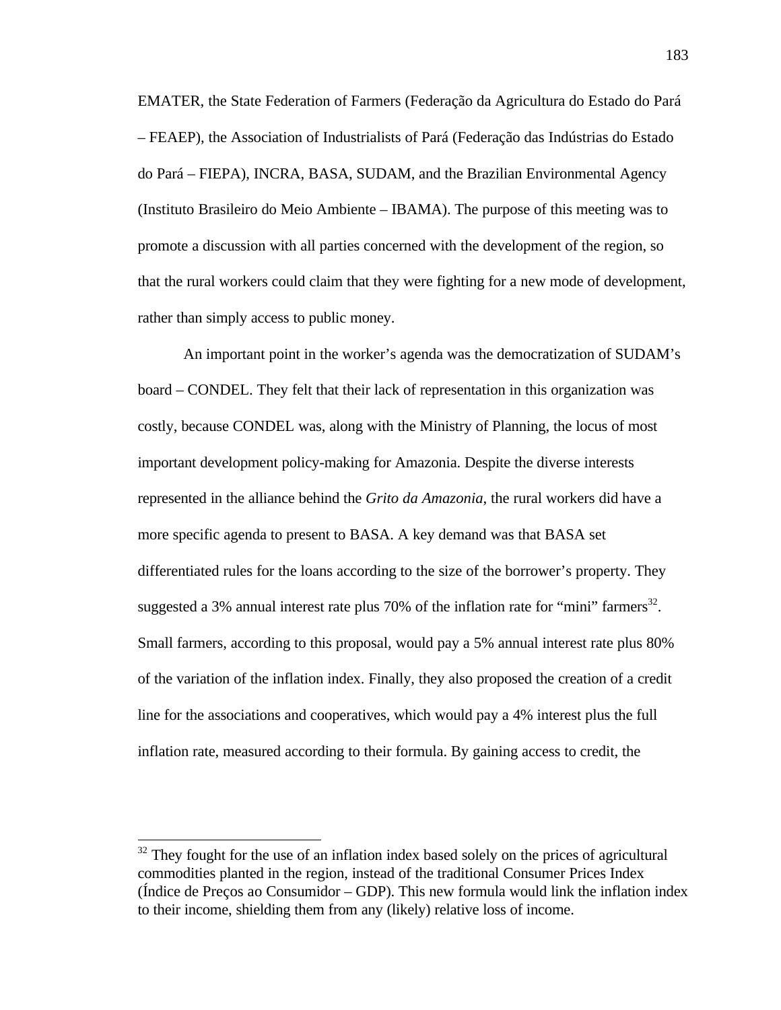EMATER, the State Federation of Farmers (Federação da Agricultura do Estado do Pará – FEAEP), the Association of Industrialists of Pará (Federação das Indústrias do Estado do Pará – FIEPA), INCRA, BASA, SUDAM, and the Brazilian Environmental Agency (Instituto Brasileiro do Meio Ambiente – IBAMA). The purpose of this meeting was to promote a discussion with all parties concerned with the development of the region, so that the rural workers could claim that they were fighting for a new mode of development, rather than simply access to public money.

An important point in the worker's agenda was the democratization of SUDAM's board – CONDEL. They felt that their lack of representation in this organization was costly, because CONDEL was, along with the Ministry of Planning, the locus of most important development policy-making for Amazonia. Despite the diverse interests represented in the alliance behind the *Grito da Amazonia*, the rural workers did have a more specific agenda to present to BASA. A key demand was that BASA set differentiated rules for the loans according to the size of the borrower's property. They suggested a 3% annual interest rate plus 70% of the inflation rate for "mini" farmers<sup>32</sup>. Small farmers, according to this proposal, would pay a 5% annual interest rate plus 80% of the variation of the inflation index. Finally, they also proposed the creation of a credit line for the associations and cooperatives, which would pay a 4% interest plus the full inflation rate, measured according to their formula. By gaining access to credit, the

 $\overline{a}$ 

 $32$  They fought for the use of an inflation index based solely on the prices of agricultural commodities planted in the region, instead of the traditional Consumer Prices Index (Índice de Preços ao Consumidor – GDP). This new formula would link the inflation index to their income, shielding them from any (likely) relative loss of income.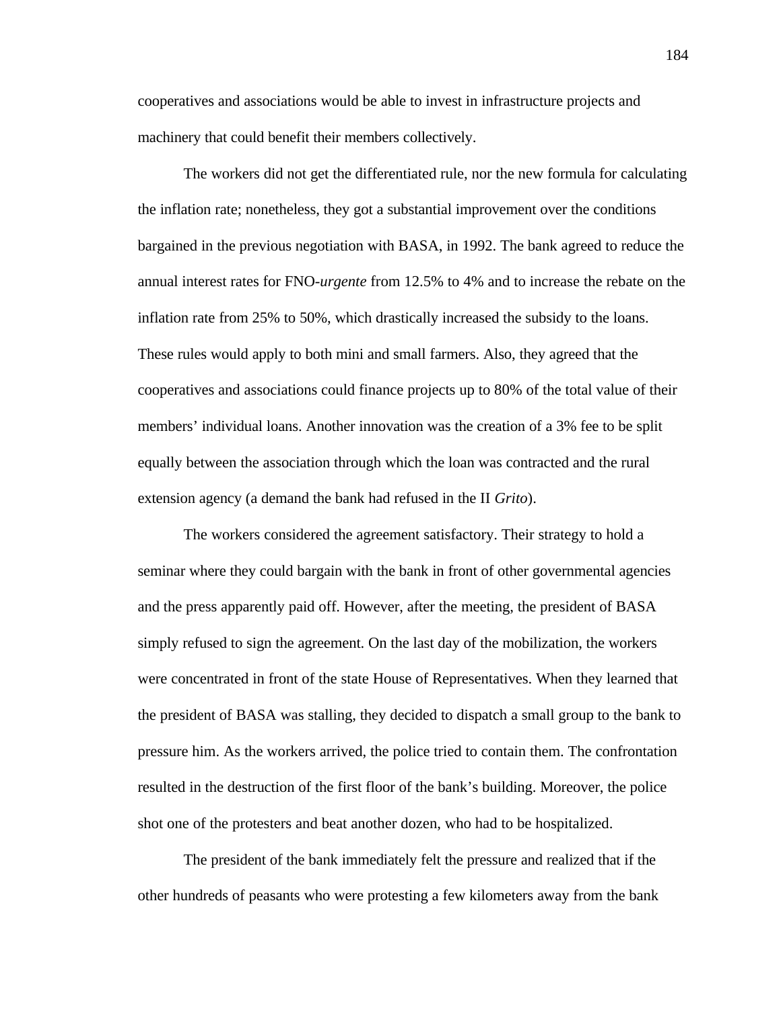cooperatives and associations would be able to invest in infrastructure projects and machinery that could benefit their members collectively.

The workers did not get the differentiated rule, nor the new formula for calculating the inflation rate; nonetheless, they got a substantial improvement over the conditions bargained in the previous negotiation with BASA, in 1992. The bank agreed to reduce the annual interest rates for FNO-*urgente* from 12.5% to 4% and to increase the rebate on the inflation rate from 25% to 50%, which drastically increased the subsidy to the loans. These rules would apply to both mini and small farmers. Also, they agreed that the cooperatives and associations could finance projects up to 80% of the total value of their members' individual loans. Another innovation was the creation of a 3% fee to be split equally between the association through which the loan was contracted and the rural extension agency (a demand the bank had refused in the II *Grito*).

The workers considered the agreement satisfactory. Their strategy to hold a seminar where they could bargain with the bank in front of other governmental agencies and the press apparently paid off. However, after the meeting, the president of BASA simply refused to sign the agreement. On the last day of the mobilization, the workers were concentrated in front of the state House of Representatives. When they learned that the president of BASA was stalling, they decided to dispatch a small group to the bank to pressure him. As the workers arrived, the police tried to contain them. The confrontation resulted in the destruction of the first floor of the bank's building. Moreover, the police shot one of the protesters and beat another dozen, who had to be hospitalized.

The president of the bank immediately felt the pressure and realized that if the other hundreds of peasants who were protesting a few kilometers away from the bank

184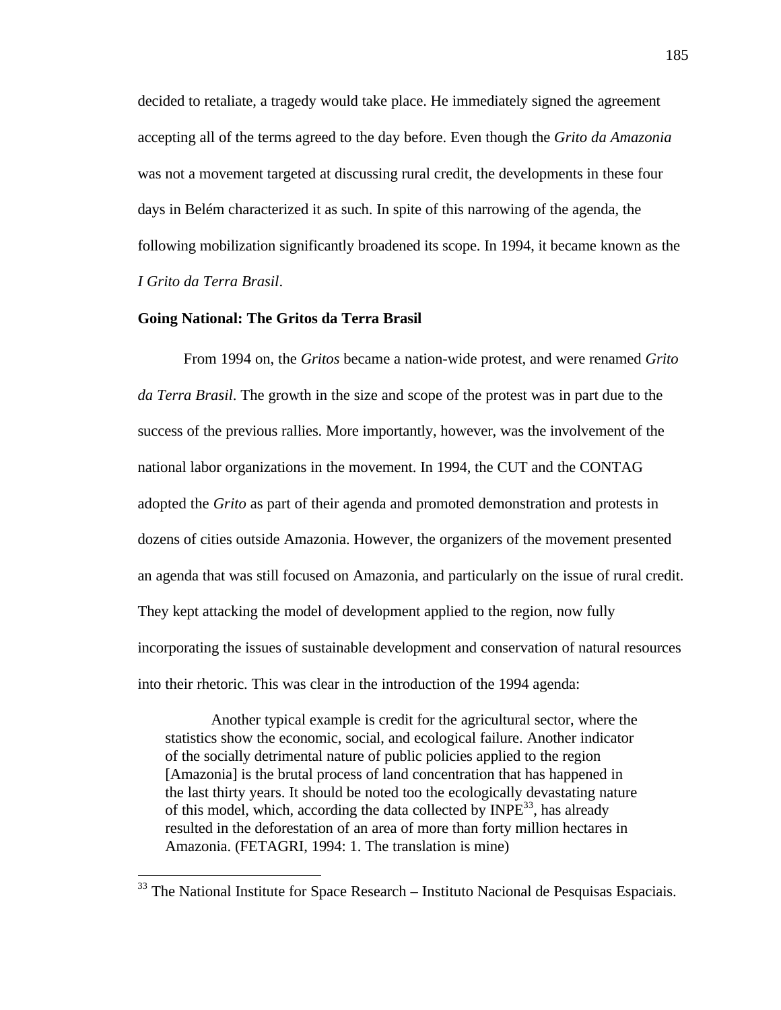decided to retaliate, a tragedy would take place. He immediately signed the agreement accepting all of the terms agreed to the day before. Even though the *Grito da Amazonia* was not a movement targeted at discussing rural credit, the developments in these four days in Belém characterized it as such. In spite of this narrowing of the agenda, the following mobilization significantly broadened its scope. In 1994, it became known as the *I Grito da Terra Brasil*.

## **Going National: The Gritos da Terra Brasil**

 $\overline{a}$ 

From 1994 on, the *Gritos* became a nation-wide protest, and were renamed *Grito da Terra Brasil*. The growth in the size and scope of the protest was in part due to the success of the previous rallies. More importantly, however, was the involvement of the national labor organizations in the movement. In 1994, the CUT and the CONTAG adopted the *Grito* as part of their agenda and promoted demonstration and protests in dozens of cities outside Amazonia. However, the organizers of the movement presented an agenda that was still focused on Amazonia, and particularly on the issue of rural credit. They kept attacking the model of development applied to the region, now fully incorporating the issues of sustainable development and conservation of natural resources into their rhetoric. This was clear in the introduction of the 1994 agenda:

Another typical example is credit for the agricultural sector, where the statistics show the economic, social, and ecological failure. Another indicator of the socially detrimental nature of public policies applied to the region [Amazonia] is the brutal process of land concentration that has happened in the last thirty years. It should be noted too the ecologically devastating nature of this model, which, according the data collected by  $INPE<sup>33</sup>$ , has already resulted in the deforestation of an area of more than forty million hectares in Amazonia. (FETAGRI, 1994: 1. The translation is mine)

<sup>&</sup>lt;sup>33</sup> The National Institute for Space Research – Instituto Nacional de Pesquisas Espaciais.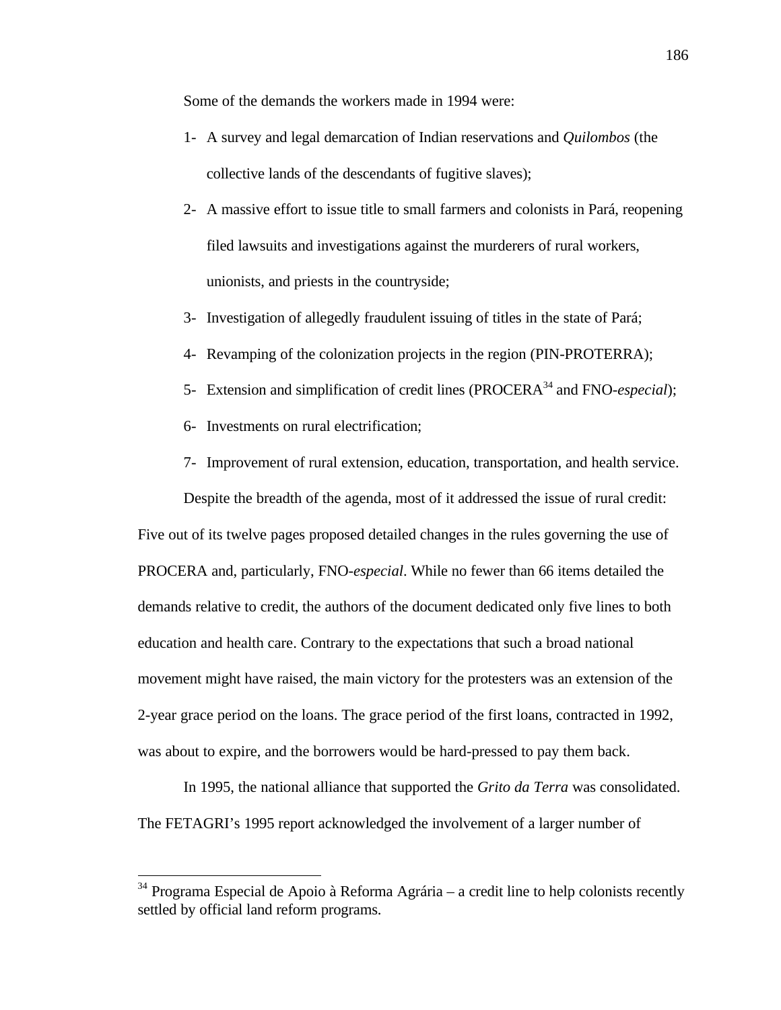Some of the demands the workers made in 1994 were:

- 1- A survey and legal demarcation of Indian reservations and *Quilombos* (the collective lands of the descendants of fugitive slaves);
- 2- A massive effort to issue title to small farmers and colonists in Pará, reopening filed lawsuits and investigations against the murderers of rural workers, unionists, and priests in the countryside;
- 3- Investigation of allegedly fraudulent issuing of titles in the state of Pará;
- 4- Revamping of the colonization projects in the region (PIN-PROTERRA);
- 5- Extension and simplification of credit lines (PROCERA<sup>34</sup> and FNO-*especial*);
- 6- Investments on rural electrification;

 $\overline{a}$ 

7- Improvement of rural extension, education, transportation, and health service.

Despite the breadth of the agenda, most of it addressed the issue of rural credit: Five out of its twelve pages proposed detailed changes in the rules governing the use of PROCERA and, particularly, FNO-*especial*. While no fewer than 66 items detailed the demands relative to credit, the authors of the document dedicated only five lines to both education and health care. Contrary to the expectations that such a broad national movement might have raised, the main victory for the protesters was an extension of the 2-year grace period on the loans. The grace period of the first loans, contracted in 1992, was about to expire, and the borrowers would be hard-pressed to pay them back.

In 1995, the national alliance that supported the *Grito da Terra* was consolidated. The FETAGRI's 1995 report acknowledged the involvement of a larger number of

 $34$  Programa Especial de Apoio à Reforma Agrária – a credit line to help colonists recently settled by official land reform programs.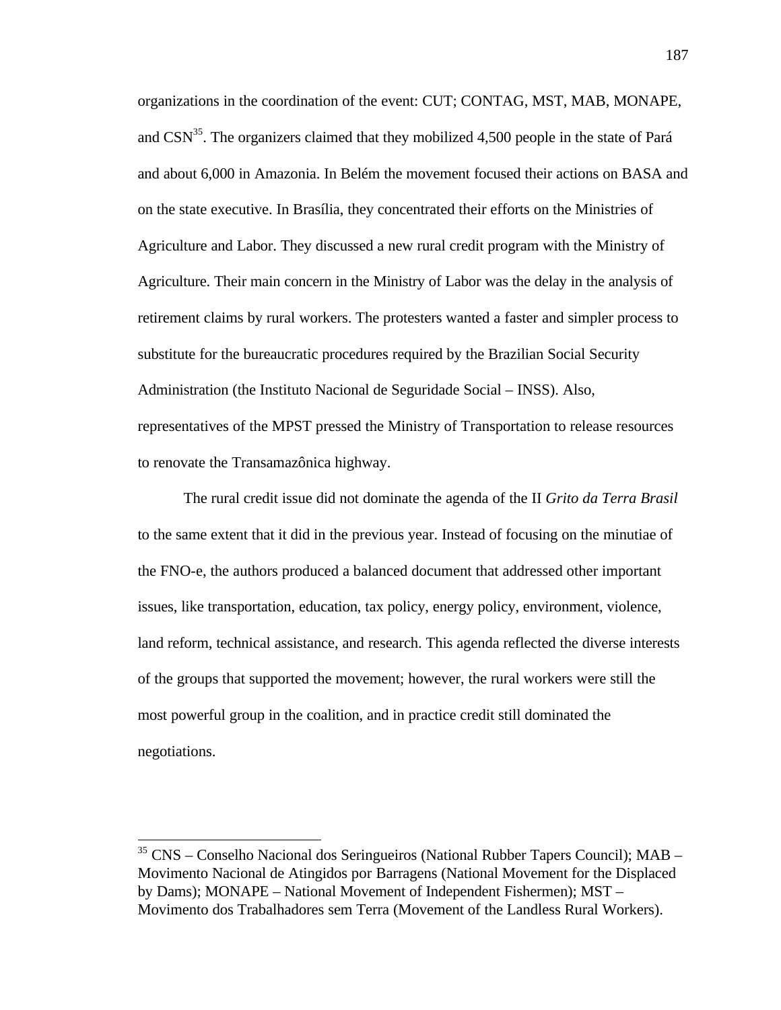organizations in the coordination of the event: CUT; CONTAG, MST, MAB, MONAPE, and  $CSN<sup>35</sup>$ . The organizers claimed that they mobilized 4,500 people in the state of Pará and about 6,000 in Amazonia. In Belém the movement focused their actions on BASA and on the state executive. In Brasília, they concentrated their efforts on the Ministries of Agriculture and Labor. They discussed a new rural credit program with the Ministry of Agriculture. Their main concern in the Ministry of Labor was the delay in the analysis of retirement claims by rural workers. The protesters wanted a faster and simpler process to substitute for the bureaucratic procedures required by the Brazilian Social Security Administration (the Instituto Nacional de Seguridade Social – INSS). Also, representatives of the MPST pressed the Ministry of Transportation to release resources to renovate the Transamazônica highway.

The rural credit issue did not dominate the agenda of the II *Grito da Terra Brasil* to the same extent that it did in the previous year. Instead of focusing on the minutiae of the FNO-e, the authors produced a balanced document that addressed other important issues, like transportation, education, tax policy, energy policy, environment, violence, land reform, technical assistance, and research. This agenda reflected the diverse interests of the groups that supported the movement; however, the rural workers were still the most powerful group in the coalition, and in practice credit still dominated the negotiations.

 $\overline{a}$ 

<sup>35</sup> CNS – Conselho Nacional dos Seringueiros (National Rubber Tapers Council); MAB – Movimento Nacional de Atingidos por Barragens (National Movement for the Displaced by Dams); MONAPE – National Movement of Independent Fishermen); MST – Movimento dos Trabalhadores sem Terra (Movement of the Landless Rural Workers).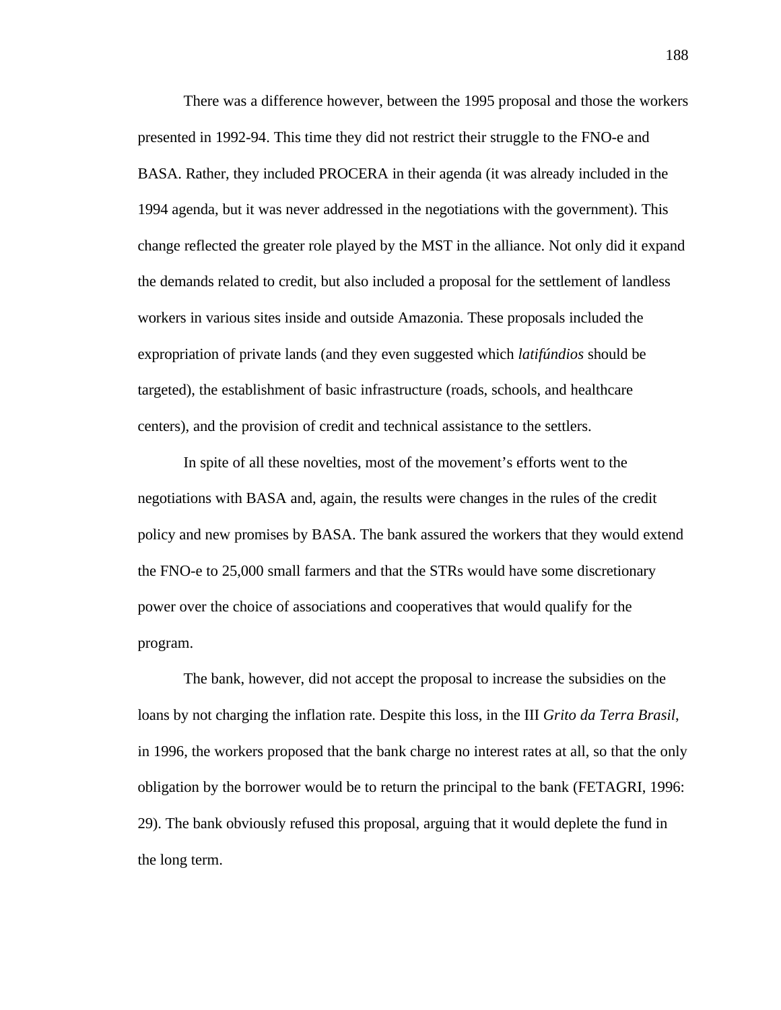There was a difference however, between the 1995 proposal and those the workers presented in 1992-94. This time they did not restrict their struggle to the FNO-e and BASA. Rather, they included PROCERA in their agenda (it was already included in the 1994 agenda, but it was never addressed in the negotiations with the government). This change reflected the greater role played by the MST in the alliance. Not only did it expand the demands related to credit, but also included a proposal for the settlement of landless workers in various sites inside and outside Amazonia. These proposals included the expropriation of private lands (and they even suggested which *latifúndios* should be targeted), the establishment of basic infrastructure (roads, schools, and healthcare centers), and the provision of credit and technical assistance to the settlers.

In spite of all these novelties, most of the movement's efforts went to the negotiations with BASA and, again, the results were changes in the rules of the credit policy and new promises by BASA. The bank assured the workers that they would extend the FNO-e to 25,000 small farmers and that the STRs would have some discretionary power over the choice of associations and cooperatives that would qualify for the program.

The bank, however, did not accept the proposal to increase the subsidies on the loans by not charging the inflation rate. Despite this loss, in the III *Grito da Terra Brasil*, in 1996, the workers proposed that the bank charge no interest rates at all, so that the only obligation by the borrower would be to return the principal to the bank (FETAGRI, 1996: 29). The bank obviously refused this proposal, arguing that it would deplete the fund in the long term.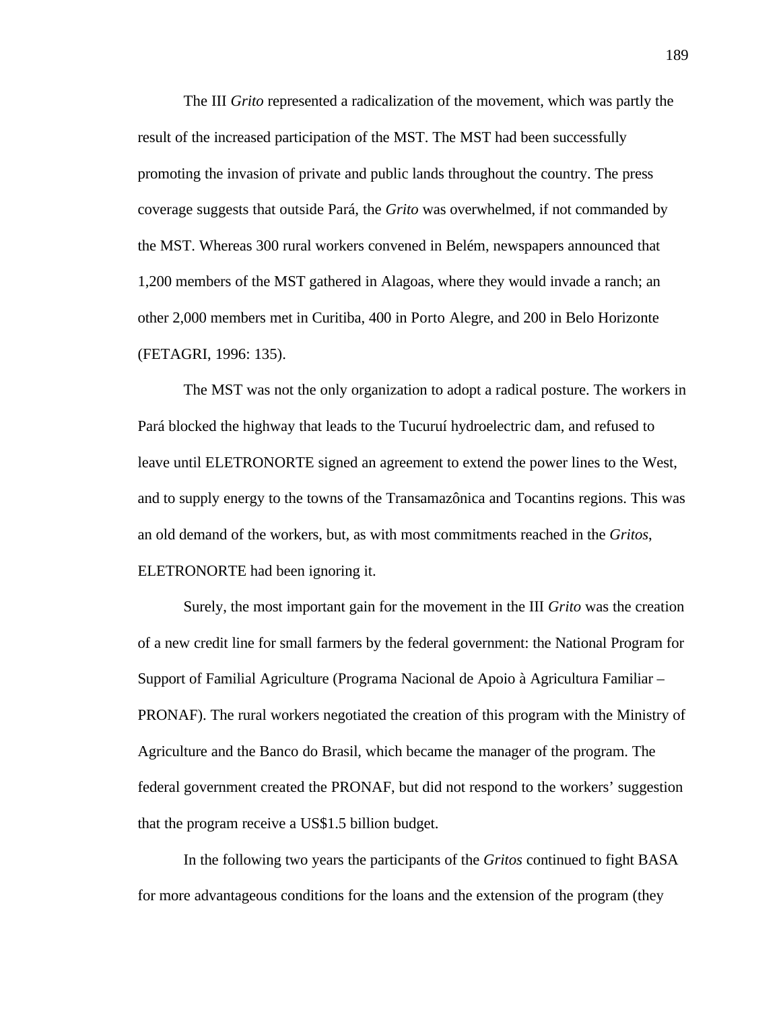The III *Grito* represented a radicalization of the movement, which was partly the result of the increased participation of the MST. The MST had been successfully promoting the invasion of private and public lands throughout the country. The press coverage suggests that outside Pará, the *Grito* was overwhelmed, if not commanded by the MST. Whereas 300 rural workers convened in Belém, newspapers announced that 1,200 members of the MST gathered in Alagoas, where they would invade a ranch; an other 2,000 members met in Curitiba, 400 in Porto Alegre, and 200 in Belo Horizonte (FETAGRI, 1996: 135).

The MST was not the only organization to adopt a radical posture. The workers in Pará blocked the highway that leads to the Tucuruí hydroelectric dam, and refused to leave until ELETRONORTE signed an agreement to extend the power lines to the West, and to supply energy to the towns of the Transamazônica and Tocantins regions. This was an old demand of the workers, but, as with most commitments reached in the *Gritos*, ELETRONORTE had been ignoring it.

Surely, the most important gain for the movement in the III *Grito* was the creation of a new credit line for small farmers by the federal government: the National Program for Support of Familial Agriculture (Programa Nacional de Apoio à Agricultura Familiar – PRONAF). The rural workers negotiated the creation of this program with the Ministry of Agriculture and the Banco do Brasil, which became the manager of the program. The federal government created the PRONAF, but did not respond to the workers' suggestion that the program receive a US\$1.5 billion budget.

In the following two years the participants of the *Gritos* continued to fight BASA for more advantageous conditions for the loans and the extension of the program (they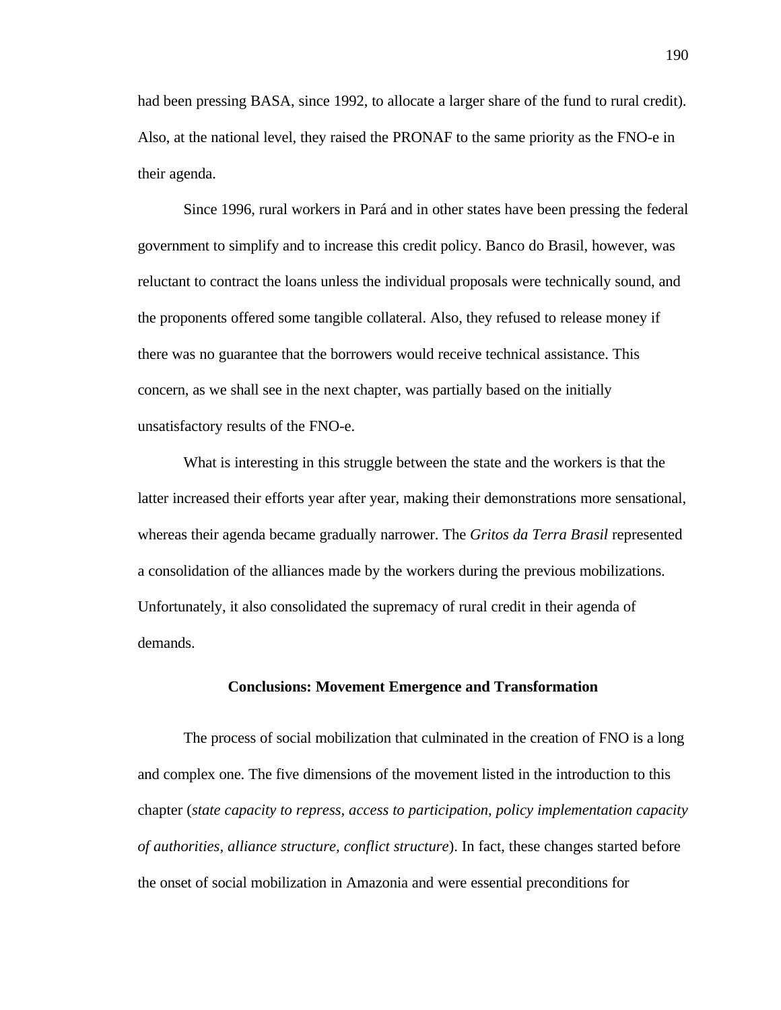had been pressing BASA, since 1992, to allocate a larger share of the fund to rural credit). Also, at the national level, they raised the PRONAF to the same priority as the FNO-e in their agenda.

Since 1996, rural workers in Pará and in other states have been pressing the federal government to simplify and to increase this credit policy. Banco do Brasil, however, was reluctant to contract the loans unless the individual proposals were technically sound, and the proponents offered some tangible collateral. Also, they refused to release money if there was no guarantee that the borrowers would receive technical assistance. This concern, as we shall see in the next chapter, was partially based on the initially unsatisfactory results of the FNO-e.

What is interesting in this struggle between the state and the workers is that the latter increased their efforts year after year, making their demonstrations more sensational, whereas their agenda became gradually narrower. The *Gritos da Terra Brasil* represented a consolidation of the alliances made by the workers during the previous mobilizations. Unfortunately, it also consolidated the supremacy of rural credit in their agenda of demands.

# **Conclusions: Movement Emergence and Transformation**

The process of social mobilization that culminated in the creation of FNO is a long and complex one. The five dimensions of the movement listed in the introduction to this chapter (*state capacity to repress, access to participation, policy implementation capacity of authorities, alliance structure, conflict structure*). In fact, these changes started before the onset of social mobilization in Amazonia and were essential preconditions for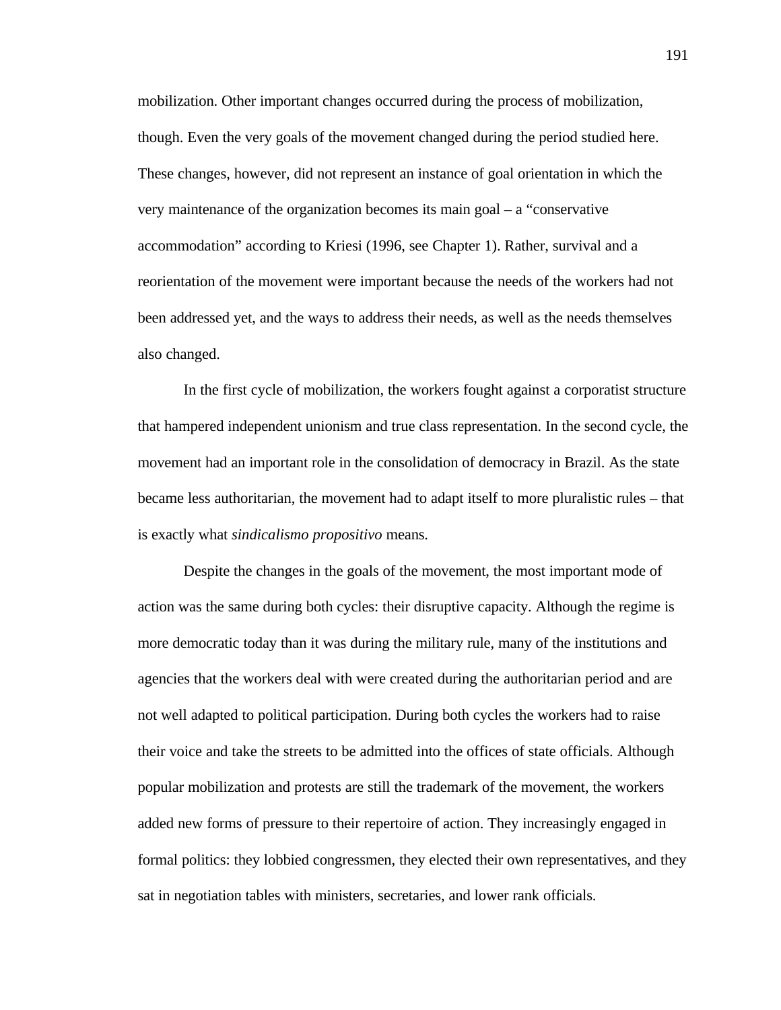mobilization. Other important changes occurred during the process of mobilization, though. Even the very goals of the movement changed during the period studied here. These changes, however, did not represent an instance of goal orientation in which the very maintenance of the organization becomes its main goal – a "conservative accommodation" according to Kriesi (1996, see Chapter 1). Rather, survival and a reorientation of the movement were important because the needs of the workers had not been addressed yet, and the ways to address their needs, as well as the needs themselves also changed.

In the first cycle of mobilization, the workers fought against a corporatist structure that hampered independent unionism and true class representation. In the second cycle, the movement had an important role in the consolidation of democracy in Brazil. As the state became less authoritarian, the movement had to adapt itself to more pluralistic rules – that is exactly what *sindicalismo propositivo* means.

Despite the changes in the goals of the movement, the most important mode of action was the same during both cycles: their disruptive capacity. Although the regime is more democratic today than it was during the military rule, many of the institutions and agencies that the workers deal with were created during the authoritarian period and are not well adapted to political participation. During both cycles the workers had to raise their voice and take the streets to be admitted into the offices of state officials. Although popular mobilization and protests are still the trademark of the movement, the workers added new forms of pressure to their repertoire of action. They increasingly engaged in formal politics: they lobbied congressmen, they elected their own representatives, and they sat in negotiation tables with ministers, secretaries, and lower rank officials.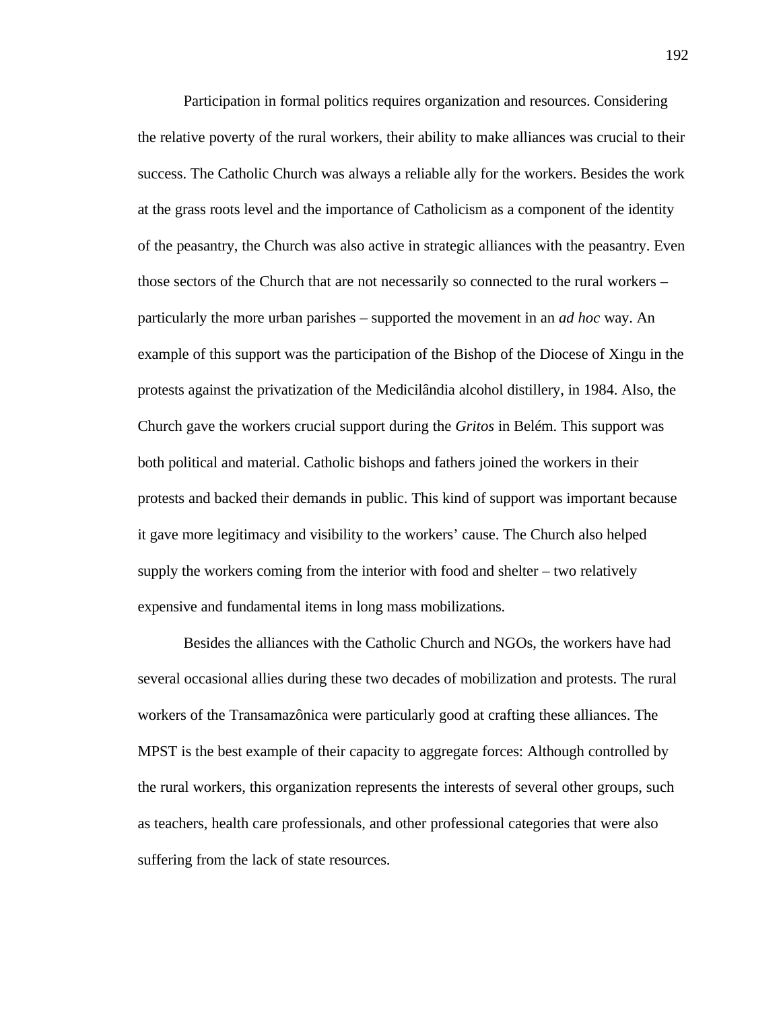Participation in formal politics requires organization and resources. Considering the relative poverty of the rural workers, their ability to make alliances was crucial to their success. The Catholic Church was always a reliable ally for the workers. Besides the work at the grass roots level and the importance of Catholicism as a component of the identity of the peasantry, the Church was also active in strategic alliances with the peasantry. Even those sectors of the Church that are not necessarily so connected to the rural workers – particularly the more urban parishes – supported the movement in an *ad hoc* way. An example of this support was the participation of the Bishop of the Diocese of Xingu in the protests against the privatization of the Medicilândia alcohol distillery, in 1984. Also, the Church gave the workers crucial support during the *Gritos* in Belém. This support was both political and material. Catholic bishops and fathers joined the workers in their protests and backed their demands in public. This kind of support was important because it gave more legitimacy and visibility to the workers' cause. The Church also helped supply the workers coming from the interior with food and shelter – two relatively expensive and fundamental items in long mass mobilizations.

Besides the alliances with the Catholic Church and NGOs, the workers have had several occasional allies during these two decades of mobilization and protests. The rural workers of the Transamazônica were particularly good at crafting these alliances. The MPST is the best example of their capacity to aggregate forces: Although controlled by the rural workers, this organization represents the interests of several other groups, such as teachers, health care professionals, and other professional categories that were also suffering from the lack of state resources.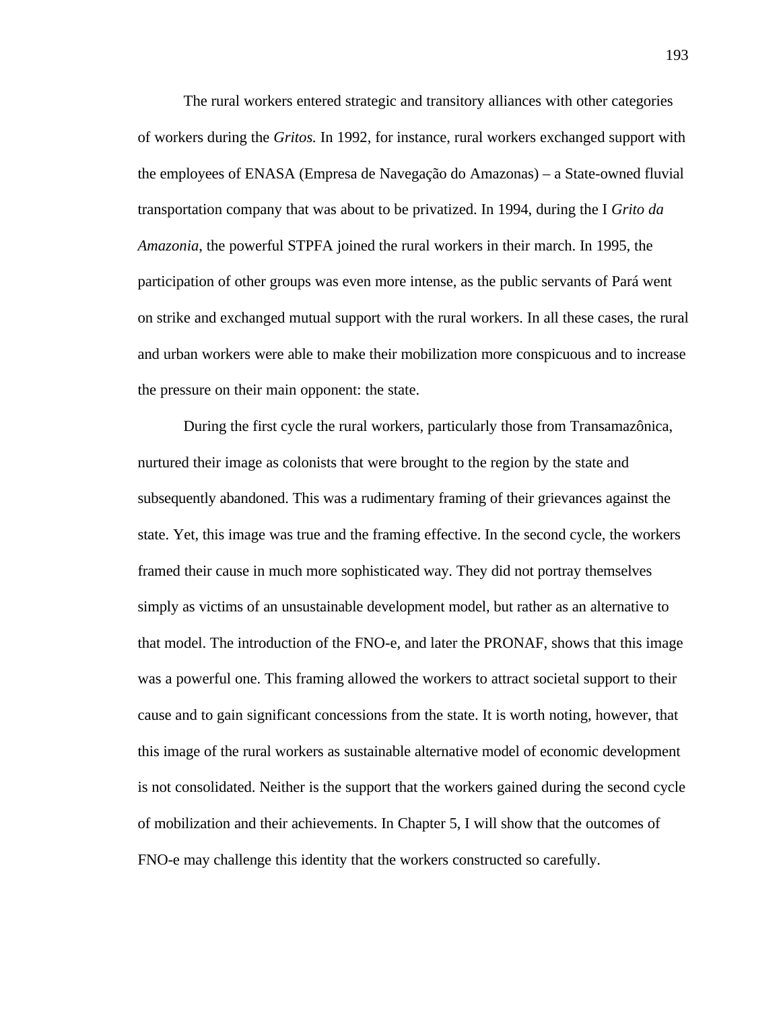The rural workers entered strategic and transitory alliances with other categories of workers during the *Gritos.* In 1992, for instance, rural workers exchanged support with the employees of ENASA (Empresa de Navegação do Amazonas) – a State-owned fluvial transportation company that was about to be privatized. In 1994, during the I *Grito da Amazonia*, the powerful STPFA joined the rural workers in their march. In 1995, the participation of other groups was even more intense, as the public servants of Pará went on strike and exchanged mutual support with the rural workers. In all these cases, the rural and urban workers were able to make their mobilization more conspicuous and to increase the pressure on their main opponent: the state.

During the first cycle the rural workers, particularly those from Transamazônica, nurtured their image as colonists that were brought to the region by the state and subsequently abandoned. This was a rudimentary framing of their grievances against the state. Yet, this image was true and the framing effective. In the second cycle, the workers framed their cause in much more sophisticated way. They did not portray themselves simply as victims of an unsustainable development model, but rather as an alternative to that model. The introduction of the FNO-e, and later the PRONAF, shows that this image was a powerful one. This framing allowed the workers to attract societal support to their cause and to gain significant concessions from the state. It is worth noting, however, that this image of the rural workers as sustainable alternative model of economic development is not consolidated. Neither is the support that the workers gained during the second cycle of mobilization and their achievements. In Chapter 5, I will show that the outcomes of FNO-e may challenge this identity that the workers constructed so carefully.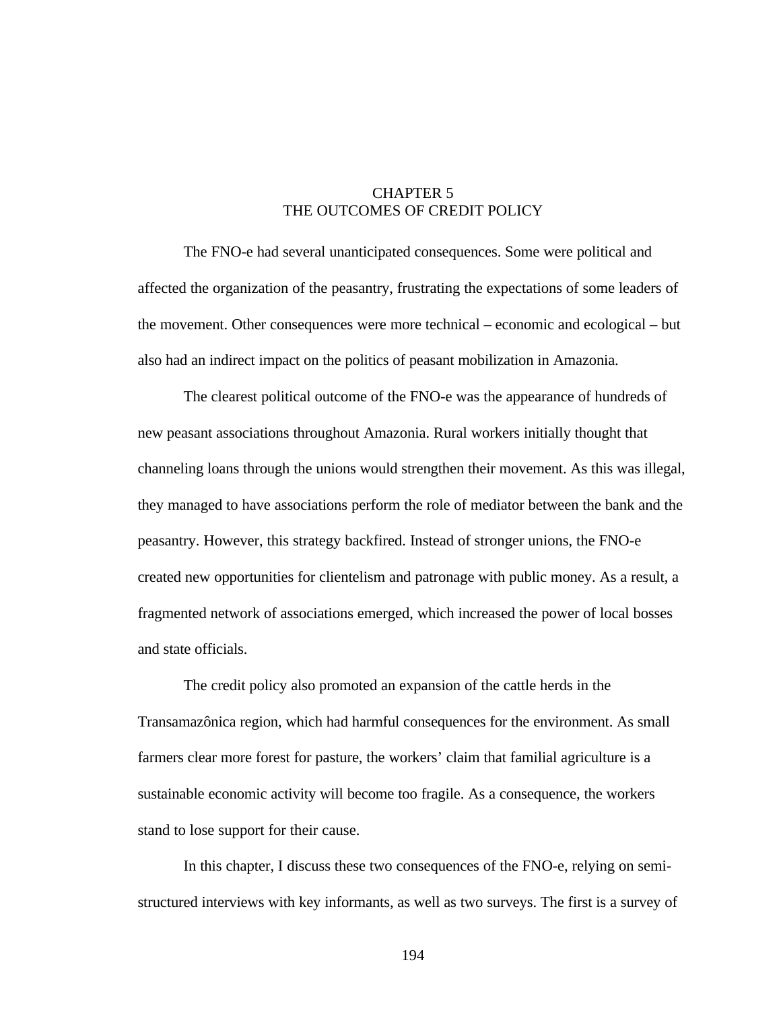# CHAPTER 5 THE OUTCOMES OF CREDIT POLICY

The FNO-e had several unanticipated consequences. Some were political and affected the organization of the peasantry, frustrating the expectations of some leaders of the movement. Other consequences were more technical – economic and ecological – but also had an indirect impact on the politics of peasant mobilization in Amazonia.

The clearest political outcome of the FNO-e was the appearance of hundreds of new peasant associations throughout Amazonia. Rural workers initially thought that channeling loans through the unions would strengthen their movement. As this was illegal, they managed to have associations perform the role of mediator between the bank and the peasantry. However, this strategy backfired. Instead of stronger unions, the FNO-e created new opportunities for clientelism and patronage with public money. As a result, a fragmented network of associations emerged, which increased the power of local bosses and state officials.

The credit policy also promoted an expansion of the cattle herds in the Transamazônica region, which had harmful consequences for the environment. As small farmers clear more forest for pasture, the workers' claim that familial agriculture is a sustainable economic activity will become too fragile. As a consequence, the workers stand to lose support for their cause.

In this chapter, I discuss these two consequences of the FNO-e, relying on semistructured interviews with key informants, as well as two surveys. The first is a survey of

194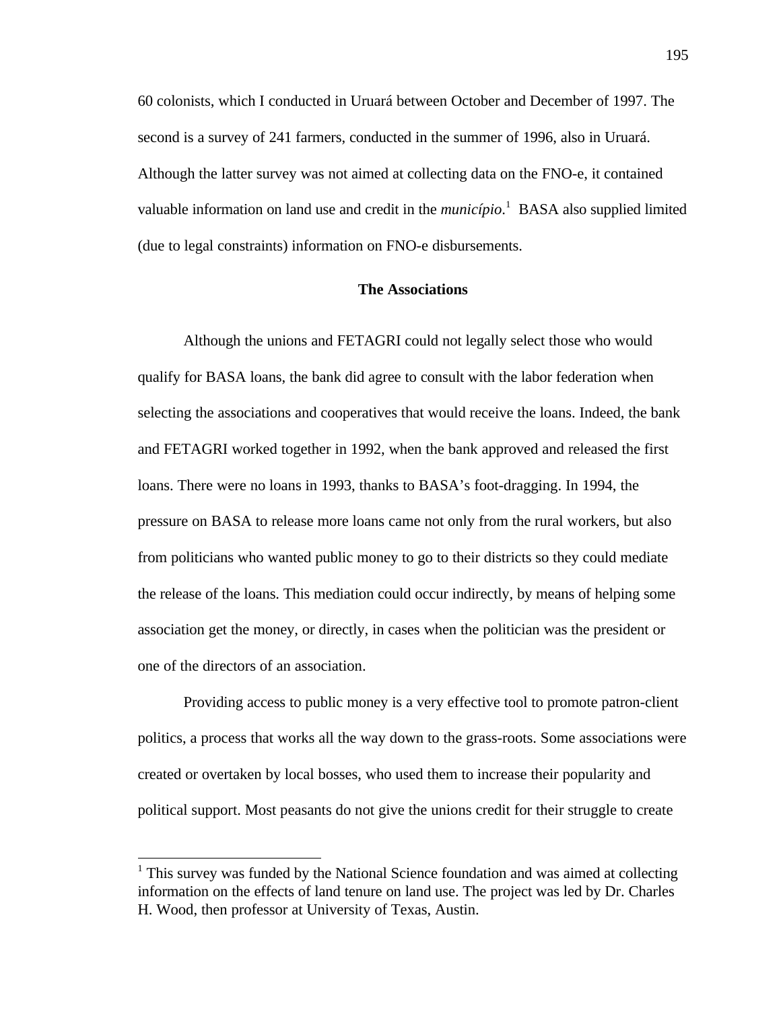60 colonists, which I conducted in Uruará between October and December of 1997. The second is a survey of 241 farmers, conducted in the summer of 1996, also in Uruará. Although the latter survey was not aimed at collecting data on the FNO-e, it contained valuable information on land use and credit in the *município*. 1 BASA also supplied limited (due to legal constraints) information on FNO-e disbursements.

### **The Associations**

Although the unions and FETAGRI could not legally select those who would qualify for BASA loans, the bank did agree to consult with the labor federation when selecting the associations and cooperatives that would receive the loans. Indeed, the bank and FETAGRI worked together in 1992, when the bank approved and released the first loans. There were no loans in 1993, thanks to BASA's foot-dragging. In 1994, the pressure on BASA to release more loans came not only from the rural workers, but also from politicians who wanted public money to go to their districts so they could mediate the release of the loans. This mediation could occur indirectly, by means of helping some association get the money, or directly, in cases when the politician was the president or one of the directors of an association.

Providing access to public money is a very effective tool to promote patron-client politics, a process that works all the way down to the grass-roots. Some associations were created or overtaken by local bosses, who used them to increase their popularity and political support. Most peasants do not give the unions credit for their struggle to create

 $\overline{a}$ 

<sup>&</sup>lt;sup>1</sup> This survey was funded by the National Science foundation and was aimed at collecting information on the effects of land tenure on land use. The project was led by Dr. Charles H. Wood, then professor at University of Texas, Austin.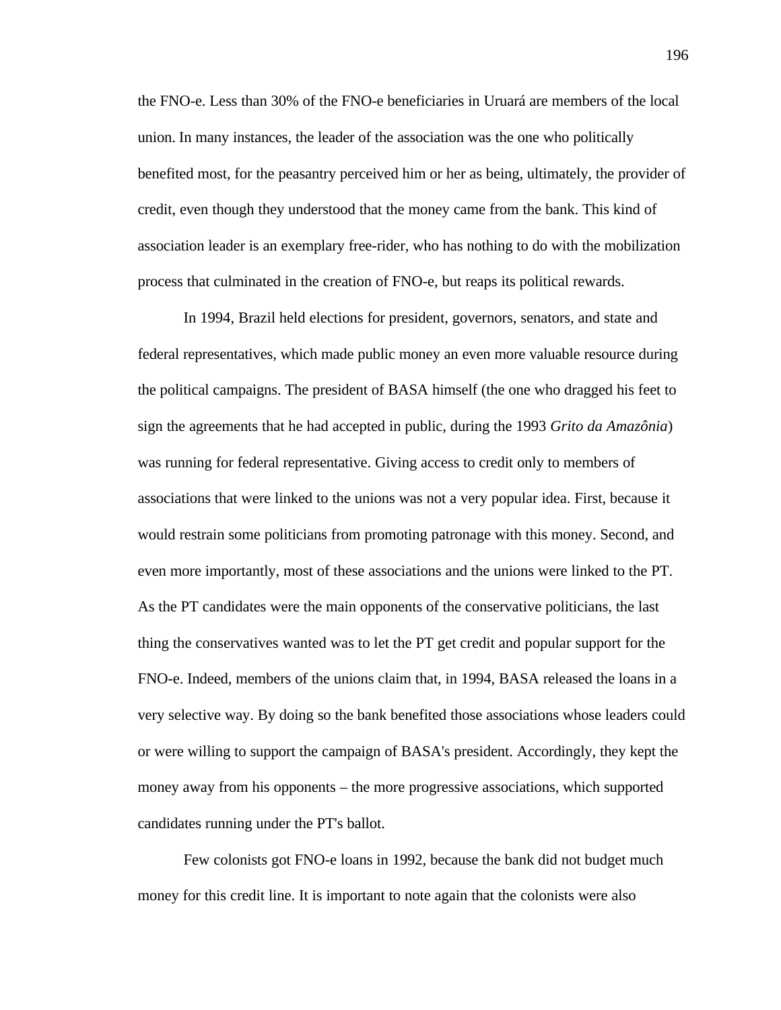the FNO-e. Less than 30% of the FNO-e beneficiaries in Uruará are members of the local union. In many instances, the leader of the association was the one who politically benefited most, for the peasantry perceived him or her as being, ultimately, the provider of credit, even though they understood that the money came from the bank. This kind of association leader is an exemplary free-rider, who has nothing to do with the mobilization process that culminated in the creation of FNO-e, but reaps its political rewards.

In 1994, Brazil held elections for president, governors, senators, and state and federal representatives, which made public money an even more valuable resource during the political campaigns. The president of BASA himself (the one who dragged his feet to sign the agreements that he had accepted in public, during the 1993 *Grito da Amazônia*) was running for federal representative. Giving access to credit only to members of associations that were linked to the unions was not a very popular idea. First, because it would restrain some politicians from promoting patronage with this money. Second, and even more importantly, most of these associations and the unions were linked to the PT. As the PT candidates were the main opponents of the conservative politicians, the last thing the conservatives wanted was to let the PT get credit and popular support for the FNO-e. Indeed, members of the unions claim that, in 1994, BASA released the loans in a very selective way. By doing so the bank benefited those associations whose leaders could or were willing to support the campaign of BASA's president. Accordingly, they kept the money away from his opponents – the more progressive associations, which supported candidates running under the PT's ballot.

Few colonists got FNO-e loans in 1992, because the bank did not budget much money for this credit line. It is important to note again that the colonists were also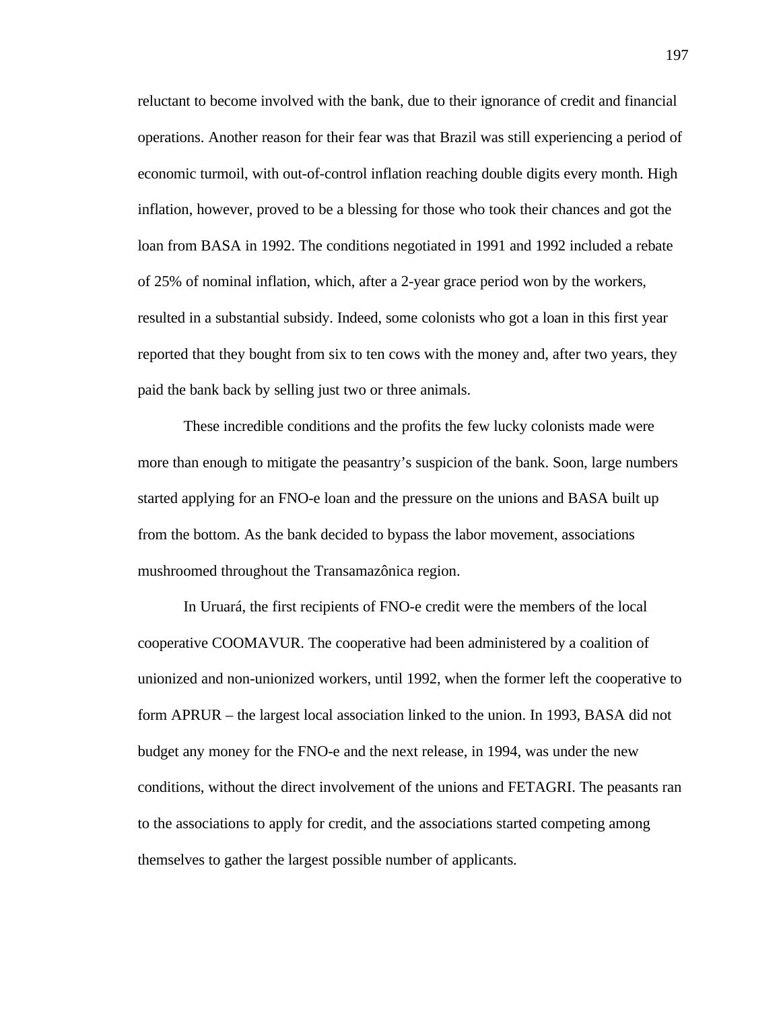reluctant to become involved with the bank, due to their ignorance of credit and financial operations. Another reason for their fear was that Brazil was still experiencing a period of economic turmoil, with out-of-control inflation reaching double digits every month. High inflation, however, proved to be a blessing for those who took their chances and got the loan from BASA in 1992. The conditions negotiated in 1991 and 1992 included a rebate of 25% of nominal inflation, which, after a 2-year grace period won by the workers, resulted in a substantial subsidy. Indeed, some colonists who got a loan in this first year reported that they bought from six to ten cows with the money and, after two years, they paid the bank back by selling just two or three animals.

These incredible conditions and the profits the few lucky colonists made were more than enough to mitigate the peasantry's suspicion of the bank. Soon, large numbers started applying for an FNO-e loan and the pressure on the unions and BASA built up from the bottom. As the bank decided to bypass the labor movement, associations mushroomed throughout the Transamazônica region.

In Uruará, the first recipients of FNO-e credit were the members of the local cooperative COOMAVUR. The cooperative had been administered by a coalition of unionized and non-unionized workers, until 1992, when the former left the cooperative to form APRUR – the largest local association linked to the union. In 1993, BASA did not budget any money for the FNO-e and the next release, in 1994, was under the new conditions, without the direct involvement of the unions and FETAGRI. The peasants ran to the associations to apply for credit, and the associations started competing among themselves to gather the largest possible number of applicants.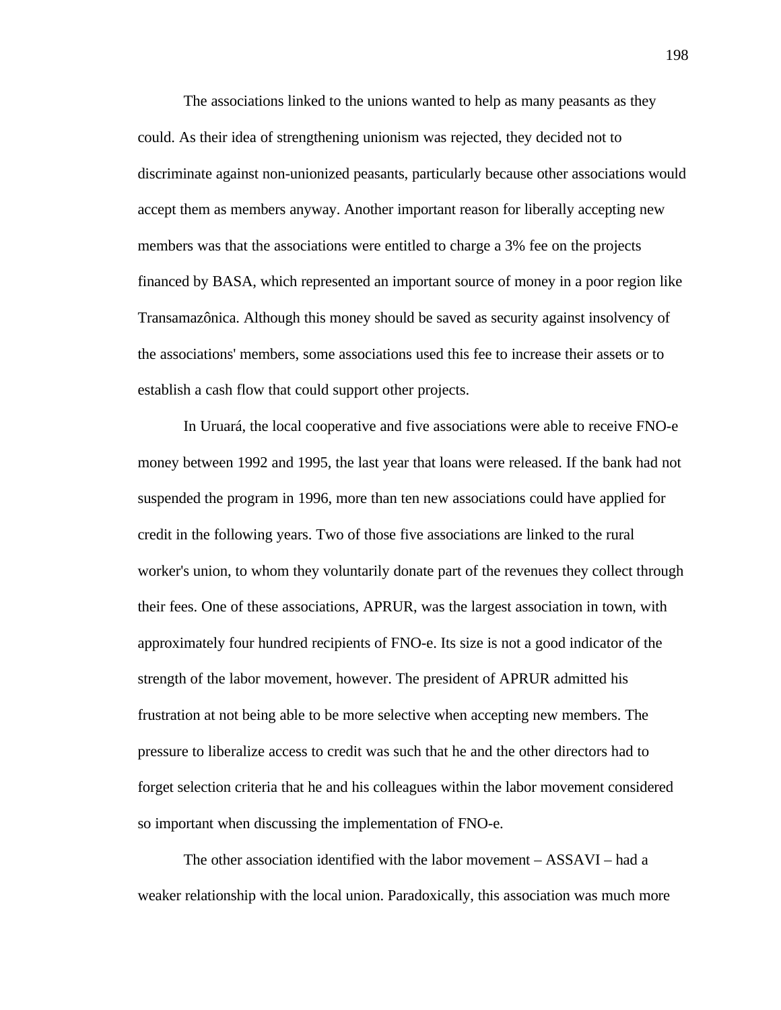The associations linked to the unions wanted to help as many peasants as they could. As their idea of strengthening unionism was rejected, they decided not to discriminate against non-unionized peasants, particularly because other associations would accept them as members anyway. Another important reason for liberally accepting new members was that the associations were entitled to charge a 3% fee on the projects financed by BASA, which represented an important source of money in a poor region like Transamazônica. Although this money should be saved as security against insolvency of the associations' members, some associations used this fee to increase their assets or to establish a cash flow that could support other projects.

In Uruará, the local cooperative and five associations were able to receive FNO-e money between 1992 and 1995, the last year that loans were released. If the bank had not suspended the program in 1996, more than ten new associations could have applied for credit in the following years. Two of those five associations are linked to the rural worker's union, to whom they voluntarily donate part of the revenues they collect through their fees. One of these associations, APRUR, was the largest association in town, with approximately four hundred recipients of FNO-e. Its size is not a good indicator of the strength of the labor movement, however. The president of APRUR admitted his frustration at not being able to be more selective when accepting new members. The pressure to liberalize access to credit was such that he and the other directors had to forget selection criteria that he and his colleagues within the labor movement considered so important when discussing the implementation of FNO-e.

The other association identified with the labor movement – ASSAVI – had a weaker relationship with the local union. Paradoxically, this association was much more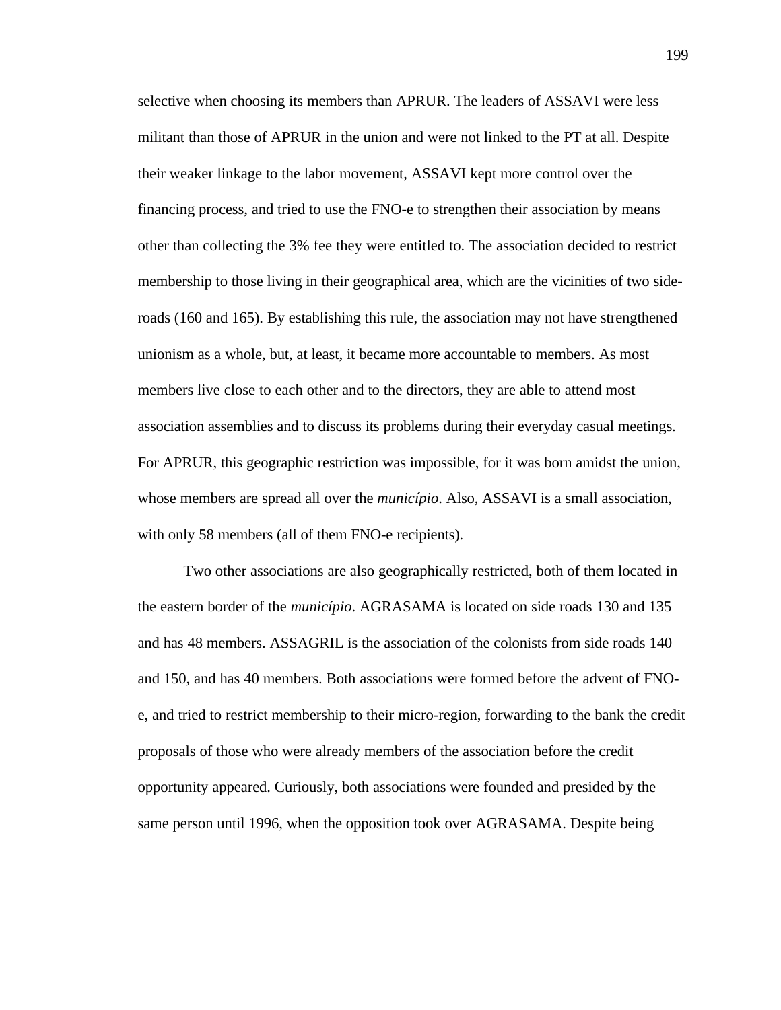selective when choosing its members than APRUR. The leaders of ASSAVI were less militant than those of APRUR in the union and were not linked to the PT at all. Despite their weaker linkage to the labor movement, ASSAVI kept more control over the financing process, and tried to use the FNO-e to strengthen their association by means other than collecting the 3% fee they were entitled to. The association decided to restrict membership to those living in their geographical area, which are the vicinities of two sideroads (160 and 165). By establishing this rule, the association may not have strengthened unionism as a whole, but, at least, it became more accountable to members. As most members live close to each other and to the directors, they are able to attend most association assemblies and to discuss its problems during their everyday casual meetings. For APRUR, this geographic restriction was impossible, for it was born amidst the union, whose members are spread all over the *município*. Also, ASSAVI is a small association, with only 58 members (all of them FNO-e recipients).

Two other associations are also geographically restricted, both of them located in the eastern border of the *município*. AGRASAMA is located on side roads 130 and 135 and has 48 members. ASSAGRIL is the association of the colonists from side roads 140 and 150, and has 40 members. Both associations were formed before the advent of FNOe, and tried to restrict membership to their micro-region, forwarding to the bank the credit proposals of those who were already members of the association before the credit opportunity appeared. Curiously, both associations were founded and presided by the same person until 1996, when the opposition took over AGRASAMA. Despite being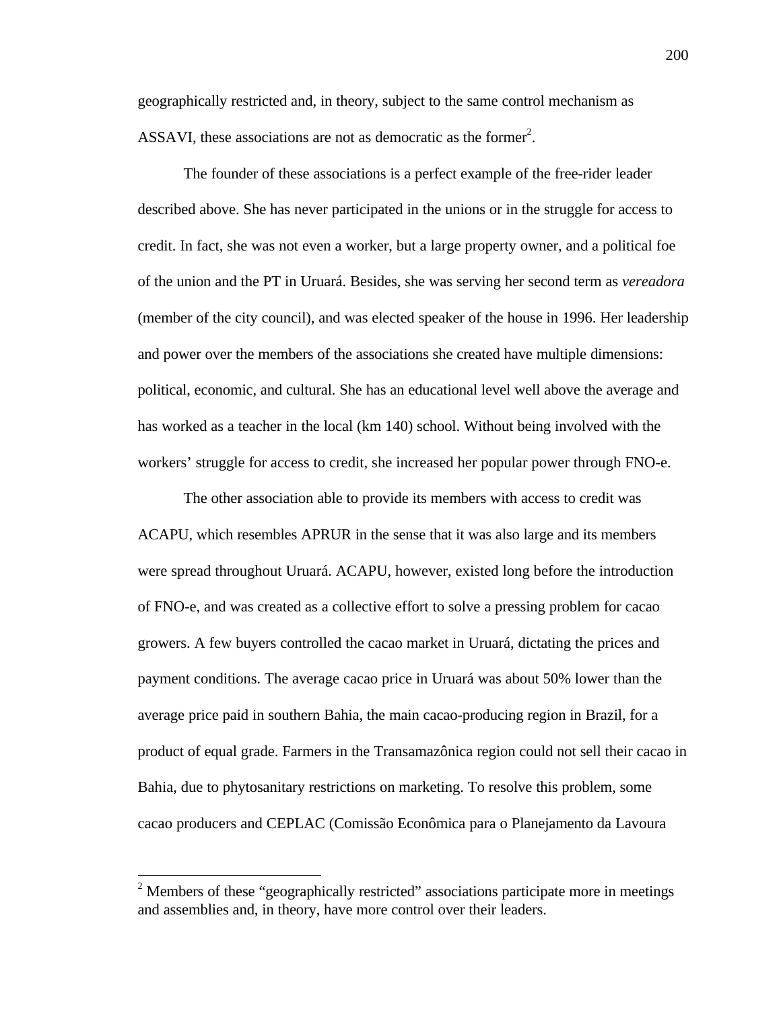geographically restricted and, in theory, subject to the same control mechanism as ASSAVI, these associations are not as democratic as the former<sup>2</sup>.

The founder of these associations is a perfect example of the free-rider leader described above. She has never participated in the unions or in the struggle for access to credit. In fact, she was not even a worker, but a large property owner, and a political foe of the union and the PT in Uruará. Besides, she was serving her second term as *vereadora* (member of the city council), and was elected speaker of the house in 1996. Her leadership and power over the members of the associations she created have multiple dimensions: political, economic, and cultural. She has an educational level well above the average and has worked as a teacher in the local (km 140) school. Without being involved with the workers' struggle for access to credit, she increased her popular power through FNO-e.

The other association able to provide its members with access to credit was ACAPU, which resembles APRUR in the sense that it was also large and its members were spread throughout Uruará. ACAPU, however, existed long before the introduction of FNO-e, and was created as a collective effort to solve a pressing problem for cacao growers. A few buyers controlled the cacao market in Uruará, dictating the prices and payment conditions. The average cacao price in Uruará was about 50% lower than the average price paid in southern Bahia, the main cacao-producing region in Brazil, for a product of equal grade. Farmers in the Transamazônica region could not sell their cacao in Bahia, due to phytosanitary restrictions on marketing. To resolve this problem, some cacao producers and CEPLAC (Comissão Econômica para o Planejamento da Lavoura

-

 $2$  Members of these "geographically restricted" associations participate more in meetings and assemblies and, in theory, have more control over their leaders.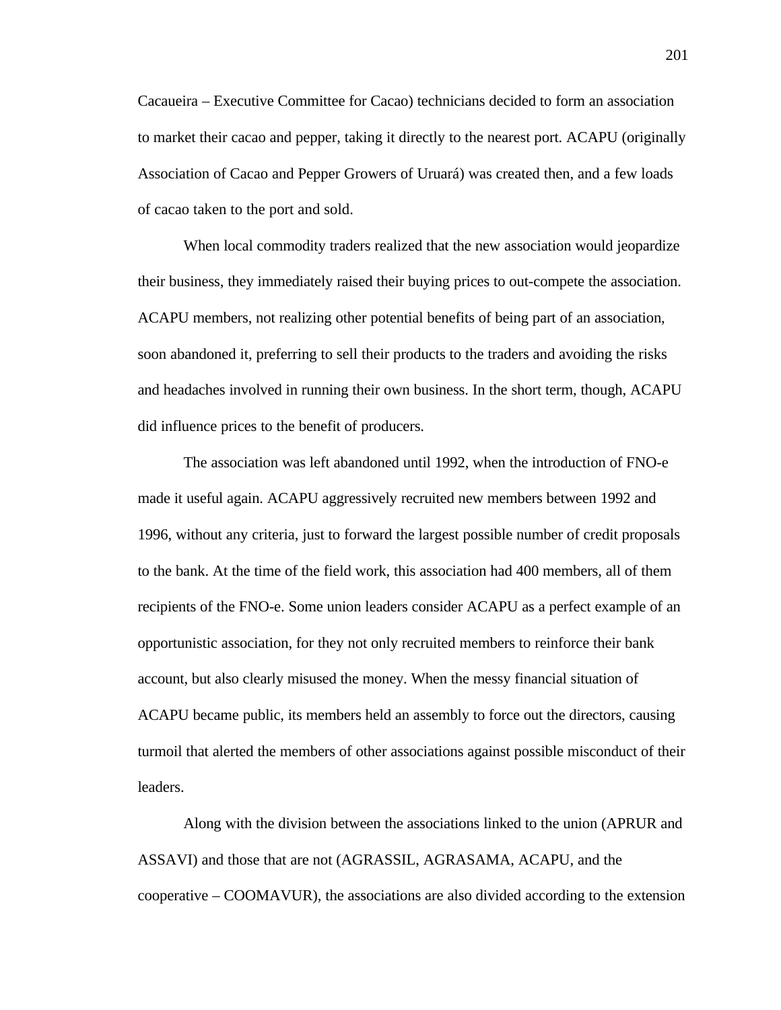Cacaueira – Executive Committee for Cacao) technicians decided to form an association to market their cacao and pepper, taking it directly to the nearest port. ACAPU (originally Association of Cacao and Pepper Growers of Uruará) was created then, and a few loads of cacao taken to the port and sold.

When local commodity traders realized that the new association would jeopardize their business, they immediately raised their buying prices to out-compete the association. ACAPU members, not realizing other potential benefits of being part of an association, soon abandoned it, preferring to sell their products to the traders and avoiding the risks and headaches involved in running their own business. In the short term, though, ACAPU did influence prices to the benefit of producers.

The association was left abandoned until 1992, when the introduction of FNO-e made it useful again. ACAPU aggressively recruited new members between 1992 and 1996, without any criteria, just to forward the largest possible number of credit proposals to the bank. At the time of the field work, this association had 400 members, all of them recipients of the FNO-e. Some union leaders consider ACAPU as a perfect example of an opportunistic association, for they not only recruited members to reinforce their bank account, but also clearly misused the money. When the messy financial situation of ACAPU became public, its members held an assembly to force out the directors, causing turmoil that alerted the members of other associations against possible misconduct of their leaders.

Along with the division between the associations linked to the union (APRUR and ASSAVI) and those that are not (AGRASSIL, AGRASAMA, ACAPU, and the cooperative – COOMAVUR), the associations are also divided according to the extension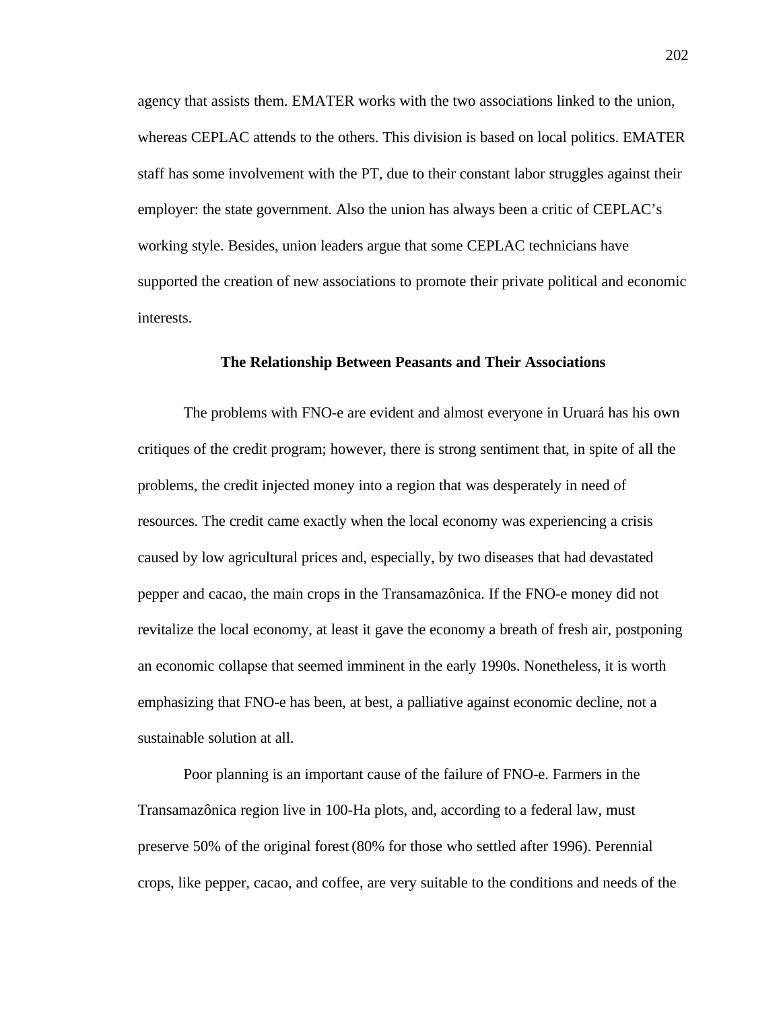agency that assists them. EMATER works with the two associations linked to the union, whereas CEPLAC attends to the others. This division is based on local politics. EMATER staff has some involvement with the PT, due to their constant labor struggles against their employer: the state government. Also the union has always been a critic of CEPLAC's working style. Besides, union leaders argue that some CEPLAC technicians have supported the creation of new associations to promote their private political and economic interests.

#### **The Relationship Between Peasants and Their Associations**

The problems with FNO-e are evident and almost everyone in Uruará has his own critiques of the credit program; however, there is strong sentiment that, in spite of all the problems, the credit injected money into a region that was desperately in need of resources. The credit came exactly when the local economy was experiencing a crisis caused by low agricultural prices and, especially, by two diseases that had devastated pepper and cacao, the main crops in the Transamazônica. If the FNO-e money did not revitalize the local economy, at least it gave the economy a breath of fresh air, postponing an economic collapse that seemed imminent in the early 1990s. Nonetheless, it is worth emphasizing that FNO-e has been, at best, a palliative against economic decline, not a sustainable solution at all.

Poor planning is an important cause of the failure of FNO-e. Farmers in the Transamazônica region live in 100-Ha plots, and, according to a federal law, must preserve 50% of the original forest(80% for those who settled after 1996). Perennial crops, like pepper, cacao, and coffee, are very suitable to the conditions and needs of the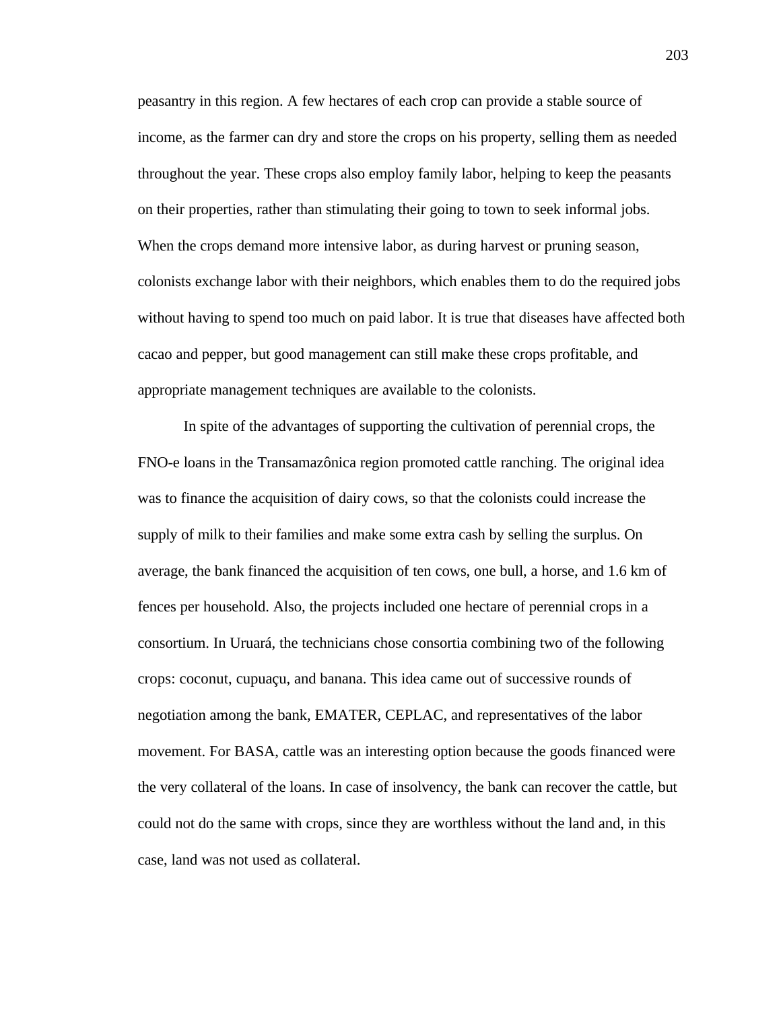peasantry in this region. A few hectares of each crop can provide a stable source of income, as the farmer can dry and store the crops on his property, selling them as needed throughout the year. These crops also employ family labor, helping to keep the peasants on their properties, rather than stimulating their going to town to seek informal jobs. When the crops demand more intensive labor, as during harvest or pruning season, colonists exchange labor with their neighbors, which enables them to do the required jobs without having to spend too much on paid labor. It is true that diseases have affected both cacao and pepper, but good management can still make these crops profitable, and appropriate management techniques are available to the colonists.

In spite of the advantages of supporting the cultivation of perennial crops, the FNO-e loans in the Transamazônica region promoted cattle ranching. The original idea was to finance the acquisition of dairy cows, so that the colonists could increase the supply of milk to their families and make some extra cash by selling the surplus. On average, the bank financed the acquisition of ten cows, one bull, a horse, and 1.6 km of fences per household. Also, the projects included one hectare of perennial crops in a consortium. In Uruará, the technicians chose consortia combining two of the following crops: coconut, cupuaçu, and banana. This idea came out of successive rounds of negotiation among the bank, EMATER, CEPLAC, and representatives of the labor movement. For BASA, cattle was an interesting option because the goods financed were the very collateral of the loans. In case of insolvency, the bank can recover the cattle, but could not do the same with crops, since they are worthless without the land and, in this case, land was not used as collateral.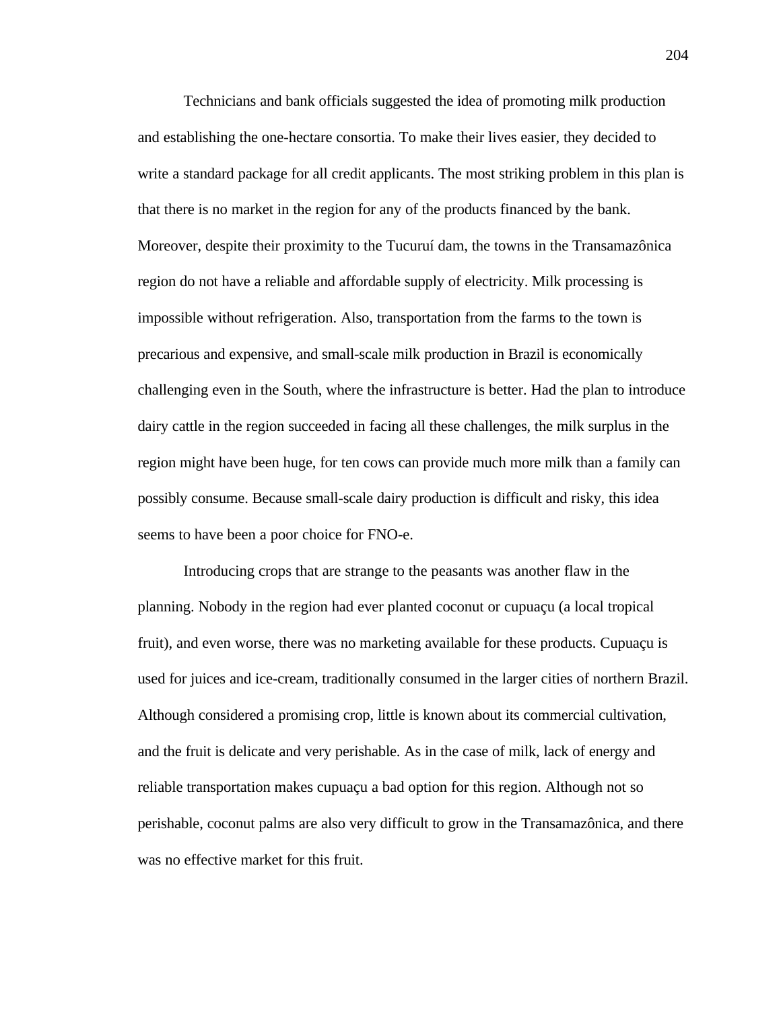Technicians and bank officials suggested the idea of promoting milk production and establishing the one-hectare consortia. To make their lives easier, they decided to write a standard package for all credit applicants. The most striking problem in this plan is that there is no market in the region for any of the products financed by the bank. Moreover, despite their proximity to the Tucuruí dam, the towns in the Transamazônica region do not have a reliable and affordable supply of electricity. Milk processing is impossible without refrigeration. Also, transportation from the farms to the town is precarious and expensive, and small-scale milk production in Brazil is economically challenging even in the South, where the infrastructure is better. Had the plan to introduce dairy cattle in the region succeeded in facing all these challenges, the milk surplus in the region might have been huge, for ten cows can provide much more milk than a family can possibly consume. Because small-scale dairy production is difficult and risky, this idea seems to have been a poor choice for FNO-e.

Introducing crops that are strange to the peasants was another flaw in the planning. Nobody in the region had ever planted coconut or cupuaçu (a local tropical fruit), and even worse, there was no marketing available for these products. Cupuaçu is used for juices and ice-cream, traditionally consumed in the larger cities of northern Brazil. Although considered a promising crop, little is known about its commercial cultivation, and the fruit is delicate and very perishable. As in the case of milk, lack of energy and reliable transportation makes cupuaçu a bad option for this region. Although not so perishable, coconut palms are also very difficult to grow in the Transamazônica, and there was no effective market for this fruit.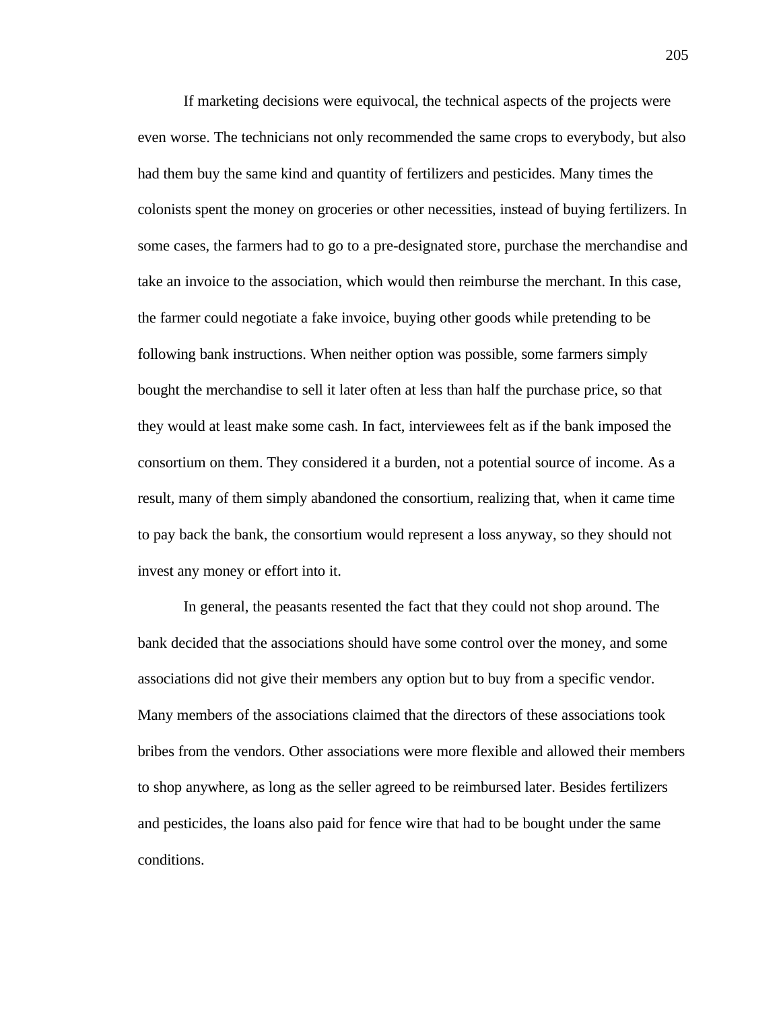If marketing decisions were equivocal, the technical aspects of the projects were even worse. The technicians not only recommended the same crops to everybody, but also had them buy the same kind and quantity of fertilizers and pesticides. Many times the colonists spent the money on groceries or other necessities, instead of buying fertilizers. In some cases, the farmers had to go to a pre-designated store, purchase the merchandise and take an invoice to the association, which would then reimburse the merchant. In this case, the farmer could negotiate a fake invoice, buying other goods while pretending to be following bank instructions. When neither option was possible, some farmers simply bought the merchandise to sell it later often at less than half the purchase price, so that they would at least make some cash. In fact, interviewees felt as if the bank imposed the consortium on them. They considered it a burden, not a potential source of income. As a result, many of them simply abandoned the consortium, realizing that, when it came time to pay back the bank, the consortium would represent a loss anyway, so they should not invest any money or effort into it.

In general, the peasants resented the fact that they could not shop around. The bank decided that the associations should have some control over the money, and some associations did not give their members any option but to buy from a specific vendor. Many members of the associations claimed that the directors of these associations took bribes from the vendors. Other associations were more flexible and allowed their members to shop anywhere, as long as the seller agreed to be reimbursed later. Besides fertilizers and pesticides, the loans also paid for fence wire that had to be bought under the same conditions.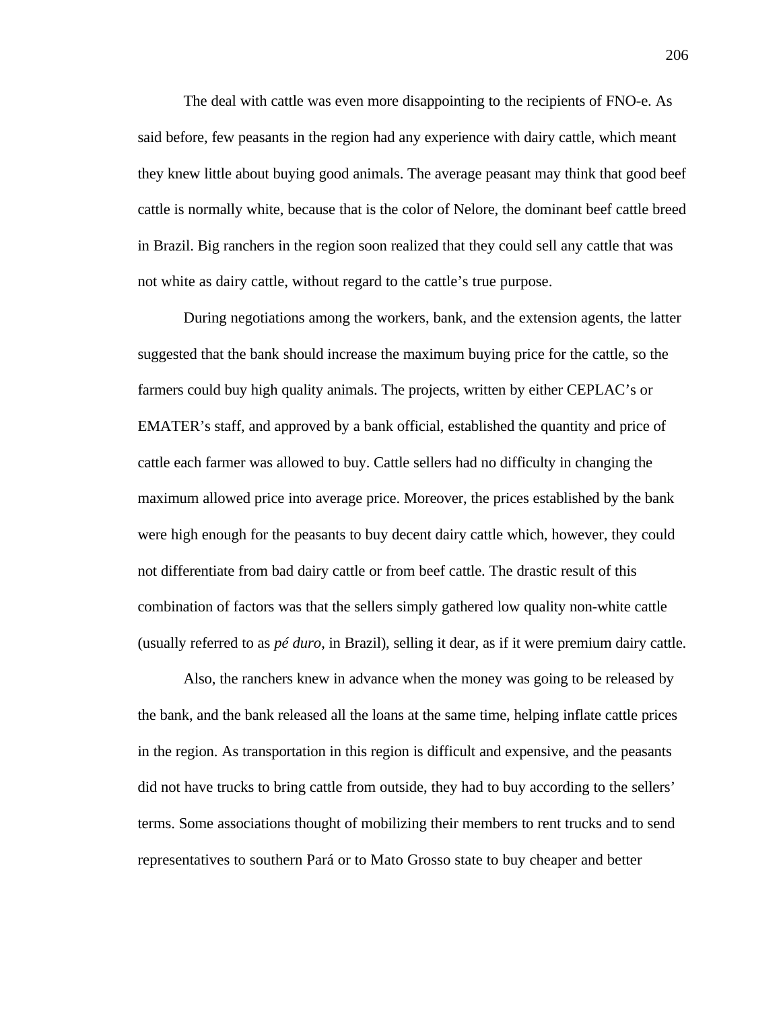The deal with cattle was even more disappointing to the recipients of FNO-e. As said before, few peasants in the region had any experience with dairy cattle, which meant they knew little about buying good animals. The average peasant may think that good beef cattle is normally white, because that is the color of Nelore, the dominant beef cattle breed in Brazil. Big ranchers in the region soon realized that they could sell any cattle that was not white as dairy cattle, without regard to the cattle's true purpose.

During negotiations among the workers, bank, and the extension agents, the latter suggested that the bank should increase the maximum buying price for the cattle, so the farmers could buy high quality animals. The projects, written by either CEPLAC's or EMATER's staff, and approved by a bank official, established the quantity and price of cattle each farmer was allowed to buy. Cattle sellers had no difficulty in changing the maximum allowed price into average price. Moreover, the prices established by the bank were high enough for the peasants to buy decent dairy cattle which, however, they could not differentiate from bad dairy cattle or from beef cattle. The drastic result of this combination of factors was that the sellers simply gathered low quality non-white cattle (usually referred to as *pé duro*, in Brazil), selling it dear, as if it were premium dairy cattle.

Also, the ranchers knew in advance when the money was going to be released by the bank, and the bank released all the loans at the same time, helping inflate cattle prices in the region. As transportation in this region is difficult and expensive, and the peasants did not have trucks to bring cattle from outside, they had to buy according to the sellers' terms. Some associations thought of mobilizing their members to rent trucks and to send representatives to southern Pará or to Mato Grosso state to buy cheaper and better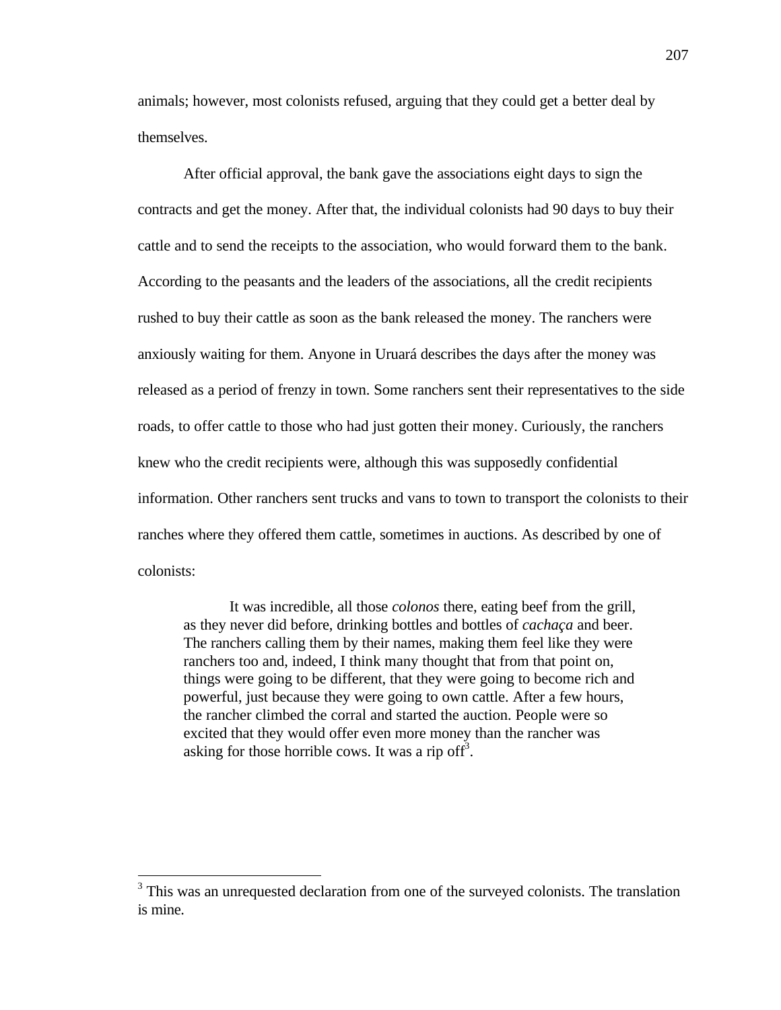animals; however, most colonists refused, arguing that they could get a better deal by themselves.

After official approval, the bank gave the associations eight days to sign the contracts and get the money. After that, the individual colonists had 90 days to buy their cattle and to send the receipts to the association, who would forward them to the bank. According to the peasants and the leaders of the associations, all the credit recipients rushed to buy their cattle as soon as the bank released the money. The ranchers were anxiously waiting for them. Anyone in Uruará describes the days after the money was released as a period of frenzy in town. Some ranchers sent their representatives to the side roads, to offer cattle to those who had just gotten their money. Curiously, the ranchers knew who the credit recipients were, although this was supposedly confidential information. Other ranchers sent trucks and vans to town to transport the colonists to their ranches where they offered them cattle, sometimes in auctions. As described by one of colonists:

It was incredible, all those *colonos* there, eating beef from the grill, as they never did before, drinking bottles and bottles of *cachaça* and beer. The ranchers calling them by their names, making them feel like they were ranchers too and, indeed, I think many thought that from that point on, things were going to be different, that they were going to become rich and powerful, just because they were going to own cattle. After a few hours, the rancher climbed the corral and started the auction. People were so excited that they would offer even more money than the rancher was asking for those horrible cows. It was a rip off<sup>3</sup>.

-

<sup>&</sup>lt;sup>3</sup> This was an unrequested declaration from one of the surveyed colonists. The translation is mine.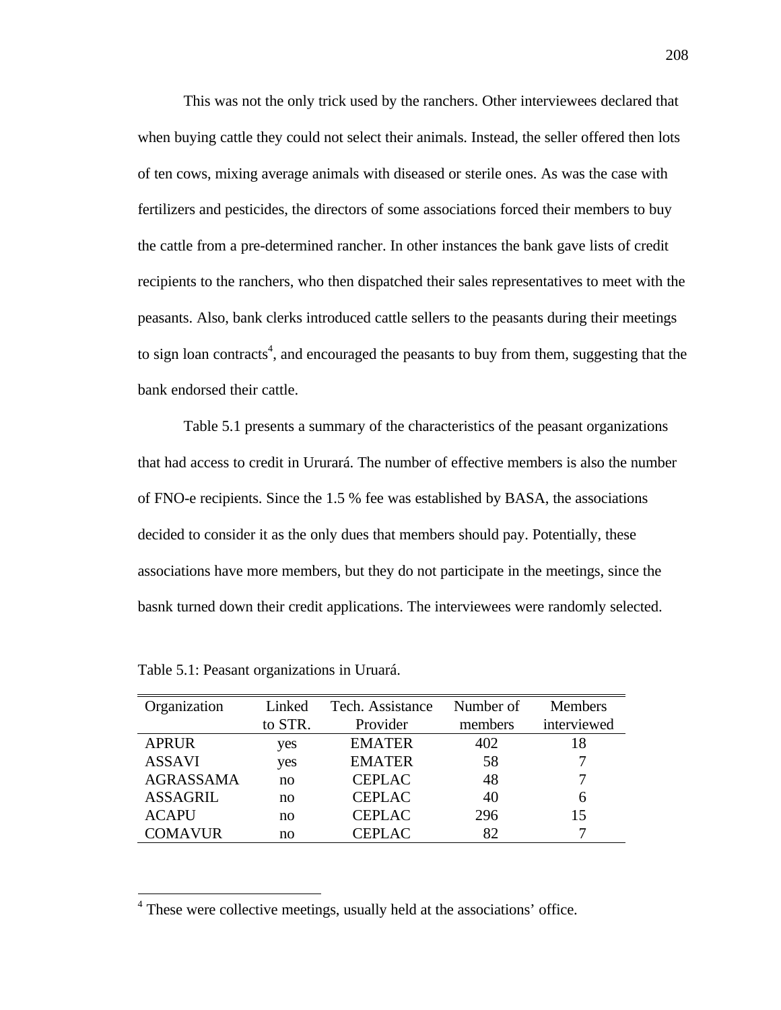This was not the only trick used by the ranchers. Other interviewees declared that when buying cattle they could not select their animals. Instead, the seller offered then lots of ten cows, mixing average animals with diseased or sterile ones. As was the case with fertilizers and pesticides, the directors of some associations forced their members to buy the cattle from a pre-determined rancher. In other instances the bank gave lists of credit recipients to the ranchers, who then dispatched their sales representatives to meet with the peasants. Also, bank clerks introduced cattle sellers to the peasants during their meetings to sign loan contracts<sup>4</sup>, and encouraged the peasants to buy from them, suggesting that the bank endorsed their cattle.

Table 5.1 presents a summary of the characteristics of the peasant organizations that had access to credit in Ururará. The number of effective members is also the number of FNO-e recipients. Since the 1.5 % fee was established by BASA, the associations decided to consider it as the only dues that members should pay. Potentially, these associations have more members, but they do not participate in the meetings, since the basnk turned down their credit applications. The interviewees were randomly selected.

| Organization     | Linked  | Tech. Assistance | Number of | <b>Members</b> |
|------------------|---------|------------------|-----------|----------------|
|                  | to STR. | Provider         | members   | interviewed    |
| <b>APRUR</b>     | yes     | <b>EMATER</b>    | 402       | 18             |
| <b>ASSAVI</b>    | yes     | <b>EMATER</b>    | 58        |                |
| <b>AGRASSAMA</b> | no      | <b>CEPLAC</b>    | 48        |                |
| <b>ASSAGRIL</b>  | no      | <b>CEPLAC</b>    | 40        | 6              |
| <b>ACAPU</b>     | no      | <b>CEPLAC</b>    | 296       | 15             |
| <b>COMAVUR</b>   | no      | <b>CEPLAC</b>    | 82        |                |

Table 5.1: Peasant organizations in Uruará.

 $\overline{a}$ 

<sup>&</sup>lt;sup>4</sup> These were collective meetings, usually held at the associations' office.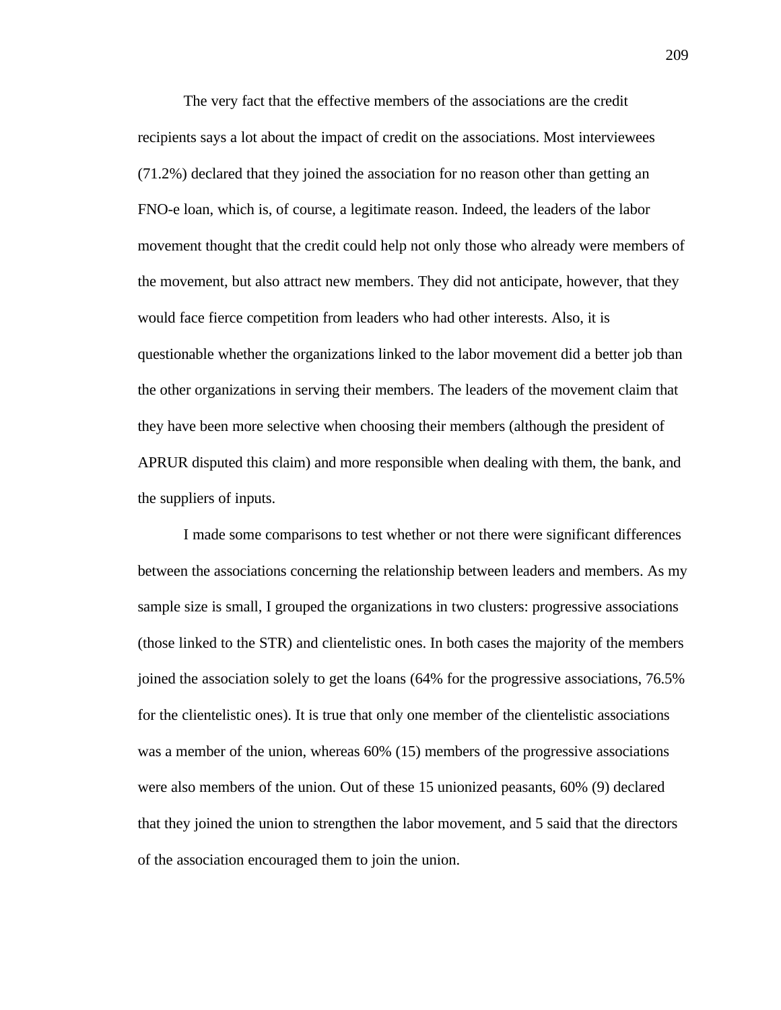The very fact that the effective members of the associations are the credit recipients says a lot about the impact of credit on the associations. Most interviewees (71.2%) declared that they joined the association for no reason other than getting an FNO-e loan, which is, of course, a legitimate reason. Indeed, the leaders of the labor movement thought that the credit could help not only those who already were members of the movement, but also attract new members. They did not anticipate, however, that they would face fierce competition from leaders who had other interests. Also, it is questionable whether the organizations linked to the labor movement did a better job than the other organizations in serving their members. The leaders of the movement claim that they have been more selective when choosing their members (although the president of APRUR disputed this claim) and more responsible when dealing with them, the bank, and the suppliers of inputs.

I made some comparisons to test whether or not there were significant differences between the associations concerning the relationship between leaders and members. As my sample size is small, I grouped the organizations in two clusters: progressive associations (those linked to the STR) and clientelistic ones. In both cases the majority of the members joined the association solely to get the loans (64% for the progressive associations, 76.5% for the clientelistic ones). It is true that only one member of the clientelistic associations was a member of the union, whereas 60% (15) members of the progressive associations were also members of the union. Out of these 15 unionized peasants, 60% (9) declared that they joined the union to strengthen the labor movement, and 5 said that the directors of the association encouraged them to join the union.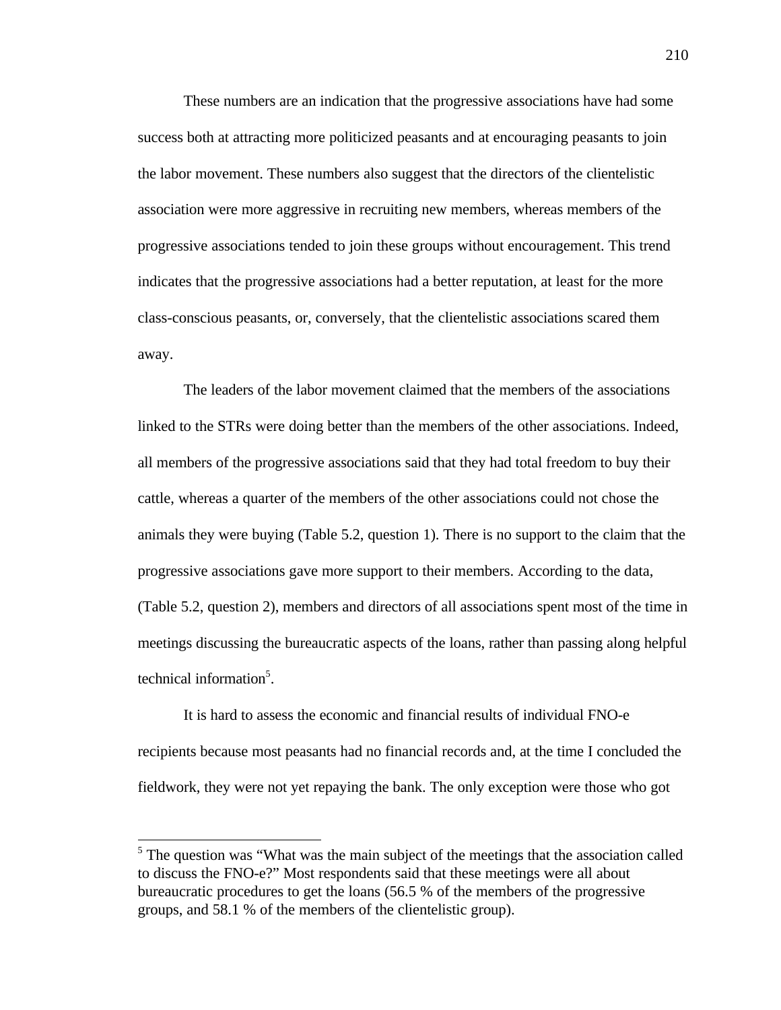These numbers are an indication that the progressive associations have had some success both at attracting more politicized peasants and at encouraging peasants to join the labor movement. These numbers also suggest that the directors of the clientelistic association were more aggressive in recruiting new members, whereas members of the progressive associations tended to join these groups without encouragement. This trend indicates that the progressive associations had a better reputation, at least for the more class-conscious peasants, or, conversely, that the clientelistic associations scared them away.

The leaders of the labor movement claimed that the members of the associations linked to the STRs were doing better than the members of the other associations. Indeed, all members of the progressive associations said that they had total freedom to buy their cattle, whereas a quarter of the members of the other associations could not chose the animals they were buying (Table 5.2, question 1). There is no support to the claim that the progressive associations gave more support to their members. According to the data, (Table 5.2, question 2), members and directors of all associations spent most of the time in meetings discussing the bureaucratic aspects of the loans, rather than passing along helpful technical information<sup>5</sup>.

It is hard to assess the economic and financial results of individual FNO-e recipients because most peasants had no financial records and, at the time I concluded the fieldwork, they were not yet repaying the bank. The only exception were those who got

-

<sup>&</sup>lt;sup>5</sup> The question was "What was the main subject of the meetings that the association called to discuss the FNO-e?" Most respondents said that these meetings were all about bureaucratic procedures to get the loans (56.5 % of the members of the progressive groups, and 58.1 % of the members of the clientelistic group).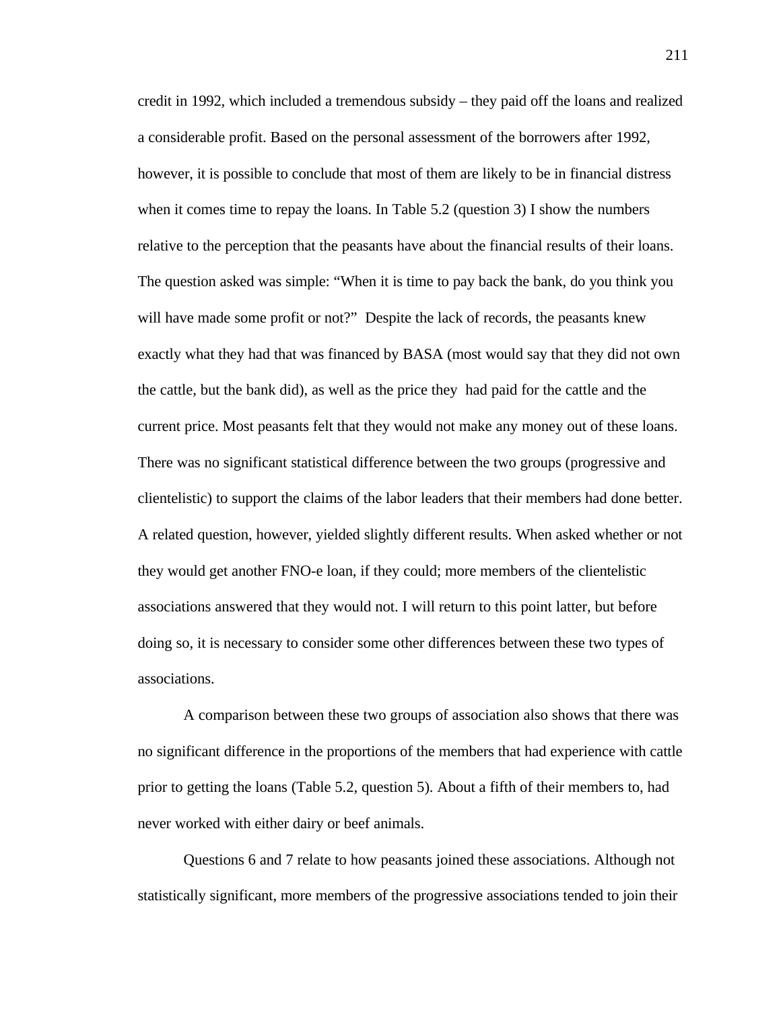credit in 1992, which included a tremendous subsidy – they paid off the loans and realized a considerable profit. Based on the personal assessment of the borrowers after 1992, however, it is possible to conclude that most of them are likely to be in financial distress when it comes time to repay the loans. In Table 5.2 (question 3) I show the numbers relative to the perception that the peasants have about the financial results of their loans. The question asked was simple: "When it is time to pay back the bank, do you think you will have made some profit or not?" Despite the lack of records, the peasants knew exactly what they had that was financed by BASA (most would say that they did not own the cattle, but the bank did), as well as the price they had paid for the cattle and the current price. Most peasants felt that they would not make any money out of these loans. There was no significant statistical difference between the two groups (progressive and clientelistic) to support the claims of the labor leaders that their members had done better. A related question, however, yielded slightly different results. When asked whether or not they would get another FNO-e loan, if they could; more members of the clientelistic associations answered that they would not. I will return to this point latter, but before doing so, it is necessary to consider some other differences between these two types of associations.

A comparison between these two groups of association also shows that there was no significant difference in the proportions of the members that had experience with cattle prior to getting the loans (Table 5.2, question 5). About a fifth of their members to, had never worked with either dairy or beef animals.

Questions 6 and 7 relate to how peasants joined these associations. Although not statistically significant, more members of the progressive associations tended to join their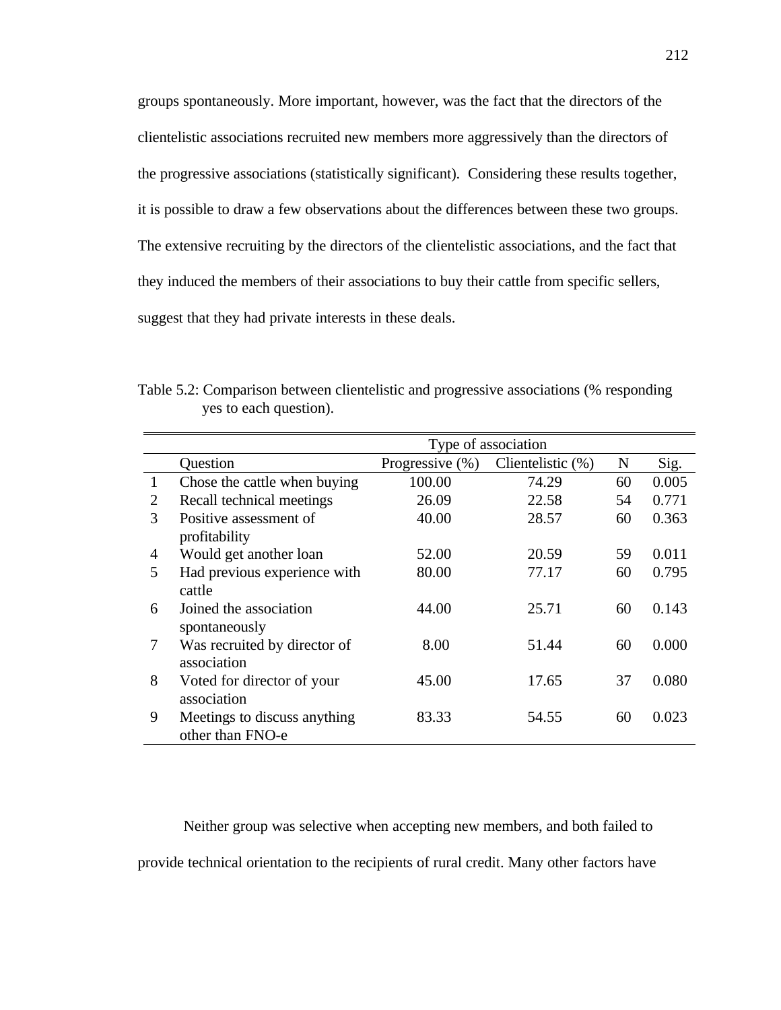groups spontaneously. More important, however, was the fact that the directors of the clientelistic associations recruited new members more aggressively than the directors of the progressive associations (statistically significant). Considering these results together, it is possible to draw a few observations about the differences between these two groups. The extensive recruiting by the directors of the clientelistic associations, and the fact that they induced the members of their associations to buy their cattle from specific sellers, suggest that they had private interests in these deals.

Table 5.2: Comparison between clientelistic and progressive associations (% responding yes to each question).

|               |                              | Type of association |                      |    |       |  |  |
|---------------|------------------------------|---------------------|----------------------|----|-------|--|--|
|               | Question                     | Progressive $(\%)$  | Clientelistic $(\%)$ | N  | Sig.  |  |  |
| 1             | Chose the cattle when buying | 100.00              | 74.29                | 60 | 0.005 |  |  |
| 2             | Recall technical meetings    | 26.09               | 22.58                | 54 | 0.771 |  |  |
| $\mathcal{F}$ | Positive assessment of       | 40.00               | 28.57                | 60 | 0.363 |  |  |
|               | profitability                |                     |                      |    |       |  |  |
| 4             | Would get another loan       | 52.00               | 20.59                | 59 | 0.011 |  |  |
| 5             | Had previous experience with | 80.00               | 77.17                | 60 | 0.795 |  |  |
|               | cattle                       |                     |                      |    |       |  |  |
| 6             | Joined the association       | 44.00               | 25.71                | 60 | 0.143 |  |  |
|               | spontaneously                |                     |                      |    |       |  |  |
| 7             | Was recruited by director of | 8.00                | 51.44                | 60 | 0.000 |  |  |
|               | association                  |                     |                      |    |       |  |  |
| 8             | Voted for director of your   | 45.00               | 17.65                | 37 | 0.080 |  |  |
|               | association                  |                     |                      |    |       |  |  |
| 9             | Meetings to discuss anything | 83.33               | 54.55                | 60 | 0.023 |  |  |
|               | other than FNO-e             |                     |                      |    |       |  |  |

Neither group was selective when accepting new members, and both failed to provide technical orientation to the recipients of rural credit. Many other factors have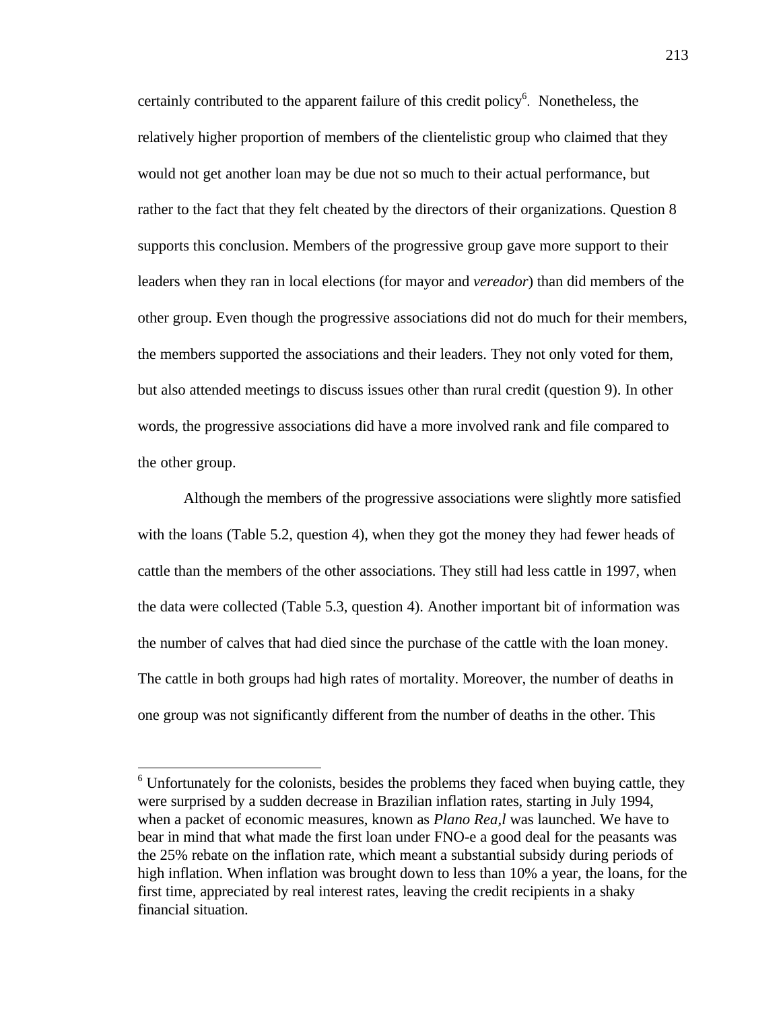certainly contributed to the apparent failure of this credit policy<sup>6</sup>. Nonetheless, the relatively higher proportion of members of the clientelistic group who claimed that they would not get another loan may be due not so much to their actual performance, but rather to the fact that they felt cheated by the directors of their organizations. Question 8 supports this conclusion. Members of the progressive group gave more support to their leaders when they ran in local elections (for mayor and *vereador*) than did members of the other group. Even though the progressive associations did not do much for their members, the members supported the associations and their leaders. They not only voted for them, but also attended meetings to discuss issues other than rural credit (question 9). In other words, the progressive associations did have a more involved rank and file compared to the other group.

Although the members of the progressive associations were slightly more satisfied with the loans (Table 5.2, question 4), when they got the money they had fewer heads of cattle than the members of the other associations. They still had less cattle in 1997, when the data were collected (Table 5.3, question 4). Another important bit of information was the number of calves that had died since the purchase of the cattle with the loan money. The cattle in both groups had high rates of mortality. Moreover, the number of deaths in one group was not significantly different from the number of deaths in the other. This

 $\overline{a}$ 

<sup>&</sup>lt;sup>6</sup> Unfortunately for the colonists, besides the problems they faced when buying cattle, they were surprised by a sudden decrease in Brazilian inflation rates, starting in July 1994, when a packet of economic measures, known as *Plano Rea,l* was launched. We have to bear in mind that what made the first loan under FNO-e a good deal for the peasants was the 25% rebate on the inflation rate, which meant a substantial subsidy during periods of high inflation. When inflation was brought down to less than 10% a year, the loans, for the first time, appreciated by real interest rates, leaving the credit recipients in a shaky financial situation.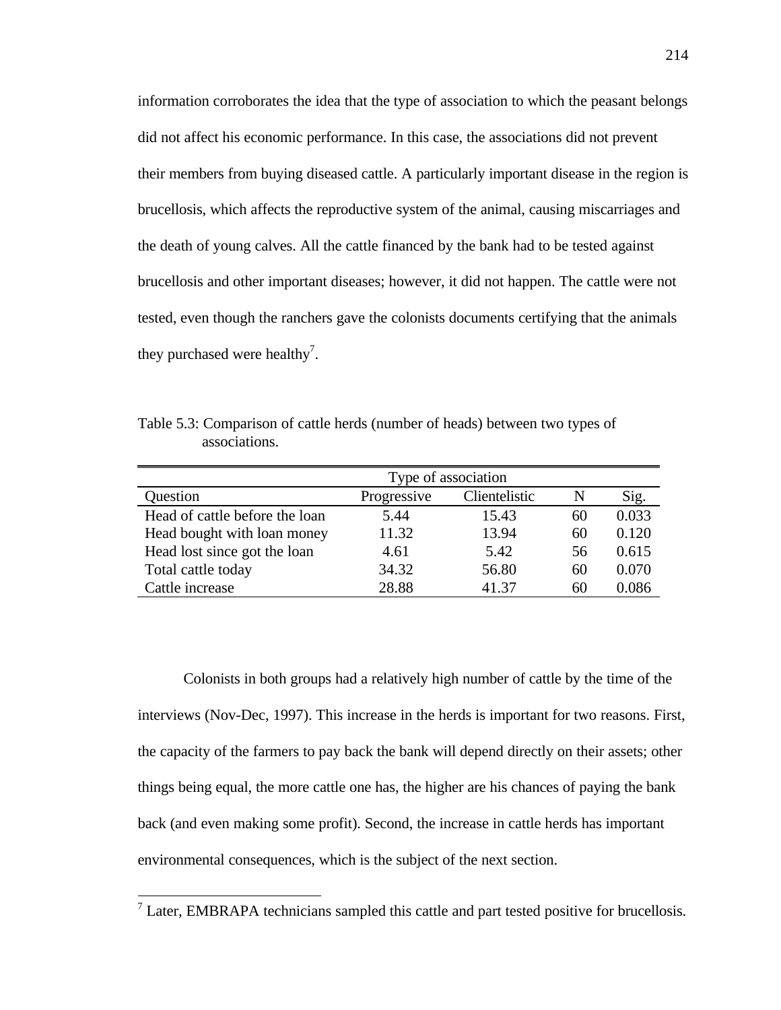information corroborates the idea that the type of association to which the peasant belongs did not affect his economic performance. In this case, the associations did not prevent their members from buying diseased cattle. A particularly important disease in the region is brucellosis, which affects the reproductive system of the animal, causing miscarriages and the death of young calves. All the cattle financed by the bank had to be tested against brucellosis and other important diseases; however, it did not happen. The cattle were not tested, even though the ranchers gave the colonists documents certifying that the animals they purchased were healthy<sup>7</sup>.

Table 5.3: Comparison of cattle herds (number of heads) between two types of associations.

|                                | Type of association |               |    |       |
|--------------------------------|---------------------|---------------|----|-------|
| Question                       | Progressive         | Clientelistic | N  | Sig.  |
| Head of cattle before the loan | 5.44                | 15.43         | 60 | 0.033 |
| Head bought with loan money    | 11.32               | 13.94         | 60 | 0.120 |
| Head lost since got the loan   | 4.61                | 5.42          | 56 | 0.615 |
| Total cattle today             | 34.32               | 56.80         | 60 | 0.070 |
| Cattle increase                | 28.88               | 41.37         | 60 | 0.086 |

Colonists in both groups had a relatively high number of cattle by the time of the interviews (Nov-Dec, 1997). This increase in the herds is important for two reasons. First, the capacity of the farmers to pay back the bank will depend directly on their assets; other things being equal, the more cattle one has, the higher are his chances of paying the bank back (and even making some profit). Second, the increase in cattle herds has important environmental consequences, which is the subject of the next section.

 $\overline{a}$ 

 $<sup>7</sup>$  Later, EMBRAPA technicians sampled this cattle and part tested positive for brucellosis.</sup>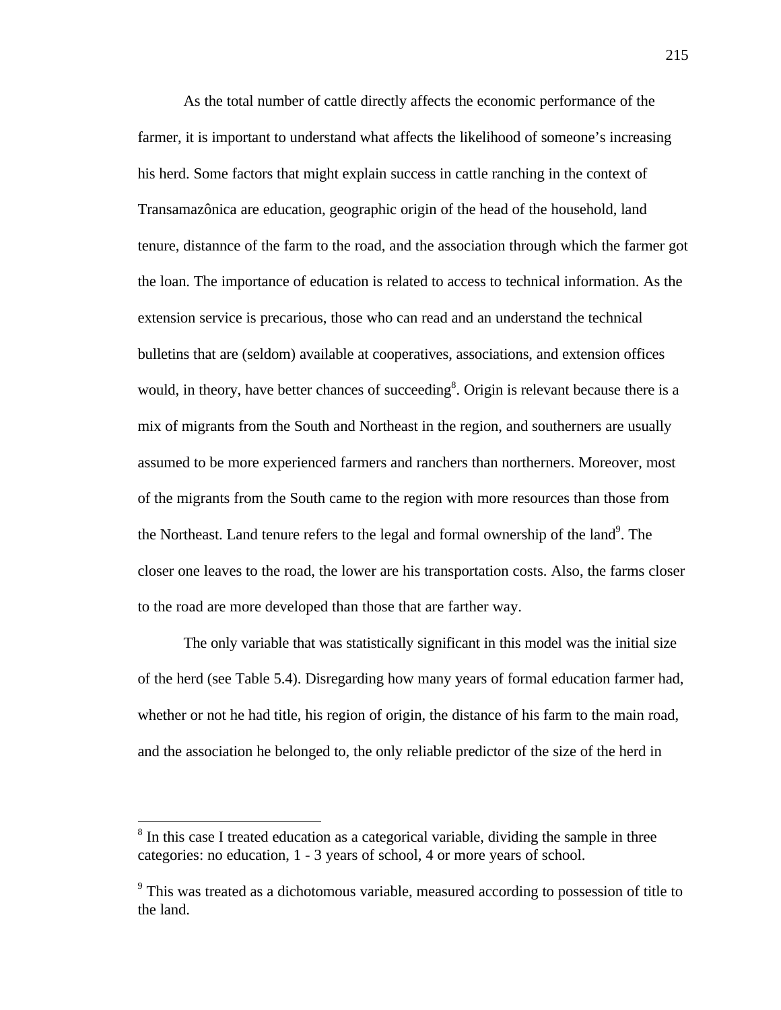As the total number of cattle directly affects the economic performance of the farmer, it is important to understand what affects the likelihood of someone's increasing his herd. Some factors that might explain success in cattle ranching in the context of Transamazônica are education, geographic origin of the head of the household, land tenure, distannce of the farm to the road, and the association through which the farmer got the loan. The importance of education is related to access to technical information. As the extension service is precarious, those who can read and an understand the technical bulletins that are (seldom) available at cooperatives, associations, and extension offices would, in theory, have better chances of succeeding<sup>8</sup>. Origin is relevant because there is a mix of migrants from the South and Northeast in the region, and southerners are usually assumed to be more experienced farmers and ranchers than northerners. Moreover, most of the migrants from the South came to the region with more resources than those from the Northeast. Land tenure refers to the legal and formal ownership of the land<sup>9</sup>. The closer one leaves to the road, the lower are his transportation costs. Also, the farms closer to the road are more developed than those that are farther way.

The only variable that was statistically significant in this model was the initial size of the herd (see Table 5.4). Disregarding how many years of formal education farmer had, whether or not he had title, his region of origin, the distance of his farm to the main road, and the association he belonged to, the only reliable predictor of the size of the herd in

-

<sup>&</sup>lt;sup>8</sup> In this case I treated education as a categorical variable, dividing the sample in three categories: no education, 1 - 3 years of school, 4 or more years of school.

<sup>&</sup>lt;sup>9</sup> This was treated as a dichotomous variable, measured according to possession of title to the land.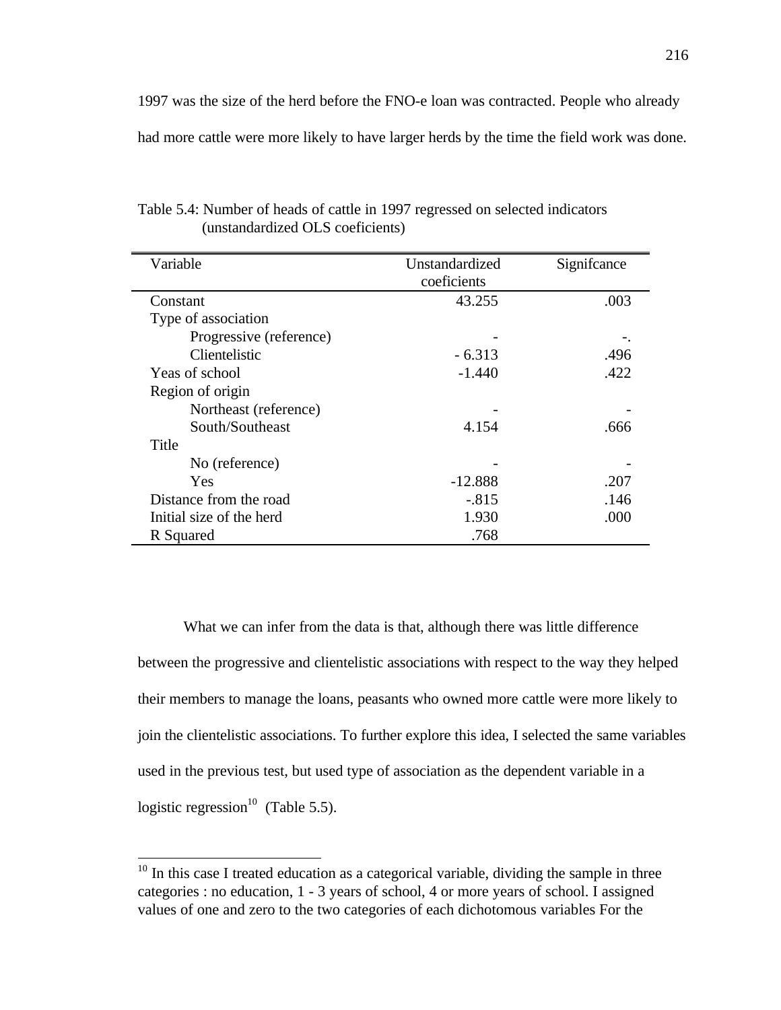1997 was the size of the herd before the FNO-e loan was contracted. People who already had more cattle were more likely to have larger herds by the time the field work was done.

| Variable                 | Unstandardized | Significance |
|--------------------------|----------------|--------------|
|                          | coeficients    |              |
| Constant                 | 43.255         | .003         |
| Type of association      |                |              |
| Progressive (reference)  |                |              |
| Clientelistic            | $-6.313$       | .496         |
| Yeas of school           | $-1.440$       | .422         |
| Region of origin         |                |              |
| Northeast (reference)    |                |              |
| South/Southeast          | 4.154          | .666         |
| Title                    |                |              |
| No (reference)           |                |              |
| Yes                      | $-12.888$      | .207         |
| Distance from the road   | $-.815$        | .146         |
| Initial size of the herd | 1.930          | .000         |
| R Squared                | .768           |              |

Table 5.4: Number of heads of cattle in 1997 regressed on selected indicators (unstandardized OLS coeficients)

What we can infer from the data is that, although there was little difference between the progressive and clientelistic associations with respect to the way they helped their members to manage the loans, peasants who owned more cattle were more likely to join the clientelistic associations. To further explore this idea, I selected the same variables used in the previous test, but used type of association as the dependent variable in a logistic regression<sup>10</sup> (Table 5.5).

-

 $\blacksquare$ 

 $10$  In this case I treated education as a categorical variable, dividing the sample in three categories : no education, 1 - 3 years of school, 4 or more years of school. I assigned values of one and zero to the two categories of each dichotomous variables For the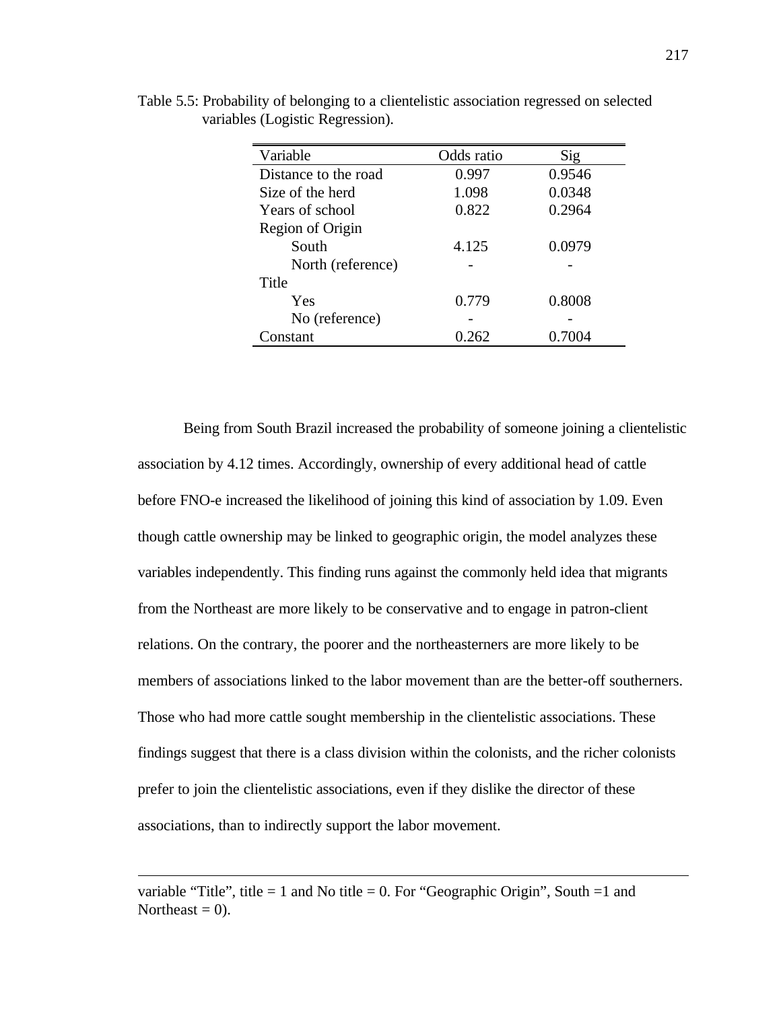| Variable             | Odds ratio | Sig    |
|----------------------|------------|--------|
| Distance to the road | 0.997      | 0.9546 |
| Size of the herd     | 1.098      | 0.0348 |
| Years of school      | 0.822      | 0.2964 |
| Region of Origin     |            |        |
| South                | 4.125      | 0.0979 |
| North (reference)    |            |        |
| Title                |            |        |
| Yes                  | 0.779      | 0.8008 |
| No (reference)       |            |        |
| Constant             | 0.262      | 0.7004 |

Table 5.5: Probability of belonging to a clientelistic association regressed on selected variables (Logistic Regression).

Being from South Brazil increased the probability of someone joining a clientelistic association by 4.12 times. Accordingly, ownership of every additional head of cattle before FNO-e increased the likelihood of joining this kind of association by 1.09. Even though cattle ownership may be linked to geographic origin, the model analyzes these variables independently. This finding runs against the commonly held idea that migrants from the Northeast are more likely to be conservative and to engage in patron-client relations. On the contrary, the poorer and the northeasterners are more likely to be members of associations linked to the labor movement than are the better-off southerners. Those who had more cattle sought membership in the clientelistic associations. These findings suggest that there is a class division within the colonists, and the richer colonists prefer to join the clientelistic associations, even if they dislike the director of these associations, than to indirectly support the labor movement.

variable "Title", title  $= 1$  and No title  $= 0$ . For "Geographic Origin", South  $= 1$  and Northeast  $= 0$ ).

 $\overline{a}$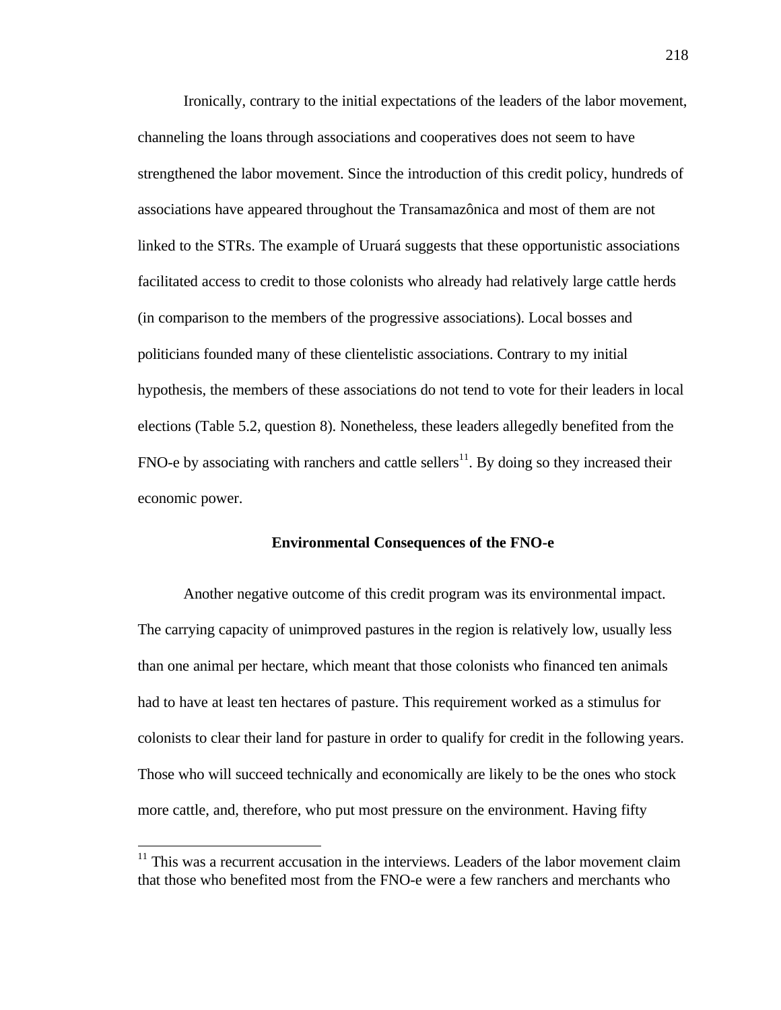Ironically, contrary to the initial expectations of the leaders of the labor movement, channeling the loans through associations and cooperatives does not seem to have strengthened the labor movement. Since the introduction of this credit policy, hundreds of associations have appeared throughout the Transamazônica and most of them are not linked to the STRs. The example of Uruará suggests that these opportunistic associations facilitated access to credit to those colonists who already had relatively large cattle herds (in comparison to the members of the progressive associations). Local bosses and politicians founded many of these clientelistic associations. Contrary to my initial hypothesis, the members of these associations do not tend to vote for their leaders in local elections (Table 5.2, question 8). Nonetheless, these leaders allegedly benefited from the FNO-e by associating with ranchers and cattle sellers<sup>11</sup>. By doing so they increased their economic power.

## **Environmental Consequences of the FNO-e**

Another negative outcome of this credit program was its environmental impact. The carrying capacity of unimproved pastures in the region is relatively low, usually less than one animal per hectare, which meant that those colonists who financed ten animals had to have at least ten hectares of pasture. This requirement worked as a stimulus for colonists to clear their land for pasture in order to qualify for credit in the following years. Those who will succeed technically and economically are likely to be the ones who stock more cattle, and, therefore, who put most pressure on the environment. Having fifty

 $\overline{a}$ 

 $11$  This was a recurrent accusation in the interviews. Leaders of the labor movement claim that those who benefited most from the FNO-e were a few ranchers and merchants who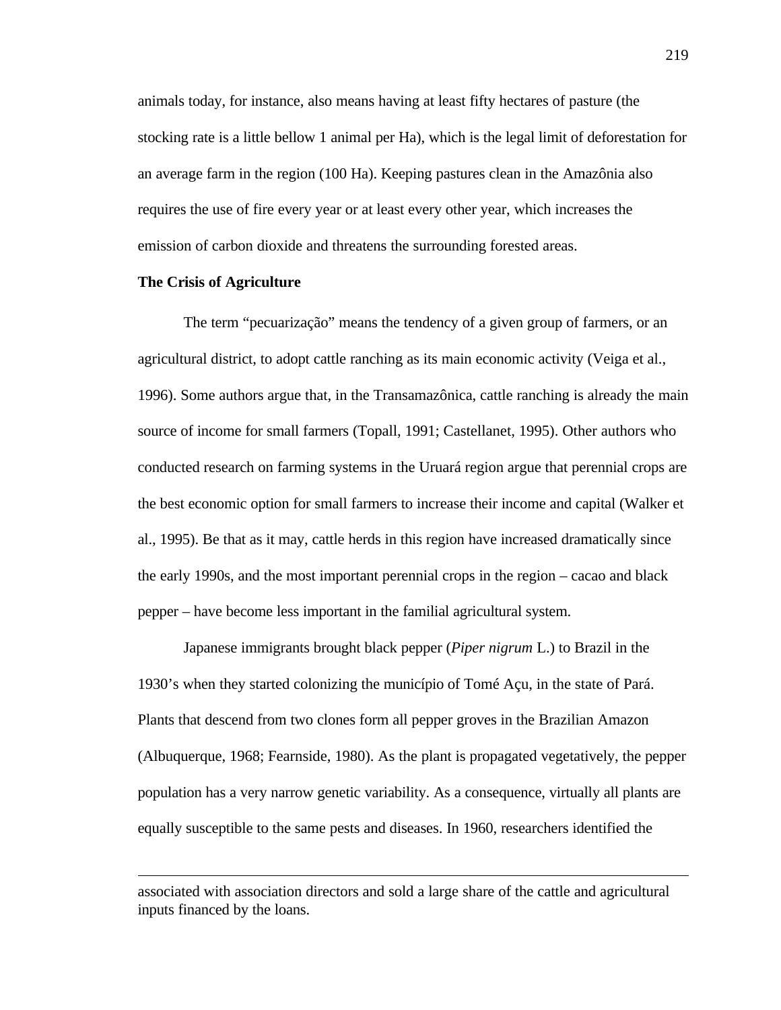animals today, for instance, also means having at least fifty hectares of pasture (the stocking rate is a little bellow 1 animal per Ha), which is the legal limit of deforestation for an average farm in the region (100 Ha). Keeping pastures clean in the Amazônia also requires the use of fire every year or at least every other year, which increases the emission of carbon dioxide and threatens the surrounding forested areas.

# **The Crisis of Agriculture**

 $\overline{a}$ 

The term "pecuarização" means the tendency of a given group of farmers, or an agricultural district, to adopt cattle ranching as its main economic activity (Veiga et al., 1996). Some authors argue that, in the Transamazônica, cattle ranching is already the main source of income for small farmers (Topall, 1991; Castellanet, 1995). Other authors who conducted research on farming systems in the Uruará region argue that perennial crops are the best economic option for small farmers to increase their income and capital (Walker et al., 1995). Be that as it may, cattle herds in this region have increased dramatically since the early 1990s, and the most important perennial crops in the region – cacao and black pepper – have become less important in the familial agricultural system.

Japanese immigrants brought black pepper (*Piper nigrum* L.) to Brazil in the 1930's when they started colonizing the município of Tomé Açu, in the state of Pará. Plants that descend from two clones form all pepper groves in the Brazilian Amazon (Albuquerque, 1968; Fearnside, 1980). As the plant is propagated vegetatively, the pepper population has a very narrow genetic variability. As a consequence, virtually all plants are equally susceptible to the same pests and diseases. In 1960, researchers identified the

associated with association directors and sold a large share of the cattle and agricultural inputs financed by the loans.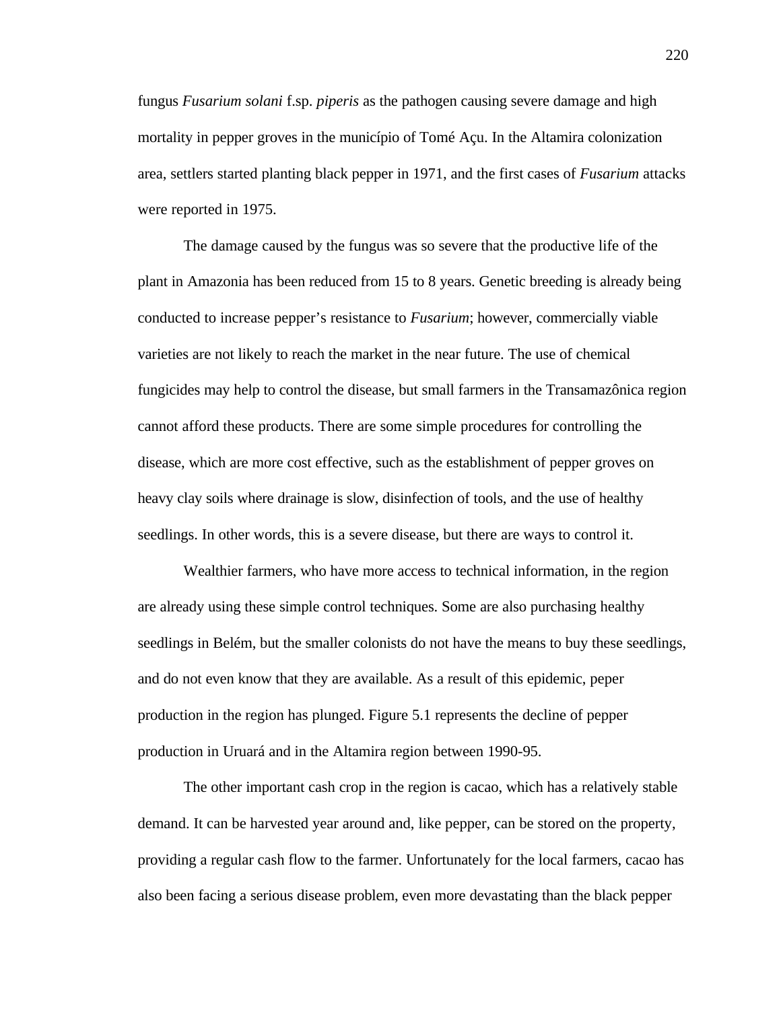fungus *Fusarium solani* f.sp. *piperis* as the pathogen causing severe damage and high mortality in pepper groves in the município of Tomé Açu. In the Altamira colonization area, settlers started planting black pepper in 1971, and the first cases of *Fusarium* attacks were reported in 1975.

The damage caused by the fungus was so severe that the productive life of the plant in Amazonia has been reduced from 15 to 8 years. Genetic breeding is already being conducted to increase pepper's resistance to *Fusarium*; however, commercially viable varieties are not likely to reach the market in the near future. The use of chemical fungicides may help to control the disease, but small farmers in the Transamazônica region cannot afford these products. There are some simple procedures for controlling the disease, which are more cost effective, such as the establishment of pepper groves on heavy clay soils where drainage is slow, disinfection of tools, and the use of healthy seedlings. In other words, this is a severe disease, but there are ways to control it.

Wealthier farmers, who have more access to technical information, in the region are already using these simple control techniques. Some are also purchasing healthy seedlings in Belém, but the smaller colonists do not have the means to buy these seedlings, and do not even know that they are available. As a result of this epidemic, peper production in the region has plunged. Figure 5.1 represents the decline of pepper production in Uruará and in the Altamira region between 1990-95.

The other important cash crop in the region is cacao, which has a relatively stable demand. It can be harvested year around and, like pepper, can be stored on the property, providing a regular cash flow to the farmer. Unfortunately for the local farmers, cacao has also been facing a serious disease problem, even more devastating than the black pepper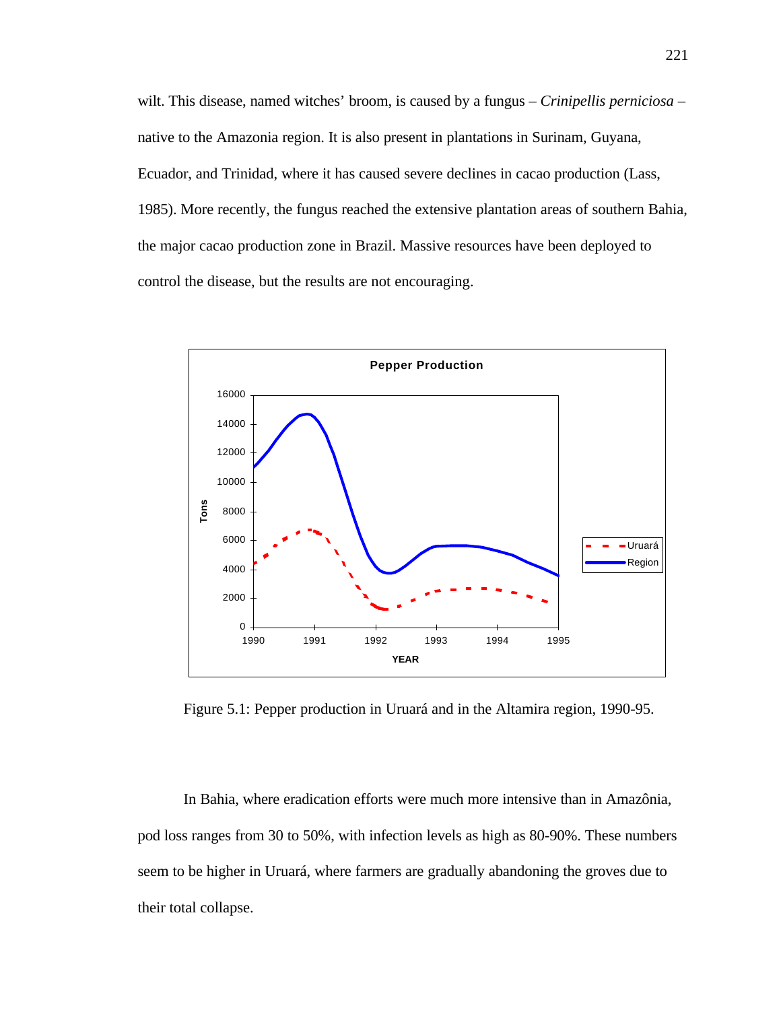wilt. This disease, named witches' broom, is caused by a fungus – *Crinipellis perniciosa* – native to the Amazonia region. It is also present in plantations in Surinam, Guyana, Ecuador, and Trinidad, where it has caused severe declines in cacao production (Lass, 1985). More recently, the fungus reached the extensive plantation areas of southern Bahia, the major cacao production zone in Brazil. Massive resources have been deployed to control the disease, but the results are not encouraging.



Figure 5.1: Pepper production in Uruará and in the Altamira region, 1990-95.

In Bahia, where eradication efforts were much more intensive than in Amazônia, pod loss ranges from 30 to 50%, with infection levels as high as 80-90%. These numbers seem to be higher in Uruará, where farmers are gradually abandoning the groves due to their total collapse.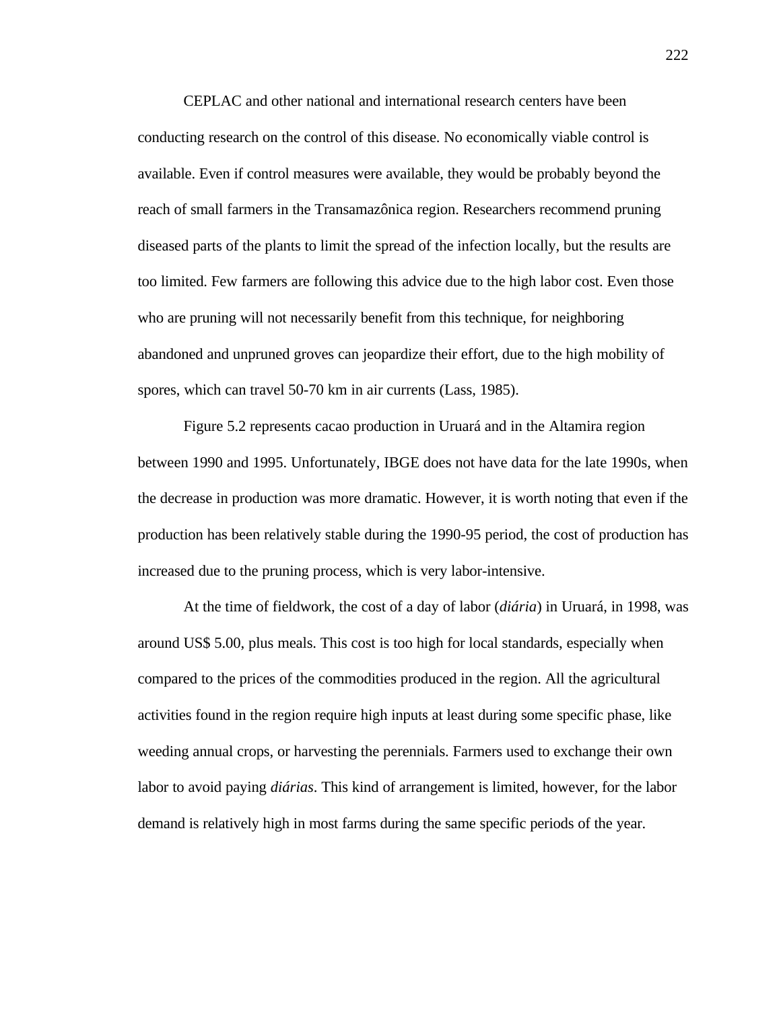CEPLAC and other national and international research centers have been conducting research on the control of this disease. No economically viable control is available. Even if control measures were available, they would be probably beyond the reach of small farmers in the Transamazônica region. Researchers recommend pruning diseased parts of the plants to limit the spread of the infection locally, but the results are too limited. Few farmers are following this advice due to the high labor cost. Even those who are pruning will not necessarily benefit from this technique, for neighboring abandoned and unpruned groves can jeopardize their effort, due to the high mobility of spores, which can travel 50-70 km in air currents (Lass, 1985).

Figure 5.2 represents cacao production in Uruará and in the Altamira region between 1990 and 1995. Unfortunately, IBGE does not have data for the late 1990s, when the decrease in production was more dramatic. However, it is worth noting that even if the production has been relatively stable during the 1990-95 period, the cost of production has increased due to the pruning process, which is very labor-intensive.

At the time of fieldwork, the cost of a day of labor (*diária*) in Uruará, in 1998, was around US\$ 5.00, plus meals. This cost is too high for local standards, especially when compared to the prices of the commodities produced in the region. All the agricultural activities found in the region require high inputs at least during some specific phase, like weeding annual crops, or harvesting the perennials. Farmers used to exchange their own labor to avoid paying *diárias*. This kind of arrangement is limited, however, for the labor demand is relatively high in most farms during the same specific periods of the year.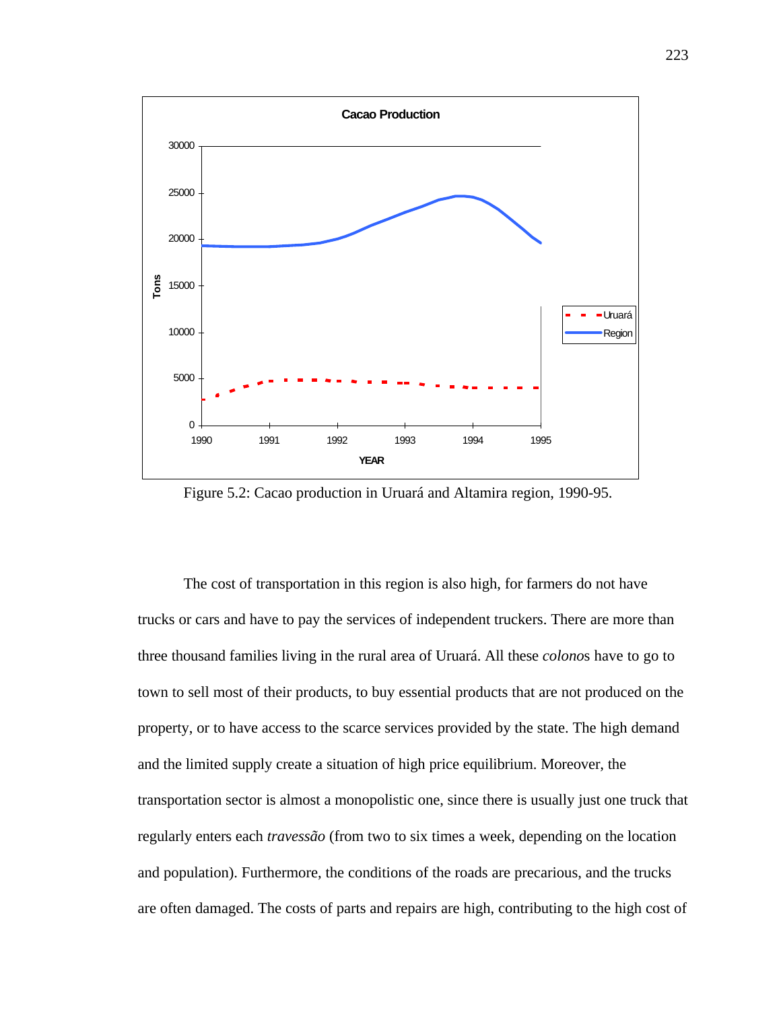

Figure 5.2: Cacao production in Uruará and Altamira region, 1990-95.

The cost of transportation in this region is also high, for farmers do not have trucks or cars and have to pay the services of independent truckers. There are more than three thousand families living in the rural area of Uruará. All these *colono*s have to go to town to sell most of their products, to buy essential products that are not produced on the property, or to have access to the scarce services provided by the state. The high demand and the limited supply create a situation of high price equilibrium. Moreover, the transportation sector is almost a monopolistic one, since there is usually just one truck that regularly enters each *travessão* (from two to six times a week, depending on the location and population). Furthermore, the conditions of the roads are precarious, and the trucks are often damaged. The costs of parts and repairs are high, contributing to the high cost of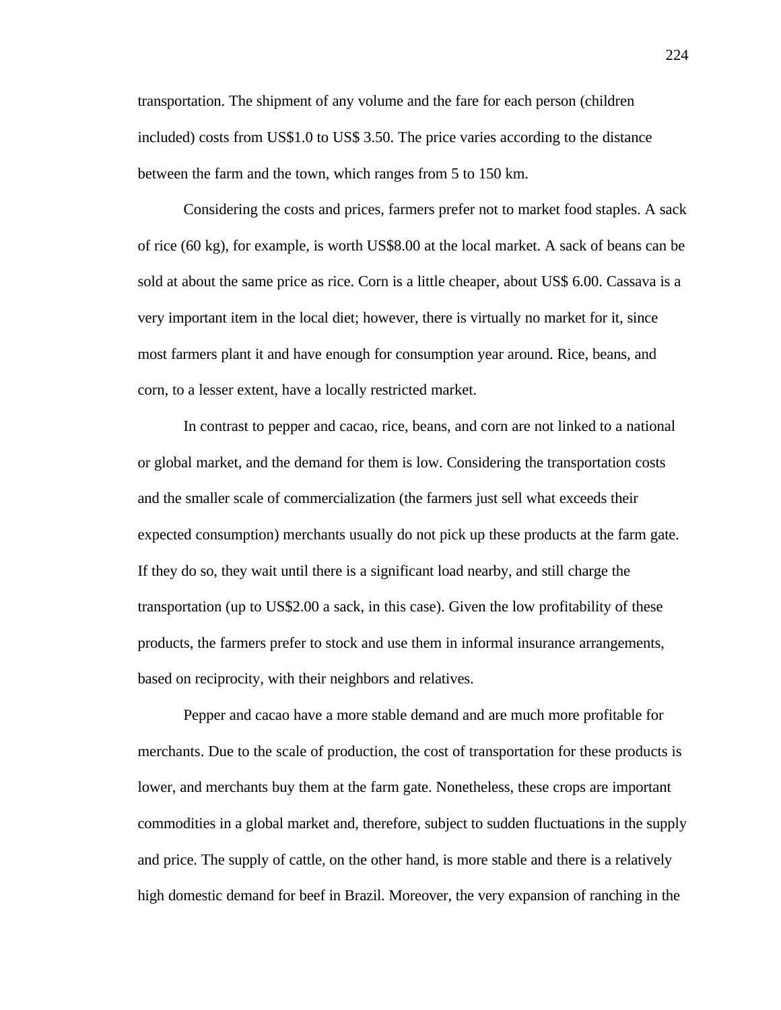transportation. The shipment of any volume and the fare for each person (children included) costs from US\$1.0 to US\$ 3.50. The price varies according to the distance between the farm and the town, which ranges from 5 to 150 km.

Considering the costs and prices, farmers prefer not to market food staples. A sack of rice (60 kg), for example, is worth US\$8.00 at the local market. A sack of beans can be sold at about the same price as rice. Corn is a little cheaper, about US\$ 6.00. Cassava is a very important item in the local diet; however, there is virtually no market for it, since most farmers plant it and have enough for consumption year around. Rice, beans, and corn, to a lesser extent, have a locally restricted market.

In contrast to pepper and cacao, rice, beans, and corn are not linked to a national or global market, and the demand for them is low. Considering the transportation costs and the smaller scale of commercialization (the farmers just sell what exceeds their expected consumption) merchants usually do not pick up these products at the farm gate. If they do so, they wait until there is a significant load nearby, and still charge the transportation (up to US\$2.00 a sack, in this case). Given the low profitability of these products, the farmers prefer to stock and use them in informal insurance arrangements, based on reciprocity, with their neighbors and relatives.

Pepper and cacao have a more stable demand and are much more profitable for merchants. Due to the scale of production, the cost of transportation for these products is lower, and merchants buy them at the farm gate. Nonetheless, these crops are important commodities in a global market and, therefore, subject to sudden fluctuations in the supply and price. The supply of cattle, on the other hand, is more stable and there is a relatively high domestic demand for beef in Brazil. Moreover, the very expansion of ranching in the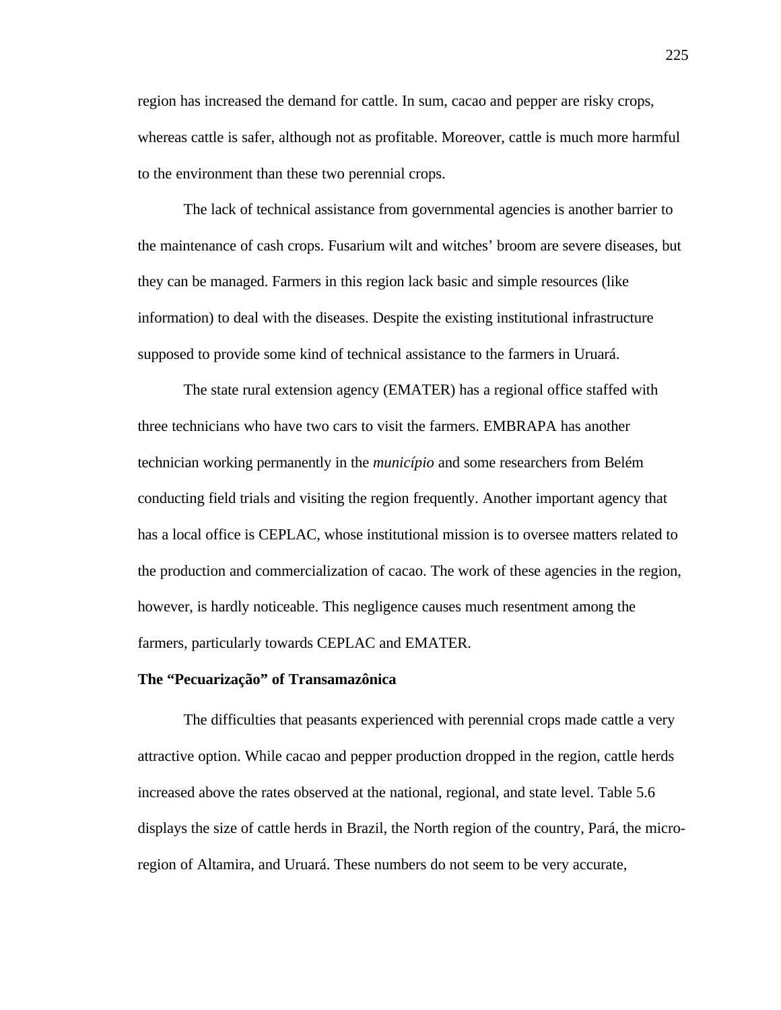region has increased the demand for cattle. In sum, cacao and pepper are risky crops, whereas cattle is safer, although not as profitable. Moreover, cattle is much more harmful to the environment than these two perennial crops.

The lack of technical assistance from governmental agencies is another barrier to the maintenance of cash crops. Fusarium wilt and witches' broom are severe diseases, but they can be managed. Farmers in this region lack basic and simple resources (like information) to deal with the diseases. Despite the existing institutional infrastructure supposed to provide some kind of technical assistance to the farmers in Uruará.

The state rural extension agency (EMATER) has a regional office staffed with three technicians who have two cars to visit the farmers. EMBRAPA has another technician working permanently in the *município* and some researchers from Belém conducting field trials and visiting the region frequently. Another important agency that has a local office is CEPLAC, whose institutional mission is to oversee matters related to the production and commercialization of cacao. The work of these agencies in the region, however, is hardly noticeable. This negligence causes much resentment among the farmers, particularly towards CEPLAC and EMATER.

## **The "Pecuarização" of Transamazônica**

The difficulties that peasants experienced with perennial crops made cattle a very attractive option. While cacao and pepper production dropped in the region, cattle herds increased above the rates observed at the national, regional, and state level. Table 5.6 displays the size of cattle herds in Brazil, the North region of the country, Pará, the microregion of Altamira, and Uruará. These numbers do not seem to be very accurate,

225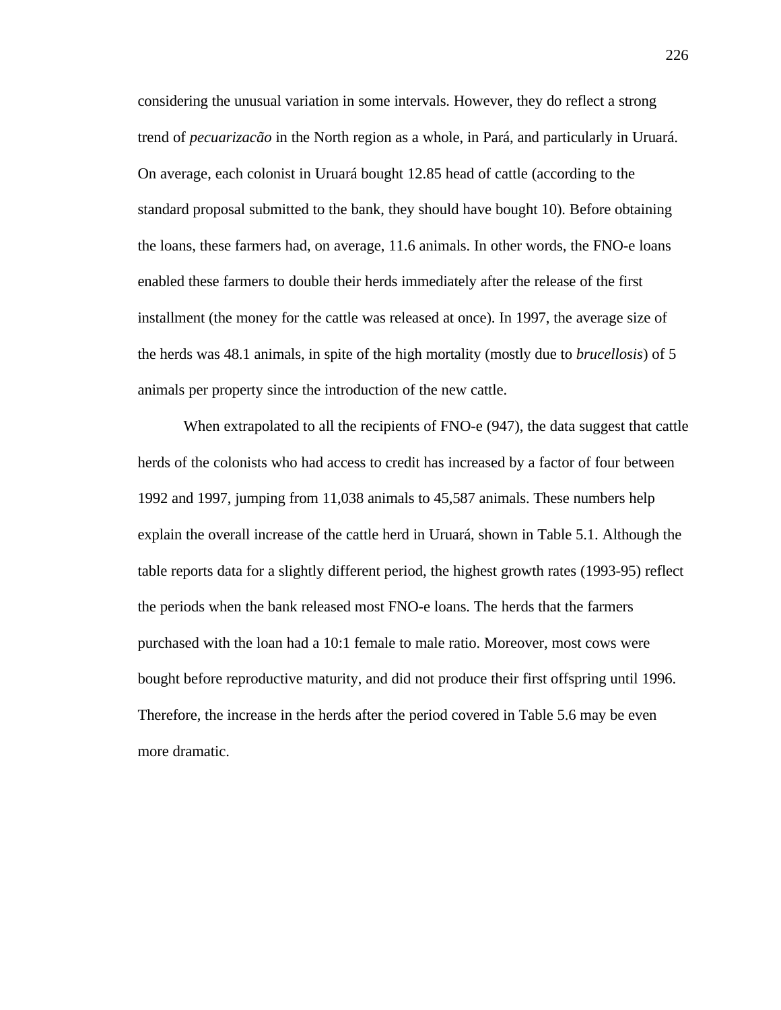considering the unusual variation in some intervals. However, they do reflect a strong trend of *pecuarizacão* in the North region as a whole, in Pará, and particularly in Uruará. On average, each colonist in Uruará bought 12.85 head of cattle (according to the standard proposal submitted to the bank, they should have bought 10). Before obtaining the loans, these farmers had, on average, 11.6 animals. In other words, the FNO-e loans enabled these farmers to double their herds immediately after the release of the first installment (the money for the cattle was released at once). In 1997, the average size of the herds was 48.1 animals, in spite of the high mortality (mostly due to *brucellosis*) of 5 animals per property since the introduction of the new cattle.

When extrapolated to all the recipients of FNO-e (947), the data suggest that cattle herds of the colonists who had access to credit has increased by a factor of four between 1992 and 1997, jumping from 11,038 animals to 45,587 animals. These numbers help explain the overall increase of the cattle herd in Uruará, shown in Table 5.1. Although the table reports data for a slightly different period, the highest growth rates (1993-95) reflect the periods when the bank released most FNO-e loans. The herds that the farmers purchased with the loan had a 10:1 female to male ratio. Moreover, most cows were bought before reproductive maturity, and did not produce their first offspring until 1996. Therefore, the increase in the herds after the period covered in Table 5.6 may be even more dramatic.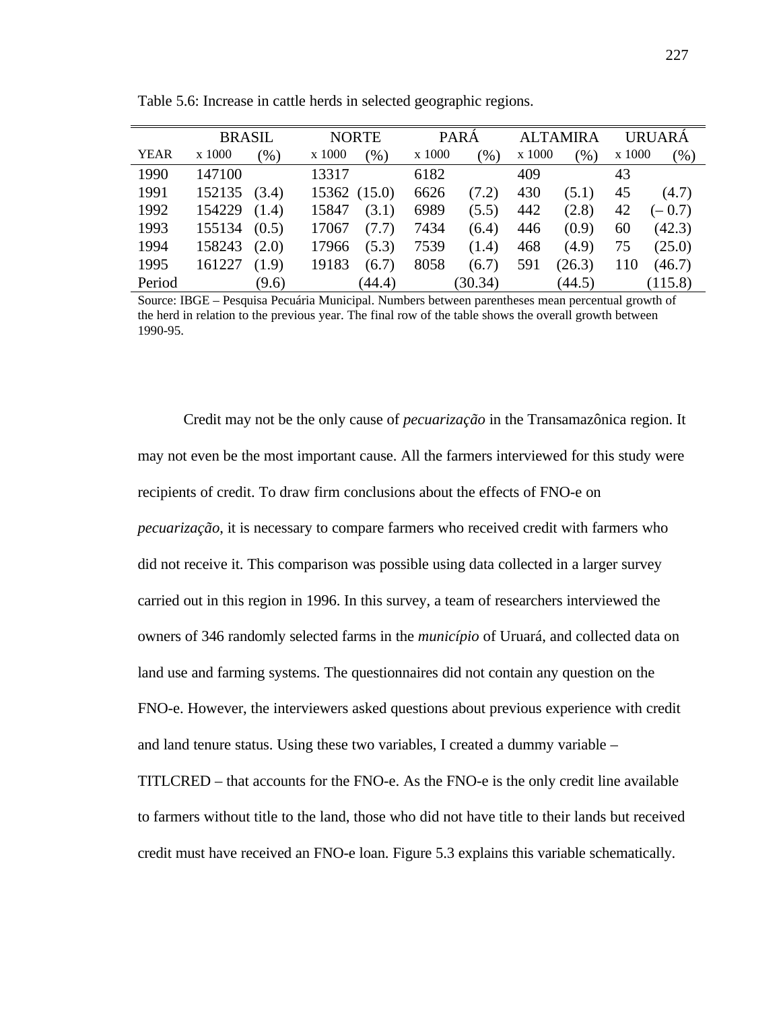|             | <b>BRASIL</b> |        |              | <b>NORTE</b> |        | <b>PARÁ</b> |        | <b>ALTAMIRA</b> |        | <b>URUARA</b> |  |
|-------------|---------------|--------|--------------|--------------|--------|-------------|--------|-----------------|--------|---------------|--|
| <b>YEAR</b> | x 1000        | $(\%)$ | x 1000       | (%)          | x 1000 | (96)        | x 1000 | $\gamma_{0}$    | x 1000 | (%)           |  |
| 1990        | 147100        |        | 13317        |              | 6182   |             | 409    |                 | 43     |               |  |
| 1991        | 152135 (3.4)  |        | 15362 (15.0) |              | 6626   | (7.2)       | 430    | (5.1)           | 45     | (4.7)         |  |
| 1992        | 154229        | (1.4)  | 15847        | (3.1)        | 6989   | (5.5)       | 442    | (2.8)           | 42     | $(-0.7)$      |  |
| 1993        | 155134        | (0.5)  | 17067        | (7.7)        | 7434   | (6.4)       | 446    | (0.9)           | 60     | (42.3)        |  |
| 1994        | 158243        | (2.0)  | 17966        | (5.3)        | 7539   | (1.4)       | 468    | (4.9)           | 75     | (25.0)        |  |
| 1995        | 161227        | (1.9)  | 19183        | (6.7)        | 8058   | (6.7)       | 591    | (26.3)          | 110    | (46.7)        |  |
| Period      |               | (9.6)  |              | (44.4)       |        | (30.34)     |        | (44.5)          |        | (115.8)       |  |

Table 5.6: Increase in cattle herds in selected geographic regions.

Source: IBGE – Pesquisa Pecuária Municipal. Numbers between parentheses mean percentual growth of the herd in relation to the previous year. The final row of the table shows the overall growth between 1990-95.

Credit may not be the only cause of *pecuarização* in the Transamazônica region. It may not even be the most important cause. All the farmers interviewed for this study were recipients of credit. To draw firm conclusions about the effects of FNO-e on *pecuarização*, it is necessary to compare farmers who received credit with farmers who did not receive it. This comparison was possible using data collected in a larger survey carried out in this region in 1996. In this survey, a team of researchers interviewed the owners of 346 randomly selected farms in the *município* of Uruará, and collected data on land use and farming systems. The questionnaires did not contain any question on the FNO-e. However, the interviewers asked questions about previous experience with credit and land tenure status. Using these two variables, I created a dummy variable –

TITLCRED – that accounts for the FNO-e. As the FNO-e is the only credit line available to farmers without title to the land, those who did not have title to their lands but received credit must have received an FNO-e loan. Figure 5.3 explains this variable schematically.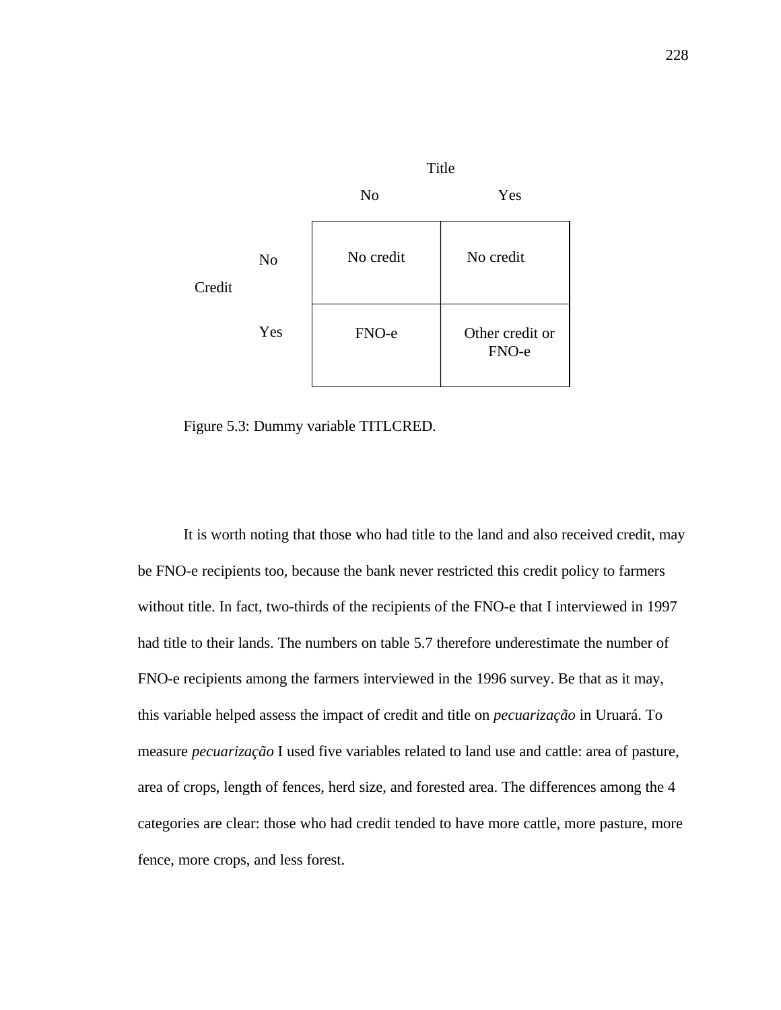

Figure 5.3: Dummy variable TITLCRED.

It is worth noting that those who had title to the land and also received credit, may be FNO-e recipients too, because the bank never restricted this credit policy to farmers without title. In fact, two-thirds of the recipients of the FNO-e that I interviewed in 1997 had title to their lands. The numbers on table 5.7 therefore underestimate the number of FNO-e recipients among the farmers interviewed in the 1996 survey. Be that as it may, this variable helped assess the impact of credit and title on *pecuarização* in Uruará. To measure *pecuarização* I used five variables related to land use and cattle: area of pasture, area of crops, length of fences, herd size, and forested area. The differences among the 4 categories are clear: those who had credit tended to have more cattle, more pasture, more fence, more crops, and less forest.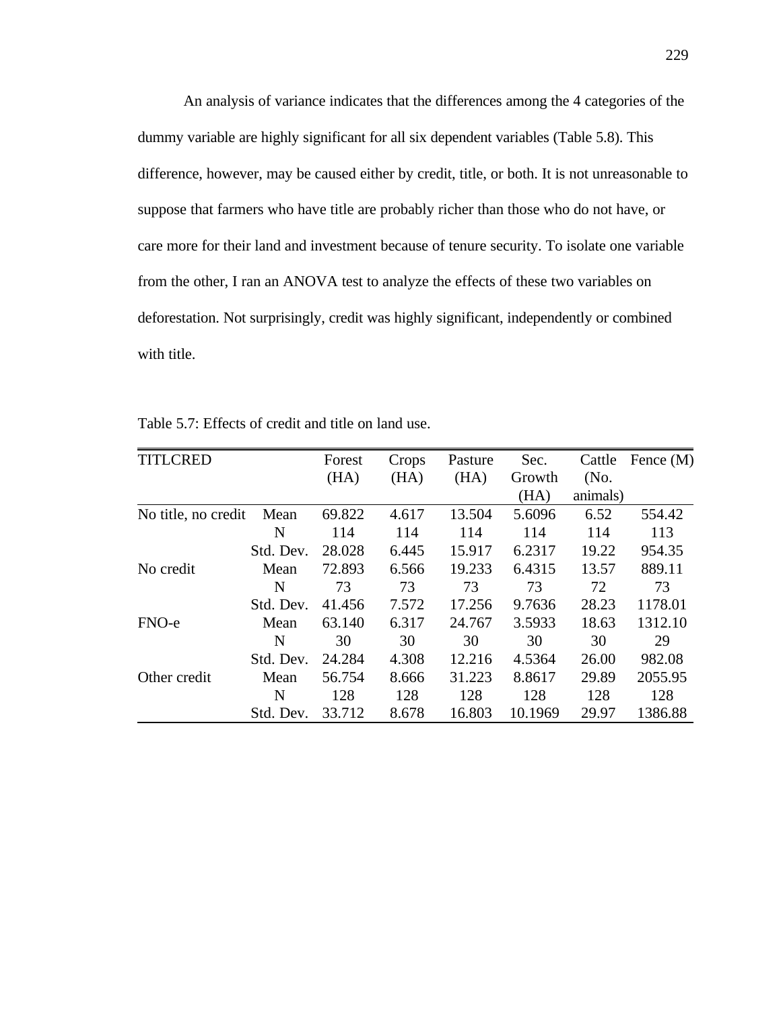An analysis of variance indicates that the differences among the 4 categories of the dummy variable are highly significant for all six dependent variables (Table 5.8). This difference, however, may be caused either by credit, title, or both. It is not unreasonable to suppose that farmers who have title are probably richer than those who do not have, or care more for their land and investment because of tenure security. To isolate one variable from the other, I ran an ANOVA test to analyze the effects of these two variables on deforestation. Not surprisingly, credit was highly significant, independently or combined with title.

| <b>TITLCRED</b>     |           | Forest | Crops | Pasture | Sec.    | Cattle   | Fence $(M)$ |
|---------------------|-----------|--------|-------|---------|---------|----------|-------------|
|                     |           | (HA)   | (HA)  | (HA)    | Growth  | (No.     |             |
|                     |           |        |       |         | (HA)    | animals) |             |
| No title, no credit | Mean      | 69.822 | 4.617 | 13.504  | 5.6096  | 6.52     | 554.42      |
|                     | N         | 114    | 114   | 114     | 114     | 114      | 113         |
|                     | Std. Dev. | 28.028 | 6.445 | 15.917  | 6.2317  | 19.22    | 954.35      |
| No credit           | Mean      | 72.893 | 6.566 | 19.233  | 6.4315  | 13.57    | 889.11      |
|                     | N         | 73     | 73    | 73      | 73      | 72       | 73          |
|                     | Std. Dev. | 41.456 | 7.572 | 17.256  | 9.7636  | 28.23    | 1178.01     |
| FNO-e               | Mean      | 63.140 | 6.317 | 24.767  | 3.5933  | 18.63    | 1312.10     |
|                     | N         | 30     | 30    | 30      | 30      | 30       | 29          |
|                     | Std. Dev. | 24.284 | 4.308 | 12.216  | 4.5364  | 26.00    | 982.08      |
| Other credit        | Mean      | 56.754 | 8.666 | 31.223  | 8.8617  | 29.89    | 2055.95     |
|                     | N         | 128    | 128   | 128     | 128     | 128      | 128         |
|                     | Std. Dev. | 33.712 | 8.678 | 16.803  | 10.1969 | 29.97    | 1386.88     |

Table 5.7: Effects of credit and title on land use.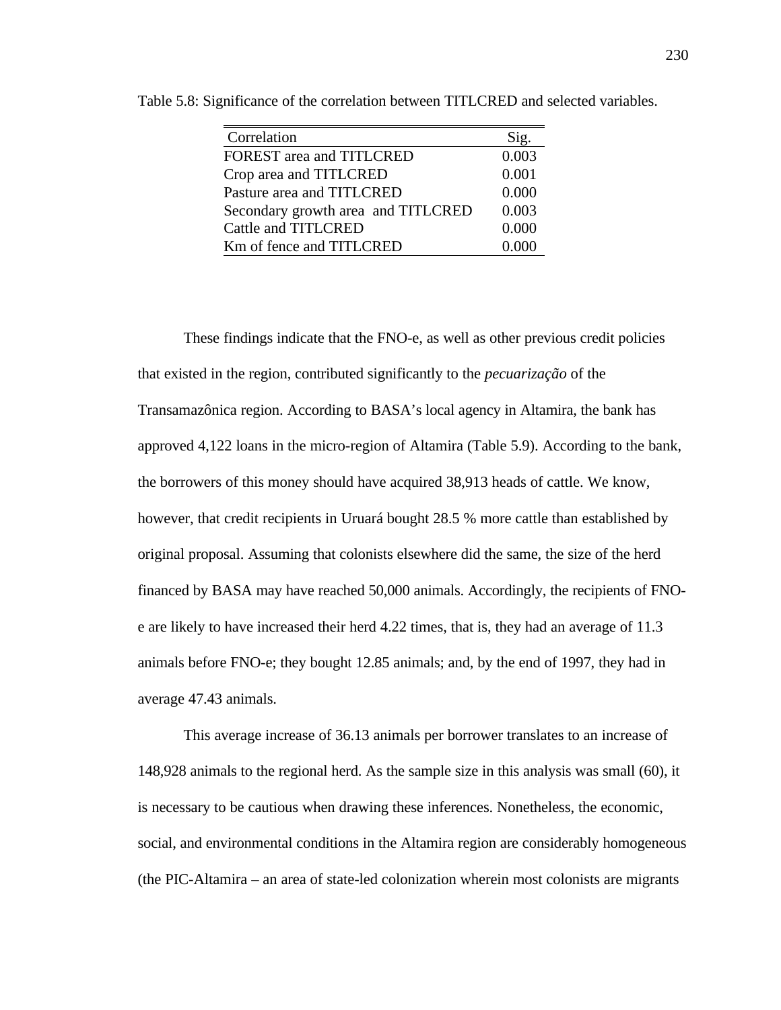| Correlation                        | Sig.  |
|------------------------------------|-------|
| FOREST area and TITLCRED           | 0.003 |
| Crop area and TITLCRED             | 0.001 |
| Pasture area and TITLCRED          | 0.000 |
| Secondary growth area and TITLCRED | 0.003 |
| Cattle and TITLCRED                | 0.000 |
| Km of fence and TITLCRED           | 0.000 |

Table 5.8: Significance of the correlation between TITLCRED and selected variables.

These findings indicate that the FNO-e, as well as other previous credit policies that existed in the region, contributed significantly to the *pecuarização* of the Transamazônica region. According to BASA's local agency in Altamira, the bank has approved 4,122 loans in the micro-region of Altamira (Table 5.9). According to the bank, the borrowers of this money should have acquired 38,913 heads of cattle. We know, however, that credit recipients in Uruará bought 28.5 % more cattle than established by original proposal. Assuming that colonists elsewhere did the same, the size of the herd financed by BASA may have reached 50,000 animals. Accordingly, the recipients of FNOe are likely to have increased their herd 4.22 times, that is, they had an average of 11.3 animals before FNO-e; they bought 12.85 animals; and, by the end of 1997, they had in average 47.43 animals.

This average increase of 36.13 animals per borrower translates to an increase of 148,928 animals to the regional herd. As the sample size in this analysis was small (60), it is necessary to be cautious when drawing these inferences. Nonetheless, the economic, social, and environmental conditions in the Altamira region are considerably homogeneous (the PIC-Altamira – an area of state-led colonization wherein most colonists are migrants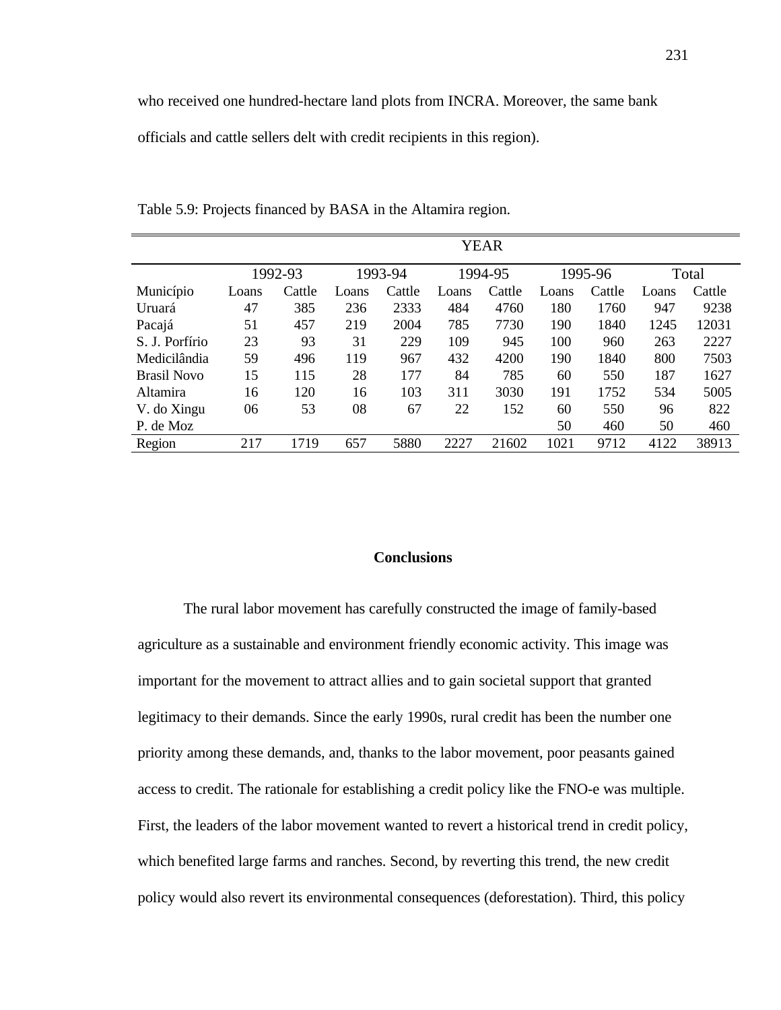who received one hundred-hectare land plots from INCRA. Moreover, the same bank

officials and cattle sellers delt with credit recipients in this region).

|                    | <b>YEAR</b> |        |         |        |         |        |         |        |       |        |
|--------------------|-------------|--------|---------|--------|---------|--------|---------|--------|-------|--------|
|                    | 1992-93     |        | 1993-94 |        | 1994-95 |        | 1995-96 |        | Total |        |
| Município          | Loans       | Cattle | Loans   | Cattle | Loans   | Cattle | Loans   | Cattle | Loans | Cattle |
| Uruará             | 47          | 385    | 236     | 2333   | 484     | 4760   | 180     | 1760   | 947   | 9238   |
| Pacajá             | 51          | 457    | 219     | 2004   | 785     | 7730   | 190     | 1840   | 1245  | 12031  |
| S. J. Porfírio     | 23          | 93     | 31      | 229    | 109     | 945    | 100     | 960    | 263   | 2227   |
| Medicilândia       | 59          | 496    | 119     | 967    | 432     | 4200   | 190     | 1840   | 800   | 7503   |
| <b>Brasil Novo</b> | 15          | 115    | 28      | 177    | 84      | 785    | 60      | 550    | 187   | 1627   |
| Altamira           | 16          | 120    | 16      | 103    | 311     | 3030   | 191     | 1752   | 534   | 5005   |
| V. do Xingu        | 06          | 53     | 08      | 67     | 22      | 152    | 60      | 550    | 96    | 822    |
| P. de Moz          |             |        |         |        |         |        | 50      | 460    | 50    | 460    |
| Region             | 217         | 1719   | 657     | 5880   | 2227    | 21602  | 1021    | 9712   | 4122  | 38913  |

Table 5.9: Projects financed by BASA in the Altamira region.

## **Conclusions**

The rural labor movement has carefully constructed the image of family-based agriculture as a sustainable and environment friendly economic activity. This image was important for the movement to attract allies and to gain societal support that granted legitimacy to their demands. Since the early 1990s, rural credit has been the number one priority among these demands, and, thanks to the labor movement, poor peasants gained access to credit. The rationale for establishing a credit policy like the FNO-e was multiple. First, the leaders of the labor movement wanted to revert a historical trend in credit policy, which benefited large farms and ranches. Second, by reverting this trend, the new credit policy would also revert its environmental consequences (deforestation). Third, this policy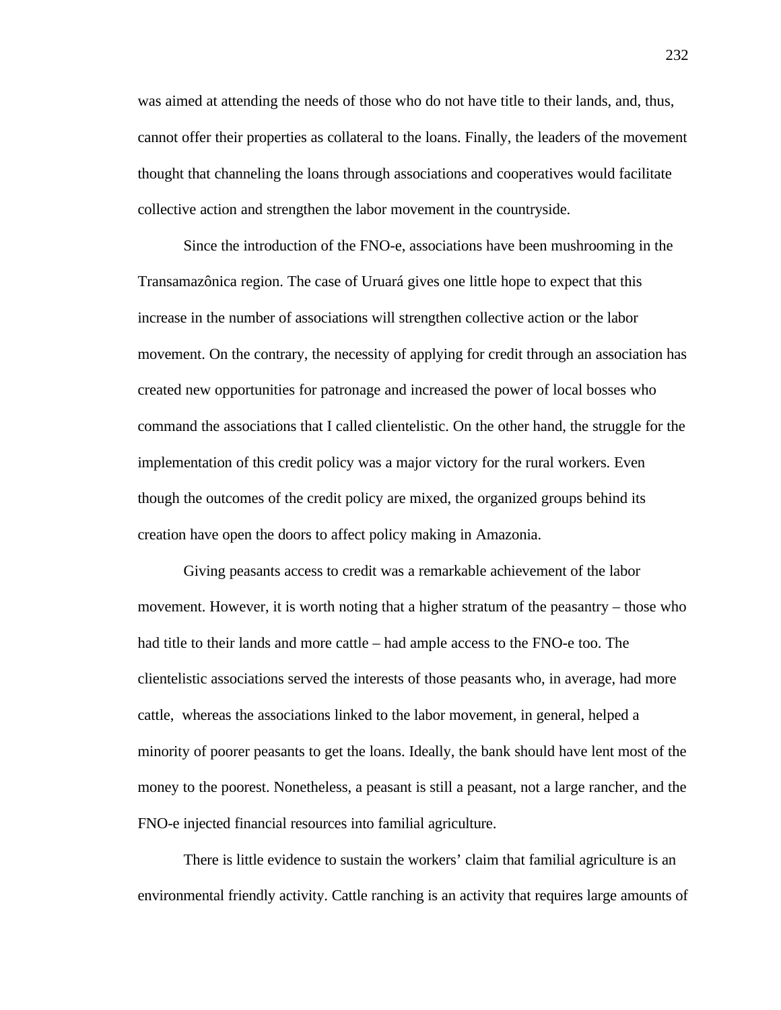was aimed at attending the needs of those who do not have title to their lands, and, thus, cannot offer their properties as collateral to the loans. Finally, the leaders of the movement thought that channeling the loans through associations and cooperatives would facilitate collective action and strengthen the labor movement in the countryside.

Since the introduction of the FNO-e, associations have been mushrooming in the Transamazônica region. The case of Uruará gives one little hope to expect that this increase in the number of associations will strengthen collective action or the labor movement. On the contrary, the necessity of applying for credit through an association has created new opportunities for patronage and increased the power of local bosses who command the associations that I called clientelistic. On the other hand, the struggle for the implementation of this credit policy was a major victory for the rural workers. Even though the outcomes of the credit policy are mixed, the organized groups behind its creation have open the doors to affect policy making in Amazonia.

Giving peasants access to credit was a remarkable achievement of the labor movement. However, it is worth noting that a higher stratum of the peasantry – those who had title to their lands and more cattle – had ample access to the FNO-e too. The clientelistic associations served the interests of those peasants who, in average, had more cattle, whereas the associations linked to the labor movement, in general, helped a minority of poorer peasants to get the loans. Ideally, the bank should have lent most of the money to the poorest. Nonetheless, a peasant is still a peasant, not a large rancher, and the FNO-e injected financial resources into familial agriculture.

There is little evidence to sustain the workers' claim that familial agriculture is an environmental friendly activity. Cattle ranching is an activity that requires large amounts of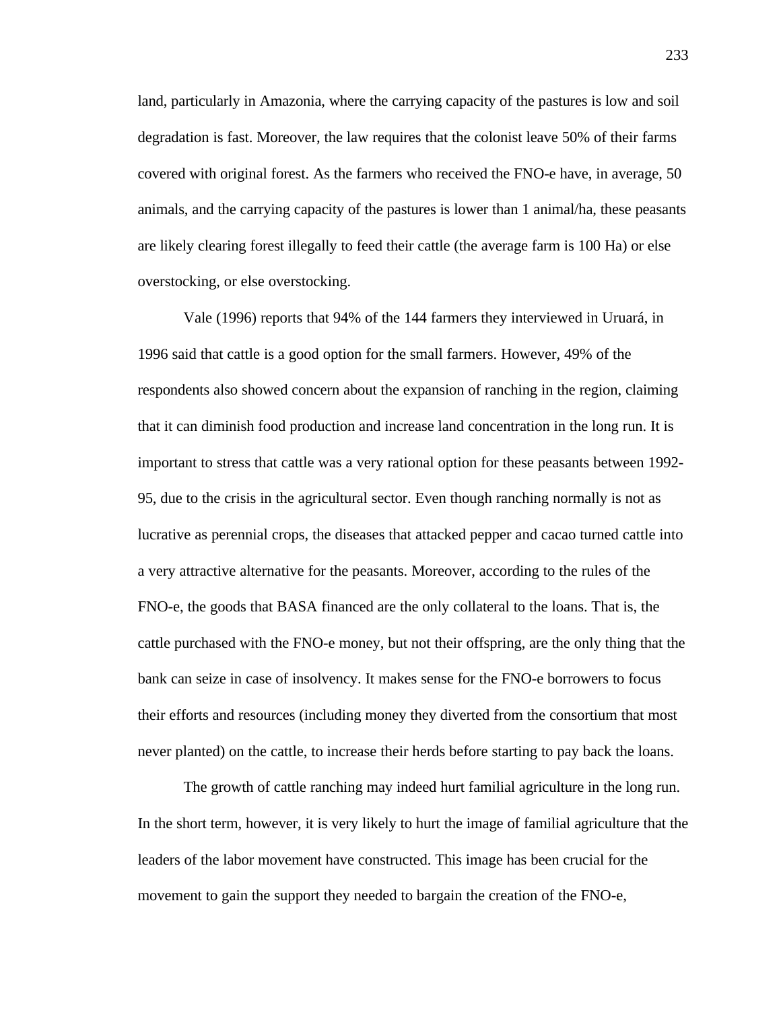land, particularly in Amazonia, where the carrying capacity of the pastures is low and soil degradation is fast. Moreover, the law requires that the colonist leave 50% of their farms covered with original forest. As the farmers who received the FNO-e have, in average, 50 animals, and the carrying capacity of the pastures is lower than 1 animal/ha, these peasants are likely clearing forest illegally to feed their cattle (the average farm is 100 Ha) or else overstocking, or else overstocking.

Vale (1996) reports that 94% of the 144 farmers they interviewed in Uruará, in 1996 said that cattle is a good option for the small farmers. However, 49% of the respondents also showed concern about the expansion of ranching in the region, claiming that it can diminish food production and increase land concentration in the long run. It is important to stress that cattle was a very rational option for these peasants between 1992- 95, due to the crisis in the agricultural sector. Even though ranching normally is not as lucrative as perennial crops, the diseases that attacked pepper and cacao turned cattle into a very attractive alternative for the peasants. Moreover, according to the rules of the FNO-e, the goods that BASA financed are the only collateral to the loans. That is, the cattle purchased with the FNO-e money, but not their offspring, are the only thing that the bank can seize in case of insolvency. It makes sense for the FNO-e borrowers to focus their efforts and resources (including money they diverted from the consortium that most never planted) on the cattle, to increase their herds before starting to pay back the loans.

The growth of cattle ranching may indeed hurt familial agriculture in the long run. In the short term, however, it is very likely to hurt the image of familial agriculture that the leaders of the labor movement have constructed. This image has been crucial for the movement to gain the support they needed to bargain the creation of the FNO-e,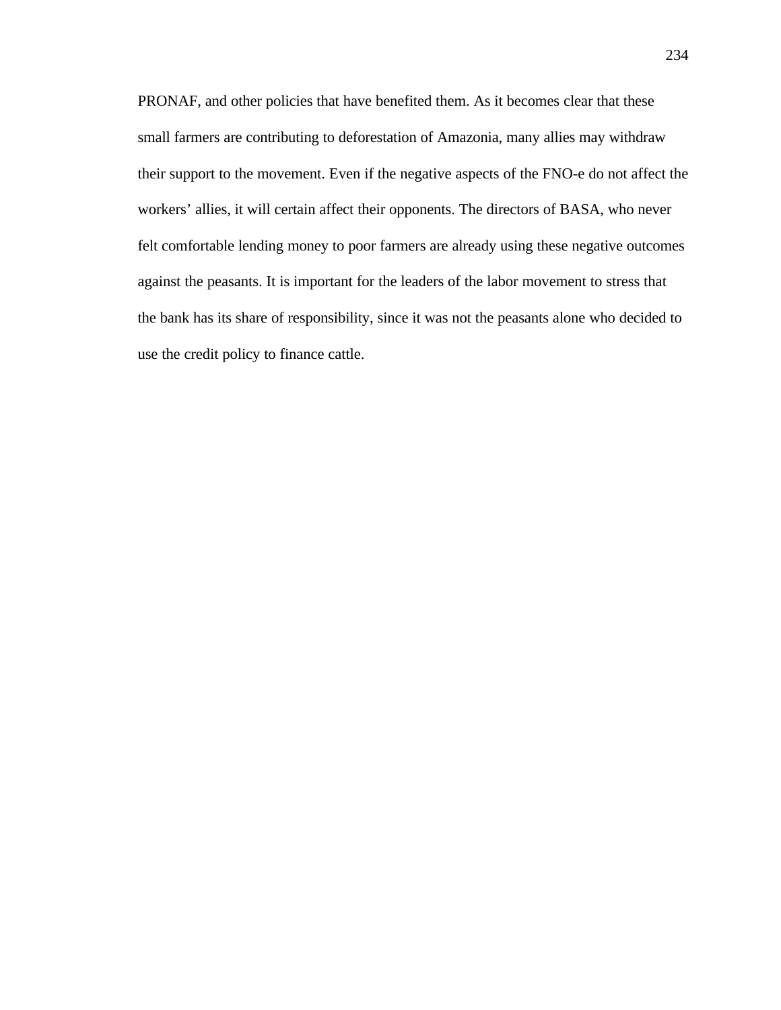PRONAF, and other policies that have benefited them. As it becomes clear that these small farmers are contributing to deforestation of Amazonia, many allies may withdraw their support to the movement. Even if the negative aspects of the FNO-e do not affect the workers' allies, it will certain affect their opponents. The directors of BASA, who never felt comfortable lending money to poor farmers are already using these negative outcomes against the peasants. It is important for the leaders of the labor movement to stress that the bank has its share of responsibility, since it was not the peasants alone who decided to use the credit policy to finance cattle.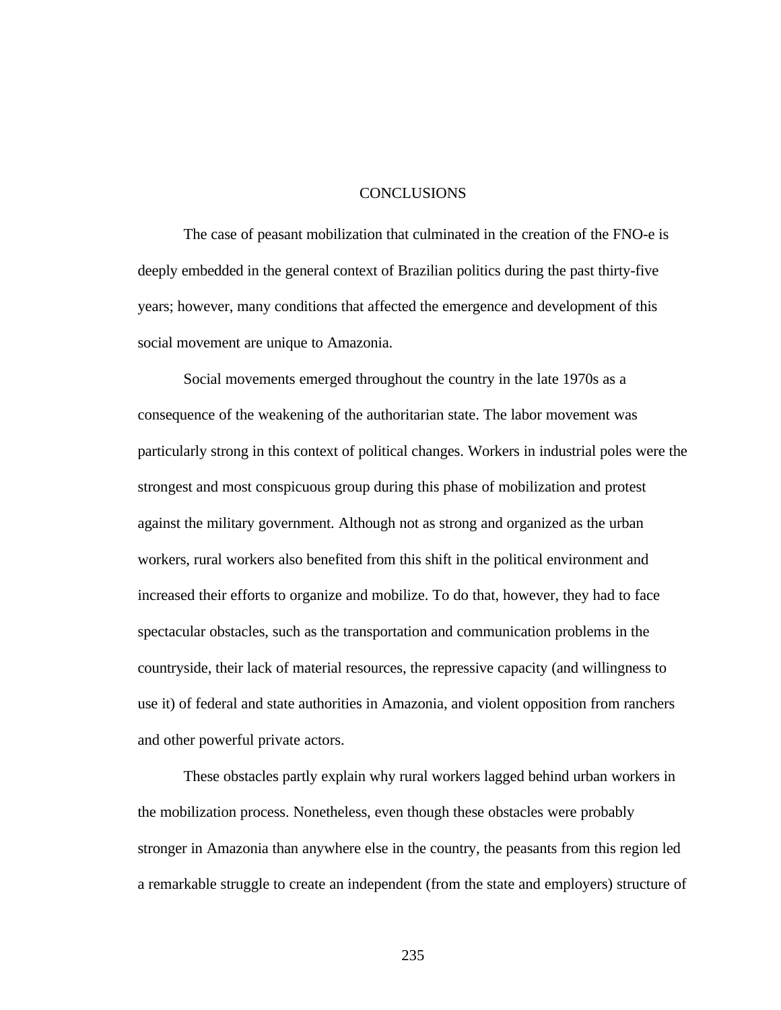## CONCLUSIONS

The case of peasant mobilization that culminated in the creation of the FNO-e is deeply embedded in the general context of Brazilian politics during the past thirty-five years; however, many conditions that affected the emergence and development of this social movement are unique to Amazonia.

Social movements emerged throughout the country in the late 1970s as a consequence of the weakening of the authoritarian state. The labor movement was particularly strong in this context of political changes. Workers in industrial poles were the strongest and most conspicuous group during this phase of mobilization and protest against the military government. Although not as strong and organized as the urban workers, rural workers also benefited from this shift in the political environment and increased their efforts to organize and mobilize. To do that, however, they had to face spectacular obstacles, such as the transportation and communication problems in the countryside, their lack of material resources, the repressive capacity (and willingness to use it) of federal and state authorities in Amazonia, and violent opposition from ranchers and other powerful private actors.

These obstacles partly explain why rural workers lagged behind urban workers in the mobilization process. Nonetheless, even though these obstacles were probably stronger in Amazonia than anywhere else in the country, the peasants from this region led a remarkable struggle to create an independent (from the state and employers) structure of

235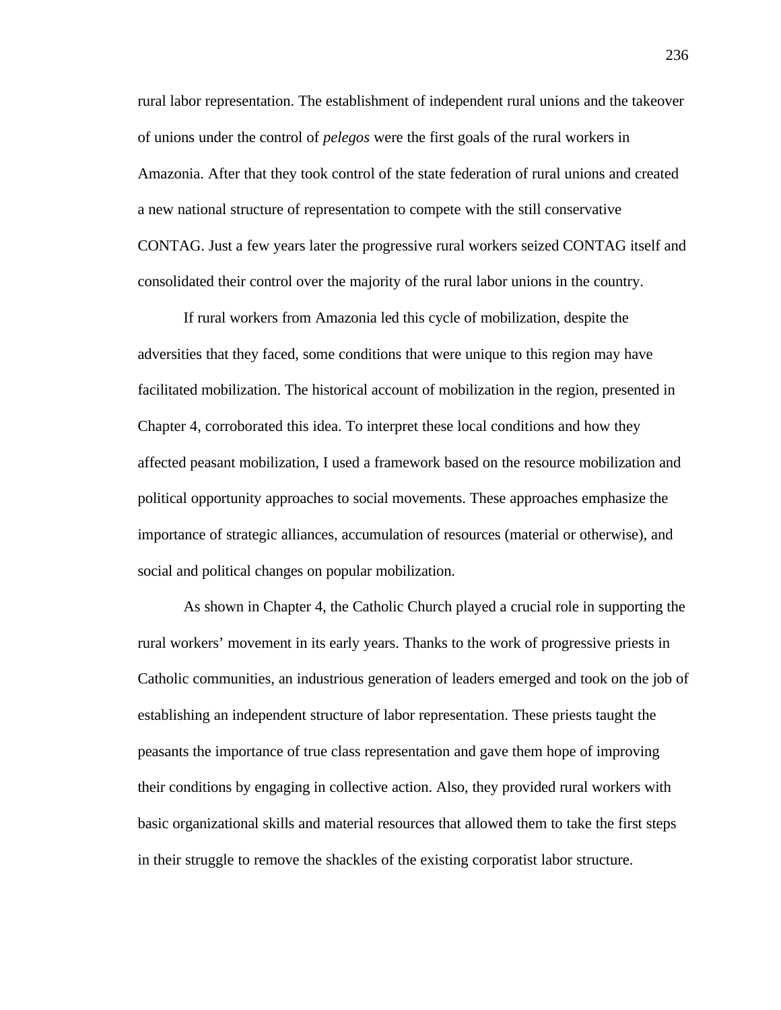rural labor representation. The establishment of independent rural unions and the takeover of unions under the control of *pelegos* were the first goals of the rural workers in Amazonia. After that they took control of the state federation of rural unions and created a new national structure of representation to compete with the still conservative CONTAG. Just a few years later the progressive rural workers seized CONTAG itself and consolidated their control over the majority of the rural labor unions in the country.

If rural workers from Amazonia led this cycle of mobilization, despite the adversities that they faced, some conditions that were unique to this region may have facilitated mobilization. The historical account of mobilization in the region, presented in Chapter 4, corroborated this idea. To interpret these local conditions and how they affected peasant mobilization, I used a framework based on the resource mobilization and political opportunity approaches to social movements. These approaches emphasize the importance of strategic alliances, accumulation of resources (material or otherwise), and social and political changes on popular mobilization.

As shown in Chapter 4, the Catholic Church played a crucial role in supporting the rural workers' movement in its early years. Thanks to the work of progressive priests in Catholic communities, an industrious generation of leaders emerged and took on the job of establishing an independent structure of labor representation. These priests taught the peasants the importance of true class representation and gave them hope of improving their conditions by engaging in collective action. Also, they provided rural workers with basic organizational skills and material resources that allowed them to take the first steps in their struggle to remove the shackles of the existing corporatist labor structure.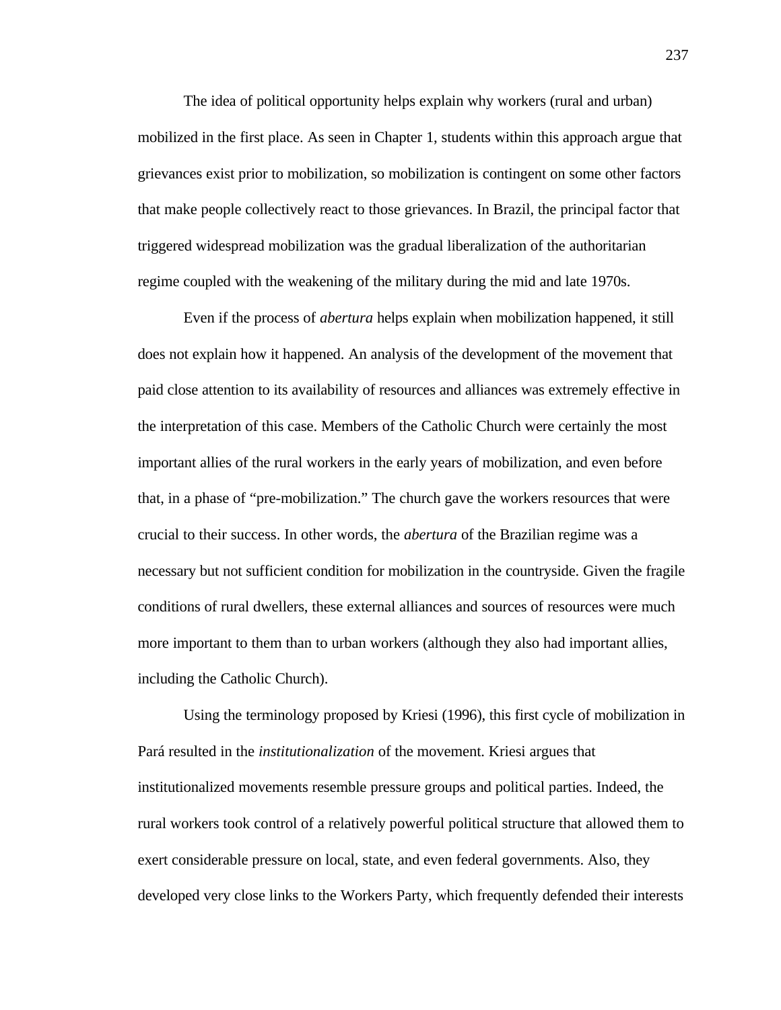The idea of political opportunity helps explain why workers (rural and urban) mobilized in the first place. As seen in Chapter 1, students within this approach argue that grievances exist prior to mobilization, so mobilization is contingent on some other factors that make people collectively react to those grievances. In Brazil, the principal factor that triggered widespread mobilization was the gradual liberalization of the authoritarian regime coupled with the weakening of the military during the mid and late 1970s.

Even if the process of *abertura* helps explain when mobilization happened, it still does not explain how it happened. An analysis of the development of the movement that paid close attention to its availability of resources and alliances was extremely effective in the interpretation of this case. Members of the Catholic Church were certainly the most important allies of the rural workers in the early years of mobilization, and even before that, in a phase of "pre-mobilization." The church gave the workers resources that were crucial to their success. In other words, the *abertura* of the Brazilian regime was a necessary but not sufficient condition for mobilization in the countryside. Given the fragile conditions of rural dwellers, these external alliances and sources of resources were much more important to them than to urban workers (although they also had important allies, including the Catholic Church).

Using the terminology proposed by Kriesi (1996), this first cycle of mobilization in Pará resulted in the *institutionalization* of the movement. Kriesi argues that institutionalized movements resemble pressure groups and political parties. Indeed, the rural workers took control of a relatively powerful political structure that allowed them to exert considerable pressure on local, state, and even federal governments. Also, they developed very close links to the Workers Party, which frequently defended their interests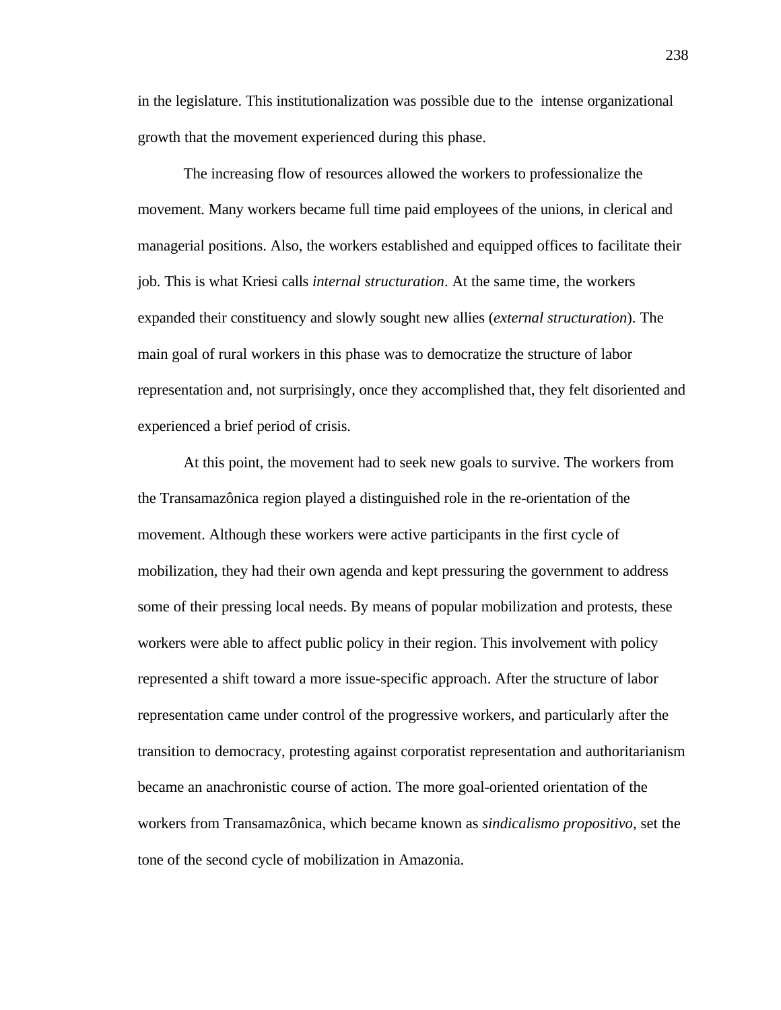in the legislature. This institutionalization was possible due to the intense organizational growth that the movement experienced during this phase.

The increasing flow of resources allowed the workers to professionalize the movement. Many workers became full time paid employees of the unions, in clerical and managerial positions. Also, the workers established and equipped offices to facilitate their job. This is what Kriesi calls *internal structuration*. At the same time, the workers expanded their constituency and slowly sought new allies (*external structuration*). The main goal of rural workers in this phase was to democratize the structure of labor representation and, not surprisingly, once they accomplished that, they felt disoriented and experienced a brief period of crisis.

At this point, the movement had to seek new goals to survive. The workers from the Transamazônica region played a distinguished role in the re-orientation of the movement. Although these workers were active participants in the first cycle of mobilization, they had their own agenda and kept pressuring the government to address some of their pressing local needs. By means of popular mobilization and protests, these workers were able to affect public policy in their region. This involvement with policy represented a shift toward a more issue-specific approach. After the structure of labor representation came under control of the progressive workers, and particularly after the transition to democracy, protesting against corporatist representation and authoritarianism became an anachronistic course of action. The more goal-oriented orientation of the workers from Transamazônica, which became known as *sindicalismo propositivo*, set the tone of the second cycle of mobilization in Amazonia.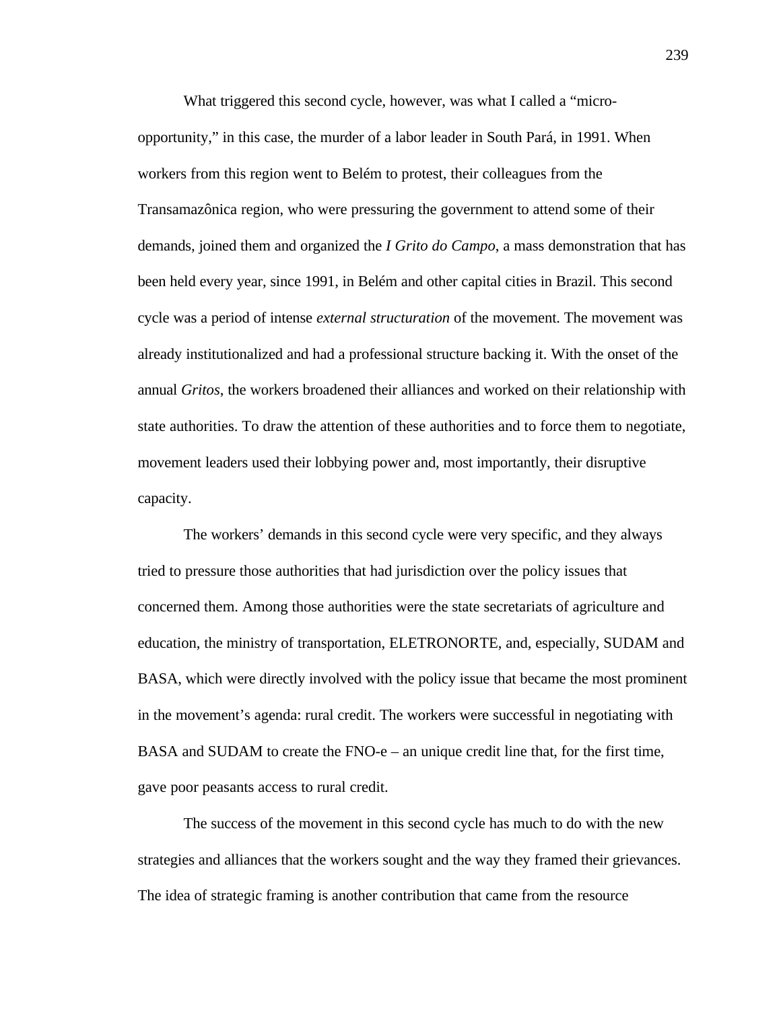What triggered this second cycle, however, was what I called a "microopportunity," in this case, the murder of a labor leader in South Pará, in 1991. When workers from this region went to Belém to protest, their colleagues from the Transamazônica region, who were pressuring the government to attend some of their demands, joined them and organized the *I Grito do Campo*, a mass demonstration that has been held every year, since 1991, in Belém and other capital cities in Brazil. This second cycle was a period of intense *external structuration* of the movement. The movement was already institutionalized and had a professional structure backing it. With the onset of the annual *Gritos*, the workers broadened their alliances and worked on their relationship with state authorities. To draw the attention of these authorities and to force them to negotiate, movement leaders used their lobbying power and, most importantly, their disruptive capacity.

The workers' demands in this second cycle were very specific, and they always tried to pressure those authorities that had jurisdiction over the policy issues that concerned them. Among those authorities were the state secretariats of agriculture and education, the ministry of transportation, ELETRONORTE, and, especially, SUDAM and BASA, which were directly involved with the policy issue that became the most prominent in the movement's agenda: rural credit. The workers were successful in negotiating with BASA and SUDAM to create the FNO-e – an unique credit line that, for the first time, gave poor peasants access to rural credit.

The success of the movement in this second cycle has much to do with the new strategies and alliances that the workers sought and the way they framed their grievances. The idea of strategic framing is another contribution that came from the resource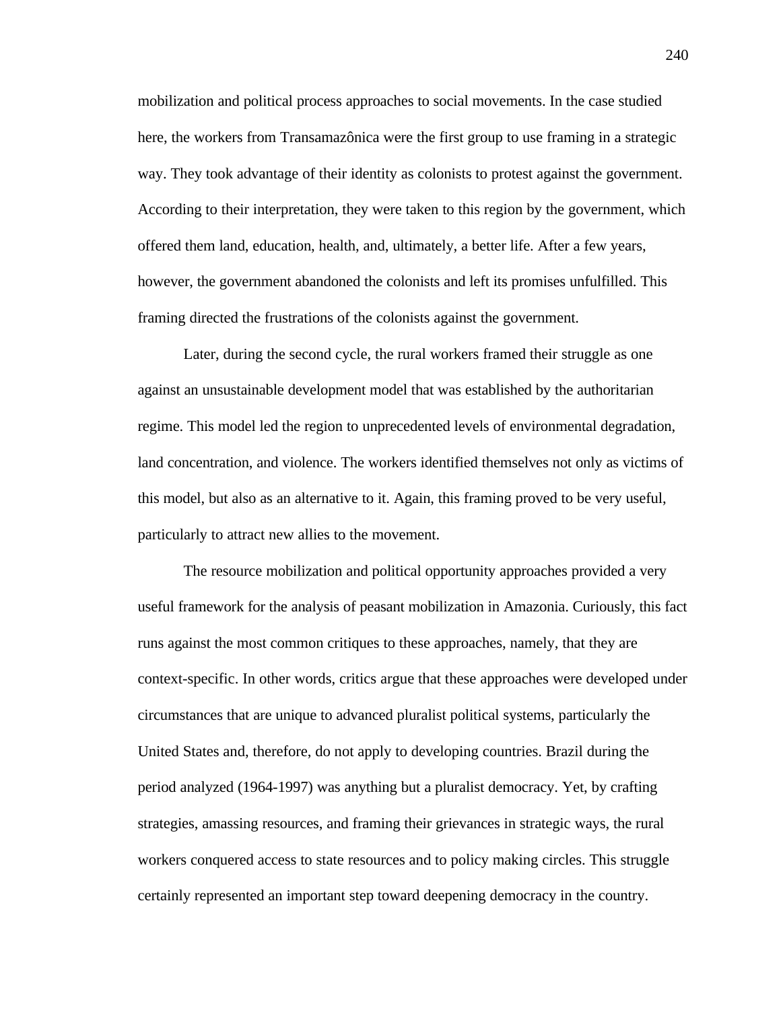mobilization and political process approaches to social movements. In the case studied here, the workers from Transamazônica were the first group to use framing in a strategic way. They took advantage of their identity as colonists to protest against the government. According to their interpretation, they were taken to this region by the government, which offered them land, education, health, and, ultimately, a better life. After a few years, however, the government abandoned the colonists and left its promises unfulfilled. This framing directed the frustrations of the colonists against the government.

Later, during the second cycle, the rural workers framed their struggle as one against an unsustainable development model that was established by the authoritarian regime. This model led the region to unprecedented levels of environmental degradation, land concentration, and violence. The workers identified themselves not only as victims of this model, but also as an alternative to it. Again, this framing proved to be very useful, particularly to attract new allies to the movement.

The resource mobilization and political opportunity approaches provided a very useful framework for the analysis of peasant mobilization in Amazonia. Curiously, this fact runs against the most common critiques to these approaches, namely, that they are context-specific. In other words, critics argue that these approaches were developed under circumstances that are unique to advanced pluralist political systems, particularly the United States and, therefore, do not apply to developing countries. Brazil during the period analyzed (1964-1997) was anything but a pluralist democracy. Yet, by crafting strategies, amassing resources, and framing their grievances in strategic ways, the rural workers conquered access to state resources and to policy making circles. This struggle certainly represented an important step toward deepening democracy in the country.

240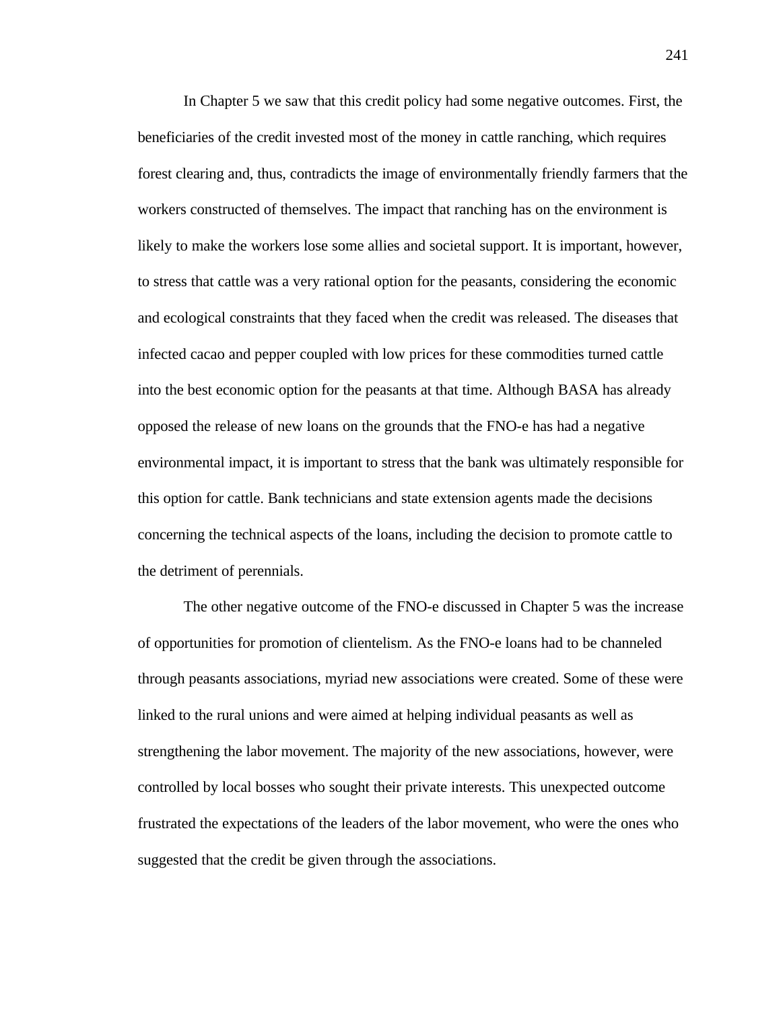In Chapter 5 we saw that this credit policy had some negative outcomes. First, the beneficiaries of the credit invested most of the money in cattle ranching, which requires forest clearing and, thus, contradicts the image of environmentally friendly farmers that the workers constructed of themselves. The impact that ranching has on the environment is likely to make the workers lose some allies and societal support. It is important, however, to stress that cattle was a very rational option for the peasants, considering the economic and ecological constraints that they faced when the credit was released. The diseases that infected cacao and pepper coupled with low prices for these commodities turned cattle into the best economic option for the peasants at that time. Although BASA has already opposed the release of new loans on the grounds that the FNO-e has had a negative environmental impact, it is important to stress that the bank was ultimately responsible for this option for cattle. Bank technicians and state extension agents made the decisions concerning the technical aspects of the loans, including the decision to promote cattle to the detriment of perennials.

The other negative outcome of the FNO-e discussed in Chapter 5 was the increase of opportunities for promotion of clientelism. As the FNO-e loans had to be channeled through peasants associations, myriad new associations were created. Some of these were linked to the rural unions and were aimed at helping individual peasants as well as strengthening the labor movement. The majority of the new associations, however, were controlled by local bosses who sought their private interests. This unexpected outcome frustrated the expectations of the leaders of the labor movement, who were the ones who suggested that the credit be given through the associations.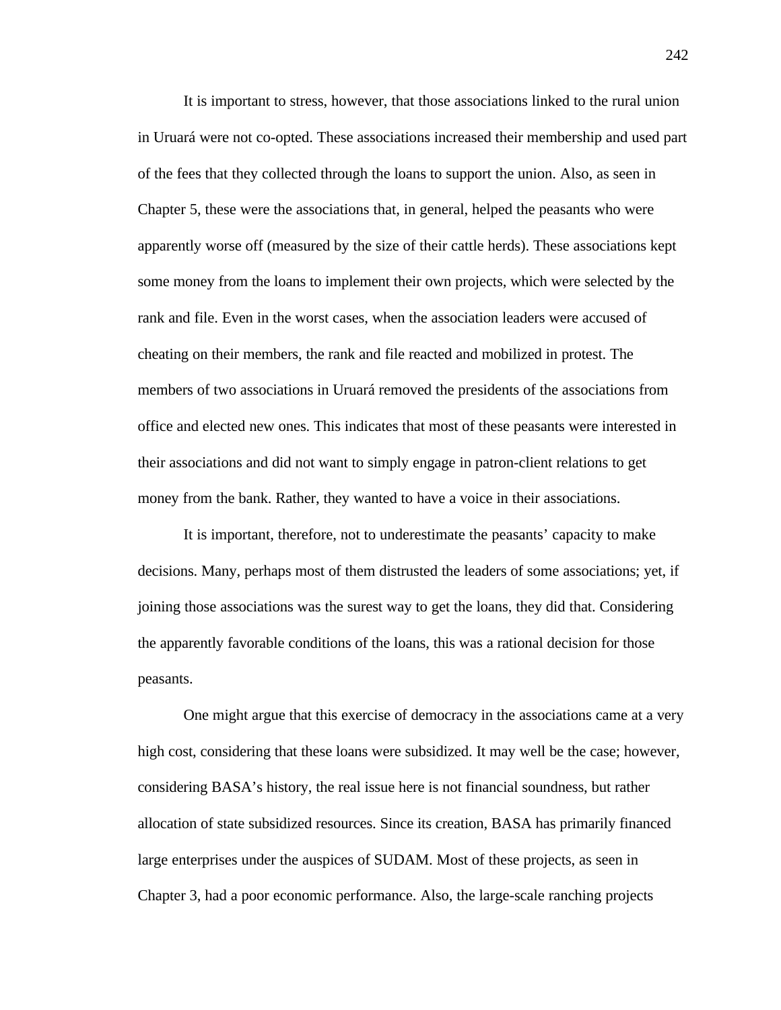It is important to stress, however, that those associations linked to the rural union in Uruará were not co-opted. These associations increased their membership and used part of the fees that they collected through the loans to support the union. Also, as seen in Chapter 5, these were the associations that, in general, helped the peasants who were apparently worse off (measured by the size of their cattle herds). These associations kept some money from the loans to implement their own projects, which were selected by the rank and file. Even in the worst cases, when the association leaders were accused of cheating on their members, the rank and file reacted and mobilized in protest. The members of two associations in Uruará removed the presidents of the associations from office and elected new ones. This indicates that most of these peasants were interested in their associations and did not want to simply engage in patron-client relations to get money from the bank. Rather, they wanted to have a voice in their associations.

It is important, therefore, not to underestimate the peasants' capacity to make decisions. Many, perhaps most of them distrusted the leaders of some associations; yet, if joining those associations was the surest way to get the loans, they did that. Considering the apparently favorable conditions of the loans, this was a rational decision for those peasants.

One might argue that this exercise of democracy in the associations came at a very high cost, considering that these loans were subsidized. It may well be the case; however, considering BASA's history, the real issue here is not financial soundness, but rather allocation of state subsidized resources. Since its creation, BASA has primarily financed large enterprises under the auspices of SUDAM. Most of these projects, as seen in Chapter 3, had a poor economic performance. Also, the large-scale ranching projects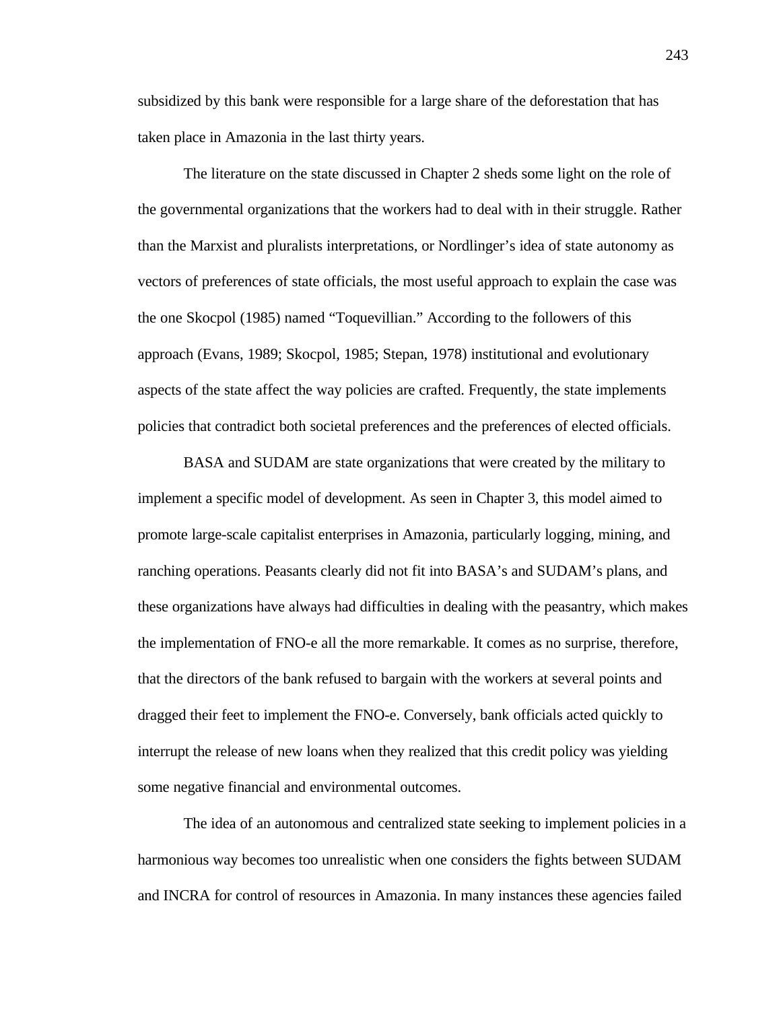subsidized by this bank were responsible for a large share of the deforestation that has taken place in Amazonia in the last thirty years.

The literature on the state discussed in Chapter 2 sheds some light on the role of the governmental organizations that the workers had to deal with in their struggle. Rather than the Marxist and pluralists interpretations, or Nordlinger's idea of state autonomy as vectors of preferences of state officials, the most useful approach to explain the case was the one Skocpol (1985) named "Toquevillian." According to the followers of this approach (Evans, 1989; Skocpol, 1985; Stepan, 1978) institutional and evolutionary aspects of the state affect the way policies are crafted. Frequently, the state implements policies that contradict both societal preferences and the preferences of elected officials.

BASA and SUDAM are state organizations that were created by the military to implement a specific model of development. As seen in Chapter 3, this model aimed to promote large-scale capitalist enterprises in Amazonia, particularly logging, mining, and ranching operations. Peasants clearly did not fit into BASA's and SUDAM's plans, and these organizations have always had difficulties in dealing with the peasantry, which makes the implementation of FNO-e all the more remarkable. It comes as no surprise, therefore, that the directors of the bank refused to bargain with the workers at several points and dragged their feet to implement the FNO-e. Conversely, bank officials acted quickly to interrupt the release of new loans when they realized that this credit policy was yielding some negative financial and environmental outcomes.

The idea of an autonomous and centralized state seeking to implement policies in a harmonious way becomes too unrealistic when one considers the fights between SUDAM and INCRA for control of resources in Amazonia. In many instances these agencies failed

243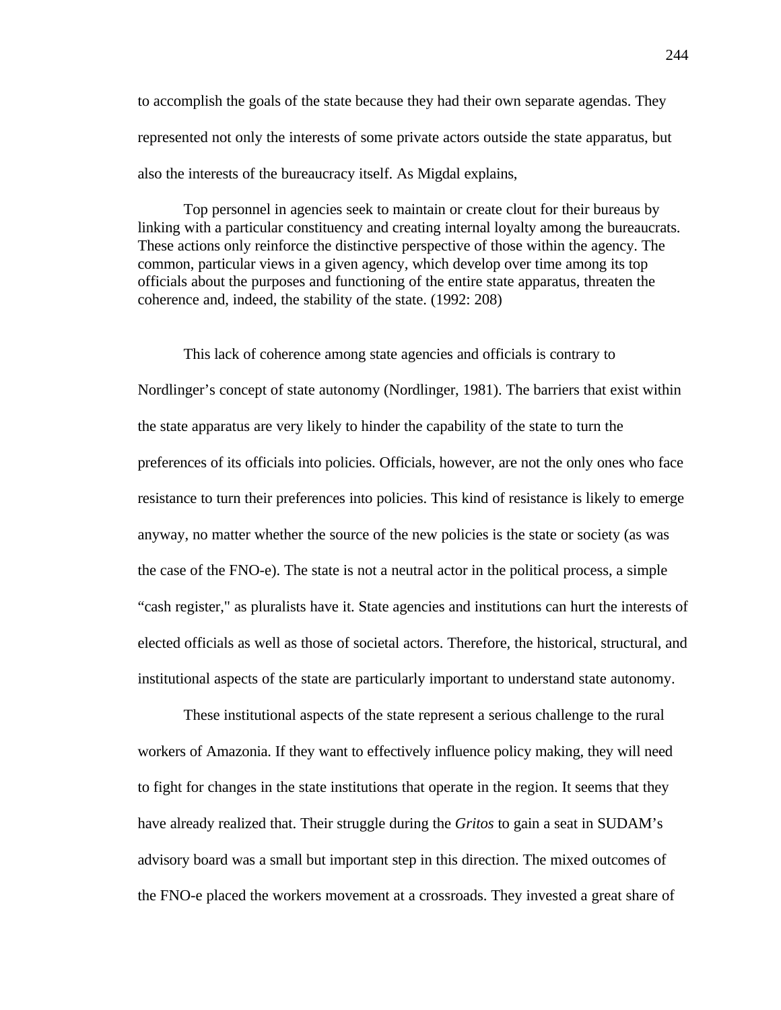to accomplish the goals of the state because they had their own separate agendas. They represented not only the interests of some private actors outside the state apparatus, but also the interests of the bureaucracy itself. As Migdal explains,

Top personnel in agencies seek to maintain or create clout for their bureaus by linking with a particular constituency and creating internal loyalty among the bureaucrats. These actions only reinforce the distinctive perspective of those within the agency. The common, particular views in a given agency, which develop over time among its top officials about the purposes and functioning of the entire state apparatus, threaten the coherence and, indeed, the stability of the state. (1992: 208)

This lack of coherence among state agencies and officials is contrary to Nordlinger's concept of state autonomy (Nordlinger, 1981). The barriers that exist within the state apparatus are very likely to hinder the capability of the state to turn the preferences of its officials into policies. Officials, however, are not the only ones who face resistance to turn their preferences into policies. This kind of resistance is likely to emerge anyway, no matter whether the source of the new policies is the state or society (as was the case of the FNO-e). The state is not a neutral actor in the political process, a simple "cash register," as pluralists have it. State agencies and institutions can hurt the interests of elected officials as well as those of societal actors. Therefore, the historical, structural, and institutional aspects of the state are particularly important to understand state autonomy.

These institutional aspects of the state represent a serious challenge to the rural workers of Amazonia. If they want to effectively influence policy making, they will need to fight for changes in the state institutions that operate in the region. It seems that they have already realized that. Their struggle during the *Gritos* to gain a seat in SUDAM's advisory board was a small but important step in this direction. The mixed outcomes of the FNO-e placed the workers movement at a crossroads. They invested a great share of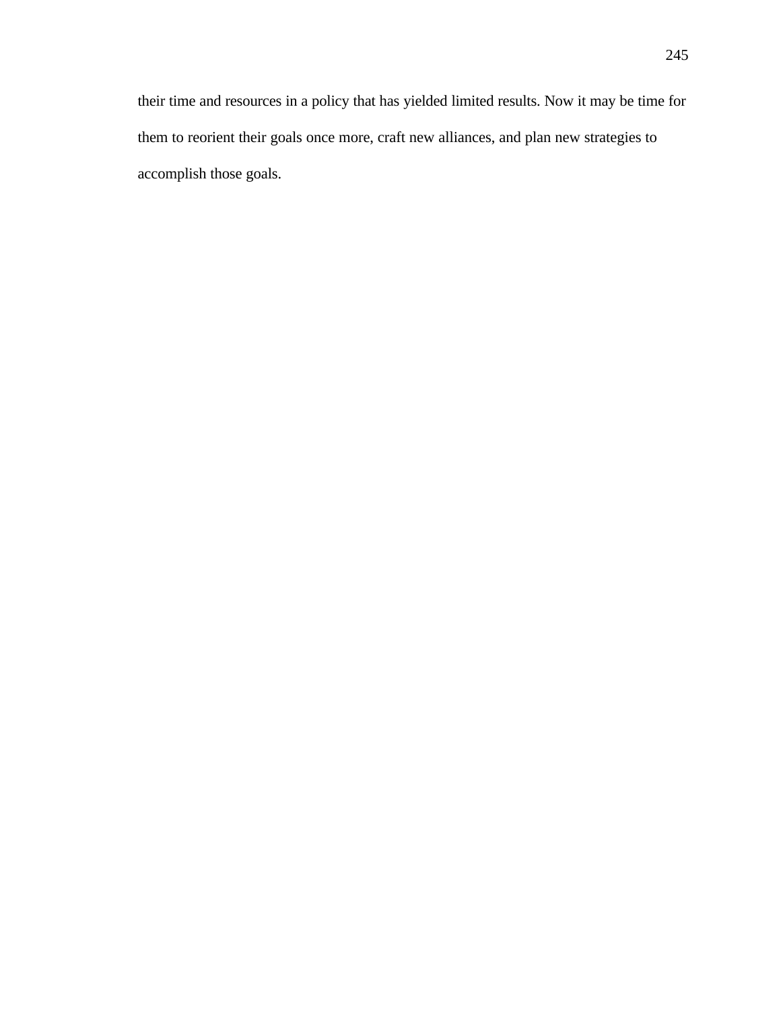their time and resources in a policy that has yielded limited results. Now it may be time for them to reorient their goals once more, craft new alliances, and plan new strategies to accomplish those goals.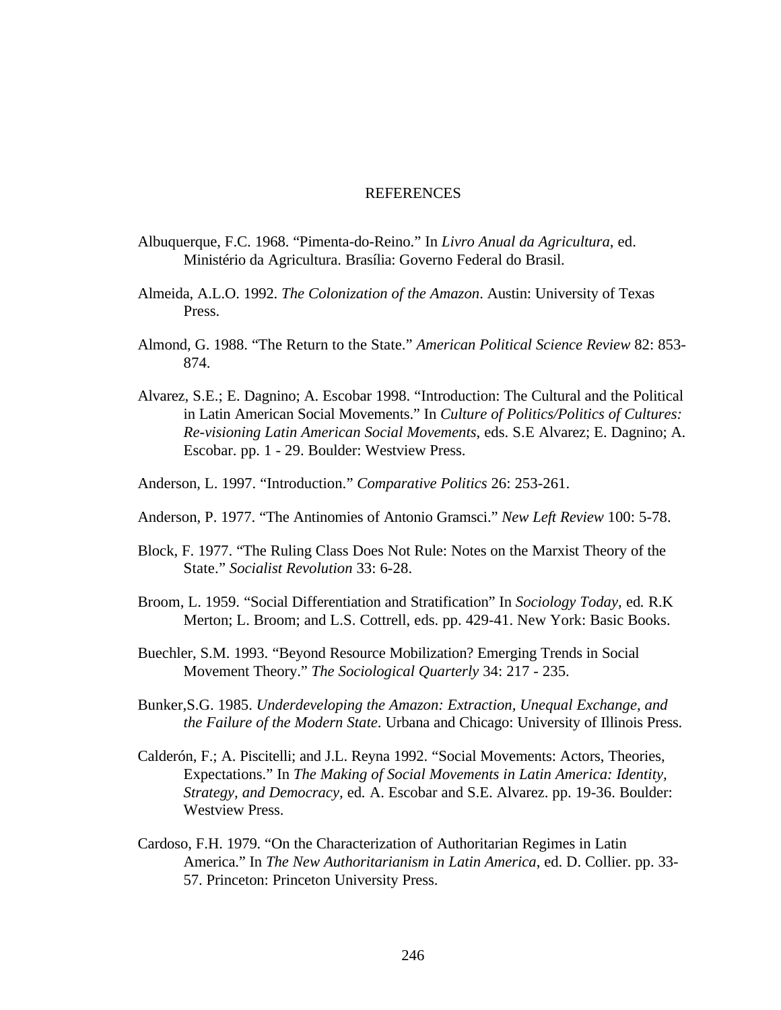### **REFERENCES**

- Albuquerque, F.C. 1968. "Pimenta-do-Reino." In *Livro Anual da Agricultura*, ed. Ministério da Agricultura. Brasília: Governo Federal do Brasil.
- Almeida, A.L.O. 1992. *The Colonization of the Amazon*. Austin: University of Texas Press.
- Almond, G. 1988. "The Return to the State." *American Political Science Review* 82: 853- 874.
- Alvarez, S.E.; E. Dagnino; A. Escobar 1998. "Introduction: The Cultural and the Political in Latin American Social Movements." In *Culture of Politics/Politics of Cultures: Re-visioning Latin American Social Movements*, eds. S.E Alvarez; E. Dagnino; A. Escobar. pp. 1 - 29. Boulder: Westview Press.
- Anderson, L. 1997. "Introduction." *Comparative Politics* 26: 253-261.
- Anderson, P. 1977. "The Antinomies of Antonio Gramsci." *New Left Review* 100: 5-78.
- Block, F. 1977. "The Ruling Class Does Not Rule: Notes on the Marxist Theory of the State." *Socialist Revolution* 33: 6-28.
- Broom, L. 1959. "Social Differentiation and Stratification" In *Sociology Today,* ed*.* R.K Merton; L. Broom; and L.S. Cottrell, eds. pp. 429-41. New York: Basic Books.
- Buechler, S.M. 1993. "Beyond Resource Mobilization? Emerging Trends in Social Movement Theory." *The Sociological Quarterly* 34: 217 - 235.
- Bunker,S.G. 1985. *Underdeveloping the Amazon: Extraction, Unequal Exchange, and the Failure of the Modern State*. Urbana and Chicago: University of Illinois Press.
- Calderón, F.; A. Piscitelli; and J.L. Reyna 1992. "Social Movements: Actors, Theories, Expectations." In *The Making of Social Movements in Latin America: Identity, Strategy, and Democracy,* ed*.* A. Escobar and S.E. Alvarez. pp. 19-36. Boulder: Westview Press.
- Cardoso, F.H. 1979. "On the Characterization of Authoritarian Regimes in Latin America." In *The New Authoritarianism in Latin America*, ed. D. Collier. pp. 33- 57. Princeton: Princeton University Press.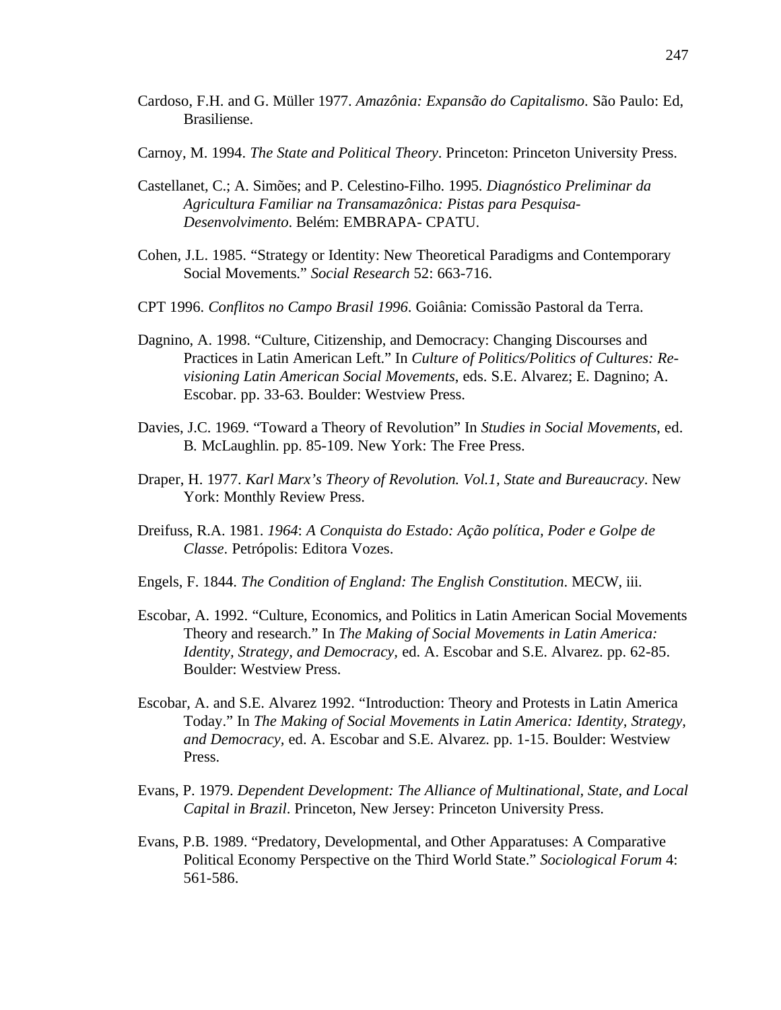- Cardoso, F.H. and G. Müller 1977. *Amazônia: Expansão do Capitalismo*. São Paulo: Ed, Brasiliense.
- Carnoy, M. 1994. *The State and Political Theory*. Princeton: Princeton University Press.
- Castellanet, C.; A. Simões; and P. Celestino-Filho. 1995. *Diagnóstico Preliminar da Agricultura Familiar na Transamazônica: Pistas para Pesquisa-Desenvolvimento*. Belém: EMBRAPA- CPATU.
- Cohen, J.L. 1985. "Strategy or Identity: New Theoretical Paradigms and Contemporary Social Movements." *Social Research* 52: 663-716.
- CPT 1996. *Conflitos no Campo Brasil 1996*. Goiânia: Comissão Pastoral da Terra.
- Dagnino, A. 1998. "Culture, Citizenship, and Democracy: Changing Discourses and Practices in Latin American Left." In *Culture of Politics/Politics of Cultures: Revisioning Latin American Social Movements*, eds. S.E. Alvarez; E. Dagnino; A. Escobar. pp. 33-63. Boulder: Westview Press.
- Davies, J.C. 1969. "Toward a Theory of Revolution" In *Studies in Social Movements*, ed. B*.* McLaughlin. pp. 85-109. New York: The Free Press.
- Draper, H. 1977. *Karl Marx's Theory of Revolution. Vol.1, State and Bureaucracy*. New York: Monthly Review Press.
- Dreifuss, R.A. 1981. *1964*: *A Conquista do Estado: Ação política, Poder e Golpe de Classe*. Petrópolis: Editora Vozes.
- Engels, F. 1844. *The Condition of England: The English Constitution*. MECW, iii.
- Escobar, A. 1992. "Culture, Economics, and Politics in Latin American Social Movements Theory and research." In *The Making of Social Movements in Latin America: Identity, Strategy, and Democracy,* ed. A. Escobar and S.E. Alvarez. pp. 62-85. Boulder: Westview Press.
- Escobar, A. and S.E. Alvarez 1992. "Introduction: Theory and Protests in Latin America Today." In *The Making of Social Movements in Latin America: Identity, Strategy, and Democracy,* ed. A. Escobar and S.E. Alvarez. pp. 1-15. Boulder: Westview Press.
- Evans, P. 1979. *Dependent Development: The Alliance of Multinational, State, and Local Capital in Brazil*. Princeton, New Jersey: Princeton University Press.
- Evans, P.B. 1989. "Predatory, Developmental, and Other Apparatuses: A Comparative Political Economy Perspective on the Third World State." *Sociological Forum* 4: 561-586.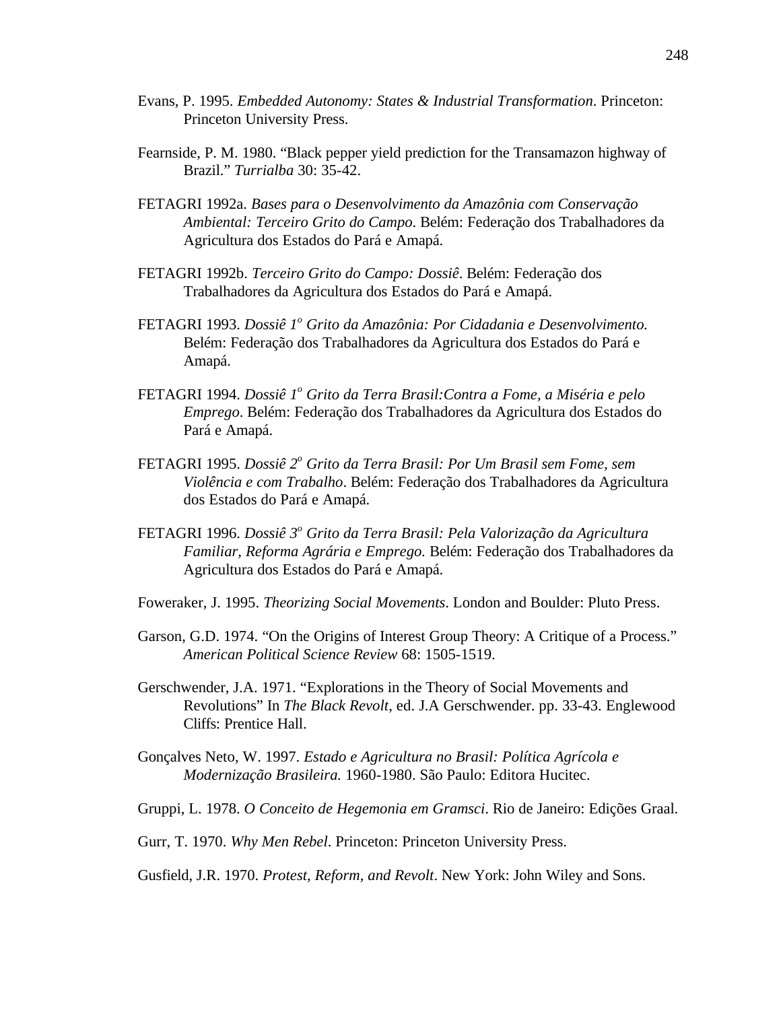- Evans, P. 1995. *Embedded Autonomy: States & Industrial Transformation*. Princeton: Princeton University Press.
- Fearnside, P. M. 1980. "Black pepper yield prediction for the Transamazon highway of Brazil." *Turrialba* 30: 35-42.
- FETAGRI 1992a. *Bases para o Desenvolvimento da Amazônia com Conservação Ambiental: Terceiro Grito do Campo*. Belém: Federação dos Trabalhadores da Agricultura dos Estados do Pará e Amapá.
- FETAGRI 1992b. *Terceiro Grito do Campo: Dossiê*. Belém: Federação dos Trabalhadores da Agricultura dos Estados do Pará e Amapá.
- FETAGRI 1993. *Dossiê 1<sup>°</sup> Grito da Amazônia: Por Cidadania e Desenvolvimento.* Belém: Federação dos Trabalhadores da Agricultura dos Estados do Pará e Amapá.
- FETAGRI 1994. *Dossiê 1<sup>o</sup> Grito da Terra Brasil:Contra a Fome, a Miséria e pelo Emprego*. Belém: Federação dos Trabalhadores da Agricultura dos Estados do Pará e Amapá.
- FETAGRI 1995. *Dossiê 2<sup>o</sup> Grito da Terra Brasil: Por Um Brasil sem Fome, sem Violência e com Trabalho*. Belém: Federação dos Trabalhadores da Agricultura dos Estados do Pará e Amapá.
- FETAGRI 1996. *Dossiê 3<sup>o</sup> Grito da Terra Brasil: Pela Valorização da Agricultura Familiar, Reforma Agrária e Emprego.* Belém: Federação dos Trabalhadores da Agricultura dos Estados do Pará e Amapá.
- Foweraker, J. 1995. *Theorizing Social Movements*. London and Boulder: Pluto Press.
- Garson, G.D. 1974. "On the Origins of Interest Group Theory: A Critique of a Process." *American Political Science Review* 68: 1505-1519.
- Gerschwender, J.A. 1971. "Explorations in the Theory of Social Movements and Revolutions" In *The Black Revolt*, ed. J.A Gerschwender. pp. 33-43. Englewood Cliffs: Prentice Hall.
- Gonçalves Neto, W. 1997. *Estado e Agricultura no Brasil: Política Agrícola e Modernização Brasileira.* 1960-1980. São Paulo: Editora Hucitec.
- Gruppi, L. 1978. *O Conceito de Hegemonia em Gramsci*. Rio de Janeiro: Edições Graal.
- Gurr, T. 1970. *Why Men Rebel*. Princeton: Princeton University Press.

Gusfield, J.R. 1970. *Protest, Reform, and Revolt*. New York: John Wiley and Sons.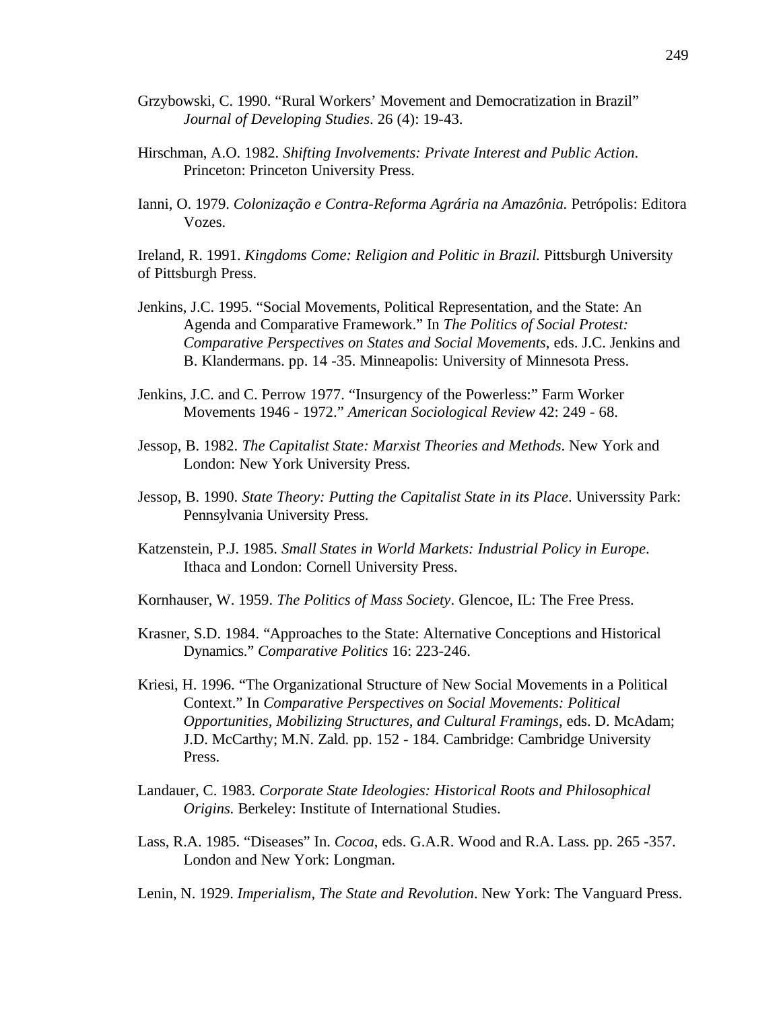- Grzybowski, C. 1990. "Rural Workers' Movement and Democratization in Brazil" *Journal of Developing Studies*. 26 (4): 19-43.
- Hirschman, A.O. 1982. *Shifting Involvements: Private Interest and Public Action*. Princeton: Princeton University Press.
- Ianni, O. 1979. *Colonização e Contra-Reforma Agrária na Amazônia.* Petrópolis: Editora Vozes.

Ireland, R. 1991. *Kingdoms Come: Religion and Politic in Brazil.* Pittsburgh University of Pittsburgh Press.

- Jenkins, J.C. 1995. "Social Movements, Political Representation, and the State: An Agenda and Comparative Framework." In *The Politics of Social Protest: Comparative Perspectives on States and Social Movements*, eds. J.C. Jenkins and B. Klandermans. pp. 14 -35. Minneapolis: University of Minnesota Press.
- Jenkins, J.C. and C. Perrow 1977. "Insurgency of the Powerless:" Farm Worker Movements 1946 - 1972." *American Sociological Review* 42: 249 - 68.
- Jessop, B. 1982. *The Capitalist State: Marxist Theories and Methods*. New York and London: New York University Press.
- Jessop, B. 1990. *State Theory: Putting the Capitalist State in its Place*. Universsity Park: Pennsylvania University Press.
- Katzenstein, P.J. 1985. *Small States in World Markets: Industrial Policy in Europe*. Ithaca and London: Cornell University Press.
- Kornhauser, W. 1959. *The Politics of Mass Society*. Glencoe, IL: The Free Press.
- Krasner, S.D. 1984. "Approaches to the State: Alternative Conceptions and Historical Dynamics." *Comparative Politics* 16: 223-246.
- Kriesi, H. 1996. "The Organizational Structure of New Social Movements in a Political Context." In *Comparative Perspectives on Social Movements: Political Opportunities, Mobilizing Structures, and Cultural Framings*, eds. D. McAdam; J.D. McCarthy; M.N. Zald. pp. 152 - 184. Cambridge: Cambridge University Press.
- Landauer, C. 1983. *Corporate State Ideologies: Historical Roots and Philosophical Origins.* Berkeley: Institute of International Studies.
- Lass, R.A. 1985. "Diseases" In. *Cocoa*, eds. G.A.R. Wood and R.A. Lass*.* pp. 265 -357. London and New York: Longman.
- Lenin, N. 1929. *Imperialism, The State and Revolution*. New York: The Vanguard Press.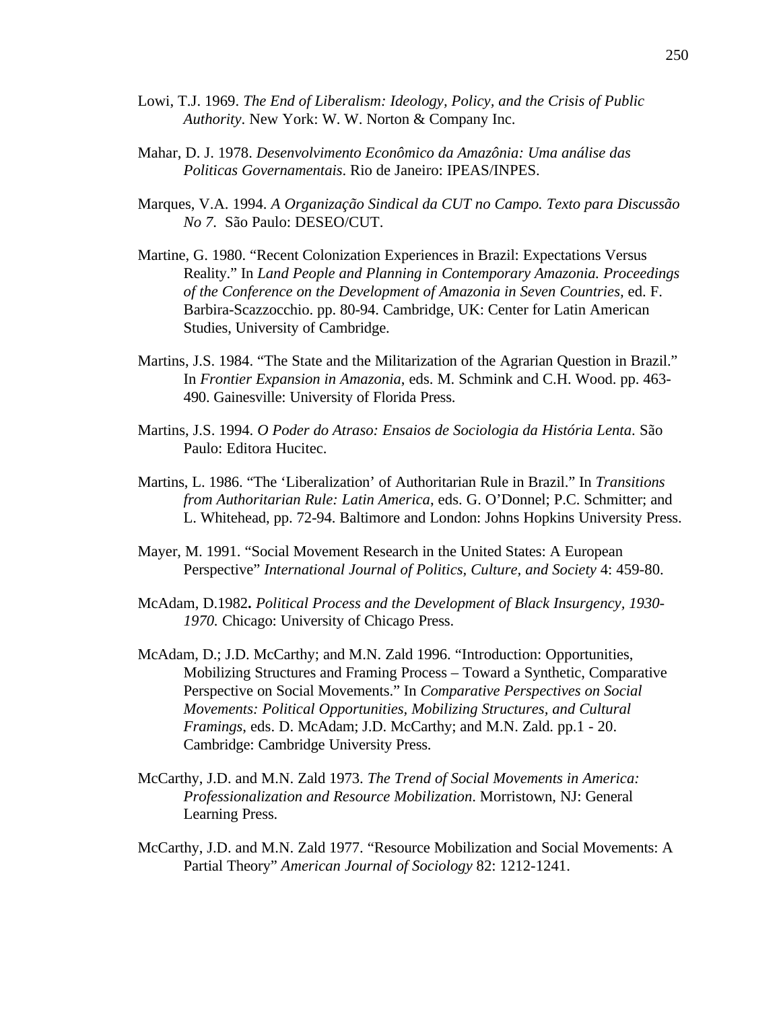- Lowi, T.J. 1969. *The End of Liberalism: Ideology, Policy, and the Crisis of Public Authority*. New York: W. W. Norton & Company Inc.
- Mahar, D. J. 1978. *Desenvolvimento Econômico da Amazônia: Uma análise das Politicas Governamentais*. Rio de Janeiro: IPEAS/INPES.
- Marques, V.A. 1994. *A Organização Sindical da CUT no Campo. Texto para Discussão No 7*. São Paulo: DESEO/CUT.
- Martine, G. 1980. "Recent Colonization Experiences in Brazil: Expectations Versus Reality." In *Land People and Planning in Contemporary Amazonia. Proceedings of the Conference on the Development of Amazonia in Seven Countries,* ed. F. Barbira-Scazzocchio. pp. 80-94. Cambridge, UK: Center for Latin American Studies, University of Cambridge.
- Martins, J.S. 1984. "The State and the Militarization of the Agrarian Question in Brazil." In *Frontier Expansion in Amazonia*, eds. M. Schmink and C.H. Wood. pp. 463- 490. Gainesville: University of Florida Press.
- Martins, J.S. 1994. *O Poder do Atraso: Ensaios de Sociologia da História Lenta*. São Paulo: Editora Hucitec.
- Martins, L. 1986. "The 'Liberalization' of Authoritarian Rule in Brazil." In *Transitions from Authoritarian Rule: Latin America*, eds. G. O'Donnel; P.C. Schmitter; and L. Whitehead, pp. 72-94. Baltimore and London: Johns Hopkins University Press.
- Mayer, M. 1991. "Social Movement Research in the United States: A European Perspective" *International Journal of Politics, Culture, and Society* 4: 459-80.
- McAdam, D.1982**.** *Political Process and the Development of Black Insurgency, 1930- 1970.* Chicago: University of Chicago Press.
- McAdam, D.; J.D. McCarthy; and M.N. Zald 1996. "Introduction: Opportunities, Mobilizing Structures and Framing Process – Toward a Synthetic, Comparative Perspective on Social Movements." In *Comparative Perspectives on Social Movements: Political Opportunities, Mobilizing Structures, and Cultural Framings*, eds. D. McAdam; J.D. McCarthy; and M.N. Zald. pp.1 - 20. Cambridge: Cambridge University Press.
- McCarthy, J.D. and M.N. Zald 1973. *The Trend of Social Movements in America: Professionalization and Resource Mobilization*. Morristown, NJ: General Learning Press.
- McCarthy, J.D. and M.N. Zald 1977. "Resource Mobilization and Social Movements: A Partial Theory" *American Journal of Sociology* 82: 1212-1241.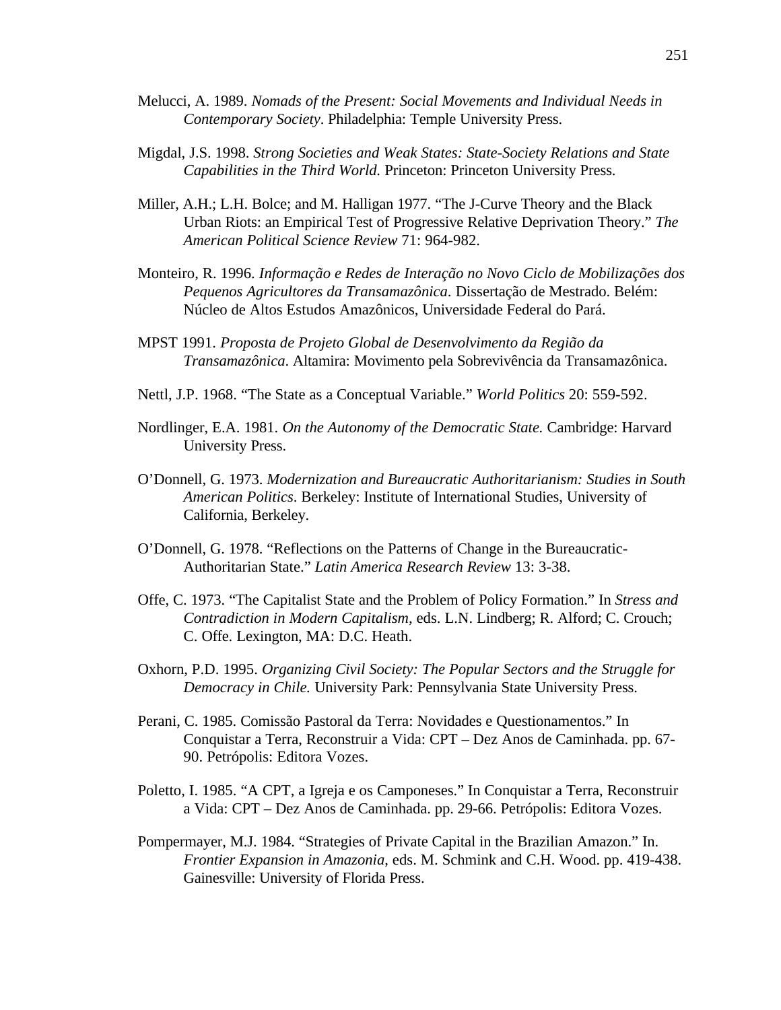- Melucci, A. 1989. *Nomads of the Present: Social Movements and Individual Needs in Contemporary Society*. Philadelphia: Temple University Press.
- Migdal, J.S. 1998. *Strong Societies and Weak States: State-Society Relations and State Capabilities in the Third World.* Princeton: Princeton University Press.
- Miller, A.H.; L.H. Bolce; and M. Halligan 1977. "The J-Curve Theory and the Black Urban Riots: an Empirical Test of Progressive Relative Deprivation Theory." *The American Political Science Review* 71: 964-982.
- Monteiro, R. 1996. *Informação e Redes de Interação no Novo Ciclo de Mobilizações dos Pequenos Agricultores da Transamazônica*. Dissertação de Mestrado. Belém: Núcleo de Altos Estudos Amazônicos, Universidade Federal do Pará.
- MPST 1991. *Proposta de Projeto Global de Desenvolvimento da Região da Transamazônica*. Altamira: Movimento pela Sobrevivência da Transamazônica.
- Nettl, J.P. 1968. "The State as a Conceptual Variable." *World Politics* 20: 559-592.
- Nordlinger, E.A. 1981. *On the Autonomy of the Democratic State.* Cambridge: Harvard University Press.
- O'Donnell, G. 1973. *Modernization and Bureaucratic Authoritarianism: Studies in South American Politics*. Berkeley: Institute of International Studies, University of California, Berkeley.
- O'Donnell, G. 1978. "Reflections on the Patterns of Change in the Bureaucratic-Authoritarian State." *Latin America Research Review* 13: 3-38.
- Offe, C. 1973. "The Capitalist State and the Problem of Policy Formation." In *Stress and Contradiction in Modern Capitalism,* eds. L.N. Lindberg; R. Alford; C. Crouch; C. Offe. Lexington, MA: D.C. Heath.
- Oxhorn, P.D. 1995. *Organizing Civil Society: The Popular Sectors and the Struggle for Democracy in Chile.* University Park: Pennsylvania State University Press.
- Perani, C. 1985. Comissão Pastoral da Terra: Novidades e Questionamentos." In Conquistar a Terra, Reconstruir a Vida: CPT – Dez Anos de Caminhada. pp. 67- 90. Petrópolis: Editora Vozes.
- Poletto, I. 1985. "A CPT, a Igreja e os Camponeses." In Conquistar a Terra, Reconstruir a Vida: CPT – Dez Anos de Caminhada. pp. 29-66. Petrópolis: Editora Vozes.
- Pompermayer, M.J. 1984. "Strategies of Private Capital in the Brazilian Amazon." In. *Frontier Expansion in Amazonia*, eds. M. Schmink and C.H. Wood. pp. 419-438. Gainesville: University of Florida Press.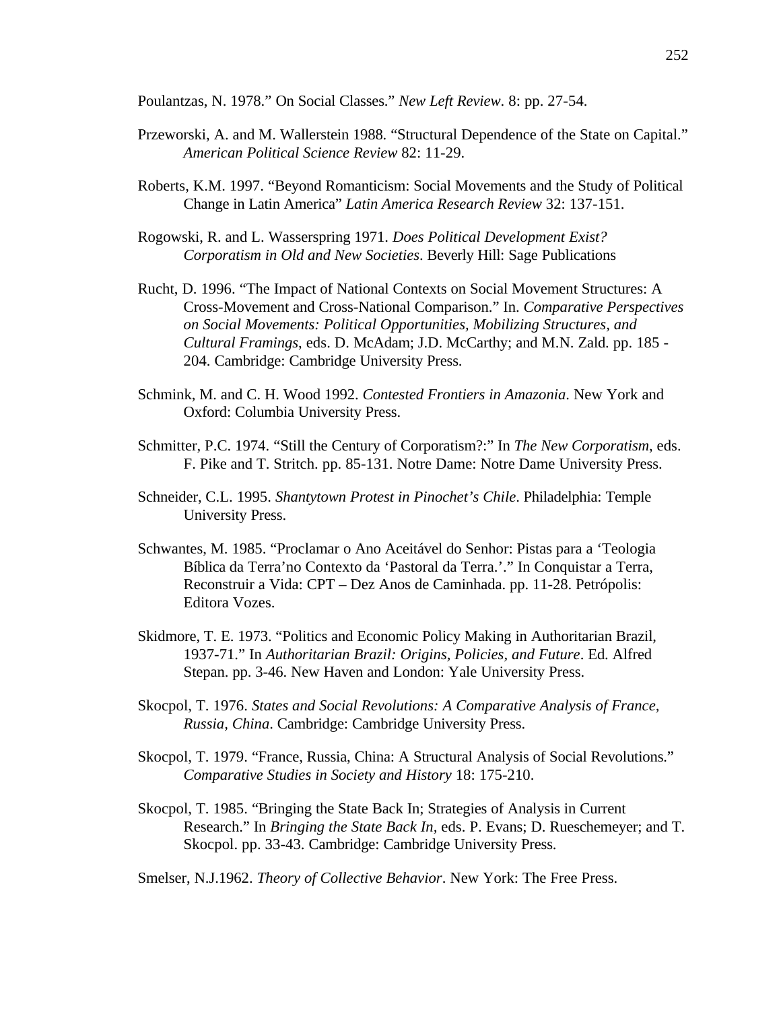Poulantzas, N. 1978." On Social Classes." *New Left Review*. 8: pp. 27-54.

- Przeworski, A. and M. Wallerstein 1988. "Structural Dependence of the State on Capital." *American Political Science Review* 82: 11-29.
- Roberts, K.M. 1997. "Beyond Romanticism: Social Movements and the Study of Political Change in Latin America" *Latin America Research Review* 32: 137-151.
- Rogowski, R. and L. Wasserspring 1971. *Does Political Development Exist? Corporatism in Old and New Societies*. Beverly Hill: Sage Publications
- Rucht, D. 1996. "The Impact of National Contexts on Social Movement Structures: A Cross-Movement and Cross-National Comparison." In. *Comparative Perspectives on Social Movements: Political Opportunities, Mobilizing Structures, and Cultural Framings*, eds. D. McAdam; J.D. McCarthy; and M.N. Zald. pp. 185 - 204. Cambridge: Cambridge University Press.
- Schmink, M. and C. H. Wood 1992. *Contested Frontiers in Amazonia*. New York and Oxford: Columbia University Press.
- Schmitter, P.C. 1974. "Still the Century of Corporatism?:" In *The New Corporatism*, eds. F. Pike and T. Stritch. pp. 85-131. Notre Dame: Notre Dame University Press.
- Schneider, C.L. 1995. *Shantytown Protest in Pinochet's Chile*. Philadelphia: Temple University Press.
- Schwantes, M. 1985. "Proclamar o Ano Aceitável do Senhor: Pistas para a 'Teologia Bíblica da Terra'no Contexto da 'Pastoral da Terra.'." In Conquistar a Terra, Reconstruir a Vida: CPT – Dez Anos de Caminhada. pp. 11-28. Petrópolis: Editora Vozes.
- Skidmore, T. E. 1973. "Politics and Economic Policy Making in Authoritarian Brazil, 1937-71." In *Authoritarian Brazil: Origins, Policies, and Future*. Ed. Alfred Stepan. pp. 3-46. New Haven and London: Yale University Press.
- Skocpol, T. 1976. *States and Social Revolutions: A Comparative Analysis of France, Russia, China*. Cambridge: Cambridge University Press.
- Skocpol, T. 1979. "France, Russia, China: A Structural Analysis of Social Revolutions." *Comparative Studies in Society and History* 18: 175-210.
- Skocpol, T. 1985. "Bringing the State Back In; Strategies of Analysis in Current Research." In *Bringing the State Back In,* eds. P. Evans; D. Rueschemeyer; and T. Skocpol. pp. 33-43. Cambridge: Cambridge University Press.

Smelser, N.J.1962. *Theory of Collective Behavior*. New York: The Free Press.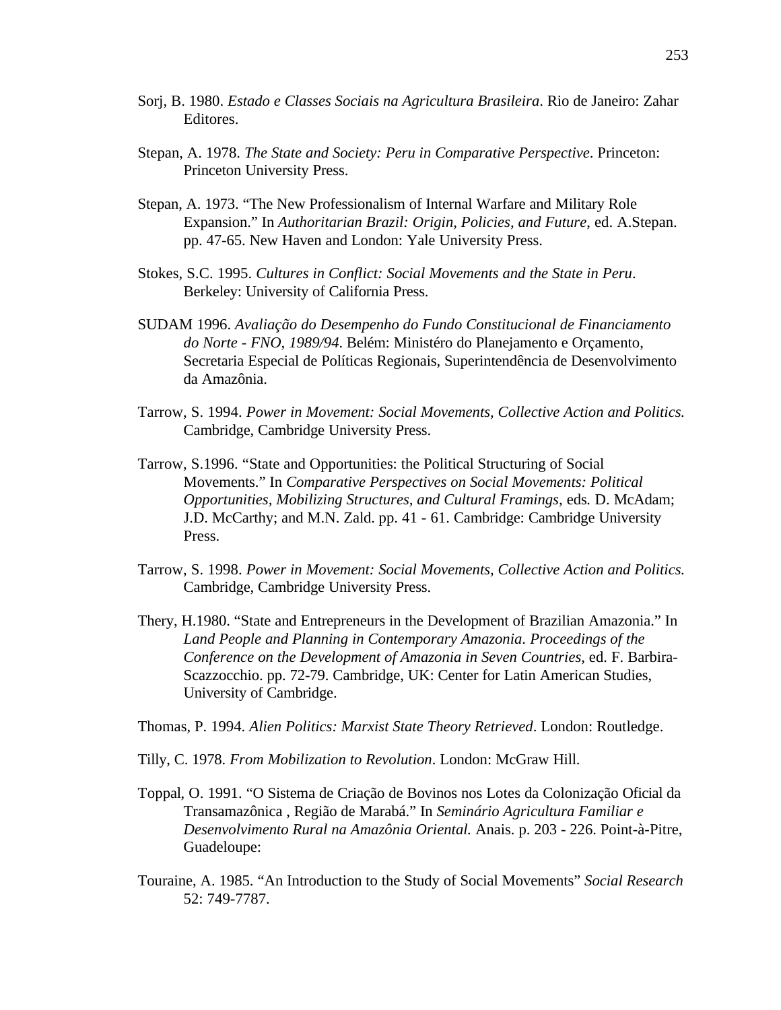- Sorj, B. 1980. *Estado e Classes Sociais na Agricultura Brasileira*. Rio de Janeiro: Zahar Editores.
- Stepan, A. 1978. *The State and Society: Peru in Comparative Perspective*. Princeton: Princeton University Press.
- Stepan, A. 1973. "The New Professionalism of Internal Warfare and Military Role Expansion." In *Authoritarian Brazil: Origin, Policies, and Future*, ed. A.Stepan. pp. 47-65. New Haven and London: Yale University Press.
- Stokes, S.C. 1995. *Cultures in Conflict: Social Movements and the State in Peru*. Berkeley: University of California Press.
- SUDAM 1996. *Avaliação do Desempenho do Fundo Constitucional de Financiamento do Norte - FNO, 1989/94*. Belém: Ministéro do Planejamento e Orçamento, Secretaria Especial de Políticas Regionais, Superintendência de Desenvolvimento da Amazônia.
- Tarrow, S. 1994. *Power in Movement: Social Movements, Collective Action and Politics.* Cambridge, Cambridge University Press.
- Tarrow, S.1996. "State and Opportunities: the Political Structuring of Social Movements." In *Comparative Perspectives on Social Movements: Political Opportunities, Mobilizing Structures, and Cultural Framings,* eds*.* D. McAdam; J.D. McCarthy; and M.N. Zald. pp. 41 - 61. Cambridge: Cambridge University Press.
- Tarrow, S. 1998. *Power in Movement: Social Movements, Collective Action and Politics.* Cambridge, Cambridge University Press.
- Thery, H.1980. "State and Entrepreneurs in the Development of Brazilian Amazonia." In *Land People and Planning in Contemporary Amazonia*. *Proceedings of the Conference on the Development of Amazonia in Seven Countries,* ed. F. Barbira-Scazzocchio. pp. 72-79. Cambridge, UK: Center for Latin American Studies, University of Cambridge.

Thomas, P. 1994. *Alien Politics: Marxist State Theory Retrieved*. London: Routledge.

- Tilly, C. 1978. *From Mobilization to Revolution*. London: McGraw Hill.
- Toppal, O. 1991. "O Sistema de Criação de Bovinos nos Lotes da Colonização Oficial da Transamazônica , Região de Marabá." In *Seminário Agricultura Familiar e Desenvolvimento Rural na Amazônia Oriental.* Anais. p. 203 - 226. Point-à-Pitre, Guadeloupe:
- Touraine, A. 1985. "An Introduction to the Study of Social Movements" *Social Research* 52: 749-7787.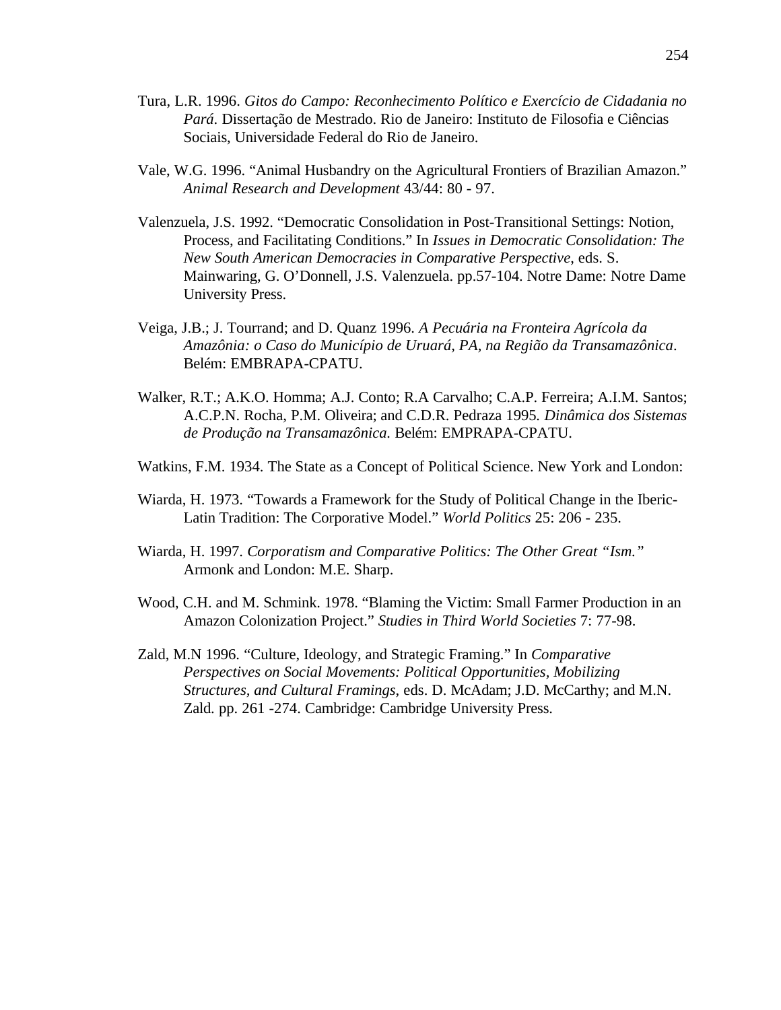- Tura, L.R. 1996. *Gitos do Campo: Reconhecimento Político e Exercício de Cidadania no Pará*. Dissertação de Mestrado. Rio de Janeiro: Instituto de Filosofia e Ciências Sociais, Universidade Federal do Rio de Janeiro.
- Vale, W.G. 1996. "Animal Husbandry on the Agricultural Frontiers of Brazilian Amazon." *Animal Research and Development* 43/44: 80 - 97.
- Valenzuela, J.S. 1992. "Democratic Consolidation in Post-Transitional Settings: Notion, Process, and Facilitating Conditions." In *Issues in Democratic Consolidation: The New South American Democracies in Comparative Perspective*, eds. S. Mainwaring, G. O'Donnell, J.S. Valenzuela. pp.57-104. Notre Dame: Notre Dame University Press.
- Veiga, J.B.; J. Tourrand; and D. Quanz 1996. *A Pecuária na Fronteira Agrícola da Amazônia: o Caso do Município de Uruará, PA, na Região da Transamazônica*. Belém: EMBRAPA-CPATU.
- Walker, R.T.; A.K.O. Homma; A.J. Conto; R.A Carvalho; C.A.P. Ferreira; A.I.M. Santos; A.C.P.N. Rocha, P.M. Oliveira; and C.D.R. Pedraza 1995*. Dinâmica dos Sistemas de Produção na Transamazônica.* Belém: EMPRAPA-CPATU.
- Watkins, F.M. 1934. The State as a Concept of Political Science. New York and London:
- Wiarda, H. 1973. "Towards a Framework for the Study of Political Change in the Iberic-Latin Tradition: The Corporative Model." *World Politics* 25: 206 - 235.
- Wiarda, H. 1997. *Corporatism and Comparative Politics: The Other Great "Ism."* Armonk and London: M.E. Sharp.
- Wood, C.H. and M. Schmink. 1978. "Blaming the Victim: Small Farmer Production in an Amazon Colonization Project." *Studies in Third World Societies* 7: 77-98.
- Zald, M.N 1996. "Culture, Ideology, and Strategic Framing." In *Comparative Perspectives on Social Movements: Political Opportunities, Mobilizing Structures, and Cultural Framings*, eds. D. McAdam; J.D. McCarthy; and M.N. Zald. pp. 261 -274. Cambridge: Cambridge University Press.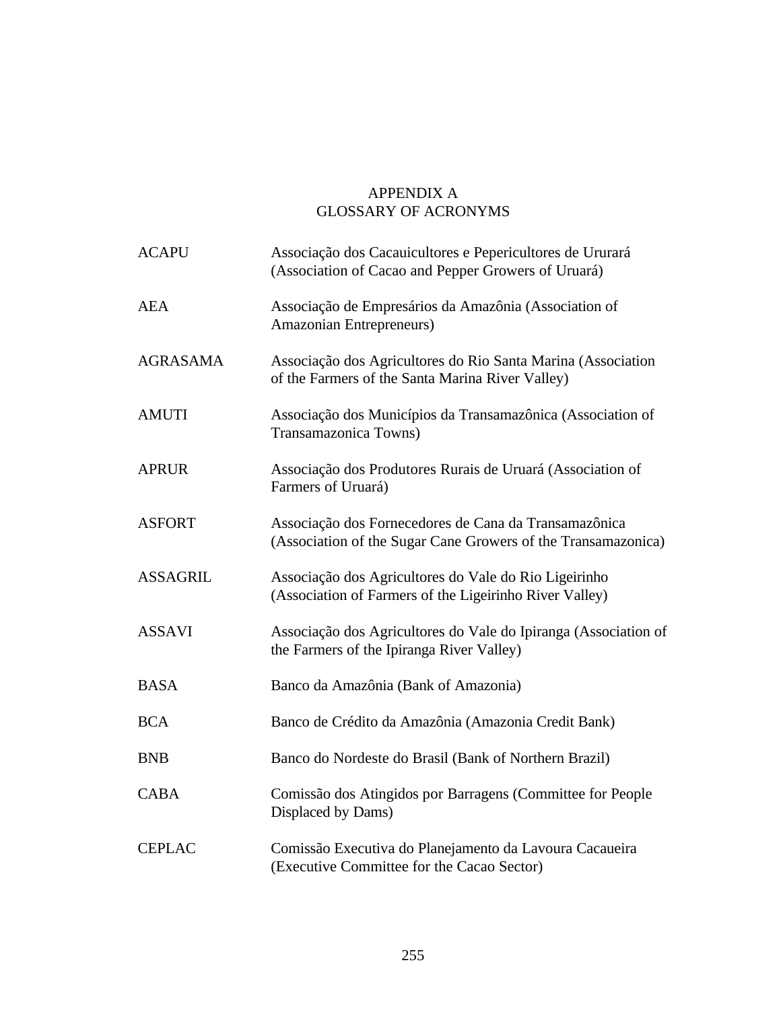## APPENDIX A GLOSSARY OF ACRONYMS

| <b>ACAPU</b>    | Associação dos Cacauicultores e Pepericultores de Ururará<br>(Association of Cacao and Pepper Growers of Uruará)       |
|-----------------|------------------------------------------------------------------------------------------------------------------------|
| <b>AEA</b>      | Associação de Empresários da Amazônia (Association of<br>Amazonian Entrepreneurs)                                      |
| <b>AGRASAMA</b> | Associação dos Agricultores do Rio Santa Marina (Association<br>of the Farmers of the Santa Marina River Valley)       |
| <b>AMUTI</b>    | Associação dos Municípios da Transamazônica (Association of<br>Transamazonica Towns)                                   |
| <b>APRUR</b>    | Associação dos Produtores Rurais de Uruará (Association of<br>Farmers of Uruará)                                       |
| <b>ASFORT</b>   | Associação dos Fornecedores de Cana da Transamazônica<br>(Association of the Sugar Cane Growers of the Transamazonica) |
| <b>ASSAGRIL</b> | Associação dos Agricultores do Vale do Rio Ligeirinho<br>(Association of Farmers of the Ligeirinho River Valley)       |
| <b>ASSAVI</b>   | Associação dos Agricultores do Vale do Ipiranga (Association of<br>the Farmers of the Ipiranga River Valley)           |
| <b>BASA</b>     | Banco da Amazônia (Bank of Amazonia)                                                                                   |
| <b>BCA</b>      | Banco de Crédito da Amazônia (Amazonia Credit Bank)                                                                    |
| <b>BNB</b>      | Banco do Nordeste do Brasil (Bank of Northern Brazil)                                                                  |
| <b>CABA</b>     | Comissão dos Atingidos por Barragens (Committee for People<br>Displaced by Dams)                                       |
| <b>CEPLAC</b>   | Comissão Executiva do Planejamento da Lavoura Cacaueira<br>(Executive Committee for the Cacao Sector)                  |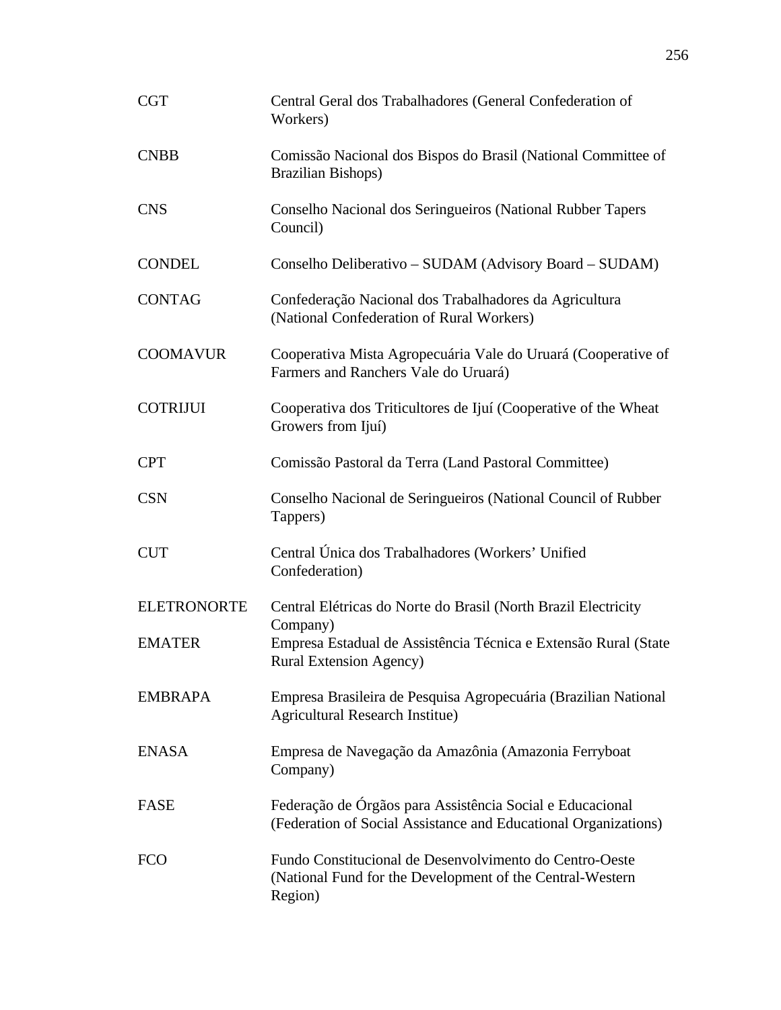| <b>CGT</b>         | Central Geral dos Trabalhadores (General Confederation of<br>Workers)                                                           |
|--------------------|---------------------------------------------------------------------------------------------------------------------------------|
| <b>CNBB</b>        | Comissão Nacional dos Bispos do Brasil (National Committee of<br><b>Brazilian Bishops)</b>                                      |
| <b>CNS</b>         | Conselho Nacional dos Seringueiros (National Rubber Tapers<br>Council)                                                          |
| <b>CONDEL</b>      | Conselho Deliberativo – SUDAM (Advisory Board – SUDAM)                                                                          |
| <b>CONTAG</b>      | Confederação Nacional dos Trabalhadores da Agricultura<br>(National Confederation of Rural Workers)                             |
| <b>COOMAVUR</b>    | Cooperativa Mista Agropecuária Vale do Uruará (Cooperative of<br>Farmers and Ranchers Vale do Uruará)                           |
| <b>COTRIJUI</b>    | Cooperativa dos Triticultores de Ijuí (Cooperative of the Wheat<br>Growers from Ijuí)                                           |
| <b>CPT</b>         | Comissão Pastoral da Terra (Land Pastoral Committee)                                                                            |
| <b>CSN</b>         | Conselho Nacional de Seringueiros (National Council of Rubber<br>Tappers)                                                       |
| <b>CUT</b>         | Central Única dos Trabalhadores (Workers' Unified<br>Confederation)                                                             |
| <b>ELETRONORTE</b> | Central Elétricas do Norte do Brasil (North Brazil Electricity                                                                  |
| <b>EMATER</b>      | Company)<br>Empresa Estadual de Assistência Técnica e Extensão Rural (State<br><b>Rural Extension Agency</b> )                  |
| <b>EMBRAPA</b>     | Empresa Brasileira de Pesquisa Agropecuária (Brazilian National<br><b>Agricultural Research Institue)</b>                       |
| <b>ENASA</b>       | Empresa de Navegação da Amazônia (Amazonia Ferryboat<br>Company)                                                                |
| <b>FASE</b>        | Federação de Órgãos para Assistência Social e Educacional<br>(Federation of Social Assistance and Educational Organizations)    |
| <b>FCO</b>         | Fundo Constitucional de Desenvolvimento do Centro-Oeste<br>(National Fund for the Development of the Central-Western<br>Region) |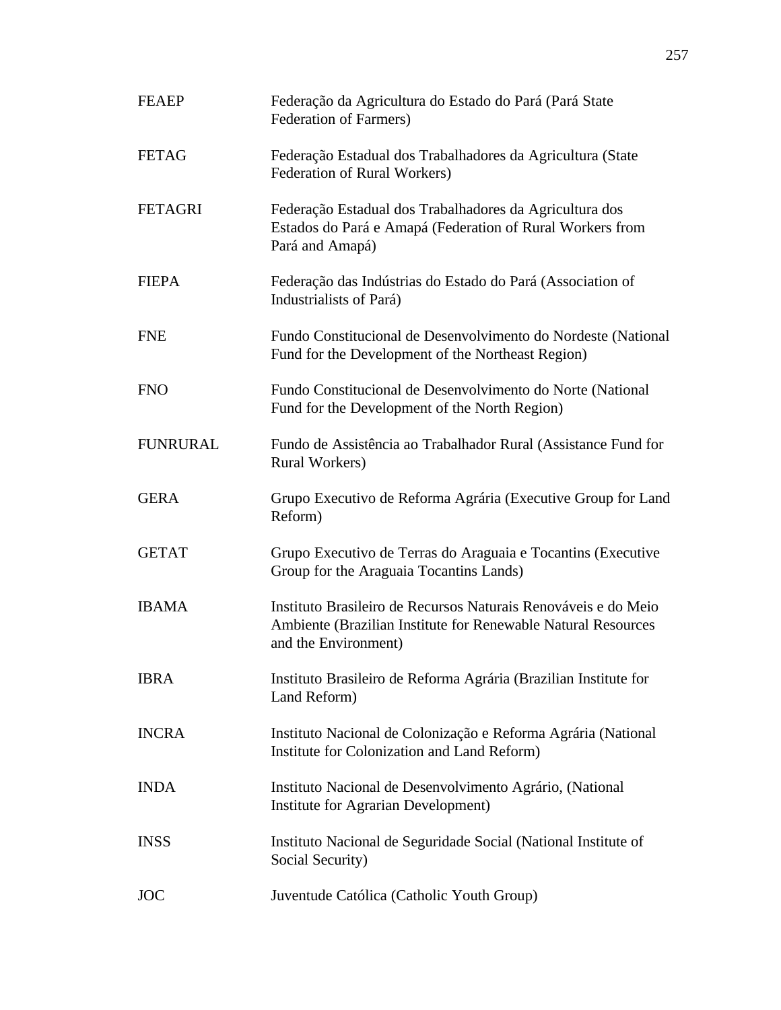| <b>FEAEP</b>    | Federação da Agricultura do Estado do Pará (Pará State<br>Federation of Farmers)                                                                        |
|-----------------|---------------------------------------------------------------------------------------------------------------------------------------------------------|
| <b>FETAG</b>    | Federação Estadual dos Trabalhadores da Agricultura (State<br>Federation of Rural Workers)                                                              |
| <b>FETAGRI</b>  | Federação Estadual dos Trabalhadores da Agricultura dos<br>Estados do Pará e Amapá (Federation of Rural Workers from<br>Pará and Amapá)                 |
| <b>FIEPA</b>    | Federação das Indústrias do Estado do Pará (Association of<br>Industrialists of Pará)                                                                   |
| <b>FNE</b>      | Fundo Constitucional de Desenvolvimento do Nordeste (National<br>Fund for the Development of the Northeast Region)                                      |
| <b>FNO</b>      | Fundo Constitucional de Desenvolvimento do Norte (National<br>Fund for the Development of the North Region)                                             |
| <b>FUNRURAL</b> | Fundo de Assistência ao Trabalhador Rural (Assistance Fund for<br>Rural Workers)                                                                        |
| <b>GERA</b>     | Grupo Executivo de Reforma Agrária (Executive Group for Land<br>Reform)                                                                                 |
| <b>GETAT</b>    | Grupo Executivo de Terras do Araguaia e Tocantins (Executive<br>Group for the Araguaia Tocantins Lands)                                                 |
| <b>IBAMA</b>    | Instituto Brasileiro de Recursos Naturais Renováveis e do Meio<br>Ambiente (Brazilian Institute for Renewable Natural Resources<br>and the Environment) |
| <b>IBRA</b>     | Instituto Brasileiro de Reforma Agrária (Brazilian Institute for<br>Land Reform)                                                                        |
| <b>INCRA</b>    | Instituto Nacional de Colonização e Reforma Agrária (National<br>Institute for Colonization and Land Reform)                                            |
| <b>INDA</b>     | Instituto Nacional de Desenvolvimento Agrário, (National<br><b>Institute for Agrarian Development)</b>                                                  |
| <b>INSS</b>     | Instituto Nacional de Seguridade Social (National Institute of<br>Social Security)                                                                      |
| <b>JOC</b>      | Juventude Católica (Catholic Youth Group)                                                                                                               |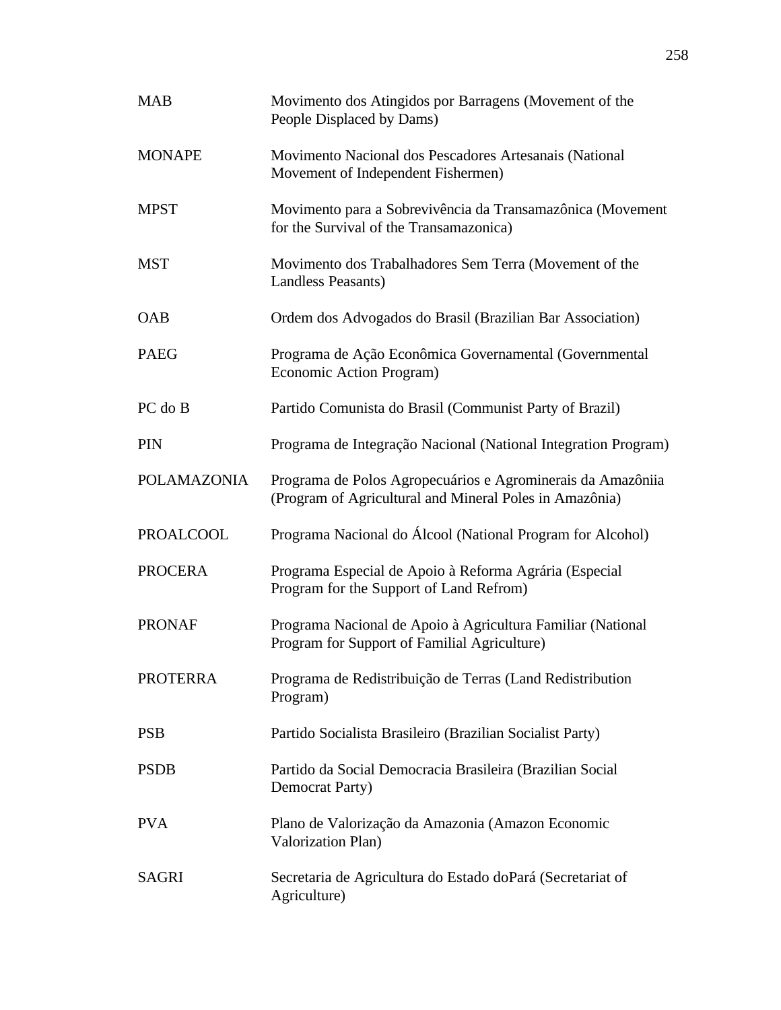| <b>MAB</b>         | Movimento dos Atingidos por Barragens (Movement of the<br>People Displaced by Dams)                                    |
|--------------------|------------------------------------------------------------------------------------------------------------------------|
| <b>MONAPE</b>      | Movimento Nacional dos Pescadores Artesanais (National<br>Movement of Independent Fishermen)                           |
| <b>MPST</b>        | Movimento para a Sobrevivência da Transamazônica (Movement<br>for the Survival of the Transamazonica)                  |
| <b>MST</b>         | Movimento dos Trabalhadores Sem Terra (Movement of the<br><b>Landless Peasants)</b>                                    |
| <b>OAB</b>         | Ordem dos Advogados do Brasil (Brazilian Bar Association)                                                              |
| <b>PAEG</b>        | Programa de Ação Econômica Governamental (Governmental<br>Economic Action Program)                                     |
| PC do B            | Partido Comunista do Brasil (Communist Party of Brazil)                                                                |
| PIN                | Programa de Integração Nacional (National Integration Program)                                                         |
| <b>POLAMAZONIA</b> | Programa de Polos Agropecuários e Agrominerais da Amazôniia<br>(Program of Agricultural and Mineral Poles in Amazônia) |
| <b>PROALCOOL</b>   | Programa Nacional do Álcool (National Program for Alcohol)                                                             |
| <b>PROCERA</b>     | Programa Especial de Apoio à Reforma Agrária (Especial<br>Program for the Support of Land Refrom)                      |
| <b>PRONAF</b>      | Programa Nacional de Apoio à Agricultura Familiar (National<br>Program for Support of Familial Agriculture)            |
| <b>PROTERRA</b>    | Programa de Redistribuição de Terras (Land Redistribution<br>Program)                                                  |
| <b>PSB</b>         | Partido Socialista Brasileiro (Brazilian Socialist Party)                                                              |
| <b>PSDB</b>        | Partido da Social Democracia Brasileira (Brazilian Social<br><b>Democrat Party</b> )                                   |
| <b>PVA</b>         | Plano de Valorização da Amazonia (Amazon Economic<br>Valorization Plan)                                                |
| <b>SAGRI</b>       | Secretaria de Agricultura do Estado doPará (Secretariat of<br>Agriculture)                                             |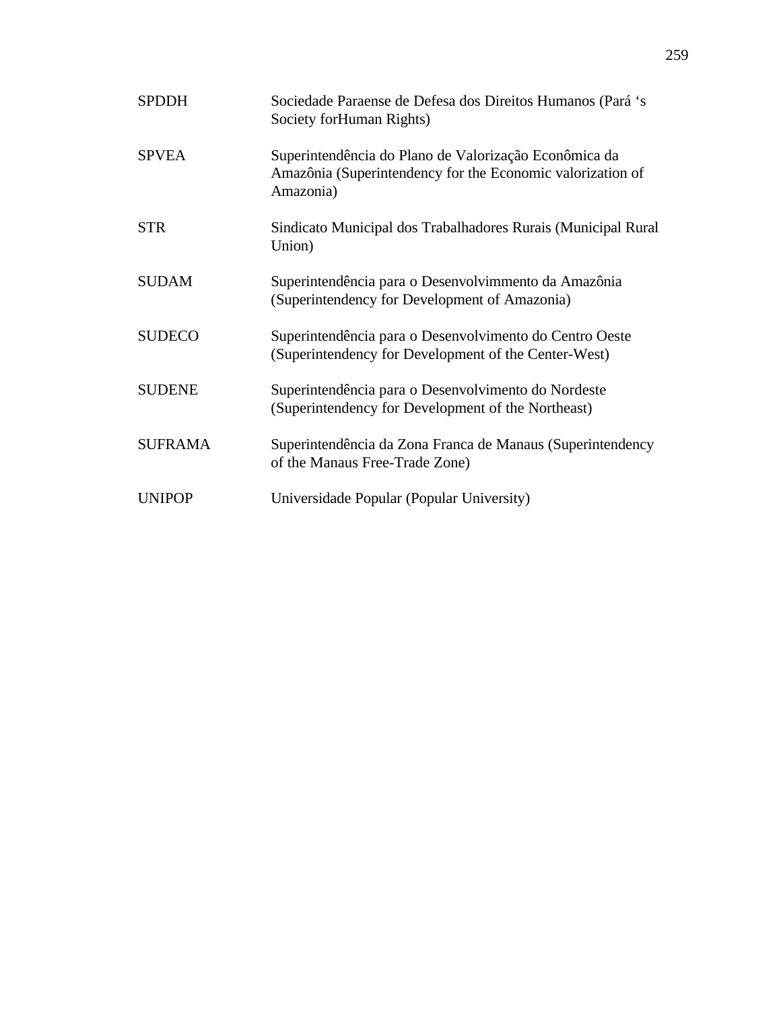| <b>SPDDH</b>   | Sociedade Paraense de Defesa dos Direitos Humanos (Pará 's<br>Society forHuman Rights)                                           |
|----------------|----------------------------------------------------------------------------------------------------------------------------------|
| <b>SPVEA</b>   | Superintendência do Plano de Valorização Econômica da<br>Amazônia (Superintendency for the Economic valorization of<br>Amazonia) |
| <b>STR</b>     | Sindicato Municipal dos Trabalhadores Rurais (Municipal Rural<br>Union)                                                          |
| <b>SUDAM</b>   | Superintendência para o Desenvolvimmento da Amazônia<br>(Superintendency for Development of Amazonia)                            |
| <b>SUDECO</b>  | Superintendência para o Desenvolvimento do Centro Oeste<br>(Superintendency for Development of the Center-West)                  |
| <b>SUDENE</b>  | Superintendência para o Desenvolvimento do Nordeste<br>(Superintendency for Development of the Northeast)                        |
| <b>SUFRAMA</b> | Superintendência da Zona Franca de Manaus (Superintendency<br>of the Manaus Free-Trade Zone)                                     |
| <b>UNIPOP</b>  | Universidade Popular (Popular University)                                                                                        |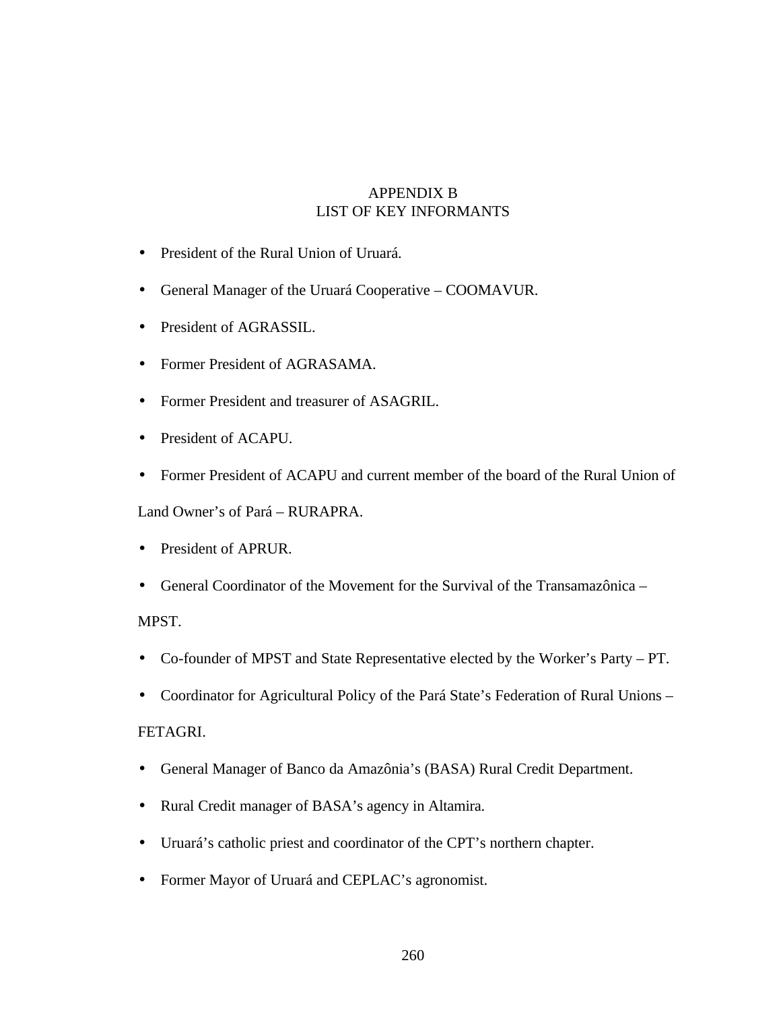## APPENDIX B LIST OF KEY INFORMANTS

- President of the Rural Union of Uruará.
- General Manager of the Uruará Cooperative COOMAVUR.
- President of AGRASSIL.
- Former President of AGRASAMA.
- Former President and treasurer of ASAGRIL.
- President of ACAPU.
- Former President of ACAPU and current member of the board of the Rural Union of

Land Owner's of Pará – RURAPRA.

- President of APRUR.
- General Coordinator of the Movement for the Survival of the Transamazônica –

MPST.

- Co-founder of MPST and State Representative elected by the Worker's Party PT.
- Coordinator for Agricultural Policy of the Pará State's Federation of Rural Unions –

### FETAGRI.

- General Manager of Banco da Amazônia's (BASA) Rural Credit Department.
- Rural Credit manager of BASA's agency in Altamira.
- Uruará's catholic priest and coordinator of the CPT's northern chapter.
- Former Mayor of Uruará and CEPLAC's agronomist.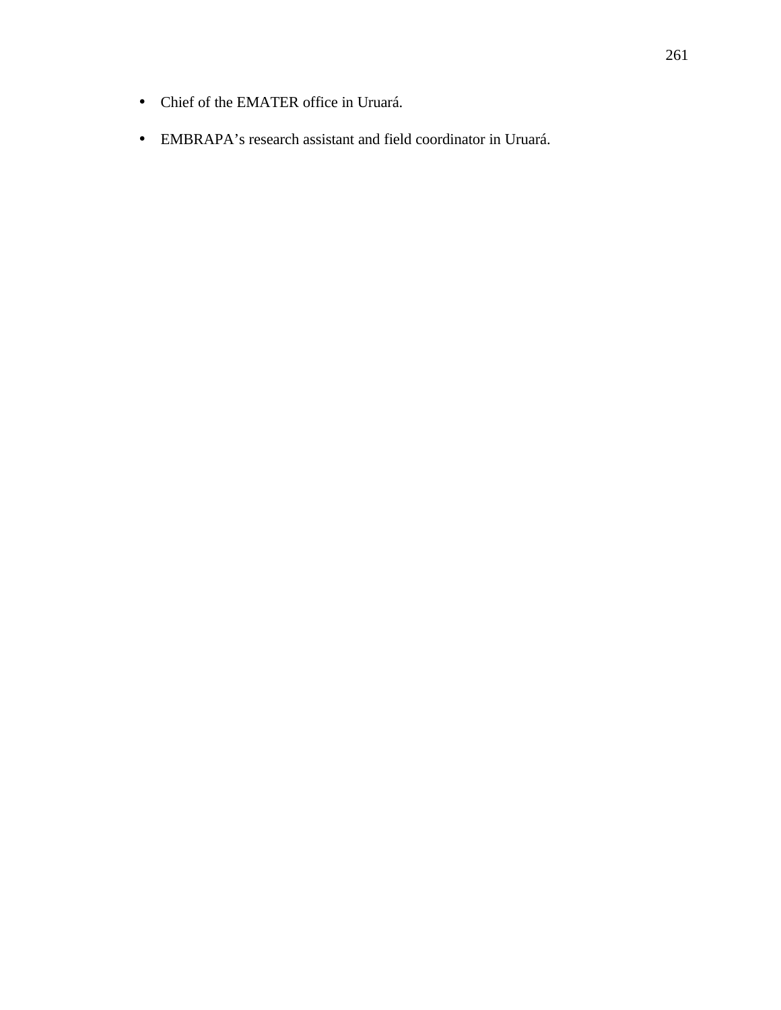- Chief of the EMATER office in Uruará.
- EMBRAPA's research assistant and field coordinator in Uruará.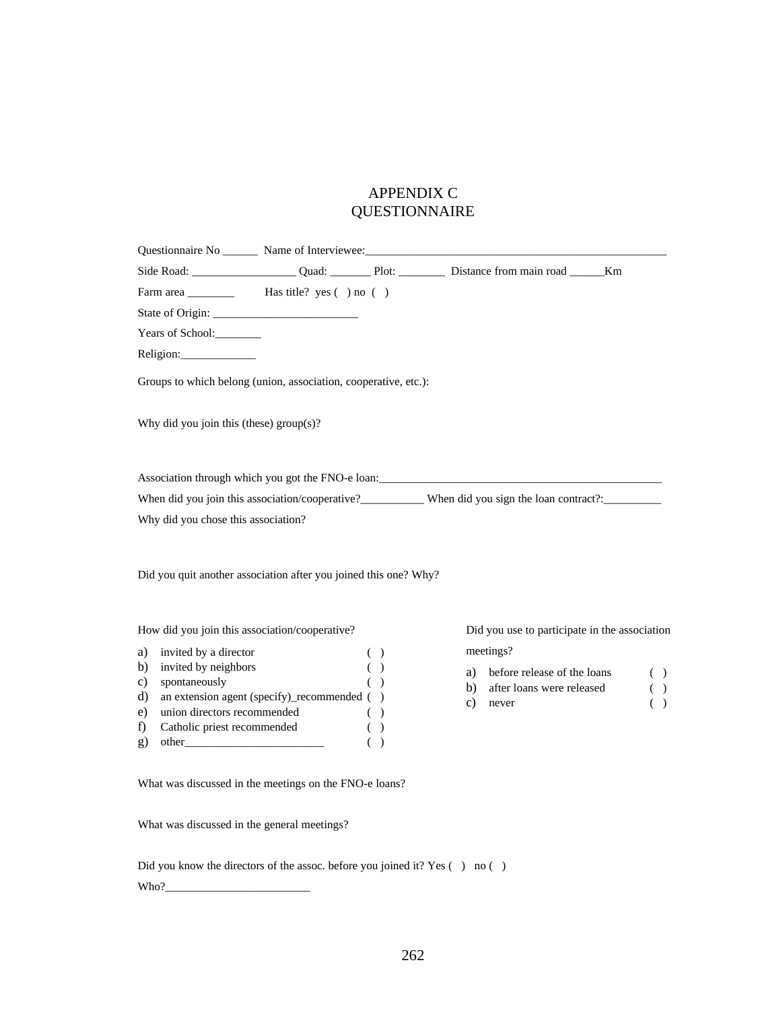# APPENDIX C QUESTIONNAIRE

| Years of School:                                                                              |                                                                  |            |                                                                                                      |                   |
|-----------------------------------------------------------------------------------------------|------------------------------------------------------------------|------------|------------------------------------------------------------------------------------------------------|-------------------|
| Religion:                                                                                     |                                                                  |            |                                                                                                      |                   |
|                                                                                               | Groups to which belong (union, association, cooperative, etc.):  |            |                                                                                                      |                   |
| Why did you join this (these) $group(s)?$                                                     |                                                                  |            |                                                                                                      |                   |
|                                                                                               |                                                                  |            | Association through which you got the FNO-e loan:                                                    |                   |
|                                                                                               |                                                                  |            | When did you join this association/cooperative? When did you sign the loan contract?: ______________ |                   |
| Why did you chose this association?                                                           |                                                                  |            |                                                                                                      |                   |
|                                                                                               |                                                                  |            |                                                                                                      |                   |
|                                                                                               | Did you quit another association after you joined this one? Why? |            |                                                                                                      |                   |
|                                                                                               | How did you join this association/cooperative?                   |            | Did you use to participate in the association                                                        |                   |
| invited by a director                                                                         |                                                                  | ( )        | meetings?                                                                                            |                   |
| invited by neighbors<br>spontaneously                                                         |                                                                  | ( )<br>( ) | before release of the loans<br>a)<br>b)                                                              |                   |
|                                                                                               | an extension agent (specify)_recommended ()                      |            | after loans were released<br>c)<br>never                                                             |                   |
| a)<br>b)<br>c)<br>d)<br>union directors recommended<br>e)<br>Catholic priest recommended<br>f |                                                                  | ( )<br>( ) |                                                                                                      | ( )<br>( )<br>( ) |

What was discussed in the meetings on the FNO-e loans?

What was discussed in the general meetings?

Did you know the directors of the assoc. before you joined it? Yes ( ) no ( ) Who?\_\_\_\_\_\_\_\_\_\_\_\_\_\_\_\_\_\_\_\_\_\_\_\_\_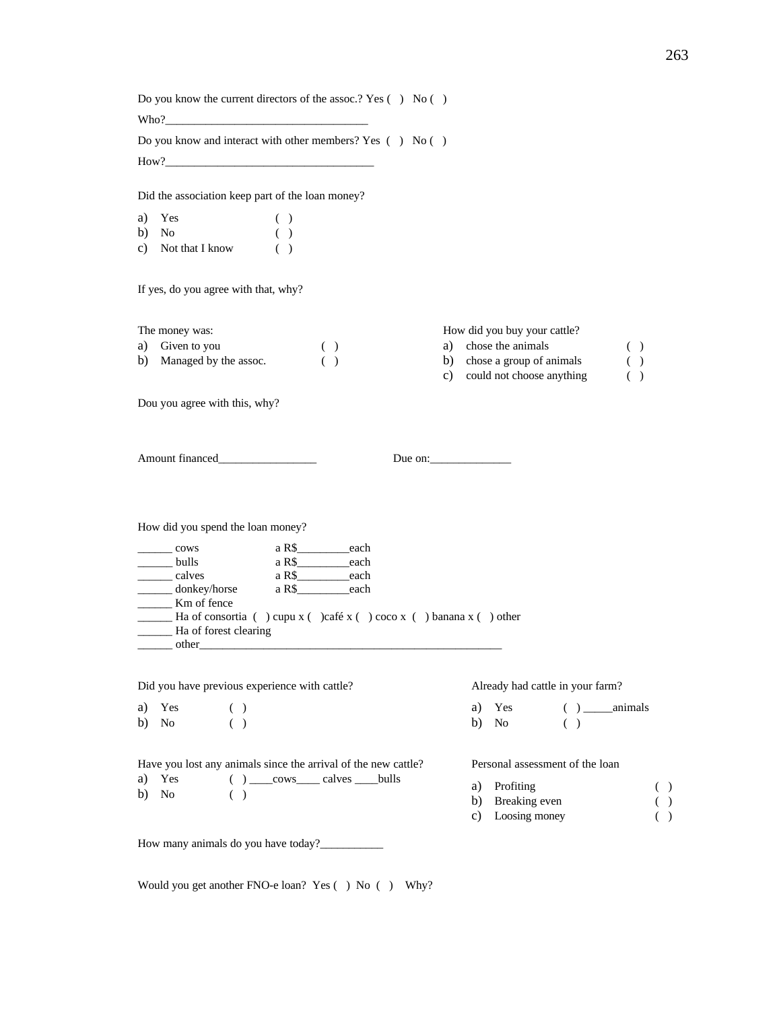Do you know the current directors of the assoc.? Yes () No ()  $Who?$ 

Do you know and interact with other members? Yes ( ) No ( ) How?

Did the association keep part of the loan money?

a) Yes ( ) b) No ( ) c) Not that I know ( )

If yes, do you agree with that, why?

The money was: a) Given to you ( ) b) Managed by the assoc. ( ) How did you buy your cattle? a) chose the animals ( ) b) chose a group of animals () c) could not choose anything ( )

Dou you agree with this, why?

Amount financed Due on:

How did you spend the loan money?

| cows                                                                           | a R\$ | each |  |  |
|--------------------------------------------------------------------------------|-------|------|--|--|
| bulls                                                                          | a R\$ | each |  |  |
| calves                                                                         | a R\$ | each |  |  |
| donkey/horse                                                                   | a R\$ | each |  |  |
| Km of fence                                                                    |       |      |  |  |
| Ha of consortia ( ) cupu $x$ ( )café $x$ ( ) coco $x$ ( ) banana $x$ ( ) other |       |      |  |  |
| Ha of forest clearing                                                          |       |      |  |  |
| other                                                                          |       |      |  |  |

Did you have previous experience with cattle?

a) Yes ( ) b) No ( )

b) No ( )

Already had cattle in your farm?

| a) Yes |  | $( )$ animals |
|--------|--|---------------|
| b) No  |  |               |

Personal assessment of the loan

- a) Profiting ( )
- b) Breaking even ( )
- c) Loosing money ( )

How many animals do you have today?\_\_\_\_\_\_\_\_\_\_\_

Would you get another FNO-e loan? Yes () No () Why?

Have you lost any animals since the arrival of the new cattle? a) Yes ( ) \_\_\_\_\_cows\_\_\_\_\_\_ calves \_\_\_\_\_\_bulls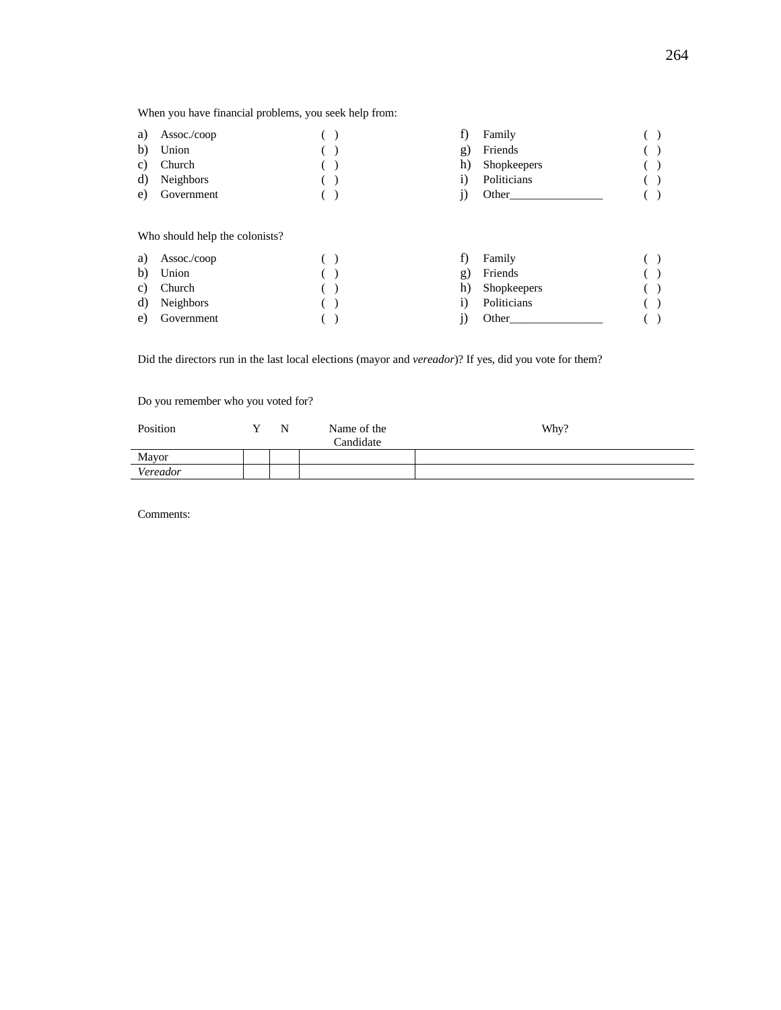When you have financial problems, you seek help from:

| a) | Assoc./coop                                            |  | f) | Family      |  |
|----|--------------------------------------------------------|--|----|-------------|--|
| b) | Union                                                  |  | g) | Friends     |  |
| C) | Church                                                 |  | h) | Shopkeepers |  |
| d) | <b>Neighbors</b>                                       |  | 1) | Politicians |  |
| e) | Government                                             |  | J) | Other       |  |
| a) | Who should help the colonists?<br>$\text{Assoc./coop}$ |  | f) | Family      |  |
|    |                                                        |  |    |             |  |
| b) | Union                                                  |  | g) | Friends     |  |
| C) | Church                                                 |  | h) | Shopkeepers |  |
| d) | <b>Neighbors</b>                                       |  | 1) | Politicians |  |
| e) | Government                                             |  | J) | Other       |  |

Did the directors run in the last local elections (mayor and *vereador*)? If yes, did you vote for them?

Do you remember who you voted for?

| Position | N | Name of the<br>Candidate | Why? |
|----------|---|--------------------------|------|
| Mayor    |   |                          |      |
| Vereador |   |                          |      |

Comments: